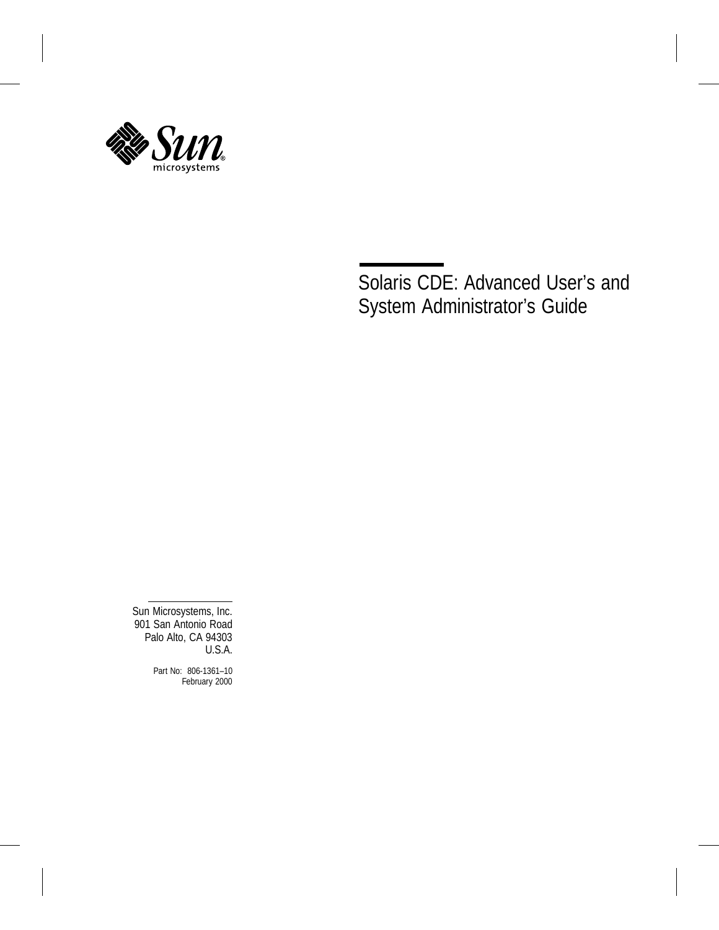

Solaris CDE: Advanced User's and System Administrator's Guide

Sun Microsystems, Inc. 901 San Antonio Road Palo Alto, CA 94303 U.S.A.

> Part No: 806-1361–10 February 2000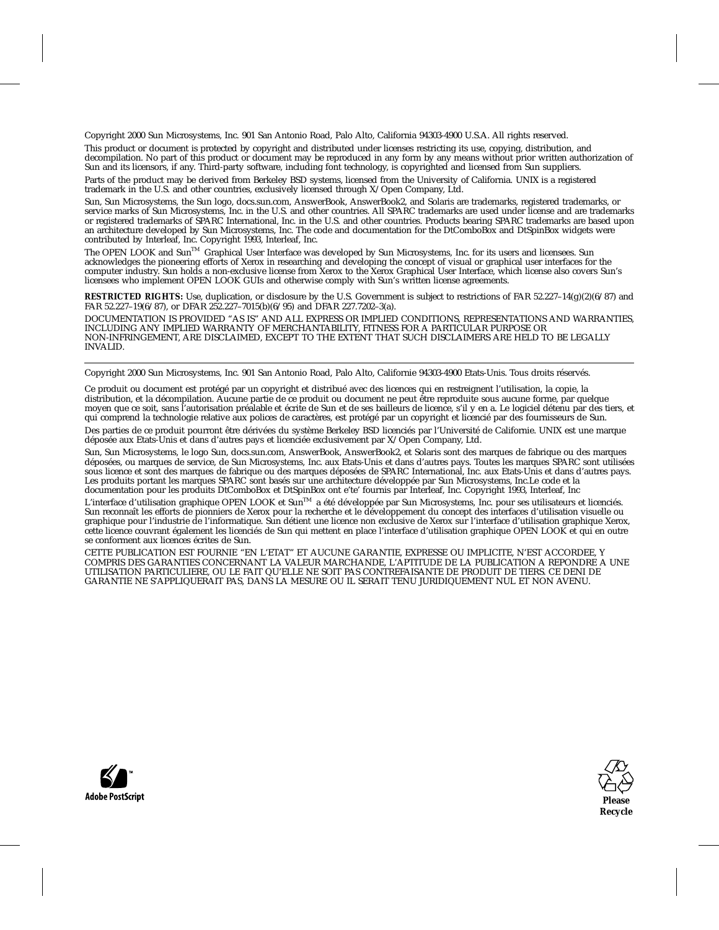Copyright 2000 Sun Microsystems, Inc. 901 San Antonio Road, Palo Alto, California 94303-4900 U.S.A. All rights reserved.

This product or document is protected by copyright and distributed under licenses restricting its use, copying, distribution, and decompilation. No part of this product or document may be reproduced in any form by any means without prior written authorization of Sun and its licensors, if any. Third-party software, including font technology, is copyrighted and licensed from Sun suppliers.

Parts of the product may be derived from Berkeley BSD systems, licensed from the University of California. UNIX is a registered trademark in the U.S. and other countries, exclusively licensed through X/Open Company, Ltd.

Sun, Sun Microsystems, the Sun logo, docs.sun.com, AnswerBook, AnswerBook2, and Solaris are trademarks, registered trademarks, or service marks of Sun Microsystems, Inc. in the U.S. and other countries. All SPARC trademarks are used under license and are trademarks or registered trademarks of SPARC International, Inc. in the U.S. and other countries. Products bearing SPARC trademarks are based upon an architecture developed by Sun Microsystems, Inc. The code and documentation for the DtComboBox and DtSpinBox widgets were contributed by Interleaf, Inc. Copyright 1993, Interleaf, Inc.

The OPEN LOOK and Sun™ Graphical User Interface was developed by Sun Microsystems, Inc. for its users and licensees. Sun acknowledges the pioneering efforts of Xerox in researching and developing the concept of visual or graphical user interfaces for the<br>computer industry. Sun holds a non-exclusive license from Xerox to the Xerox Graphical U licensees who implement OPEN LOOK GUIs and otherwise comply with Sun's written license agreements.

**RESTRICTED RIGHTS:** Use, duplication, or disclosure by the U.S. Government is subject to restrictions of FAR 52.227–14(g)(2)(6/87) and FAR 52.227–19(6/87), or DFAR 252.227–7015(b)(6/95) and DFAR 227.7202–3(a).

DOCUMENTATION IS PROVIDED "AS IS" AND ALL EXPRESS OR IMPLIED CONDITIONS, REPRESENTATIONS AND WARRANTIES, INCLUDING ANY IMPLIED WARRANTY OF MERCHANTABILITY, FITNESS FOR A PARTICULAR PURPOSE OR NON-INFRINGEMENT, ARE DISCLAIMED, EXCEPT TO THE EXTENT THAT SUCH DISCLAIMERS ARE HELD TO BE LEGALLY INVALID.

Copyright 2000 Sun Microsystems, Inc. 901 San Antonio Road, Palo Alto, Californie 94303-4900 Etats-Unis. Tous droits réservés.

Ce produit ou document est protégé par un copyright et distribué avec des licences qui en restreignent l'utilisation, la copie, la distribution, et la décompilation. Aucune partie de ce produit ou document ne peut être reproduite sous aucune forme, par quelque moyen que ce soit, sans l'autorisation préalable et écrite de Sun et de ses bailleurs de licence, s'il y en a. Le logiciel détenu par des tiers, et qui comprend la technologie relative aux polices de caractères, est protégé par un copyright et licencié par des fournisseurs de Sun.

Des parties de ce produit pourront être dérivées du système Berkeley BSD licenciés par l'Université de Californie. UNIX est une marque déposée aux Etats-Unis et dans d'autres pays et licenciée exclusivement par X/Open Company, Ltd.

Sun, Sun Microsystems, le logo Sun, docs.sun.com, AnswerBook, AnswerBook2, et Solaris sont des marques de fabrique ou des marques déposées, ou marques de service, de Sun Microsystems, Inc. aux Etats-Unis et dans d'autres pays. Toutes les marques SPARC sont utilisées sous licence et sont des marques de fabrique ou des marques déposées de SPARC International, Inc. aux Etats-Unis et dans d'autres pays. Les produits portant les marques SPARC sont basés sur une architecture développée par Sun Microsystems, Inc.Le code et la documentation pour les produits DtComboBox et DtSpinBox ont e'te' fournis par Interleaf, Inc. Copyright 1993, Interleaf, Inc

L'interface d'utilisation graphique OPEN LOOK et Sun™ a été développée par Sun Microsystems, Inc. pour ses utilisateurs et licenciés.<br>Sun reconnaît les efforts de pionniers de Xerox pour la recherche et le développement d cette licence couvrant également les licenciés de Sun qui mettent en place l'interface d'utilisation graphique OPEN LOOK et qui en outre se conforment aux licences écrites de Sun.

CETTE PUBLICATION EST FOURNIE "EN L'ETAT" ET AUCUNE GARANTIE, EXPRESSE OU IMPLICITE, N'EST ACCORDEE, Y COMPRIS DES GARANTIES CONCERNANT LA VALEUR MARCHANDE, L'APTITUDE DE LA PUBLICATION A REPONDRE A UNE UTILISATION PARTICULIERE, OU LE FAIT QU'ELLE NE SOIT PAS CONTREFAISANTE DE PRODUIT DE TIERS. CE DENI DE<br>GARANTIE NE S'APPLIQUERAIT PAS, DANS LA MESURE OU IL SERAIT TENU JURIDIQUEMENT NUL ET NON AVENU.



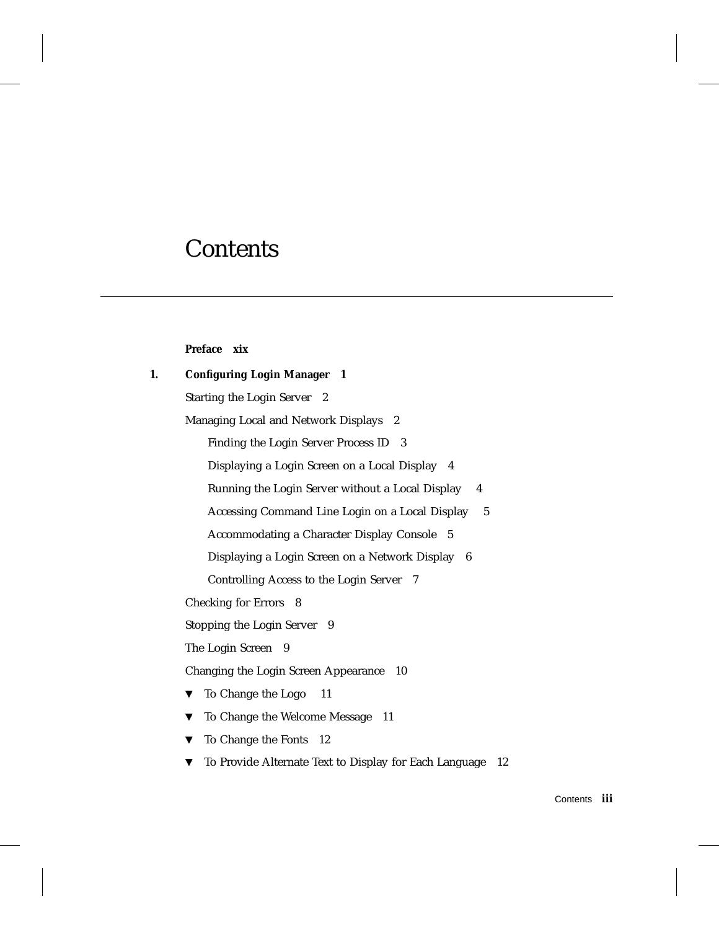# **Contents**

### **Preface xix**

| 1. | <b>Configuring Login Manager 1</b>                                          |
|----|-----------------------------------------------------------------------------|
|    | Starting the Login Server 2                                                 |
|    | Managing Local and Network Displays 2                                       |
|    | Finding the Login Server Process ID 3                                       |
|    | Displaying a Login Screen on a Local Display 4                              |
|    | Running the Login Server without a Local Display<br>$\overline{\mathbf{4}}$ |
|    | Accessing Command Line Login on a Local Display 5                           |
|    | Accommodating a Character Display Console 5                                 |
|    | Displaying a Login Screen on a Network Display 6                            |
|    | Controlling Access to the Login Server 7                                    |
|    | Checking for Errors 8                                                       |
|    | Stopping the Login Server 9                                                 |
|    | The Login Screen 9                                                          |
|    | Changing the Login Screen Appearance<br>10                                  |
|    | To Change the Logo<br>- 11<br>▼                                             |
|    | To Change the Welcome Message 11<br>▼                                       |
|    | To Change the Fonts 12<br>▼                                                 |
|    | To Provide Alternate Text to Display for Each Language 12                   |
|    |                                                                             |

Contents **iii**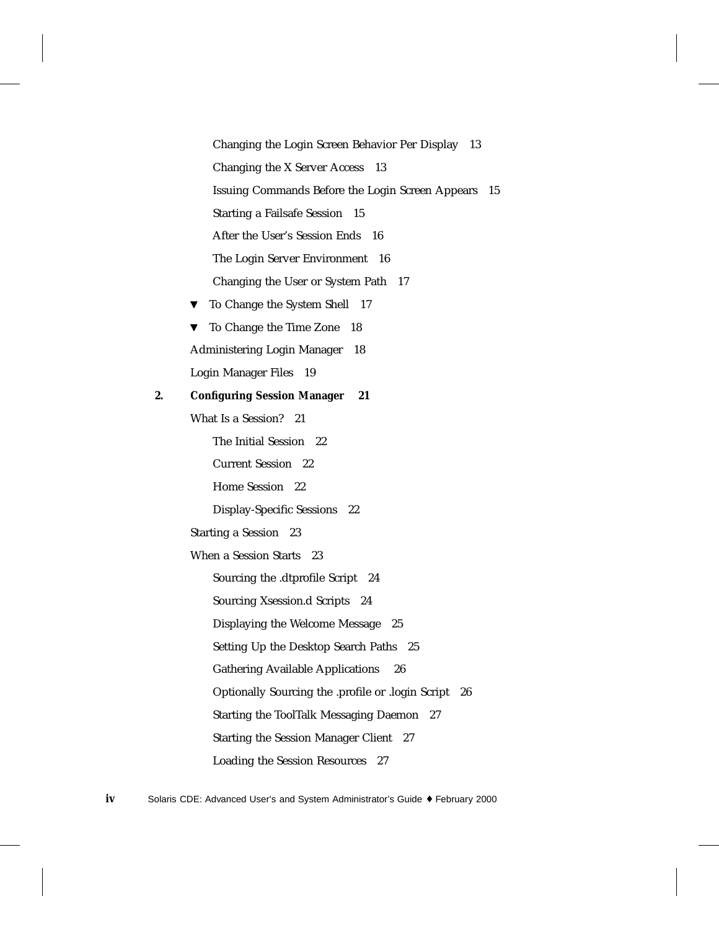Changing the Login Screen Behavior Per Display 13 Changing the X Server Access 13 Issuing Commands Before the Login Screen Appears 15 Starting a Failsafe Session 15 After the User's Session Ends 16 The Login Server Environment 16 Changing the User or System Path 17  $\blacktriangledown$  To Change the System Shell 17 To Change the Time Zone 18 Administering Login Manager 18 Login Manager Files 19 **2. Configuring Session Manager 21** What Is a Session? 21 The Initial Session 22 Current Session 22 Home Session 22 Display-Specific Sessions 22 Starting a Session 23 When a Session Starts 23 Sourcing the .dtprofile Script 24 Sourcing Xsession.d Scripts 24 Displaying the Welcome Message 25 Setting Up the Desktop Search Paths 25 Gathering Available Applications 26 Optionally Sourcing the .profile or .login Script 26 Starting the ToolTalk Messaging Daemon 27 Starting the Session Manager Client 27 Loading the Session Resources 27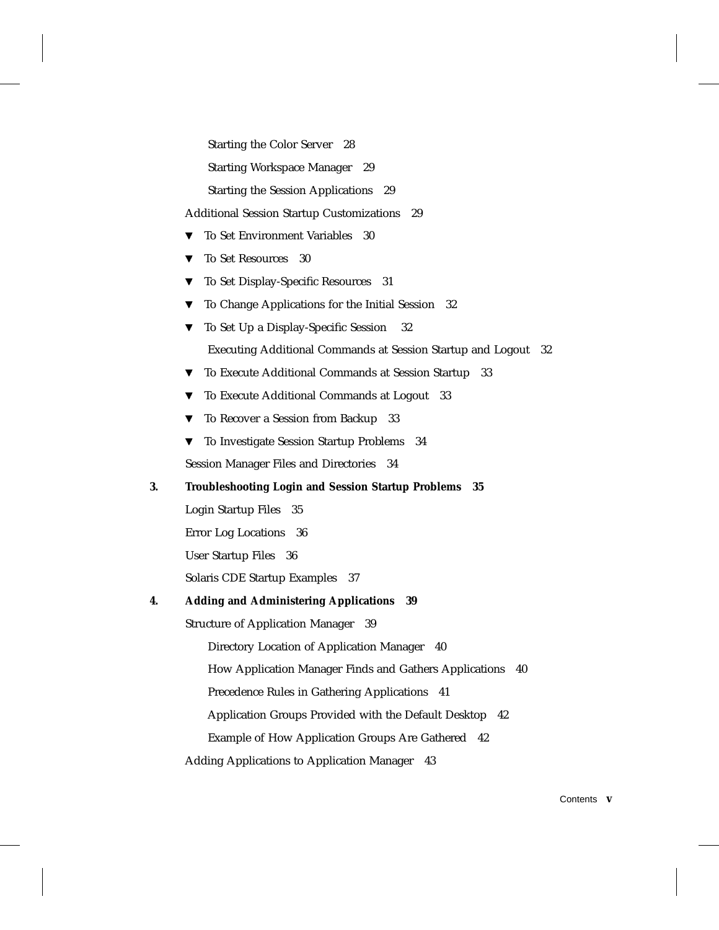Starting the Color Server 28

Starting Workspace Manager 29

Starting the Session Applications 29

Additional Session Startup Customizations 29

- $\blacktriangledown$  To Set Environment Variables 30
- $\blacktriangledown$  To Set Resources 30
- $\blacktriangledown$  To Set Display-Specific Resources 31
- $\blacktriangledown$  To Change Applications for the Initial Session 32
- $\blacktriangledown$  To Set Up a Display-Specific Session 32 Executing Additional Commands at Session Startup and Logout 32
- $\blacktriangledown$  To Execute Additional Commands at Session Startup 33
- $\blacktriangledown$  To Execute Additional Commands at Logout 33
- $\blacktriangledown$  To Recover a Session from Backup 33
- $\blacktriangledown$  To Investigate Session Startup Problems 34

Session Manager Files and Directories 34

#### **3. Troubleshooting Login and Session Startup Problems 35**

Login Startup Files 35

Error Log Locations 36

User Startup Files 36

Solaris CDE Startup Examples 37

#### **4. Adding and Administering Applications 39**

Structure of Application Manager 39

Directory Location of Application Manager 40

How Application Manager Finds and Gathers Applications 40

Precedence Rules in Gathering Applications 41

Application Groups Provided with the Default Desktop 42

Example of How Application Groups Are Gathered 42

Adding Applications to Application Manager 43

Contents **v**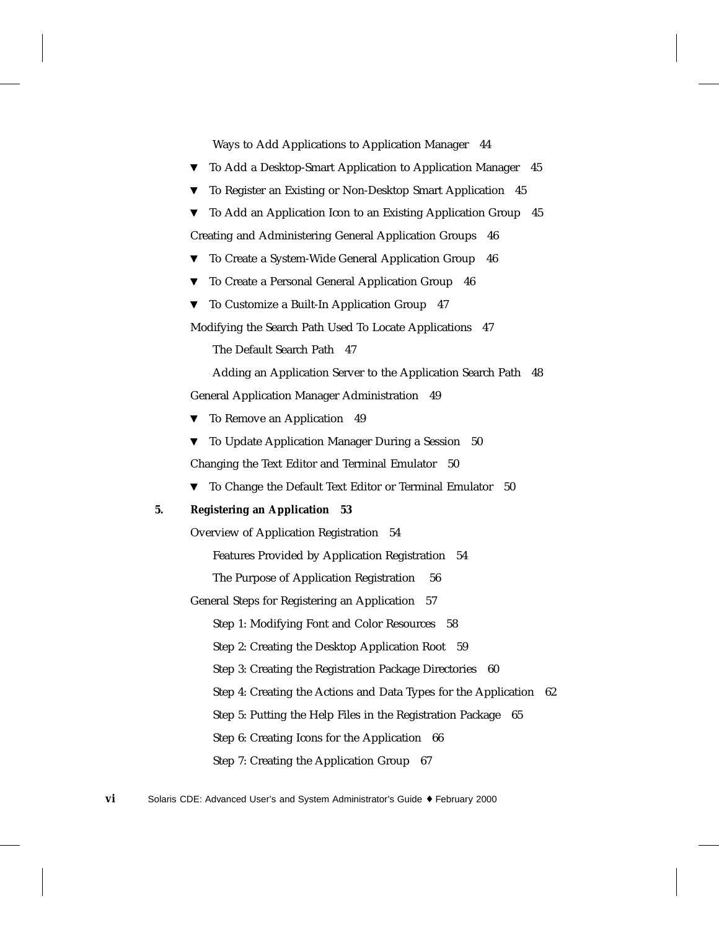Ways to Add Applications to Application Manager 44

- $\blacktriangledown$  To Add a Desktop-Smart Application to Application Manager 45
- To Register an Existing or Non-Desktop Smart Application 45
- To Add an Application Icon to an Existing Application Group 45 Creating and Administering General Application Groups 46
- $\blacktriangledown$  To Create a System-Wide General Application Group 46
- $\blacktriangledown$  To Create a Personal General Application Group 46
- To Customize a Built-In Application Group 47

Modifying the Search Path Used To Locate Applications 47

The Default Search Path 47

Adding an Application Server to the Application Search Path 48 General Application Manager Administration 49

- $\blacktriangledown$  To Remove an Application 49
- $\blacktriangledown$  To Update Application Manager During a Session 50

Changing the Text Editor and Terminal Emulator 50

 $\blacktriangledown$  To Change the Default Text Editor or Terminal Emulator 50

#### **5. Registering an Application 53**

Overview of Application Registration 54

Features Provided by Application Registration 54

The Purpose of Application Registration 56

General Steps for Registering an Application 57

Step 1: Modifying Font and Color Resources 58

Step 2: Creating the Desktop Application Root 59

Step 3: Creating the Registration Package Directories 60

Step 4: Creating the Actions and Data Types for the Application 62

Step 5: Putting the Help Files in the Registration Package 65

Step 6: Creating Icons for the Application 66

Step 7: Creating the Application Group 67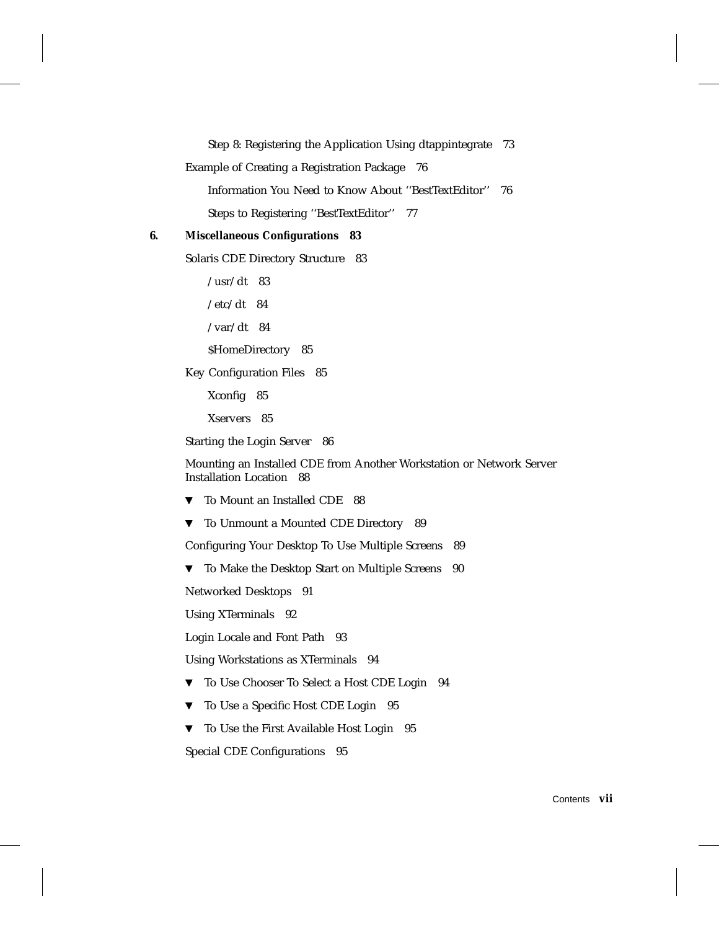Step 8: Registering the Application Using dtappintegrate 73

Example of Creating a Registration Package 76

Information You Need to Know About ''BestTextEditor'' 76

Steps to Registering ''BestTextEditor'' 77

#### **6. Miscellaneous Configurations 83**

Solaris CDE Directory Structure 83

/usr/dt 83

/etc/dt 84

/var/dt 84

\$HomeDirectory 85

Key Configuration Files 85

Xconfig 85

Xservers 85

Starting the Login Server 86

Mounting an Installed CDE from Another Workstation or Network Server Installation Location 88

- $\blacktriangledown$  To Mount an Installed CDE 88
- $\blacktriangledown$  To Unmount a Mounted CDE Directory 89

Configuring Your Desktop To Use Multiple Screens 89

 $\blacktriangledown$  To Make the Desktop Start on Multiple Screens 90

Networked Desktops 91

Using XTerminals 92

Login Locale and Font Path 93

Using Workstations as XTerminals 94

- $\blacktriangledown$  To Use Chooser To Select a Host CDE Login 94
- $\nabla$  To Use a Specific Host CDE Login 95
- $\blacktriangledown$  To Use the First Available Host Login 95

Special CDE Configurations 95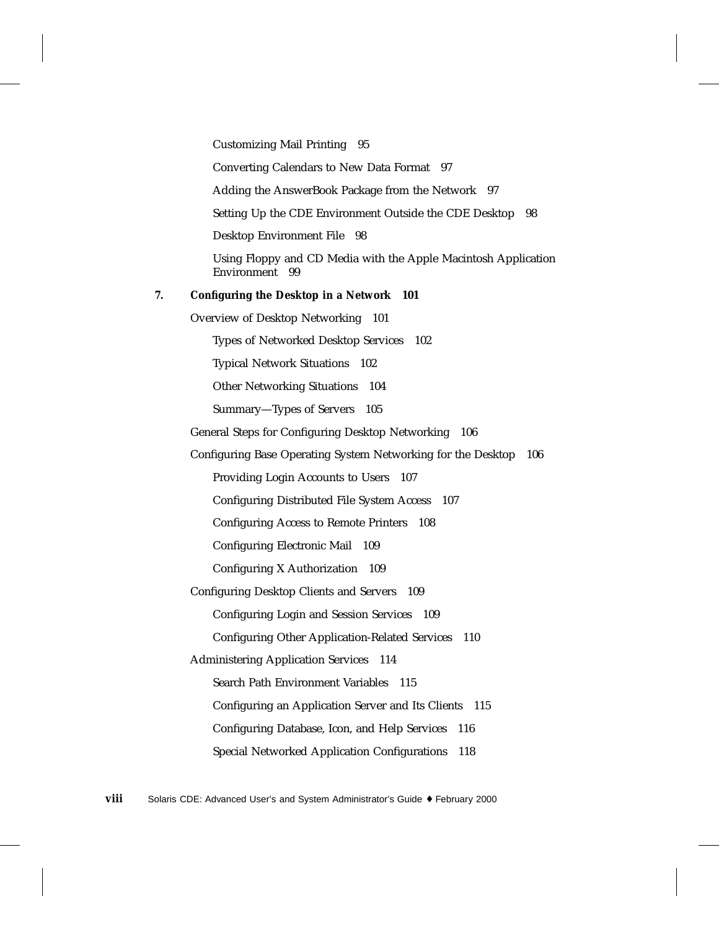Customizing Mail Printing 95 Converting Calendars to New Data Format 97 Adding the AnswerBook Package from the Network 97 Setting Up the CDE Environment Outside the CDE Desktop 98 Desktop Environment File 98 Using Floppy and CD Media with the Apple Macintosh Application Environment 99 **7. Configuring the Desktop in a Network 101** Overview of Desktop Networking 101 Types of Networked Desktop Services 102 Typical Network Situations 102 Other Networking Situations 104 Summary—Types of Servers 105 General Steps for Configuring Desktop Networking 106 Configuring Base Operating System Networking for the Desktop 106 Providing Login Accounts to Users 107 Configuring Distributed File System Access 107 Configuring Access to Remote Printers 108 Configuring Electronic Mail 109 Configuring X Authorization 109 Configuring Desktop Clients and Servers 109 Configuring Login and Session Services 109 Configuring Other Application-Related Services 110 Administering Application Services 114 Search Path Environment Variables 115 Configuring an Application Server and Its Clients 115 Configuring Database, Icon, and Help Services 116 Special Networked Application Configurations 118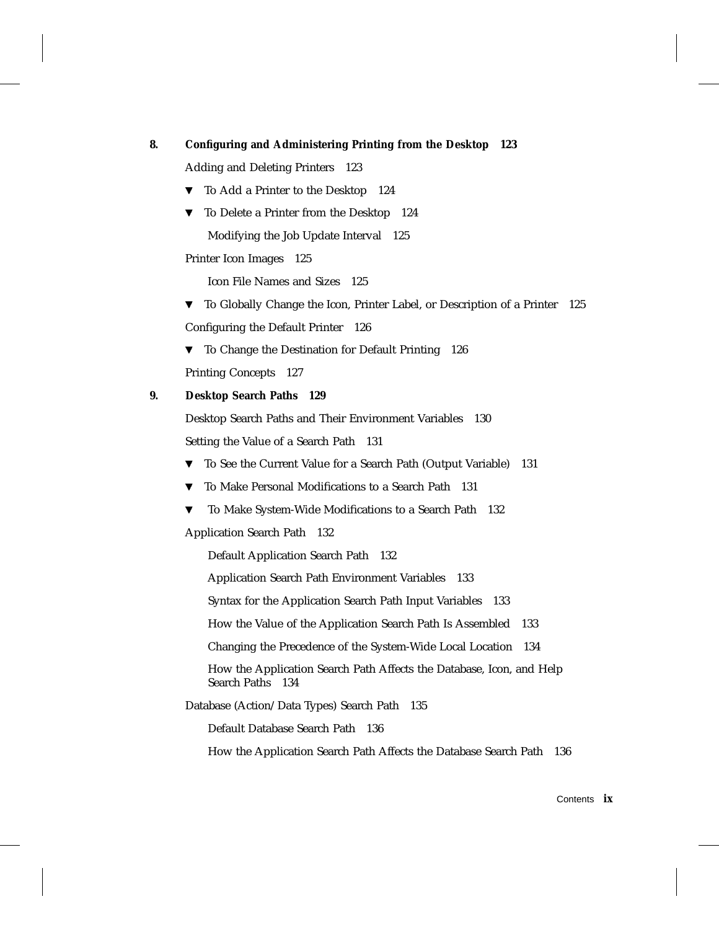### **8. Configuring and Administering Printing from the Desktop 123**

Adding and Deleting Printers 123

- $\blacktriangledown$  To Add a Printer to the Desktop 124
- To Delete a Printer from the Desktop 124

Modifying the Job Update Interval 125

### Printer Icon Images 125

Icon File Names and Sizes 125

 $\blacktriangledown$  To Globally Change the Icon, Printer Label, or Description of a Printer 125 Configuring the Default Printer 126

 $\blacktriangledown$  To Change the Destination for Default Printing 126

Printing Concepts 127

#### **9. Desktop Search Paths 129**

Desktop Search Paths and Their Environment Variables 130 Setting the Value of a Search Path 131

- $\blacktriangledown$  To See the Current Value for a Search Path (Output Variable) 131
- $\blacktriangledown$  To Make Personal Modifications to a Search Path 131
- To Make System-Wide Modifications to a Search Path 132

Application Search Path 132

Default Application Search Path 132

Application Search Path Environment Variables 133

Syntax for the Application Search Path Input Variables 133

How the Value of the Application Search Path Is Assembled 133

Changing the Precedence of the System-Wide Local Location 134

How the Application Search Path Affects the Database, Icon, and Help Search Paths 134

Database (Action/Data Types) Search Path 135

Default Database Search Path 136

How the Application Search Path Affects the Database Search Path 136

Contents **ix**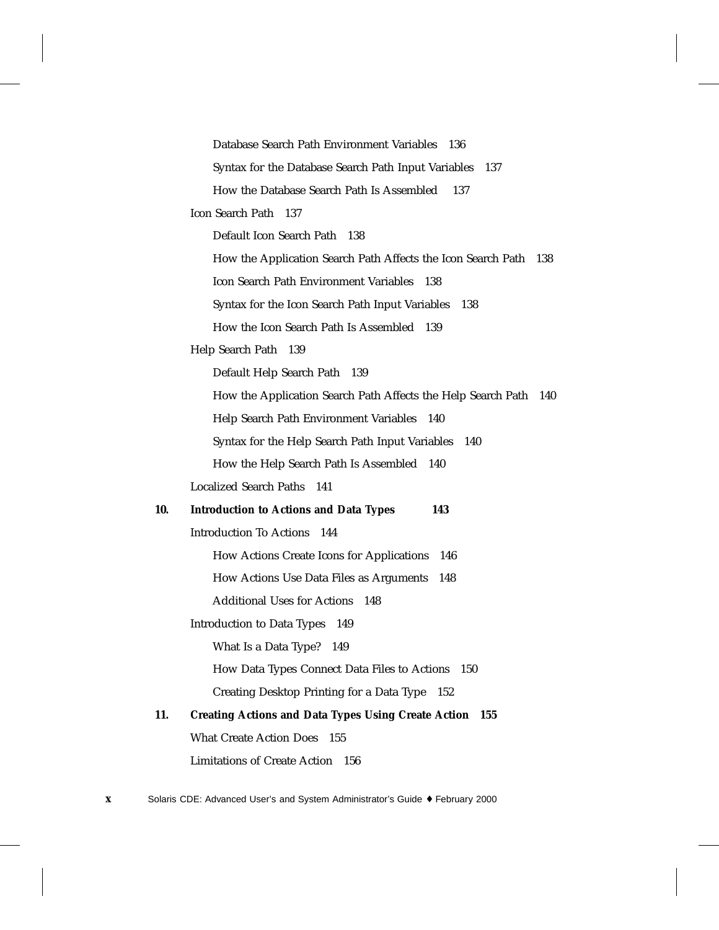|     | Database Search Path Environment Variables<br>136                   |
|-----|---------------------------------------------------------------------|
|     | Syntax for the Database Search Path Input Variables<br>137          |
|     | How the Database Search Path Is Assembled<br>137                    |
|     | Icon Search Path 137                                                |
|     | Default Icon Search Path<br>-138                                    |
|     | How the Application Search Path Affects the Icon Search Path 138    |
|     | Icon Search Path Environment Variables<br>138                       |
|     | Syntax for the Icon Search Path Input Variables<br>138              |
|     | How the Icon Search Path Is Assembled 139                           |
|     | Help Search Path 139                                                |
|     | Default Help Search Path<br>139                                     |
|     | How the Application Search Path Affects the Help Search Path<br>140 |
|     | Help Search Path Environment Variables<br>- 140                     |
|     | Syntax for the Help Search Path Input Variables<br>140              |
|     | How the Help Search Path Is Assembled<br>140                        |
|     | <b>Localized Search Paths</b><br>141                                |
| 10. | <b>Introduction to Actions and Data Types</b><br>143                |
|     | <b>Introduction To Actions</b><br>144                               |
|     | How Actions Create Icons for Applications<br>146                    |
|     | How Actions Use Data Files as Arguments<br>148                      |
|     | <b>Additional Uses for Actions</b><br>148                           |
|     | <b>Introduction to Data Types</b><br>149                            |
|     | What Is a Data Type?<br>149                                         |
|     | How Data Types Connect Data Files to Actions<br>150                 |
|     | Creating Desktop Printing for a Data Type<br>152                    |
| 11. | <b>Creating Actions and Data Types Using Create Action</b><br>155   |
|     | <b>What Create Action Does</b><br>155                               |
|     | <b>Limitations of Create Action</b><br>156                          |
|     |                                                                     |

**x** Solaris CDE: Advanced User's and System Administrator's Guide ♦ February 2000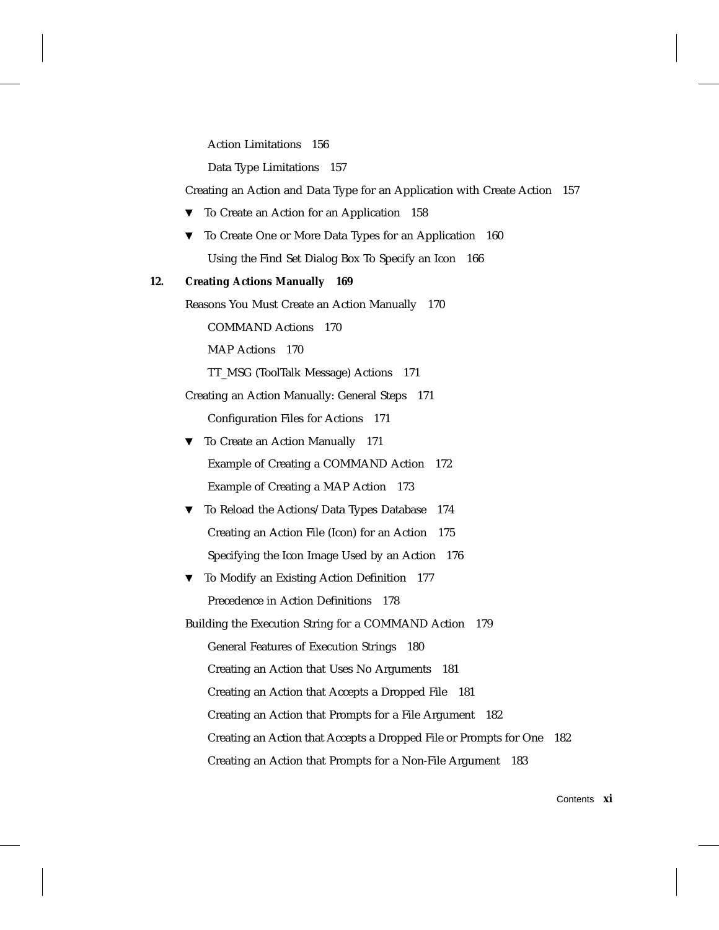Action Limitations 156

Data Type Limitations 157

Creating an Action and Data Type for an Application with Create Action 157

- $\blacktriangledown$  To Create an Action for an Application 158
- $\blacktriangledown$  To Create One or More Data Types for an Application 160 Using the Find Set Dialog Box To Specify an Icon 166

#### **12. Creating Actions Manually 169**

Reasons You Must Create an Action Manually 170

COMMAND Actions 170

MAP Actions 170

TT\_MSG (ToolTalk Message) Actions 171

Creating an Action Manually: General Steps 171

Configuration Files for Actions 171

- $\blacktriangledown$  To Create an Action Manually 171 Example of Creating a COMMAND Action 172 Example of Creating a MAP Action 173
- $\nabla$  To Reload the Actions/Data Types Database 174 Creating an Action File (Icon) for an Action 175 Specifying the Icon Image Used by an Action 176
- $\blacktriangledown$  To Modify an Existing Action Definition 177 Precedence in Action Definitions 178

Building the Execution String for a COMMAND Action 179

General Features of Execution Strings 180

Creating an Action that Uses No Arguments 181

Creating an Action that Accepts a Dropped File 181

Creating an Action that Prompts for a File Argument 182

Creating an Action that Accepts a Dropped File or Prompts for One 182

Creating an Action that Prompts for a Non-File Argument 183

Contents **xi**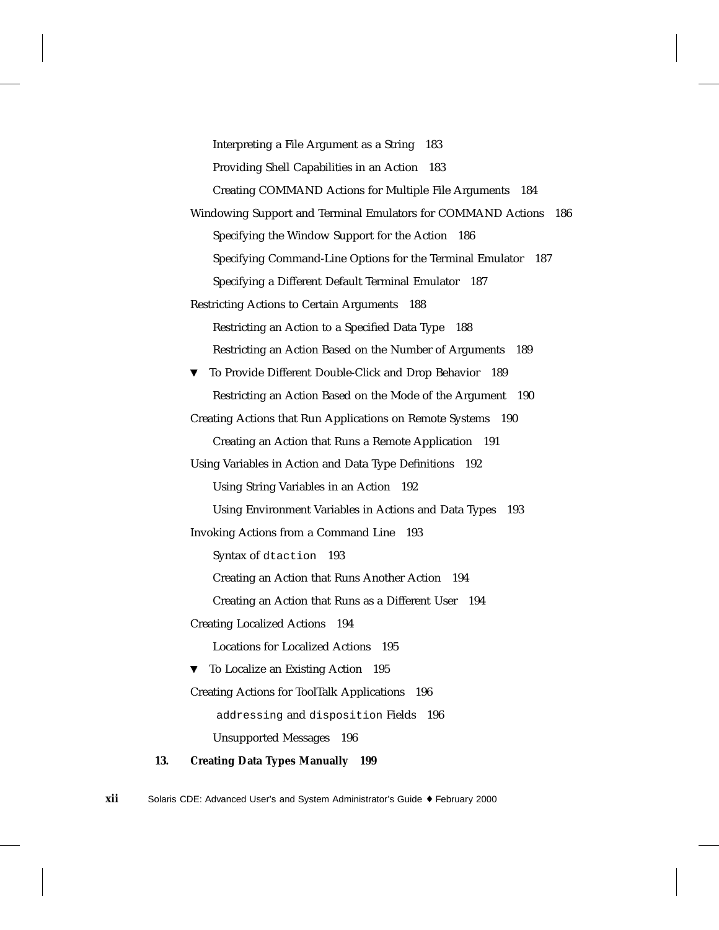Interpreting a File Argument as a String 183 Providing Shell Capabilities in an Action 183 Creating COMMAND Actions for Multiple File Arguments 184 Windowing Support and Terminal Emulators for COMMAND Actions 186 Specifying the Window Support for the Action 186 Specifying Command-Line Options for the Terminal Emulator 187 Specifying a Different Default Terminal Emulator 187 Restricting Actions to Certain Arguments 188 Restricting an Action to a Specified Data Type 188 Restricting an Action Based on the Number of Arguments 189 To Provide Different Double-Click and Drop Behavior 189 Restricting an Action Based on the Mode of the Argument 190 Creating Actions that Run Applications on Remote Systems 190 Creating an Action that Runs a Remote Application 191 Using Variables in Action and Data Type Definitions 192 Using String Variables in an Action 192 Using Environment Variables in Actions and Data Types 193 Invoking Actions from a Command Line 193 Syntax of dtaction 193 Creating an Action that Runs Another Action 194 Creating an Action that Runs as a Different User 194 Creating Localized Actions 194 Locations for Localized Actions 195  $\blacktriangledown$  To Localize an Existing Action 195 Creating Actions for ToolTalk Applications 196 addressing and disposition Fields 196 Unsupported Messages 196 **13. Creating Data Types Manually 199**

**xii** Solaris CDE: Advanced User's and System Administrator's Guide ♦ February 2000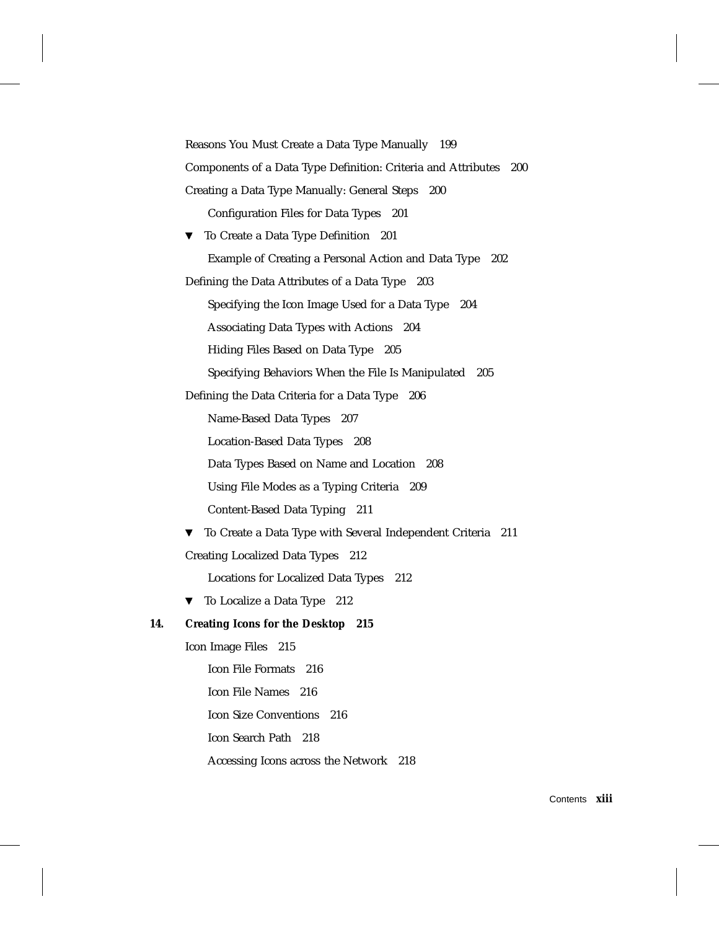Reasons You Must Create a Data Type Manually 199 Components of a Data Type Definition: Criteria and Attributes 200 Creating a Data Type Manually: General Steps 200 Configuration Files for Data Types 201  $\blacktriangledown$  To Create a Data Type Definition 201 Example of Creating a Personal Action and Data Type 202 Defining the Data Attributes of a Data Type 203 Specifying the Icon Image Used for a Data Type 204 Associating Data Types with Actions 204 Hiding Files Based on Data Type 205 Specifying Behaviors When the File Is Manipulated 205 Defining the Data Criteria for a Data Type 206 Name-Based Data Types 207 Location-Based Data Types 208 Data Types Based on Name and Location 208 Using File Modes as a Typing Criteria 209 Content-Based Data Typing 211  $\blacktriangledown$  To Create a Data Type with Several Independent Criteria 211 Creating Localized Data Types 212 Locations for Localized Data Types 212  $\blacktriangledown$  To Localize a Data Type 212 **14. Creating Icons for the Desktop 215** Icon Image Files 215 Icon File Formats 216 Icon File Names 216 Icon Size Conventions 216 Icon Search Path 218 Accessing Icons across the Network 218

Contents **xiii**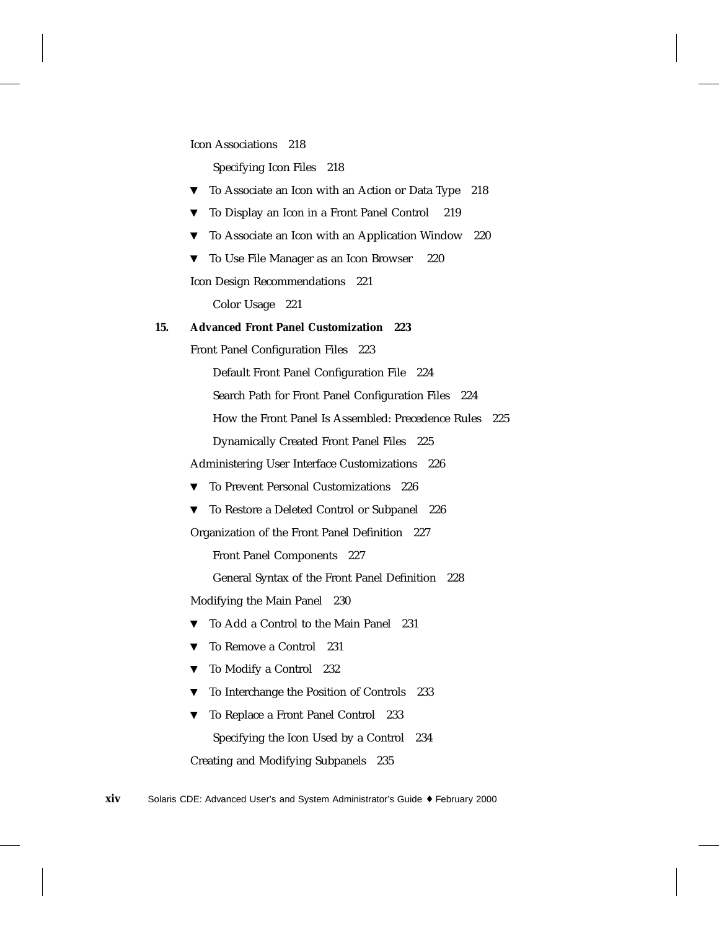Icon Associations 218

Specifying Icon Files 218

- $\blacktriangledown$  To Associate an Icon with an Action or Data Type 218
- To Display an Icon in a Front Panel Control 219
- $\blacktriangledown$  To Associate an Icon with an Application Window 220
- $\blacktriangledown$  To Use File Manager as an Icon Browser 220

Icon Design Recommendations 221

Color Usage 221

#### **15. Advanced Front Panel Customization 223**

Front Panel Configuration Files 223

Default Front Panel Configuration File 224

Search Path for Front Panel Configuration Files 224

How the Front Panel Is Assembled: Precedence Rules 225

Dynamically Created Front Panel Files 225

Administering User Interface Customizations 226

To Prevent Personal Customizations 226

 $\blacktriangledown$  To Restore a Deleted Control or Subpanel 226

Organization of the Front Panel Definition 227

Front Panel Components 227

General Syntax of the Front Panel Definition 228

Modifying the Main Panel 230

- To Add a Control to the Main Panel 231
- To Remove a Control 231
- $\blacktriangledown$  To Modify a Control 232
- $\blacktriangledown$  To Interchange the Position of Controls 233
- $\blacktriangledown$  To Replace a Front Panel Control 233

Specifying the Icon Used by a Control 234

Creating and Modifying Subpanels 235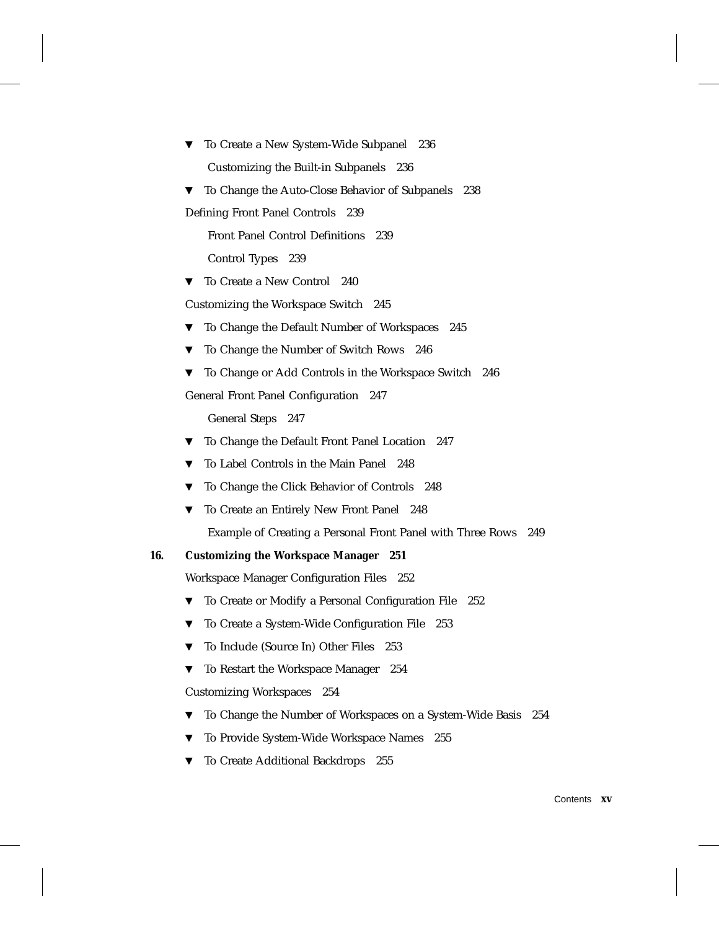- $\blacktriangledown$  To Create a New System-Wide Subpanel 236 Customizing the Built-in Subpanels 236
- $\blacktriangledown$  To Change the Auto-Close Behavior of Subpanels 238

Defining Front Panel Controls 239

Front Panel Control Definitions 239

Control Types 239

 $\blacktriangledown$  To Create a New Control 240

Customizing the Workspace Switch 245

- $\blacktriangledown$  To Change the Default Number of Workspaces 245
- $\blacktriangledown$  To Change the Number of Switch Rows 246
- $\blacktriangledown$  To Change or Add Controls in the Workspace Switch 246

General Front Panel Configuration 247

General Steps 247

- $\blacktriangledown$  To Change the Default Front Panel Location 247
- $\blacktriangledown$  To Label Controls in the Main Panel 248
- $\blacktriangledown$  To Change the Click Behavior of Controls 248
- $\blacktriangledown$  To Create an Entirely New Front Panel 248

Example of Creating a Personal Front Panel with Three Rows 249

#### **16. Customizing the Workspace Manager 251**

Workspace Manager Configuration Files 252

- $\blacktriangledown$  To Create or Modify a Personal Configuration File 252
- $\blacktriangledown$  To Create a System-Wide Configuration File 253
- To Include (Source In) Other Files 253
- $\blacktriangledown$  To Restart the Workspace Manager 254

#### Customizing Workspaces 254

- $\blacktriangledown$  To Change the Number of Workspaces on a System-Wide Basis 254
- $\blacktriangledown$  To Provide System-Wide Workspace Names 255
- $\blacktriangledown$  To Create Additional Backdrops 255

Contents **xv**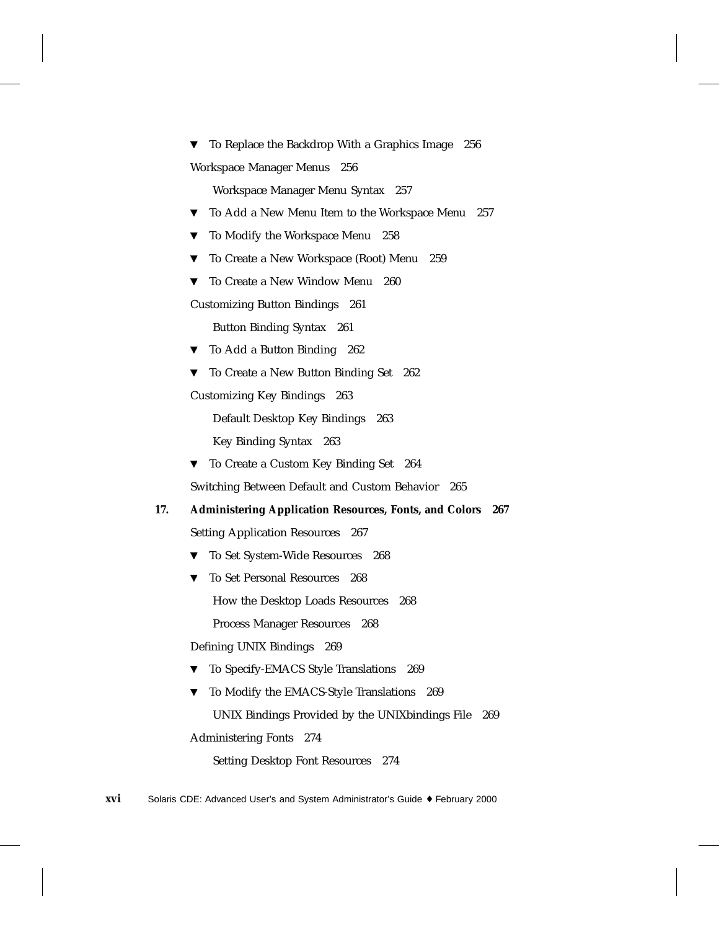$\blacktriangledown$  To Replace the Backdrop With a Graphics Image 256

Workspace Manager Menus 256

Workspace Manager Menu Syntax 257

- $\blacktriangledown$  To Add a New Menu Item to the Workspace Menu 257
- $\blacktriangledown$  To Modify the Workspace Menu 258
- $\blacktriangledown$  To Create a New Workspace (Root) Menu 259
- $\blacktriangledown$  To Create a New Window Menu 260

Customizing Button Bindings 261

Button Binding Syntax 261

- $\blacktriangledown$  To Add a Button Binding 262
- $\blacktriangledown$  To Create a New Button Binding Set 262

Customizing Key Bindings 263

Default Desktop Key Bindings 263

Key Binding Syntax 263

 $\blacktriangledown$  To Create a Custom Key Binding Set 264

Switching Between Default and Custom Behavior 265

#### **17. Administering Application Resources, Fonts, and Colors 267**

Setting Application Resources 267

- $\blacktriangledown$  To Set System-Wide Resources 268
- $\blacktriangledown$  To Set Personal Resources 268

How the Desktop Loads Resources 268

Process Manager Resources 268

Defining UNIX Bindings 269

- $\blacktriangledown$  To Specify-EMACS Style Translations 269
- $\blacktriangledown$  To Modify the EMACS-Style Translations 269

UNIX Bindings Provided by the UNIXbindings File 269

Administering Fonts 274

Setting Desktop Font Resources 274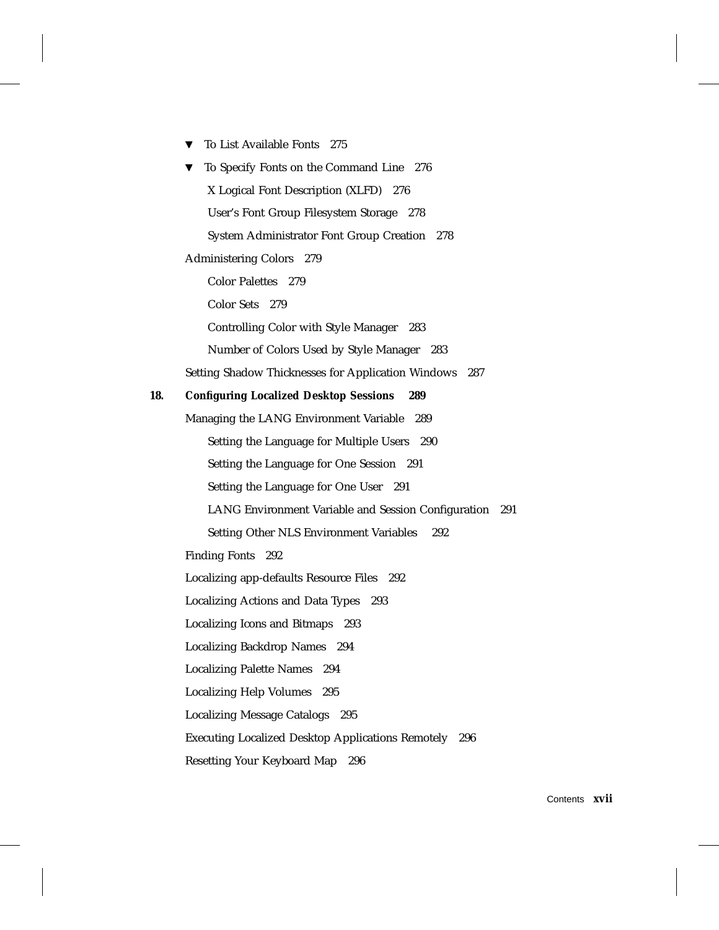|  |  | To List Available Fonts 275 |  |  |
|--|--|-----------------------------|--|--|
|--|--|-----------------------------|--|--|

|     | To Specify Fonts on the Command Line<br>276<br>▼                |
|-----|-----------------------------------------------------------------|
|     | X Logical Font Description (XLFD) 276                           |
|     | User's Font Group Filesystem Storage<br>278                     |
|     | System Administrator Font Group Creation<br>278                 |
|     | <b>Administering Colors</b> 279                                 |
|     | <b>Color Palettes</b> 279                                       |
|     | Color Sets 279                                                  |
|     | Controlling Color with Style Manager<br>283                     |
|     | Number of Colors Used by Style Manager 283                      |
|     | Setting Shadow Thicknesses for Application Windows<br>- 287     |
| 18. | <b>Configuring Localized Desktop Sessions</b><br>289            |
|     | Managing the LANG Environment Variable<br>289                   |
|     | Setting the Language for Multiple Users<br>290                  |
|     | Setting the Language for One Session 291                        |
|     | Setting the Language for One User 291                           |
|     | LANG Environment Variable and Session Configuration<br>291      |
|     | Setting Other NLS Environment Variables<br>292                  |
|     | <b>Finding Fonts</b><br>292                                     |
|     | Localizing app-defaults Resource Files 292                      |
|     | Localizing Actions and Data Types<br>293                        |
|     | Localizing Icons and Bitmaps 293                                |
|     | Localizing Backdrop Names 294                                   |
|     | <b>Localizing Palette Names</b><br>294                          |
|     | <b>Localizing Help Volumes</b><br>295                           |
|     | Localizing Message Catalogs 295                                 |
|     | <b>Executing Localized Desktop Applications Remotely</b><br>296 |
|     | Resetting Your Keyboard Map<br>296                              |

Contents **xvii**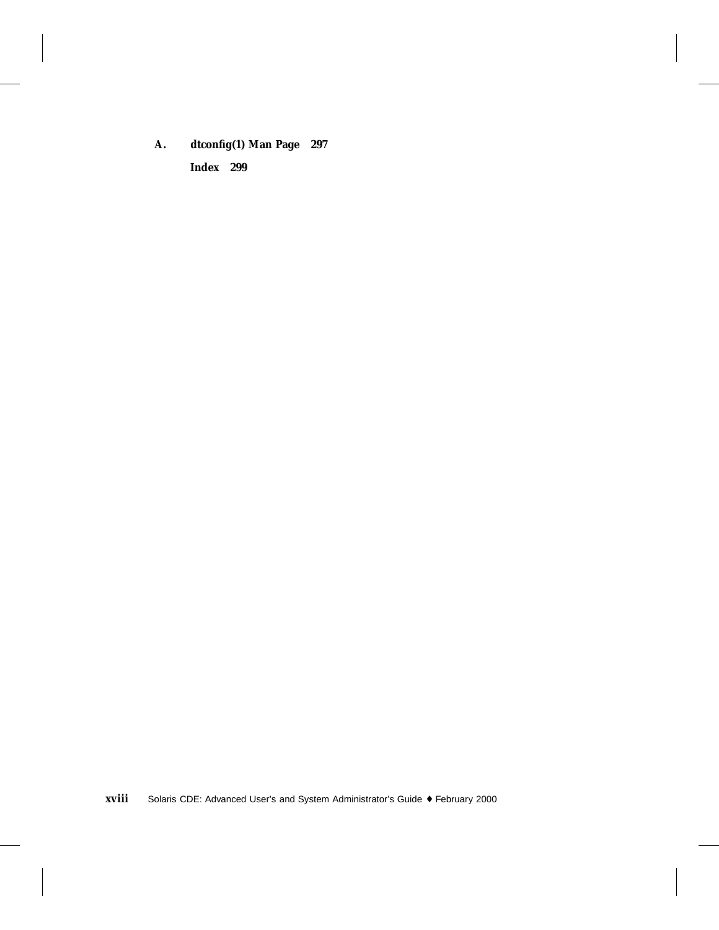**A. dtconfig(1) Man Page 297 Index 299**

**xviii** Solaris CDE: Advanced User's and System Administrator's Guide ♦ February 2000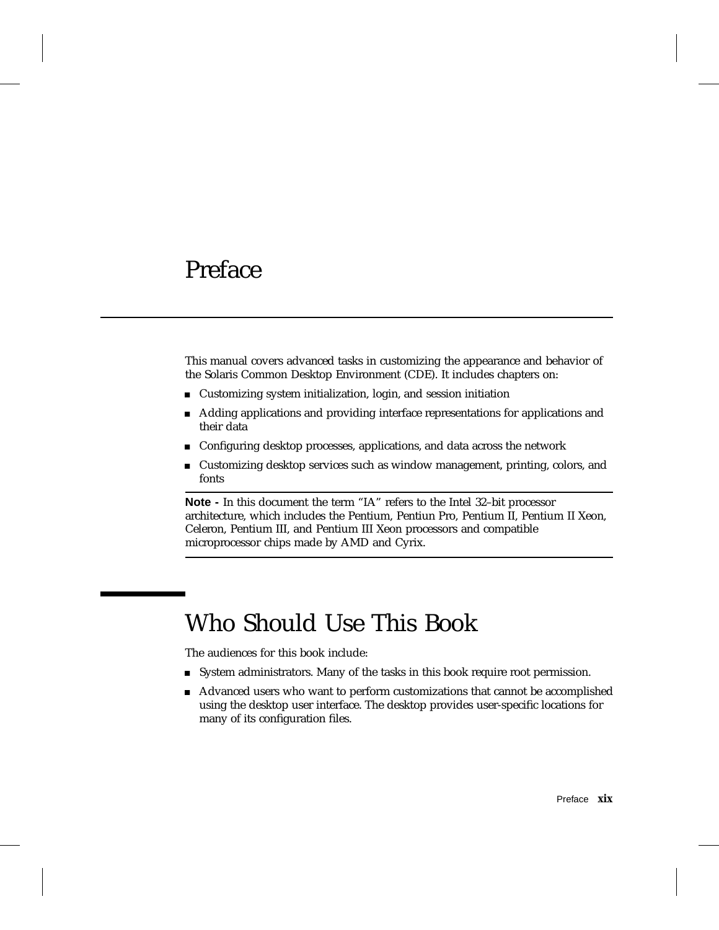# Preface

This manual covers advanced tasks in customizing the appearance and behavior of the Solaris Common Desktop Environment (CDE). It includes chapters on:

- Customizing system initialization, login, and session initiation
- Adding applications and providing interface representations for applications and their data
- Configuring desktop processes, applications, and data across the network
- Customizing desktop services such as window management, printing, colors, and fonts

**Note -** In this document the term "IA" refers to the Intel 32–bit processor architecture, which includes the Pentium, Pentiun Pro, Pentium II, Pentium II Xeon, Celeron, Pentium III, and Pentium III Xeon processors and compatible microprocessor chips made by AMD and Cyrix.

# Who Should Use This Book

The audiences for this book include:

- System administrators. Many of the tasks in this book require root permission.
- Advanced users who want to perform customizations that cannot be accomplished using the desktop user interface. The desktop provides user-specific locations for many of its configuration files.

Preface **xix**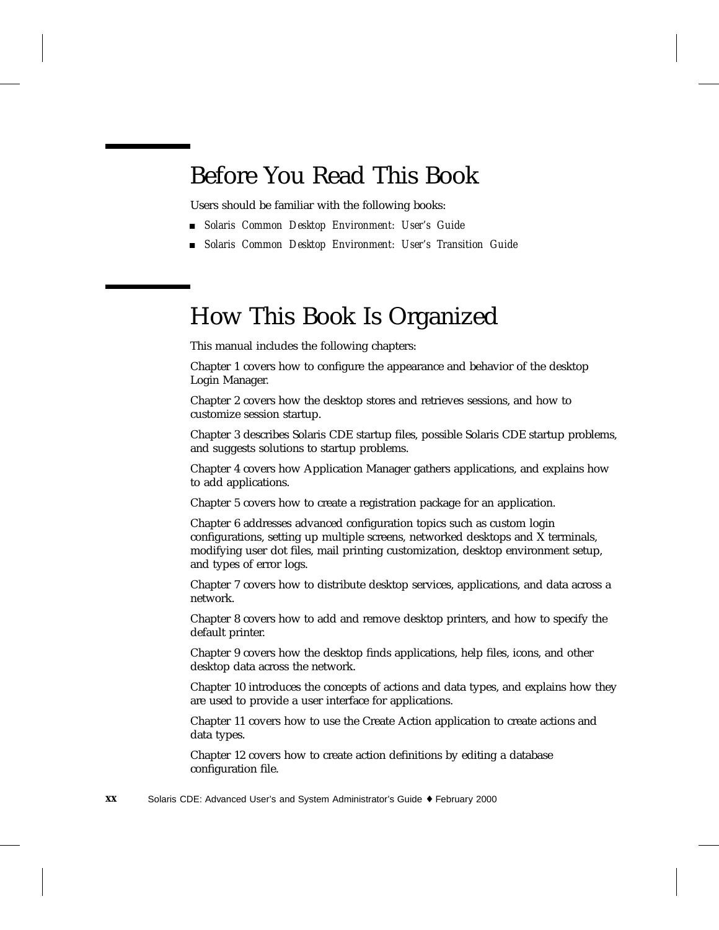## Before You Read This Book

Users should be familiar with the following books:

- *Solaris Common Desktop Environment: User's Guide*
- *Solaris Common Desktop Environment: User's Transition Guide*

# How This Book Is Organized

This manual includes the following chapters:

Chapter 1 covers how to configure the appearance and behavior of the desktop Login Manager.

Chapter 2 covers how the desktop stores and retrieves sessions, and how to customize session startup.

Chapter 3 describes Solaris CDE startup files, possible Solaris CDE startup problems, and suggests solutions to startup problems.

Chapter 4 covers how Application Manager gathers applications, and explains how to add applications.

Chapter 5 covers how to create a registration package for an application.

Chapter 6 addresses advanced configuration topics such as custom login configurations, setting up multiple screens, networked desktops and X terminals, modifying user dot files, mail printing customization, desktop environment setup, and types of error logs.

Chapter 7 covers how to distribute desktop services, applications, and data across a network.

Chapter 8 covers how to add and remove desktop printers, and how to specify the default printer.

Chapter 9 covers how the desktop finds applications, help files, icons, and other desktop data across the network.

Chapter 10 introduces the concepts of actions and data types, and explains how they are used to provide a user interface for applications.

Chapter 11 covers how to use the Create Action application to create actions and data types.

Chapter 12 covers how to create action definitions by editing a database configuration file.

**xx** Solaris CDE: Advanced User's and System Administrator's Guide ♦ February 2000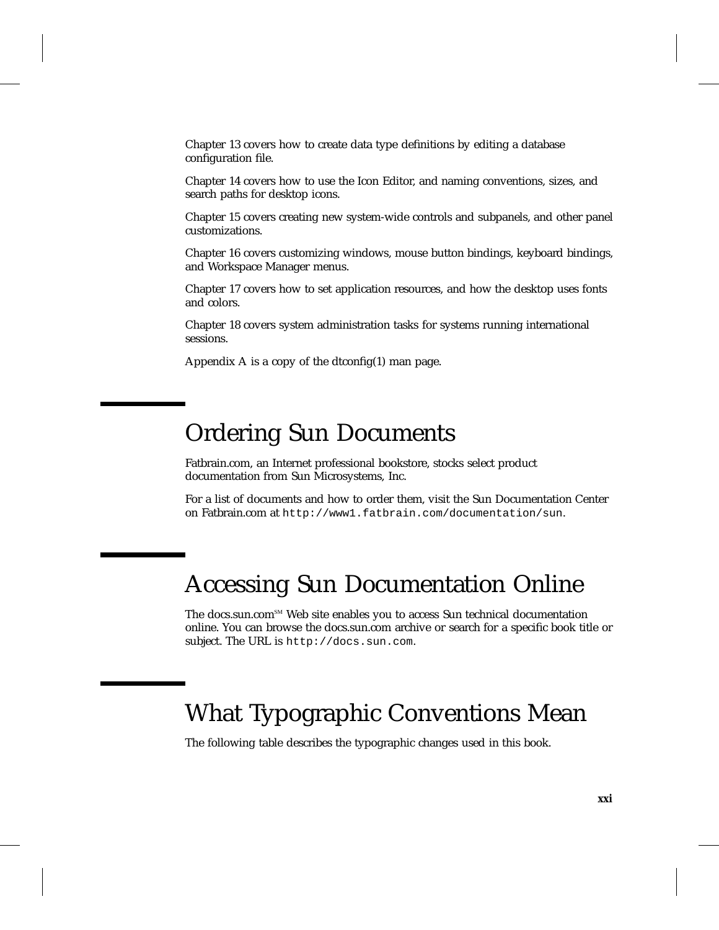Chapter 13 covers how to create data type definitions by editing a database configuration file.

Chapter 14 covers how to use the Icon Editor, and naming conventions, sizes, and search paths for desktop icons.

Chapter 15 covers creating new system-wide controls and subpanels, and other panel customizations.

Chapter 16 covers customizing windows, mouse button bindings, keyboard bindings, and Workspace Manager menus.

Chapter 17 covers how to set application resources, and how the desktop uses fonts and colors.

Chapter 18 covers system administration tasks for systems running international sessions.

Appendix A is a copy of the dtconfig(1) man page.

## Ordering Sun Documents

Fatbrain.com, an Internet professional bookstore, stocks select product documentation from Sun Microsystems, Inc.

For a list of documents and how to order them, visit the Sun Documentation Center on Fatbrain.com at http://www1.fatbrain.com/documentation/sun.

# Accessing Sun Documentation Online

The docs.sun.com<sup>SM</sup> Web site enables you to access Sun technical documentation online. You can browse the docs.sun.com archive or search for a specific book title or subject. The URL is http://docs.sun.com.

# What Typographic Conventions Mean

The following table describes the typographic changes used in this book.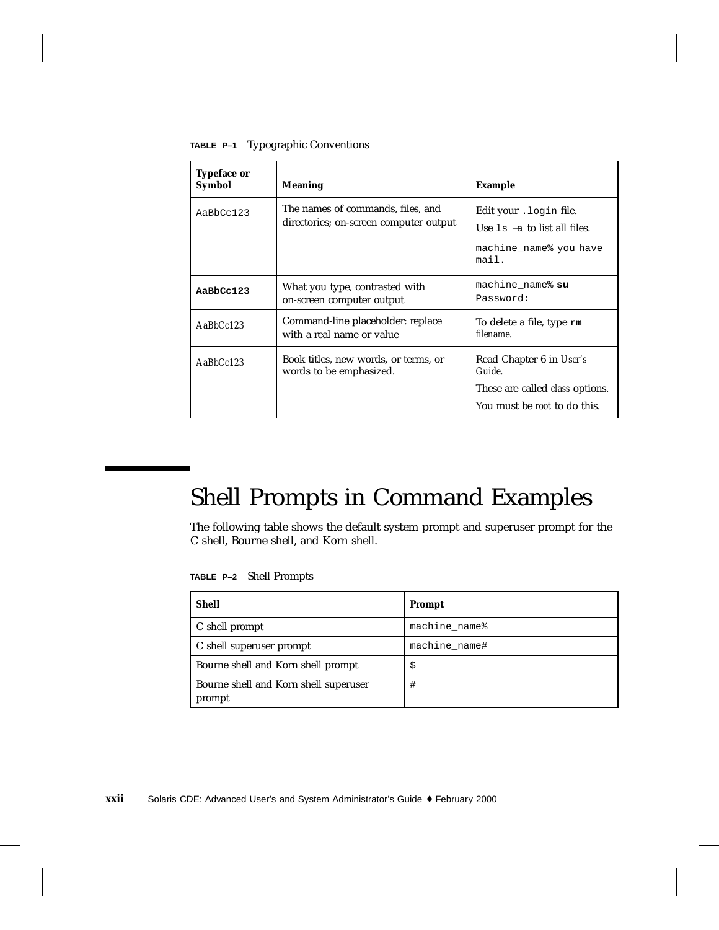| TABLE P-1 | <b>Typographic Conventions</b> |  |
|-----------|--------------------------------|--|
|-----------|--------------------------------|--|

| <b>Typeface or</b><br>Symbol | <b>Meaning</b>                                                              | Example                                                                                                             |
|------------------------------|-----------------------------------------------------------------------------|---------------------------------------------------------------------------------------------------------------------|
| AaBbCc123                    | The names of commands, files, and<br>directories; on-screen computer output | Edit your . login file.<br>Use $1s$ –a to list all files.<br>machine_name% you have<br>mail.                        |
| AaBbCc123                    | What you type, contrasted with<br>on-screen computer output                 | machine_name% su<br>Password:                                                                                       |
| $A$ aB $bCc123$              | Command-line placeholder: replace<br>with a real name or value              | To delete a file, type rm<br>filename.                                                                              |
| $A$ aB $b$ C $c$ 123         | Book titles, new words, or terms, or<br>words to be emphasized.             | Read Chapter 6 in User's<br>Guide.<br>These are called <i>class</i> options.<br>You must be <i>root</i> to do this. |

# Shell Prompts in Command Examples

The following table shows the default system prompt and superuser prompt for the C shell, Bourne shell, and Korn shell.

**TABLE P–2** Shell Prompts

| <b>Shell</b>                                    | Prompt        |
|-------------------------------------------------|---------------|
| C shell prompt                                  | machine name% |
| C shell superuser prompt                        | machine name# |
| Bourne shell and Korn shell prompt              | \$            |
| Bourne shell and Korn shell superuser<br>prompt | #             |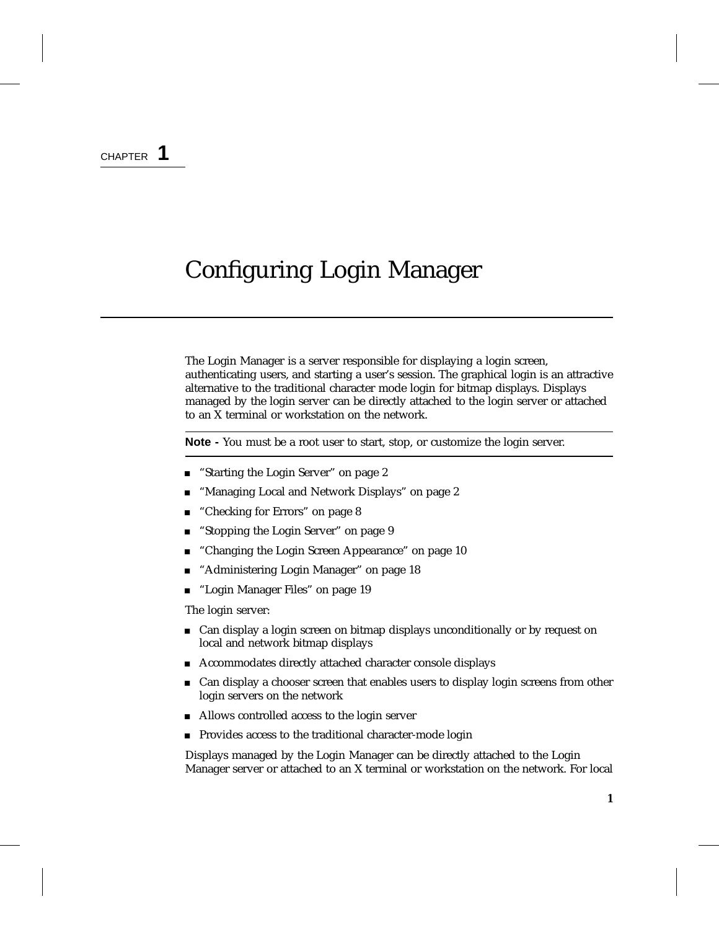### CHAPTER **1**

# Configuring Login Manager

The Login Manager is a server responsible for displaying a login screen, authenticating users, and starting a user's session. The graphical login is an attractive alternative to the traditional character mode login for bitmap displays. Displays managed by the login server can be directly attached to the login server or attached to an X terminal or workstation on the network.

**Note -** You must be a root user to start, stop, or customize the login server.

- "Starting the Login Server" on page 2
- "Managing Local and Network Displays" on page 2
- "Checking for Errors" on page 8
- "Stopping the Login Server" on page 9
- "Changing the Login Screen Appearance" on page 10
- "Administering Login Manager" on page 18
- "Login Manager Files" on page 19

The login server:

- Can display a login screen on bitmap displays unconditionally or by request on local and network bitmap displays
- Accommodates directly attached character console displays
- Can display a chooser screen that enables users to display login screens from other login servers on the network
- Allows controlled access to the login server
- **Provides access to the traditional character-mode login**

Displays managed by the Login Manager can be directly attached to the Login Manager server or attached to an X terminal or workstation on the network. For local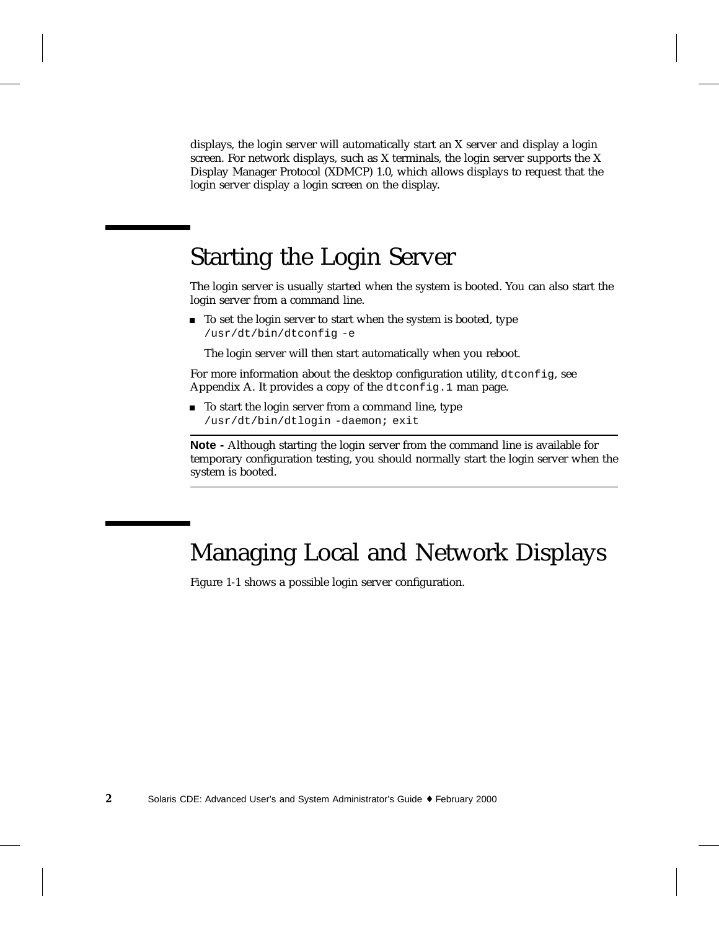displays, the login server will automatically start an X server and display a login screen. For network displays, such as X terminals, the login server supports the X Display Manager Protocol (XDMCP) 1.0, which allows displays to request that the login server display a login screen on the display.

# Starting the Login Server

The login server is usually started when the system is booted. You can also start the login server from a command line.

To set the login server to start when the system is booted, type /usr/dt/bin/dtconfig -e

The login server will then start automatically when you reboot.

For more information about the desktop configuration utility, dtconfig, see Appendix A. It provides a copy of the dtconfig.1 man page.

■ To start the login server from a command line, type /usr/dt/bin/dtlogin -daemon; exit

**Note -** Although starting the login server from the command line is available for temporary configuration testing, you should normally start the login server when the system is booted.

# Managing Local and Network Displays

Figure 1-1 shows a possible login server configuration.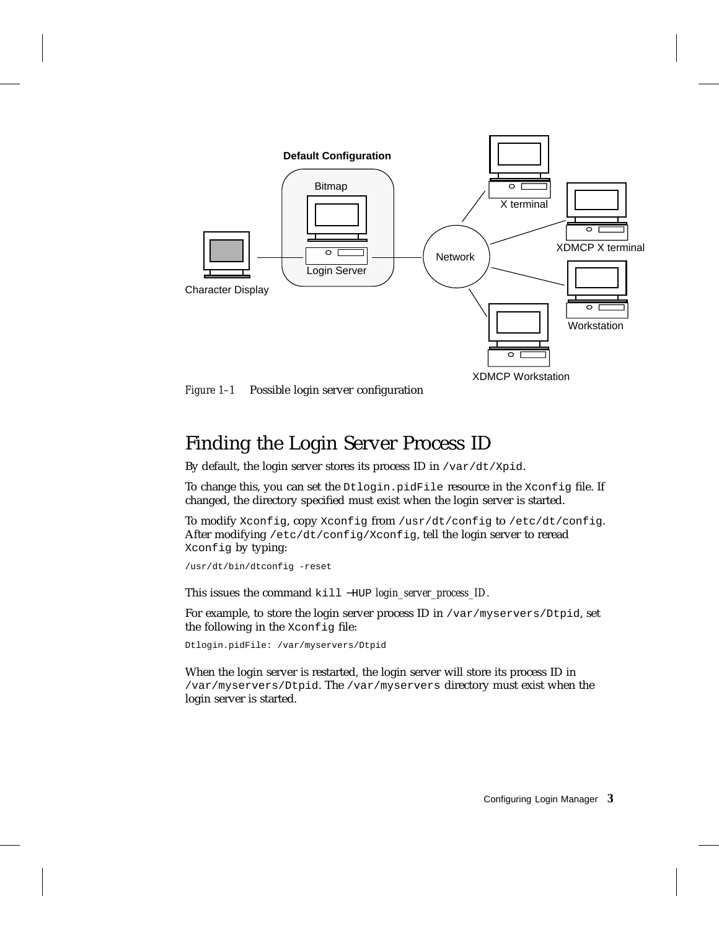

*Figure 1–1* Possible login server configuration

## Finding the Login Server Process ID

By default, the login server stores its process ID in /var/dt/Xpid.

To change this, you can set the Dtlogin.pidFile resource in the Xconfig file. If changed, the directory specified must exist when the login server is started.

To modify Xconfig, copy Xconfig from /usr/dt/config to /etc/dt/config. After modifying /etc/dt/config/Xconfig, tell the login server to reread Xconfig by typing:

/usr/dt/bin/dtconfig -reset

This issues the command kill −HUP *login\_server\_process\_ID.*

For example, to store the login server process ID in /var/myservers/Dtpid, set the following in the Xconfig file:

Dtlogin.pidFile: /var/myservers/Dtpid

When the login server is restarted, the login server will store its process ID in /var/myservers/Dtpid. The /var/myservers directory must exist when the login server is started.

Configuring Login Manager **3**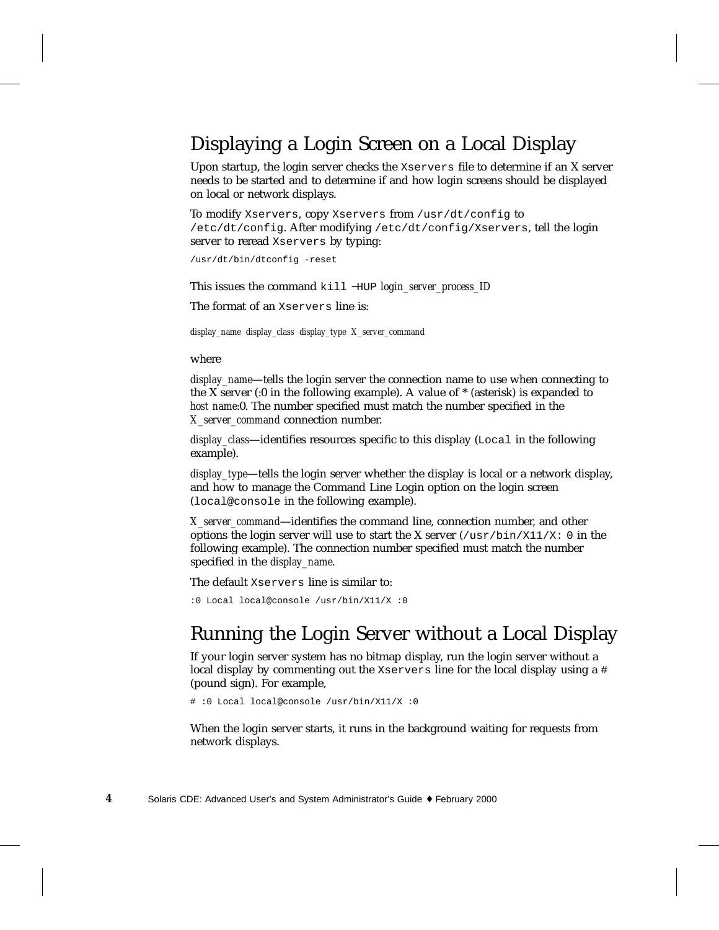## Displaying a Login Screen on a Local Display

Upon startup, the login server checks the Xservers file to determine if an X server needs to be started and to determine if and how login screens should be displayed on local or network displays.

To modify Xservers, copy Xservers from /usr/dt/config to /etc/dt/config. After modifying /etc/dt/config/Xservers, tell the login server to reread Xservers by typing:

/usr/dt/bin/dtconfig -reset

This issues the command kill −HUP *login\_server\_process\_ID*

The format of an Xservers line is:

*display\_name display\_class display\_type X\_server\_command*

where

*display\_name*—tells the login server the connection name to use when connecting to the X server (:0 in the following example). A value of  $*$  (asterisk) is expanded to *host name*:0. The number specified must match the number specified in the *X\_server\_command* connection number.

*display\_class*—identifies resources specific to this display (Local in the following example).

*display\_type*—tells the login server whether the display is local or a network display, and how to manage the Command Line Login option on the login screen (local@console in the following example).

*X\_server\_command*—identifies the command line, connection number, and other options the login server will use to start the X server  $(\sqrt{u}sr/bin/X11/X: 0$  in the following example). The connection number specified must match the number specified in the *display\_name*.

The default Xservers line is similar to:

:0 Local local@console /usr/bin/X11/X :0

## Running the Login Server without a Local Display

If your login server system has no bitmap display, run the login server without a local display by commenting out the Xservers line for the local display using a # (pound sign). For example,

# :0 Local local@console /usr/bin/X11/X :0

When the login server starts, it runs in the background waiting for requests from network displays.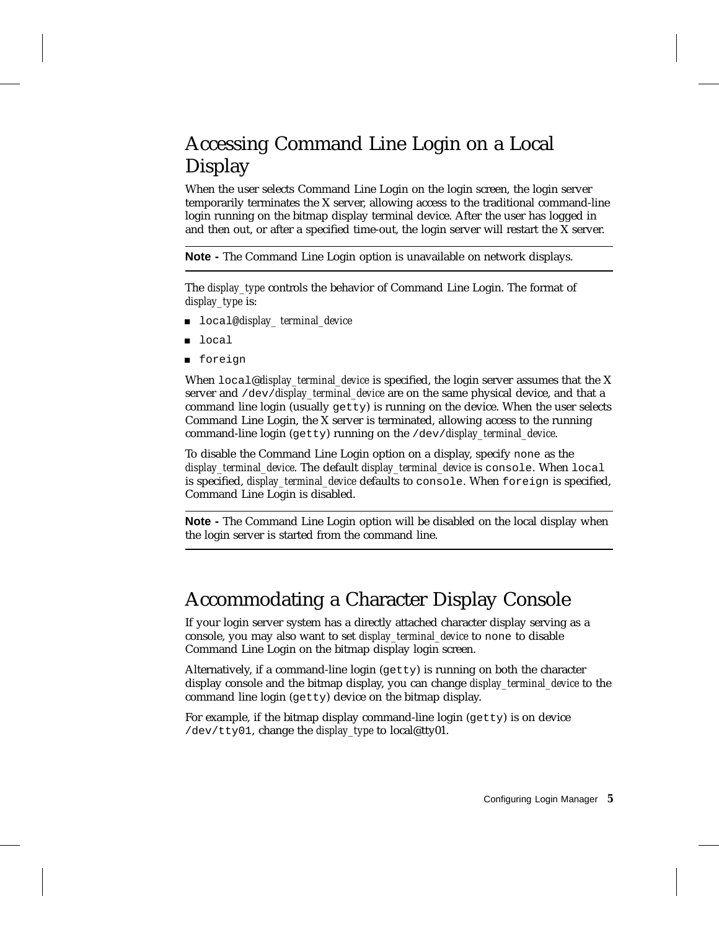## Accessing Command Line Login on a Local **Display**

When the user selects Command Line Login on the login screen, the login server temporarily terminates the X server, allowing access to the traditional command-line login running on the bitmap display terminal device. After the user has logged in and then out, or after a specified time-out, the login server will restart the X server.

**Note -** The Command Line Login option is unavailable on network displays.

The *display\_type* controls the behavior of Command Line Login. The format of *display\_type* is:

- local@*display\_ terminal\_device*
- **local**
- **foreign**

When local@*display\_terminal\_device* is specified, the login server assumes that the X server and /dev/*display\_terminal\_device* are on the same physical device, and that a command line login (usually getty) is running on the device. When the user selects Command Line Login, the X server is terminated, allowing access to the running command-line login (getty) running on the /dev/*display\_terminal\_device*.

To disable the Command Line Login option on a display, specify none as the *display\_terminal\_device*. The default *display\_terminal\_device* is console. When local is specified, *display\_terminal\_device* defaults to console. When foreign is specified, Command Line Login is disabled.

**Note -** The Command Line Login option will be disabled on the local display when the login server is started from the command line.

## Accommodating a Character Display Console

If your login server system has a directly attached character display serving as a console, you may also want to set *display\_terminal\_device* to none to disable Command Line Login on the bitmap display login screen.

Alternatively, if a command-line login  $(g$ etty) is running on both the character display console and the bitmap display, you can change *display\_terminal\_device* to the command line login (getty) device on the bitmap display.

For example, if the bitmap display command-line login (getty) is on device /dev/tty01, change the *display\_type* to local@tty01.

Configuring Login Manager **5**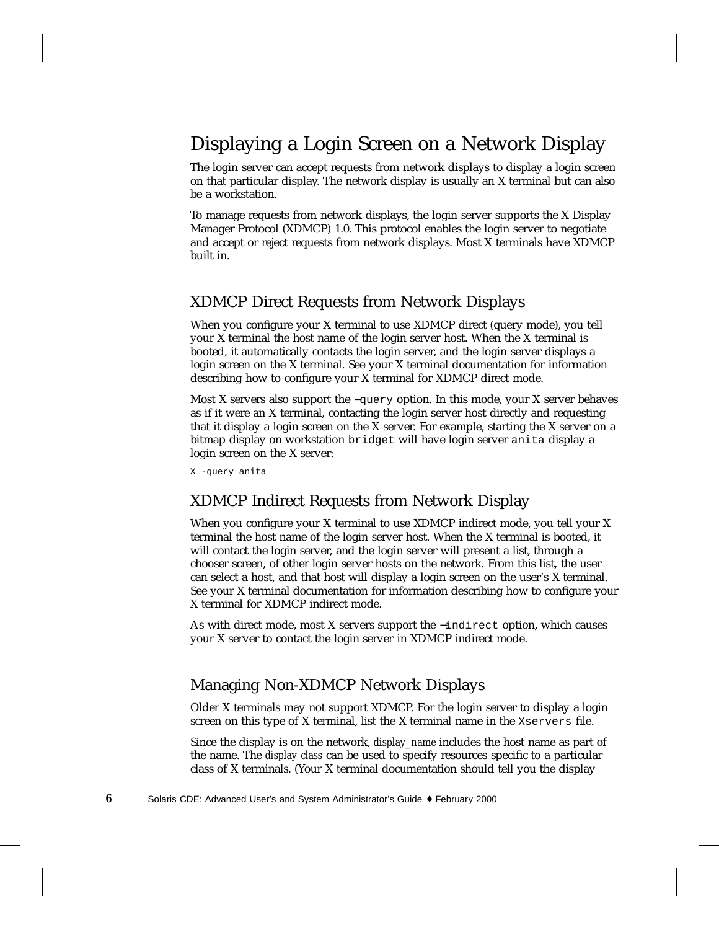## Displaying a Login Screen on a Network Display

The login server can accept requests from network displays to display a login screen on that particular display. The network display is usually an X terminal but can also be a workstation.

To manage requests from network displays, the login server supports the X Display Manager Protocol (XDMCP) 1.0. This protocol enables the login server to negotiate and accept or reject requests from network displays. Most X terminals have XDMCP built in.

### XDMCP Direct Requests from Network Displays

When you configure your X terminal to use XDMCP direct (query mode), you tell your X terminal the host name of the login server host. When the X terminal is booted, it automatically contacts the login server, and the login server displays a login screen on the X terminal. See your X terminal documentation for information describing how to configure your X terminal for XDMCP direct mode.

Most X servers also support the  $-\text{query}$  option. In this mode, your X server behaves as if it were an X terminal, contacting the login server host directly and requesting that it display a login screen on the X server. For example, starting the X server on a bitmap display on workstation bridget will have login server anita display a login screen on the X server:

X -query anita

### XDMCP Indirect Requests from Network Display

When you configure your X terminal to use XDMCP indirect mode, you tell your X terminal the host name of the login server host. When the X terminal is booted, it will contact the login server, and the login server will present a list, through a chooser screen, of other login server hosts on the network. From this list, the user can select a host, and that host will display a login screen on the user's X terminal. See your X terminal documentation for information describing how to configure your X terminal for XDMCP indirect mode.

As with direct mode, most X servers support the −indirect option, which causes your X server to contact the login server in XDMCP indirect mode.

### Managing Non-XDMCP Network Displays

Older X terminals may not support XDMCP. For the login server to display a login screen on this type of X terminal, list the X terminal name in the Xservers file.

Since the display is on the network, *display\_name* includes the host name as part of the name. The *display class* can be used to specify resources specific to a particular class of X terminals. (Your X terminal documentation should tell you the display

**6** Solaris CDE: Advanced User's and System Administrator's Guide ♦ February 2000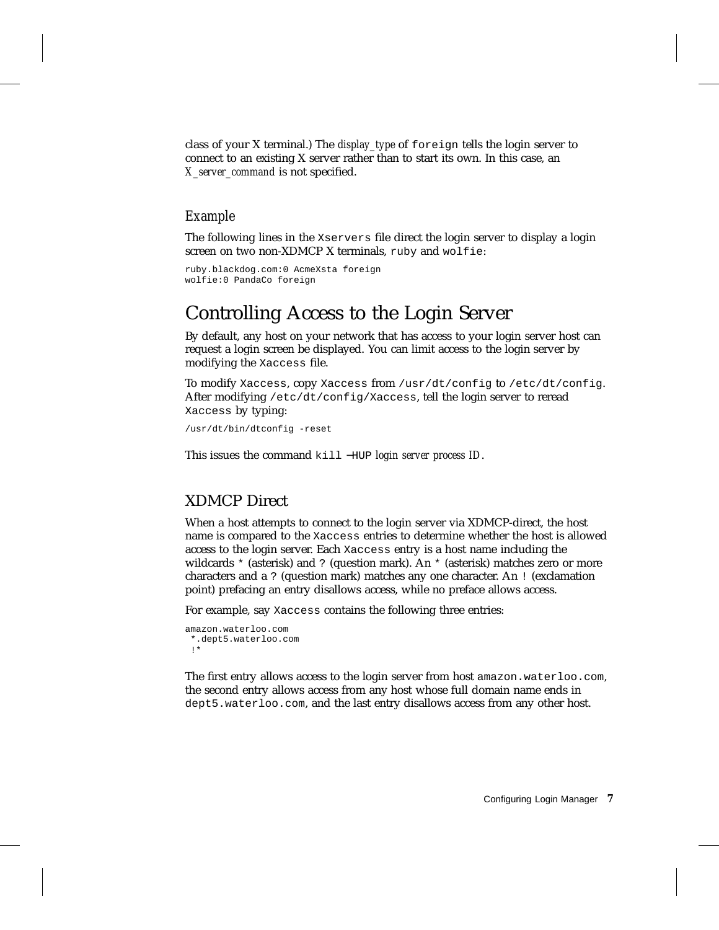class of your X terminal.) The *display\_type* of foreign tells the login server to connect to an existing X server rather than to start its own. In this case, an *X\_server\_command* is not specified.

#### *Example*

The following lines in the Xservers file direct the login server to display a login screen on two non-XDMCP X terminals, ruby and wolfie:

```
ruby.blackdog.com:0 AcmeXsta foreign
wolfie:0 PandaCo foreign
```
## Controlling Access to the Login Server

By default, any host on your network that has access to your login server host can request a login screen be displayed. You can limit access to the login server by modifying the Xaccess file.

To modify Xaccess, copy Xaccess from /usr/dt/config to /etc/dt/config. After modifying /etc/dt/config/Xaccess, tell the login server to reread Xaccess by typing:

/usr/dt/bin/dtconfig -reset

This issues the command kill −HUP *login server process ID*.

### XDMCP Direct

When a host attempts to connect to the login server via XDMCP-direct, the host name is compared to the Xaccess entries to determine whether the host is allowed access to the login server. Each Xaccess entry is a host name including the wildcards \* (asterisk) and ? (question mark). An \* (asterisk) matches zero or more characters and a ? (question mark) matches any one character. An ! (exclamation point) prefacing an entry disallows access, while no preface allows access.

For example, say Xaccess contains the following three entries:

```
amazon.waterloo.com
 *.dept5.waterloo.com
 !*
```
The first entry allows access to the login server from host amazon.waterloo.com, the second entry allows access from any host whose full domain name ends in dept5.waterloo.com, and the last entry disallows access from any other host.

Configuring Login Manager **7**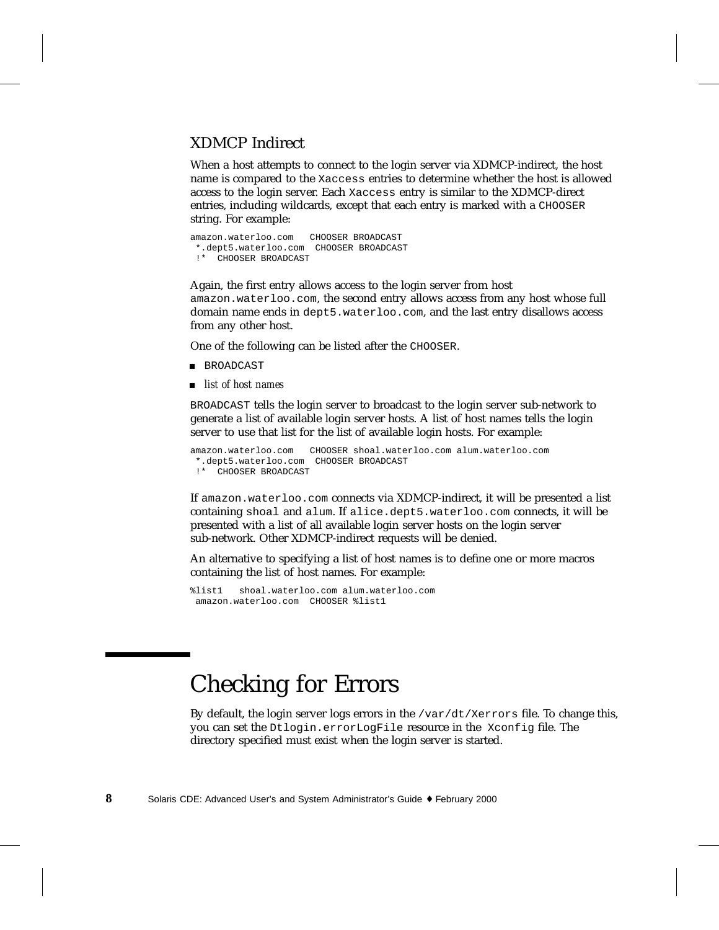## XDMCP Indirect

When a host attempts to connect to the login server via XDMCP-indirect, the host name is compared to the Xaccess entries to determine whether the host is allowed access to the login server. Each Xaccess entry is similar to the XDMCP-direct entries, including wildcards, except that each entry is marked with a CHOOSER string. For example:

amazon.waterloo.com CHOOSER BROADCAST \*.dept5.waterloo.com CHOOSER BROADCAST !\* CHOOSER BROADCAST

Again, the first entry allows access to the login server from host amazon.waterloo.com, the second entry allows access from any host whose full domain name ends in dept5.waterloo.com, and the last entry disallows access from any other host.

One of the following can be listed after the CHOOSER.

- **BROADCAST**
- *list of host names*

BROADCAST tells the login server to broadcast to the login server sub-network to generate a list of available login server hosts. A list of host names tells the login server to use that list for the list of available login hosts. For example:

```
amazon.waterloo.com CHOOSER shoal.waterloo.com alum.waterloo.com
 *.dept5.waterloo.com CHOOSER BROADCAST
 !* CHOOSER BROADCAST
```
If amazon.waterloo.com connects via XDMCP-indirect, it will be presented a list containing shoal and alum. If alice.dept5.waterloo.com connects, it will be presented with a list of all available login server hosts on the login server sub-network. Other XDMCP-indirect requests will be denied.

An alternative to specifying a list of host names is to define one or more macros containing the list of host names. For example:

%list1 shoal.waterloo.com alum.waterloo.com amazon.waterloo.com CHOOSER %list1

# Checking for Errors

By default, the login server logs errors in the /var/dt/Xerrors file. To change this, you can set the Dtlogin.errorLogFile resource in the Xconfig file. The directory specified must exist when the login server is started.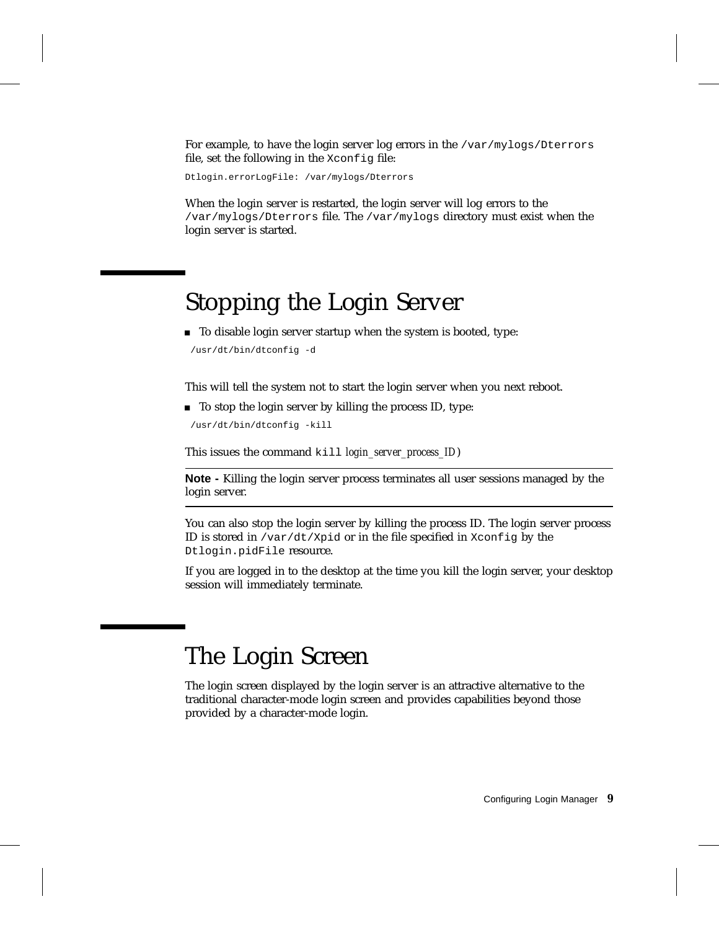For example, to have the login server log errors in the /var/mylogs/Dterrors file, set the following in the Xconfig file:

Dtlogin.errorLogFile: /var/mylogs/Dterrors

When the login server is restarted, the login server will log errors to the /var/mylogs/Dterrors file. The /var/mylogs directory must exist when the login server is started.

# Stopping the Login Server

To disable login server startup when the system is booted, type:

/usr/dt/bin/dtconfig -d

This will tell the system not to start the login server when you next reboot.

To stop the login server by killing the process ID, type:

/usr/dt/bin/dtconfig -kill

This issues the command kill *login\_server\_process\_ID*)

**Note -** Killing the login server process terminates all user sessions managed by the login server.

You can also stop the login server by killing the process ID. The login server process ID is stored in  $\sqrt{var/dt}$  Xpid or in the file specified in Xconfig by the Dtlogin.pidFile resource.

If you are logged in to the desktop at the time you kill the login server, your desktop session will immediately terminate.

# The Login Screen

The login screen displayed by the login server is an attractive alternative to the traditional character-mode login screen and provides capabilities beyond those provided by a character-mode login.

Configuring Login Manager **9**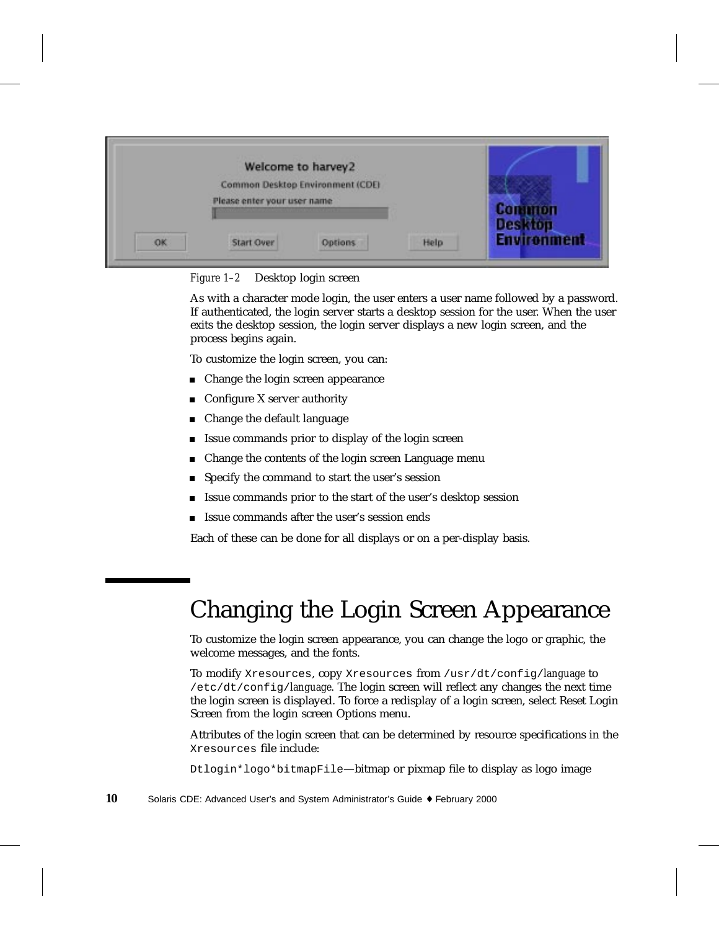|    | Please enter your user name | Welcome to harvey2<br>Common Desktop Environment (CDE) |      |                                                       |
|----|-----------------------------|--------------------------------------------------------|------|-------------------------------------------------------|
| OK | <b>Start Over</b>           | <b>Options</b>                                         | Help | <b>Common</b><br><b>Desktop</b><br><b>Environment</b> |

*Figure 1–2* Desktop login screen

As with a character mode login, the user enters a user name followed by a password. If authenticated, the login server starts a desktop session for the user. When the user exits the desktop session, the login server displays a new login screen, and the process begins again.

To customize the login screen, you can:

- Change the login screen appearance
- Configure  $X$  server authority
- Change the default language
- Issue commands prior to display of the login screen
- Change the contents of the login screen Language menu
- Specify the command to start the user's session
- Issue commands prior to the start of the user's desktop session
- Issue commands after the user's session ends

Each of these can be done for all displays or on a per-display basis.

# Changing the Login Screen Appearance

To customize the login screen appearance, you can change the logo or graphic, the welcome messages, and the fonts.

To modify Xresources, copy Xresources from /usr/dt/config/*language* to /etc/dt/config/*language*. The login screen will reflect any changes the next time the login screen is displayed. To force a redisplay of a login screen, select Reset Login Screen from the login screen Options menu.

Attributes of the login screen that can be determined by resource specifications in the Xresources file include:

Dtlogin\*logo\*bitmapFile—bitmap or pixmap file to display as logo image

**10** Solaris CDE: Advanced User's and System Administrator's Guide ♦ February 2000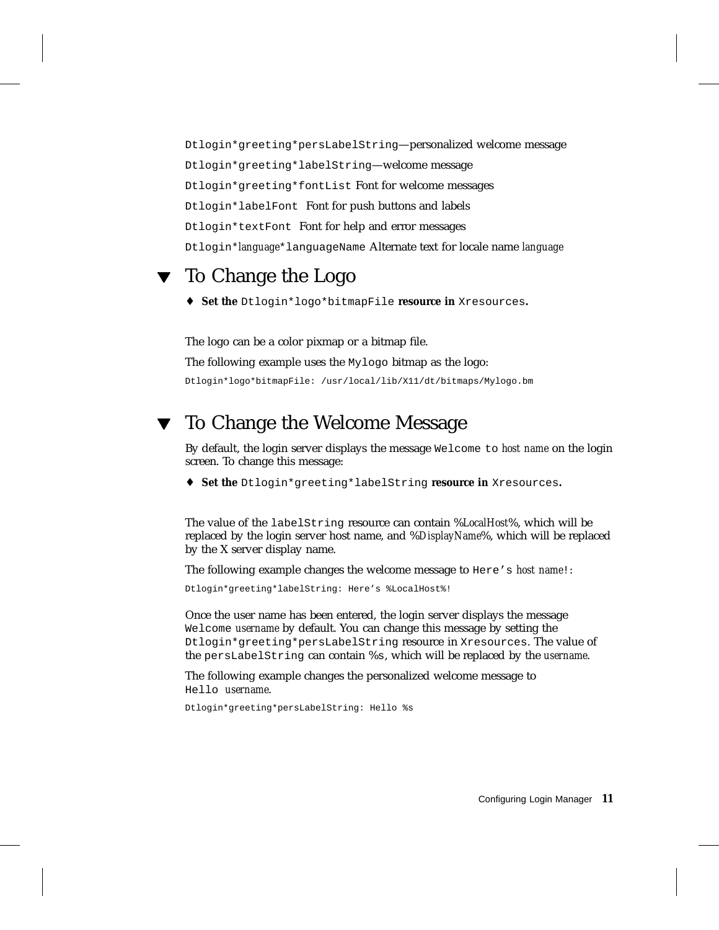Dtlogin\*greeting\*persLabelString—personalized welcome message Dtlogin\*greeting\*labelString—welcome message Dtlogin\*greeting\*fontList Font for welcome messages Dtlogin\*labelFont Font for push buttons and labels Dtlogin\*textFont Font for help and error messages Dtlogin\**language*\*languageName Alternate text for locale name *language*

## To Change the Logo

♦ **Set the** Dtlogin\*logo\*bitmapFile **resource in** Xresources**.**

The logo can be a color pixmap or a bitmap file. The following example uses the Mylogo bitmap as the logo: Dtlogin\*logo\*bitmapFile: /usr/local/lib/X11/dt/bitmaps/Mylogo.bm

## ▼ To Change the Welcome Message

By default, the login server displays the message Welcome to *host name* on the login screen. To change this message:

♦ **Set the** Dtlogin\*greeting\*labelString **resource in** Xresources**.**

The value of the labelString resource can contain %*LocalHost*%, which will be replaced by the login server host name, and %*DisplayName*%, which will be replaced by the X server display name.

The following example changes the welcome message to Here's *host name*!:

Dtlogin\*greeting\*labelString: Here's %LocalHost%!

Once the user name has been entered, the login server displays the message Welcome *username* by default. You can change this message by setting the Dtlogin\*greeting\*persLabelString resource in Xresources. The value of the persLabelString can contain %s, which will be replaced by the *username*.

The following example changes the personalized welcome message to Hello *username*.

Dtlogin\*greeting\*persLabelString: Hello %s

Configuring Login Manager **11**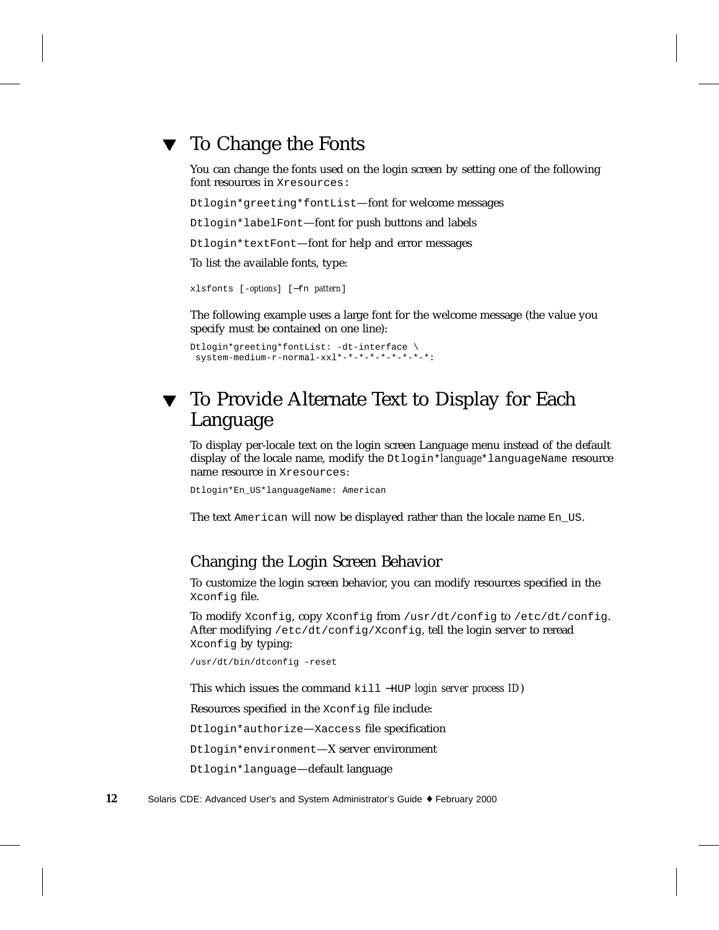#### To Change the Fonts  $\blacktriangledown$

You can change the fonts used on the login screen by setting one of the following font resources in Xresources:

Dtlogin\*greeting\*fontList—font for welcome messages

Dtlogin\*labelFont—font for push buttons and labels

Dtlogin\*textFont—font for help and error messages

To list the available fonts, type:

xlsfonts [-*options*] [−fn *pattern*]

The following example uses a large font for the welcome message (the value you specify must be contained on one line):

```
Dtlogin*greeting*fontList: -dt-interface \
system-medium-r-normal-xxl*-*-*-*-*-*-*-*-*:
```
## To Provide Alternate Text to Display for Each Language

To display per-locale text on the login screen Language menu instead of the default display of the locale name, modify the Dtlogin\**language*\*languageName resource name resource in Xresources:

Dtlogin\*En\_US\*languageName: American

The text American will now be displayed rather than the locale name En\_US.

### Changing the Login Screen Behavior

To customize the login screen behavior, you can modify resources specified in the Xconfig file.

To modify Xconfig, copy Xconfig from /usr/dt/config to /etc/dt/config. After modifying /etc/dt/config/Xconfig, tell the login server to reread Xconfig by typing:

/usr/dt/bin/dtconfig -reset

This which issues the command kill −HUP *login server process ID*)

Resources specified in the Xconfig file include:

Dtlogin\*authorize—Xaccess file specification

Dtlogin\*environment—X server environment

Dtlogin\*language—default language

**12** Solaris CDE: Advanced User's and System Administrator's Guide ♦ February 2000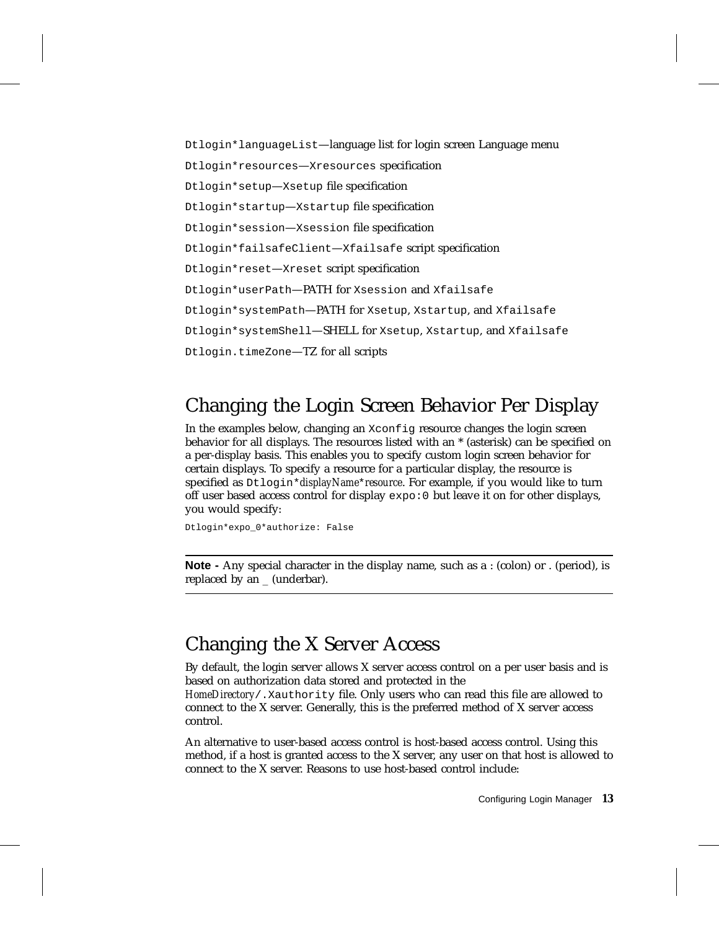```
Dtlogin*languageList—language list for login screen Language menu
Dtlogin*resources—Xresources specification
Dtlogin*setup—Xsetup file specification
Dtlogin*startup—Xstartup file specification
Dtlogin*session—Xsession file specification
Dtlogin*failsafeClient—Xfailsafe script specification
Dtlogin*reset—Xreset script specification
Dtlogin*userPath—PATH for Xsession and Xfailsafe
Dtlogin*systemPath—PATH for Xsetup, Xstartup, and Xfailsafe
Dtlogin*systemShell—SHELL for Xsetup, Xstartup, and Xfailsafe
Dtlogin.timeZone—TZ for all scripts
```
## Changing the Login Screen Behavior Per Display

In the examples below, changing an Xconfig resource changes the login screen behavior for all displays. The resources listed with an \* (asterisk) can be specified on a per-display basis. This enables you to specify custom login screen behavior for certain displays. To specify a resource for a particular display, the resource is specified as Dtlogin\**displayName*\**resource*. For example, if you would like to turn off user based access control for display expo:0 but leave it on for other displays, you would specify:

Dtlogin\*expo\_0\*authorize: False

**Note -** Any special character in the display name, such as a : (colon) or . (period), is replaced by an \_ (underbar).

## Changing the X Server Access

By default, the login server allows X server access control on a per user basis and is based on authorization data stored and protected in the

*HomeDirectory*/. Xauthority file. Only users who can read this file are allowed to connect to the X server. Generally, this is the preferred method of X server access control.

An alternative to user-based access control is host-based access control. Using this method, if a host is granted access to the X server, any user on that host is allowed to connect to the X server. Reasons to use host-based control include:

Configuring Login Manager **13**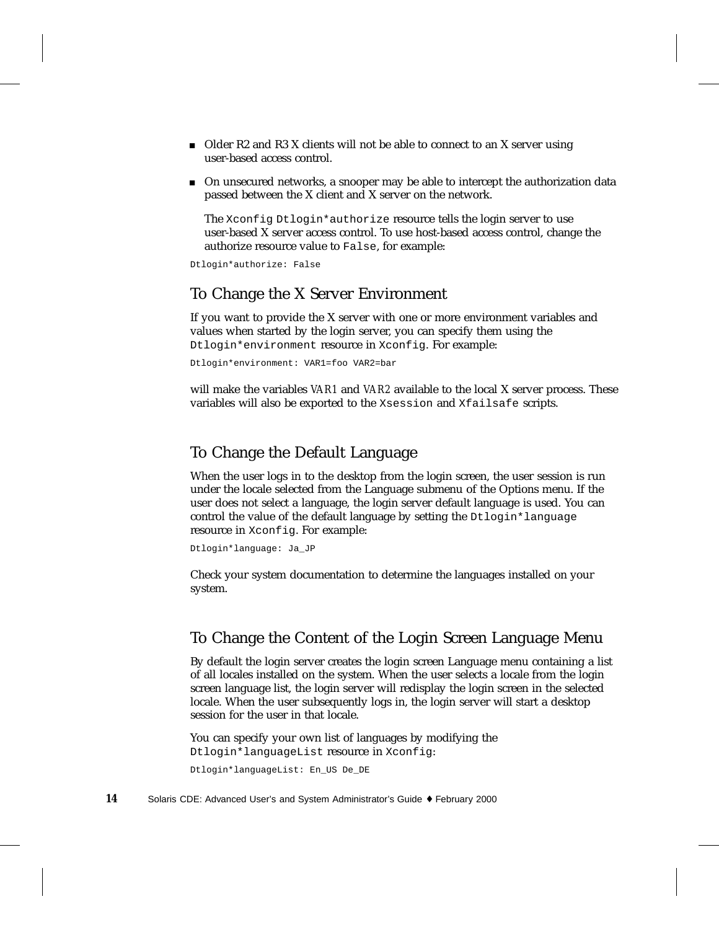- Older R2 and R3 X clients will not be able to connect to an X server using user-based access control.
- On unsecured networks, a snooper may be able to intercept the authorization data passed between the X client and X server on the network.

The Xconfig Dtlogin\*authorize resource tells the login server to use user-based X server access control. To use host-based access control, change the authorize resource value to False, for example:

Dtlogin\*authorize: False

### To Change the X Server Environment

If you want to provide the X server with one or more environment variables and values when started by the login server, you can specify them using the Dtlogin\*environment resource in Xconfig. For example:

Dtlogin\*environment: VAR1=foo VAR2=bar

will make the variables *VAR1* and *VAR2* available to the local X server process. These variables will also be exported to the Xsession and Xfailsafe scripts.

### To Change the Default Language

When the user logs in to the desktop from the login screen, the user session is run under the locale selected from the Language submenu of the Options menu. If the user does not select a language, the login server default language is used. You can control the value of the default language by setting the Dtlogin\*language resource in Xconfig. For example:

Dtlogin\*language: Ja\_JP

Check your system documentation to determine the languages installed on your system.

### To Change the Content of the Login Screen Language Menu

By default the login server creates the login screen Language menu containing a list of all locales installed on the system. When the user selects a locale from the login screen language list, the login server will redisplay the login screen in the selected locale. When the user subsequently logs in, the login server will start a desktop session for the user in that locale.

You can specify your own list of languages by modifying the Dtlogin\*languageList resource in Xconfig: Dtlogin\*languageList: En\_US De\_DE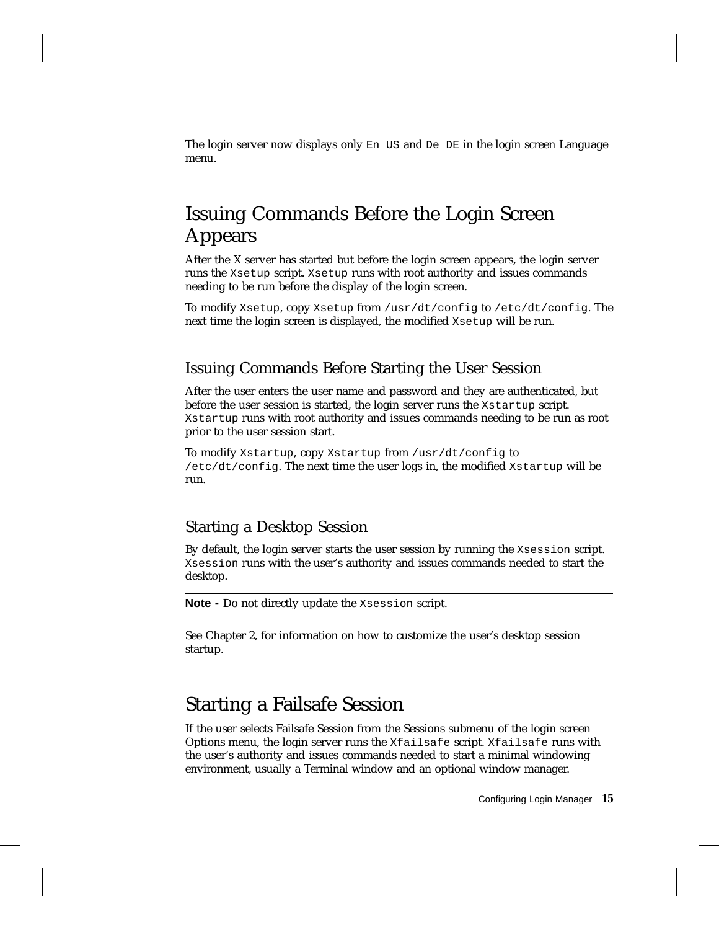The login server now displays only  $En$  US and  $De$  DE in the login screen Language menu.

### Issuing Commands Before the Login Screen Appears

After the X server has started but before the login screen appears, the login server runs the Xsetup script. Xsetup runs with root authority and issues commands needing to be run before the display of the login screen.

To modify Xsetup, copy Xsetup from /usr/dt/config to /etc/dt/config. The next time the login screen is displayed, the modified Xsetup will be run.

#### Issuing Commands Before Starting the User Session

After the user enters the user name and password and they are authenticated, but before the user session is started, the login server runs the Xstartup script. Xstartup runs with root authority and issues commands needing to be run as root prior to the user session start.

To modify Xstartup, copy Xstartup from /usr/dt/config to /etc/dt/config. The next time the user logs in, the modified Xstartup will be run.

#### Starting a Desktop Session

By default, the login server starts the user session by running the Xsession script. Xsession runs with the user's authority and issues commands needed to start the desktop.

**Note -** Do not directly update the Xsession script.

See Chapter 2, for information on how to customize the user's desktop session startup.

### Starting a Failsafe Session

If the user selects Failsafe Session from the Sessions submenu of the login screen Options menu, the login server runs the Xfailsafe script. Xfailsafe runs with the user's authority and issues commands needed to start a minimal windowing environment, usually a Terminal window and an optional window manager.

Configuring Login Manager **15**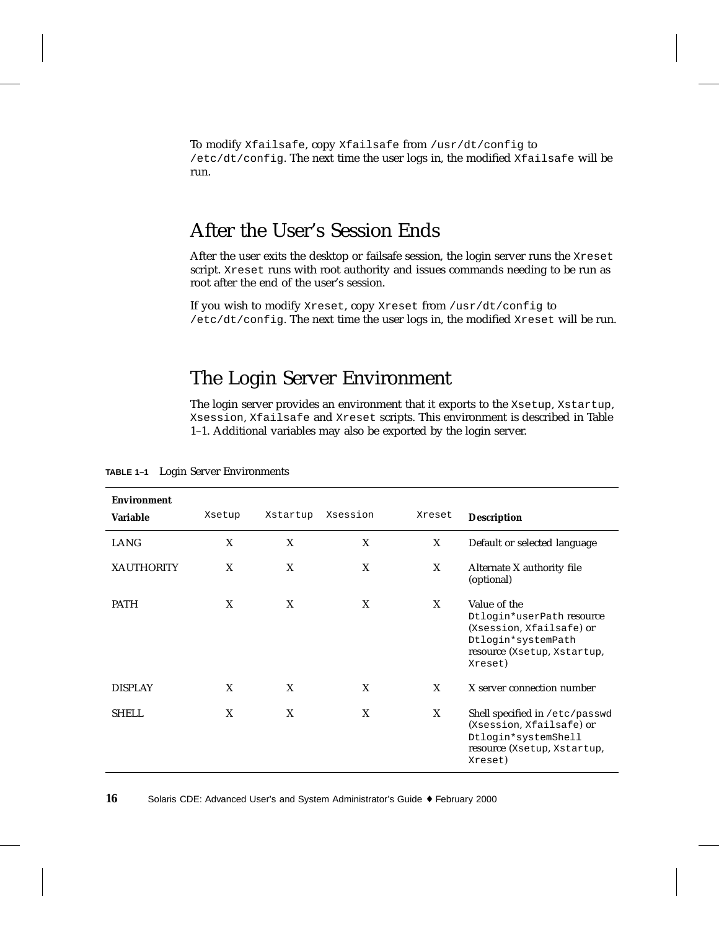To modify Xfailsafe, copy Xfailsafe from /usr/dt/config to /etc/dt/config. The next time the user logs in, the modified Xfailsafe will be run.

### After the User's Session Ends

After the user exits the desktop or failsafe session, the login server runs the Xreset script. Xreset runs with root authority and issues commands needing to be run as root after the end of the user's session.

If you wish to modify Xreset, copy Xreset from /usr/dt/config to /etc/dt/config. The next time the user logs in, the modified Xreset will be run.

### The Login Server Environment

The login server provides an environment that it exports to the Xsetup, Xstartup, Xsession, Xfailsafe and Xreset scripts. This environment is described in Table 1–1. Additional variables may also be exported by the login server.

| <b>Environment</b><br><b>Variable</b> | Xsetup | Xstartup | Xsession | Xreset | <b>Description</b>                                                                                                                    |
|---------------------------------------|--------|----------|----------|--------|---------------------------------------------------------------------------------------------------------------------------------------|
| <b>LANG</b>                           | X      | X        | X        | X      | Default or selected language                                                                                                          |
| <b>XAUTHORITY</b>                     | X      | X        | X        | X      | Alternate X authority file<br>(optional)                                                                                              |
| <b>PATH</b>                           | X      | X        | X        | X      | Value of the<br>Dtlogin*userPath resource<br>(Xsession, Xfailsafe) or<br>Dtlogin*systemPath<br>resource (Xsetup, Xstartup,<br>Xreset) |
| <b>DISPLAY</b>                        | X      | X        | X        | X      | X server connection number                                                                                                            |
| <b>SHELL</b>                          | X      | X        | X        | X      | Shell specified in /etc/passwd<br>(Xsession, Xfailsafe) or<br>Dtlogin*systemShell<br>resource (Xsetup, Xstartup,<br>Xreset)           |

**TABLE 1–1** Login Server Environments

**16** Solaris CDE: Advanced User's and System Administrator's Guide ♦ February 2000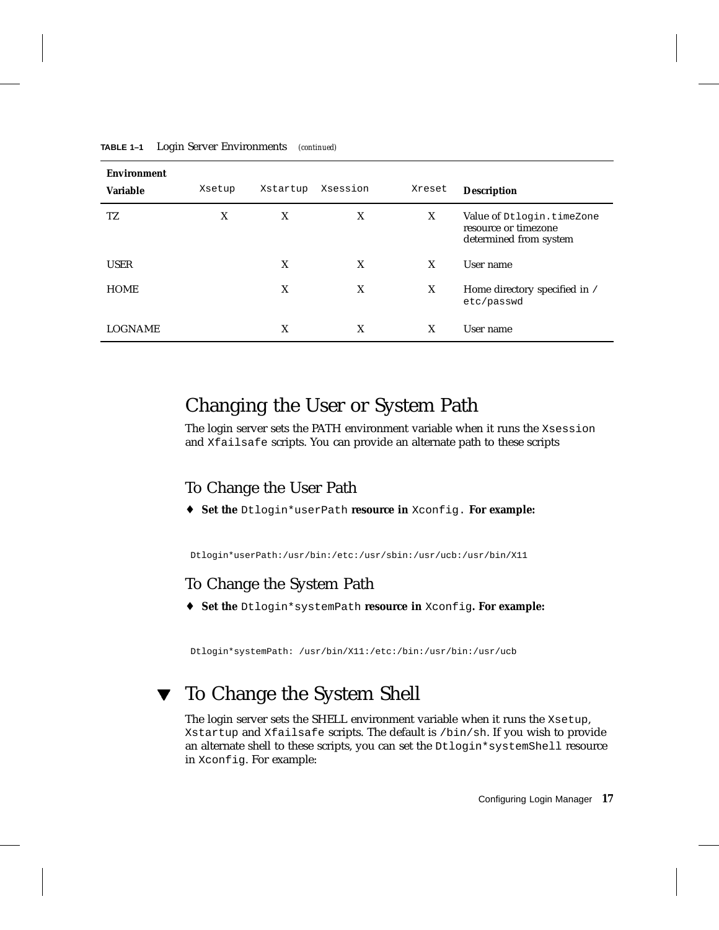| <b>Environment</b><br><b>Variable</b> | Xsetup | Xstartup | Xsession | Xreset | <b>Description</b>                                                          |
|---------------------------------------|--------|----------|----------|--------|-----------------------------------------------------------------------------|
| TZ.                                   | X      | X        | X        | X      | Value of Dtlogin.timeZone<br>resource or timezone<br>determined from system |
| <b>USER</b>                           |        | X        | X        | X      | User name                                                                   |
| <b>HOME</b>                           |        | X        | X        | X      | Home directory specified in /<br>etc/passwd                                 |
| LOGNAME                               |        | X        | X        | X      | User name                                                                   |

### Changing the User or System Path

The login server sets the PATH environment variable when it runs the Xsession and Xfailsafe scripts. You can provide an alternate path to these scripts

#### To Change the User Path

♦ **Set the** Dtlogin\*userPath **resource in** Xconfig. **For example:**

Dtlogin\*userPath:/usr/bin:/etc:/usr/sbin:/usr/ucb:/usr/bin/X11

#### To Change the System Path

♦ **Set the** Dtlogin\*systemPath **resource in** Xconfig**. For example:**

Dtlogin\*systemPath: /usr/bin/X11:/etc:/bin:/usr/bin:/usr/ucb

### To Change the System Shell

The login server sets the SHELL environment variable when it runs the Xsetup, Xstartup and Xfailsafe scripts. The default is /bin/sh. If you wish to provide an alternate shell to these scripts, you can set the Dtlogin\*systemShell resource in Xconfig. For example:

Configuring Login Manager **17**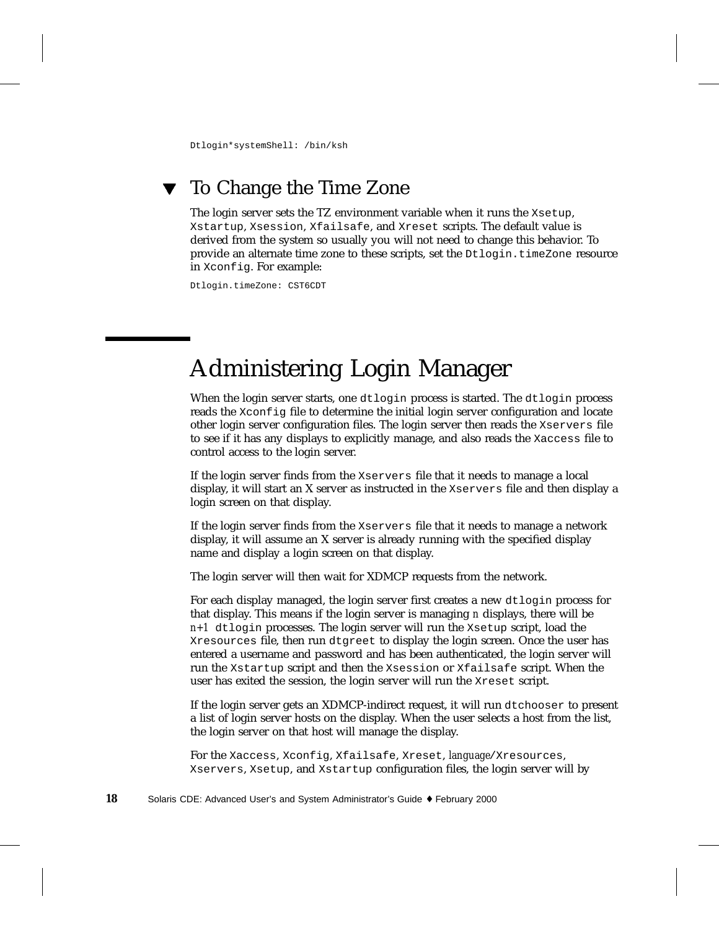Dtlogin\*systemShell: /bin/ksh

### To Change the Time Zone

The login server sets the TZ environment variable when it runs the Xsetup, Xstartup, Xsession, Xfailsafe, and Xreset scripts. The default value is derived from the system so usually you will not need to change this behavior. To provide an alternate time zone to these scripts, set the Dtlogin.timeZone resource in Xconfig. For example:

Dtlogin.timeZone: CST6CDT

# Administering Login Manager

When the login server starts, one dtlogin process is started. The dtlogin process reads the Xconfig file to determine the initial login server configuration and locate other login server configuration files. The login server then reads the Xservers file to see if it has any displays to explicitly manage, and also reads the Xaccess file to control access to the login server.

If the login server finds from the Xservers file that it needs to manage a local display, it will start an X server as instructed in the Xservers file and then display a login screen on that display.

If the login server finds from the Xservers file that it needs to manage a network display, it will assume an X server is already running with the specified display name and display a login screen on that display.

The login server will then wait for XDMCP requests from the network.

For each display managed, the login server first creates a new dtlogin process for that display. This means if the login server is managing *n* displays, there will be *n+1* dtlogin processes. The login server will run the Xsetup script, load the Xresources file, then run dtgreet to display the login screen. Once the user has entered a username and password and has been authenticated, the login server will run the Xstartup script and then the Xsession or Xfailsafe script. When the user has exited the session, the login server will run the Xreset script.

If the login server gets an XDMCP-indirect request, it will run dtchooser to present a list of login server hosts on the display. When the user selects a host from the list, the login server on that host will manage the display.

For the Xaccess, Xconfig, Xfailsafe, Xreset, *language*/Xresources, Xservers, Xsetup, and Xstartup configuration files, the login server will by

**18** Solaris CDE: Advanced User's and System Administrator's Guide ♦ February 2000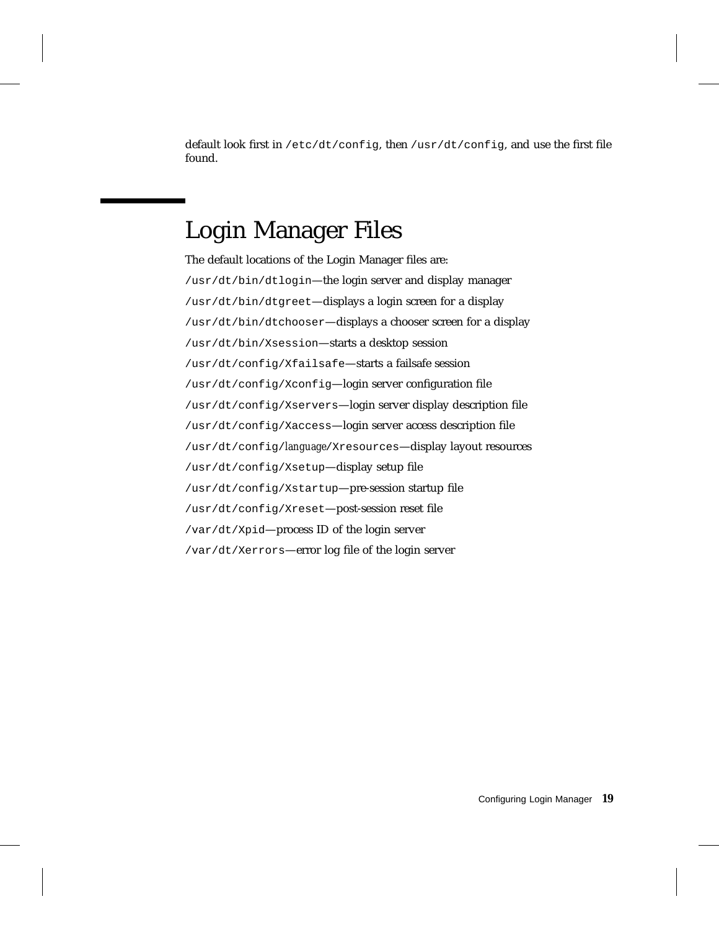default look first in /etc/dt/config, then /usr/dt/config, and use the first file found.

# Login Manager Files

The default locations of the Login Manager files are: /usr/dt/bin/dtlogin—the login server and display manager /usr/dt/bin/dtgreet—displays a login screen for a display /usr/dt/bin/dtchooser—displays a chooser screen for a display /usr/dt/bin/Xsession—starts a desktop session /usr/dt/config/Xfailsafe—starts a failsafe session /usr/dt/config/Xconfig—login server configuration file /usr/dt/config/Xservers—login server display description file /usr/dt/config/Xaccess—login server access description file /usr/dt/config/*language*/Xresources—display layout resources /usr/dt/config/Xsetup—display setup file /usr/dt/config/Xstartup—pre-session startup file /usr/dt/config/Xreset—post-session reset file /var/dt/Xpid—process ID of the login server /var/dt/Xerrors—error log file of the login server

Configuring Login Manager **19**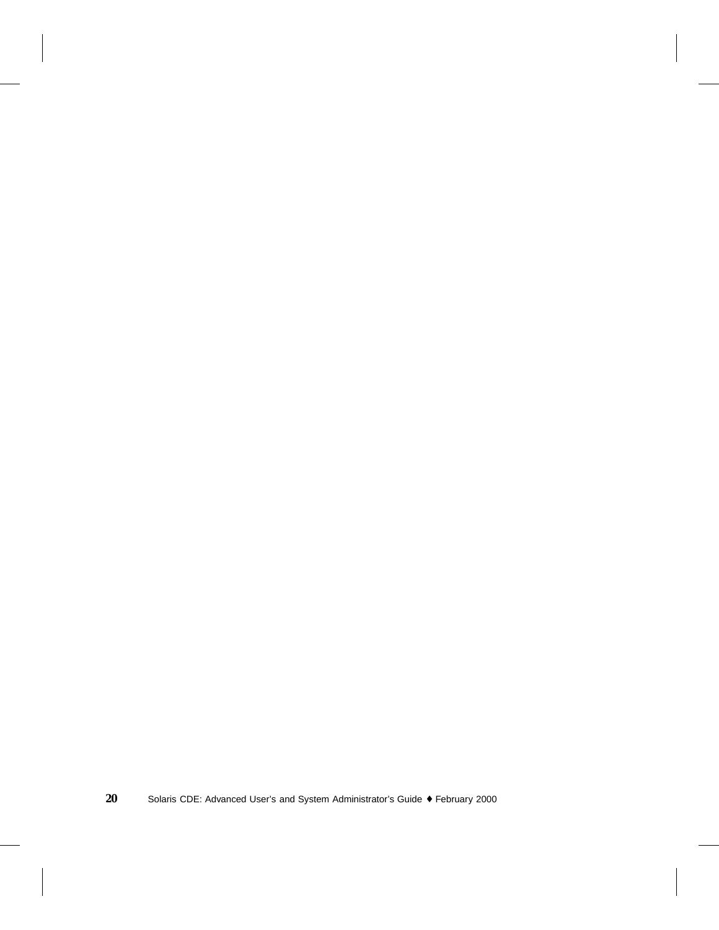Solaris CDE: Advanced User's and System Administrator's Guide ♦ February 2000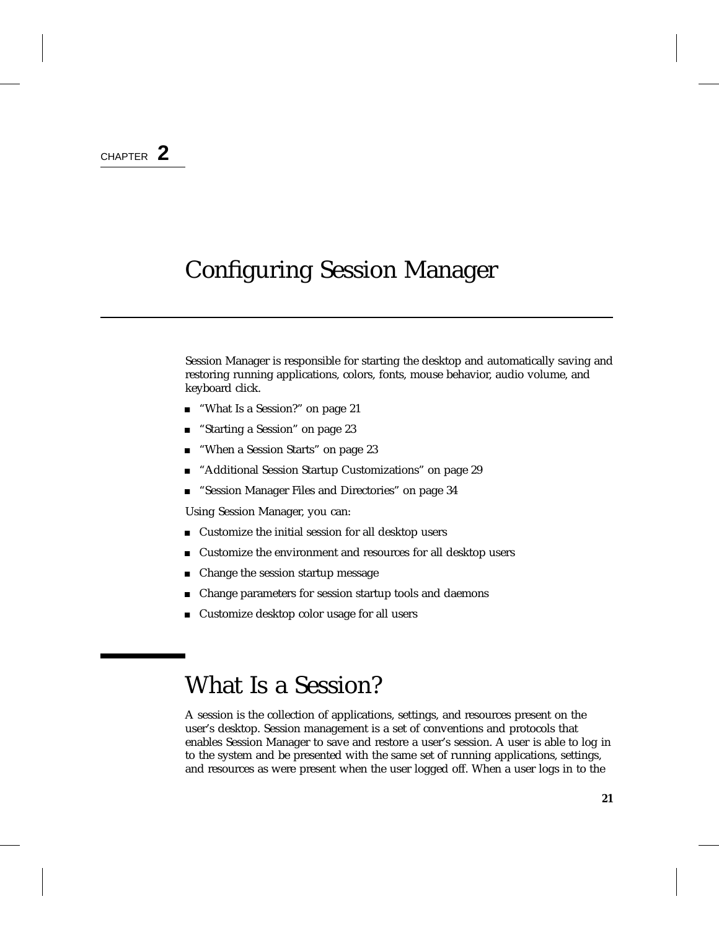#### CHAPTER **2**

## Configuring Session Manager

Session Manager is responsible for starting the desktop and automatically saving and restoring running applications, colors, fonts, mouse behavior, audio volume, and keyboard click.

- "What Is a Session?" on page 21
- "Starting a Session" on page 23
- "When a Session Starts" on page 23
- "Additional Session Startup Customizations" on page 29
- "Session Manager Files and Directories" on page 34

Using Session Manager, you can:

- Customize the initial session for all desktop users
- Customize the environment and resources for all desktop users
- Change the session startup message
- Change parameters for session startup tools and daemons
- Customize desktop color usage for all users

### What Is a Session?

A session is the collection of applications, settings, and resources present on the user's desktop. Session management is a set of conventions and protocols that enables Session Manager to save and restore a user's session. A user is able to log in to the system and be presented with the same set of running applications, settings, and resources as were present when the user logged off. When a user logs in to the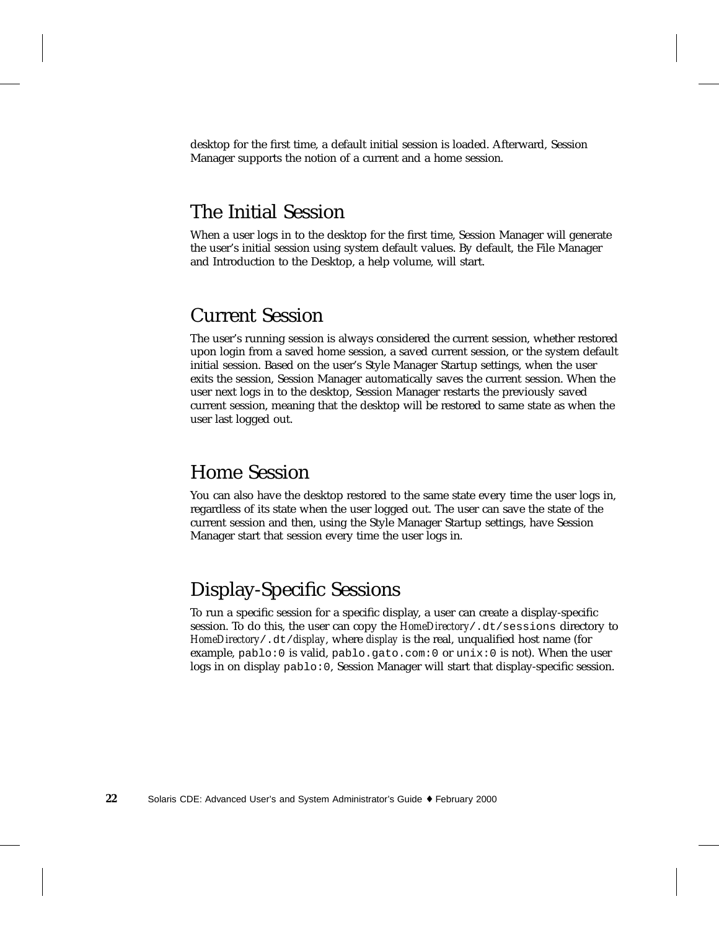desktop for the first time, a default initial session is loaded. Afterward, Session Manager supports the notion of a current and a home session.

### The Initial Session

When a user logs in to the desktop for the first time, Session Manager will generate the user's initial session using system default values. By default, the File Manager and Introduction to the Desktop, a help volume, will start.

#### Current Session

The user's running session is always considered the current session, whether restored upon login from a saved home session, a saved current session, or the system default initial session. Based on the user's Style Manager Startup settings, when the user exits the session, Session Manager automatically saves the current session. When the user next logs in to the desktop, Session Manager restarts the previously saved current session, meaning that the desktop will be restored to same state as when the user last logged out.

#### Home Session

You can also have the desktop restored to the same state every time the user logs in, regardless of its state when the user logged out. The user can save the state of the current session and then, using the Style Manager Startup settings, have Session Manager start that session every time the user logs in.

### Display-Specific Sessions

To run a specific session for a specific display, a user can create a display-specific session. To do this, the user can copy the *HomeDirectory*/.dt/sessions directory to *HomeDirectory*/.dt/*display*, where *display* is the real, unqualified host name (for example, pablo:0 is valid, pablo.gato.com:0 or unix:0 is not). When the user logs in on display pablo:0, Session Manager will start that display-specific session.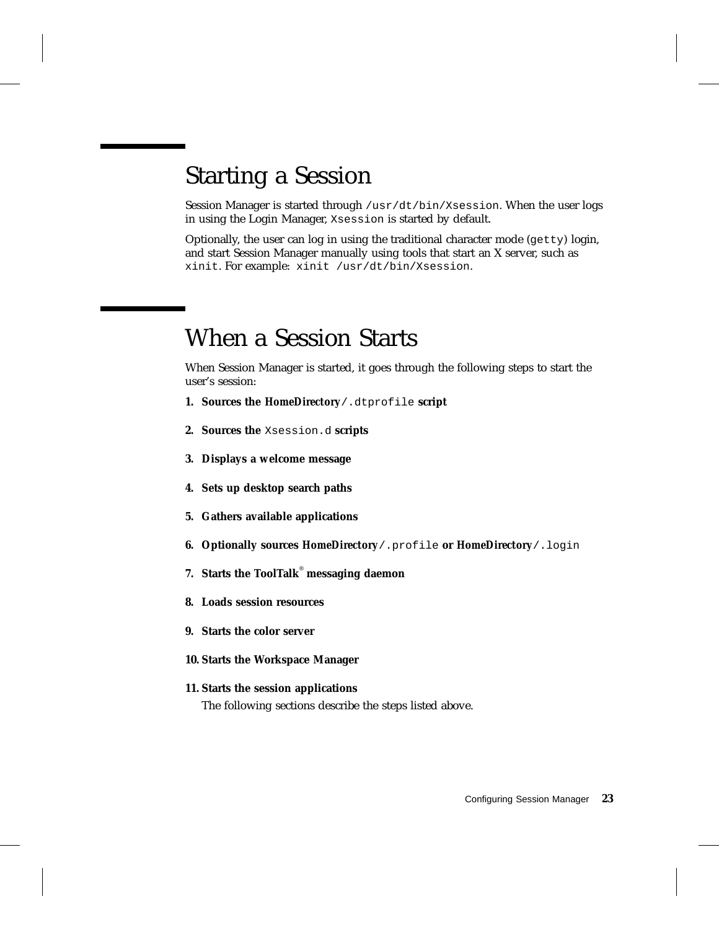## Starting a Session

Session Manager is started through /usr/dt/bin/Xsession. When the user logs in using the Login Manager, Xsession is started by default.

Optionally, the user can log in using the traditional character mode  $(g_{\text{etty}})$  login, and start Session Manager manually using tools that start an X server, such as xinit. For example: xinit /usr/dt/bin/Xsession.

### When a Session Starts

When Session Manager is started, it goes through the following steps to start the user's session:

- **1. Sources the** *HomeDirectory*/.dtprofile **script**
- **2. Sources the** Xsession.d **scripts**
- **3. Displays a welcome message**
- **4. Sets up desktop search paths**
- **5. Gathers available applications**
- **6. Optionally sources** *HomeDirectory*/.profile **or** *HomeDirectory*/.login
- **7. Starts the ToolTalk**® **messaging daemon**
- **8. Loads session resources**
- **9. Starts the color server**
- **10. Starts the Workspace Manager**
- **11. Starts the session applications** The following sections describe the steps listed above.

Configuring Session Manager **23**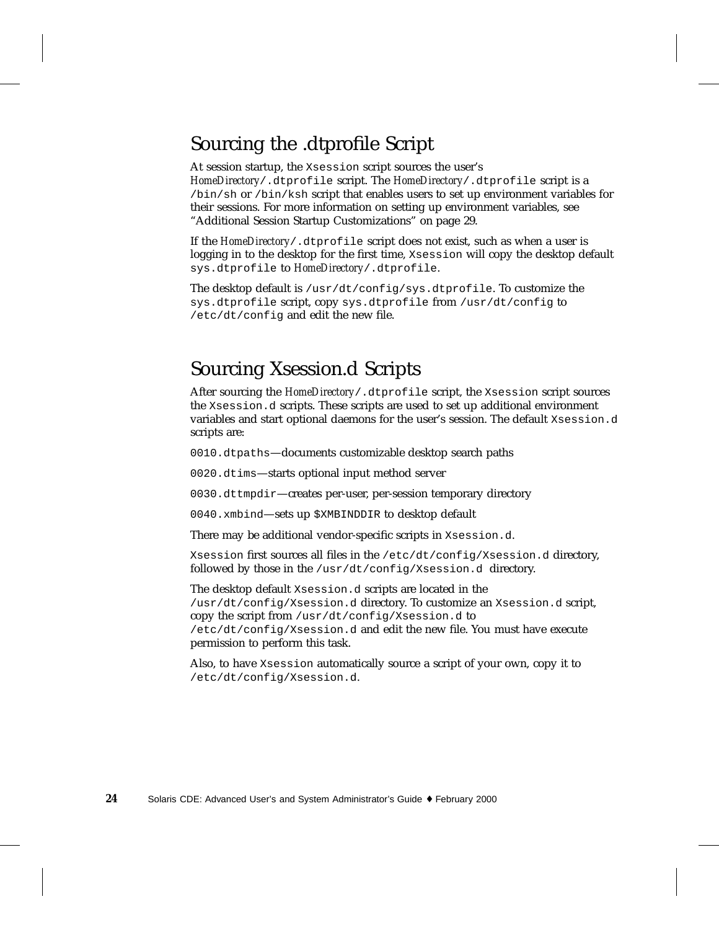### Sourcing the .dtprofile Script

At session startup, the Xsession script sources the user's *HomeDirectory*/.dtprofile script. The *HomeDirectory*/.dtprofile script is a /bin/sh or /bin/ksh script that enables users to set up environment variables for their sessions. For more information on setting up environment variables, see "Additional Session Startup Customizations" on page 29.

If the *HomeDirectory*/.dtprofile script does not exist, such as when a user is logging in to the desktop for the first time, Xsession will copy the desktop default sys.dtprofile to *HomeDirectory*/.dtprofile.

The desktop default is /usr/dt/config/sys.dtprofile. To customize the sys.dtprofile script, copy sys.dtprofile from /usr/dt/config to /etc/dt/config and edit the new file.

### Sourcing Xsession.d Scripts

After sourcing the *HomeDirectory*/.dtprofile script, the Xsession script sources the Xsession.d scripts. These scripts are used to set up additional environment variables and start optional daemons for the user's session. The default Xsession.d scripts are:

0010.dtpaths—documents customizable desktop search paths

0020.dtims—starts optional input method server

0030.dttmpdir—creates per-user, per-session temporary directory

0040.xmbind—sets up \$XMBINDDIR to desktop default

There may be additional vendor-specific scripts in Xsession.d.

Xsession first sources all files in the /etc/dt/config/Xsession.d directory, followed by those in the /usr/dt/config/Xsession.d directory.

The desktop default Xsession.d scripts are located in the /usr/dt/config/Xsession.d directory. To customize an Xsession.d script, copy the script from /usr/dt/config/Xsession.d to /etc/dt/config/Xsession.d and edit the new file. You must have execute permission to perform this task.

Also, to have Xsession automatically source a script of your own, copy it to /etc/dt/config/Xsession.d.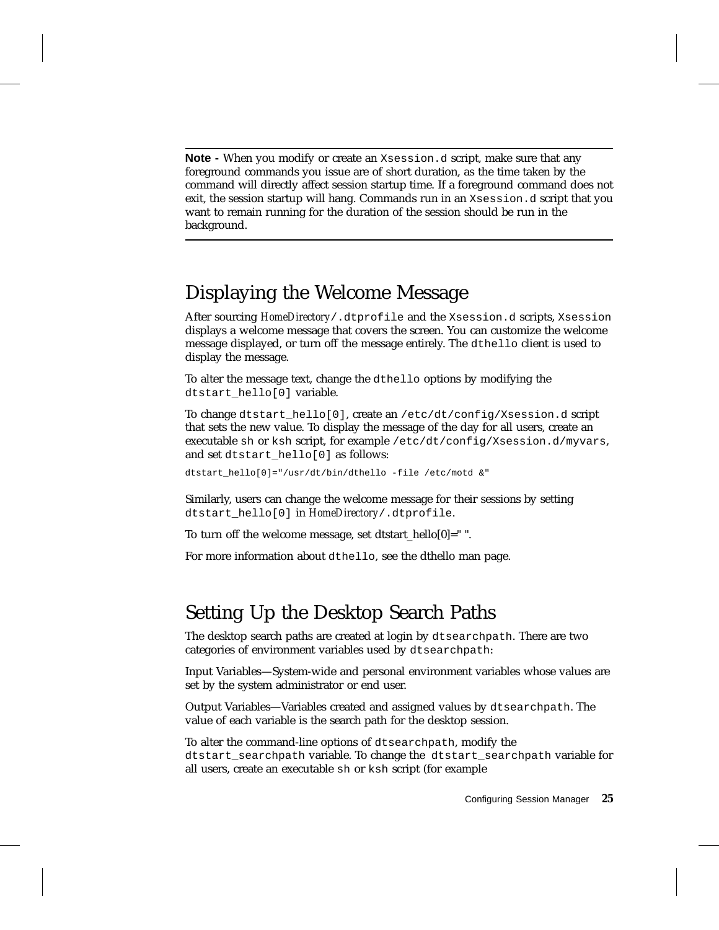**Note -** When you modify or create an Xsession.d script, make sure that any foreground commands you issue are of short duration, as the time taken by the command will directly affect session startup time. If a foreground command does not exit, the session startup will hang. Commands run in an Xsession.d script that you want to remain running for the duration of the session should be run in the background.

### Displaying the Welcome Message

After sourcing *HomeDirectory*/.dtprofile and the Xsession.d scripts, Xsession displays a welcome message that covers the screen. You can customize the welcome message displayed, or turn off the message entirely. The dthello client is used to display the message.

To alter the message text, change the dthello options by modifying the dtstart\_hello[0] variable.

To change dtstart\_hello[0], create an /etc/dt/config/Xsession.d script that sets the new value. To display the message of the day for all users, create an executable sh or ksh script, for example /etc/dt/config/Xsession.d/myvars, and set dtstart hello[0] as follows:

dtstart\_hello[0]="/usr/dt/bin/dthello -file /etc/motd &"

Similarly, users can change the welcome message for their sessions by setting dtstart\_hello[0] in *HomeDirectory*/.dtprofile.

To turn off the welcome message, set dtstart\_hello[0]=" ".

For more information about dthello, see the dthello man page.

### Setting Up the Desktop Search Paths

The desktop search paths are created at login by dtsearchpath. There are two categories of environment variables used by dtsearchpath:

Input Variables—System-wide and personal environment variables whose values are set by the system administrator or end user.

Output Variables—Variables created and assigned values by dtsearchpath. The value of each variable is the search path for the desktop session.

To alter the command-line options of dtsearchpath, modify the dtstart\_searchpath variable. To change the dtstart\_searchpath variable for all users, create an executable sh or ksh script (for example

Configuring Session Manager **25**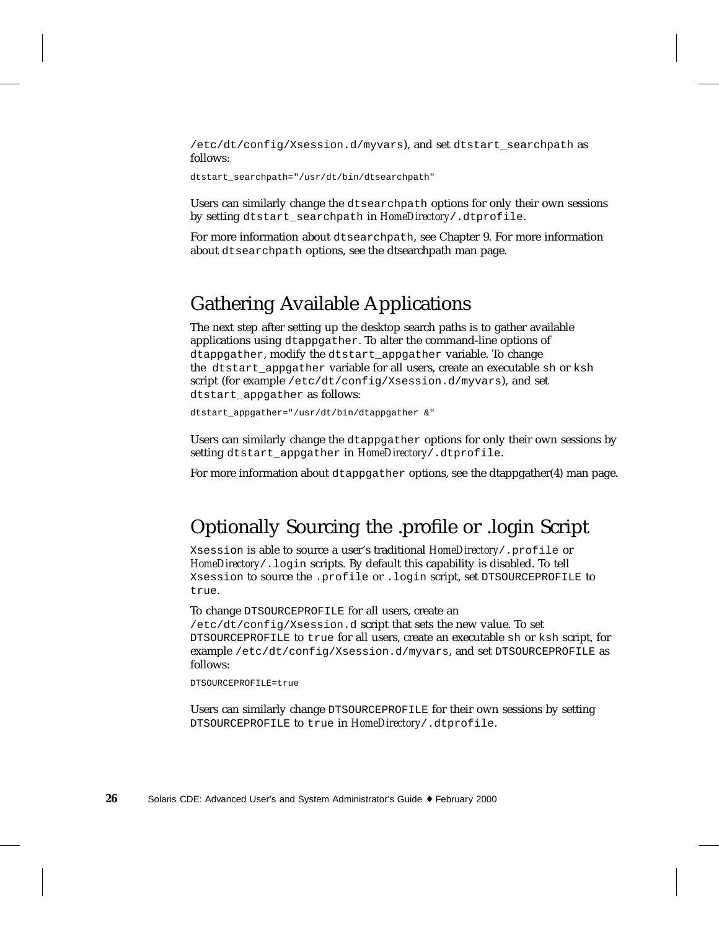$/etc/dt/confiq/Xs$ ession. $d/myvars$ ), and set dtstart\_searchpath as follows:

dtstart\_searchpath="/usr/dt/bin/dtsearchpath"

Users can similarly change the dtsearchpath options for only their own sessions by setting dtstart\_searchpath in *HomeDirectory*/.dtprofile.

For more information about dtsearchpath, see Chapter 9. For more information about dtsearchpath options, see the dtsearchpath man page.

### Gathering Available Applications

The next step after setting up the desktop search paths is to gather available applications using dtappgather. To alter the command-line options of dtappgather, modify the dtstart\_appgather variable. To change the dtstart\_appgather variable for all users, create an executable sh or ksh script (for example /etc/dt/config/Xsession.d/myvars), and set dtstart\_appgather as follows:

dtstart\_appgather="/usr/dt/bin/dtappgather &"

Users can similarly change the dtappgather options for only their own sessions by setting dtstart\_appgather in *HomeDirectory*/.dtprofile.

For more information about dtappgather options, see the dtappgather(4) man page.

### Optionally Sourcing the .profile or .login Script

Xsession is able to source a user's traditional *HomeDirectory*/.profile or *HomeDirectory* . login scripts. By default this capability is disabled. To tell Xsession to source the .profile or .login script, set DTSOURCEPROFILE to true.

To change DTSOURCEPROFILE for all users, create an /etc/dt/config/Xsession.d script that sets the new value. To set DTSOURCEPROFILE to true for all users, create an executable sh or ksh script, for example /etc/dt/config/Xsession.d/myvars, and set DTSOURCEPROFILE as follows:

DTSOURCEPROFILE=true

Users can similarly change DTSOURCEPROFILE for their own sessions by setting DTSOURCEPROFILE to true in *HomeDirectory*/.dtprofile.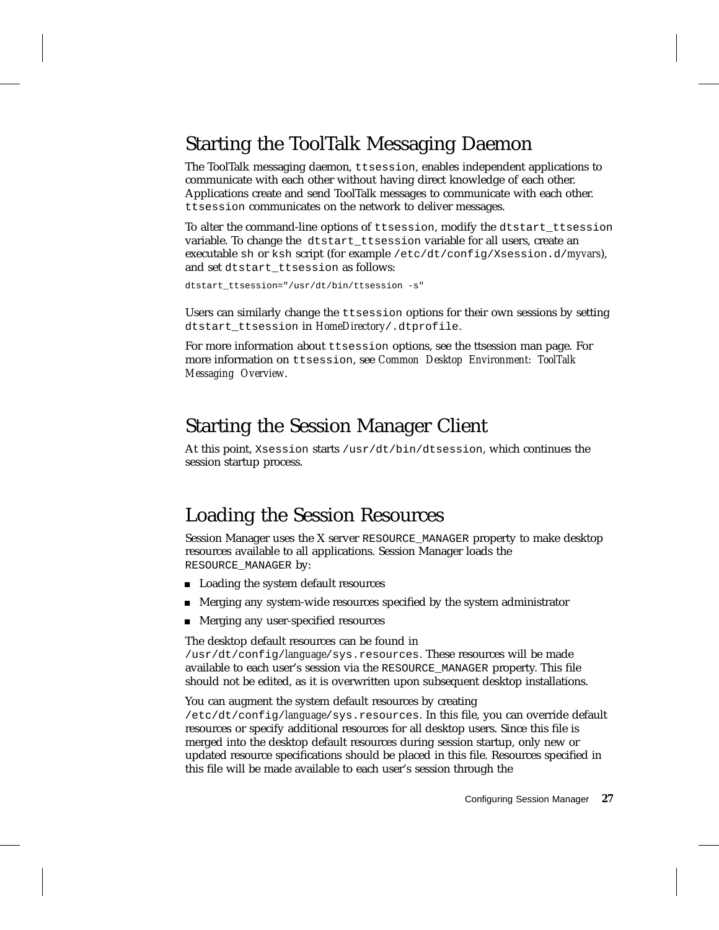### Starting the ToolTalk Messaging Daemon

The ToolTalk messaging daemon, ttsession, enables independent applications to communicate with each other without having direct knowledge of each other. Applications create and send ToolTalk messages to communicate with each other. ttsession communicates on the network to deliver messages.

To alter the command-line options of ttsession, modify the dtstart\_ttsession variable. To change the dtstart\_ttsession variable for all users, create an executable sh or ksh script (for example /etc/dt/config/Xsession.d/*myvars*), and set dtstart\_ttsession as follows:

```
dtstart_ttsession="/usr/dt/bin/ttsession -s"
```
Users can similarly change the ttsession options for their own sessions by setting dtstart\_ttsession in *HomeDirectory*/.dtprofile.

For more information about ttsession options, see the ttsession man page. For more information on ttsession, see *Common Desktop Environment: ToolTalk Messaging Overview*.

### Starting the Session Manager Client

At this point, Xsession starts /usr/dt/bin/dtsession, which continues the session startup process.

### Loading the Session Resources

Session Manager uses the X server RESOURCE\_MANAGER property to make desktop resources available to all applications. Session Manager loads the RESOURCE\_MANAGER by:

- Loading the system default resources
- Merging any system-wide resources specified by the system administrator
- Merging any user-specified resources

The desktop default resources can be found in

/usr/dt/config/*language*/sys.resources. These resources will be made available to each user's session via the RESOURCE\_MANAGER property. This file should not be edited, as it is overwritten upon subsequent desktop installations.

You can augment the system default resources by creating /etc/dt/config/*language*/sys.resources. In this file, you can override default resources or specify additional resources for all desktop users. Since this file is merged into the desktop default resources during session startup, only new or updated resource specifications should be placed in this file. Resources specified in this file will be made available to each user's session through the

Configuring Session Manager **27**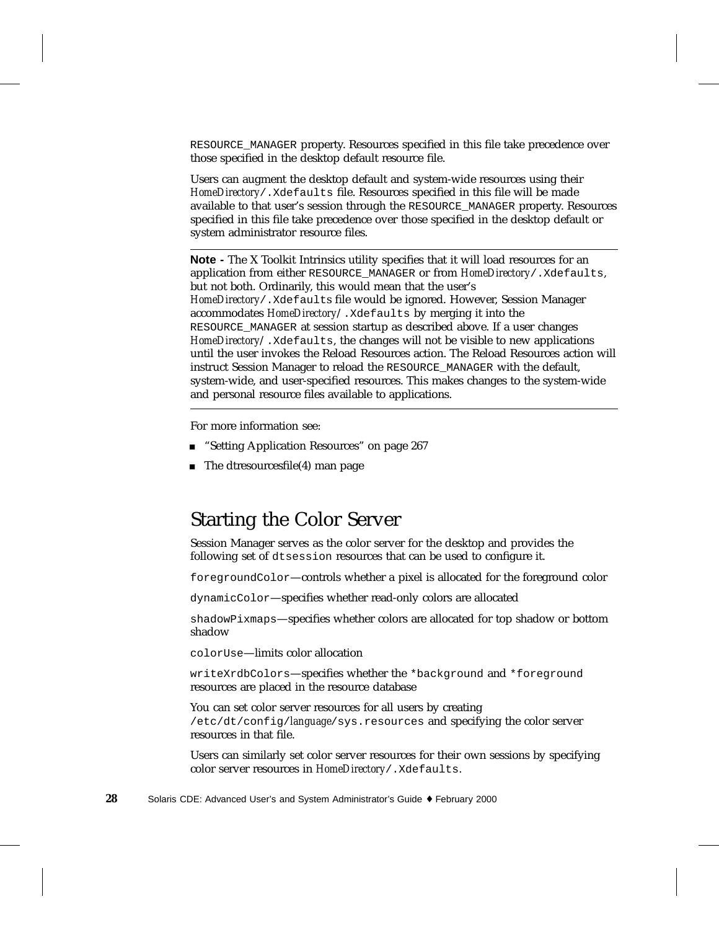RESOURCE\_MANAGER property. Resources specified in this file take precedence over those specified in the desktop default resource file.

Users can augment the desktop default and system-wide resources using their *HomeDirectory*/.Xdefaults file. Resources specified in this file will be made available to that user's session through the RESOURCE\_MANAGER property. Resources specified in this file take precedence over those specified in the desktop default or system administrator resource files.

**Note -** The X Toolkit Intrinsics utility specifies that it will load resources for an application from either RESOURCE\_MANAGER or from *HomeDirectory*/.Xdefaults, but not both. Ordinarily, this would mean that the user's *HomeDirectory* / .Xdefaults file would be ignored. However, Session Manager accommodates *HomeDirectory*/.Xdefaults by merging it into the RESOURCE\_MANAGER at session startup as described above. If a user changes *HomeDirectory*/.  $X$ defaults, the changes will not be visible to new applications until the user invokes the Reload Resources action. The Reload Resources action will instruct Session Manager to reload the RESOURCE\_MANAGER with the default, system-wide, and user-specified resources. This makes changes to the system-wide and personal resource files available to applications.

For more information see:

- "Setting Application Resources" on page 267
- $\blacksquare$  The dtresourcesfile(4) man page

### Starting the Color Server

Session Manager serves as the color server for the desktop and provides the following set of dtsession resources that can be used to configure it.

foregroundColor—controls whether a pixel is allocated for the foreground color

dynamicColor—specifies whether read-only colors are allocated

shadowPixmaps—specifies whether colors are allocated for top shadow or bottom shadow

colorUse—limits color allocation

writeXrdbColors—specifies whether the \*background and \*foreground resources are placed in the resource database

You can set color server resources for all users by creating /etc/dt/config/*language*/sys.resources and specifying the color server resources in that file.

Users can similarly set color server resources for their own sessions by specifying color server resources in *HomeDirectory*/.Xdefaults.

**28** Solaris CDE: Advanced User's and System Administrator's Guide ♦ February 2000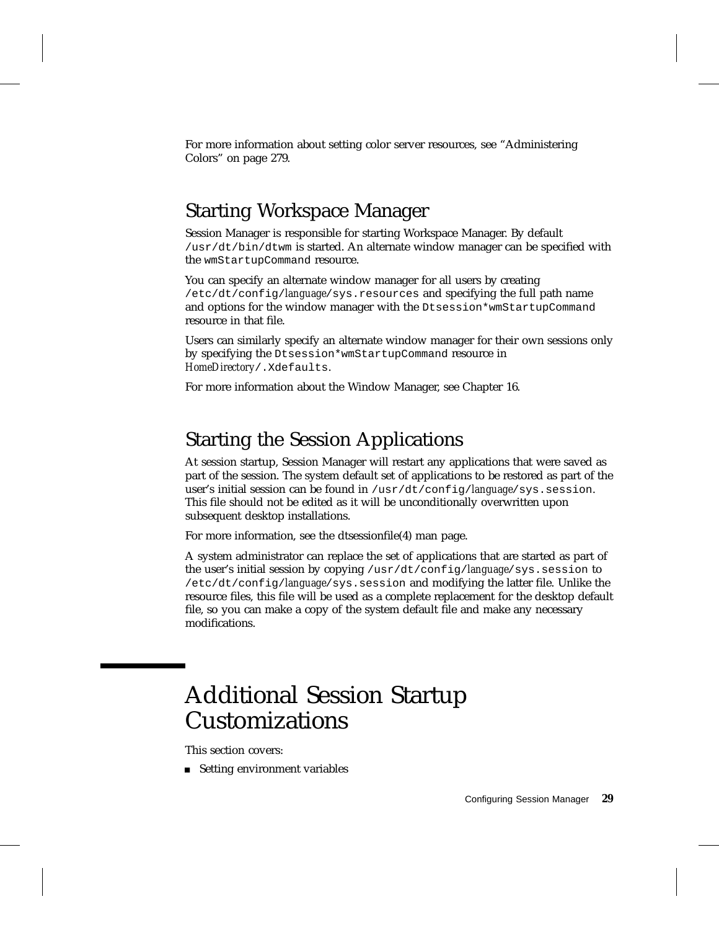For more information about setting color server resources, see "Administering Colors" on page 279.

### Starting Workspace Manager

Session Manager is responsible for starting Workspace Manager. By default /usr/dt/bin/dtwm is started. An alternate window manager can be specified with the wmStartupCommand resource.

You can specify an alternate window manager for all users by creating /etc/dt/config/*language*/sys.resources and specifying the full path name and options for the window manager with the Dtsession\*wmStartupCommand resource in that file.

Users can similarly specify an alternate window manager for their own sessions only by specifying the Dtsession\*wmStartupCommand resource in *HomeDirectory*/.Xdefaults.

For more information about the Window Manager, see Chapter 16.

### Starting the Session Applications

At session startup, Session Manager will restart any applications that were saved as part of the session. The system default set of applications to be restored as part of the user's initial session can be found in /usr/dt/config/*language*/sys.session. This file should not be edited as it will be unconditionally overwritten upon subsequent desktop installations.

For more information, see the dtsessionfile(4) man page.

A system administrator can replace the set of applications that are started as part of the user's initial session by copying /usr/dt/config/*language*/sys.session to /etc/dt/config/*language*/sys.session and modifying the latter file. Unlike the resource files, this file will be used as a complete replacement for the desktop default file, so you can make a copy of the system default file and make any necessary modifications.

# Additional Session Startup Customizations

This section covers:

■ Setting environment variables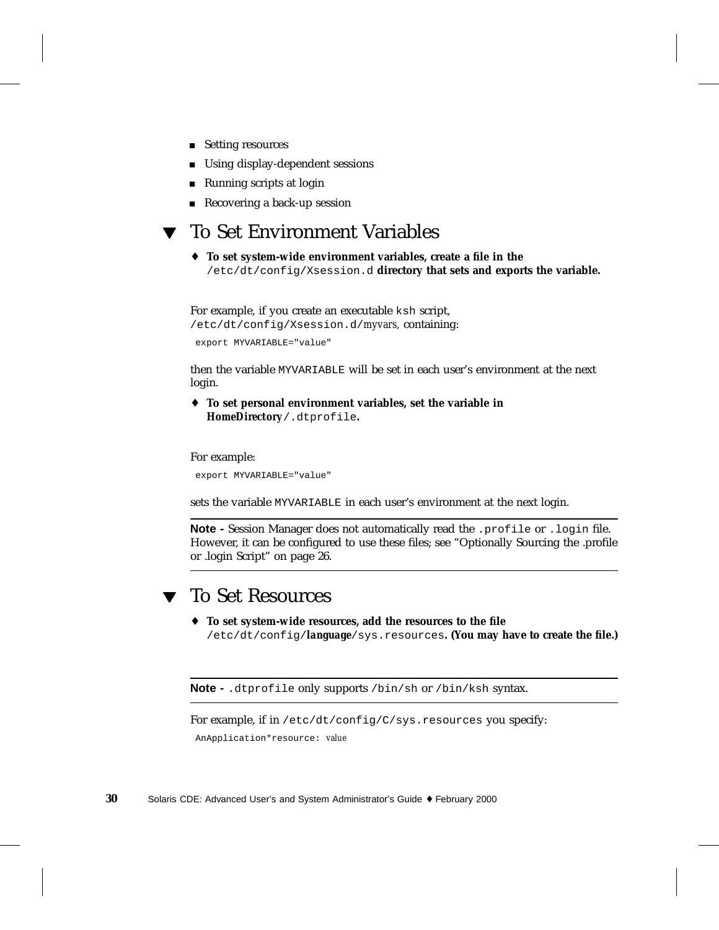- Setting resources
- Using display-dependent sessions
- Running scripts at login
- Recovering a back-up session

#### To Set Environment Variables

♦ **To set system-wide environment variables, create a file in the** /etc/dt/config/Xsession.d **directory that sets and exports the variable.**

For example, if you create an executable ksh script,

/etc/dt/config/Xsession.d/*myvars,* containing:

export MYVARIABLE="value"

then the variable MYVARIABLE will be set in each user's environment at the next login.

♦ **To set personal environment variables, set the variable in** *HomeDirectory*/.dtprofile**.**

For example:

export MYVARIABLE="value"

sets the variable MYVARIABLE in each user's environment at the next login.

**Note -** Session Manager does not automatically read the . profile or . login file. However, it can be configured to use these files; see "Optionally Sourcing the .profile or .login Script" on page 26.

### To Set Resources

♦ **To set system-wide resources, add the resources to the file** /etc/dt/config/*language*/sys.resources**. (You may have to create the file.)**

**Note -** .dtprofile only supports /bin/sh or /bin/ksh syntax.

For example, if in /etc/dt/config/C/sys.resources you specify:

AnApplication\*resource: *value*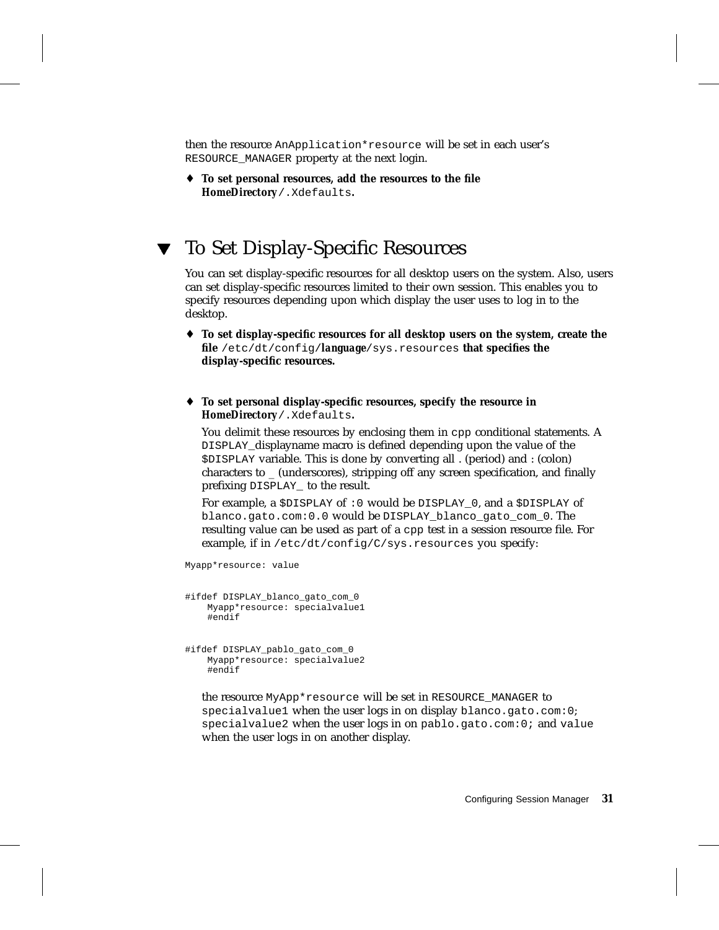then the resource AnApplication\*resource will be set in each user's RESOURCE\_MANAGER property at the next login.

♦ **To set personal resources, add the resources to the file** *HomeDirectory*/.Xdefaults**.**

### $\blacktriangledown$  To Set Display-Specific Resources

You can set display-specific resources for all desktop users on the system. Also, users can set display-specific resources limited to their own session. This enables you to specify resources depending upon which display the user uses to log in to the desktop.

- ♦ **To set display-specific resources for all desktop users on the system, create the file** /etc/dt/config/*language*/sys.resources **that specifies the display-specific resources.**
- ♦ **To set personal display-specific resources, specify the resource in** *HomeDirectory*/.Xdefaults**.**

You delimit these resources by enclosing them in cpp conditional statements. A DISPLAY\_displayname macro is defined depending upon the value of the \$DISPLAY variable. This is done by converting all . (period) and : (colon) characters to \_ (underscores), stripping off any screen specification, and finally prefixing DISPLAY\_ to the result.

For example, a \$DISPLAY of :0 would be DISPLAY\_0, and a \$DISPLAY of blanco.gato.com:0.0 would be DISPLAY\_blanco\_gato\_com\_0. The resulting value can be used as part of a cpp test in a session resource file. For example, if in /etc/dt/config/C/sys.resources you specify:

Myapp\*resource: value #ifdef DISPLAY\_blanco\_gato\_com\_0 Myapp\*resource: specialvalue1 #endif #ifdef DISPLAY\_pablo\_gato\_com\_0 Myapp\*resource: specialvalue2 #endif

> the resource MyApp\*resource will be set in RESOURCE\_MANAGER to specialvalue1 when the user logs in on display blanco.gato.com:0; specialvalue2 when the user logs in on pablo.gato.com:0; and value when the user logs in on another display.

> > Configuring Session Manager **31**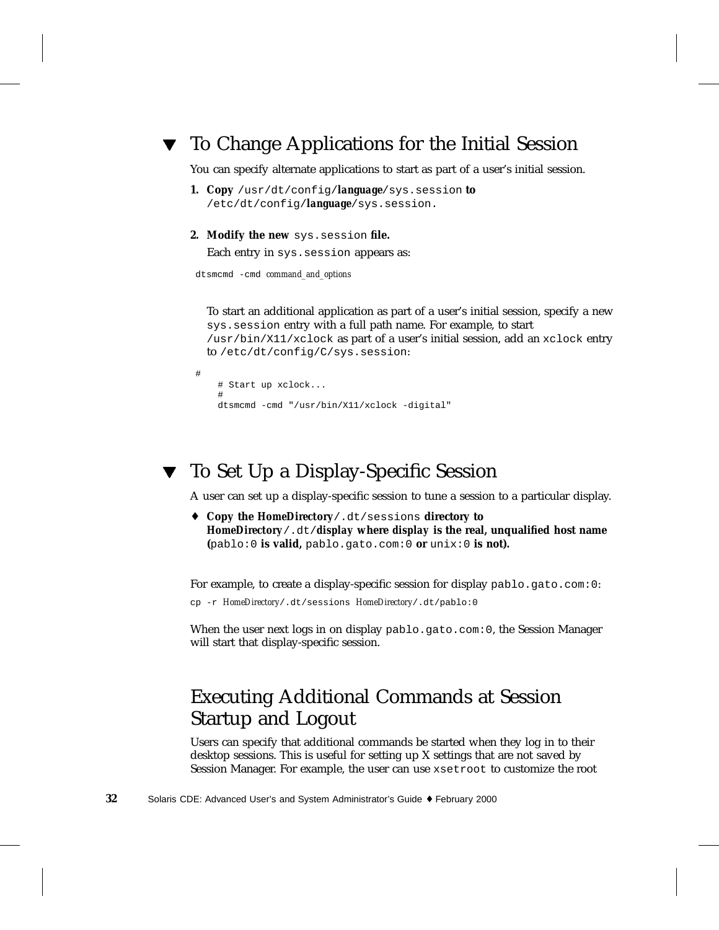#### To Change Applications for the Initial Session  $\blacktriangledown$

You can specify alternate applications to start as part of a user's initial session.

- **1. Copy** /usr/dt/config/*language*/sys.session **to** /etc/dt/config/*language*/sys.session.
- **2. Modify the new** sys.session **file.**

Each entry in sys.session appears as:

dtsmcmd -cmd *command\_and\_options*

#

To start an additional application as part of a user's initial session, specify a new sys.session entry with a full path name. For example, to start /usr/bin/X11/xclock as part of a user's initial session, add an xclock entry to /etc/dt/config/C/sys.session:

```
# Start up xclock...
#
dtsmcmd -cmd "/usr/bin/X11/xclock -digital"
```
### To Set Up a Display-Specific Session

A user can set up a display-specific session to tune a session to a particular display.

♦ **Copy the** *HomeDirectory*/.dt/sessions **directory to** *HomeDirectory*/.dt/*display* **where** *display* **is the real, unqualified host name (**pablo:0 **is valid,** pablo.gato.com:0 **or** unix:0 **is not).**

For example, to create a display-specific session for display pablo.gato.com:0:

cp -r *HomeDirectory*/.dt/sessions *HomeDirectory*/.dt/pablo:0

When the user next logs in on display pablo.gato.com:0, the Session Manager will start that display-specific session.

### Executing Additional Commands at Session Startup and Logout

Users can specify that additional commands be started when they log in to their desktop sessions. This is useful for setting up X settings that are not saved by Session Manager. For example, the user can use xsetroot to customize the root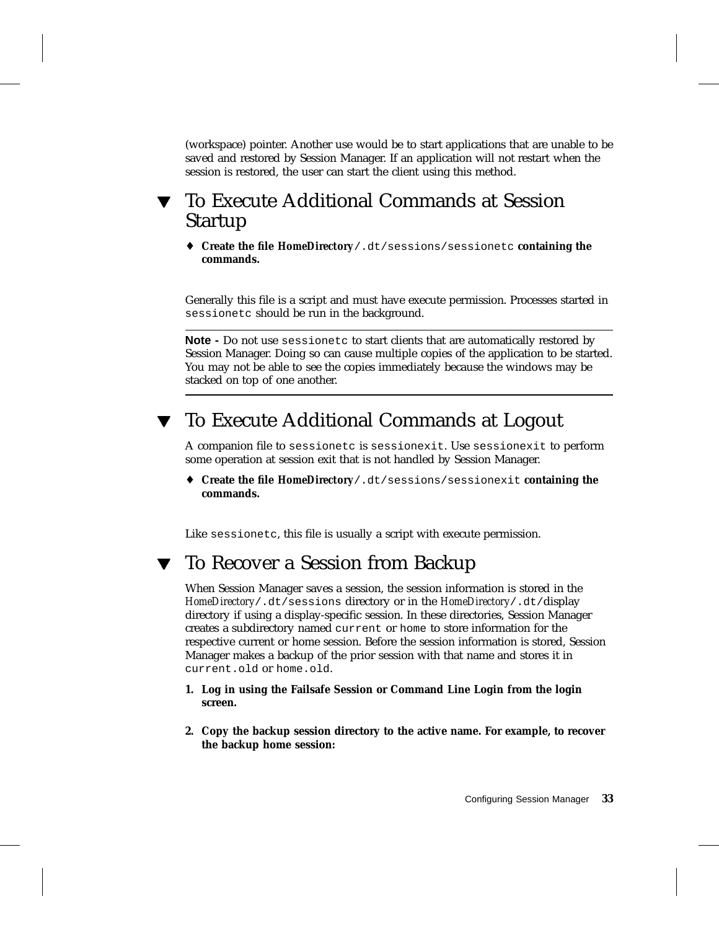(workspace) pointer. Another use would be to start applications that are unable to be saved and restored by Session Manager. If an application will not restart when the session is restored, the user can start the client using this method.

### To Execute Additional Commands at Session Startup

♦ **Create the file** *HomeDirectory*/.dt/sessions/sessionetc **containing the commands.**

Generally this file is a script and must have execute permission. Processes started in sessionetc should be run in the background.

**Note -** Do not use sessionetc to start clients that are automatically restored by Session Manager. Doing so can cause multiple copies of the application to be started. You may not be able to see the copies immediately because the windows may be stacked on top of one another.

### To Execute Additional Commands at Logout

A companion file to sessionetc is sessionexit. Use sessionexit to perform some operation at session exit that is not handled by Session Manager.

♦ **Create the file** *HomeDirectory*/.dt/sessions/sessionexit **containing the commands.**

Like sessionetc, this file is usually a script with execute permission.

### To Recover a Session from Backup

When Session Manager saves a session, the session information is stored in the *HomeDirectory*/.dt/sessions directory or in the *HomeDirectory*/.dt/display directory if using a display-specific session. In these directories, Session Manager creates a subdirectory named current or home to store information for the respective current or home session. Before the session information is stored, Session Manager makes a backup of the prior session with that name and stores it in current.old or home.old.

- **1. Log in using the Failsafe Session or Command Line Login from the login screen.**
- **2. Copy the backup session directory to the active name. For example, to recover the backup home session:**

Configuring Session Manager **33**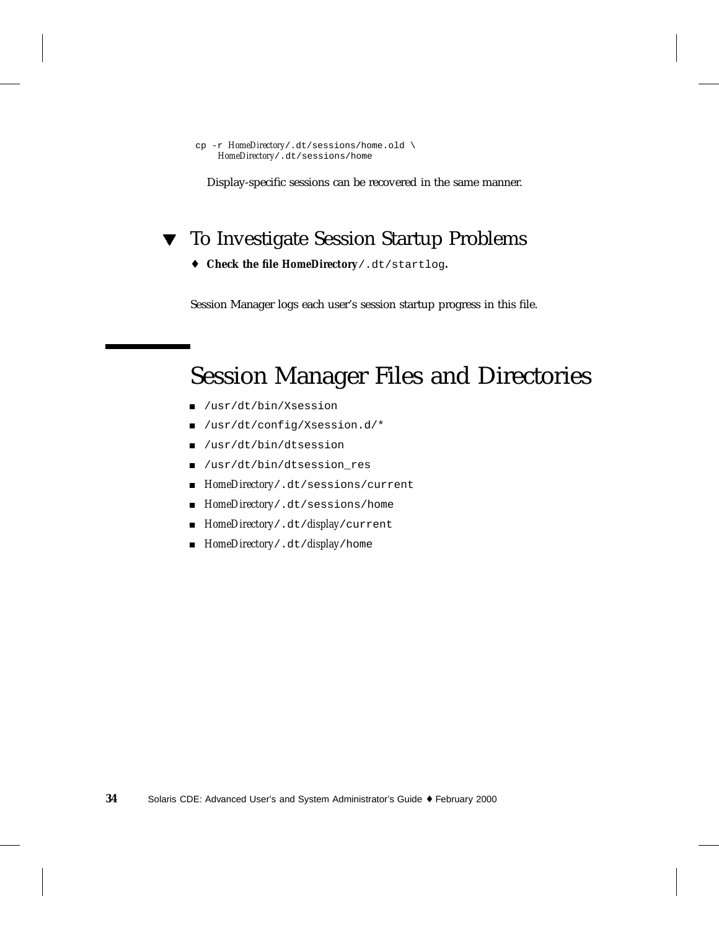cp -r *HomeDirectory*/.dt/sessions/home.old \ *HomeDirectory*/.dt/sessions/home

Display-specific sessions can be recovered in the same manner.

#### To Investigate Session Startup Problems  $\blacktriangledown$

♦ **Check the file** *HomeDirectory*/.dt/startlog**.**

Session Manager logs each user's session startup progress in this file.

# Session Manager Files and Directories

- /usr/dt/bin/Xsession
- /usr/dt/config/Xsession.d/\*
- /usr/dt/bin/dtsession
- /usr/dt/bin/dtsession\_res
- *HomeDirectory*/.dt/sessions/current
- *HomeDirectory*/.dt/sessions/home
- *HomeDirectory*/.dt/*display*/current
- *HomeDirectory*/.dt/*display*/home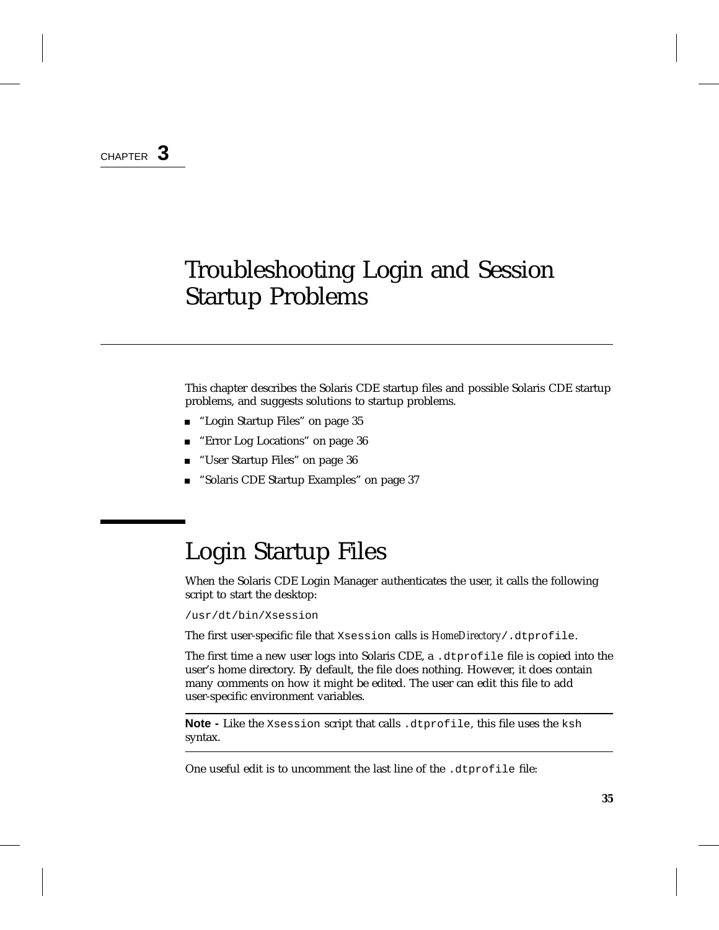#### CHAPTER **3**

# Troubleshooting Login and Session Startup Problems

This chapter describes the Solaris CDE startup files and possible Solaris CDE startup problems, and suggests solutions to startup problems.

- "Login Startup Files" on page 35
- "Error Log Locations" on page 36
- "User Startup Files" on page 36
- "Solaris CDE Startup Examples" on page 37

# Login Startup Files

When the Solaris CDE Login Manager authenticates the user, it calls the following script to start the desktop:

/usr/dt/bin/Xsession

The first user-specific file that Xsession calls is *HomeDirectory*/.dtprofile.

The first time a new user logs into Solaris CDE, a .dtprofile file is copied into the user's home directory. By default, the file does nothing. However, it does contain many comments on how it might be edited. The user can edit this file to add user-specific environment variables.

**Note -** Like the Xsession script that calls .dtprofile, this file uses the ksh syntax.

One useful edit is to uncomment the last line of the .dtprofile file: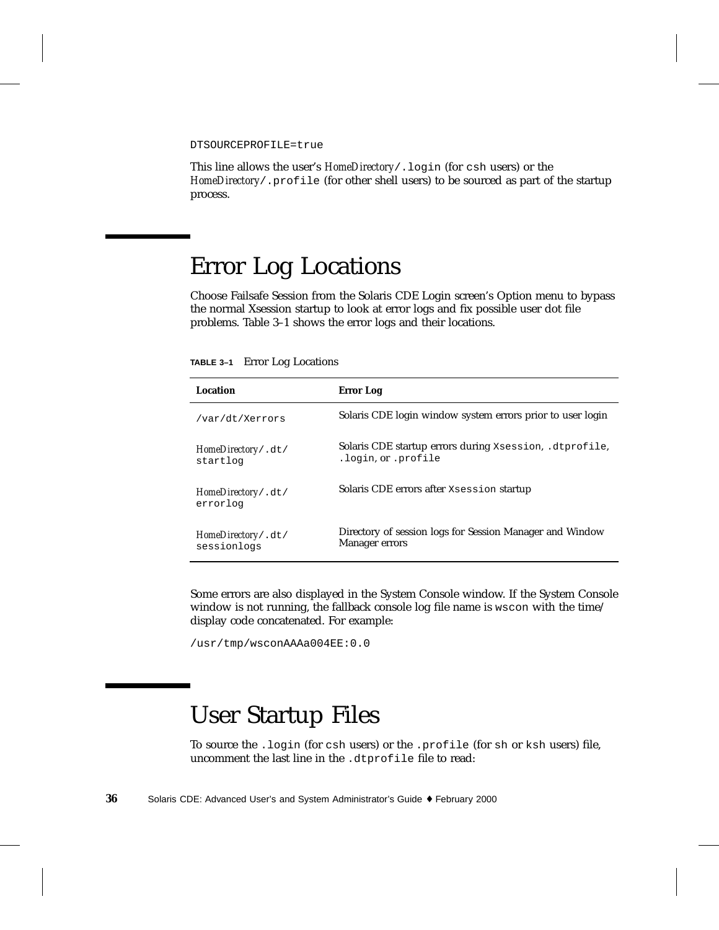DTSOURCEPROFILE=true

This line allows the user's *HomeDirectory*/.login (for csh users) or the *HomeDirectory*/.profile (for other shell users) to be sourced as part of the startup process.

# Error Log Locations

Choose Failsafe Session from the Solaris CDE Login screen's Option menu to bypass the normal Xsession startup to look at error logs and fix possible user dot file problems. Table 3–1 shows the error logs and their locations.

**TABLE 3–1** Error Log Locations

| Location                                    | Error Log                                                                     |
|---------------------------------------------|-------------------------------------------------------------------------------|
| /var/dt/Xerrors                             | Solaris CDE login window system errors prior to user login                    |
| <i>HomeDirectory</i> / .dt/<br>startlog     | Solaris CDE startup errors during Xsession, dtprofile,<br>.login, or .profile |
| <i>HomeDirectory</i> / .dt /<br>errorlog    | Solaris CDE errors after Xsession startup                                     |
| <i>HomeDirectory</i> / .dt /<br>sessionlogs | Directory of session logs for Session Manager and Window<br>Manager errors    |

Some errors are also displayed in the System Console window. If the System Console window is not running, the fallback console log file name is wscon with the time/ display code concatenated. For example:

```
/usr/tmp/wsconAAAa004EE:0.0
```
# User Startup Files

To source the .login (for csh users) or the .profile (for sh or ksh users) file, uncomment the last line in the .dtprofile file to read: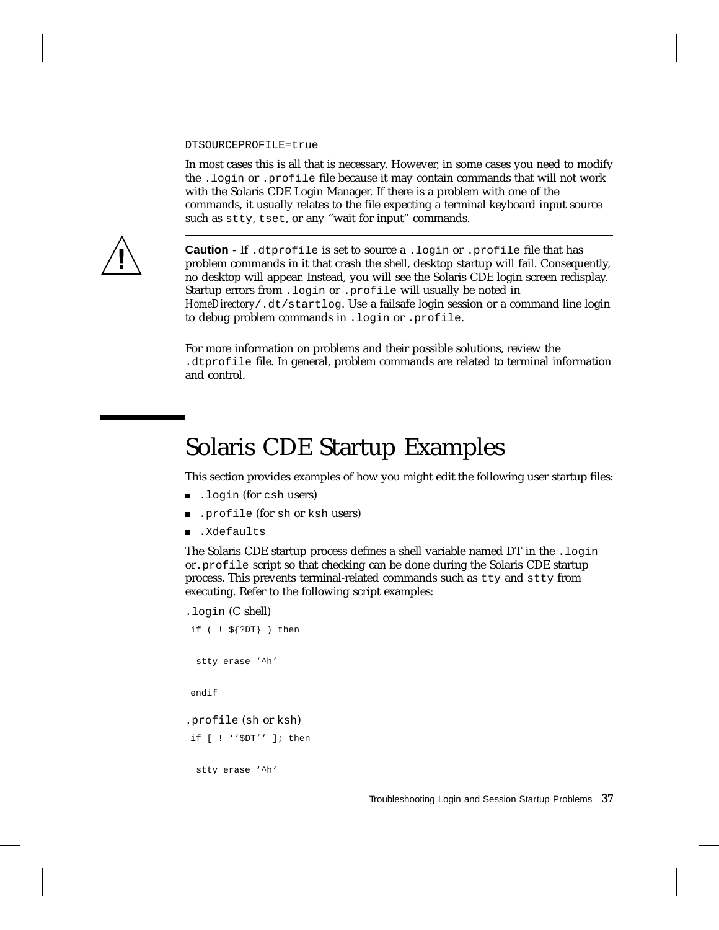#### DTSOURCEPROFILE=true

In most cases this is all that is necessary. However, in some cases you need to modify the .login or .profile file because it may contain commands that will not work with the Solaris CDE Login Manager. If there is a problem with one of the commands, it usually relates to the file expecting a terminal keyboard input source such as stty, tset, or any "wait for input" commands.



**Caution -** If .dtprofile is set to source a .login or .profile file that has problem commands in it that crash the shell, desktop startup will fail. Consequently, no desktop will appear. Instead, you will see the Solaris CDE login screen redisplay. Startup errors from .login or .profile will usually be noted in *HomeDirectory*/.dt/startlog. Use a failsafe login session or a command line login to debug problem commands in .login or .profile.

For more information on problems and their possible solutions, review the .dtprofile file. In general, problem commands are related to terminal information and control.

## Solaris CDE Startup Examples

This section provides examples of how you might edit the following user startup files:

- .login (for csh users)
- .profile (for sh or ksh users)
- .Xdefaults

The Solaris CDE startup process defines a shell variable named DT in the . login or.profile script so that checking can be done during the Solaris CDE startup process. This prevents terminal-related commands such as tty and stty from executing. Refer to the following script examples:

```
.login (C shell)
if ( ! ${?DT} ) then
 stty erase '^h'
endif
.profile (sh or ksh)
if [ ! ''$DT'' ]; then
 stty erase '<sup>^h</sup>'
```
Troubleshooting Login and Session Startup Problems **37**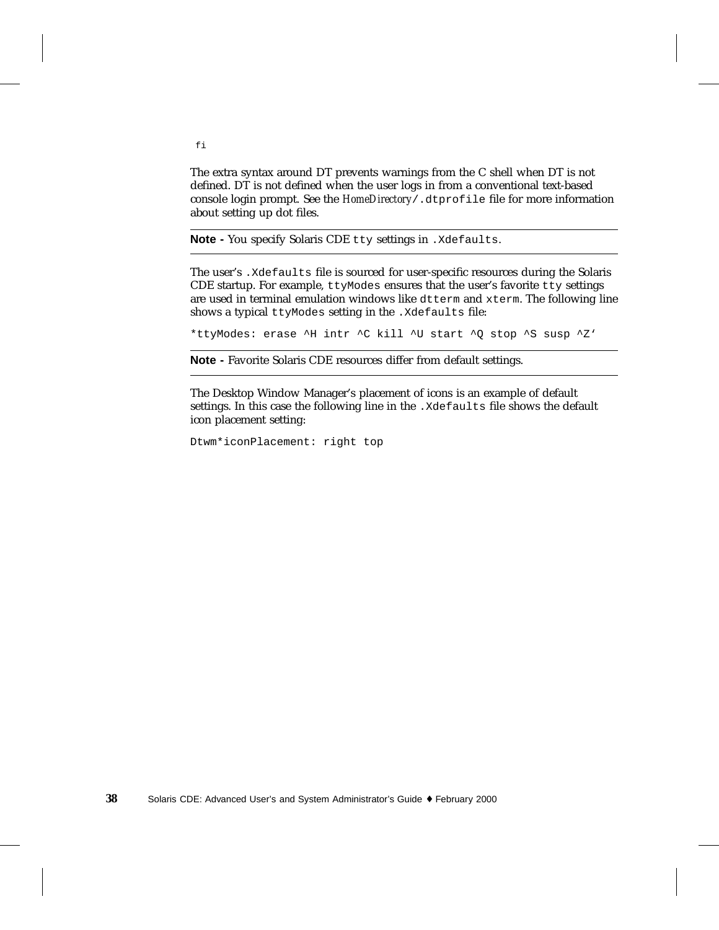The extra syntax around DT prevents warnings from the C shell when DT is not defined. DT is not defined when the user logs in from a conventional text-based console login prompt. See the *HomeDirectory*/.dtprofile file for more information about setting up dot files.

**Note -** You specify Solaris CDE tty settings in .Xdefaults.

The user's .Xdefaults file is sourced for user-specific resources during the Solaris CDE startup. For example, ttyModes ensures that the user's favorite tty settings are used in terminal emulation windows like dtterm and xterm. The following line shows a typical ttyModes setting in the .Xdefaults file:

\*ttyModes: erase ^H intr ^C kill ^U start ^Q stop ^S susp ^Z'

**Note -** Favorite Solaris CDE resources differ from default settings.

The Desktop Window Manager's placement of icons is an example of default settings. In this case the following line in the . Xdefaults file shows the default icon placement setting:

```
Dtwm*iconPlacement: right top
```
**38** Solaris CDE: Advanced User's and System Administrator's Guide ♦ February 2000

fi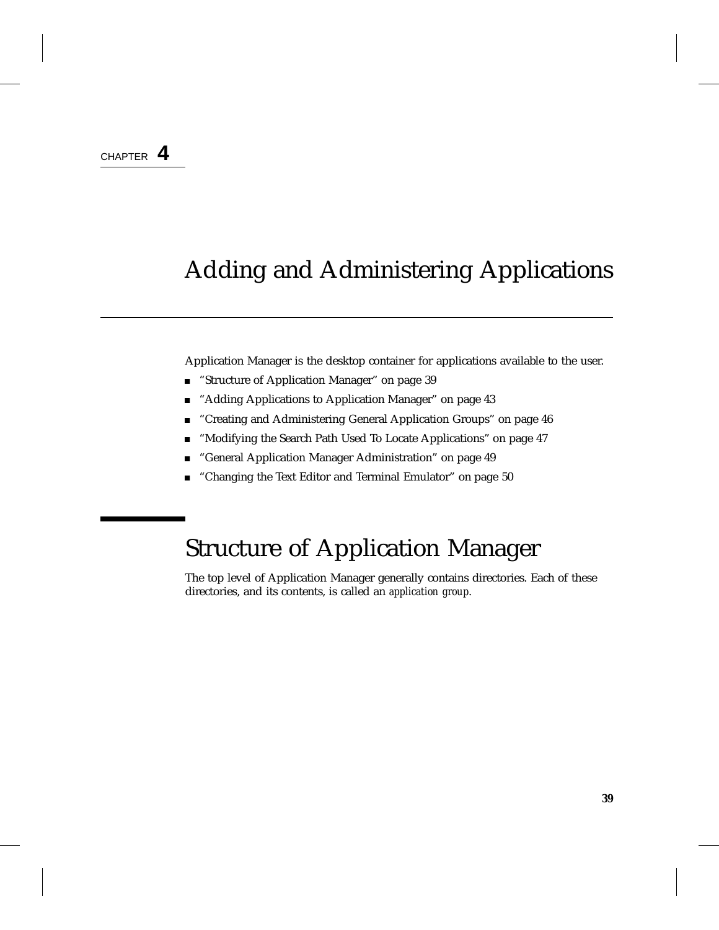#### CHAPTER **4**

# Adding and Administering Applications

Application Manager is the desktop container for applications available to the user.

- "Structure of Application Manager" on page 39
- "Adding Applications to Application Manager" on page 43
- "Creating and Administering General Application Groups" on page 46
- "Modifying the Search Path Used To Locate Applications" on page 47
- "General Application Manager Administration" on page 49
- "Changing the Text Editor and Terminal Emulator" on page 50

# Structure of Application Manager

The top level of Application Manager generally contains directories. Each of these directories, and its contents, is called an *application group*.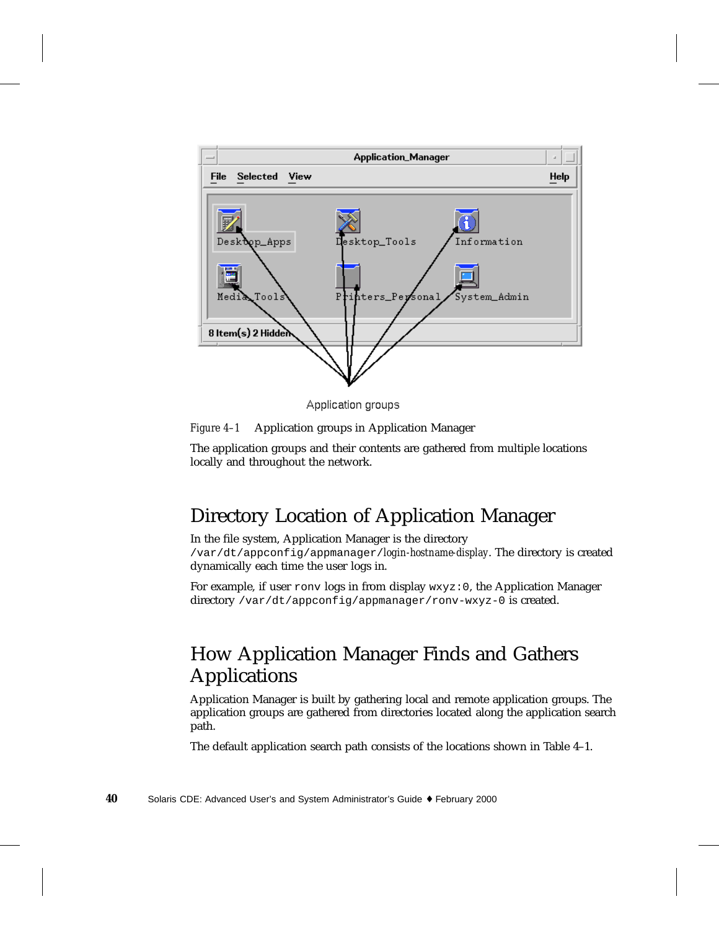

Application groups

*Figure 4–1* Application groups in Application Manager

The application groups and their contents are gathered from multiple locations locally and throughout the network.

### Directory Location of Application Manager

In the file system, Application Manager is the directory

/var/dt/appconfig/appmanager/*login-hostname-display*. The directory is created dynamically each time the user logs in.

For example, if user ronv logs in from display wxyz:0, the Application Manager directory /var/dt/appconfig/appmanager/ronv-wxyz-0 is created.

### How Application Manager Finds and Gathers Applications

Application Manager is built by gathering local and remote application groups. The application groups are gathered from directories located along the application search path.

The default application search path consists of the locations shown in Table 4–1.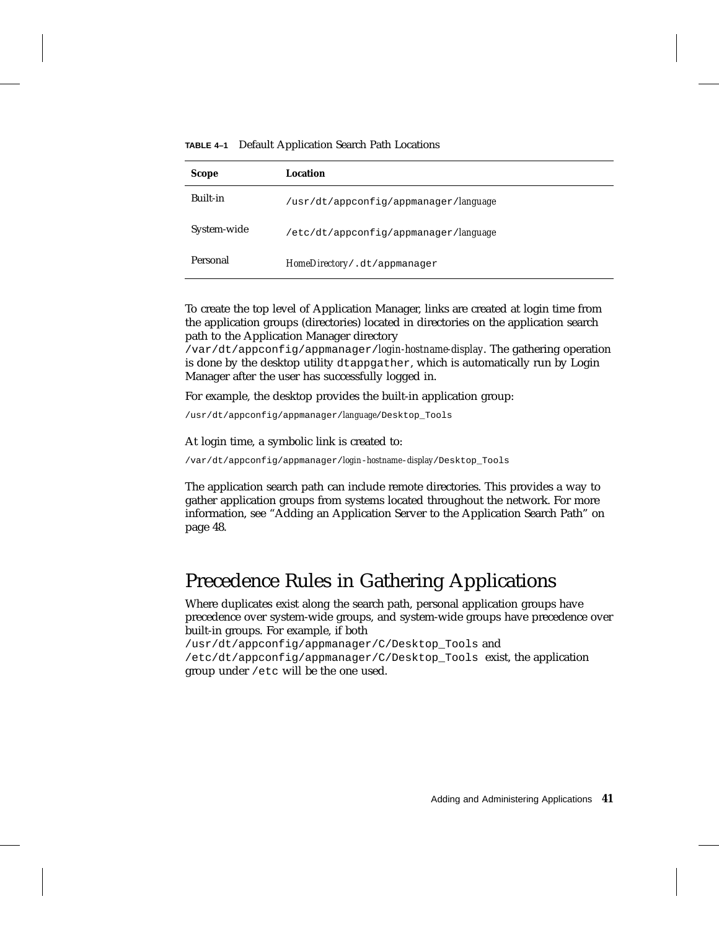**TABLE 4–1** Default Application Search Path Locations

| <b>Scope</b> | Location                              |
|--------------|---------------------------------------|
| Built-in     | /usr/dt/appconfig/appmanager/language |
| System-wide  | /etc/dt/appconfig/appmanager/language |
| Personal     | HomeDirectory/.dt/appmanager          |

To create the top level of Application Manager, links are created at login time from the application groups (directories) located in directories on the application search path to the Application Manager directory

/var/dt/appconfig/appmanager/*login-hostname-display*. The gathering operation is done by the desktop utility dtappgather, which is automatically run by Login Manager after the user has successfully logged in.

For example, the desktop provides the built-in application group:

/usr/dt/appconfig/appmanager/*language*/Desktop\_Tools

At login time, a symbolic link is created to:

/var/dt/appconfig/appmanager/*login*-*hostname*-*display*/Desktop\_Tools

The application search path can include remote directories. This provides a way to gather application groups from systems located throughout the network. For more information, see "Adding an Application Server to the Application Search Path" on page 48.

### Precedence Rules in Gathering Applications

Where duplicates exist along the search path, personal application groups have precedence over system-wide groups, and system-wide groups have precedence over built-in groups. For example, if both

/usr/dt/appconfig/appmanager/C/Desktop\_Tools and /etc/dt/appconfig/appmanager/C/Desktop\_Tools exist, the application group under /etc will be the one used.

Adding and Administering Applications **41**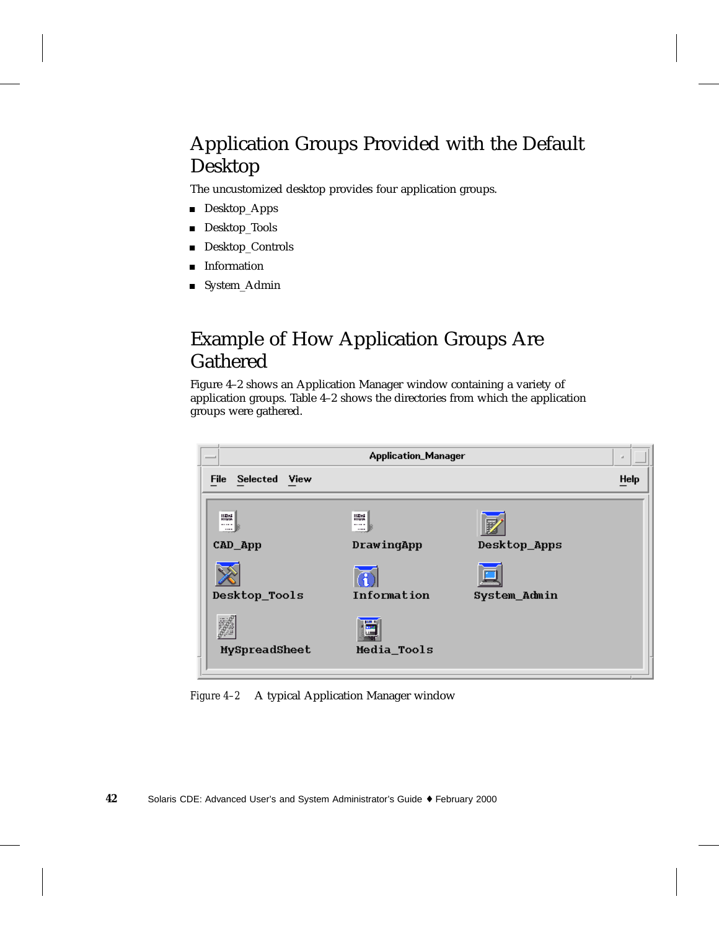### Application Groups Provided with the Default Desktop

The uncustomized desktop provides four application groups.

- Desktop\_Apps
- Desktop\_Tools
- **Desktop\_Controls**
- **Information**
- System\_Admin

### Example of How Application Groups Are Gathered

Figure 4–2 shows an Application Manager window containing a variety of application groups. Table 4–2 shows the directories from which the application groups were gathered.

|                                    | Application_Manager       |                   | u.          |
|------------------------------------|---------------------------|-------------------|-------------|
| Selected<br><b>File</b><br>View    |                           |                   | <b>Help</b> |
| 開発<br>-----<br>$\cdots$<br>CAD_App | <br><br>DrawingApp        | 颬<br>Desktop_Apps |             |
| Desktop_Tools                      | Information               | System_Admin      |             |
| MySpreadSheet                      | <b>MAI</b><br>Media_Tools |                   |             |

*Figure 4–2* A typical Application Manager window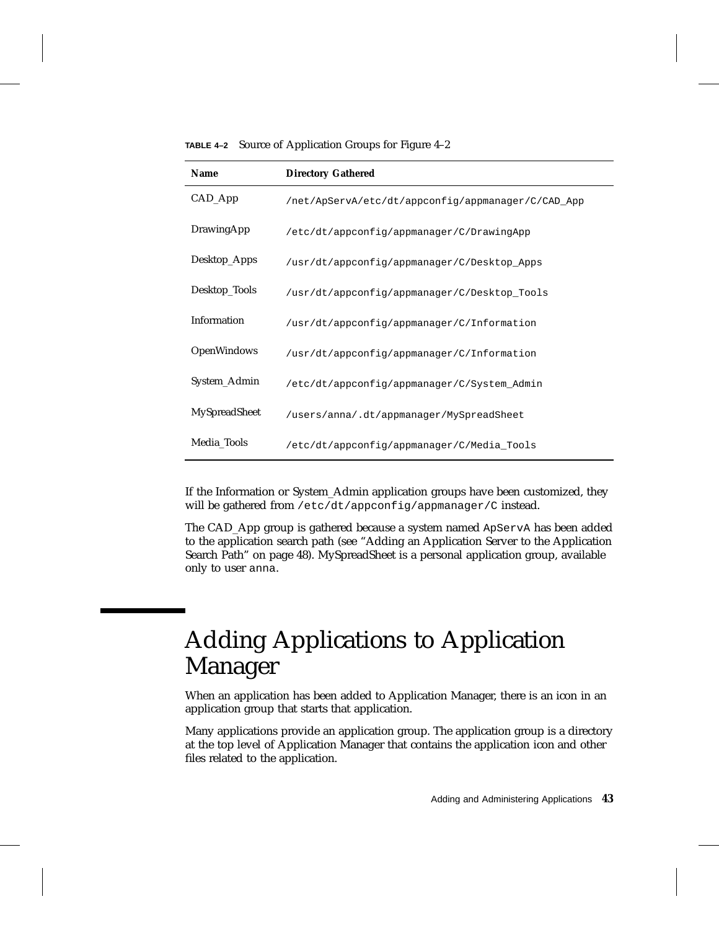**TABLE 4–2** Source of Application Groups for Figure 4–2

| <b>Name</b>        | <b>Directory Gathered</b>                          |
|--------------------|----------------------------------------------------|
| CAD_App            | /net/ApServA/etc/dt/appconfig/appmanager/C/CAD_App |
| DrawingApp         | /etc/dt/appconfig/appmanager/C/DrawingApp          |
| Desktop_Apps       | /usr/dt/appconfig/appmanager/C/Desktop_Apps        |
| Desktop_Tools      | /usr/dt/appconfig/appmanager/C/Desktop_Tools       |
| Information        | /usr/dt/appconfig/appmanager/C/Information         |
| <b>OpenWindows</b> | /usr/dt/appconfig/appmanager/C/Information         |
| System_Admin       | /etc/dt/appconfig/appmanager/C/System_Admin        |
| MySpreadSheet      | /users/anna/.dt/appmanager/MySpreadSheet           |
| Media Tools        | /etc/dt/appconfig/appmanager/C/Media_Tools         |

If the Information or System\_Admin application groups have been customized, they will be gathered from /etc/dt/appconfig/appmanager/C instead.

The CAD\_App group is gathered because a system named ApServA has been added to the application search path (see "Adding an Application Server to the Application Search Path" on page 48). MySpreadSheet is a personal application group, available only to user anna.

# Adding Applications to Application Manager

When an application has been added to Application Manager, there is an icon in an application group that starts that application.

Many applications provide an application group. The application group is a directory at the top level of Application Manager that contains the application icon and other files related to the application.

Adding and Administering Applications **43**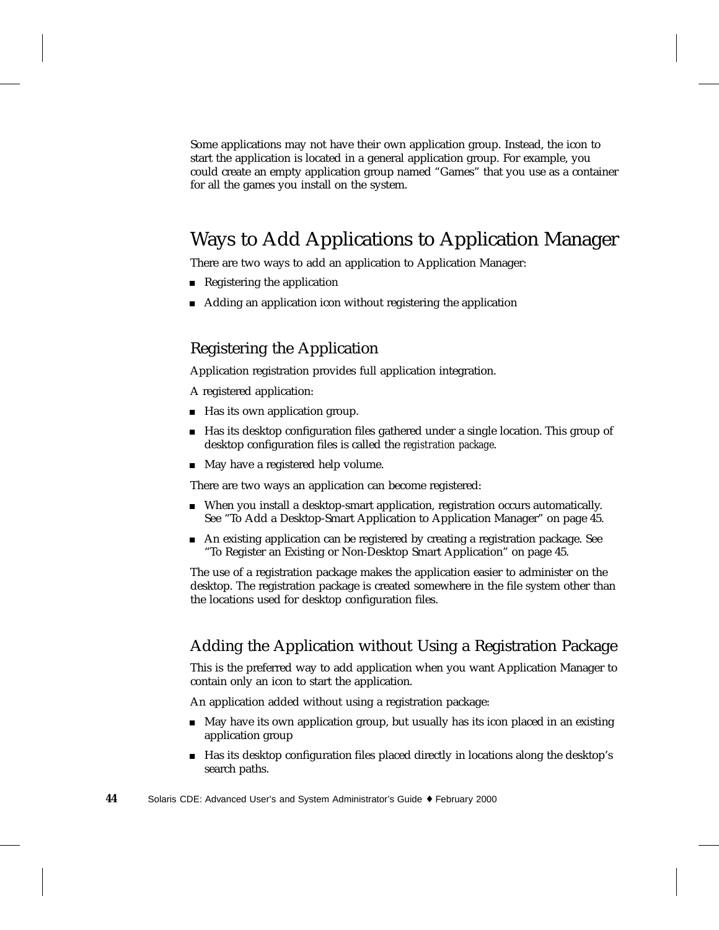Some applications may not have their own application group. Instead, the icon to start the application is located in a general application group. For example, you could create an empty application group named "Games" that you use as a container for all the games you install on the system.

### Ways to Add Applications to Application Manager

There are two ways to add an application to Application Manager:

- Registering the application
- Adding an application icon without registering the application

#### Registering the Application

Application registration provides full application integration.

A registered application:

- Has its own application group.
- Has its desktop configuration files gathered under a single location. This group of desktop configuration files is called the *registration package*.
- May have a registered help volume.

There are two ways an application can become registered:

- When you install a desktop-smart application, registration occurs automatically. See "To Add a Desktop-Smart Application to Application Manager" on page 45.
- An existing application can be registered by creating a registration package. See "To Register an Existing or Non-Desktop Smart Application" on page 45.

The use of a registration package makes the application easier to administer on the desktop. The registration package is created somewhere in the file system other than the locations used for desktop configuration files.

#### Adding the Application without Using a Registration Package

This is the preferred way to add application when you want Application Manager to contain only an icon to start the application.

An application added without using a registration package:

- May have its own application group, but usually has its icon placed in an existing application group
- Has its desktop configuration files placed directly in locations along the desktop's search paths.
- **44** Solaris CDE: Advanced User's and System Administrator's Guide ♦ February 2000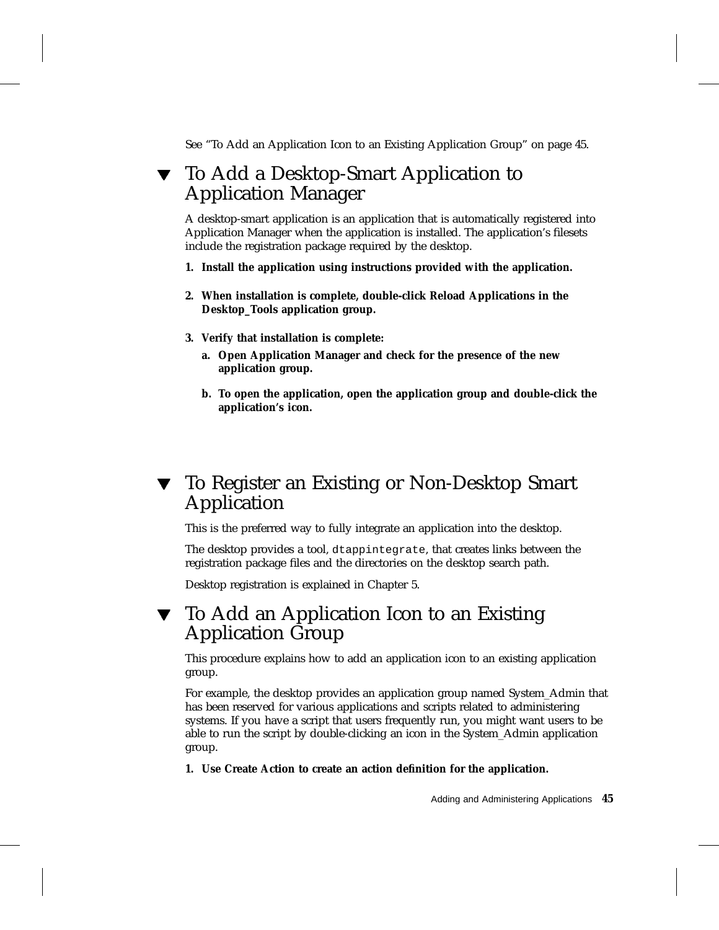See "To Add an Application Icon to an Existing Application Group" on page 45.

### To Add a Desktop-Smart Application to Application Manager

A desktop-smart application is an application that is automatically registered into Application Manager when the application is installed. The application's filesets include the registration package required by the desktop.

- **1. Install the application using instructions provided with the application.**
- **2. When installation is complete, double-click Reload Applications in the Desktop\_Tools application group.**
- **3. Verify that installation is complete:**
	- **a. Open Application Manager and check for the presence of the new application group.**
	- **b. To open the application, open the application group and double-click the application's icon.**

### To Register an Existing or Non-Desktop Smart Application

This is the preferred way to fully integrate an application into the desktop.

The desktop provides a tool, dtappintegrate, that creates links between the registration package files and the directories on the desktop search path.

Desktop registration is explained in Chapter 5.

### ▼ To Add an Application Icon to an Existing Application Group

This procedure explains how to add an application icon to an existing application group.

For example, the desktop provides an application group named System\_Admin that has been reserved for various applications and scripts related to administering systems. If you have a script that users frequently run, you might want users to be able to run the script by double-clicking an icon in the System\_Admin application group.

**1. Use Create Action to create an action definition for the application.**

Adding and Administering Applications **45**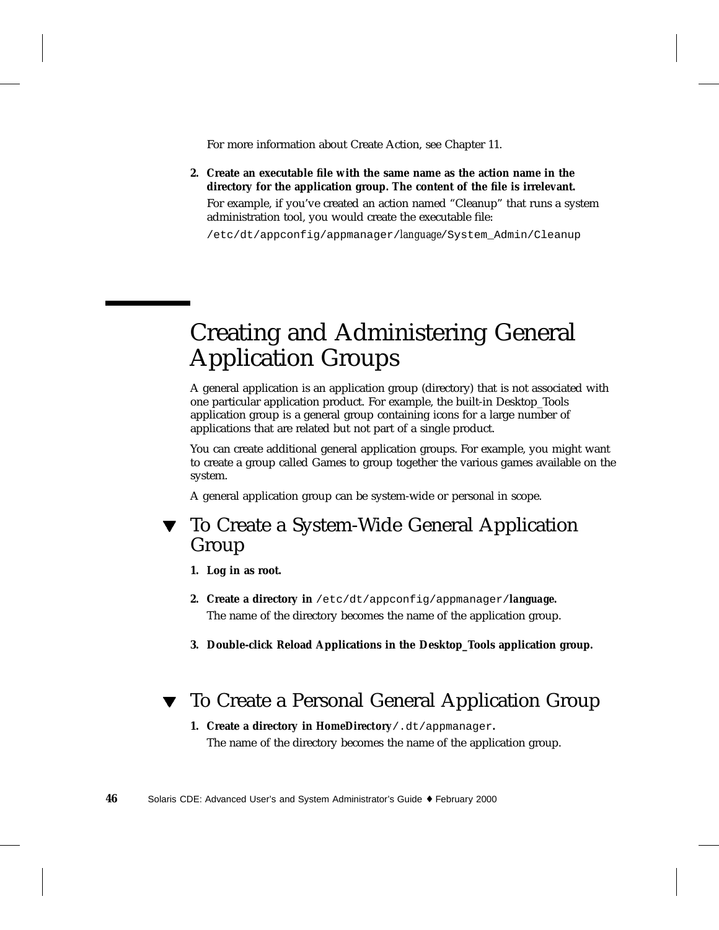For more information about Create Action, see Chapter 11.

**2. Create an executable file with the same name as the action name in the directory for the application group. The content of the file is irrelevant.** For example, if you've created an action named "Cleanup" that runs a system administration tool, you would create the executable file:

/etc/dt/appconfig/appmanager/*language*/System\_Admin/Cleanup

# Creating and Administering General Application Groups

A general application is an application group (directory) that is not associated with one particular application product. For example, the built-in Desktop\_Tools application group is a general group containing icons for a large number of applications that are related but not part of a single product.

You can create additional general application groups. For example, you might want to create a group called Games to group together the various games available on the system.

A general application group can be system-wide or personal in scope.

### To Create a System-Wide General Application Group

- **1. Log in as root.**
- **2. Create a directory in** /etc/dt/appconfig/appmanager/*language***.** The name of the directory becomes the name of the application group.
- **3. Double-click Reload Applications in the Desktop\_Tools application group.**

#### To Create a Personal General Application Group v.

**1. Create a directory in** *HomeDirectory*/.dt/appmanager**.** The name of the directory becomes the name of the application group.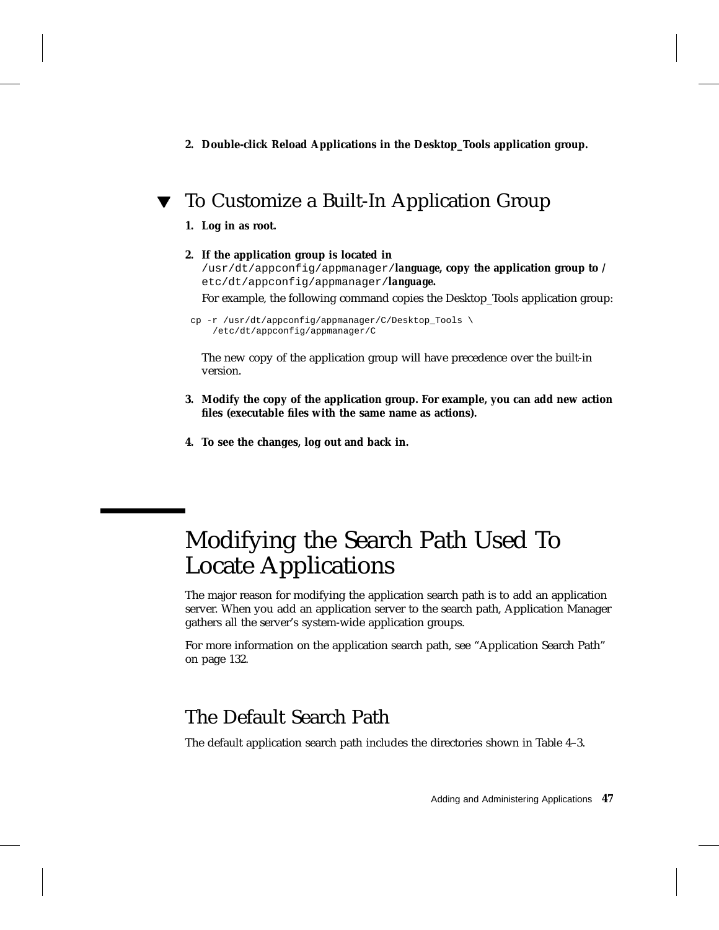**2. Double-click Reload Applications in the Desktop\_Tools application group.**

### To Customize a Built-In Application Group

#### **1. Log in as root.**

**2. If the application group is located in**

/usr/dt/appconfig/appmanager/*language***, copy the application group to /** etc/dt/appconfig/appmanager/*language***.**

For example, the following command copies the Desktop\_Tools application group:

```
cp -r /usr/dt/appconfig/appmanager/C/Desktop_Tools \
    /etc/dt/appconfig/appmanager/C
```
The new copy of the application group will have precedence over the built-in version.

- **3. Modify the copy of the application group. For example, you can add new action files (executable files with the same name as actions).**
- **4. To see the changes, log out and back in.**

# Modifying the Search Path Used To Locate Applications

The major reason for modifying the application search path is to add an application server. When you add an application server to the search path, Application Manager gathers all the server's system-wide application groups.

For more information on the application search path, see "Application Search Path" on page 132.

### The Default Search Path

The default application search path includes the directories shown in Table 4–3.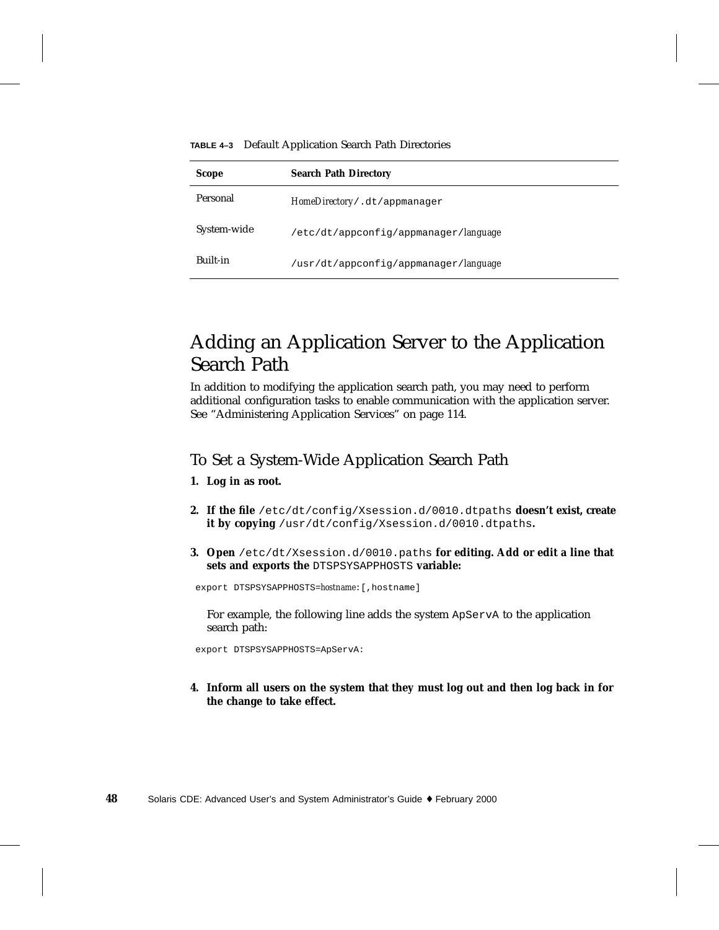**TABLE 4–3** Default Application Search Path Directories

| <b>Scope</b> | <b>Search Path Directory</b>          |
|--------------|---------------------------------------|
| Personal     | HomeDirectory/.dt/appmanager          |
| System-wide  | /etc/dt/appconfig/appmanager/language |
| Built-in     | /usr/dt/appconfig/appmanager/language |

### Adding an Application Server to the Application Search Path

In addition to modifying the application search path, you may need to perform additional configuration tasks to enable communication with the application server. See "Administering Application Services" on page 114.

#### To Set a System-Wide Application Search Path

- **1. Log in as root.**
- **2. If the file** /etc/dt/config/Xsession.d/0010.dtpaths **doesn't exist, create it by copying** /usr/dt/config/Xsession.d/0010.dtpaths**.**
- **3. Open** /etc/dt/Xsession.d/0010.paths **for editing. Add or edit a line that sets and exports the** DTSPSYSAPPHOSTS **variable:**

export DTSPSYSAPPHOSTS=*hostname*:[,hostname]

For example, the following line adds the system ApServA to the application search path:

export DTSPSYSAPPHOSTS=ApServA:

**4. Inform all users on the system that they must log out and then log back in for the change to take effect.**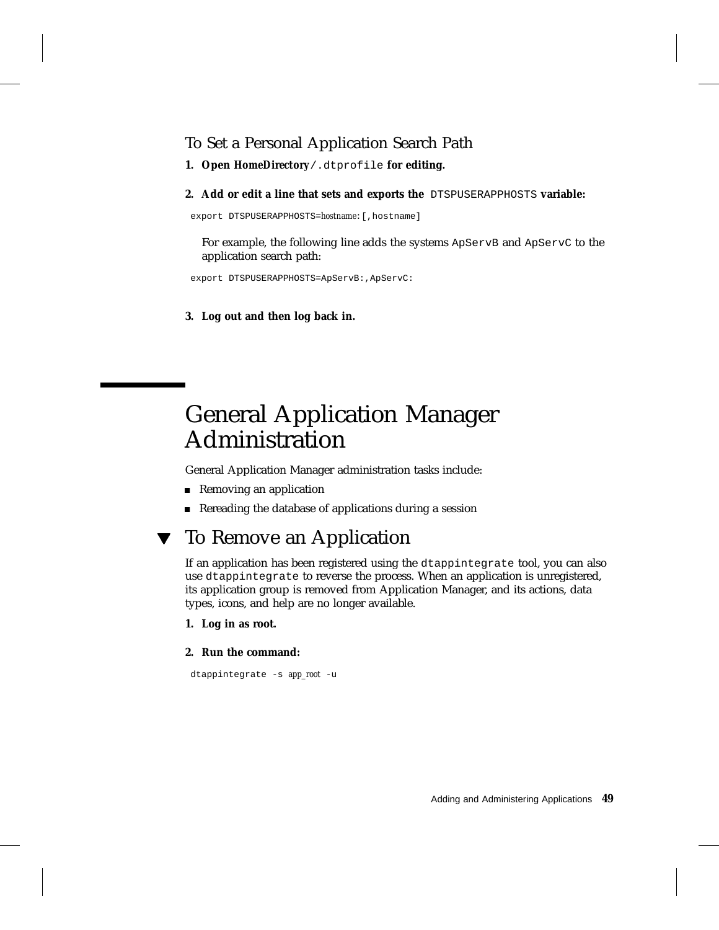#### To Set a Personal Application Search Path

- **1. Open** *HomeDirectory*/.dtprofile **for editing.**
- **2. Add or edit a line that sets and exports the** DTSPUSERAPPHOSTS **variable:**

export DTSPUSERAPPHOSTS=*hostname*:[,hostname]

For example, the following line adds the systems ApServB and ApServC to the application search path:

export DTSPUSERAPPHOSTS=ApServB:,ApServC:

**3. Log out and then log back in.**

# General Application Manager Administration

General Application Manager administration tasks include:

- **Removing an application**
- Rereading the database of applications during a session

### To Remove an Application

If an application has been registered using the dtappintegrate tool, you can also use dtappintegrate to reverse the process. When an application is unregistered, its application group is removed from Application Manager, and its actions, data types, icons, and help are no longer available.

**1. Log in as root.**

#### **2. Run the command:**

```
dtappintegrate -s app_root -u
```
Adding and Administering Applications **49**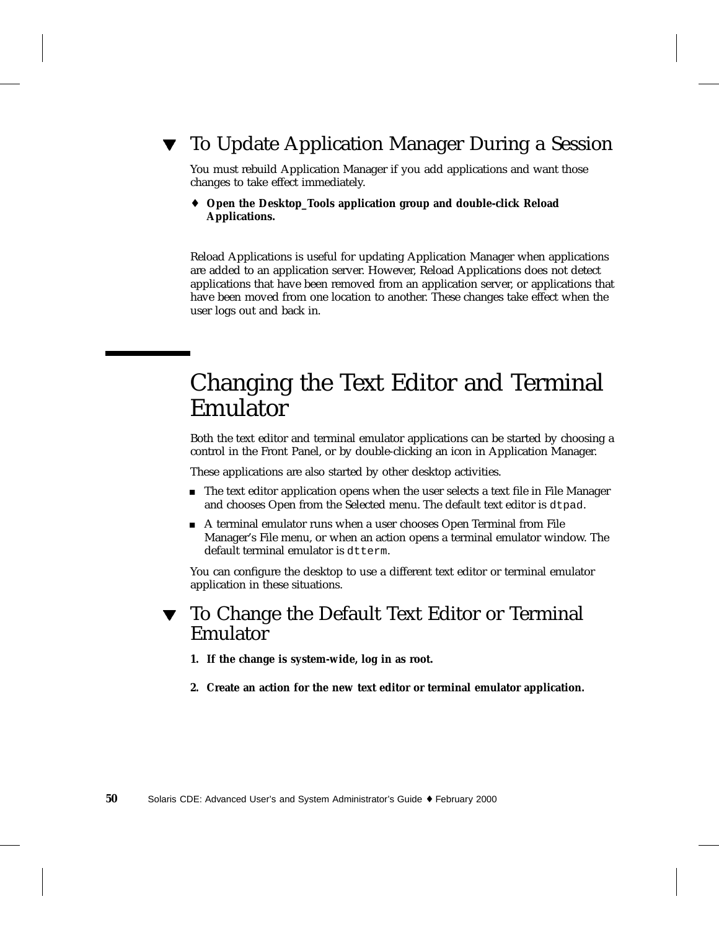### To Update Application Manager During a Session

You must rebuild Application Manager if you add applications and want those changes to take effect immediately.

♦ **Open the Desktop\_Tools application group and double-click Reload Applications.**

Reload Applications is useful for updating Application Manager when applications are added to an application server. However, Reload Applications does not detect applications that have been removed from an application server, or applications that have been moved from one location to another. These changes take effect when the user logs out and back in.

# Changing the Text Editor and Terminal Emulator

Both the text editor and terminal emulator applications can be started by choosing a control in the Front Panel, or by double-clicking an icon in Application Manager.

These applications are also started by other desktop activities.

- The text editor application opens when the user selects a text file in File Manager and chooses Open from the Selected menu. The default text editor is dtpad.
- A terminal emulator runs when a user chooses Open Terminal from File Manager's File menu, or when an action opens a terminal emulator window. The default terminal emulator is dtterm.

You can configure the desktop to use a different text editor or terminal emulator application in these situations.

### ▼ To Change the Default Text Editor or Terminal Emulator

- **1. If the change is system-wide, log in as root.**
- **2. Create an action for the new text editor or terminal emulator application.**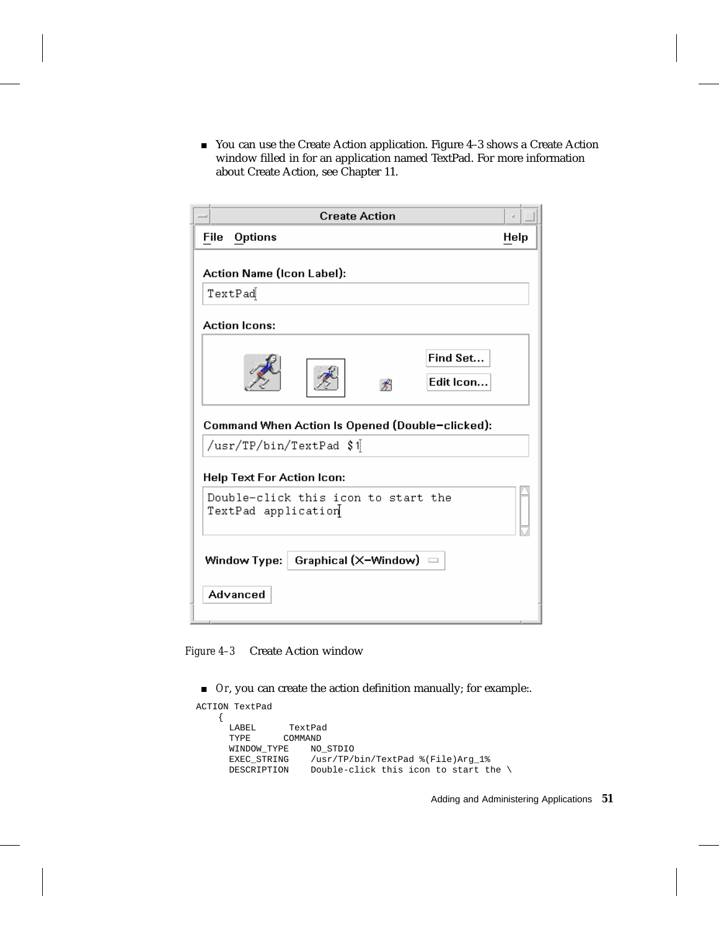■ You can use the Create Action application. Figure 4-3 shows a Create Action window filled in for an application named TextPad. For more information about Create Action, see Chapter 11.

| <b>Create Action</b>                                       |      |
|------------------------------------------------------------|------|
| File<br>Options                                            | Help |
| Action Name (Icon Label):                                  |      |
| TextPad                                                    |      |
| <b>Action Icons:</b>                                       |      |
| Find Set<br>Edit Icon<br>A                                 |      |
| Command When Action Is Opened (Double-clicked):            |      |
| /usr/TP/bin/TextPad \$1                                    |      |
| <b>Help Text For Action Icon:</b>                          |      |
| Double-click this icon to start the<br>TextPad application |      |
| Graphical ( $X$ –Window) $\Box$<br>Window Type:            |      |
| Advanced                                                   |      |

*Figure 4–3* Create Action window

 $Or$ , you can create the action definition manually; for example:.

| ACTION TextPad |         |                                                 |
|----------------|---------|-------------------------------------------------|
|                |         |                                                 |
| LABEL          | TextPad |                                                 |
| TYPE           | COMMAND |                                                 |
| WINDOW TYPE    |         | NO STDIO                                        |
| EXEC STRING    |         | /usr/TP/bin/TextPad %(File)Arg 1%               |
| DESCRIPTION    |         | Double-click this icon to start the $\setminus$ |
|                |         |                                                 |

Adding and Administering Applications **51**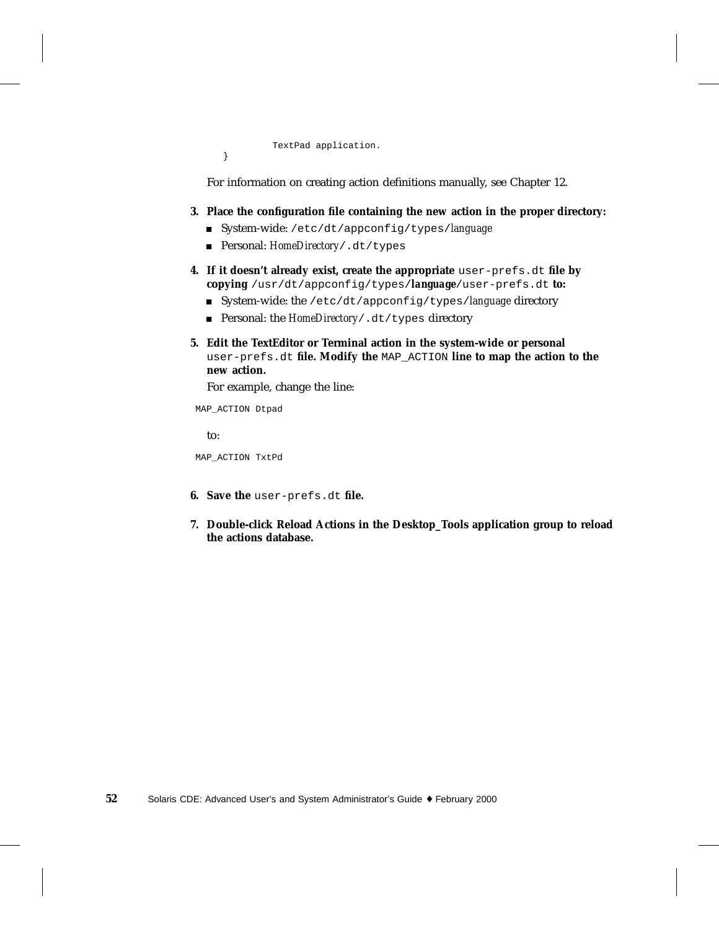TextPad application.

For information on creating action definitions manually, see Chapter 12.

- **3. Place the configuration file containing the new action in the proper directory:**
	- System-wide: /etc/dt/appconfig/types/*language*
	- Personal: *HomeDirectory*/.dt/types
- **4. If it doesn't already exist, create the appropriate** user-prefs.dt **file by copying** /usr/dt/appconfig/types/*language*/user-prefs.dt **to:**
	- System-wide: the /etc/dt/appconfig/types/*language* directory
	- Personal: the *HomeDirectory*/.dt/types directory
- **5. Edit the TextEditor or Terminal action in the system-wide or personal** user-prefs.dt **file. Modify the** MAP\_ACTION **line to map the action to the new action.**

For example, change the line:

MAP\_ACTION Dtpad to: MAP\_ACTION TxtPd

}

- **6. Save the** user-prefs.dt **file.**
- **7. Double-click Reload Actions in the Desktop\_Tools application group to reload the actions database.**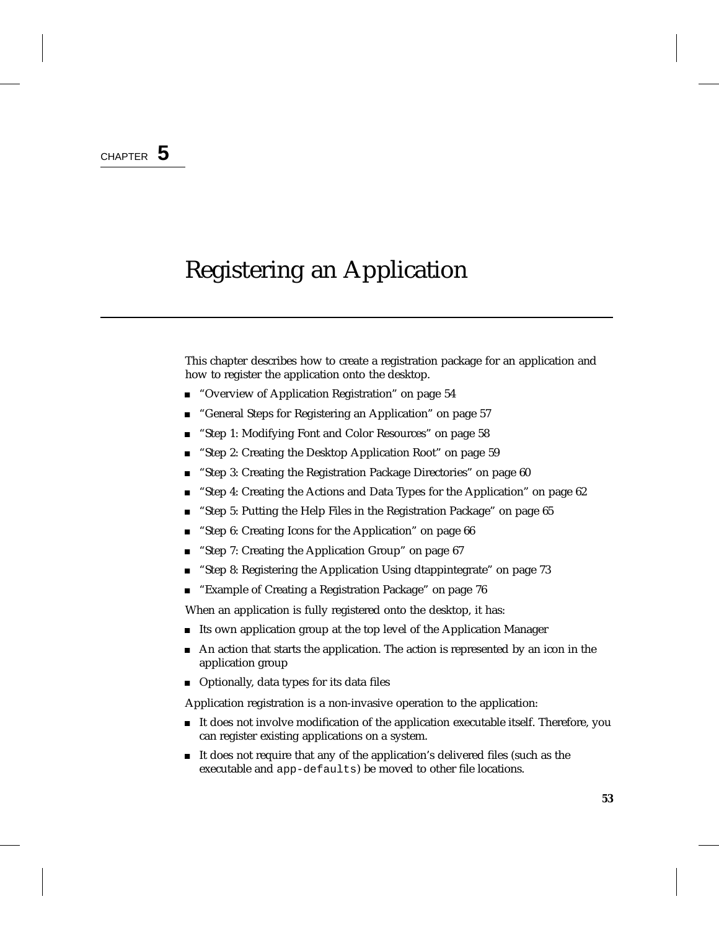## CHAPTER **5**

# Registering an Application

This chapter describes how to create a registration package for an application and how to register the application onto the desktop.

- "Overview of Application Registration" on page 54
- "General Steps for Registering an Application" on page 57
- "Step 1: Modifying Font and Color Resources" on page 58
- "Step 2: Creating the Desktop Application Root" on page 59
- "Step 3: Creating the Registration Package Directories" on page 60
- "Step 4: Creating the Actions and Data Types for the Application" on page 62
- "Step 5: Putting the Help Files in the Registration Package" on page 65
- "Step 6: Creating Icons for the Application" on page 66
- "Step 7: Creating the Application Group" on page 67
- "Step 8: Registering the Application Using dtappintegrate" on page 73
- "Example of Creating a Registration Package" on page 76

When an application is fully registered onto the desktop, it has:

- Its own application group at the top level of the Application Manager
- An action that starts the application. The action is represented by an icon in the application group
- Optionally, data types for its data files

Application registration is a non-invasive operation to the application:

- It does not involve modification of the application executable itself. Therefore, you can register existing applications on a system.
- It does not require that any of the application's delivered files (such as the executable and app-defaults) be moved to other file locations.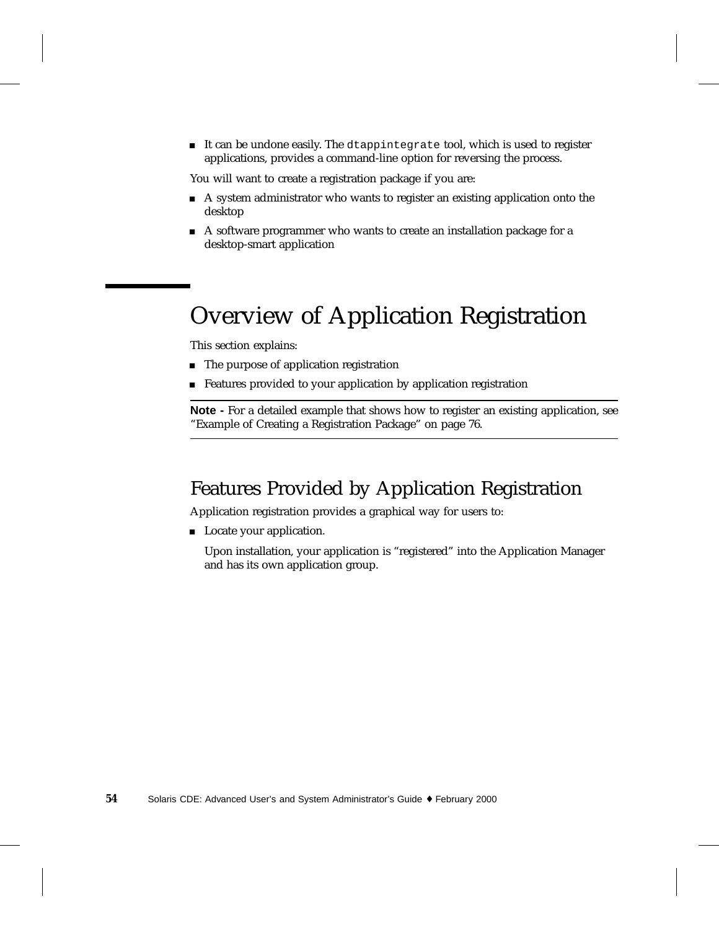It can be undone easily. The dtappintegrate tool, which is used to register applications, provides a command-line option for reversing the process.

You will want to create a registration package if you are:

- A system administrator who wants to register an existing application onto the desktop
- A software programmer who wants to create an installation package for a desktop-smart application

# Overview of Application Registration

This section explains:

- The purpose of application registration
- Features provided to your application by application registration

**Note -** For a detailed example that shows how to register an existing application, see "Example of Creating a Registration Package" on page 76.

## Features Provided by Application Registration

Application registration provides a graphical way for users to:

**Locate your application.** 

Upon installation, your application is "registered" into the Application Manager and has its own application group.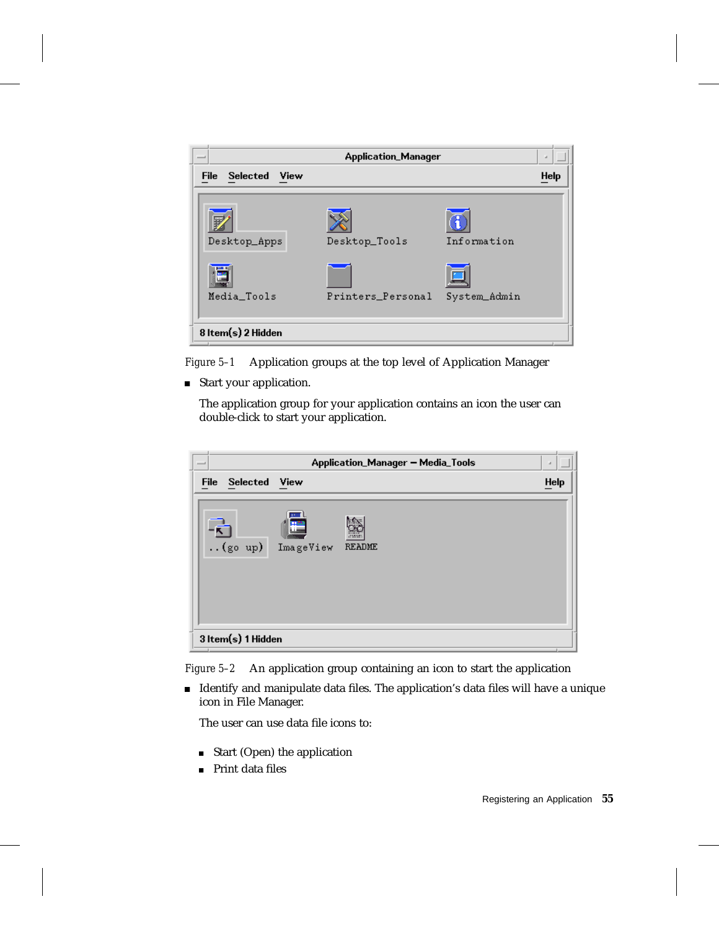

*Figure 5–1* Application groups at the top level of Application Manager

Start your application.

The application group for your application contains an icon the user can double-click to start your application.

| $\overline{\phantom{0}}$                      | Application_Manager - Media_Tools   | ш           |
|-----------------------------------------------|-------------------------------------|-------------|
| <b>Selected</b><br><b>File</b>                | View                                | <b>Help</b> |
| -리<br>$\overline{\cdot \cdot (g_0 \cdot up)}$ | 13.00<br><b>README</b><br>ImageView |             |
| 3 Item(s) 1 Hidden                            |                                     |             |

*Figure 5–2* An application group containing an icon to start the application

 Identify and manipulate data files. The application's data files will have a unique icon in File Manager.

The user can use data file icons to:

- Start (Open) the application
- Print data files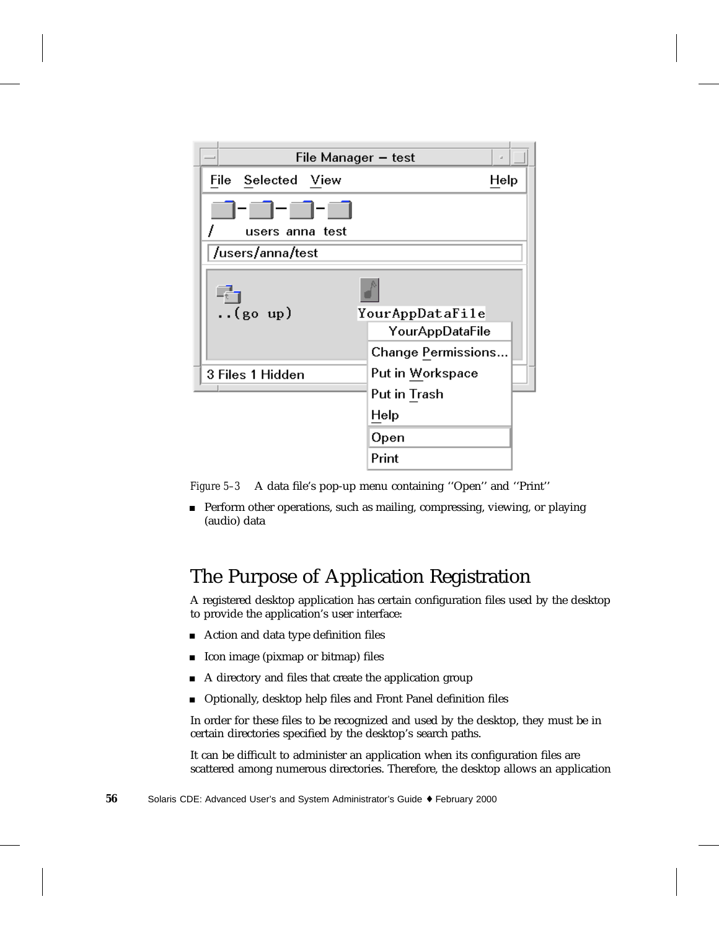

*Figure 5–3* A data file's pop-up menu containing ''Open'' and ''Print''

 Perform other operations, such as mailing, compressing, viewing, or playing (audio) data

## The Purpose of Application Registration

A registered desktop application has certain configuration files used by the desktop to provide the application's user interface:

- Action and data type definition files
- $\blacksquare$  Icon image (pixmap or bitmap) files
- A directory and files that create the application group
- Optionally, desktop help files and Front Panel definition files

In order for these files to be recognized and used by the desktop, they must be in certain directories specified by the desktop's search paths.

It can be difficult to administer an application when its configuration files are scattered among numerous directories. Therefore, the desktop allows an application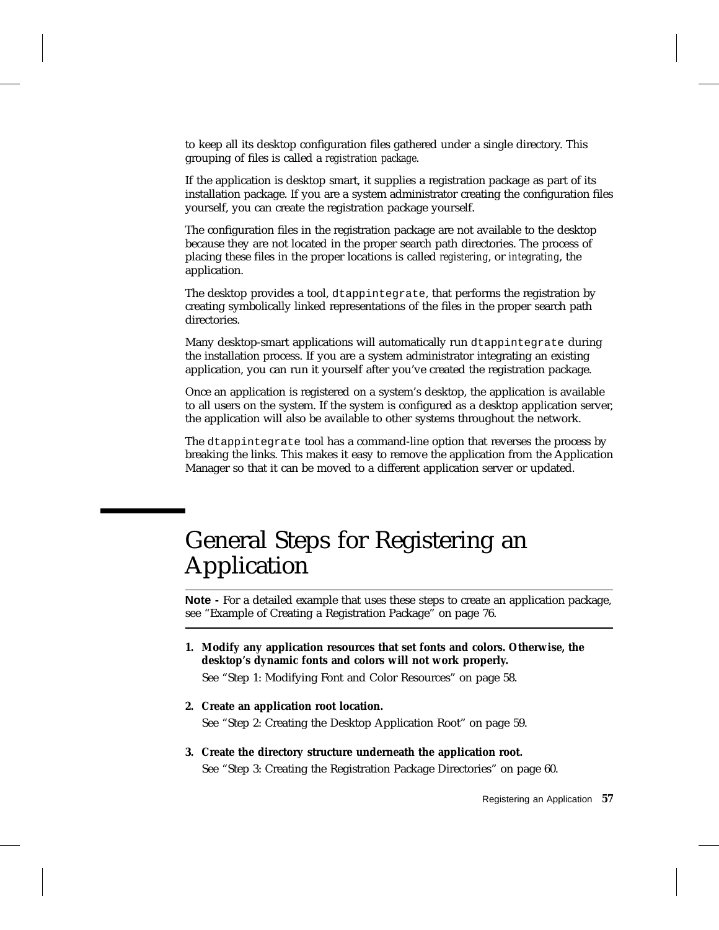to keep all its desktop configuration files gathered under a single directory. This grouping of files is called a *registration package*.

If the application is desktop smart, it supplies a registration package as part of its installation package. If you are a system administrator creating the configuration files yourself, you can create the registration package yourself.

The configuration files in the registration package are not available to the desktop because they are not located in the proper search path directories. The process of placing these files in the proper locations is called *registering*, or *integrating*, the application.

The desktop provides a tool, dtappintegrate, that performs the registration by creating symbolically linked representations of the files in the proper search path directories.

Many desktop-smart applications will automatically run dtappintegrate during the installation process. If you are a system administrator integrating an existing application, you can run it yourself after you've created the registration package.

Once an application is registered on a system's desktop, the application is available to all users on the system. If the system is configured as a desktop application server, the application will also be available to other systems throughout the network.

The dtappintegrate tool has a command-line option that reverses the process by breaking the links. This makes it easy to remove the application from the Application Manager so that it can be moved to a different application server or updated.

# General Steps for Registering an Application

**Note -** For a detailed example that uses these steps to create an application package, see "Example of Creating a Registration Package" on page 76.

**1. Modify any application resources that set fonts and colors. Otherwise, the desktop's dynamic fonts and colors will not work properly.**

See "Step 1: Modifying Font and Color Resources" on page 58.

**2. Create an application root location.**

See "Step 2: Creating the Desktop Application Root" on page 59.

**3. Create the directory structure underneath the application root.** See "Step 3: Creating the Registration Package Directories" on page 60.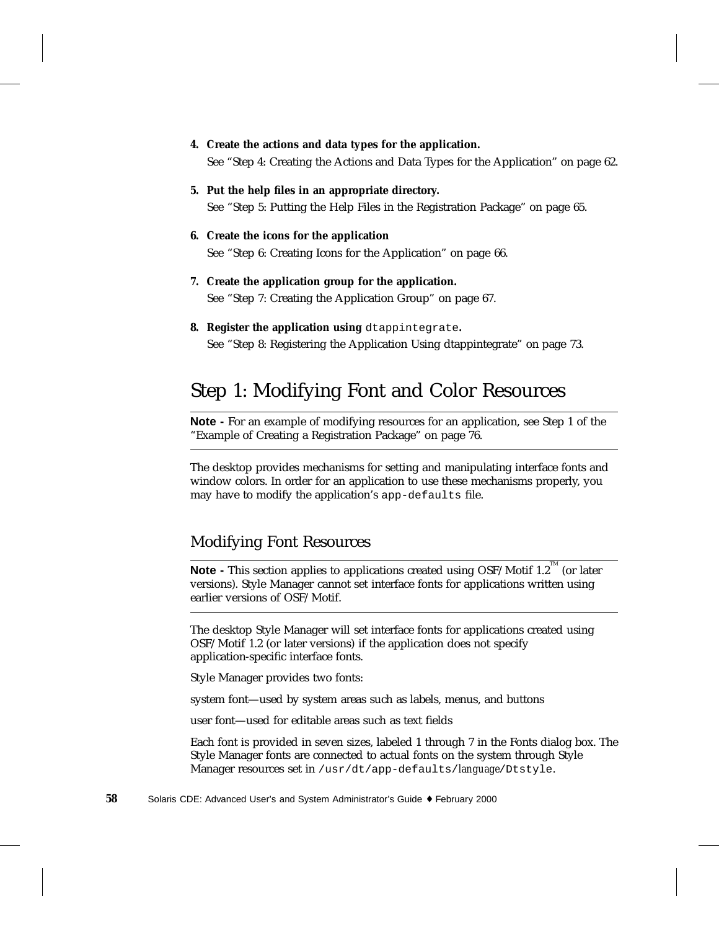**4. Create the actions and data types for the application.**

See "Step 4: Creating the Actions and Data Types for the Application" on page 62.

- **5. Put the help files in an appropriate directory.** See "Step 5: Putting the Help Files in the Registration Package" on page 65.
- **6. Create the icons for the application** See "Step 6: Creating Icons for the Application" on page 66.
- **7. Create the application group for the application.** See "Step 7: Creating the Application Group" on page 67.
- **8. Register the application using** dtappintegrate**.** See "Step 8: Registering the Application Using dtappintegrate" on page 73.

## Step 1: Modifying Font and Color Resources

**Note -** For an example of modifying resources for an application, see Step 1 of the "Example of Creating a Registration Package" on page 76.

The desktop provides mechanisms for setting and manipulating interface fonts and window colors. In order for an application to use these mechanisms properly, you may have to modify the application's app-defaults file.

### Modifying Font Resources

**Note -** This section applies to applications created using OSF/Motif 1.2 $^{\mathbb{M}}$  (or later versions). Style Manager cannot set interface fonts for applications written using earlier versions of OSF/Motif.

The desktop Style Manager will set interface fonts for applications created using OSF/Motif 1.2 (or later versions) if the application does not specify application-specific interface fonts.

Style Manager provides two fonts:

system font—used by system areas such as labels, menus, and buttons

user font—used for editable areas such as text fields

Each font is provided in seven sizes, labeled 1 through 7 in the Fonts dialog box. The Style Manager fonts are connected to actual fonts on the system through Style Manager resources set in /usr/dt/app-defaults/*language*/Dtstyle.

**58** Solaris CDE: Advanced User's and System Administrator's Guide ♦ February 2000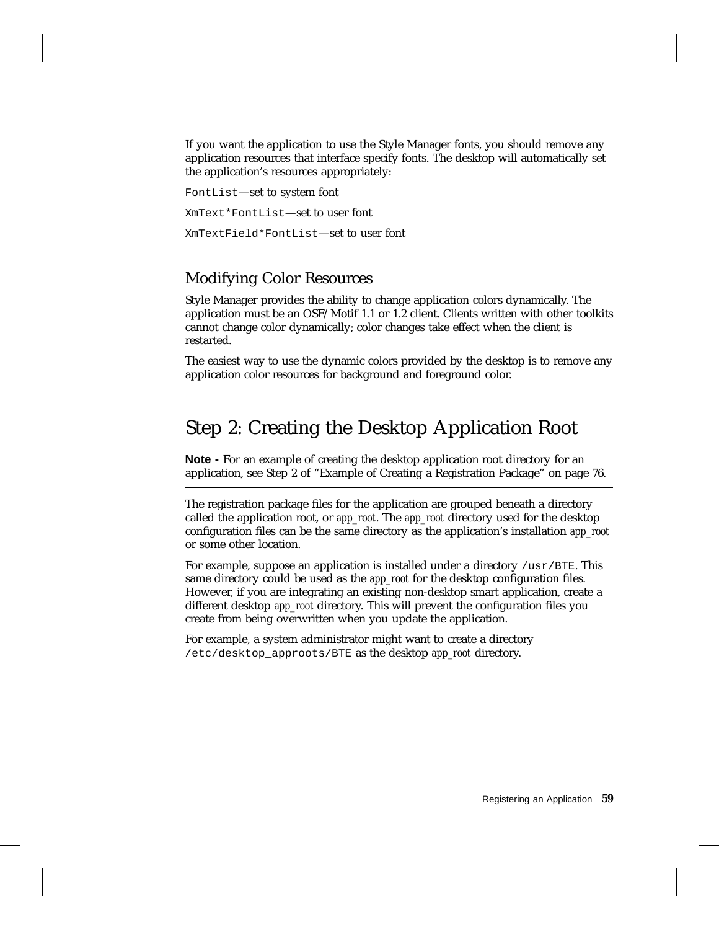If you want the application to use the Style Manager fonts, you should remove any application resources that interface specify fonts. The desktop will automatically set the application's resources appropriately:

FontList—set to system font XmText\*FontList—set to user font XmTextField\*FontList—set to user font

### Modifying Color Resources

Style Manager provides the ability to change application colors dynamically. The application must be an OSF/Motif 1.1 or 1.2 client. Clients written with other toolkits cannot change color dynamically; color changes take effect when the client is restarted.

The easiest way to use the dynamic colors provided by the desktop is to remove any application color resources for background and foreground color.

## Step 2: Creating the Desktop Application Root

**Note -** For an example of creating the desktop application root directory for an application, see Step 2 of "Example of Creating a Registration Package" on page 76.

The registration package files for the application are grouped beneath a directory called the application root, or *app\_root*. The *app\_root* directory used for the desktop configuration files can be the same directory as the application's installation *app\_root* or some other location.

For example, suppose an application is installed under a directory  $/\text{usr}/\text{BTE}$ . This same directory could be used as the *app\_root* for the desktop configuration files. However, if you are integrating an existing non-desktop smart application, create a different desktop *app\_root* directory. This will prevent the configuration files you create from being overwritten when you update the application.

For example, a system administrator might want to create a directory /etc/desktop\_approots/BTE as the desktop *app\_root* directory.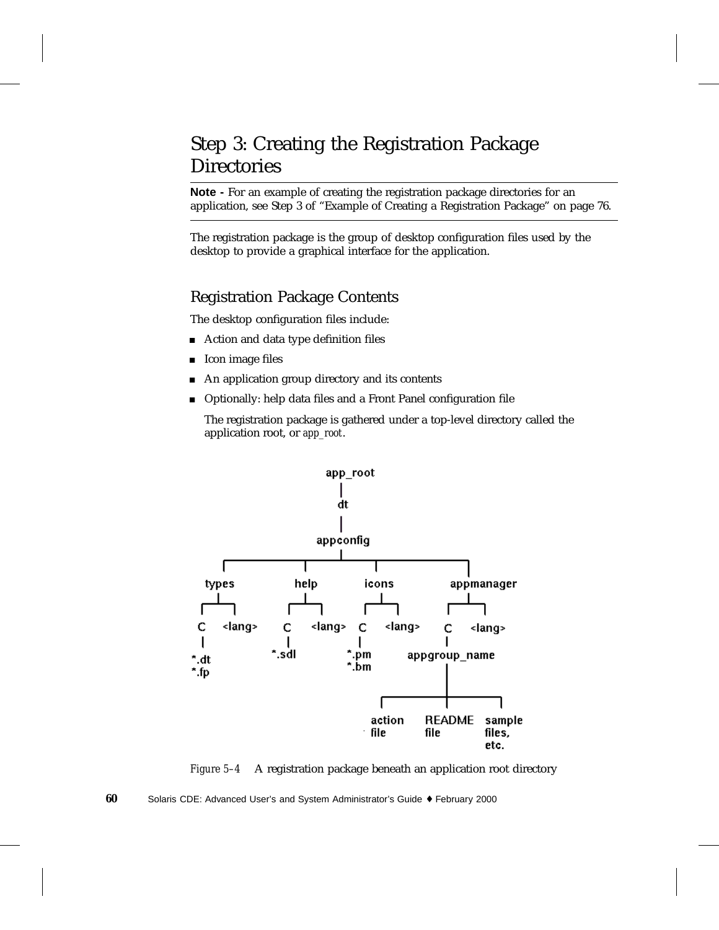## Step 3: Creating the Registration Package **Directories**

**Note -** For an example of creating the registration package directories for an application, see Step 3 of "Example of Creating a Registration Package" on page 76.

The registration package is the group of desktop configuration files used by the desktop to provide a graphical interface for the application.

### Registration Package Contents

The desktop configuration files include:

- Action and data type definition files
- **Icon image files**
- An application group directory and its contents
- Optionally: help data files and a Front Panel configuration file

The registration package is gathered under a top-level directory called the application root, or *app\_root*.



*Figure 5–4* A registration package beneath an application root directory

**60** Solaris CDE: Advanced User's and System Administrator's Guide ♦ February 2000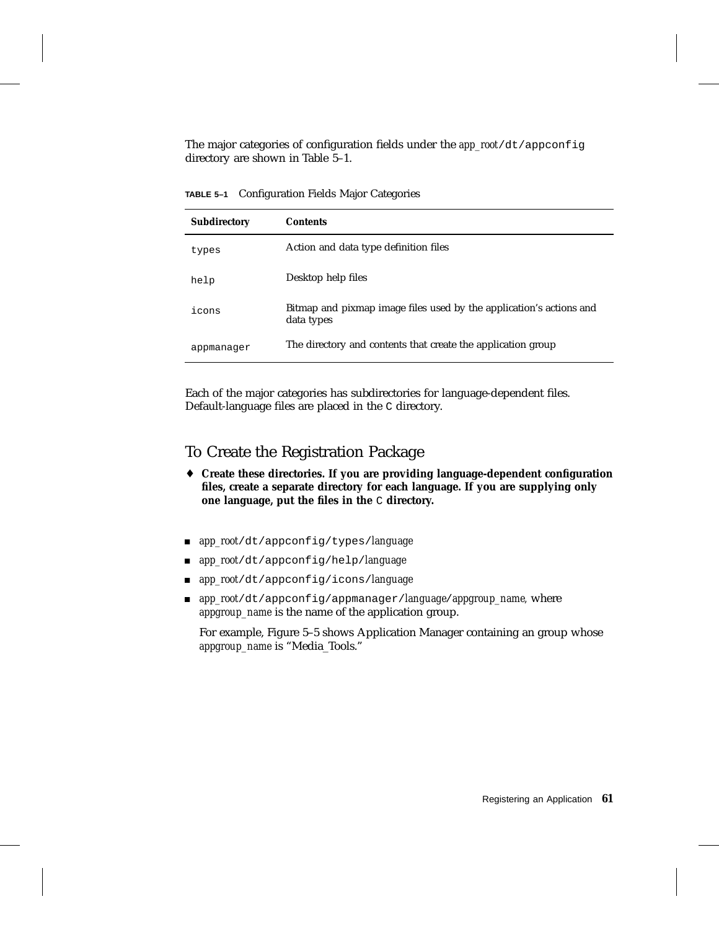The major categories of configuration fields under the *app\_root*/dt/appconfig directory are shown in Table 5–1.

**TABLE 5–1** Configuration Fields Major Categories

| <b>Subdirectory</b> | <b>Contents</b>                                                                   |
|---------------------|-----------------------------------------------------------------------------------|
| types               | Action and data type definition files                                             |
| help                | Desktop help files                                                                |
| icons               | Bitmap and pixmap image files used by the application's actions and<br>data types |
| appmanager          | The directory and contents that create the application group                      |

Each of the major categories has subdirectories for language-dependent files. Default-language files are placed in the C directory.

### To Create the Registration Package

- ♦ **Create these directories. If you are providing language-dependent configuration files, create a separate directory for each language. If you are supplying only one language, put the files in the** C **directory.**
- *app\_root*/dt/appconfig/types/*language*
- *app\_root*/dt/appconfig/help/*language*
- *app\_root*/dt/appconfig/icons/*language*
- *app\_root*/dt/appconfig/appmanager/*language*/*appgroup\_name,* where *appgroup\_name* is the name of the application group.

For example, Figure 5–5 shows Application Manager containing an group whose *appgroup\_name* is "Media\_Tools."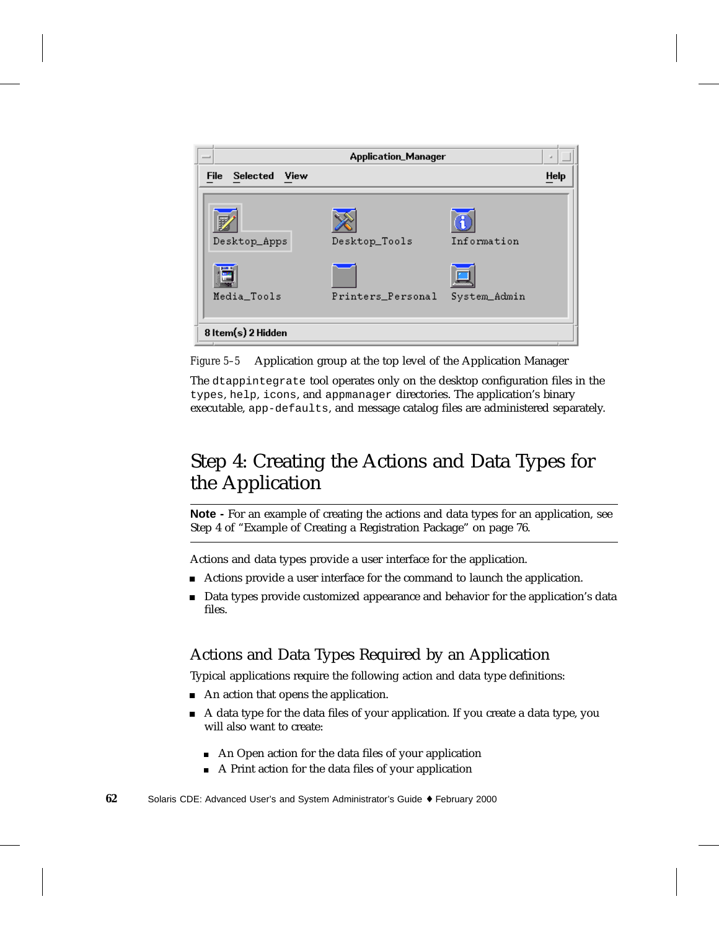

*Figure 5–5* Application group at the top level of the Application Manager

The dtappintegrate tool operates only on the desktop configuration files in the types, help, icons, and appmanager directories. The application's binary executable, app-defaults, and message catalog files are administered separately.

## Step 4: Creating the Actions and Data Types for the Application

**Note -** For an example of creating the actions and data types for an application, see Step 4 of "Example of Creating a Registration Package" on page 76.

Actions and data types provide a user interface for the application.

- Actions provide a user interface for the command to launch the application.
- Data types provide customized appearance and behavior for the application's data files.

### Actions and Data Types Required by an Application

Typical applications require the following action and data type definitions:

- An action that opens the application.
- A data type for the data files of your application. If you create a data type, you will also want to create:
	- An Open action for the data files of your application
	- A Print action for the data files of your application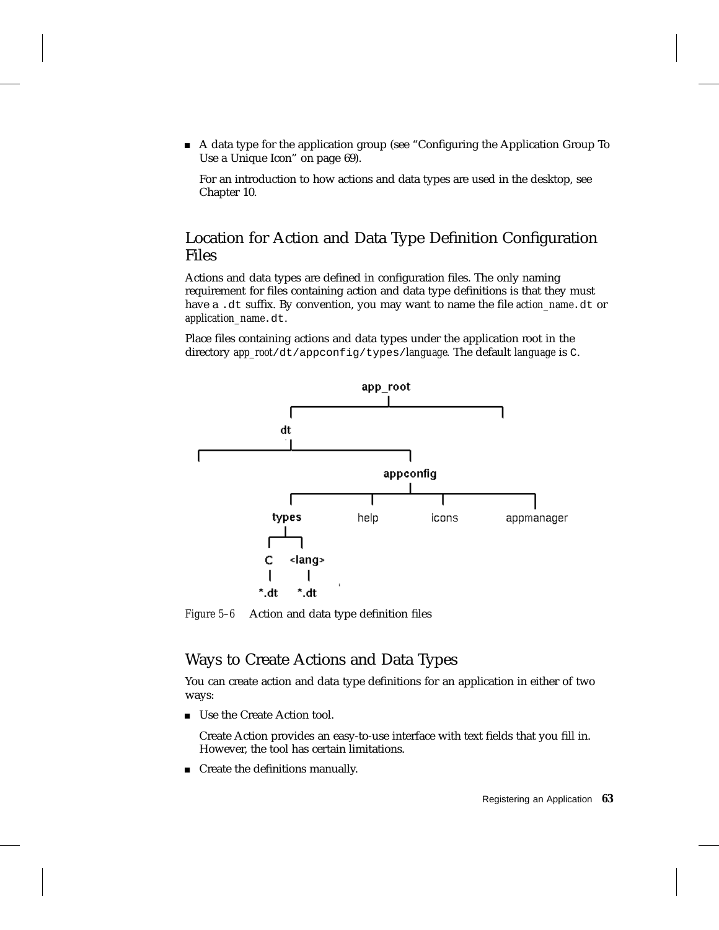A data type for the application group (see "Configuring the Application Group To Use a Unique Icon" on page 69).

For an introduction to how actions and data types are used in the desktop, see Chapter 10.

### Location for Action and Data Type Definition Configuration Files

Actions and data types are defined in configuration files. The only naming requirement for files containing action and data type definitions is that they must have a .dt suffix. By convention, you may want to name the file *action\_name*.dt or *application\_name*.dt.

Place files containing actions and data types under the application root in the directory *app\_root*/dt/appconfig/types/*language.* The default *language* is C.



*Figure 5–6* Action and data type definition files

### Ways to Create Actions and Data Types

You can create action and data type definitions for an application in either of two ways:

Use the Create Action tool.

Create Action provides an easy-to-use interface with text fields that you fill in. However, the tool has certain limitations.

**Create the definitions manually.**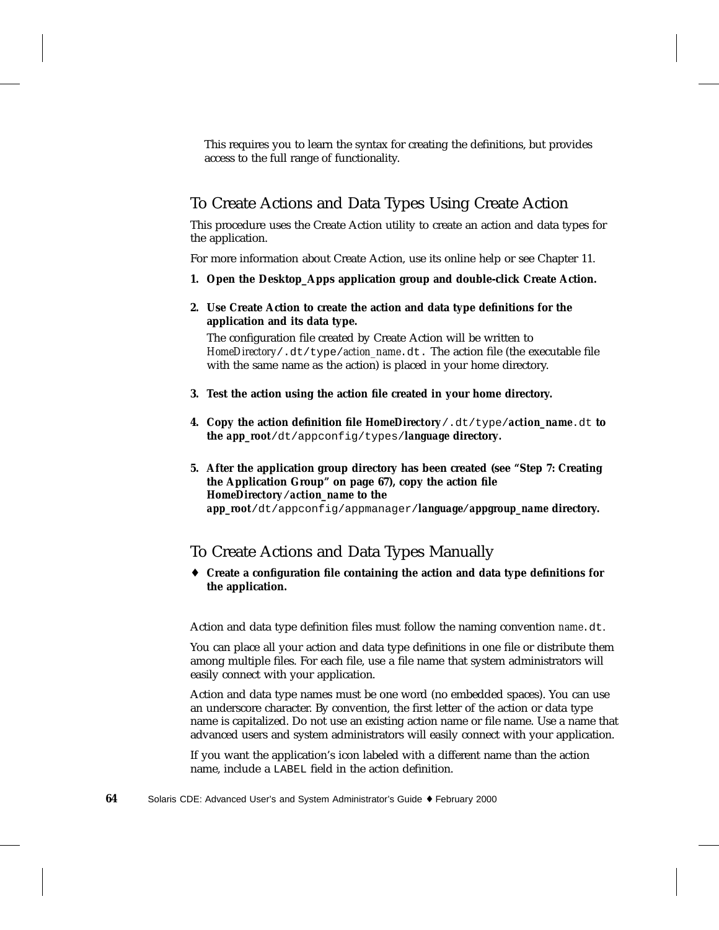This requires you to learn the syntax for creating the definitions, but provides access to the full range of functionality.

### To Create Actions and Data Types Using Create Action

This procedure uses the Create Action utility to create an action and data types for the application.

For more information about Create Action, use its online help or see Chapter 11.

- **1. Open the Desktop\_Apps application group and double-click Create Action.**
- **2. Use Create Action to create the action and data type definitions for the application and its data type.**

The configuration file created by Create Action will be written to *HomeDirectory*/.dt/type/*action\_name*.dt. The action file (the executable file with the same name as the action) is placed in your home directory.

- **3. Test the action using the action file created in your home directory.**
- **4. Copy the action definition file** *HomeDirectory*/.dt/type/*action\_name*.dt **to the** *app\_root*/dt/appconfig/types/*language* **directory***.*
- **5. After the application group directory has been created (see "Step 7: Creating the Application Group" on page 67), copy the action file** *HomeDirectory*/*action\_name* **to the** *app\_root*/dt/appconfig/appmanager/*language*/*appgroup\_name* **directory.**

### To Create Actions and Data Types Manually

♦ **Create a configuration file containing the action and data type definitions for the application.**

Action and data type definition files must follow the naming convention *name*.dt.

You can place all your action and data type definitions in one file or distribute them among multiple files. For each file, use a file name that system administrators will easily connect with your application.

Action and data type names must be one word (no embedded spaces). You can use an underscore character. By convention, the first letter of the action or data type name is capitalized. Do not use an existing action name or file name. Use a name that advanced users and system administrators will easily connect with your application.

If you want the application's icon labeled with a different name than the action name, include a LABEL field in the action definition.

**64** Solaris CDE: Advanced User's and System Administrator's Guide ♦ February 2000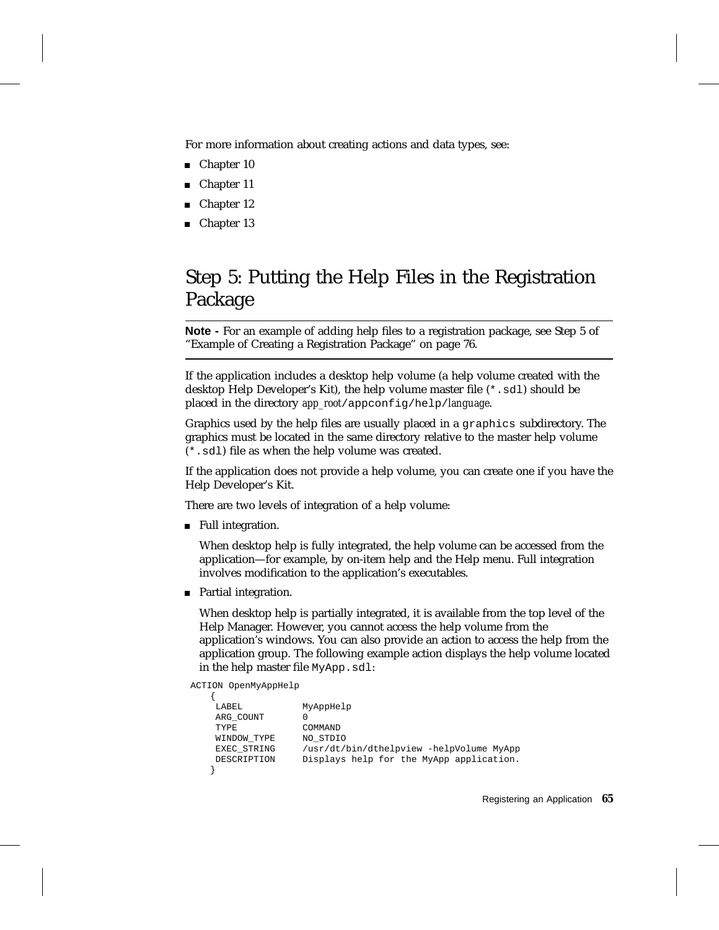For more information about creating actions and data types, see:

- Chapter 10
- Chapter 11
- Chapter 12
- Chapter 13

## Step 5: Putting the Help Files in the Registration Package

**Note -** For an example of adding help files to a registration package, see Step 5 of "Example of Creating a Registration Package" on page 76.

If the application includes a desktop help volume (a help volume created with the desktop Help Developer's Kit), the help volume master file (\*.sdl) should be placed in the directory *app\_root*/appconfig/help/*language*.

Graphics used by the help files are usually placed in a graphics subdirectory. The graphics must be located in the same directory relative to the master help volume (\*.sdl) file as when the help volume was created.

If the application does not provide a help volume, you can create one if you have the Help Developer's Kit.

There are two levels of integration of a help volume:

**Full integration.** 

When desktop help is fully integrated, the help volume can be accessed from the application—for example, by on-item help and the Help menu. Full integration involves modification to the application's executables.

**Partial integration.** 

When desktop help is partially integrated, it is available from the top level of the Help Manager. However, you cannot access the help volume from the application's windows. You can also provide an action to access the help from the application group. The following example action displays the help volume located in the help master file MyApp.sdl:

ACTION OpenMyAppHelp {

| LABEL       | MyAppHelp                                |
|-------------|------------------------------------------|
| ARG COUNT   |                                          |
| TYPE        | COMMAND                                  |
| WINDOW TYPE | NO STDIO                                 |
| EXEC STRING | /usr/dt/bin/dthelpview -helpVolume MyApp |
| DESCRIPTION | Displays help for the MyApp application. |
|             |                                          |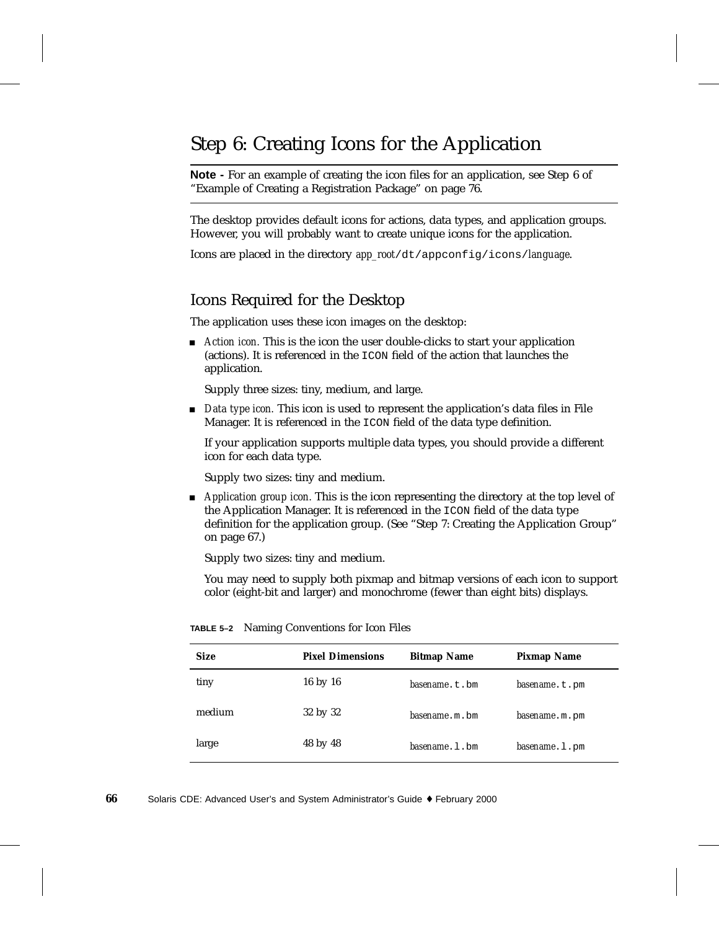## Step 6: Creating Icons for the Application

**Note -** For an example of creating the icon files for an application, see Step 6 of "Example of Creating a Registration Package" on page 76.

The desktop provides default icons for actions, data types, and application groups. However, you will probably want to create unique icons for the application.

Icons are placed in the directory *app\_root*/dt/appconfig/icons/*language*.

#### Icons Required for the Desktop

The application uses these icon images on the desktop:

 *Action icon.* This is the icon the user double-clicks to start your application (actions). It is referenced in the ICON field of the action that launches the application.

Supply three sizes: tiny, medium, and large.

 *Data type icon.* This icon is used to represent the application's data files in File Manager. It is referenced in the ICON field of the data type definition.

If your application supports multiple data types, you should provide a different icon for each data type.

Supply two sizes: tiny and medium.

 *Application group icon.* This is the icon representing the directory at the top level of the Application Manager. It is referenced in the ICON field of the data type definition for the application group. (See "Step 7: Creating the Application Group" on page 67.)

Supply two sizes: tiny and medium.

You may need to supply both pixmap and bitmap versions of each icon to support color (eight-bit and larger) and monochrome (fewer than eight bits) displays.

| <b>Size</b> | <b>Pixel Dimensions</b> | <b>Bitmap Name</b> | <b>Pixmap Name</b>  |
|-------------|-------------------------|--------------------|---------------------|
| tiny        | $16 \text{ by } 16$     | $basename.t.bm$    | basename.t.pm       |
| medium      | 32 by 32                | basename, m, bm    | basename.m.pm       |
| large       | 48 by 48                | basename. 1. bm    | $basename . 1 . pm$ |

**TABLE 5–2** Naming Conventions for Icon Files

**66** Solaris CDE: Advanced User's and System Administrator's Guide ♦ February 2000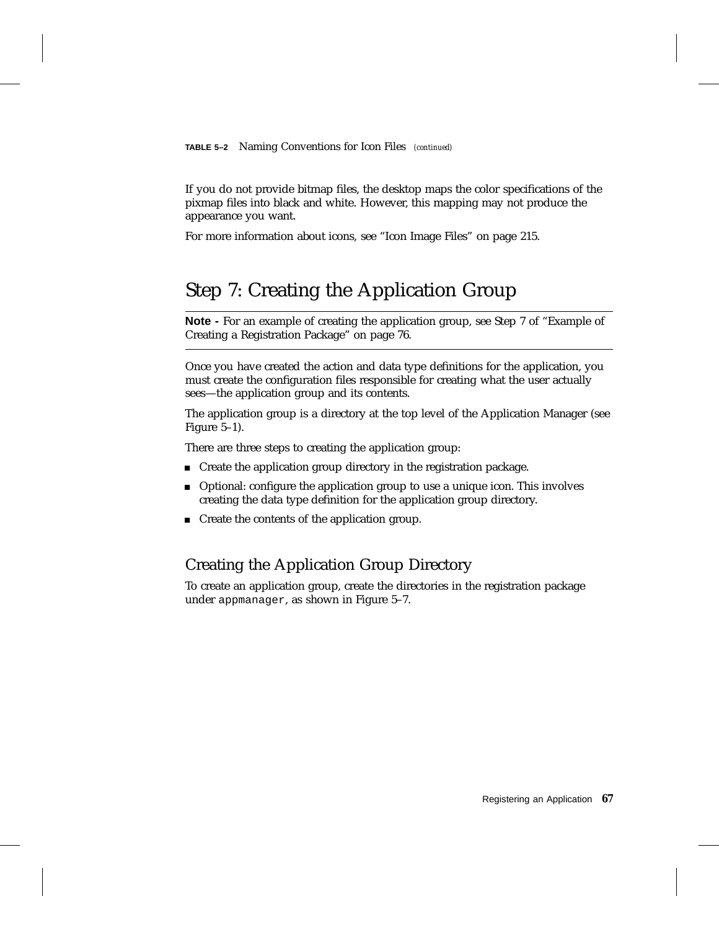**TABLE 5–2** Naming Conventions for Icon Files *(continued)*

If you do not provide bitmap files, the desktop maps the color specifications of the pixmap files into black and white. However, this mapping may not produce the appearance you want.

For more information about icons, see "Icon Image Files" on page 215.

## Step 7: Creating the Application Group

**Note -** For an example of creating the application group, see Step 7 of "Example of Creating a Registration Package" on page 76.

Once you have created the action and data type definitions for the application, you must create the configuration files responsible for creating what the user actually sees—the application group and its contents.

The application group is a directory at the top level of the Application Manager (see Figure 5–1).

There are three steps to creating the application group:

- Create the application group directory in the registration package.
- Optional: configure the application group to use a unique icon. This involves creating the data type definition for the application group directory.
- **Create the contents of the application group.**

### Creating the Application Group Directory

To create an application group, create the directories in the registration package under appmanager, as shown in Figure 5–7.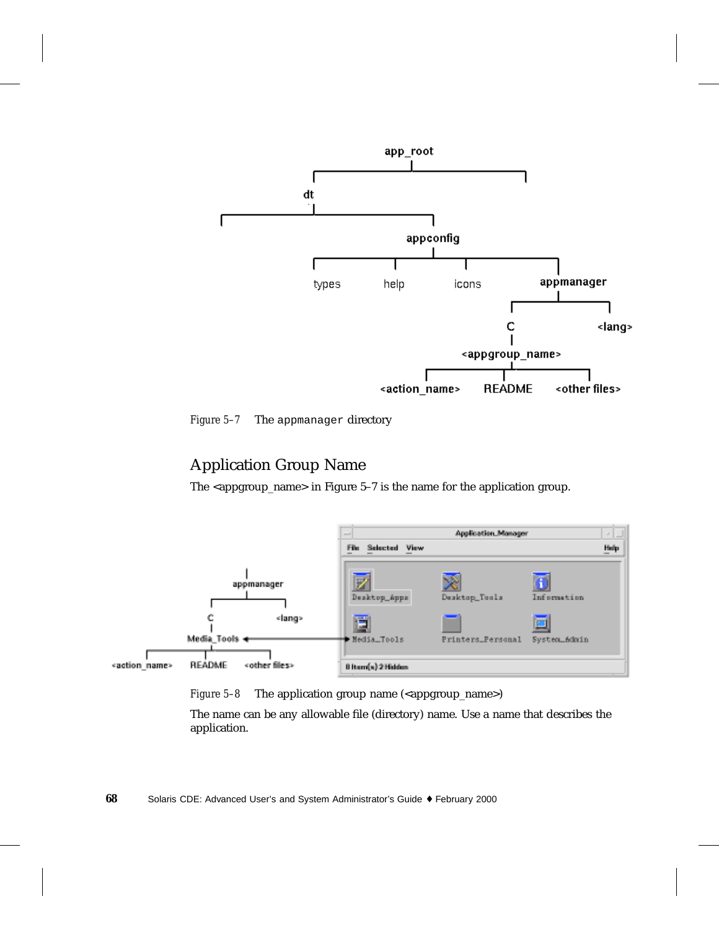

*Figure 5–7* The appmanager directory

## Application Group Name

The <appgroup\_name> in Figure 5–7 is the name for the application group.



*Figure 5-8* The application group name (<appgroup\_name>)

The name can be any allowable file (directory) name. Use a name that describes the application.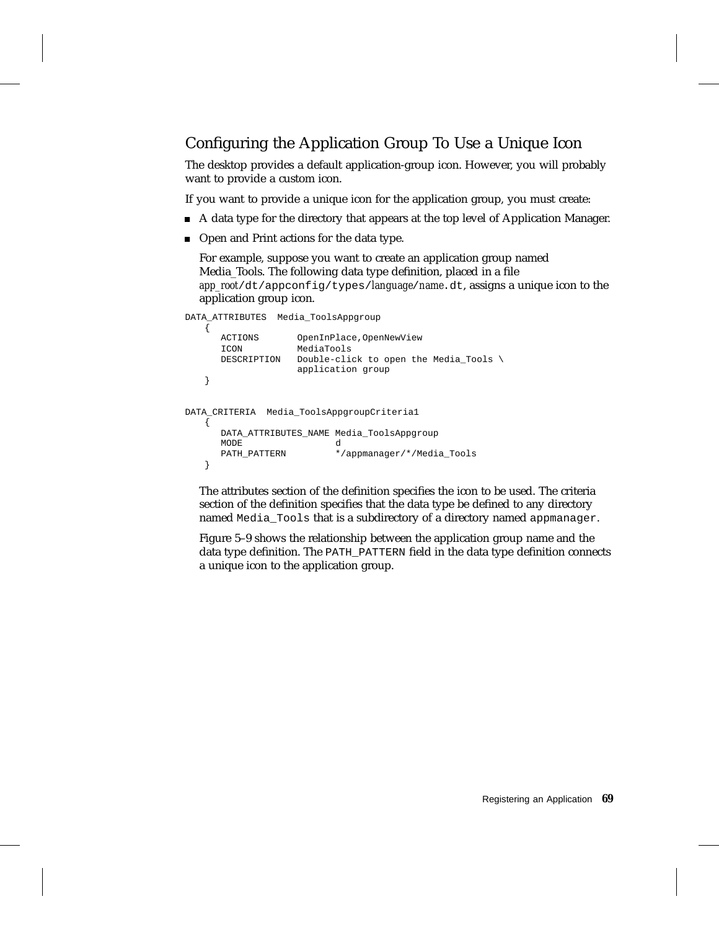## Configuring the Application Group To Use a Unique Icon

The desktop provides a default application-group icon. However, you will probably want to provide a custom icon.

If you want to provide a unique icon for the application group, you must create:

- A data type for the directory that appears at the top level of Application Manager.
- Open and Print actions for the data type.

For example, suppose you want to create an application group named Media\_Tools. The following data type definition, placed in a file *app\_root*/dt/appconfig/types/*language*/*name*.dt, assigns a unique icon to the application group icon.

DATA\_ATTRIBUTES Media\_ToolsAppgroup { ACTIONS OpenInPlace,OpenNewView ICON MediaTools DESCRIPTION Double-click to open the Media\_Tools \ application group } DATA\_CRITERIA Media\_ToolsAppgroupCriteria1 { DATA\_ATTRIBUTES\_NAME Media\_ToolsAppgroup  $\begin{array}{lll} \texttt{MODE} & & \texttt{d} \\ \texttt{PATH\_PATH\_ERTERN} & & \texttt{*} \end{array}$ \*/appmanager/\*/Media\_Tools }

The attributes section of the definition specifies the icon to be used. The criteria section of the definition specifies that the data type be defined to any directory named Media\_Tools that is a subdirectory of a directory named appmanager.

Figure 5–9 shows the relationship between the application group name and the data type definition. The PATH\_PATTERN field in the data type definition connects a unique icon to the application group.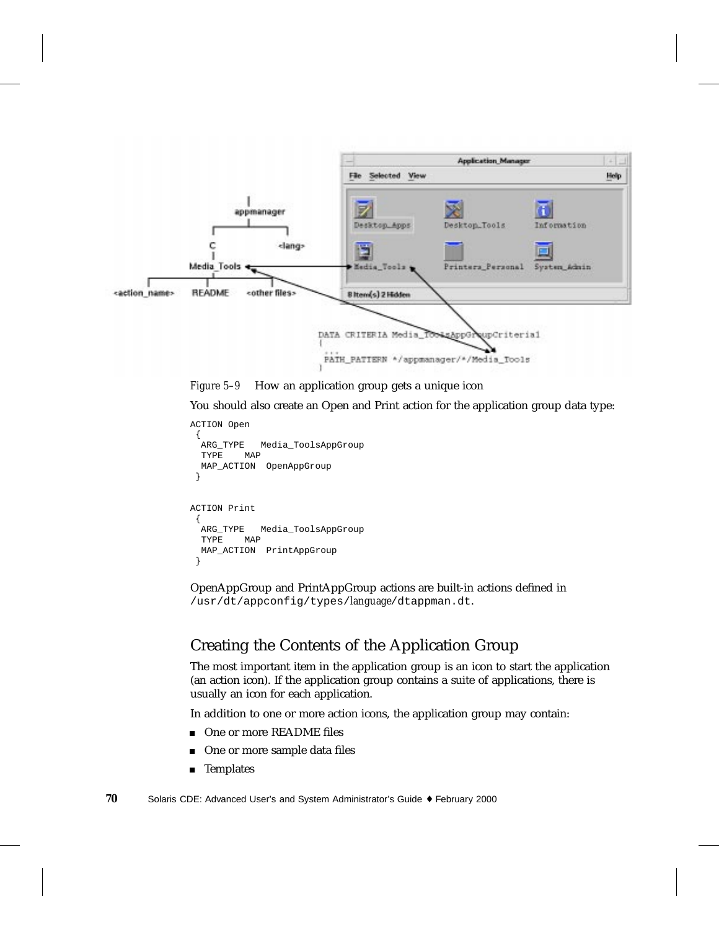



You should also create an Open and Print action for the application group data type:

```
ACTION Open
 {
 ARG_TYPE Media_ToolsAppGroup
 TYPE MAP
 MAP_ACTION OpenAppGroup
 }
ACTION Print
 {
 ARG_TYPE Media_ToolsAppGroup
 TYPE MAP
 MAP_ACTION PrintAppGroup
 }
```
OpenAppGroup and PrintAppGroup actions are built-in actions defined in /usr/dt/appconfig/types/*language*/dtappman.dt.

### Creating the Contents of the Application Group

The most important item in the application group is an icon to start the application (an action icon). If the application group contains a suite of applications, there is usually an icon for each application.

In addition to one or more action icons, the application group may contain:

- **One or more README files**
- One or more sample data files
- **Templates**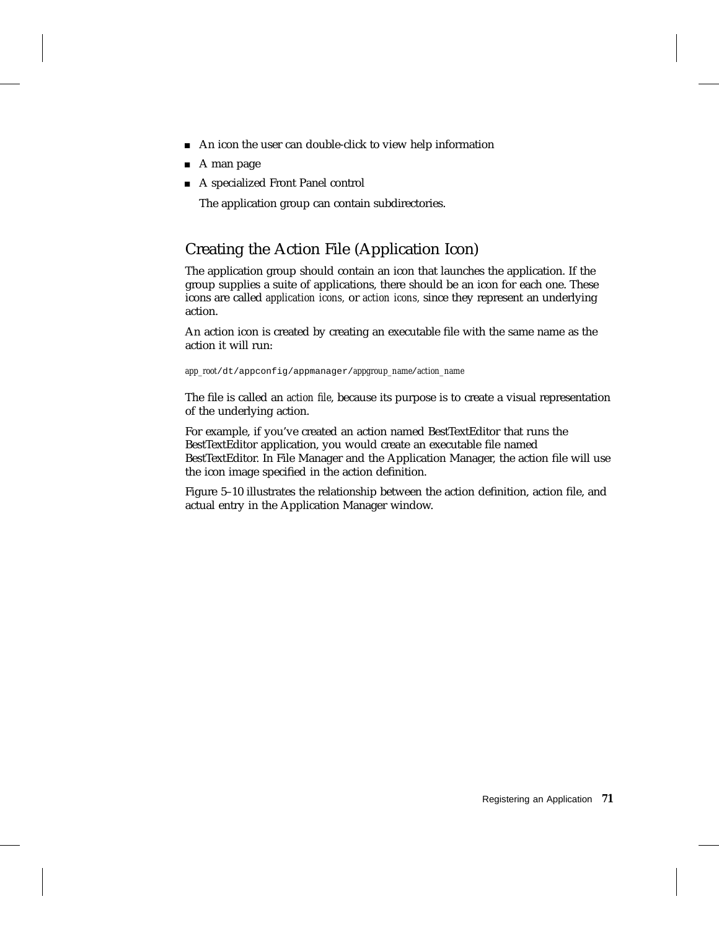- An icon the user can double-click to view help information
- A man page
- A specialized Front Panel control

The application group can contain subdirectories.

## Creating the Action File (Application Icon)

The application group should contain an icon that launches the application. If the group supplies a suite of applications, there should be an icon for each one. These icons are called *application icons,* or *action icons,* since they represent an underlying action.

An action icon is created by creating an executable file with the same name as the action it will run:

*app\_root*/dt/appconfig/appmanager/*appgroup\_name*/*action\_name*

The file is called an *action file*, because its purpose is to create a visual representation of the underlying action.

For example, if you've created an action named BestTextEditor that runs the BestTextEditor application, you would create an executable file named BestTextEditor. In File Manager and the Application Manager, the action file will use the icon image specified in the action definition.

Figure 5–10 illustrates the relationship between the action definition, action file, and actual entry in the Application Manager window.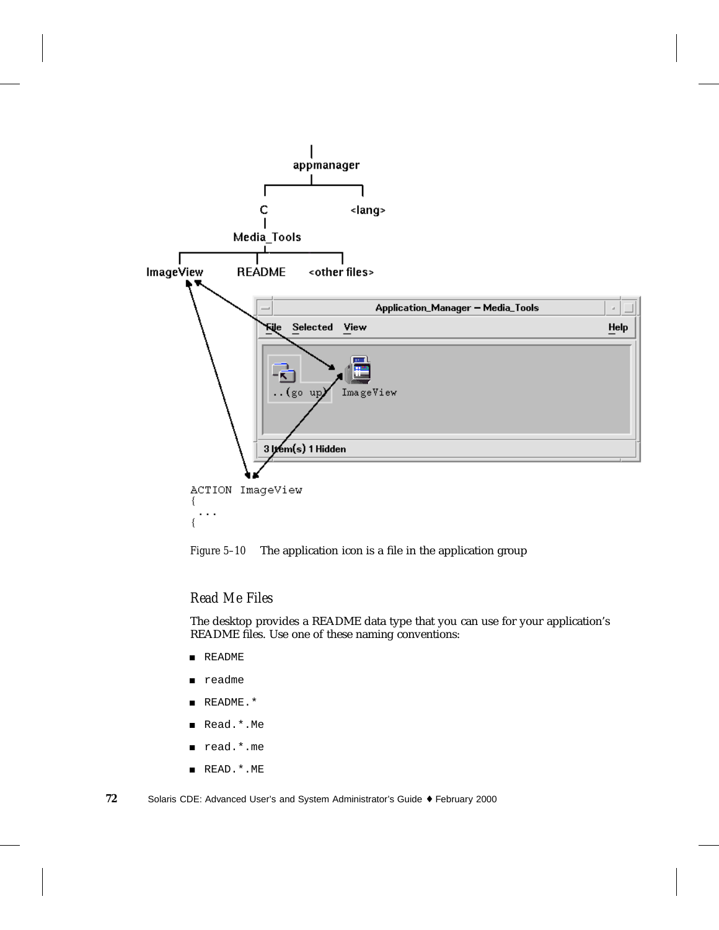

*Figure 5–10* The application icon is a file in the application group

### *Read Me Files*

The desktop provides a README data type that you can use for your application's README files. Use one of these naming conventions:

- **README**
- **r**eadme
- README.\*
- Read.\*.Me
- read.\*.me
- READ. \*. ME

**72** Solaris CDE: Advanced User's and System Administrator's Guide ♦ February 2000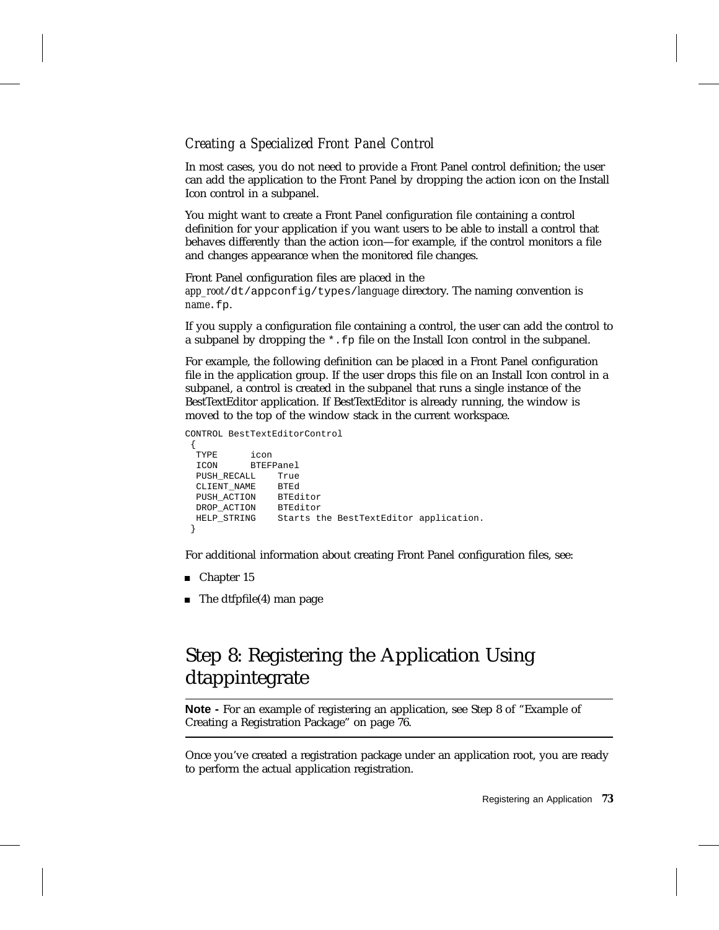### *Creating a Specialized Front Panel Control*

In most cases, you do not need to provide a Front Panel control definition; the user can add the application to the Front Panel by dropping the action icon on the Install Icon control in a subpanel.

You might want to create a Front Panel configuration file containing a control definition for your application if you want users to be able to install a control that behaves differently than the action icon—for example, if the control monitors a file and changes appearance when the monitored file changes.

Front Panel configuration files are placed in the *app\_root*/dt/appconfig/types/*language* directory. The naming convention is *name*.fp.

If you supply a configuration file containing a control, the user can add the control to a subpanel by dropping the \*.fp file on the Install Icon control in the subpanel.

For example, the following definition can be placed in a Front Panel configuration file in the application group. If the user drops this file on an Install Icon control in a subpanel, a control is created in the subpanel that runs a single instance of the BestTextEditor application. If BestTextEditor is already running, the window is moved to the top of the window stack in the current workspace.

CONTROL BestTextEditorControl

| TYPE        | icon             |          |                                        |  |  |
|-------------|------------------|----------|----------------------------------------|--|--|
| <b>ICON</b> | <b>BTEFPanel</b> |          |                                        |  |  |
| PUSH RECALL | True             |          |                                        |  |  |
| CLIENT NAME | BTEd             |          |                                        |  |  |
| PUSH ACTION |                  | BTEditor |                                        |  |  |
| DROP ACTION |                  | BTEditor |                                        |  |  |
| HELP STRING |                  |          | Starts the BestTextEditor application. |  |  |
|             |                  |          |                                        |  |  |

For additional information about creating Front Panel configuration files, see:

- Chapter 15
- $\blacksquare$  The dtfpfile(4) man page

## Step 8: Registering the Application Using dtappintegrate

**Note -** For an example of registering an application, see Step 8 of "Example of Creating a Registration Package" on page 76.

Once you've created a registration package under an application root, you are ready to perform the actual application registration.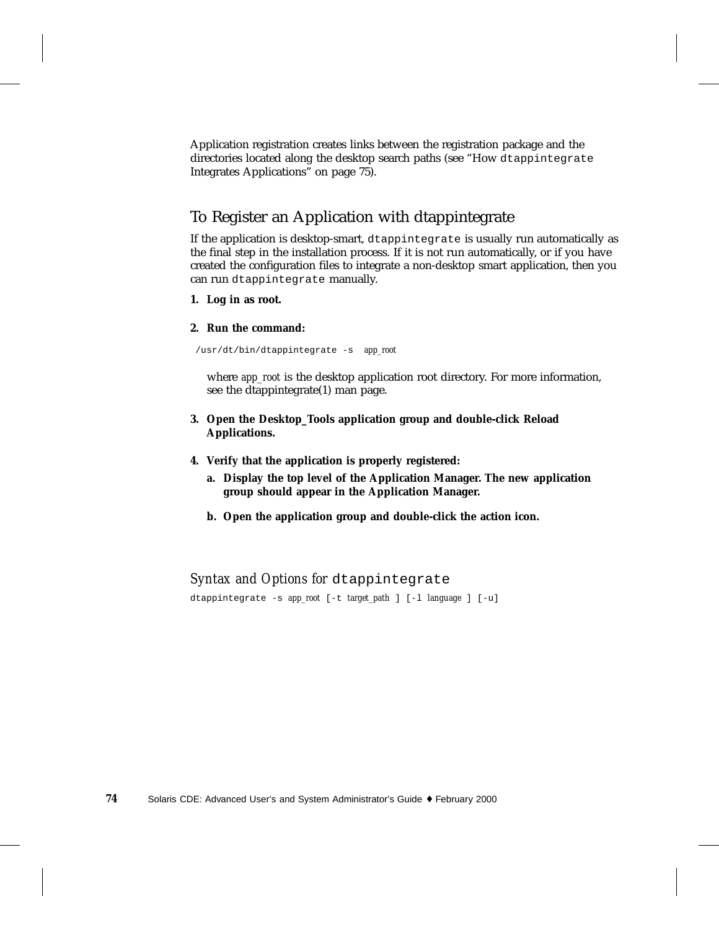Application registration creates links between the registration package and the directories located along the desktop search paths (see "How dtappintegrate Integrates Applications" on page 75).

### To Register an Application with dtappintegrate

If the application is desktop-smart, dtappintegrate is usually run automatically as the final step in the installation process. If it is not run automatically, or if you have created the configuration files to integrate a non-desktop smart application, then you can run dtappintegrate manually.

- **1. Log in as root.**
- **2. Run the command:**

/usr/dt/bin/dtappintegrate -s *app\_root*

where *app\_root* is the desktop application root directory. For more information, see the dtappintegrate(1) man page.

- **3. Open the Desktop\_Tools application group and double-click Reload Applications.**
- **4. Verify that the application is properly registered:**
	- **a. Display the top level of the Application Manager. The new application group should appear in the Application Manager.**
	- **b. Open the application group and double-click the action icon.**

*Syntax and Options for* dtappintegrate

dtappintegrate -s *app\_root* [-t *target\_path* ] [-l *language* ] [-u]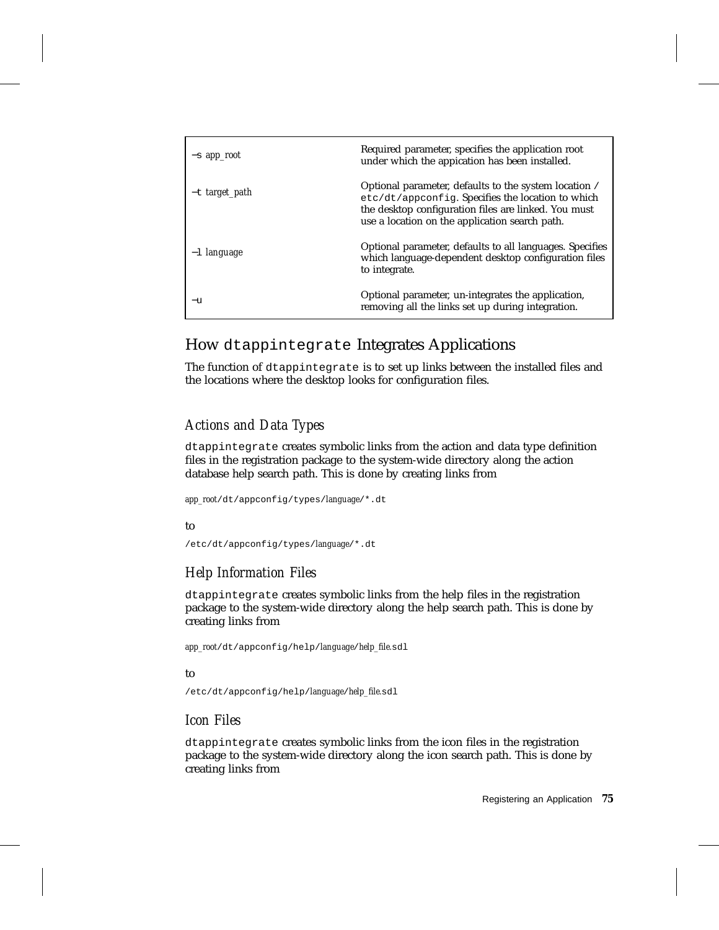| $-s$ app_root    | Required parameter, specifies the application root<br>under which the appication has been installed.                                                                                                                       |
|------------------|----------------------------------------------------------------------------------------------------------------------------------------------------------------------------------------------------------------------------|
| $-t$ target path | Optional parameter, defaults to the system location /<br>$etc/dt$ / $appconfig.$ Specifies the location to which<br>the desktop configuration files are linked. You must<br>use a location on the application search path. |
| -1 language      | Optional parameter, defaults to all languages. Specifies<br>which language-dependent desktop configuration files<br>to integrate.                                                                                          |
| —u               | Optional parameter, un-integrates the application,<br>removing all the links set up during integration.                                                                                                                    |

### How dtappintegrate Integrates Applications

The function of dtappintegrate is to set up links between the installed files and the locations where the desktop looks for configuration files.

### *Actions and Data Types*

dtappintegrate creates symbolic links from the action and data type definition files in the registration package to the system-wide directory along the action database help search path. This is done by creating links from

```
app_root/dt/appconfig/types/language/*.dt
```
to

/etc/dt/appconfig/types/*language*/\*.dt

#### *Help Information Files*

dtappintegrate creates symbolic links from the help files in the registration package to the system-wide directory along the help search path. This is done by creating links from

*app\_root*/dt/appconfig/help/*language*/*help\_file.*sdl

to

/etc/dt/appconfig/help/*language*/*help\_file.*sdl

#### *Icon Files*

dtappintegrate creates symbolic links from the icon files in the registration package to the system-wide directory along the icon search path. This is done by creating links from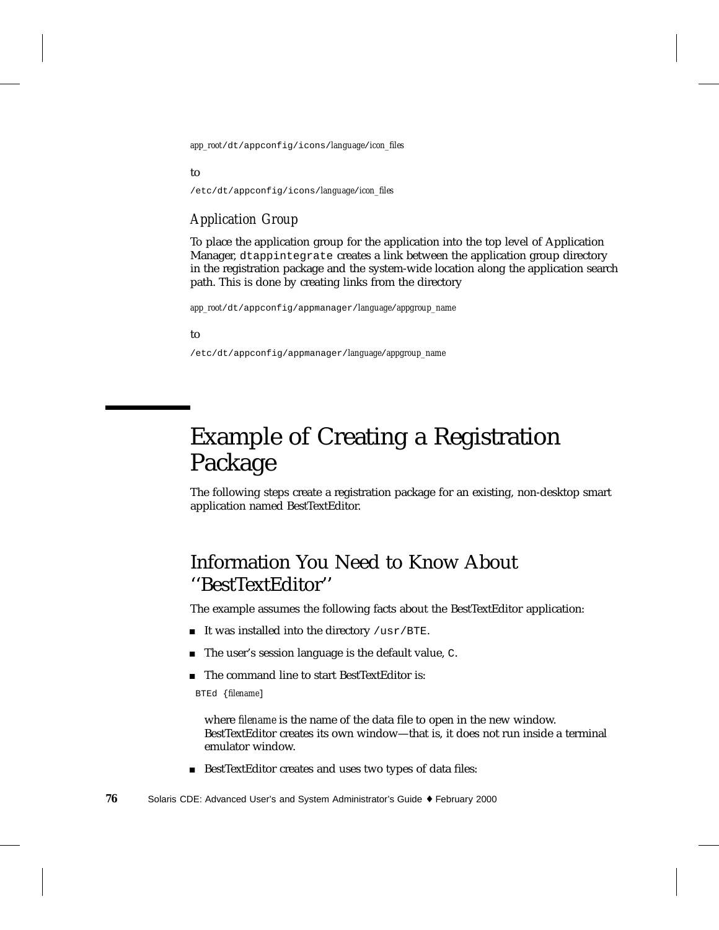*app\_root*/dt/appconfig/icons/*language*/*icon\_files*

to

/etc/dt/appconfig/icons/*language*/*icon\_files*

#### *Application Group*

To place the application group for the application into the top level of Application Manager, dtappintegrate creates a link between the application group directory in the registration package and the system-wide location along the application search path. This is done by creating links from the directory

*app\_root*/dt/appconfig/appmanager/*language*/*appgroup\_name*

#### to

/etc/dt/appconfig/appmanager/*language*/*appgroup\_name*

# Example of Creating a Registration Package

The following steps create a registration package for an existing, non-desktop smart application named BestTextEditor.

## Information You Need to Know About ''BestTextEditor''

The example assumes the following facts about the BestTextEditor application:

- It was installed into the directory  $/usr/BTE$ .
- The user's session language is the default value,  $\sigma$ .
- The command line to start BestTextEditor is:

BTEd {*filename*]

where *filename* is the name of the data file to open in the new window. BestTextEditor creates its own window—that is, it does not run inside a terminal emulator window.

- BestTextEditor creates and uses two types of data files:
- **76** Solaris CDE: Advanced User's and System Administrator's Guide ♦ February 2000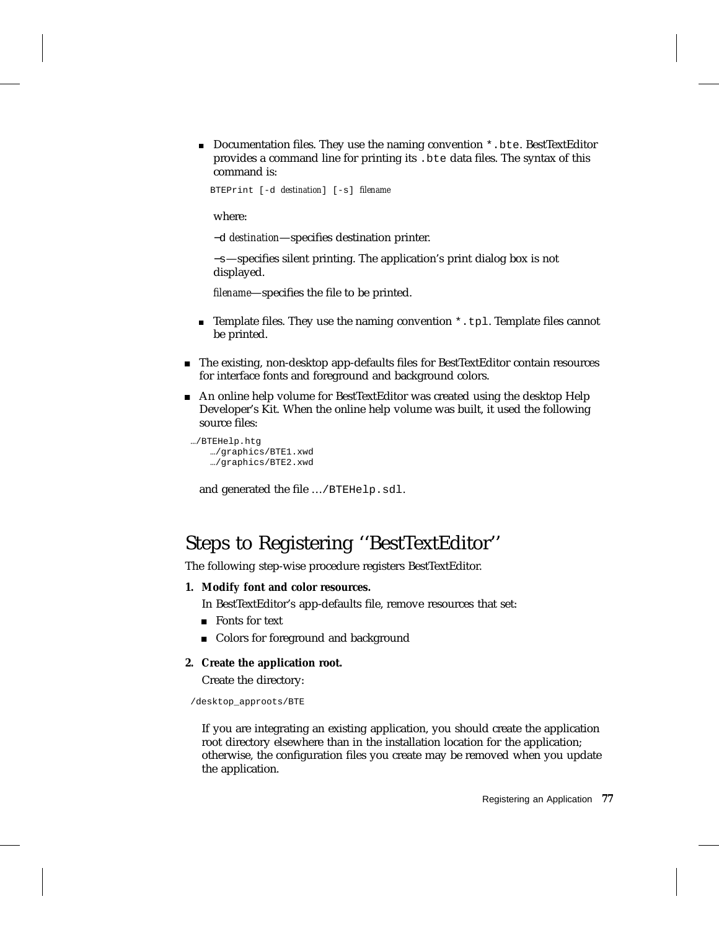Documentation files. They use the naming convention  $\star$ . bete. BestTextEditor provides a command line for printing its .bte data files. The syntax of this command is:

BTEPrint [-d *destination*] [-s] *filename*

where:

−d *destination*—specifies destination printer.

−s—specifies silent printing. The application's print dialog box is not displayed.

*filename*—specifies the file to be printed.

- **Template files.** They use the naming convention  $*$ .  $tp1$ . Template files cannot be printed.
- The existing, non-desktop app-defaults files for BestTextEditor contain resources for interface fonts and foreground and background colors.
- An online help volume for BestTextEditor was created using the desktop Help Developer's Kit. When the online help volume was built, it used the following source files:

```
…/BTEHelp.htg
   …/graphics/BTE1.xwd
   …/graphics/BTE2.xwd
```
and generated the file …/BTEHelp.sdl.

## Steps to Registering ''BestTextEditor''

The following step-wise procedure registers BestTextEditor.

- **1. Modify font and color resources.**
	- In BestTextEditor's app-defaults file, remove resources that set:
	- Fonts for text
	- Colors for foreground and background
- **2. Create the application root.**

Create the directory:

/desktop\_approots/BTE

If you are integrating an existing application, you should create the application root directory elsewhere than in the installation location for the application; otherwise, the configuration files you create may be removed when you update the application.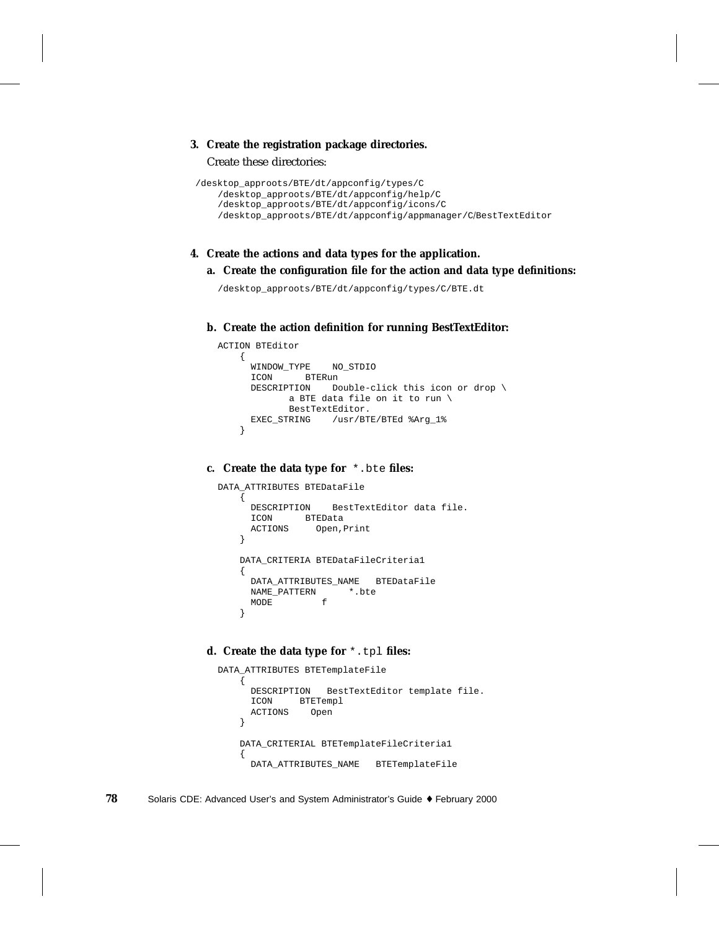#### **3. Create the registration package directories.**

Create these directories:

```
/desktop_approots/BTE/dt/appconfig/types/C
   /desktop_approots/BTE/dt/appconfig/help/C
   /desktop_approots/BTE/dt/appconfig/icons/C
   /desktop_approots/BTE/dt/appconfig/appmanager/C/BestTextEditor
```
#### **4. Create the actions and data types for the application.**

**a. Create the configuration file for the action and data type definitions:**

/desktop\_approots/BTE/dt/appconfig/types/C/BTE.dt

#### **b. Create the action definition for running BestTextEditor:**

```
ACTION BTEditor
   {
     WINDOW_TYPE NO_STDIO
     ICON BTERun
     DESCRIPTION Double-click this icon or drop \
            a BTE data file on it to run \
            BestTextEditor.
     EXEC_STRING /usr/BTE/BTEd %Arg_1%
   }
```
#### **c. Create the data type for** \*.bte **files:**

```
DATA_ATTRIBUTES BTEDataFile
    {
      DESCRIPTION BestTextEditor data file.
      ICON BTEData
      ACTIONS Open, Print
    }
    DATA_CRITERIA BTEDataFileCriteria1
    \left\{ \right.DATA_ATTRIBUTES_NAME BTEDataFile<br>NAME_PATTERN *.bte
      NAME_PATTERN
      MODE
    }
```
#### **d. Create the data type for** \*.tpl **files:**

```
DATA_ATTRIBUTES BTETemplateFile
    {
     DESCRIPTION BestTextEditor template file.
     ICON BTETempl
     ACTIONS Open
   }
   DATA_CRITERIAL BTETemplateFileCriteria1
    {
     DATA ATTRIBUTES NAME BTETemplateFile
```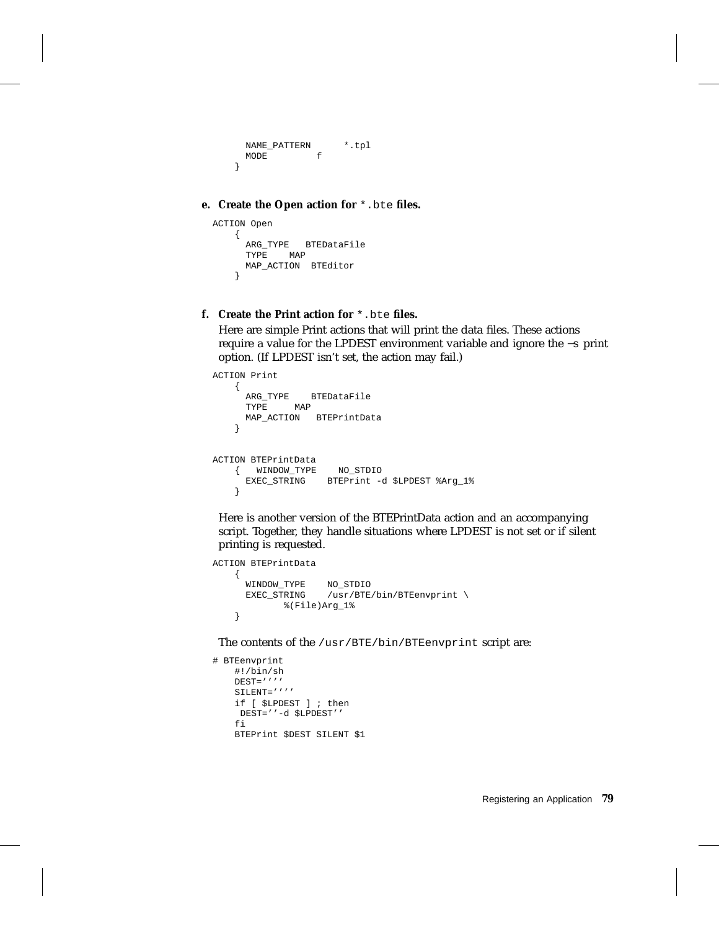```
NAME_PATTERN *.tpl<br>MODE f
  MODE}
```
#### **e. Create the Open action for** \*.bte **files.**

```
ACTION Open
    {
      ARG_TYPE BTEDataFile<br>TYPE MAP
      TYPE
      MAP_ACTION BTEditor
    }
```
**f. Create the Print action for** \*.bte **files.**

Here are simple Print actions that will print the data files. These actions require a value for the LPDEST environment variable and ignore the −s print option. (If LPDEST isn't set, the action may fail.)

```
ACTION Print
    {
     ARG_TYPE BTEDataFile
     TYPE MAP
     MAP_ACTION BTEPrintData
    }
ACTION BTEPrintData
   { WINDOW_TYPE NO_STDIO
     EXEC STRING BTEPrint -d $LPDEST %Arg_1%
    }
```
Here is another version of the BTEPrintData action and an accompanying script. Together, they handle situations where LPDEST is not set or if silent printing is requested.

```
ACTION BTEPrintData
    {
       WINDOW_TYPE NO_STDIO<br>EXEC_STRING /usr/BTE
                          /usr/BTE/bin/BTEenvprint \ \ \ \%(File)Arg_1%
     }
```
The contents of the /usr/BTE/bin/BTEenvprint script are:

```
# BTEenvprint
    #!/bin/sh
    DEST=''''
   \texttt{SILENT} : ''''
    if [ $LPDEST ] ; then
    DEST=''-d $LPDEST''
    fi
    BTEPrint $DEST SILENT $1
```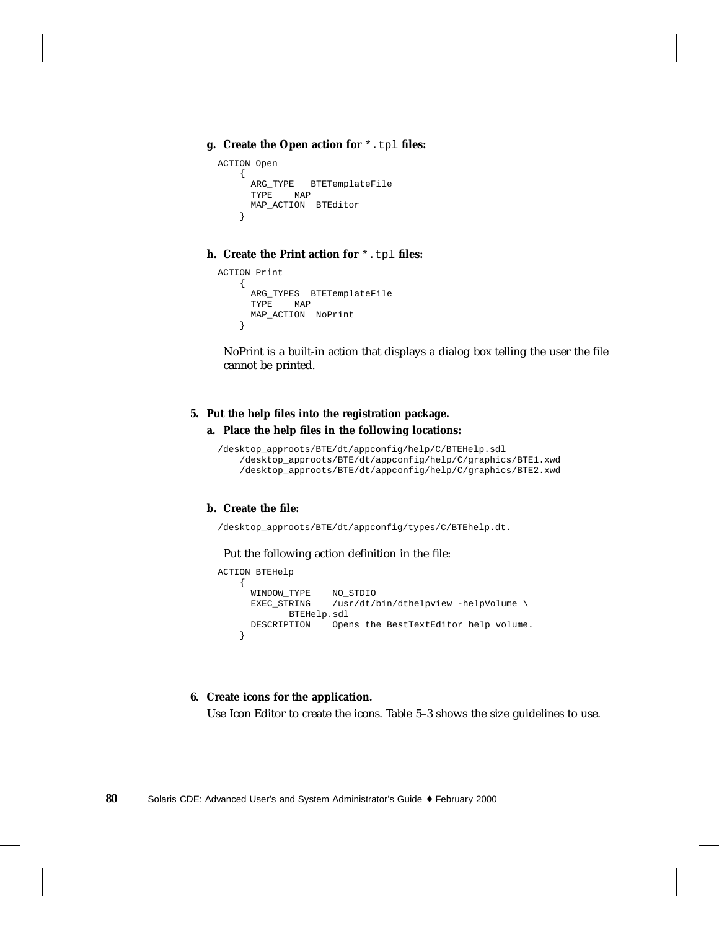**g. Create the Open action for** \*.tpl **files:**

```
ACTION Open
   {
     ARG_TYPE BTETemplateFile
     TYPE MAP
     MAP_ACTION BTEditor
   }
```
**h. Create the Print action for** \*.tpl **files:**

```
ACTION Print
    {
      ARG_TYPES BTETemplateFile<br>TYPE MAP
      TYPE
      MAP_ACTION NoPrint
    }
```
NoPrint is a built-in action that displays a dialog box telling the user the file cannot be printed.

#### **5. Put the help files into the registration package.**

#### **a. Place the help files in the following locations:**

/desktop\_approots/BTE/dt/appconfig/help/C/BTEHelp.sdl /desktop\_approots/BTE/dt/appconfig/help/C/graphics/BTE1.xwd /desktop\_approots/BTE/dt/appconfig/help/C/graphics/BTE2.xwd

#### **b. Create the file:**

/desktop\_approots/BTE/dt/appconfig/types/C/BTEhelp.dt.

#### Put the following action definition in the file:

```
ACTION BTEHelp
   {
     WINDOW_TYPE NO_STDIO
     EXEC_STRING /usr/dt/bin/dthelpview -helpVolume \
            BTEHelp.sdl
     DESCRIPTION Opens the BestTextEditor help volume.
   }
```
#### **6. Create icons for the application.**

Use Icon Editor to create the icons. Table 5–3 shows the size guidelines to use.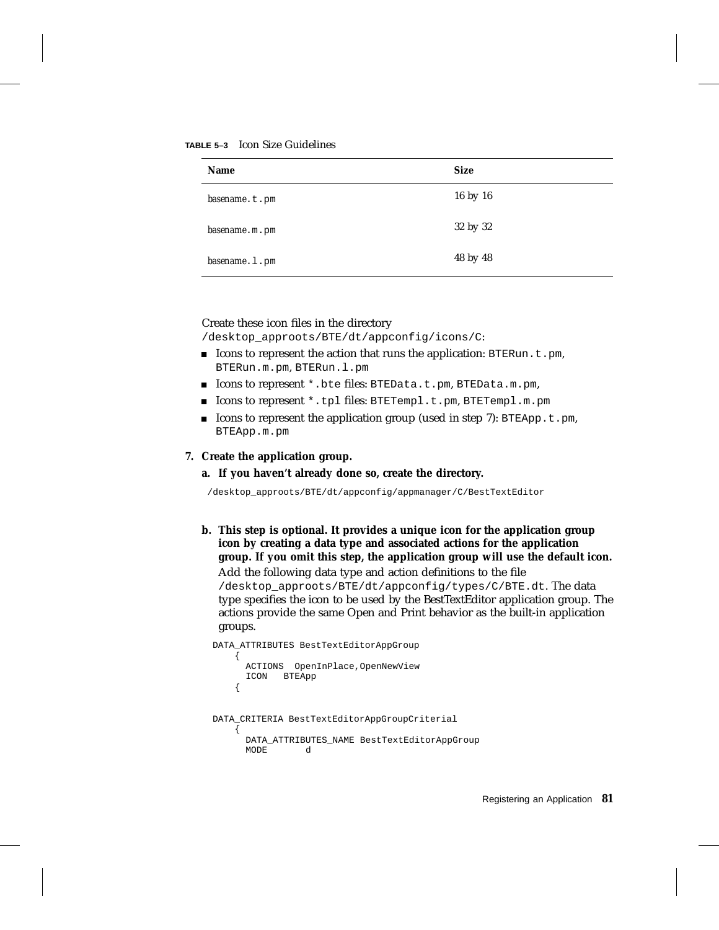**TABLE 5–3** Icon Size Guidelines

| <b>Name</b>     | <b>Size</b>         |
|-----------------|---------------------|
| basename.t.pm   | $16 \text{ by } 16$ |
| basename.m.pm   | 32 by 32            |
| basename. 1. pm | 48 by 48            |

Create these icon files in the directory

/desktop\_approots/BTE/dt/appconfig/icons/C:

- Icons to represent the action that runs the application:  $BTERun.t.pm$ , BTERun.m.pm, BTERun.l.pm
- **Icons to represent \*.** bte files:  $BTEData.t.pm, BTEData.m.pm,$
- Icons to represent \*.tpl files: BTETempl.t.pm, BTETempl.m.pm
- Icons to represent the application group (used in step 7): BTEApp.t.pm, BTEApp.m.pm

#### **7. Create the application group.**

#### **a. If you haven't already done so, create the directory.**

/desktop\_approots/BTE/dt/appconfig/appmanager/C/BestTextEditor

**b. This step is optional. It provides a unique icon for the application group icon by creating a data type and associated actions for the application group. If you omit this step, the application group will use the default icon.** Add the following data type and action definitions to the file

/desktop\_approots/BTE/dt/appconfig/types/C/BTE.dt. The data type specifies the icon to be used by the BestTextEditor application group. The actions provide the same Open and Print behavior as the built-in application groups.

```
DATA_ATTRIBUTES BestTextEditorAppGroup
    {
     ACTIONS OpenInPlace,OpenNewView
     ICON BTEApp
    {
DATA_CRITERIA BestTextEditorAppGroupCriterial
    {
     DATA_ATTRIBUTES_NAME BestTextEditorAppGroup
     MODE d
```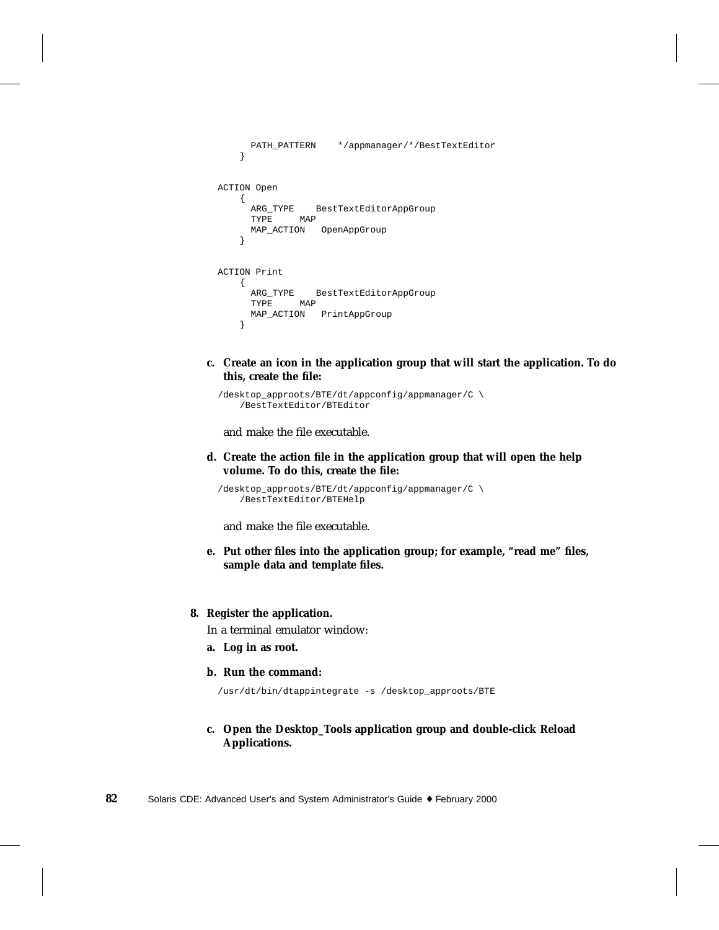```
PATH_PATTERN */appmanager/*/BestTextEditor
    }
ACTION Open
    {
      ARG_TYPE       BestTextEditorAppGroup<br>TYPE       MAP
      TYPE
      MAP ACTION OpenAppGroup
    }
ACTION Print
   {
      ARG_TYPE BestTextEditorAppGroup<br>TYPE MAP
             MAPMAP_ACTION PrintAppGroup
    }
```
**c. Create an icon in the application group that will start the application. To do this, create the file:**

```
/desktop_approots/BTE/dt/appconfig/appmanager/C \
   /BestTextEditor/BTEditor
```
and make the file executable.

**d. Create the action file in the application group that will open the help volume. To do this, create the file:**

```
/desktop_approots/BTE/dt/appconfig/appmanager/C \
   /BestTextEditor/BTEHelp
```
and make the file executable.

**e. Put other files into the application group; for example, "read me" files, sample data and template files.**

#### **8. Register the application.**

In a terminal emulator window:

- **a. Log in as root.**
- **b. Run the command:**

/usr/dt/bin/dtappintegrate -s /desktop\_approots/BTE

- **c. Open the Desktop\_Tools application group and double-click Reload Applications.**
- **82** Solaris CDE: Advanced User's and System Administrator's Guide ♦ February 2000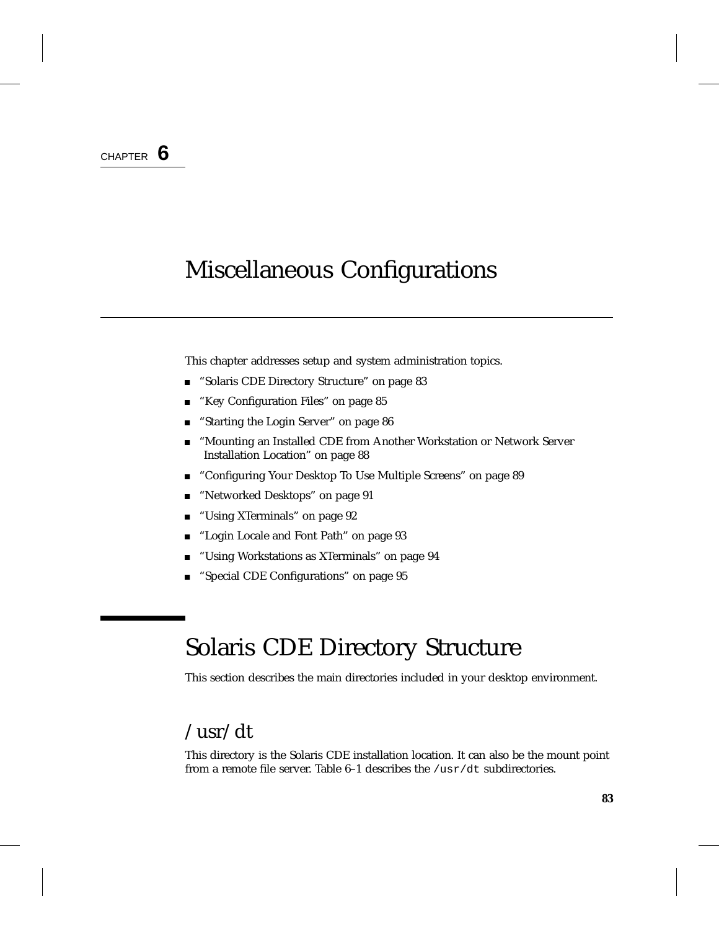## CHAPTER **6**

# Miscellaneous Configurations

This chapter addresses setup and system administration topics.

- "Solaris CDE Directory Structure" on page 83
- "Key Configuration Files" on page 85
- "Starting the Login Server" on page 86
- "Mounting an Installed CDE from Another Workstation or Network Server Installation Location" on page 88
- "Configuring Your Desktop To Use Multiple Screens" on page 89
- "Networked Desktops" on page 91
- "Using XTerminals" on page 92
- "Login Locale and Font Path" on page 93
- "Using Workstations as XTerminals" on page 94
- "Special CDE Configurations" on page 95

# Solaris CDE Directory Structure

This section describes the main directories included in your desktop environment.

## /usr/dt

This directory is the Solaris CDE installation location. It can also be the mount point from a remote file server. Table 6–1 describes the /usr/dt subdirectories.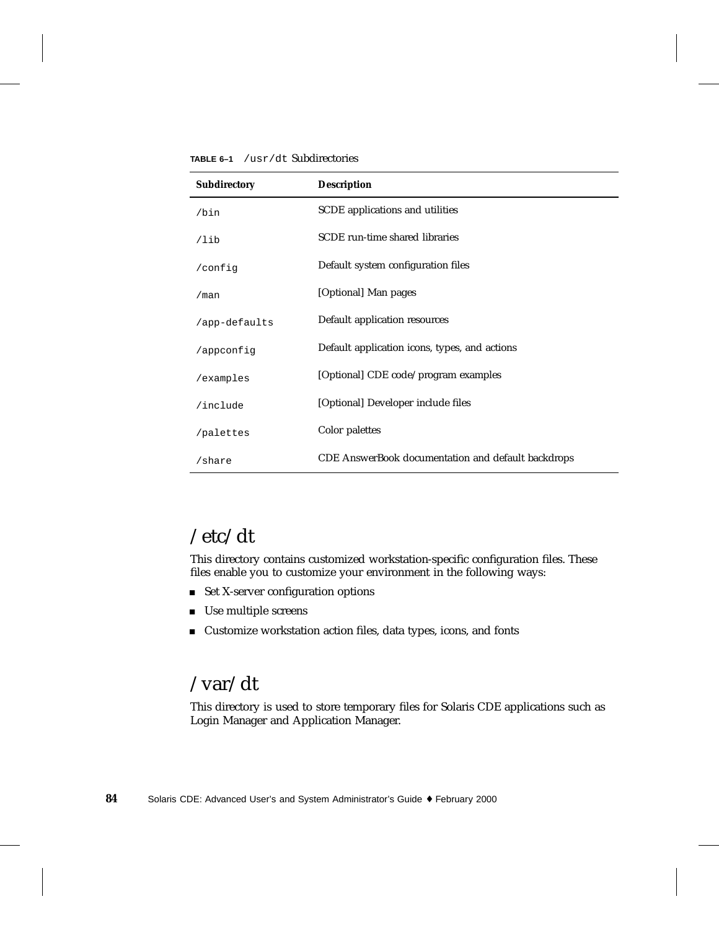**TABLE 6–1** /usr/dt Subdirectories

| <b>Subdirectory</b> | <b>Description</b>                                 |
|---------------------|----------------------------------------------------|
| /bin                | SCDE applications and utilities                    |
| /lib                | SCDE run-time shared libraries                     |
| /config             | Default system configuration files                 |
| $/\text{man}$       | [Optional] Man pages                               |
| /app-defaults       | Default application resources                      |
| /appconfig          | Default application icons, types, and actions      |
| /examples           | [Optional] CDE code/program examples               |
| /include            | [Optional] Developer include files                 |
| /palettes           | Color palettes                                     |
| /share              | CDE AnswerBook documentation and default backdrops |

## /etc/dt

This directory contains customized workstation-specific configuration files. These files enable you to customize your environment in the following ways:

- $\blacksquare$  Set X-server configuration options
- **Use multiple screens**
- Customize workstation action files, data types, icons, and fonts

## /var/dt

This directory is used to store temporary files for Solaris CDE applications such as Login Manager and Application Manager.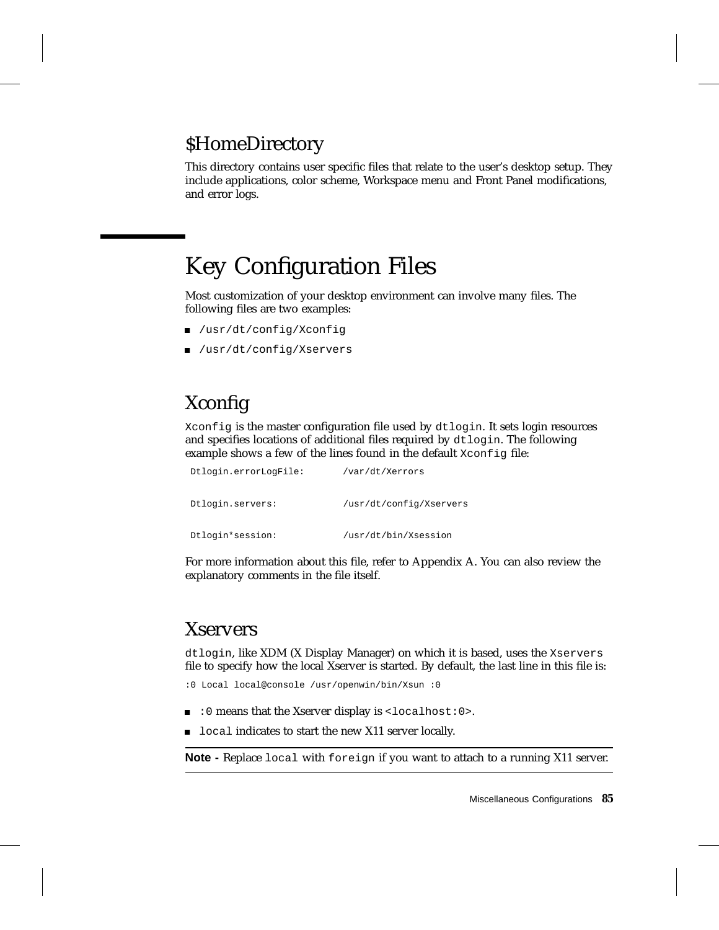## **\$HomeDirectory**

This directory contains user specific files that relate to the user's desktop setup. They include applications, color scheme, Workspace menu and Front Panel modifications, and error logs.

# Key Configuration Files

Most customization of your desktop environment can involve many files. The following files are two examples:

- /usr/dt/config/Xconfig
- /usr/dt/config/Xservers

## **Xconfig**

Xconfig is the master configuration file used by dtlogin. It sets login resources and specifies locations of additional files required by dtlogin. The following example shows a few of the lines found in the default Xconfig file:

| Dtlogin.errorLogFile: | /var/dt/Xerrors         |
|-----------------------|-------------------------|
| Dtloqin.servers:      | /usr/dt/config/Xservers |
| Dtlogin*session:      | /usr/dt/bin/Xsession    |

For more information about this file, refer to Appendix A. You can also review the explanatory comments in the file itself.

## **Xservers**

dtlogin, like XDM (X Display Manager) on which it is based, uses the Xservers file to specify how the local Xserver is started. By default, the last line in this file is:

:0 Local local@console /usr/openwin/bin/Xsun :0

- :0 means that the Xserver display is <localhost:0>.
- **Decal indicates to start the new X11 server locally.**

**Note -** Replace local with foreign if you want to attach to a running X11 server.

Miscellaneous Configurations **85**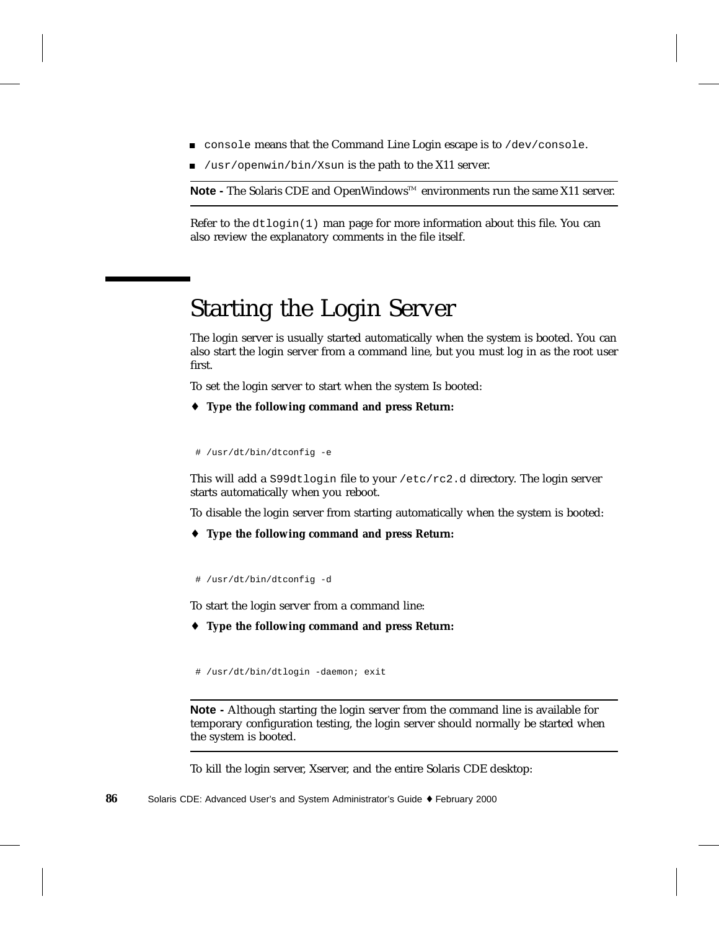- console means that the Command Line Login escape is to  $/dev/console$ .
- /usr/openwin/bin/Xsun is the path to the X11 server.

**Note -** The Solaris CDE and OpenWindows™ environments run the same X11 server.

Refer to the  $dt \log in(1)$  man page for more information about this file. You can also review the explanatory comments in the file itself.

# Starting the Login Server

The login server is usually started automatically when the system is booted. You can also start the login server from a command line, but you must log in as the root user first.

To set the login server to start when the system Is booted:

♦ **Type the following command and press Return:**

# /usr/dt/bin/dtconfig -e

This will add a S99dtlogin file to your /etc/rc2.d directory. The login server starts automatically when you reboot.

To disable the login server from starting automatically when the system is booted:

- ♦ **Type the following command and press Return:**
- # /usr/dt/bin/dtconfig -d

To start the login server from a command line:

♦ **Type the following command and press Return:**

# /usr/dt/bin/dtlogin -daemon; exit

**Note -** Although starting the login server from the command line is available for temporary configuration testing, the login server should normally be started when the system is booted.

To kill the login server, Xserver, and the entire Solaris CDE desktop:

**86** Solaris CDE: Advanced User's and System Administrator's Guide ♦ February 2000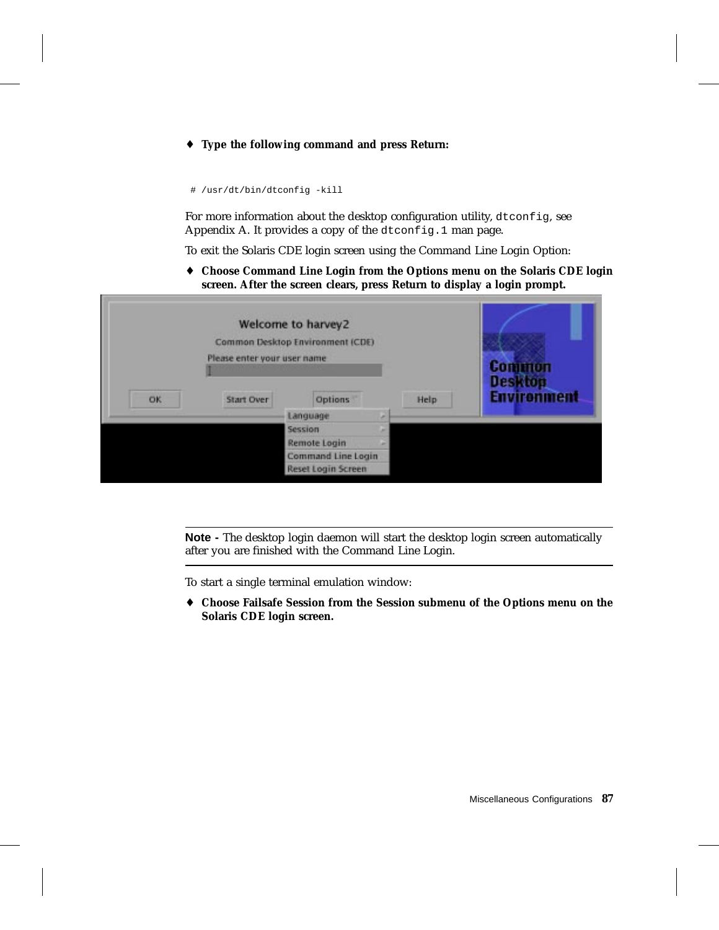♦ **Type the following command and press Return:**

```
# /usr/dt/bin/dtconfig -kill
```
For more information about the desktop configuration utility, dtconfig, see Appendix A. It provides a copy of the dtconfig.1 man page.

To exit the Solaris CDE login screen using the Command Line Login Option:

♦ **Choose Command Line Login from the Options menu on the Solaris CDE login screen. After the screen clears, press Return to display a login prompt.**

|    | Common Desktop Environment (CDE)<br>Please enter your user name | Welcome to harvey2        |   |      | <b>Common</b><br><b>Desktop</b> |
|----|-----------------------------------------------------------------|---------------------------|---|------|---------------------------------|
| OK | <b>Start Over</b>                                               | <b>Options</b>            |   | Help | <b>Environment</b>              |
|    |                                                                 | Language                  | × |      |                                 |
|    |                                                                 | Session                   |   |      |                                 |
|    |                                                                 | Remote Login              |   |      |                                 |
|    |                                                                 | Command Line Login        |   |      |                                 |
|    |                                                                 | <b>Reset Login Screen</b> |   |      |                                 |

**Note -** The desktop login daemon will start the desktop login screen automatically after you are finished with the Command Line Login.

To start a single terminal emulation window:

♦ **Choose Failsafe Session from the Session submenu of the Options menu on the Solaris CDE login screen.**

Miscellaneous Configurations **87**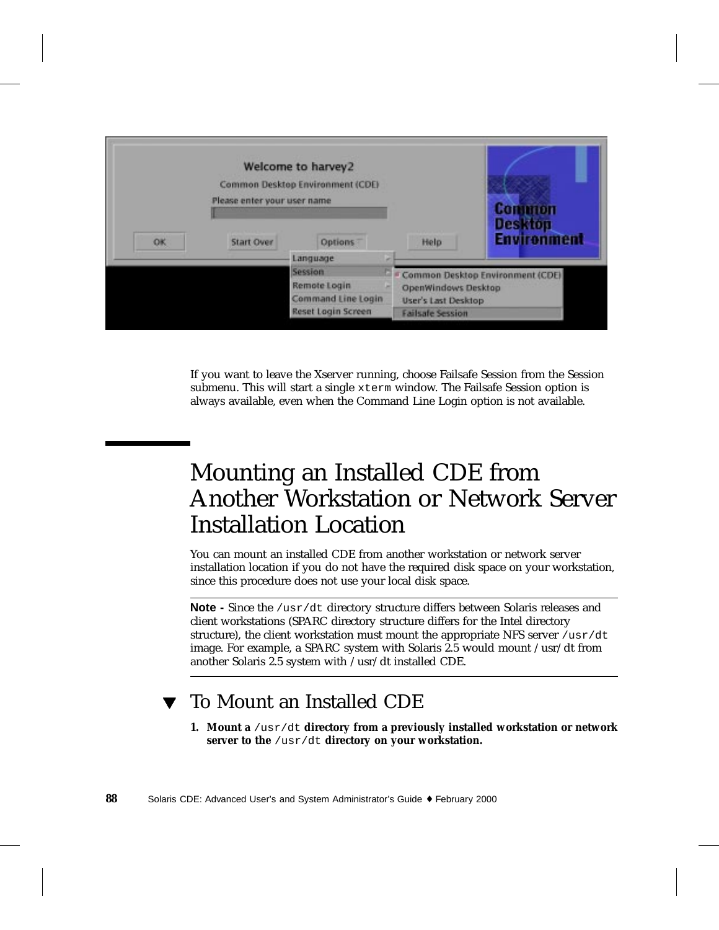

If you want to leave the Xserver running, choose Failsafe Session from the Session submenu. This will start a single xterm window. The Failsafe Session option is always available, even when the Command Line Login option is not available.

# Mounting an Installed CDE from Another Workstation or Network Server Installation Location

You can mount an installed CDE from another workstation or network server installation location if you do not have the required disk space on your workstation, since this procedure does not use your local disk space.

**Note -** Since the /usr/dt directory structure differs between Solaris releases and client workstations (SPARC directory structure differs for the Intel directory structure), the client workstation must mount the appropriate NFS server /usr/dt image. For example, a SPARC system with Solaris 2.5 would mount /usr/dt from another Solaris 2.5 system with /usr/dt installed CDE.

 $\blacktriangledown$ 

# To Mount an Installed CDE

**1. Mount a** /usr/dt **directory from a previously installed workstation or network server to the** /usr/dt **directory on your workstation.**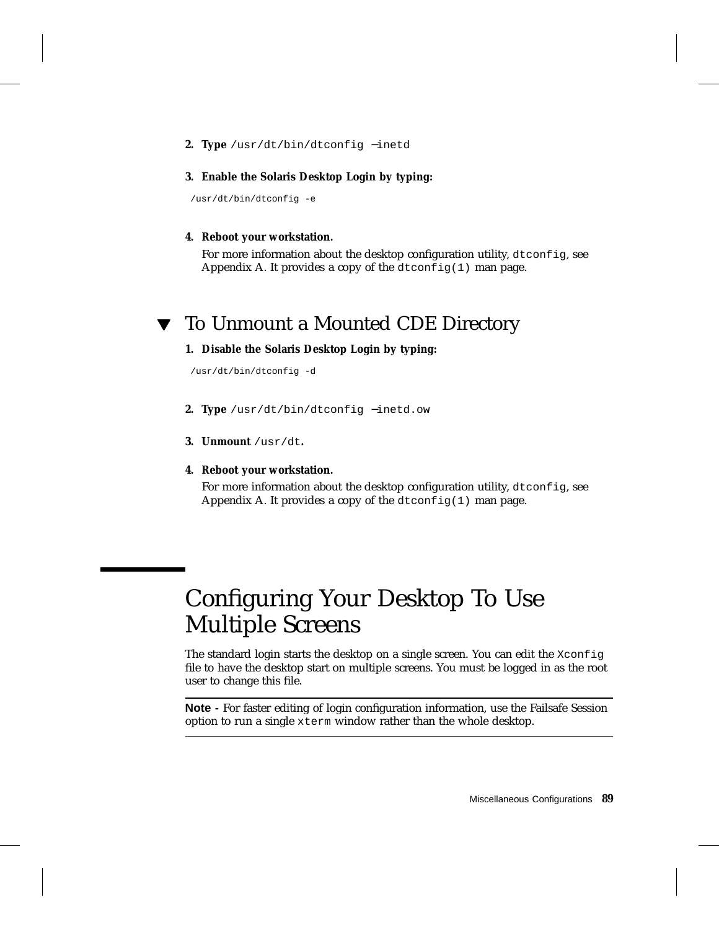#### **2. Type** /usr/dt/bin/dtconfig −inetd

#### **3. Enable the Solaris Desktop Login by typing:**

/usr/dt/bin/dtconfig -e

#### **4. Reboot your workstation.**

For more information about the desktop configuration utility, dtconfig, see Appendix A. It provides a copy of the  $dt$ config(1) man page.

### ▼ To Unmount a Mounted CDE Directory

#### **1. Disable the Solaris Desktop Login by typing:**

/usr/dt/bin/dtconfig -d

- **2. Type** /usr/dt/bin/dtconfig −inetd.ow
- **3. Unmount** /usr/dt**.**

#### **4. Reboot your workstation.**

For more information about the desktop configuration utility, dtconfig, see Appendix A. It provides a copy of the  $dt$ config(1) man page.

# Configuring Your Desktop To Use Multiple Screens

The standard login starts the desktop on a single screen. You can edit the Xconfig file to have the desktop start on multiple screens. You must be logged in as the root user to change this file.

**Note -** For faster editing of login configuration information, use the Failsafe Session option to run a single xterm window rather than the whole desktop.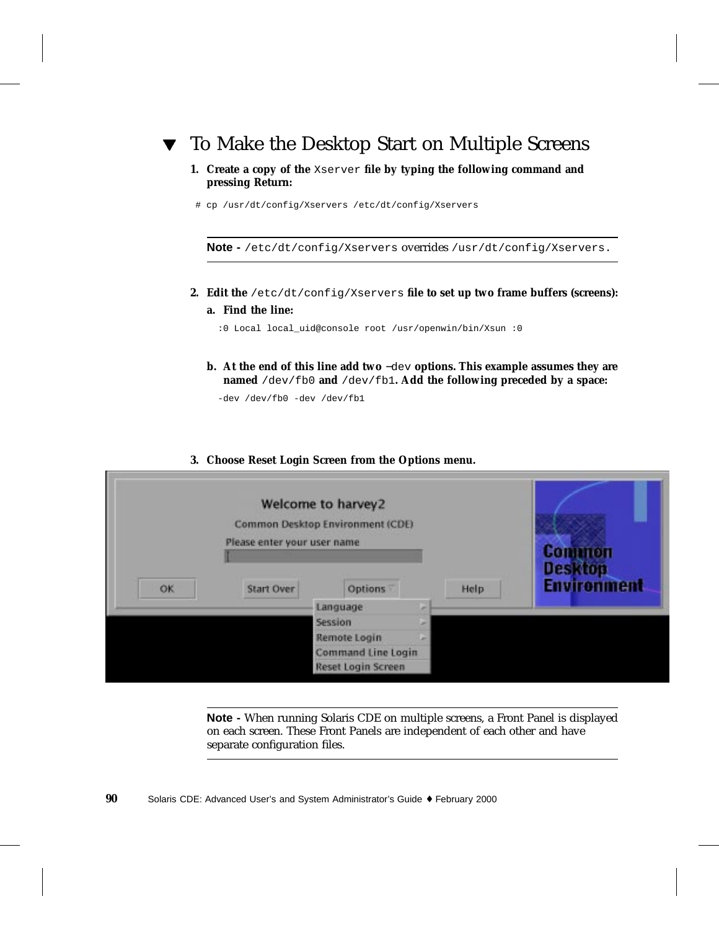

**b. At the end of this line add two** −dev **options. This example assumes they are named** /dev/fb0 **and** /dev/fb1**. Add the following preceded by a space:**

-dev /dev/fb0 -dev /dev/fb1

|           |                             | Welcome to harvey2               |      |                                   |
|-----------|-----------------------------|----------------------------------|------|-----------------------------------|
|           | Please enter your user name | Common Desktop Environment (CDE) |      | <b>Common</b>                     |
| <b>OK</b> | <b>Start Over</b>           | <b>Options</b>                   | Help | <b>Desktop</b><br><b>Environn</b> |
|           |                             | Language<br>Session              |      |                                   |

Remote Login Command Line Login **Reset Login Screen** 

#### **3. Choose Reset Login Screen from the Options menu.**

**Note -** When running Solaris CDE on multiple screens, a Front Panel is displayed on each screen. These Front Panels are independent of each other and have separate configuration files.

nent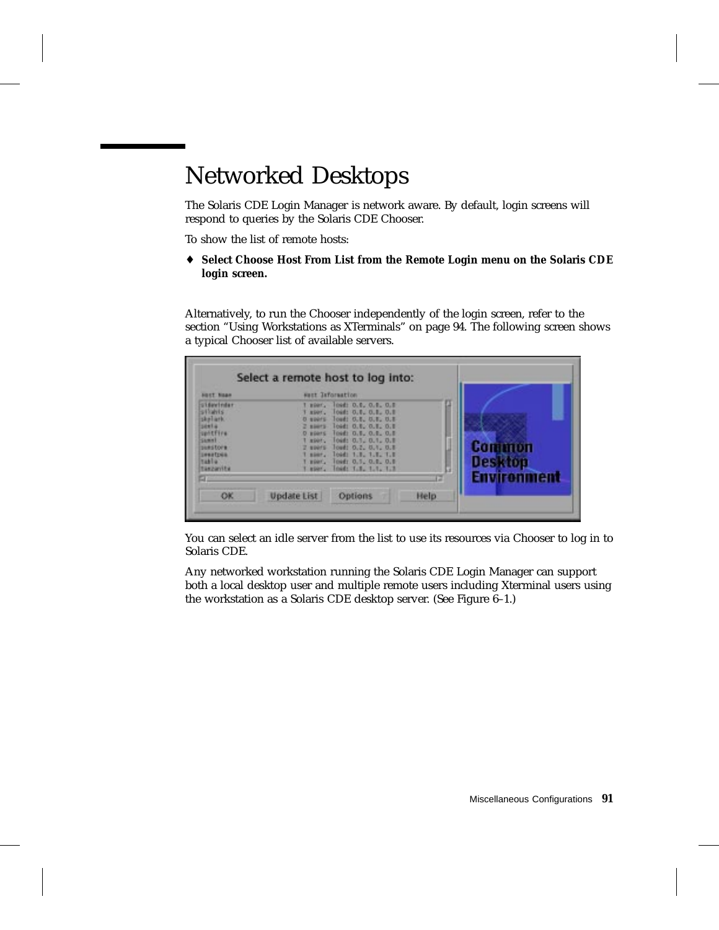# Networked Desktops

The Solaris CDE Login Manager is network aware. By default, login screens will respond to queries by the Solaris CDE Chooser.

To show the list of remote hosts:

♦ **Select Choose Host From List from the Remote Login menu on the Solaris CDE login screen.**

Alternatively, to run the Chooser independently of the login screen, refer to the section "Using Workstations as XTerminals" on page 94. The following screen shows a typical Chooser list of available servers.

| sidevinder<br>stiabls<br>skellark.<br>34414<br>spitfire              | lost: 0.9, 0.9, 0.8<br>I spor.<br>1 xpor. Tour: 0.0, 0.1, 0.1<br>0 spors load: 0.5, 0.5, 0.5<br>load: 0.0, 0.1, 0.1<br>2.44415                                                                                                       |
|----------------------------------------------------------------------|--------------------------------------------------------------------------------------------------------------------------------------------------------------------------------------------------------------------------------------|
| <b>SAMINE</b><br>sunstors.<br><b>SHARTOGA</b><br>Table:<br>tanzanita | Tout: 0.5, 0.5, 0.5<br>O sports<br>1 xpor. load: 0.1, 0.1, 0.1<br><b>Common</b><br>Toud: 0.2, 0.1, 0.8<br>$2$ sports.<br>1 spor. load: 1.1, 1.1, 1.1<br><b>Desktop</b><br>1 mier. loed: 0.5, 0.8, 0.9<br>t gier, loads tal. Lit. Lit |
|                                                                      | <b>Environment</b><br>п                                                                                                                                                                                                              |

You can select an idle server from the list to use its resources via Chooser to log in to Solaris CDE.

Any networked workstation running the Solaris CDE Login Manager can support both a local desktop user and multiple remote users including Xterminal users using the workstation as a Solaris CDE desktop server. (See Figure 6–1.)

Miscellaneous Configurations **91**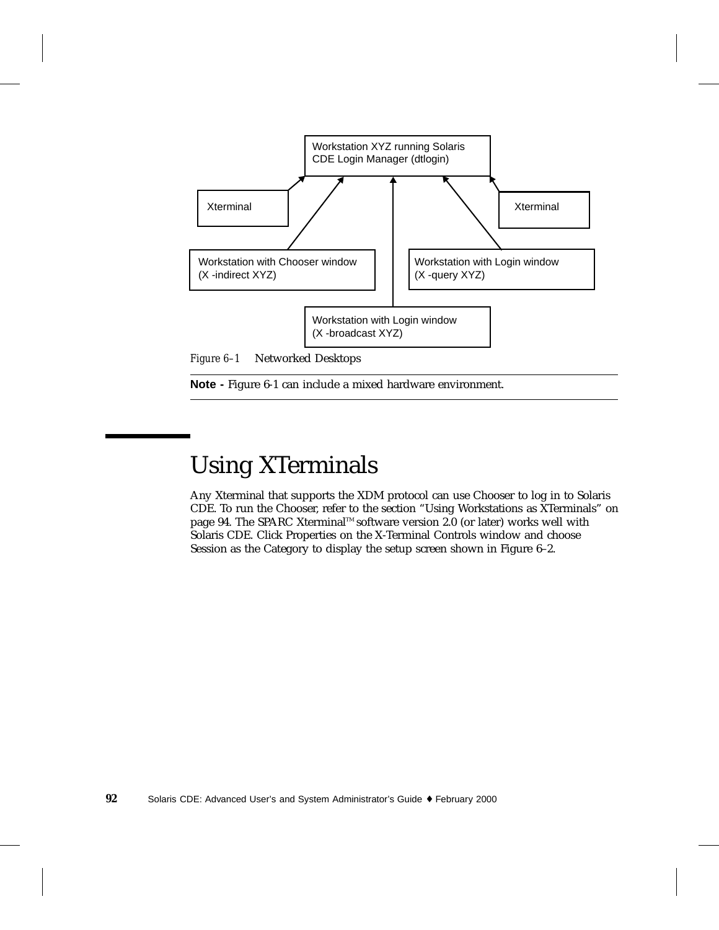



# Using XTerminals

Any Xterminal that supports the XDM protocol can use Chooser to log in to Solaris CDE. To run the Chooser, refer to the section "Using Workstations as XTerminals" on page 94. The SPARC Xterminal™ software version 2.0 (or later) works well with Solaris CDE. Click Properties on the X-Terminal Controls window and choose Session as the Category to display the setup screen shown in Figure 6–2.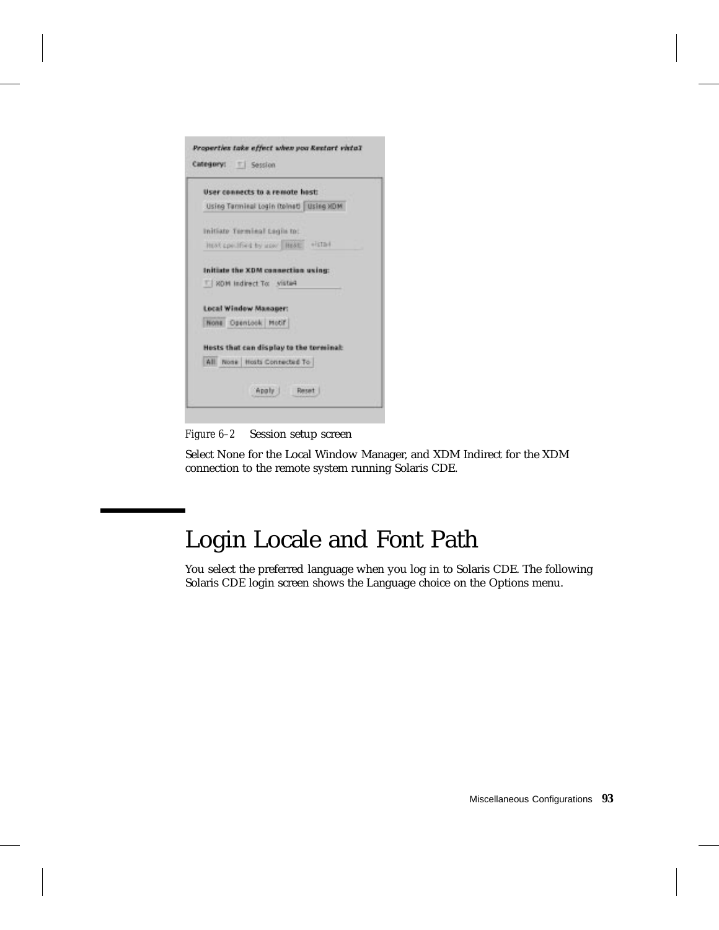| User connects to a remote host:         |  |
|-----------------------------------------|--|
| Using Terminal Login (telnet) Using XDM |  |
| Initiate Terminal Legiis to:            |  |
| HEAT EDUCTIVE BY MEN' HEAT HISTORY      |  |
| Local Window Manager:                   |  |
|                                         |  |
| None OpenLook Motif                     |  |
| Hests that can display to the terminal: |  |
| All None Hosts Connected To             |  |

*Figure 6–2* Session setup screen

Select None for the Local Window Manager, and XDM Indirect for the XDM connection to the remote system running Solaris CDE.

# Login Locale and Font Path

You select the preferred language when you log in to Solaris CDE. The following Solaris CDE login screen shows the Language choice on the Options menu.

Miscellaneous Configurations **93**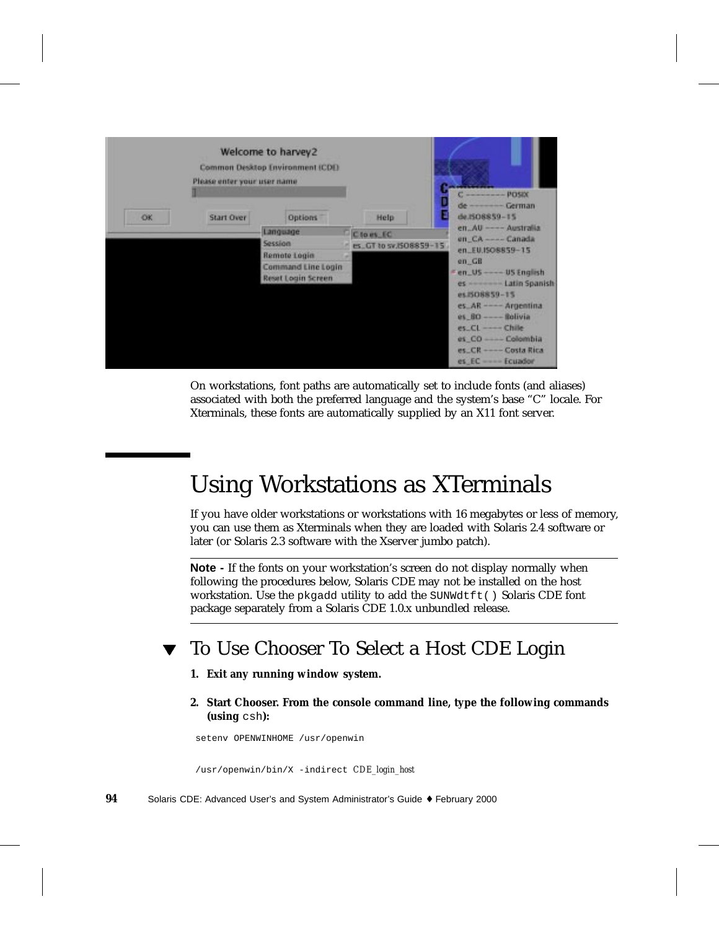

On workstations, font paths are automatically set to include fonts (and aliases) associated with both the preferred language and the system's base "C" locale. For Xterminals, these fonts are automatically supplied by an X11 font server.

# Using Workstations as XTerminals

If you have older workstations or workstations with 16 megabytes or less of memory, you can use them as Xterminals when they are loaded with Solaris 2.4 software or later (or Solaris 2.3 software with the Xserver jumbo patch).

**Note -** If the fonts on your workstation's screen do not display normally when following the procedures below, Solaris CDE may not be installed on the host workstation. Use the pkgadd utility to add the SUNWdtft() Solaris CDE font package separately from a Solaris CDE 1.0.x unbundled release.

### To Use Chooser To Select a Host CDE Login

- **1. Exit any running window system.**
- **2. Start Chooser. From the console command line, type the following commands (using** csh**):**

setenv OPENWINHOME /usr/openwin

/usr/openwin/bin/X -indirect *CDE\_login\_host*

**94** Solaris CDE: Advanced User's and System Administrator's Guide ♦ February 2000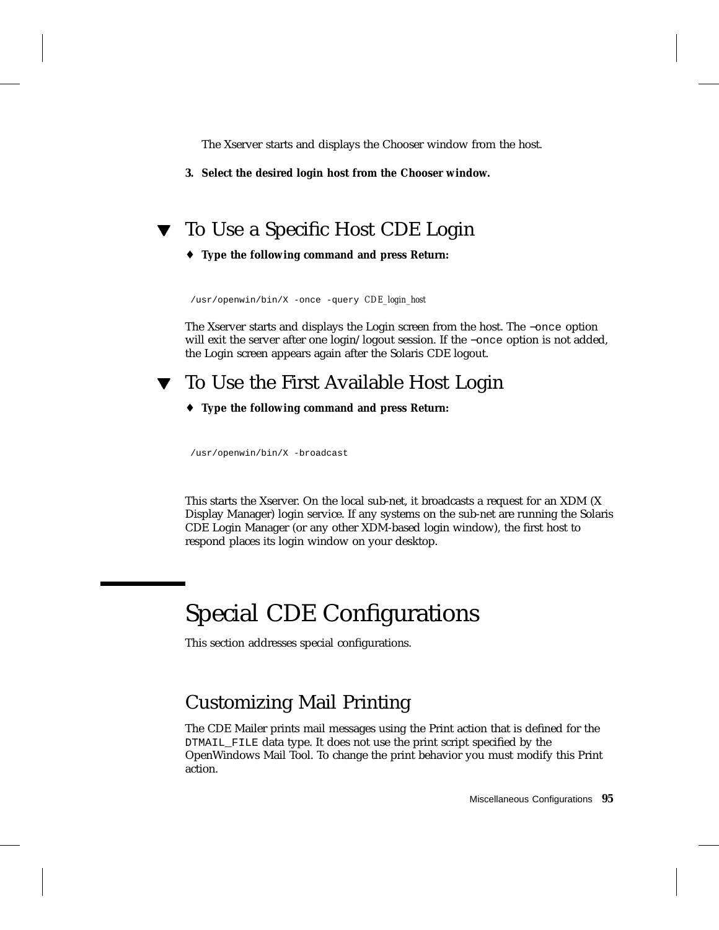The Xserver starts and displays the Chooser window from the host.

**3. Select the desired login host from the Chooser window.**

### To Use a Specific Host CDE Login

♦ **Type the following command and press Return:**

/usr/openwin/bin/X -once -query *CDE\_login\_host*

The Xserver starts and displays the Login screen from the host. The −once option will exit the server after one login/logout session. If the −once option is not added, the Login screen appears again after the Solaris CDE logout.

## To Use the First Available Host Login

♦ **Type the following command and press Return:**

/usr/openwin/bin/X -broadcast

This starts the Xserver. On the local sub-net, it broadcasts a request for an XDM (X Display Manager) login service. If any systems on the sub-net are running the Solaris CDE Login Manager (or any other XDM-based login window), the first host to respond places its login window on your desktop.

# Special CDE Configurations

This section addresses special configurations.

### Customizing Mail Printing

The CDE Mailer prints mail messages using the Print action that is defined for the DTMAIL\_FILE data type. It does not use the print script specified by the OpenWindows Mail Tool. To change the print behavior you must modify this Print action.

Miscellaneous Configurations **95**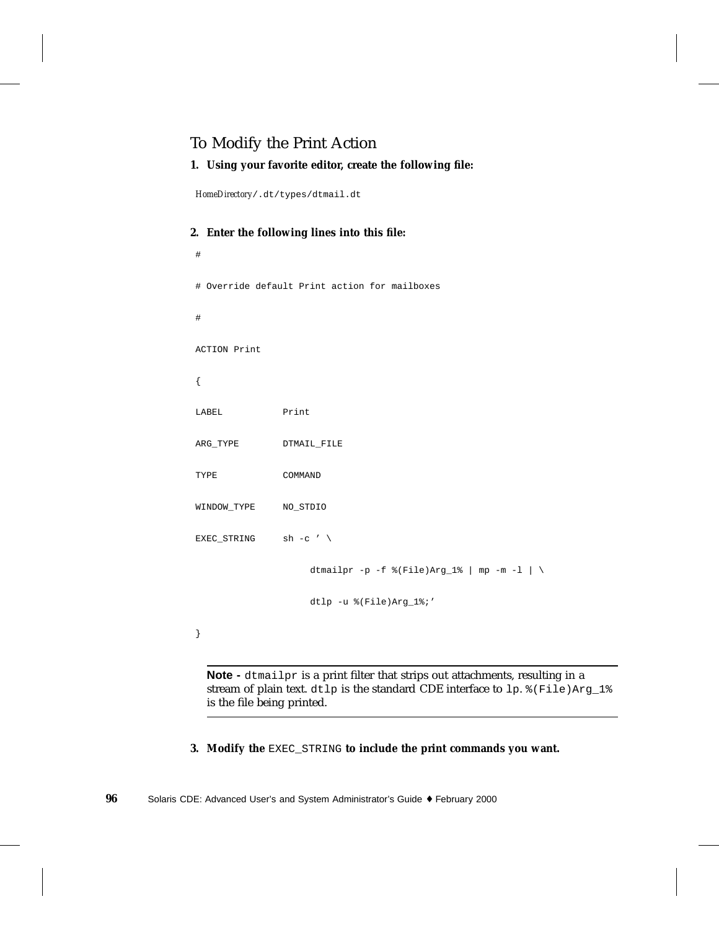### To Modify the Print Action

**1. Using your favorite editor, create the following file:**

*HomeDirectory*/.dt/types/dtmail.dt

#### **2. Enter the following lines into this file:**

```
#
# Override default Print action for mailboxes
#
ACTION Print
{
LABEL Print
ARG_TYPE DTMAIL_FILE
TYPE COMMAND
WINDOW_TYPE NO_STDIO
EXEC\_STRING sh -c ' \
                   dtmailpr -p -f %(File)Arg_1% | mp -m -l | \setminusdtlp -u %(File)Arg_1%;'
}
```
**Note -** dtmailpr is a print filter that strips out attachments, resulting in a stream of plain text. dtlp is the standard CDE interface to lp. %(File)Arg\_1% is the file being printed.

#### **3. Modify the** EXEC\_STRING **to include the print commands you want.**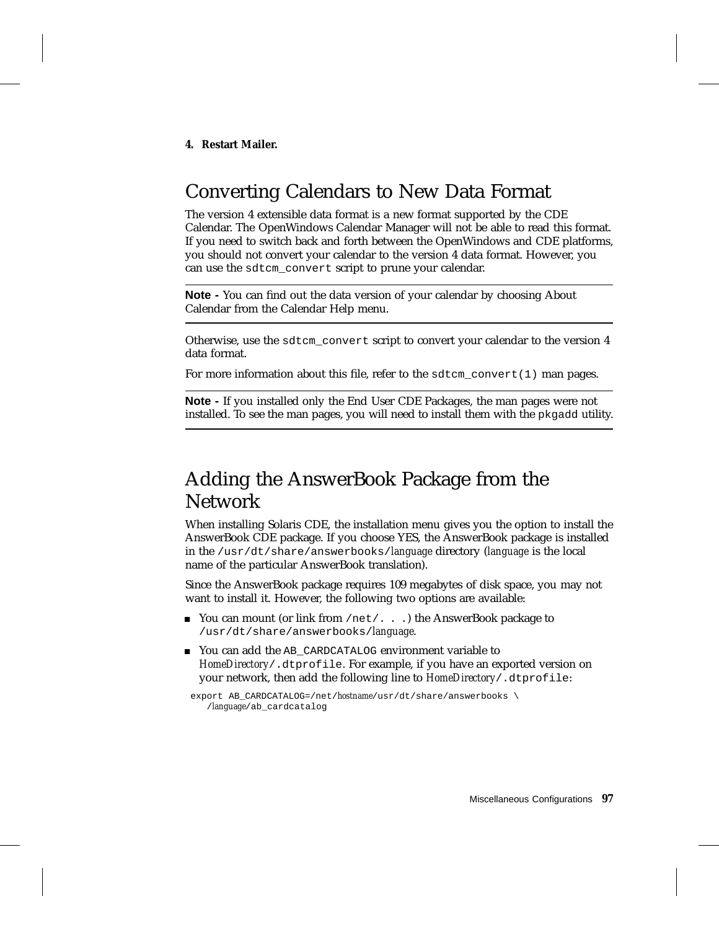#### **4. Restart Mailer.**

## Converting Calendars to New Data Format

The version 4 extensible data format is a new format supported by the CDE Calendar. The OpenWindows Calendar Manager will not be able to read this format. If you need to switch back and forth between the OpenWindows and CDE platforms, you should not convert your calendar to the version 4 data format. However, you can use the sdtcm\_convert script to prune your calendar.

**Note -** You can find out the data version of your calendar by choosing About Calendar from the Calendar Help menu.

Otherwise, use the sdtcm\_convert script to convert your calendar to the version 4 data format.

For more information about this file, refer to the sdtcm\_convert(1) man pages.

**Note -** If you installed only the End User CDE Packages, the man pages were not installed. To see the man pages, you will need to install them with the pkgadd utility.

## Adding the AnswerBook Package from the Network

When installing Solaris CDE, the installation menu gives you the option to install the AnswerBook CDE package. If you choose YES, the AnswerBook package is installed in the /usr/dt/share/answerbooks/*language* directory (*language* is the local name of the particular AnswerBook translation).

Since the AnswerBook package requires 109 megabytes of disk space, you may not want to install it. However, the following two options are available:

- You can mount (or link from  $/net/$ . . .) the AnswerBook package to /usr/dt/share/answerbooks/*language*.
- You can add the AB\_CARDCATALOG environment variable to *HomeDirectory*/.dtprofile. For example, if you have an exported version on your network, then add the following line to *HomeDirectory*/.dtprofile:

Miscellaneous Configurations **97**

export AB\_CARDCATALOG=/net/*hostname*/usr/dt/share/answerbooks \ /*language*/ab\_cardcatalog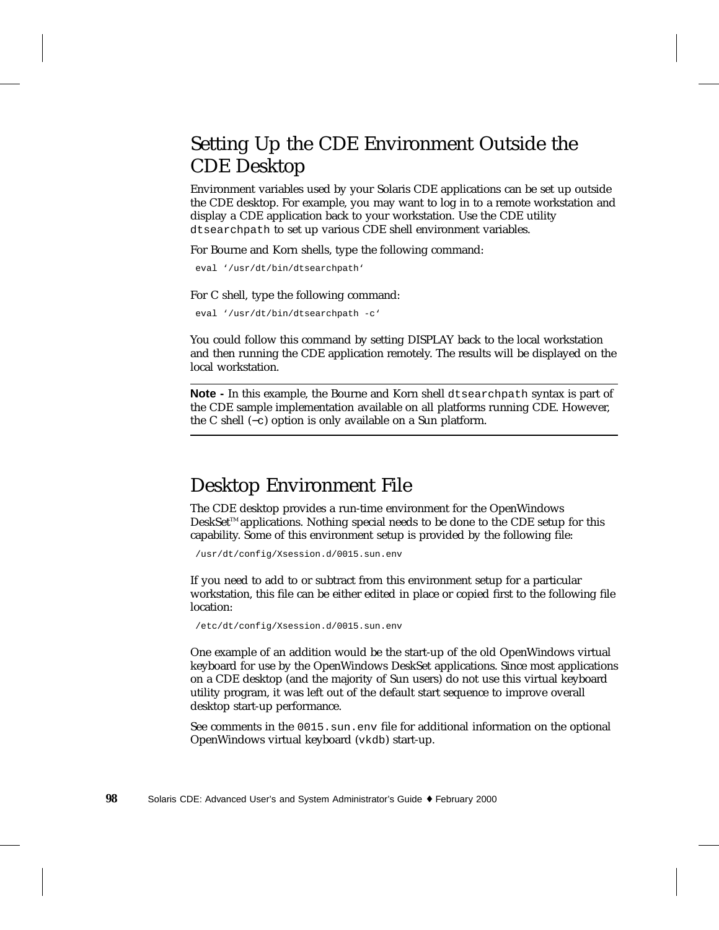## Setting Up the CDE Environment Outside the CDE Desktop

Environment variables used by your Solaris CDE applications can be set up outside the CDE desktop. For example, you may want to log in to a remote workstation and display a CDE application back to your workstation. Use the CDE utility dtsearchpath to set up various CDE shell environment variables.

For Bourne and Korn shells, type the following command:

eval '/usr/dt/bin/dtsearchpath'

For C shell, type the following command:

eval '/usr/dt/bin/dtsearchpath -c'

You could follow this command by setting DISPLAY back to the local workstation and then running the CDE application remotely. The results will be displayed on the local workstation.

**Note -** In this example, the Bourne and Korn shell dtsearchpath syntax is part of the CDE sample implementation available on all platforms running CDE. However, the C shell (−c) option is only available on a Sun platform.

### Desktop Environment File

The CDE desktop provides a run-time environment for the OpenWindows  $\text{DeskSet}^{\text{TM}}$  applications. Nothing special needs to be done to the CDE setup for this capability. Some of this environment setup is provided by the following file:

/usr/dt/config/Xsession.d/0015.sun.env

If you need to add to or subtract from this environment setup for a particular workstation, this file can be either edited in place or copied first to the following file location:

/etc/dt/config/Xsession.d/0015.sun.env

One example of an addition would be the start-up of the old OpenWindows virtual keyboard for use by the OpenWindows DeskSet applications. Since most applications on a CDE desktop (and the majority of Sun users) do not use this virtual keyboard utility program, it was left out of the default start sequence to improve overall desktop start-up performance.

See comments in the  $0015$ . sun.env file for additional information on the optional OpenWindows virtual keyboard (vkdb) start-up.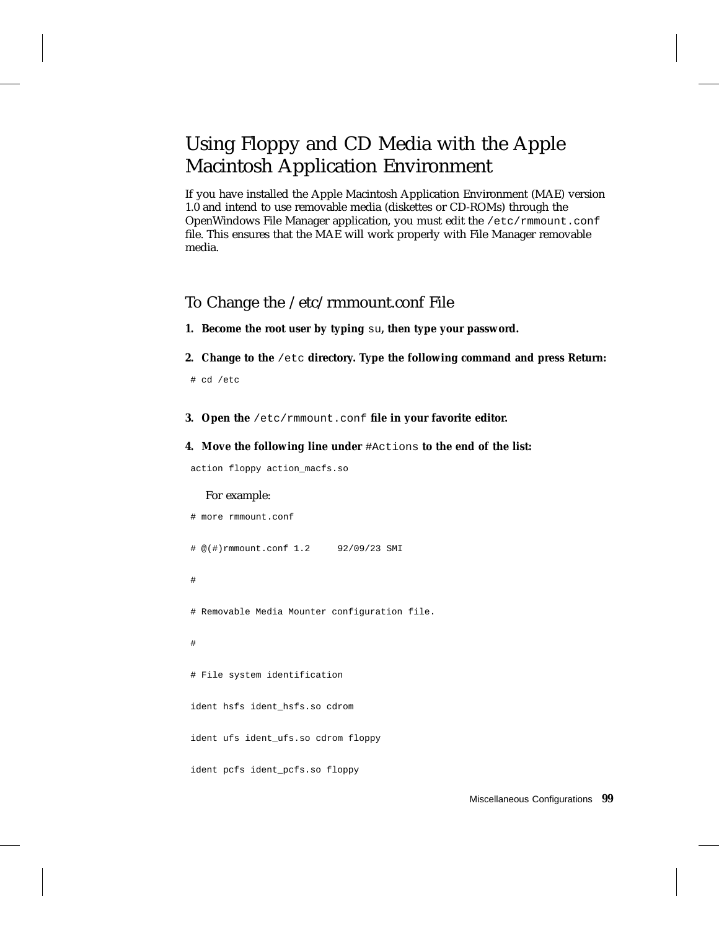## Using Floppy and CD Media with the Apple Macintosh Application Environment

If you have installed the Apple Macintosh Application Environment (MAE) version 1.0 and intend to use removable media (diskettes or CD-ROMs) through the OpenWindows File Manager application, you must edit the /etc/rmmount.conf file. This ensures that the MAE will work properly with File Manager removable media.

#### To Change the /etc/rmmount.conf File

- **1. Become the root user by typing** su**, then type your password.**
- **2. Change to the** /etc **directory. Type the following command and press Return:**

# cd /etc

- **3. Open the** /etc/rmmount.conf **file in your favorite editor.**
- **4. Move the following line under** #Actions **to the end of the list:**

action floppy action\_macfs.so

#### For example:

```
# more rmmount.conf
# @(#)rmmount.conf 1.2 92/09/23 SMI
#
# Removable Media Mounter configuration file.
#
# File system identification
ident hsfs ident_hsfs.so cdrom
ident ufs ident_ufs.so cdrom floppy
ident pcfs ident_pcfs.so floppy
```
Miscellaneous Configurations **99**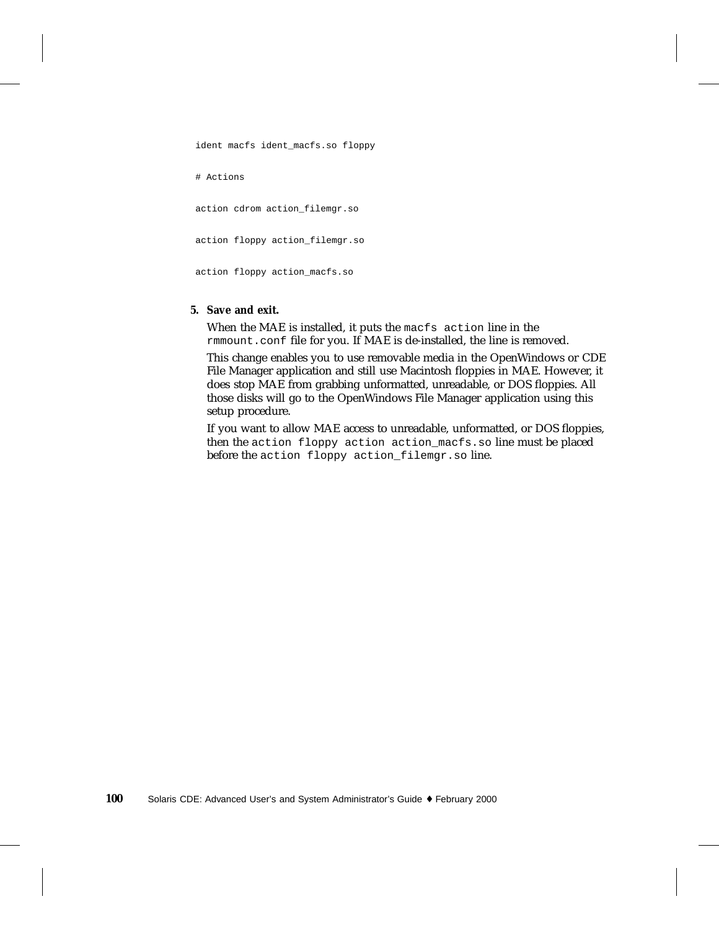ident macfs ident\_macfs.so floppy # Actions action cdrom action\_filemgr.so action floppy action\_filemgr.so action floppy action\_macfs.so

#### **5. Save and exit.**

When the MAE is installed, it puts the macfs action line in the rmmount.conf file for you. If MAE is de-installed, the line is removed.

This change enables you to use removable media in the OpenWindows or CDE File Manager application and still use Macintosh floppies in MAE. However, it does stop MAE from grabbing unformatted, unreadable, or DOS floppies. All those disks will go to the OpenWindows File Manager application using this setup procedure.

If you want to allow MAE access to unreadable, unformatted, or DOS floppies, then the action floppy action action\_macfs.so line must be placed before the action floppy action\_filemgr.so line.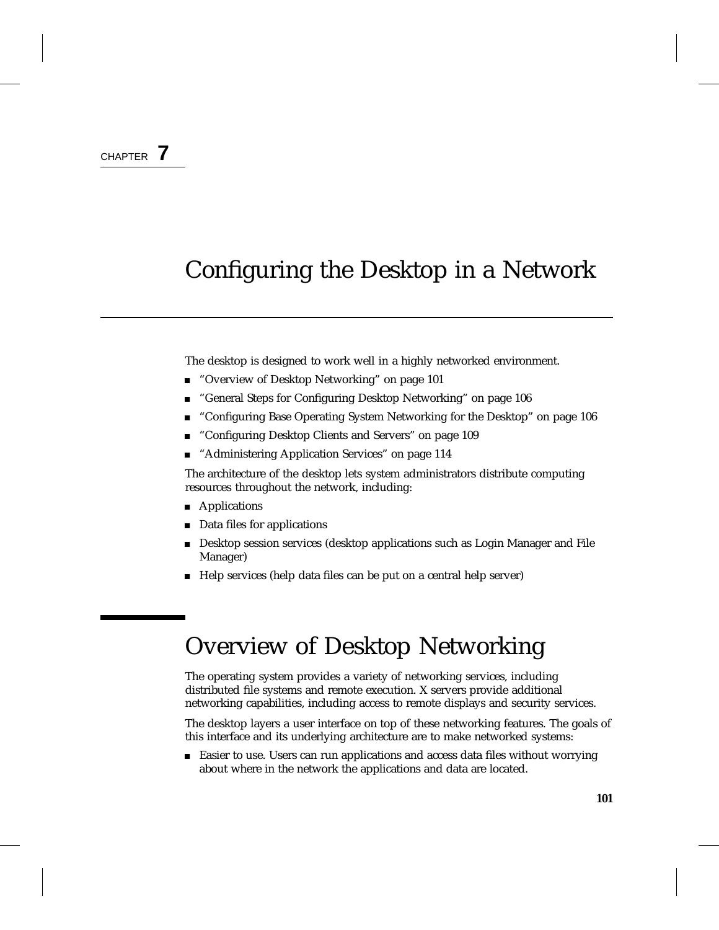### CHAPTER **7**

# Configuring the Desktop in a Network

The desktop is designed to work well in a highly networked environment.

- "Overview of Desktop Networking" on page 101
- "General Steps for Configuring Desktop Networking" on page 106
- "Configuring Base Operating System Networking for the Desktop" on page 106
- "Configuring Desktop Clients and Servers" on page 109
- "Administering Application Services" on page 114

The architecture of the desktop lets system administrators distribute computing resources throughout the network, including:

- **Applications**
- Data files for applications
- Desktop session services (desktop applications such as Login Manager and File Manager)
- Help services (help data files can be put on a central help server)

# Overview of Desktop Networking

The operating system provides a variety of networking services, including distributed file systems and remote execution. X servers provide additional networking capabilities, including access to remote displays and security services.

The desktop layers a user interface on top of these networking features. The goals of this interface and its underlying architecture are to make networked systems:

**Easier to use. Users can run applications and access data files without worrying** about where in the network the applications and data are located.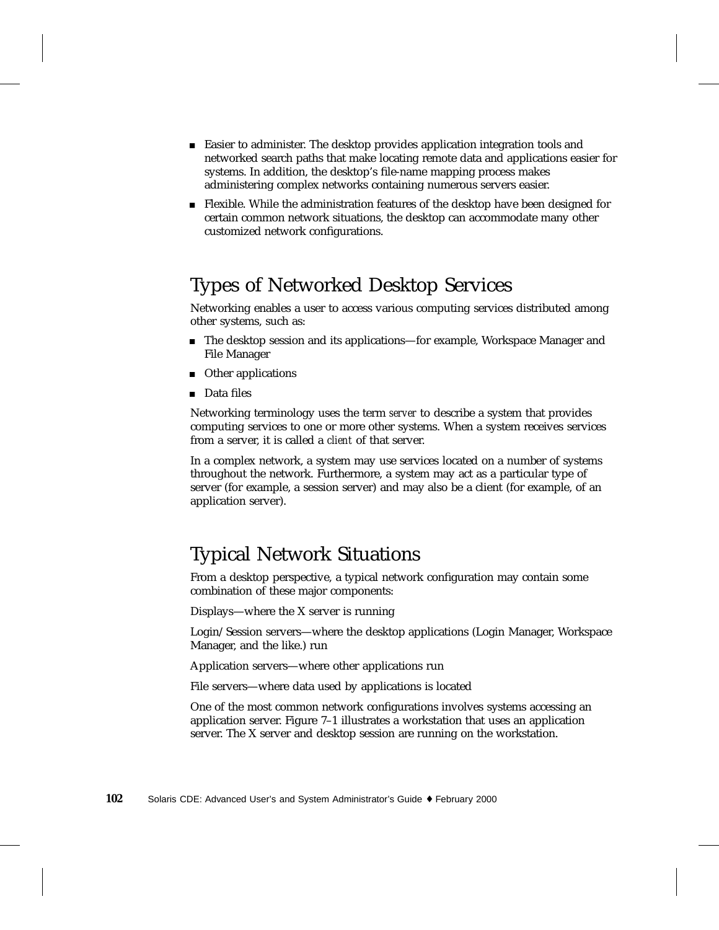- Easier to administer. The desktop provides application integration tools and networked search paths that make locating remote data and applications easier for systems. In addition, the desktop's file-name mapping process makes administering complex networks containing numerous servers easier.
- Flexible. While the administration features of the desktop have been designed for certain common network situations, the desktop can accommodate many other customized network configurations.

## Types of Networked Desktop Services

Networking enables a user to access various computing services distributed among other systems, such as:

- The desktop session and its applications—for example, Workspace Manager and File Manager
- **Other applications**
- **Data files**

Networking terminology uses the term *server* to describe a system that provides computing services to one or more other systems. When a system receives services from a server, it is called a *client* of that server.

In a complex network, a system may use services located on a number of systems throughout the network. Furthermore, a system may act as a particular type of server (for example, a session server) and may also be a client (for example, of an application server).

## Typical Network Situations

From a desktop perspective, a typical network configuration may contain some combination of these major components:

Displays—where the X server is running

Login/Session servers—where the desktop applications (Login Manager, Workspace Manager, and the like.) run

Application servers—where other applications run

File servers—where data used by applications is located

One of the most common network configurations involves systems accessing an application server. Figure 7–1 illustrates a workstation that uses an application server. The X server and desktop session are running on the workstation.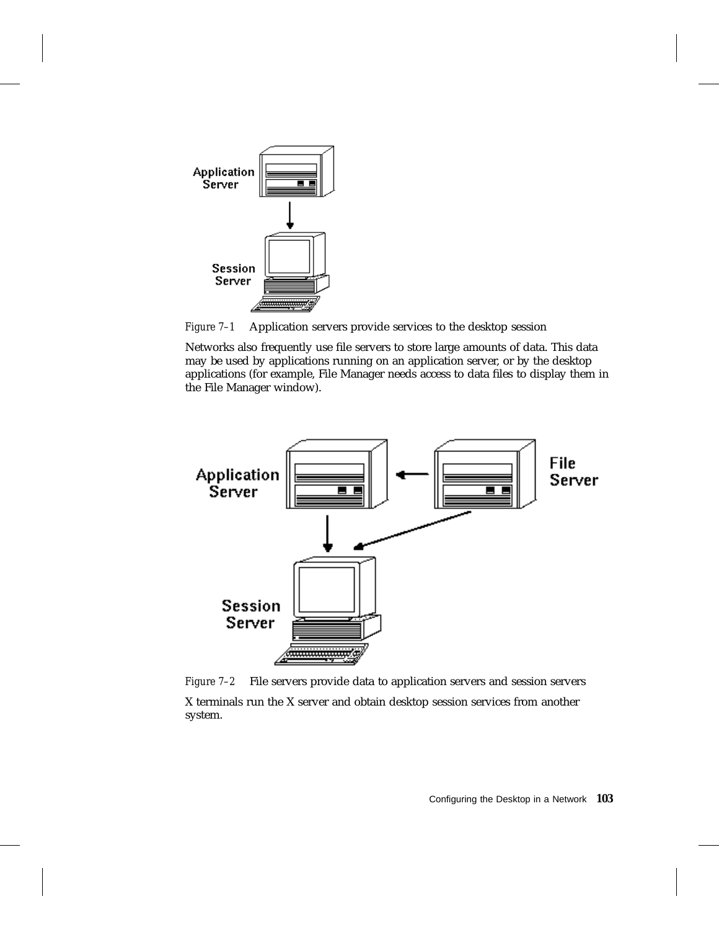

*Figure 7–1* Application servers provide services to the desktop session

Networks also frequently use file servers to store large amounts of data. This data may be used by applications running on an application server, or by the desktop applications (for example, File Manager needs access to data files to display them in the File Manager window).



*Figure 7–2* File servers provide data to application servers and session servers X terminals run the X server and obtain desktop session services from another system.

Configuring the Desktop in a Network **103**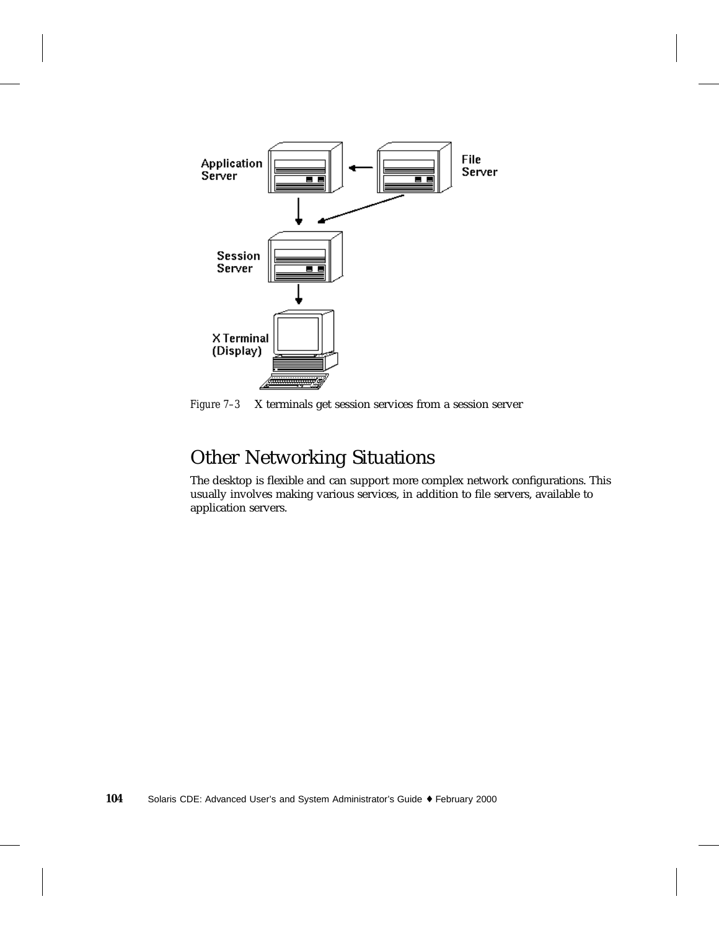

*Figure 7–3* X terminals get session services from a session server

# Other Networking Situations

The desktop is flexible and can support more complex network configurations. This usually involves making various services, in addition to file servers, available to application servers.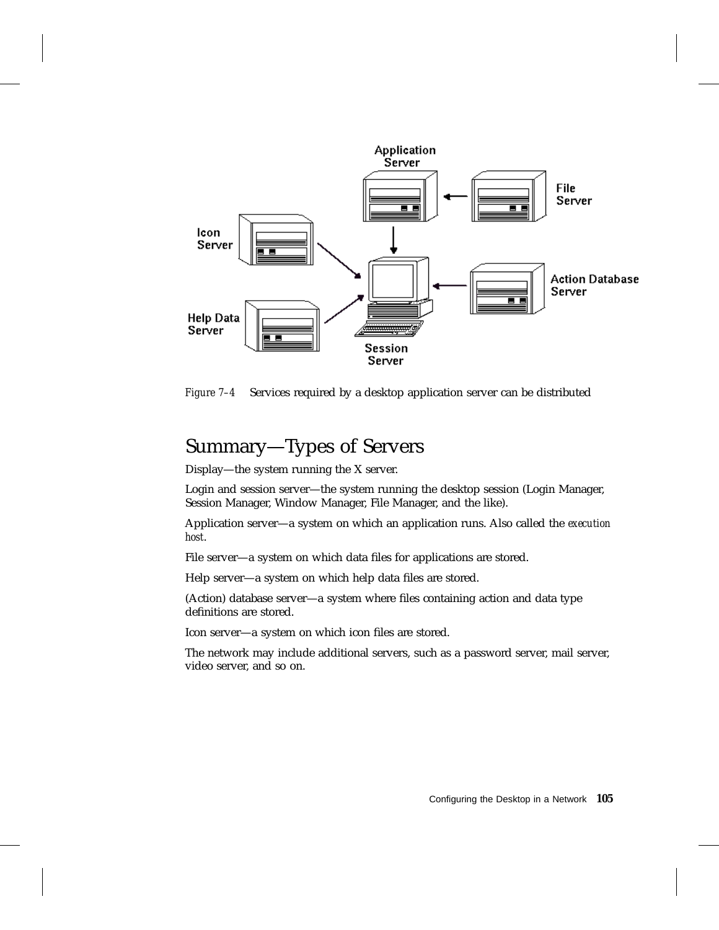

*Figure 7–4* Services required by a desktop application server can be distributed

# Summary—Types of Servers

Display—the system running the X server.

Login and session server—the system running the desktop session (Login Manager, Session Manager, Window Manager, File Manager, and the like).

Application server—a system on which an application runs. Also called the *execution host*.

File server—a system on which data files for applications are stored.

Help server—a system on which help data files are stored.

(Action) database server—a system where files containing action and data type definitions are stored.

Icon server—a system on which icon files are stored.

The network may include additional servers, such as a password server, mail server, video server, and so on.

Configuring the Desktop in a Network **105**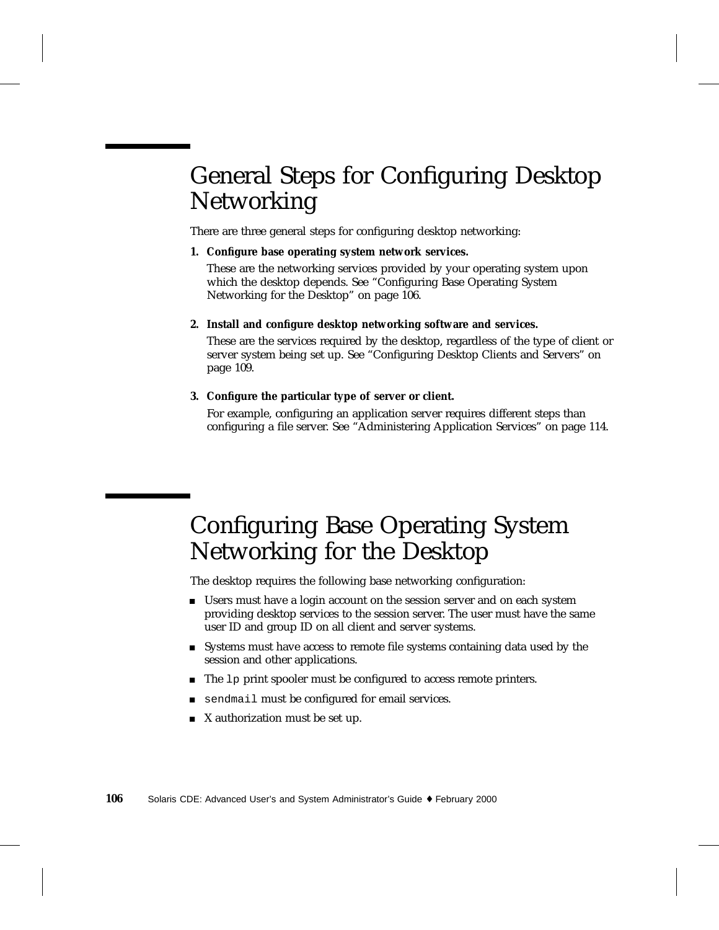# General Steps for Configuring Desktop Networking

There are three general steps for configuring desktop networking:

**1. Configure base operating system network services.**

These are the networking services provided by your operating system upon which the desktop depends. See "Configuring Base Operating System Networking for the Desktop" on page 106.

**2. Install and configure desktop networking software and services.**

These are the services required by the desktop, regardless of the type of client or server system being set up. See "Configuring Desktop Clients and Servers" on page 109.

#### **3. Configure the particular type of server or client.**

For example, configuring an application server requires different steps than configuring a file server. See "Administering Application Services" on page 114.

# Configuring Base Operating System Networking for the Desktop

The desktop requires the following base networking configuration:

- Users must have a login account on the session server and on each system providing desktop services to the session server. The user must have the same user ID and group ID on all client and server systems.
- Systems must have access to remote file systems containing data used by the session and other applications.
- The 1p print spooler must be configured to access remote printers.
- sendmail must be configured for email services.
- $\blacksquare$  X authorization must be set up.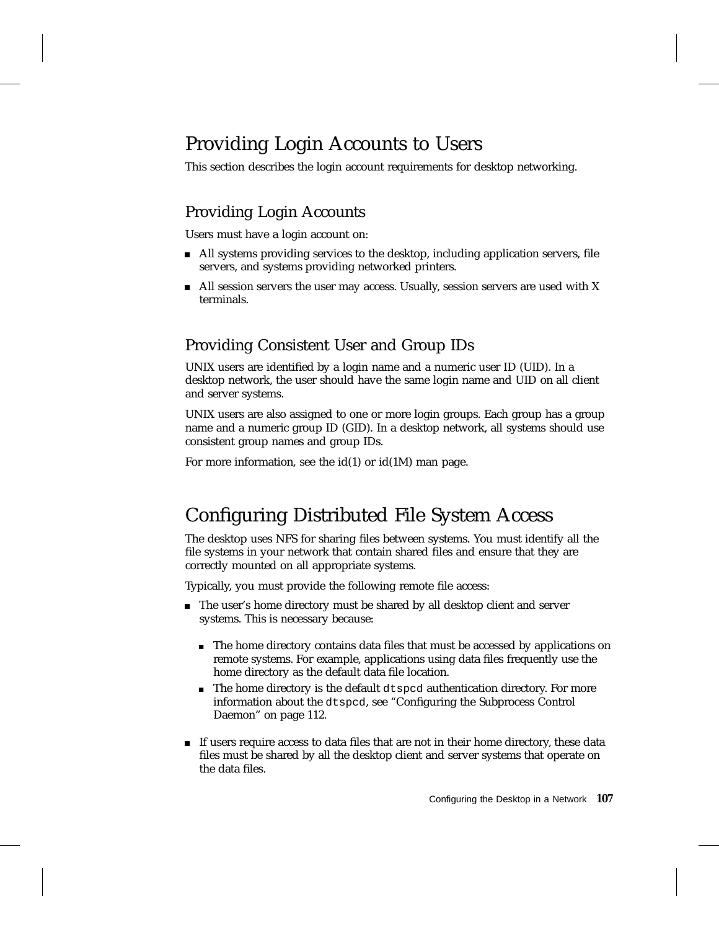## Providing Login Accounts to Users

This section describes the login account requirements for desktop networking.

### Providing Login Accounts

Users must have a login account on:

- All systems providing services to the desktop, including application servers, file servers, and systems providing networked printers.
- $\blacksquare$  All session servers the user may access. Usually, session servers are used with X terminals.

### Providing Consistent User and Group IDs

UNIX users are identified by a login name and a numeric user ID (UID). In a desktop network, the user should have the same login name and UID on all client and server systems.

UNIX users are also assigned to one or more login groups. Each group has a group name and a numeric group ID (GID). In a desktop network, all systems should use consistent group names and group IDs.

For more information, see the id(1) or id(1M) man page.

# Configuring Distributed File System Access

The desktop uses NFS for sharing files between systems. You must identify all the file systems in your network that contain shared files and ensure that they are correctly mounted on all appropriate systems.

Typically, you must provide the following remote file access:

- The user's home directory must be shared by all desktop client and server systems. This is necessary because:
	- The home directory contains data files that must be accessed by applications on remote systems. For example, applications using data files frequently use the home directory as the default data file location.
	- $\blacksquare$  The home directory is the default dtspcd authentication directory. For more information about the dtspcd, see "Configuring the Subprocess Control Daemon" on page 112.
- If users require access to data files that are not in their home directory, these data files must be shared by all the desktop client and server systems that operate on the data files.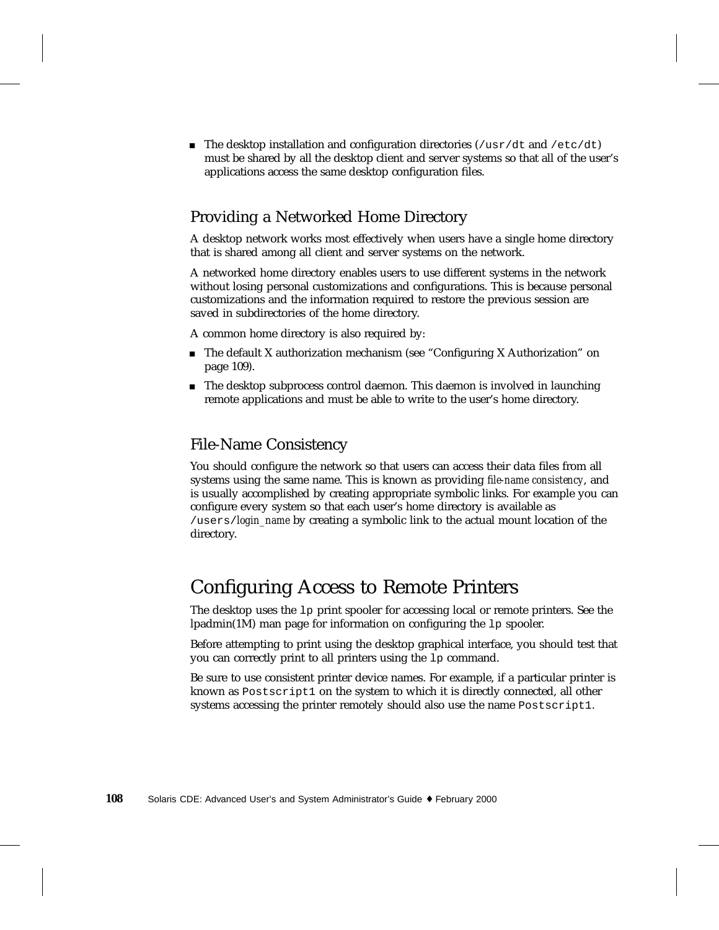**The desktop installation and configuration directories (**/usr/dt and /etc/dt) must be shared by all the desktop client and server systems so that all of the user's applications access the same desktop configuration files.

### Providing a Networked Home Directory

A desktop network works most effectively when users have a single home directory that is shared among all client and server systems on the network.

A networked home directory enables users to use different systems in the network without losing personal customizations and configurations. This is because personal customizations and the information required to restore the previous session are saved in subdirectories of the home directory.

A common home directory is also required by:

- The default X authorization mechanism (see "Configuring X Authorization" on page 109).
- The desktop subprocess control daemon. This daemon is involved in launching remote applications and must be able to write to the user's home directory.

### File-Name Consistency

You should configure the network so that users can access their data files from all systems using the same name. This is known as providing *file-name consistency*, and is usually accomplished by creating appropriate symbolic links. For example you can configure every system so that each user's home directory is available as /users/*login\_name* by creating a symbolic link to the actual mount location of the directory.

### Configuring Access to Remote Printers

The desktop uses the lp print spooler for accessing local or remote printers. See the lpadmin(1M) man page for information on configuring the lp spooler.

Before attempting to print using the desktop graphical interface, you should test that you can correctly print to all printers using the lp command.

Be sure to use consistent printer device names. For example, if a particular printer is known as Postscript1 on the system to which it is directly connected, all other systems accessing the printer remotely should also use the name Postscript1.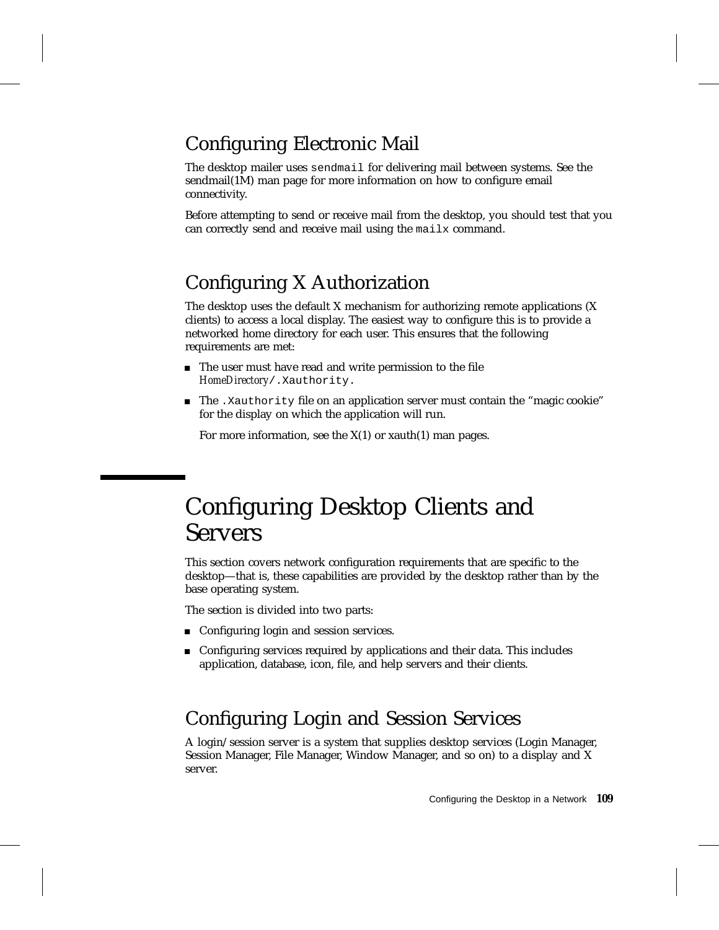## Configuring Electronic Mail

The desktop mailer uses sendmail for delivering mail between systems. See the sendmail(1M) man page for more information on how to configure email connectivity.

Before attempting to send or receive mail from the desktop, you should test that you can correctly send and receive mail using the mailx command.

## Configuring X Authorization

The desktop uses the default X mechanism for authorizing remote applications (X clients) to access a local display. The easiest way to configure this is to provide a networked home directory for each user. This ensures that the following requirements are met:

- The user must have read and write permission to the file *HomeDirectory*/.Xauthority.
- The .Xauthority file on an application server must contain the "magic cookie" for the display on which the application will run.

For more information, see the  $X(1)$  or xauth $(1)$  man pages.

# Configuring Desktop Clients and Servers

This section covers network configuration requirements that are specific to the desktop—that is, these capabilities are provided by the desktop rather than by the base operating system.

The section is divided into two parts:

- Configuring login and session services.
- Configuring services required by applications and their data. This includes application, database, icon, file, and help servers and their clients.

## Configuring Login and Session Services

A login/session server is a system that supplies desktop services (Login Manager, Session Manager, File Manager, Window Manager, and so on) to a display and X server.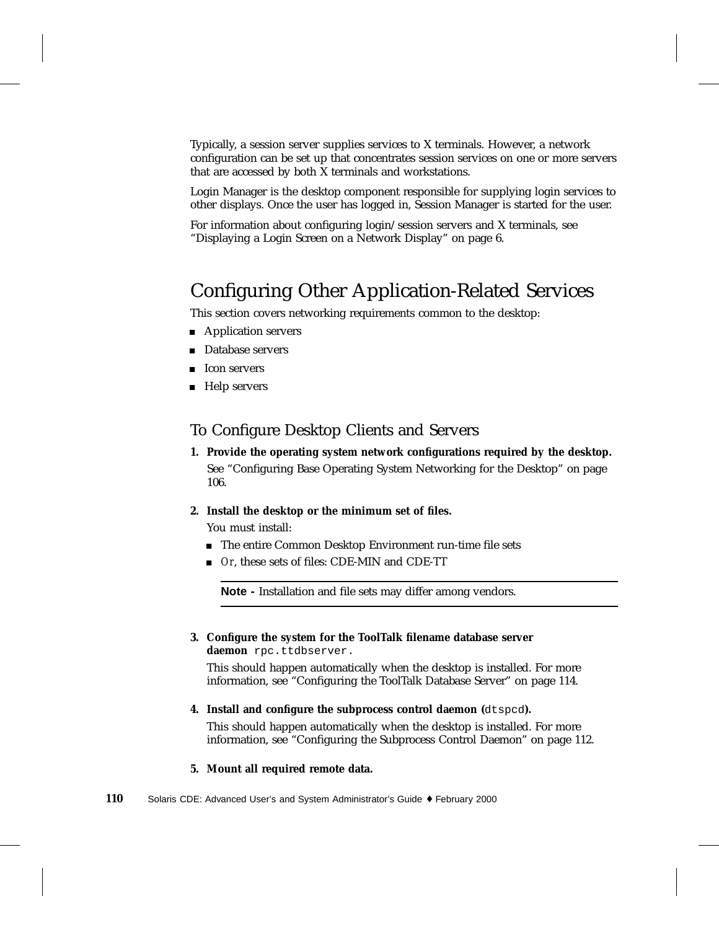Typically, a session server supplies services to X terminals. However, a network configuration can be set up that concentrates session services on one or more servers that are accessed by both X terminals and workstations.

Login Manager is the desktop component responsible for supplying login services to other displays. Once the user has logged in, Session Manager is started for the user.

For information about configuring login/session servers and X terminals, see "Displaying a Login Screen on a Network Display" on page 6.

## Configuring Other Application-Related Services

This section covers networking requirements common to the desktop:

- **Application servers**
- **Database servers**
- **Icon servers**
- Help servers

#### To Configure Desktop Clients and Servers

**1. Provide the operating system network configurations required by the desktop.** See "Configuring Base Operating System Networking for the Desktop" on page 106.

**2. Install the desktop or the minimum set of files.**

You must install:

- The entire Common Desktop Environment run-time file sets
- **Dr**, these sets of files: CDE-MIN and CDE-TT

**Note -** Installation and file sets may differ among vendors.

#### **3. Configure the system for the ToolTalk filename database server daemon** rpc.ttdbserver.

This should happen automatically when the desktop is installed. For more information, see "Configuring the ToolTalk Database Server" on page 114.

#### **4. Install and configure the subprocess control daemon (**dtspcd**).**

This should happen automatically when the desktop is installed. For more information, see "Configuring the Subprocess Control Daemon" on page 112.

#### **5. Mount all required remote data.**

**110** Solaris CDE: Advanced User's and System Administrator's Guide ♦ February 2000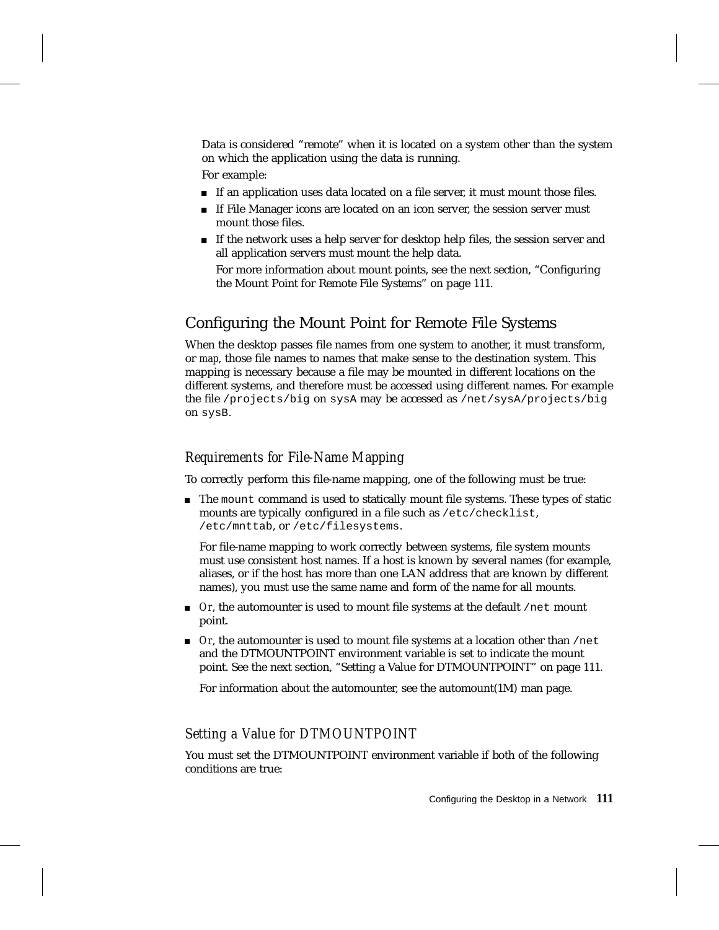Data is considered "remote" when it is located on a system other than the system on which the application using the data is running. For example:

- If an application uses data located on a file server, it must mount those files.
- If File Manager icons are located on an icon server, the session server must mount those files.
- If the network uses a help server for desktop help files, the session server and all application servers must mount the help data.

For more information about mount points, see the next section, "Configuring the Mount Point for Remote File Systems" on page 111.

### Configuring the Mount Point for Remote File Systems

When the desktop passes file names from one system to another, it must transform, or *map*, those file names to names that make sense to the destination system. This mapping is necessary because a file may be mounted in different locations on the different systems, and therefore must be accessed using different names. For example the file /projects/big on sysA may be accessed as /net/sysA/projects/big on sysB.

### *Requirements for File-Name Mapping*

To correctly perform this file-name mapping, one of the following must be true:

The mount command is used to statically mount file systems. These types of static mounts are typically configured in a file such as /etc/checklist, /etc/mnttab, or /etc/filesystems.

For file-name mapping to work correctly between systems, file system mounts must use consistent host names. If a host is known by several names (for example, aliases, or if the host has more than one LAN address that are known by different names), you must use the same name and form of the name for all mounts.

- *Or*, the automounter is used to mount file systems at the default /net mount point.
- *Or*, the automounter is used to mount file systems at a location other than /net and the DTMOUNTPOINT environment variable is set to indicate the mount point. See the next section, "Setting a Value for DTMOUNTPOINT" on page 111.

For information about the automounter, see the automount(1M) man page.

#### *Setting a Value for DTMOUNTPOINT*

You must set the DTMOUNTPOINT environment variable if both of the following conditions are true: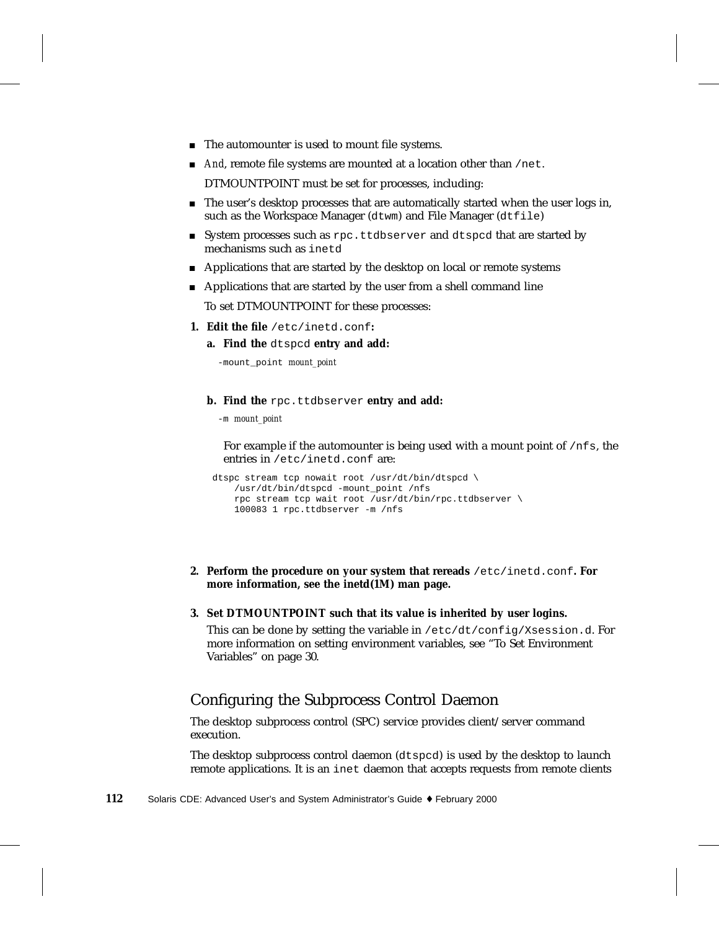- The automounter is used to mount file systems.
- **And, remote file systems are mounted at a location other than /net.**

DTMOUNTPOINT must be set for processes, including:

- The user's desktop processes that are automatically started when the user logs in, such as the Workspace Manager (dtwm) and File Manager (dtfile)
- System processes such as  $rpc.$  ttdbserver and dtspcd that are started by mechanisms such as inetd
- Applications that are started by the desktop on local or remote systems
- **•** Applications that are started by the user from a shell command line

To set DTMOUNTPOINT for these processes:

**1. Edit the file** /etc/inetd.conf**:**

```
a. Find the dtspcd entry and add:
```
-mount\_point *mount\_point*

**b. Find the** rpc.ttdbserver **entry and add:**

```
-m mount_point
```
For example if the automounter is being used with a mount point of /nfs, the entries in /etc/inetd.conf are:

```
dtspc stream tcp nowait root /usr/dt/bin/dtspcd \
    /usr/dt/bin/dtspcd -mount_point /nfs
   rpc stream tcp wait root /usr/dt/bin/rpc.ttdbserver \
    100083 1 rpc.ttdbserver -m /nfs
```
- **2. Perform the procedure on your system that rereads** /etc/inetd.conf**. For more information, see the inetd(1M) man page.**
- **3. Set DTMOUNTPOINT such that its value is inherited by user logins.**

This can be done by setting the variable in /etc/dt/config/Xsession.d. For more information on setting environment variables, see "To Set Environment Variables" on page 30.

#### Configuring the Subprocess Control Daemon

The desktop subprocess control (SPC) service provides client/server command execution.

The desktop subprocess control daemon (dtspcd) is used by the desktop to launch remote applications. It is an inet daemon that accepts requests from remote clients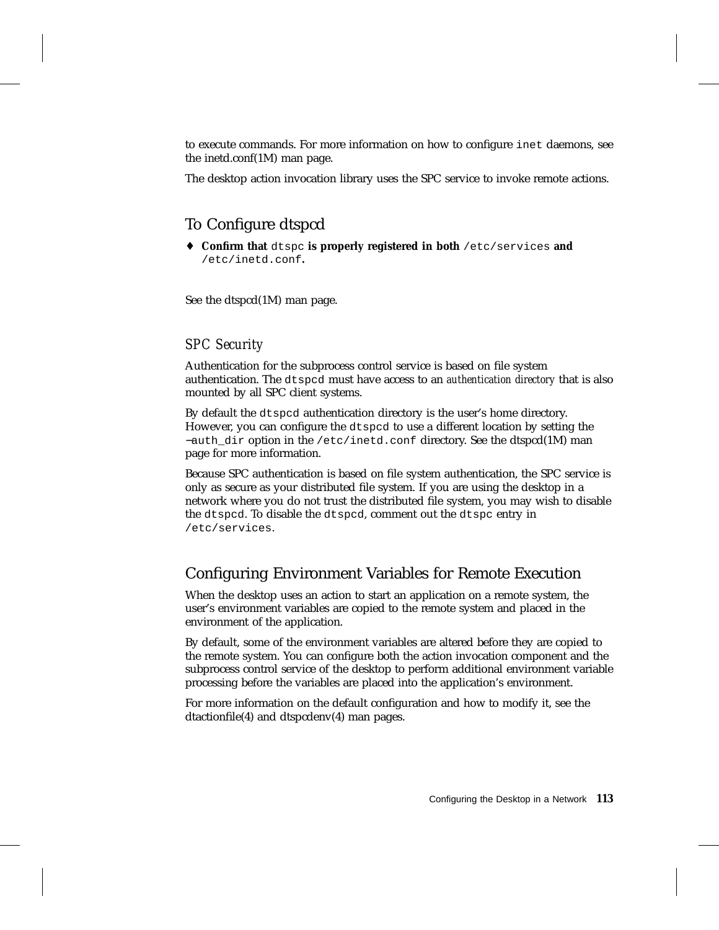to execute commands. For more information on how to configure inet daemons, see the inetd.conf(1M) man page.

The desktop action invocation library uses the SPC service to invoke remote actions.

### To Configure dtspcd

♦ **Confirm that** dtspc **is properly registered in both** /etc/services **and** /etc/inetd.conf**.**

See the dtspcd(1M) man page.

#### *SPC Security*

Authentication for the subprocess control service is based on file system authentication. The dtspcd must have access to an *authentication directory* that is also mounted by all SPC client systems.

By default the dtspcd authentication directory is the user's home directory. However, you can configure the dtspcd to use a different location by setting the −auth\_dir option in the /etc/inetd.conf directory. See the dtspcd(1M) man page for more information.

Because SPC authentication is based on file system authentication, the SPC service is only as secure as your distributed file system. If you are using the desktop in a network where you do not trust the distributed file system, you may wish to disable the dtspcd. To disable the dtspcd, comment out the dtspc entry in /etc/services.

### Configuring Environment Variables for Remote Execution

When the desktop uses an action to start an application on a remote system, the user's environment variables are copied to the remote system and placed in the environment of the application.

By default, some of the environment variables are altered before they are copied to the remote system. You can configure both the action invocation component and the subprocess control service of the desktop to perform additional environment variable processing before the variables are placed into the application's environment.

For more information on the default configuration and how to modify it, see the dtactionfile(4) and dtspcdenv(4) man pages.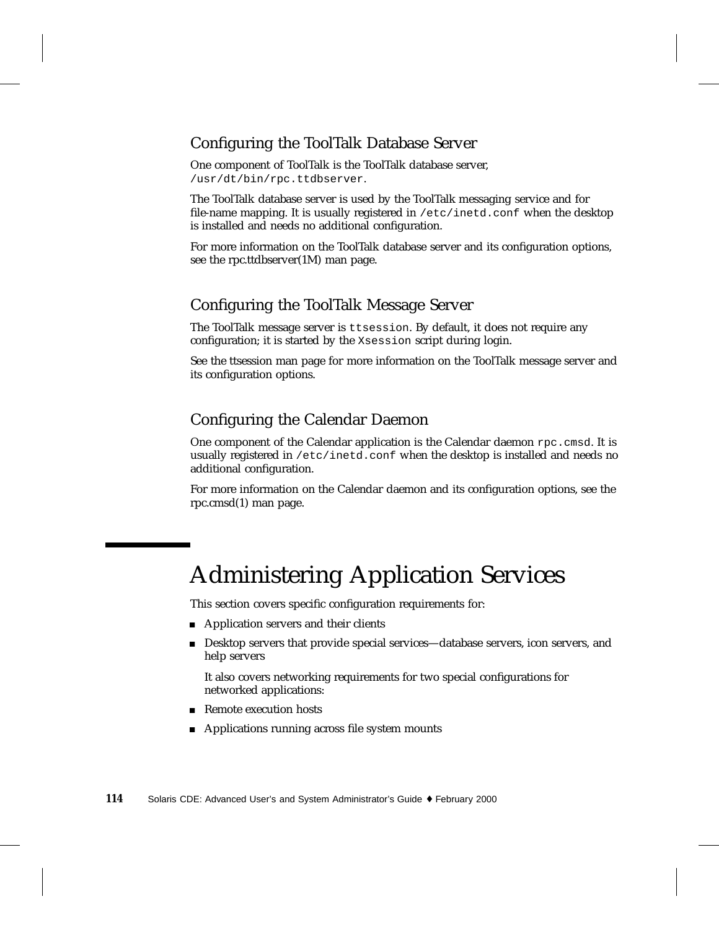### Configuring the ToolTalk Database Server

One component of ToolTalk is the ToolTalk database server, /usr/dt/bin/rpc.ttdbserver.

The ToolTalk database server is used by the ToolTalk messaging service and for file-name mapping. It is usually registered in /etc/inetd.conf when the desktop is installed and needs no additional configuration.

For more information on the ToolTalk database server and its configuration options, see the rpc.ttdbserver(1M) man page.

### Configuring the ToolTalk Message Server

The ToolTalk message server is ttsession. By default, it does not require any configuration; it is started by the Xsession script during login.

See the ttsession man page for more information on the ToolTalk message server and its configuration options.

### Configuring the Calendar Daemon

One component of the Calendar application is the Calendar daemon  $rpc$ . cmsd. It is usually registered in /etc/inetd.conf when the desktop is installed and needs no additional configuration.

For more information on the Calendar daemon and its configuration options, see the rpc.cmsd(1) man page.

# Administering Application Services

This section covers specific configuration requirements for:

- **Application servers and their clients**
- Desktop servers that provide special services—database servers, icon servers, and help servers

It also covers networking requirements for two special configurations for networked applications:

- **Remote execution hosts**
- **Applications running across file system mounts**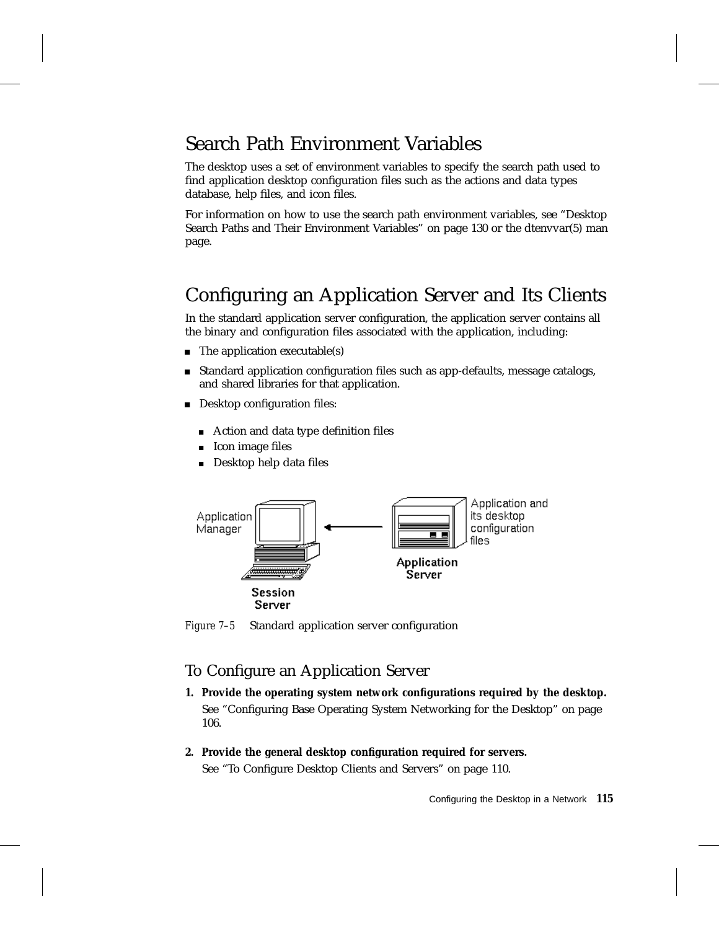## Search Path Environment Variables

The desktop uses a set of environment variables to specify the search path used to find application desktop configuration files such as the actions and data types database, help files, and icon files.

For information on how to use the search path environment variables, see "Desktop Search Paths and Their Environment Variables" on page 130 or the dtenvvar(5) man page.

## Configuring an Application Server and Its Clients

In the standard application server configuration, the application server contains all the binary and configuration files associated with the application, including:

- $\blacksquare$  The application executable(s)
- Standard application configuration files such as app-defaults, message catalogs, and shared libraries for that application.
- **Desktop configuration files:** 
	- Action and data type definition files
	- **Icon image files**
	- Desktop help data files



*Figure 7–5* Standard application server configuration

### To Configure an Application Server

**1. Provide the operating system network configurations required by the desktop.** See "Configuring Base Operating System Networking for the Desktop" on page 106.

#### **2. Provide the general desktop configuration required for servers.**

See "To Configure Desktop Clients and Servers" on page 110.

Configuring the Desktop in a Network **115**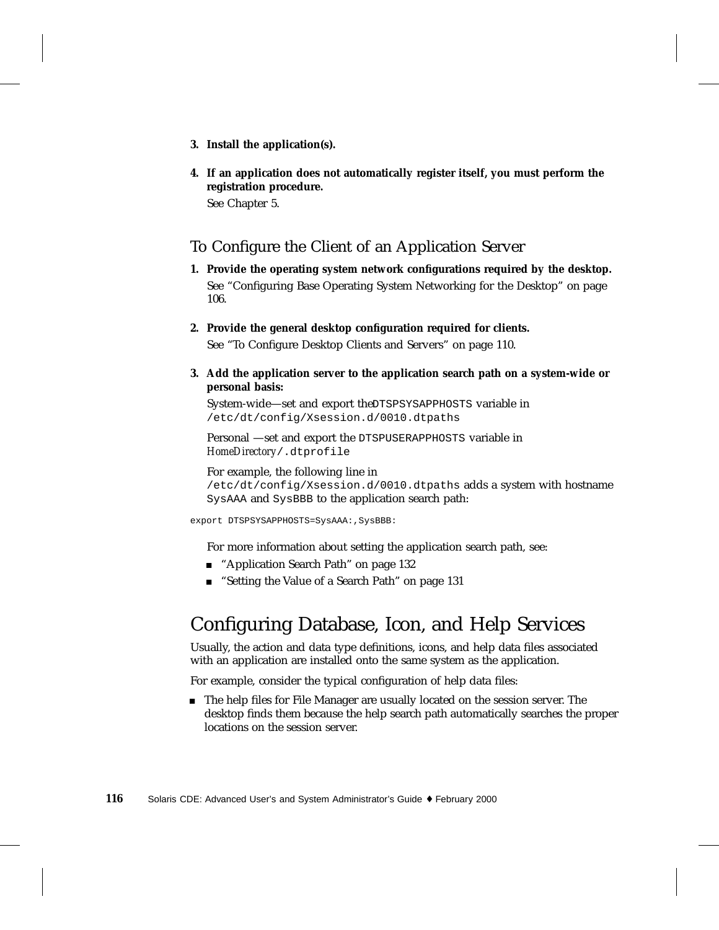- **3. Install the application(s).**
- **4. If an application does not automatically register itself, you must perform the registration procedure.** See Chapter 5.

### To Configure the Client of an Application Server

- **1. Provide the operating system network configurations required by the desktop.** See "Configuring Base Operating System Networking for the Desktop" on page 106.
- **2. Provide the general desktop configuration required for clients.** See "To Configure Desktop Clients and Servers" on page 110.
- **3. Add the application server to the application search path on a system-wide or personal basis:**

System-wide—set and export theDTSPSYSAPPHOSTS variable in /etc/dt/config/Xsession.d/0010.dtpaths

Personal —set and export the DTSPUSERAPPHOSTS variable in *HomeDirectory*/.dtprofile

For example, the following line in /etc/dt/config/Xsession.d/0010.dtpaths adds a system with hostname SysAAA and SysBBB to the application search path:

export DTSPSYSAPPHOSTS=SysAAA:,SysBBB:

For more information about setting the application search path, see:

- "Application Search Path" on page 132
- "Setting the Value of a Search Path" on page 131

### Configuring Database, Icon, and Help Services

Usually, the action and data type definitions, icons, and help data files associated with an application are installed onto the same system as the application.

For example, consider the typical configuration of help data files:

 The help files for File Manager are usually located on the session server. The desktop finds them because the help search path automatically searches the proper locations on the session server.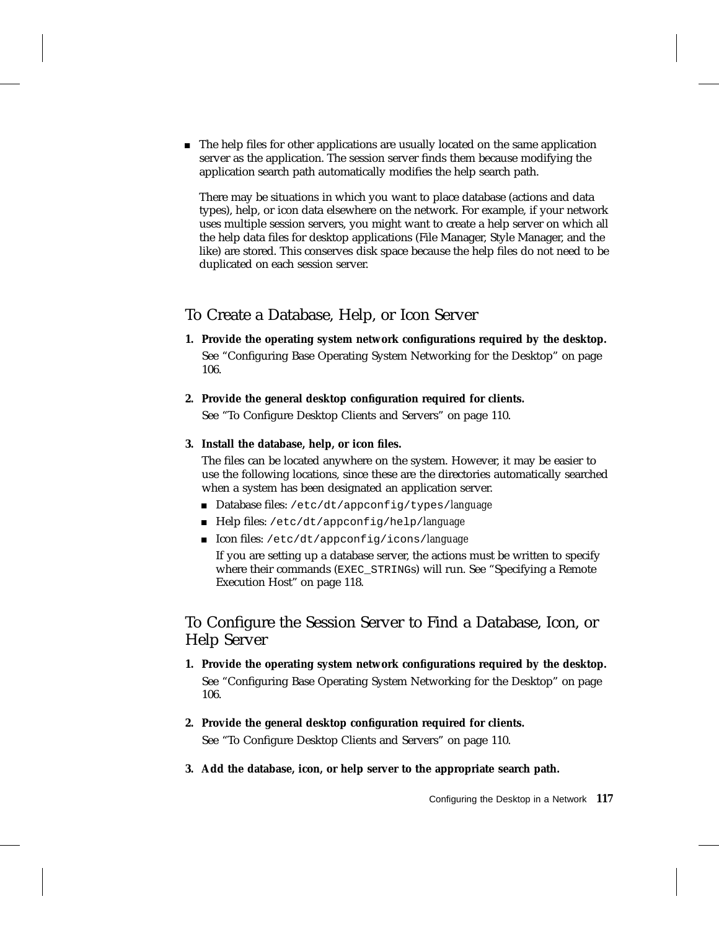The help files for other applications are usually located on the same application server as the application. The session server finds them because modifying the application search path automatically modifies the help search path.

There may be situations in which you want to place database (actions and data types), help, or icon data elsewhere on the network. For example, if your network uses multiple session servers, you might want to create a help server on which all the help data files for desktop applications (File Manager, Style Manager, and the like) are stored. This conserves disk space because the help files do not need to be duplicated on each session server.

### To Create a Database, Help, or Icon Server

- **1. Provide the operating system network configurations required by the desktop.** See "Configuring Base Operating System Networking for the Desktop" on page 106.
- **2. Provide the general desktop configuration required for clients.** See "To Configure Desktop Clients and Servers" on page 110.
- **3. Install the database, help, or icon files.**

The files can be located anywhere on the system. However, it may be easier to use the following locations, since these are the directories automatically searched when a system has been designated an application server.

- Database files: /etc/dt/appconfig/types/*language*
- Help files: /etc/dt/appconfig/help/*language*
- Icon files: /etc/dt/appconfig/icons/*language*

If you are setting up a database server, the actions must be written to specify where their commands (EXEC\_STRINGs) will run. See "Specifying a Remote Execution Host" on page 118.

### To Configure the Session Server to Find a Database, Icon, or Help Server

- **1. Provide the operating system network configurations required by the desktop.** See "Configuring Base Operating System Networking for the Desktop" on page 106.
- **2. Provide the general desktop configuration required for clients.** See "To Configure Desktop Clients and Servers" on page 110.
- **3. Add the database, icon, or help server to the appropriate search path.**

Configuring the Desktop in a Network **117**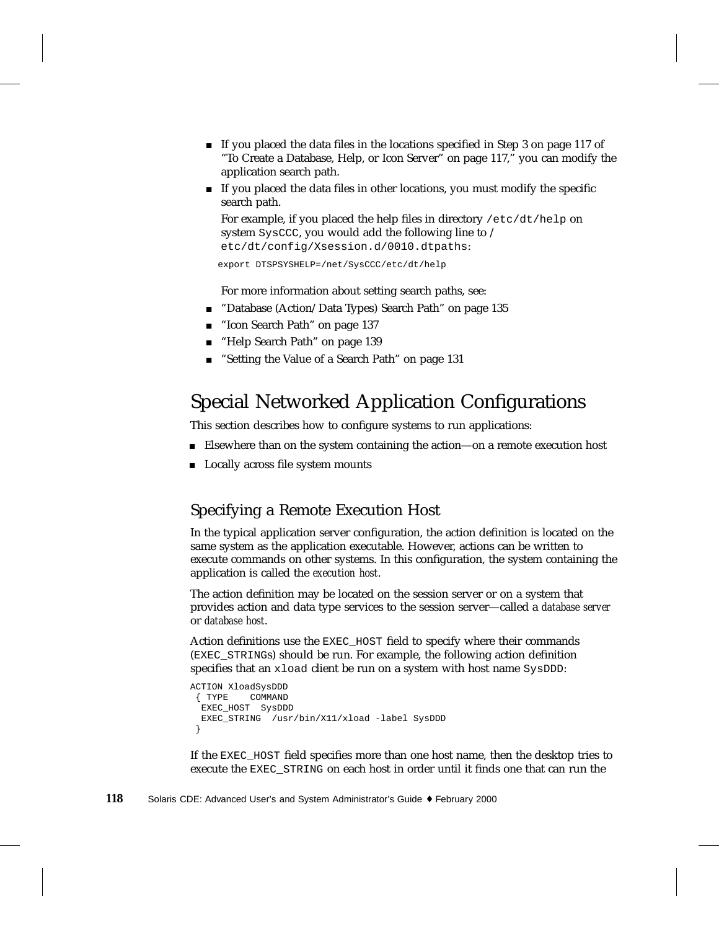- If you placed the data files in the locations specified in Step 3 on page 117 of "To Create a Database, Help, or Icon Server" on page 117," you can modify the application search path.
- If you placed the data files in other locations, you must modify the specific search path.

For example, if you placed the help files in directory /etc/dt/help on system SysCCC, you would add the following line to / etc/dt/config/Xsession.d/0010.dtpaths:

export DTSPSYSHELP=/net/SysCCC/etc/dt/help

For more information about setting search paths, see:

- "Database (Action/Data Types) Search Path" on page 135
- "Icon Search Path" on page 137
- "Help Search Path" on page 139
- "Setting the Value of a Search Path" on page 131

## Special Networked Application Configurations

This section describes how to configure systems to run applications:

- Elsewhere than on the system containing the action—on a remote execution host
- **Locally across file system mounts**

### Specifying a Remote Execution Host

In the typical application server configuration, the action definition is located on the same system as the application executable. However, actions can be written to execute commands on other systems. In this configuration, the system containing the application is called the *execution host*.

The action definition may be located on the session server or on a system that provides action and data type services to the session server—called a *database server* or *database host*.

Action definitions use the EXEC\_HOST field to specify where their commands (EXEC\_STRINGs) should be run. For example, the following action definition specifies that an xload client be run on a system with host name SysDDD:

```
ACTION XloadSysDDD
         { TYPE COMMAND
  EXEC_HOST SysDDD
  EXEC_STRING /usr/bin/X11/xload -label SysDDD
 }
```
If the EXEC\_HOST field specifies more than one host name, then the desktop tries to execute the EXEC\_STRING on each host in order until it finds one that can run the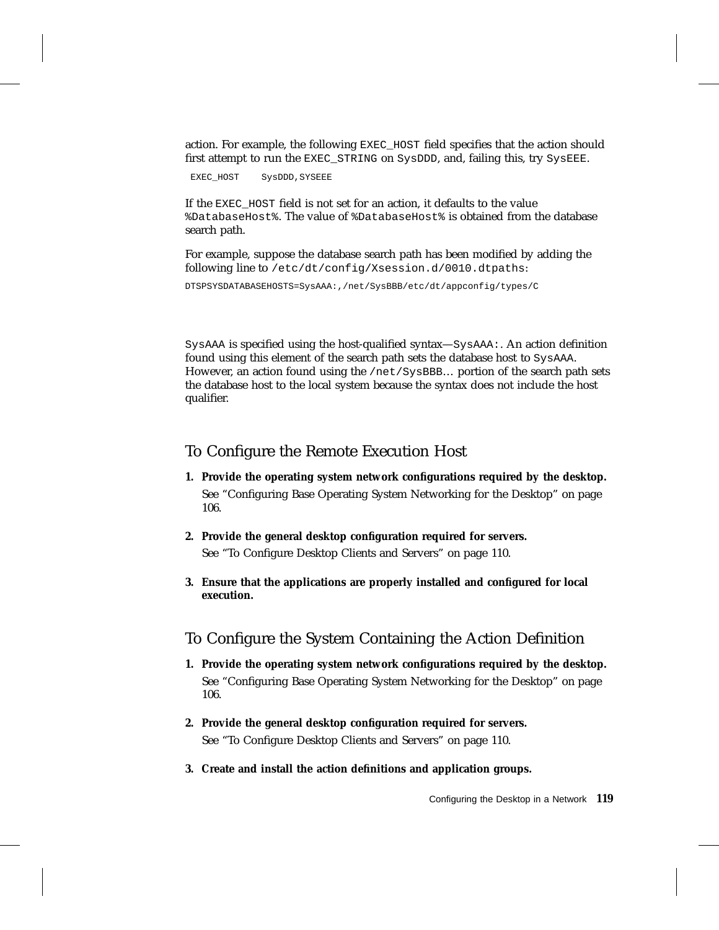action. For example, the following EXEC\_HOST field specifies that the action should first attempt to run the EXEC\_STRING on SysDDD, and, failing this, try SysEEE.

EXEC\_HOST SysDDD, SYSEEE

If the EXEC\_HOST field is not set for an action, it defaults to the value %DatabaseHost%. The value of %DatabaseHost% is obtained from the database search path.

For example, suppose the database search path has been modified by adding the following line to /etc/dt/config/Xsession.d/0010.dtpaths:

DTSPSYSDATABASEHOSTS=SysAAA:,/net/SysBBB/etc/dt/appconfig/types/C

SysAAA is specified using the host-qualified syntax—SysAAA:. An action definition found using this element of the search path sets the database host to SysAAA. However, an action found using the /net/SysBBB... portion of the search path sets the database host to the local system because the syntax does not include the host qualifier.

### To Configure the Remote Execution Host

- **1. Provide the operating system network configurations required by the desktop.** See "Configuring Base Operating System Networking for the Desktop" on page 106.
- **2. Provide the general desktop configuration required for servers.** See "To Configure Desktop Clients and Servers" on page 110.
- **3. Ensure that the applications are properly installed and configured for local execution.**

### To Configure the System Containing the Action Definition

- **1. Provide the operating system network configurations required by the desktop.** See "Configuring Base Operating System Networking for the Desktop" on page 106.
- **2. Provide the general desktop configuration required for servers.** See "To Configure Desktop Clients and Servers" on page 110.
- **3. Create and install the action definitions and application groups.**

Configuring the Desktop in a Network **119**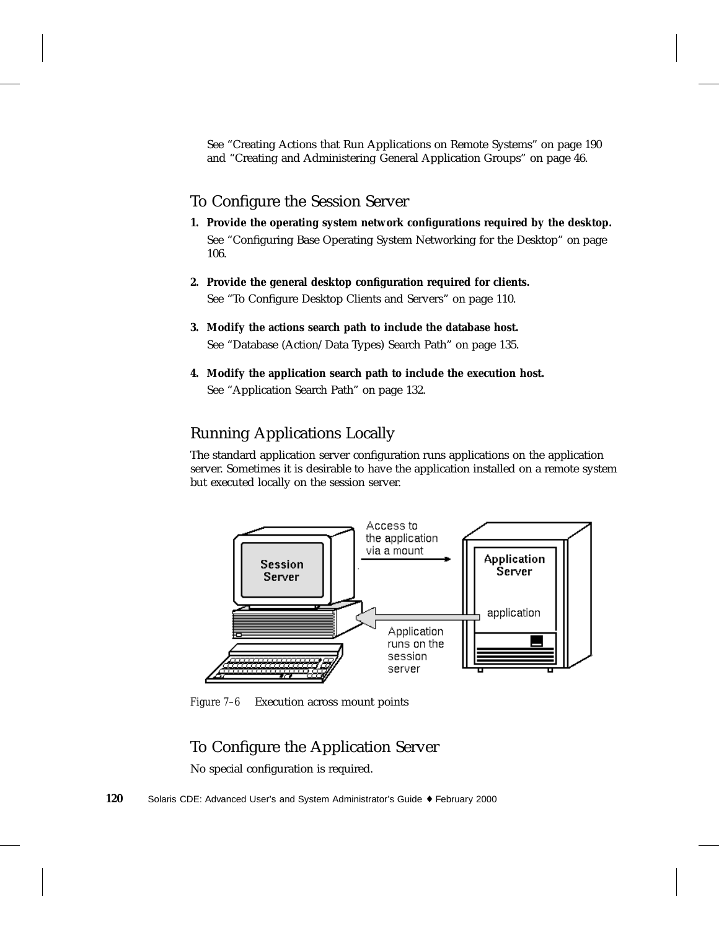See "Creating Actions that Run Applications on Remote Systems" on page 190 and "Creating and Administering General Application Groups" on page 46.

### To Configure the Session Server

- **1. Provide the operating system network configurations required by the desktop.** See "Configuring Base Operating System Networking for the Desktop" on page 106.
- **2. Provide the general desktop configuration required for clients.** See "To Configure Desktop Clients and Servers" on page 110.
- **3. Modify the actions search path to include the database host.** See "Database (Action/Data Types) Search Path" on page 135.
- **4. Modify the application search path to include the execution host.** See "Application Search Path" on page 132.

### Running Applications Locally

The standard application server configuration runs applications on the application server. Sometimes it is desirable to have the application installed on a remote system but executed locally on the session server.



*Figure 7–6* Execution across mount points

### To Configure the Application Server

No special configuration is required.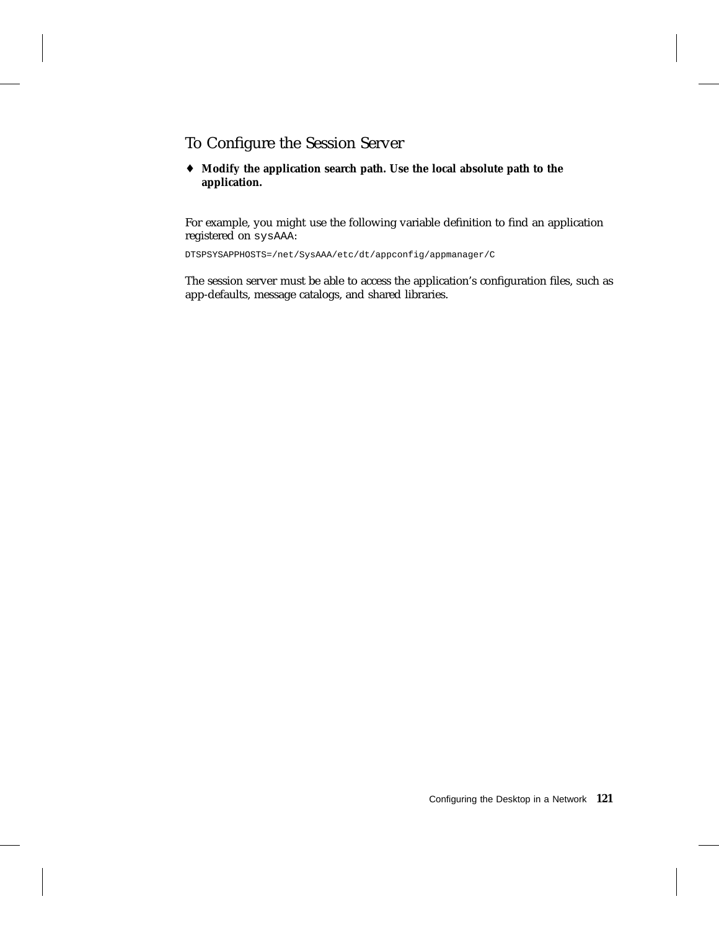### To Configure the Session Server

♦ **Modify the application search path. Use the local absolute path to the application.**

For example, you might use the following variable definition to find an application registered on sysAAA:

DTSPSYSAPPHOSTS=/net/SysAAA/etc/dt/appconfig/appmanager/C

The session server must be able to access the application's configuration files, such as app-defaults, message catalogs, and shared libraries.

Configuring the Desktop in a Network **121**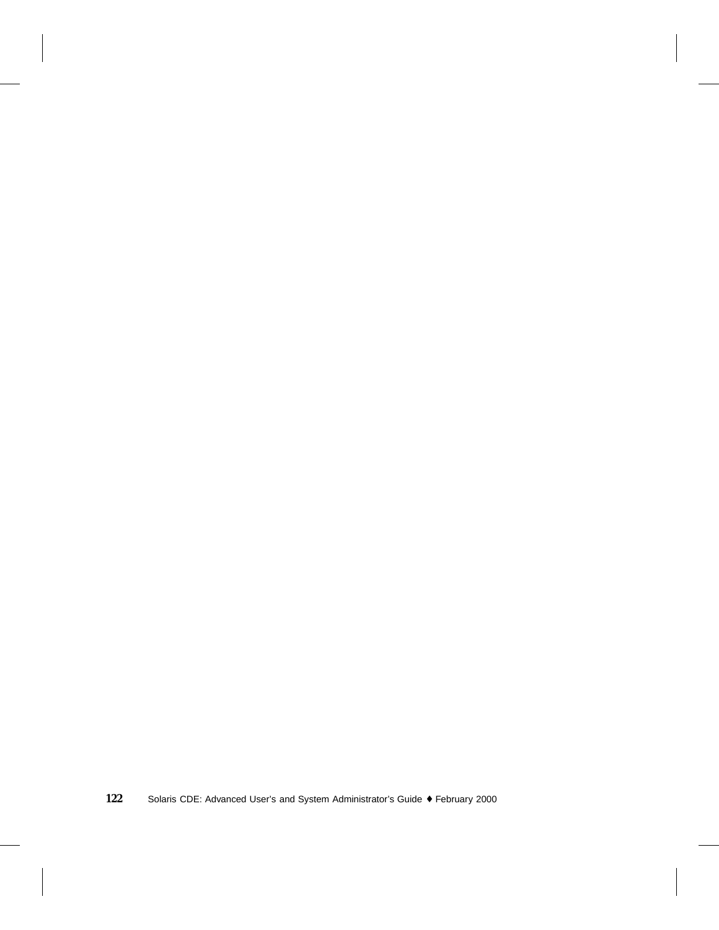122 Solaris CDE: Advanced User's and System Administrator's Guide ♦ February 2000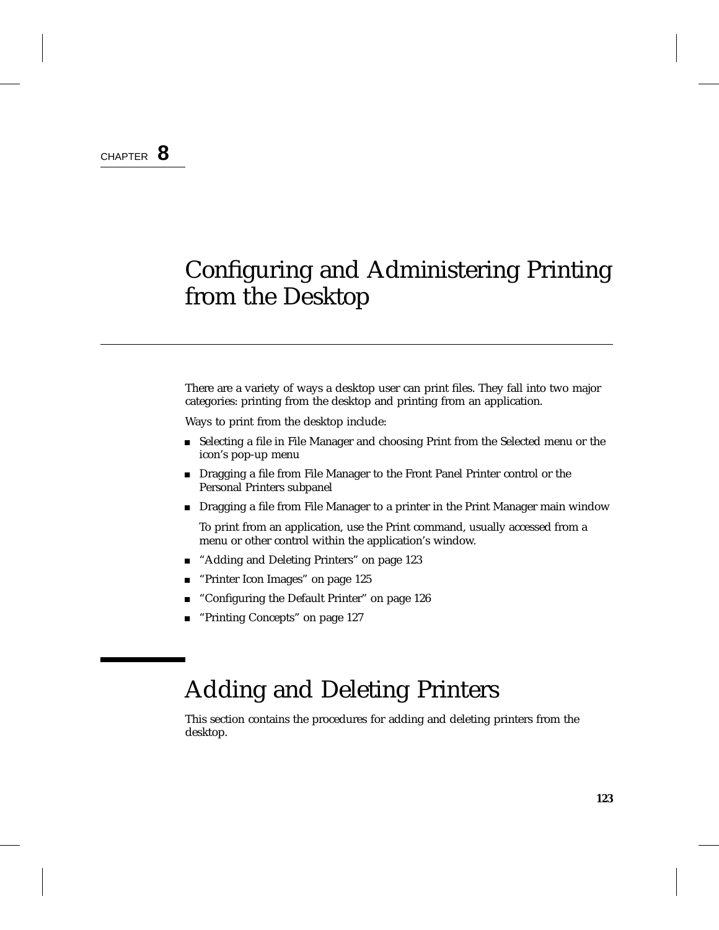#### CHAPTER **8**

# Configuring and Administering Printing from the Desktop

There are a variety of ways a desktop user can print files. They fall into two major categories: printing from the desktop and printing from an application.

Ways to print from the desktop include:

- Selecting a file in File Manager and choosing Print from the Selected menu or the icon's pop-up menu
- **Dragging a file from File Manager to the Front Panel Printer control or the** Personal Printers subpanel
- **Dragging a file from File Manager to a printer in the Print Manager main window**

To print from an application, use the Print command, usually accessed from a menu or other control within the application's window.

- "Adding and Deleting Printers" on page 123
- "Printer Icon Images" on page 125
- "Configuring the Default Printer" on page 126
- "Printing Concepts" on page 127

## Adding and Deleting Printers

This section contains the procedures for adding and deleting printers from the desktop.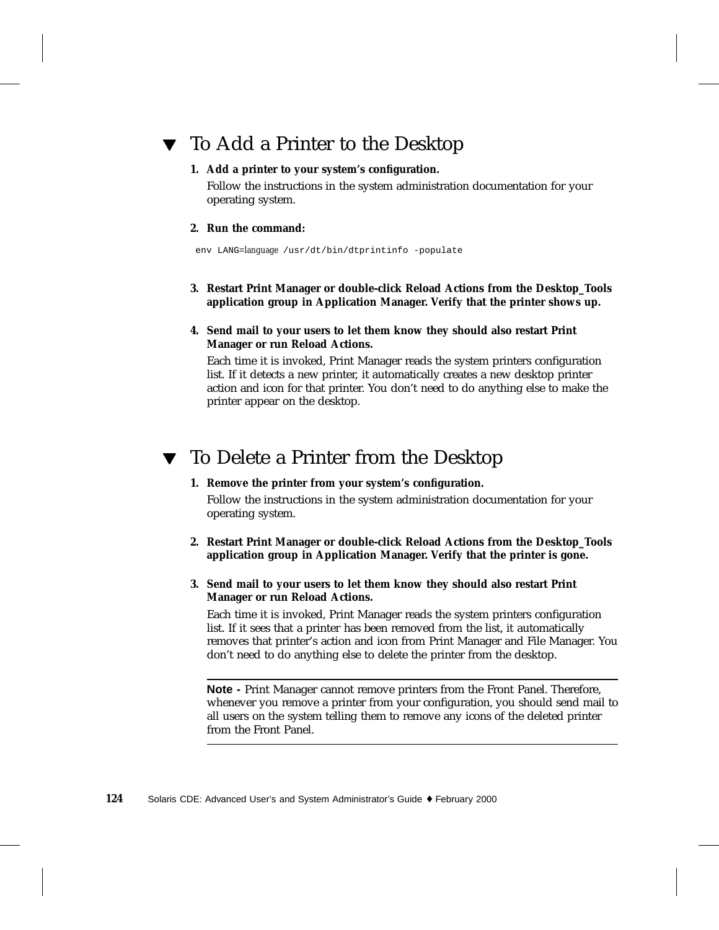#### To Add a Printer to the Desktop  $\blacktriangledown$

#### **1. Add a printer to your system's configuration.**

Follow the instructions in the system administration documentation for your operating system.

#### **2. Run the command:**

env LANG=*language* /usr/dt/bin/dtprintinfo -populate

- **3. Restart Print Manager or double-click Reload Actions from the Desktop\_Tools application group in Application Manager. Verify that the printer shows up.**
- **4. Send mail to your users to let them know they should also restart Print Manager or run Reload Actions.**

Each time it is invoked, Print Manager reads the system printers configuration list. If it detects a new printer, it automatically creates a new desktop printer action and icon for that printer. You don't need to do anything else to make the printer appear on the desktop.

#### To Delete a Printer from the Desktop  $\blacktriangledown$

#### **1. Remove the printer from your system's configuration.** Follow the instructions in the system administration documentation for your operating system.

- **2. Restart Print Manager or double-click Reload Actions from the Desktop\_Tools application group in Application Manager. Verify that the printer is gone.**
- **3. Send mail to your users to let them know they should also restart Print Manager or run Reload Actions.**

Each time it is invoked, Print Manager reads the system printers configuration list. If it sees that a printer has been removed from the list, it automatically removes that printer's action and icon from Print Manager and File Manager. You don't need to do anything else to delete the printer from the desktop.

**Note -** Print Manager cannot remove printers from the Front Panel. Therefore, whenever you remove a printer from your configuration, you should send mail to all users on the system telling them to remove any icons of the deleted printer from the Front Panel.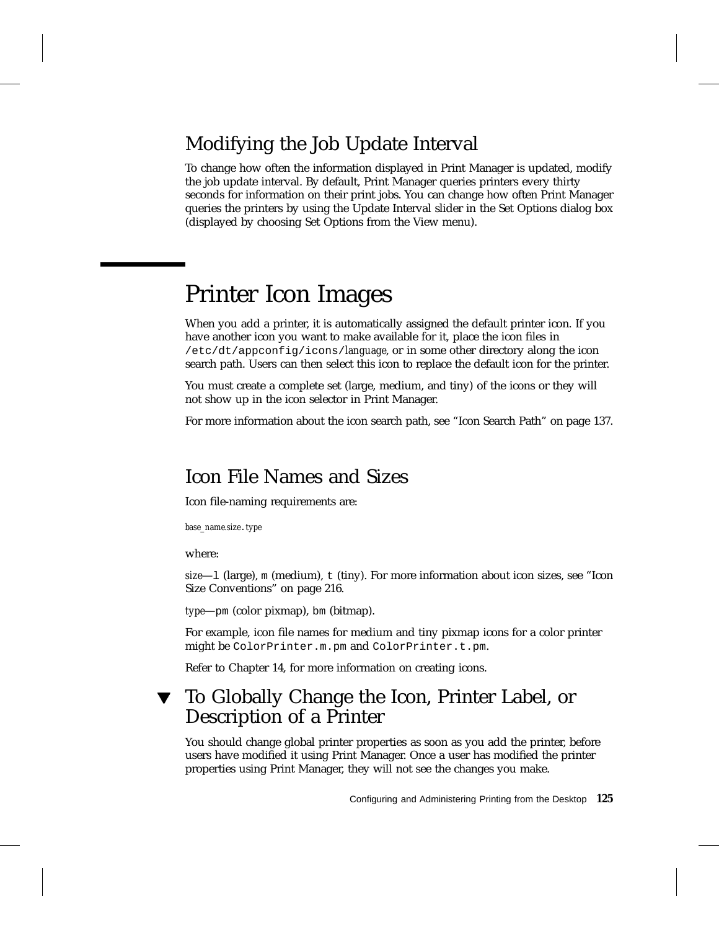#### Modifying the Job Update Interval

To change how often the information displayed in Print Manager is updated, modify the job update interval. By default, Print Manager queries printers every thirty seconds for information on their print jobs. You can change how often Print Manager queries the printers by using the Update Interval slider in the Set Options dialog box (displayed by choosing Set Options from the View menu).

### Printer Icon Images

When you add a printer, it is automatically assigned the default printer icon. If you have another icon you want to make available for it, place the icon files in /etc/dt/appconfig/icons/*language*, or in some other directory along the icon search path. Users can then select this icon to replace the default icon for the printer.

You must create a complete set (large, medium, and tiny) of the icons or they will not show up in the icon selector in Print Manager.

For more information about the icon search path, see "Icon Search Path" on page 137.

#### Icon File Names and Sizes

Icon file-naming requirements are:

*base\_name.size*.*type*

where:

 $size-1$  (large), m (medium),  $t$  (tiny). For more information about icon sizes, see "Icon Size Conventions" on page 216.

*type*—pm (color pixmap), bm (bitmap).

For example, icon file names for medium and tiny pixmap icons for a color printer might be ColorPrinter.m.pm and ColorPrinter.t.pm.

Refer to Chapter 14, for more information on creating icons.

#### To Globally Change the Icon, Printer Label, or Description of a Printer

You should change global printer properties as soon as you add the printer, before users have modified it using Print Manager. Once a user has modified the printer properties using Print Manager, they will not see the changes you make.

Configuring and Administering Printing from the Desktop **125**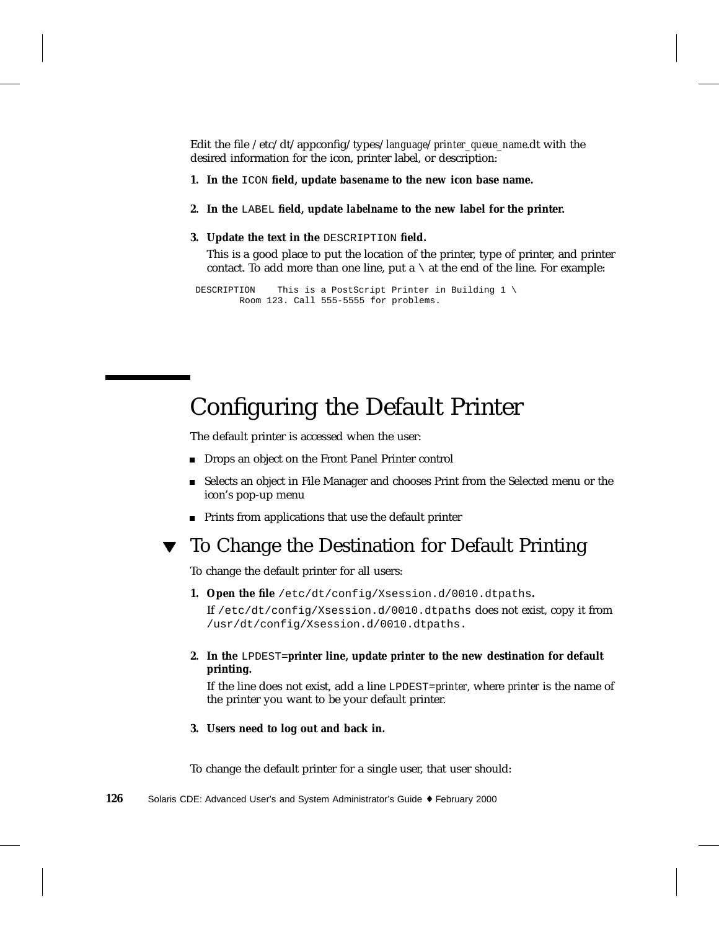Edit the file /etc/dt/appconfig/types/*language*/*printer\_queue\_name*.dt with the desired information for the icon, printer label, or description:

- **1. In the** ICON **field, update** *basename* **to the new icon base name.**
- **2. In the** LABEL **field, update** *labelname* **to the new label for the printer.**
- **3. Update the text in the** DESCRIPTION **field.**

This is a good place to put the location of the printer, type of printer, and printer contact. To add more than one line, put a  $\setminus$  at the end of the line. For example:

```
DESCRIPTION This is a PostScript Printer in Building 1 \setminusRoom 123. Call 555-5555 for problems.
```
# Configuring the Default Printer

The default printer is accessed when the user:

- Drops an object on the Front Panel Printer control
- Selects an object in File Manager and chooses Print from the Selected menu or the icon's pop-up menu
- **Prints from applications that use the default printer**

#### $\blacktriangledown$  To Change the Destination for Default Printing

To change the default printer for all users:

**1. Open the file** /etc/dt/config/Xsession.d/0010.dtpaths**.**

If /etc/dt/config/Xsession.d/0010.dtpaths does not exist, copy it from /usr/dt/config/Xsession.d/0010.dtpaths.

**2. In the** LPDEST=*printer* **line, update** *printer* **to the new destination for default printing.**

If the line does not exist, add a line LPDEST=*printer*, where *printer* is the name of the printer you want to be your default printer.

**3. Users need to log out and back in.**

To change the default printer for a single user, that user should: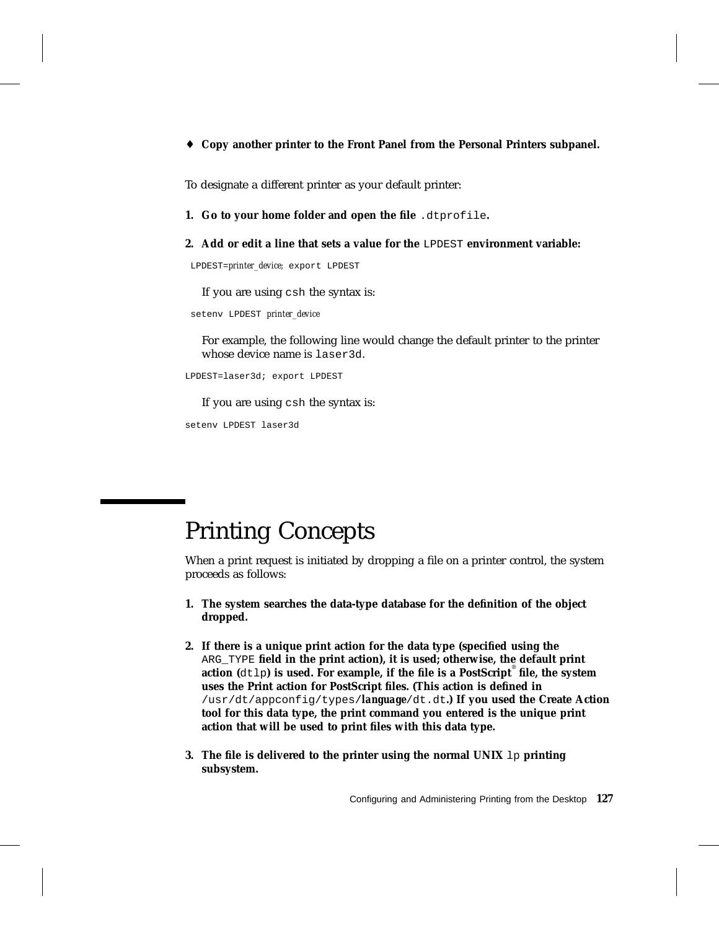♦ **Copy another printer to the Front Panel from the Personal Printers subpanel.**

To designate a different printer as your default printer:

- **1. Go to your home folder and open the file** .dtprofile**.**
- **2. Add or edit a line that sets a value for the** LPDEST **environment variable:**

LPDEST=*printer\_device;* export LPDEST

If you are using csh the syntax is:

setenv LPDEST *printer\_device*

For example, the following line would change the default printer to the printer whose device name is laser3d.

LPDEST=laser3d; export LPDEST

If you are using csh the syntax is:

setenv LPDEST laser3d

### Printing Concepts

When a print request is initiated by dropping a file on a printer control, the system proceeds as follows:

- **1. The system searches the data-type database for the definition of the object dropped.**
- **2. If there is a unique print action for the data type (specified using the** ARG\_TYPE **field in the print action), it is used; otherwise, the default print action (**dtlp**) is used. For example, if the file is a PostScript**® **file, the system uses the Print action for PostScript files. (This action is defined in** /usr/dt/appconfig/types/*language*/dt.dt**.) If you used the Create Action tool for this data type, the print command you entered is the unique print action that will be used to print files with this data type.**
- **3.** The file is delivered to the printer using the normal UNIX 1p printing **subsystem.**

Configuring and Administering Printing from the Desktop **127**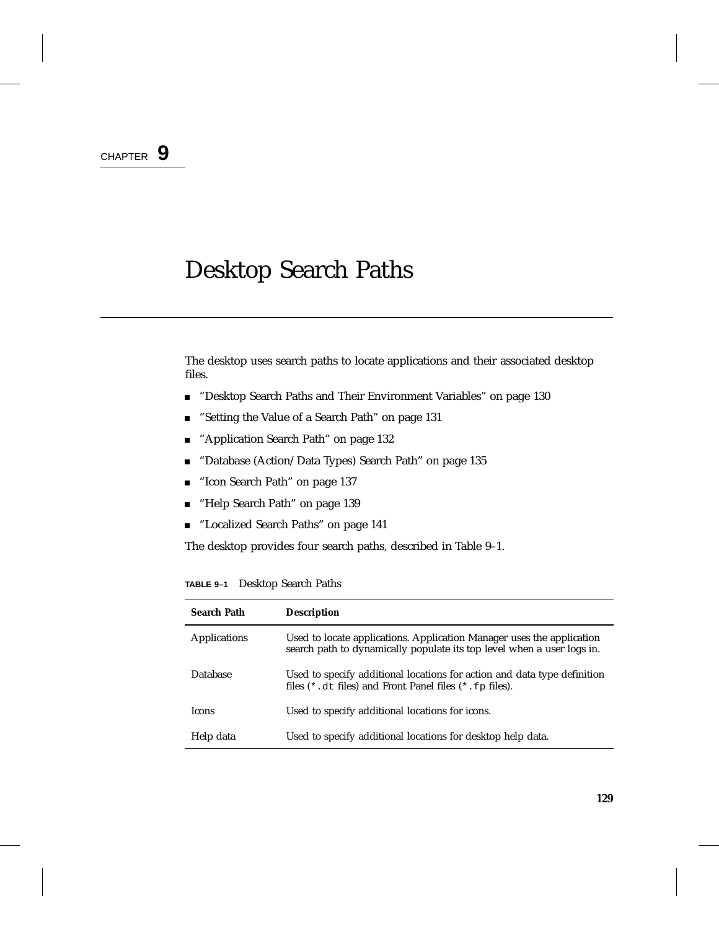#### CHAPTER **9**

# Desktop Search Paths

The desktop uses search paths to locate applications and their associated desktop files.

- "Desktop Search Paths and Their Environment Variables" on page 130
- "Setting the Value of a Search Path" on page 131
- "Application Search Path" on page 132
- "Database (Action/Data Types) Search Path" on page 135
- "Icon Search Path" on page 137
- "Help Search Path" on page 139
- "Localized Search Paths" on page 141

The desktop provides four search paths, described in Table 9–1.

**TABLE 9–1** Desktop Search Paths

| Search Path         | <b>Description</b>                                                                                                                              |
|---------------------|-------------------------------------------------------------------------------------------------------------------------------------------------|
| <b>Applications</b> | Used to locate applications. Application Manager uses the application<br>search path to dynamically populate its top level when a user logs in. |
| <b>Database</b>     | Used to specify additional locations for action and data type definition<br>files $(*$ . dt files) and Front Panel files $(*$ . fp files).      |
| <b>Icons</b>        | Used to specify additional locations for icons.                                                                                                 |
| Help data           | Used to specify additional locations for desktop help data.                                                                                     |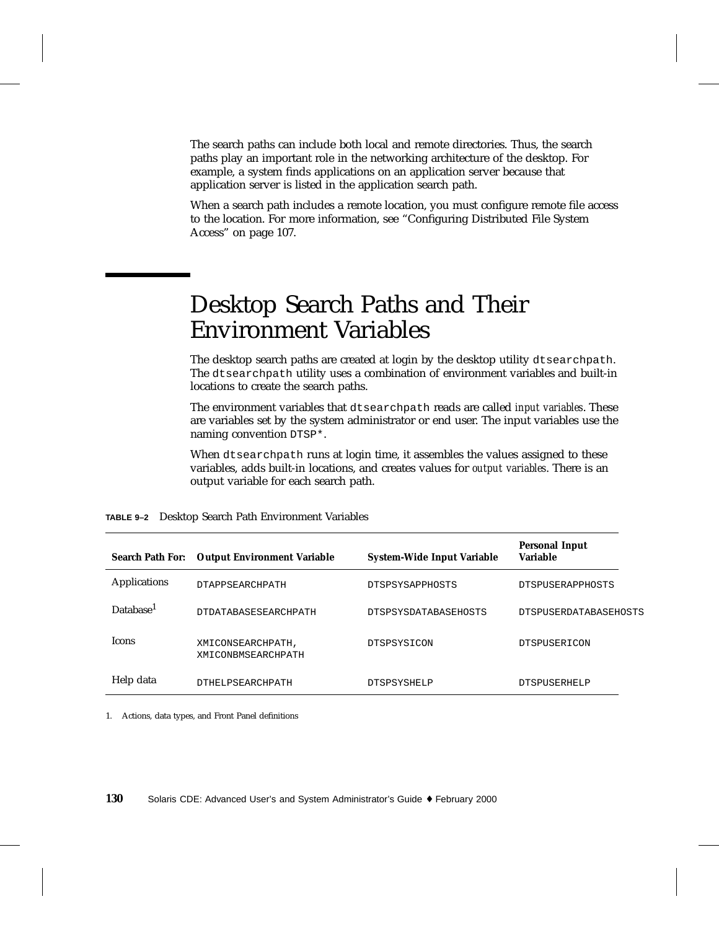The search paths can include both local and remote directories. Thus, the search paths play an important role in the networking architecture of the desktop. For example, a system finds applications on an application server because that application server is listed in the application search path.

When a search path includes a remote location, you must configure remote file access to the location. For more information, see "Configuring Distributed File System Access" on page 107.

## Desktop Search Paths and Their Environment Variables

The desktop search paths are created at login by the desktop utility dtsearchpath. The dtsearchpath utility uses a combination of environment variables and built-in locations to create the search paths.

The environment variables that dtsearchpath reads are called *input variables*. These are variables set by the system administrator or end user. The input variables use the naming convention DTSP\*.

When dtsearchpath runs at login time, it assembles the values assigned to these variables, adds built-in locations, and creates values for *output variables*. There is an output variable for each search path.

|                       | Search Path For: Output Environment Variable | System-Wide Input Variable  | <b>Personal Input</b><br><b>Variable</b> |
|-----------------------|----------------------------------------------|-----------------------------|------------------------------------------|
| <b>Applications</b>   | <b>DTAPPSEARCHPATH</b>                       | <b>DTSPSYSAPPHOSTS</b>      | <b>DTSPUSERAPPHOSTS</b>                  |
| Database <sup>1</sup> | <b>DTDATABASESEARCHPATH</b>                  | <b>DTSPSYSDATABASEHOSTS</b> | DTSPUSERDATABASEHOSTS                    |
| <b>Icons</b>          | XMICONSEARCHPATH,<br>XMICONBMSEARCHPATH      | DTSPSYSICON                 | <b>DTSPUSERICON</b>                      |
| Help data             | <b>DTHELPSEARCHPATH</b>                      | <b>DTSPSYSHELP</b>          | <b>DTSPUSERHELP</b>                      |

|  |  |  |  | TABLE 9-2 Desktop Search Path Environment Variables |  |
|--|--|--|--|-----------------------------------------------------|--|
|--|--|--|--|-----------------------------------------------------|--|

1. Actions, data types, and Front Panel definitions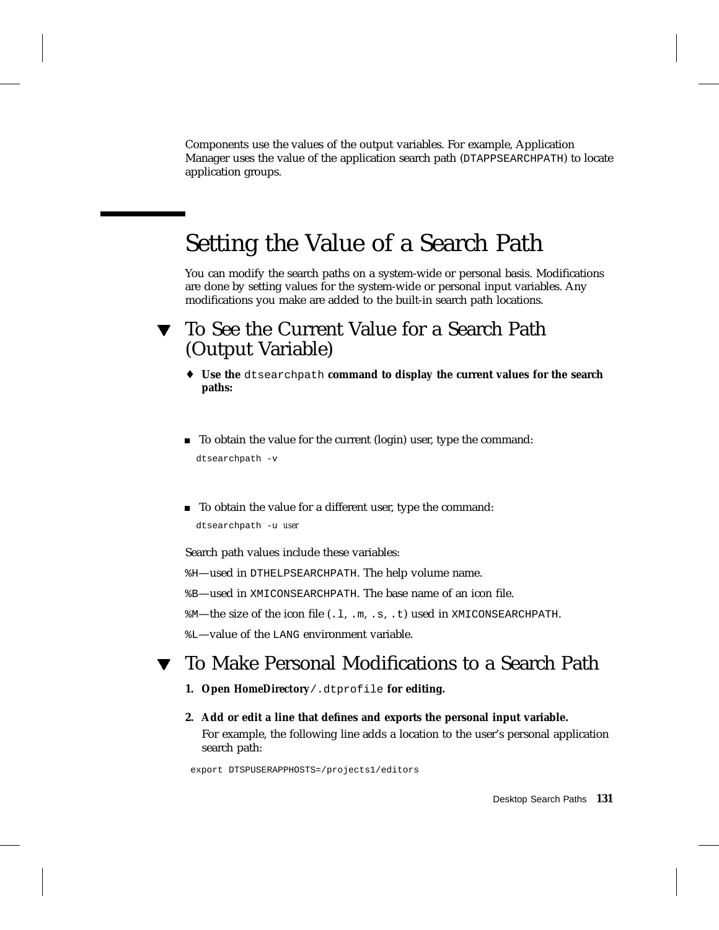Components use the values of the output variables. For example, Application Manager uses the value of the application search path (DTAPPSEARCHPATH) to locate application groups.

## Setting the Value of a Search Path

You can modify the search paths on a system-wide or personal basis. Modifications are done by setting values for the system-wide or personal input variables. Any modifications you make are added to the built-in search path locations.

To See the Current Value for a Search Path (Output Variable)

- ♦ **Use the** dtsearchpath **command to display the current values for the search paths:**
- To obtain the value for the current (login) user, type the command: dtsearchpath -v
- To obtain the value for a different user, type the command:

dtsearchpath -u *user*

Search path values include these variables:

%H—used in DTHELPSEARCHPATH. The help volume name.

%B—used in XMICONSEARCHPATH. The base name of an icon file.

%M—the size of the icon file (.l, .m, .s, .t) used in XMICONSEARCHPATH.

%L—value of the LANG environment variable.

To Make Personal Modifications to a Search Path

- **1. Open** *HomeDirectory*/.dtprofile **for editing.**
- **2. Add or edit a line that defines and exports the personal input variable.** For example, the following line adds a location to the user's personal application search path:

export DTSPUSERAPPHOSTS=/projects1/editors

Desktop Search Paths **131**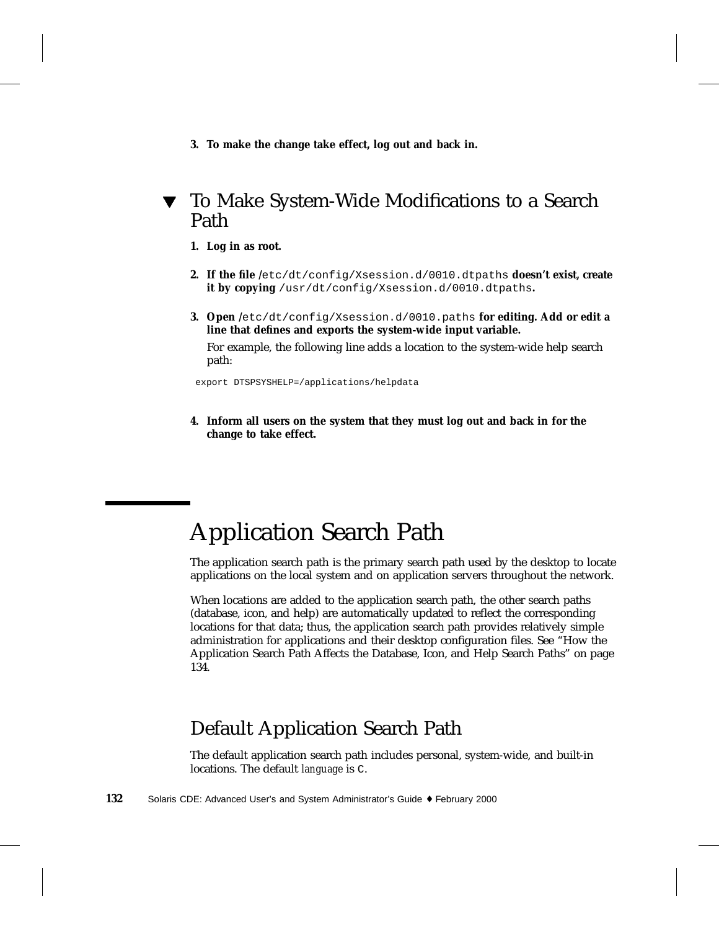**3. To make the change take effect, log out and back in.**

#### To Make System-Wide Modifications to a Search Path

- **1. Log in as root.**
- **2. If the file /**etc/dt/config/Xsession.d/0010.dtpaths **doesn't exist, create it by copying** /usr/dt/config/Xsession.d/0010.dtpaths**.**
- **3. Open /**etc/dt/config/Xsession.d/0010.paths **for editing. Add or edit a line that defines and exports the system-wide input variable.** For example, the following line adds a location to the system-wide help search path:

export DTSPSYSHELP=/applications/helpdata

**4. Inform all users on the system that they must log out and back in for the change to take effect.**

# Application Search Path

The application search path is the primary search path used by the desktop to locate applications on the local system and on application servers throughout the network.

When locations are added to the application search path, the other search paths (database, icon, and help) are automatically updated to reflect the corresponding locations for that data; thus, the application search path provides relatively simple administration for applications and their desktop configuration files. See "How the Application Search Path Affects the Database, Icon, and Help Search Paths" on page 134.

#### Default Application Search Path

The default application search path includes personal, system-wide, and built-in locations. The default *language* is C.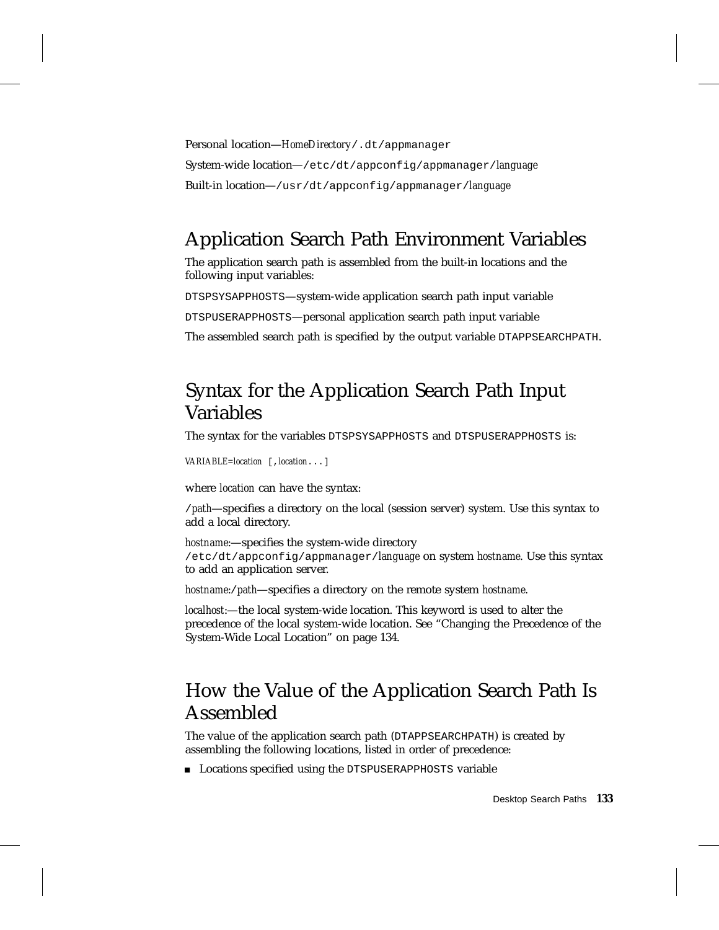Personal location—*HomeDirectory*/.dt/appmanager

System-wide location—/etc/dt/appconfig/appmanager/*language* Built-in location—/usr/dt/appconfig/appmanager/*language*

### Application Search Path Environment Variables

The application search path is assembled from the built-in locations and the following input variables:

DTSPSYSAPPHOSTS—system-wide application search path input variable

DTSPUSERAPPHOSTS—personal application search path input variable

The assembled search path is specified by the output variable DTAPPSEARCHPATH.

### Syntax for the Application Search Path Input Variables

The syntax for the variables DTSPSYSAPPHOSTS and DTSPUSERAPPHOSTS is:

*VARIABLE*=*location* [,*location*...]

where *location* can have the syntax:

/*path*—specifies a directory on the local (session server) system. Use this syntax to add a local directory.

*hostname*:—specifies the system-wide directory

/etc/dt/appconfig/appmanager/*language* on system *hostname*. Use this syntax to add an application server.

*hostname*:/*path*—specifies a directory on the remote system *hostname*.

*localhost*:—the local system-wide location. This keyword is used to alter the precedence of the local system-wide location. See "Changing the Precedence of the System-Wide Local Location" on page 134.

### How the Value of the Application Search Path Is Assembled

The value of the application search path (DTAPPSEARCHPATH) is created by assembling the following locations, listed in order of precedence:

Locations specified using the DTSPUSERAPPHOSTS variable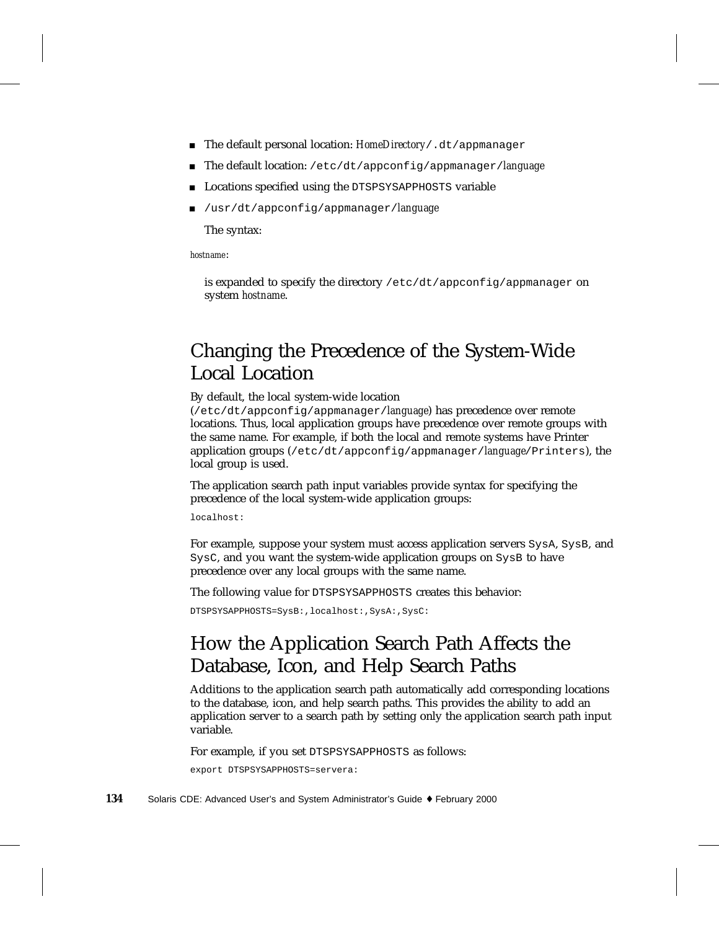- The default personal location: *HomeDirectory* / .dt / appmanager
- The default location: /etc/dt/appconfig/appmanager/*language*
- **Locations specified using the DTSPSYSAPPHOSTS variable**
- /usr/dt/appconfig/appmanager/*language*

The syntax:

*hostname*:

is expanded to specify the directory /etc/dt/appconfig/appmanager on system *hostname*.

#### Changing the Precedence of the System-Wide Local Location

By default, the local system-wide location

(/etc/dt/appconfig/appmanager/*language*) has precedence over remote locations. Thus, local application groups have precedence over remote groups with the same name. For example, if both the local and remote systems have Printer application groups (/etc/dt/appconfig/appmanager/*language*/Printers), the local group is used.

The application search path input variables provide syntax for specifying the precedence of the local system-wide application groups:

localhost:

For example, suppose your system must access application servers SysA, SysB, and SysC, and you want the system-wide application groups on SysB to have precedence over any local groups with the same name.

The following value for DTSPSYSAPPHOSTS creates this behavior:

DTSPSYSAPPHOSTS=SysB:,localhost:,SysA:,SysC:

### How the Application Search Path Affects the Database, Icon, and Help Search Paths

Additions to the application search path automatically add corresponding locations to the database, icon, and help search paths. This provides the ability to add an application server to a search path by setting only the application search path input variable.

For example, if you set DTSPSYSAPPHOSTS as follows:

export DTSPSYSAPPHOSTS=servera: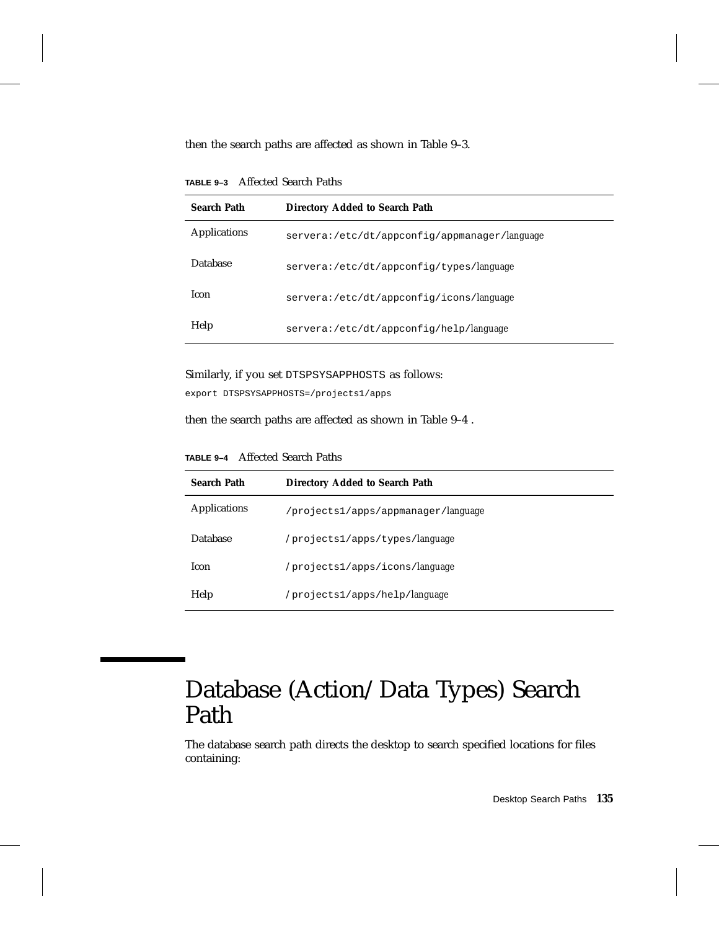then the search paths are affected as shown in Table 9–3.

**TABLE 9–3** Affected Search Paths

| <b>Search Path</b>  | <b>Directory Added to Search Path</b>            |  |
|---------------------|--------------------------------------------------|--|
| <b>Applications</b> | servera:/etc/dt/appconfig/appmanager/language    |  |
| <b>Database</b>     | servera:/etc/dt/appconfig/types/language         |  |
| <b>Icon</b>         | servera:/etc/dt/appconfig/icons/ <i>language</i> |  |
| Help                | servera:/etc/dt/appconfig/help/ <i>language</i>  |  |

Similarly, if you set DTSPSYSAPPHOSTS as follows:

export DTSPSYSAPPHOSTS=/projects1/apps

then the search paths are affected as shown in Table 9–4 .

**TABLE 9–4** Affected Search Paths

| <b>Search Path</b>  | <b>Directory Added to Search Path</b>       |
|---------------------|---------------------------------------------|
| <b>Applications</b> | /projects1/apps/appmanager/ <i>language</i> |
| <b>Database</b>     | /projects1/apps/types/ <i>language</i>      |
| <b>Icon</b>         | /projects1/apps/icons/language              |
| Help                | /projects1/apps/help/ <i>language</i>       |

# Database (Action/Data Types) Search Path

The database search path directs the desktop to search specified locations for files containing:

Desktop Search Paths **135**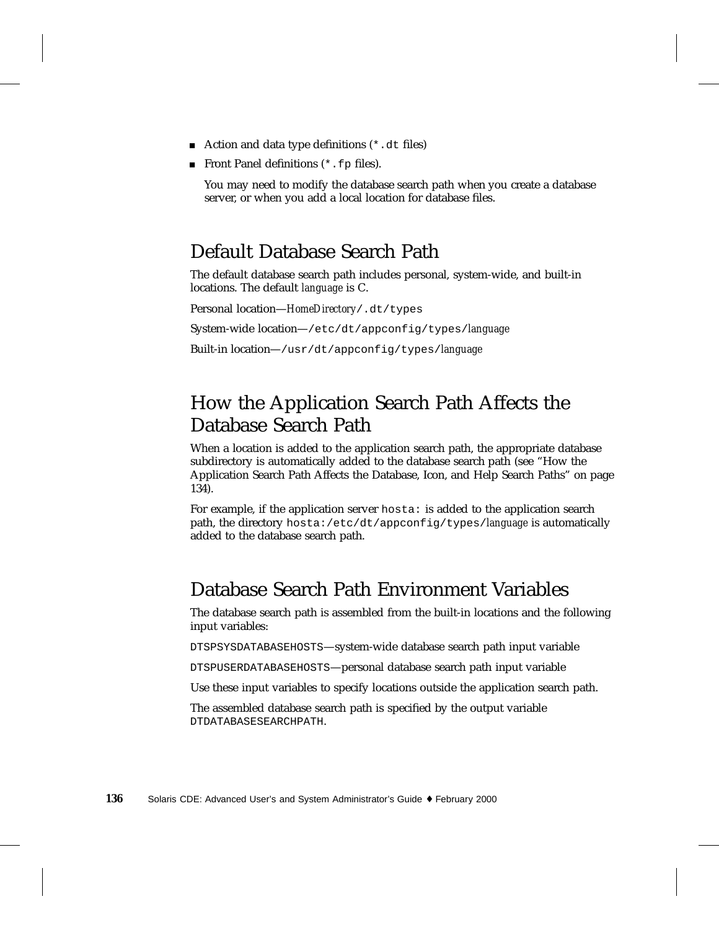- Action and data type definitions  $(*.dt$  files)
- Front Panel definitions  $(* . f p$  files).

You may need to modify the database search path when you create a database server, or when you add a local location for database files.

#### Default Database Search Path

The default database search path includes personal, system-wide, and built-in locations. The default *language* is C.

Personal location—*HomeDirectory*/.dt/types

System-wide location—/etc/dt/appconfig/types/*language*

Built-in location—/usr/dt/appconfig/types/*language*

### How the Application Search Path Affects the Database Search Path

When a location is added to the application search path, the appropriate database subdirectory is automatically added to the database search path (see "How the Application Search Path Affects the Database, Icon, and Help Search Paths" on page 134).

For example, if the application server hosta: is added to the application search path, the directory hosta:/etc/dt/appconfig/types/*language* is automatically added to the database search path.

#### Database Search Path Environment Variables

The database search path is assembled from the built-in locations and the following input variables:

DTSPSYSDATABASEHOSTS—system-wide database search path input variable

DTSPUSERDATABASEHOSTS—personal database search path input variable

Use these input variables to specify locations outside the application search path.

The assembled database search path is specified by the output variable DTDATABASESEARCHPATH.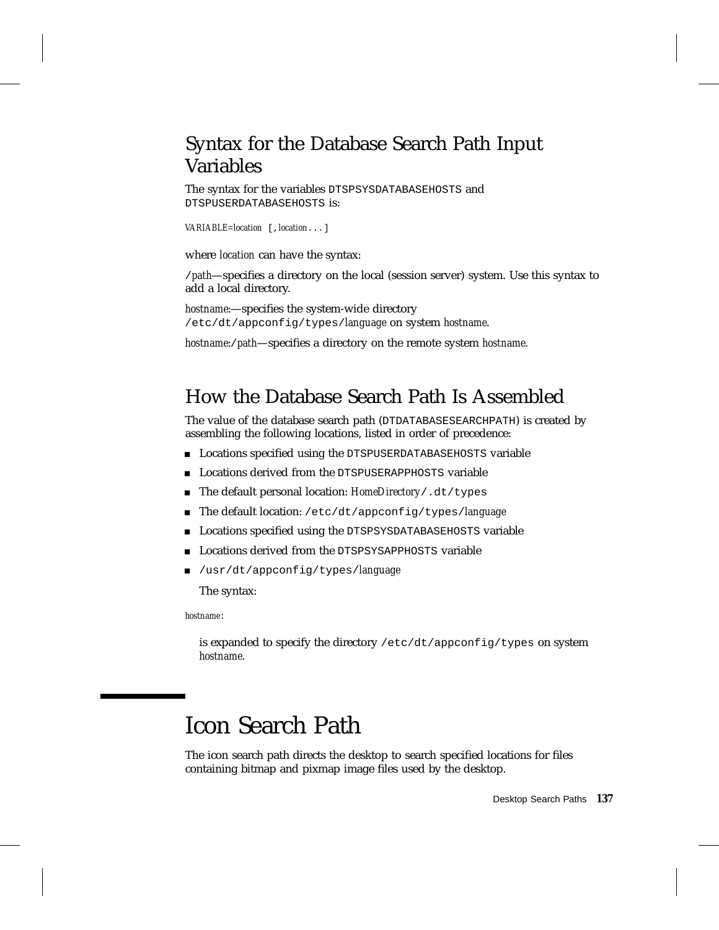### Syntax for the Database Search Path Input Variables

The syntax for the variables DTSPSYSDATABASEHOSTS and DTSPUSERDATABASEHOSTS is:

```
VARIABLE=location [,location...]
```
where *location* can have the syntax:

/*path*—specifies a directory on the local (session server) system. Use this syntax to add a local directory.

*hostname*:—specifies the system-wide directory /etc/dt/appconfig/types/*language* on system *hostname*.

*hostname*:/*path*—specifies a directory on the remote system *hostname*.

#### How the Database Search Path Is Assembled

The value of the database search path (DTDATABASESEARCHPATH) is created by assembling the following locations, listed in order of precedence:

- Locations specified using the DTSPUSERDATABASEHOSTS variable
- **Locations derived from the DTSPUSERAPPHOSTS variable**
- The default personal location: *HomeDirectory* / .dt / types
- The default location: /etc/dt/appconfig/types/*language*
- Locations specified using the DTSPSYSDATABASEHOSTS variable
- Locations derived from the DTSPSYSAPPHOSTS variable
- /usr/dt/appconfig/types/*language*

The syntax:

*hostname*:

is expanded to specify the directory /etc/dt/appconfig/types on system *hostname*.

### Icon Search Path

The icon search path directs the desktop to search specified locations for files containing bitmap and pixmap image files used by the desktop.

Desktop Search Paths **137**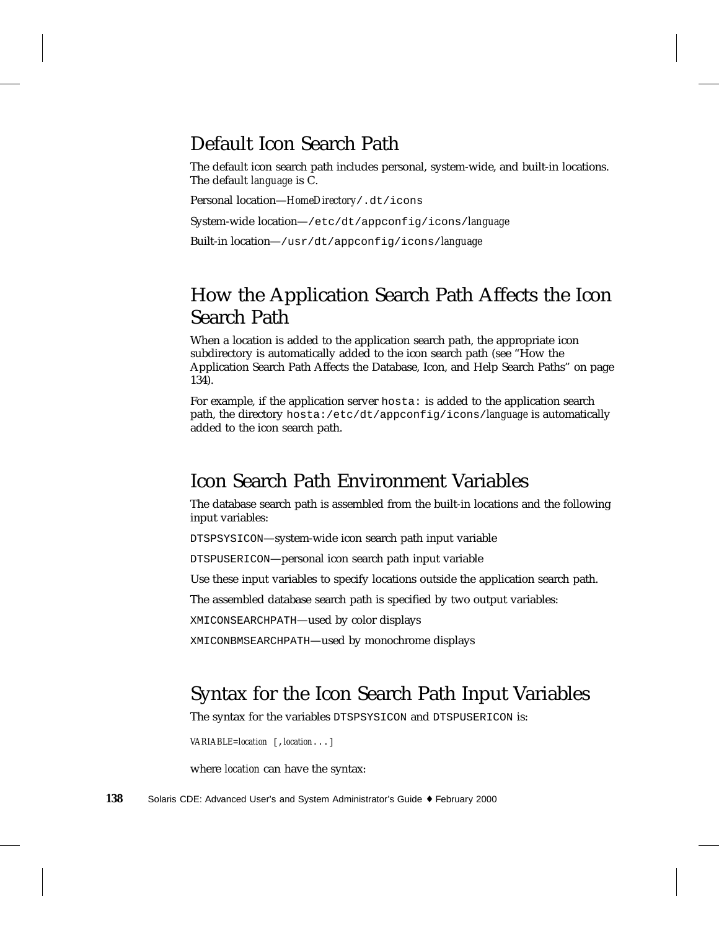#### Default Icon Search Path

The default icon search path includes personal, system-wide, and built-in locations. The default *language* is C.

Personal location—*HomeDirectory*/.dt/icons

System-wide location—/etc/dt/appconfig/icons/*language*

Built-in location—/usr/dt/appconfig/icons/*language*

### How the Application Search Path Affects the Icon Search Path

When a location is added to the application search path, the appropriate icon subdirectory is automatically added to the icon search path (see "How the Application Search Path Affects the Database, Icon, and Help Search Paths" on page 134).

For example, if the application server hosta: is added to the application search path, the directory hosta:/etc/dt/appconfig/icons/*language* is automatically added to the icon search path.

#### Icon Search Path Environment Variables

The database search path is assembled from the built-in locations and the following input variables:

DTSPSYSICON—system-wide icon search path input variable

DTSPUSERICON—personal icon search path input variable

Use these input variables to specify locations outside the application search path.

The assembled database search path is specified by two output variables:

XMICONSEARCHPATH—used by color displays

XMICONBMSEARCHPATH—used by monochrome displays

#### Syntax for the Icon Search Path Input Variables

The syntax for the variables DTSPSYSICON and DTSPUSERICON is:

*VARIABLE*=*location* [,*location*...]

where *location* can have the syntax: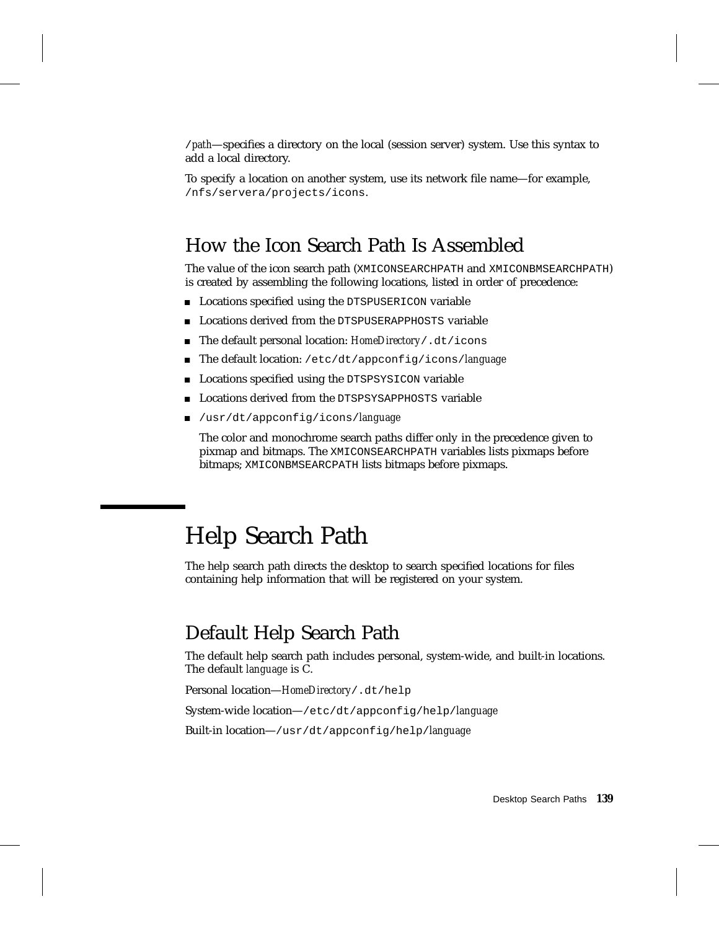/*path*—specifies a directory on the local (session server) system. Use this syntax to add a local directory.

To specify a location on another system, use its network file name—for example, /nfs/servera/projects/icons.

#### How the Icon Search Path Is Assembled

The value of the icon search path (XMICONSEARCHPATH and XMICONBMSEARCHPATH) is created by assembling the following locations, listed in order of precedence:

- Locations specified using the DTSPUSERICON variable
- Locations derived from the DTSPUSERAPPHOSTS variable
- The default personal location: *HomeDirectory* / .dt / icons
- The default location: /etc/dt/appconfig/icons/*language*
- Locations specified using the DTSPSYSICON variable
- Locations derived from the DTSPSYSAPPHOSTS variable
- /usr/dt/appconfig/icons/*language*

The color and monochrome search paths differ only in the precedence given to pixmap and bitmaps. The XMICONSEARCHPATH variables lists pixmaps before bitmaps; XMICONBMSEARCPATH lists bitmaps before pixmaps.

# Help Search Path

The help search path directs the desktop to search specified locations for files containing help information that will be registered on your system.

#### Default Help Search Path

The default help search path includes personal, system-wide, and built-in locations. The default *language* is C.

Personal location—*HomeDirectory*/.dt/help

System-wide location—/etc/dt/appconfig/help/*language*

Built-in location—/usr/dt/appconfig/help/*language*

Desktop Search Paths **139**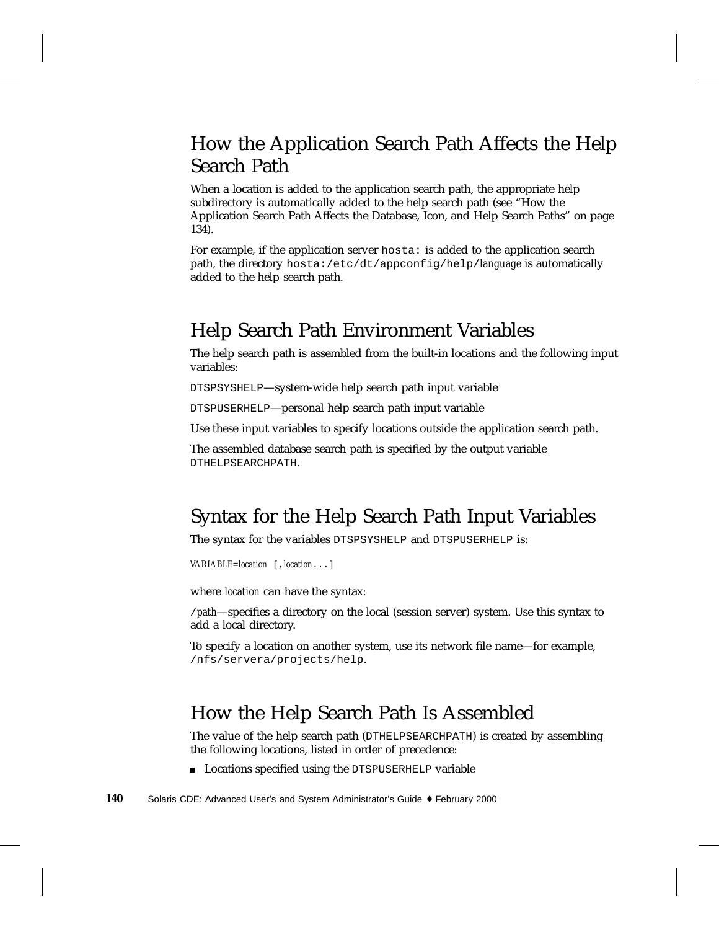### How the Application Search Path Affects the Help Search Path

When a location is added to the application search path, the appropriate help subdirectory is automatically added to the help search path (see "How the Application Search Path Affects the Database, Icon, and Help Search Paths" on page 134).

For example, if the application server hosta: is added to the application search path, the directory hosta:/etc/dt/appconfig/help/*language* is automatically added to the help search path.

### Help Search Path Environment Variables

The help search path is assembled from the built-in locations and the following input variables:

DTSPSYSHELP—system-wide help search path input variable

DTSPUSERHELP—personal help search path input variable

Use these input variables to specify locations outside the application search path.

The assembled database search path is specified by the output variable DTHELPSEARCHPATH.

#### Syntax for the Help Search Path Input Variables

The syntax for the variables DTSPSYSHELP and DTSPUSERHELP is:

*VARIABLE*=*location* [,*location*...]

where *location* can have the syntax:

/*path*—specifies a directory on the local (session server) system. Use this syntax to add a local directory.

To specify a location on another system, use its network file name—for example, /nfs/servera/projects/help.

#### How the Help Search Path Is Assembled

The value of the help search path (DTHELPSEARCHPATH) is created by assembling the following locations, listed in order of precedence:

Locations specified using the DTSPUSERHELP variable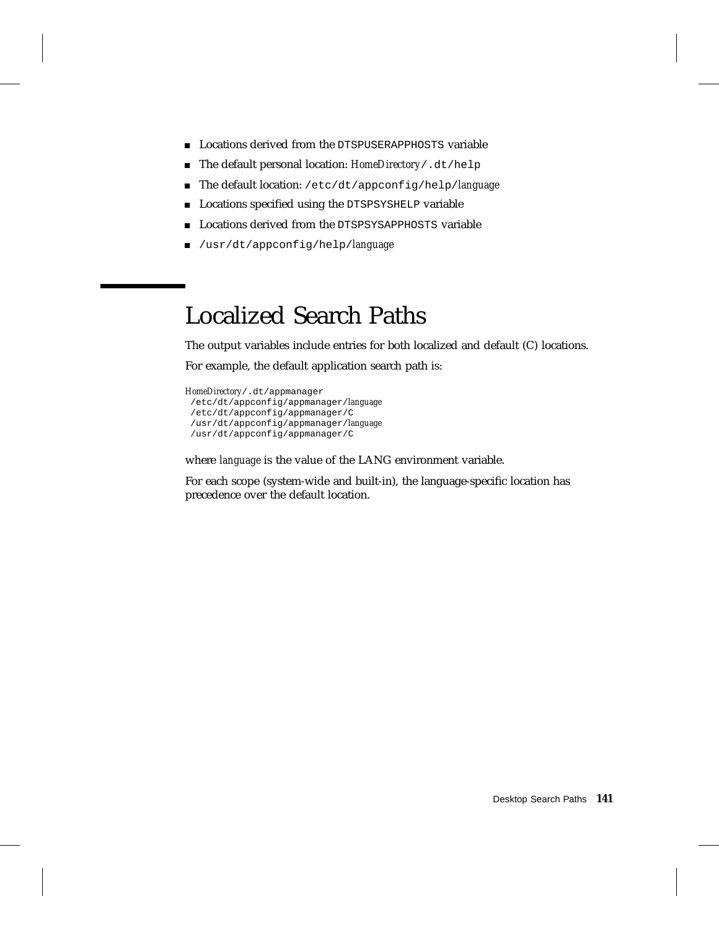- Locations derived from the DTSPUSERAPPHOSTS variable
- The default personal location: *HomeDirectory*/.dt/help
- The default location: /etc/dt/appconfig/help/*language*
- Locations specified using the DTSPSYSHELP variable
- **Locations derived from the DTSPSYSAPPHOSTS variable**
- /usr/dt/appconfig/help/*language*

# Localized Search Paths

The output variables include entries for both localized and default (C) locations.

For example, the default application search path is:

#### *HomeDirectory*/.dt/appmanager

```
/etc/dt/appconfig/appmanager/language
/etc/dt/appconfig/appmanager/C
/usr/dt/appconfig/appmanager/language
/usr/dt/appconfig/appmanager/C
```
where *language* is the value of the LANG environment variable.

For each scope (system-wide and built-in), the language-specific location has precedence over the default location.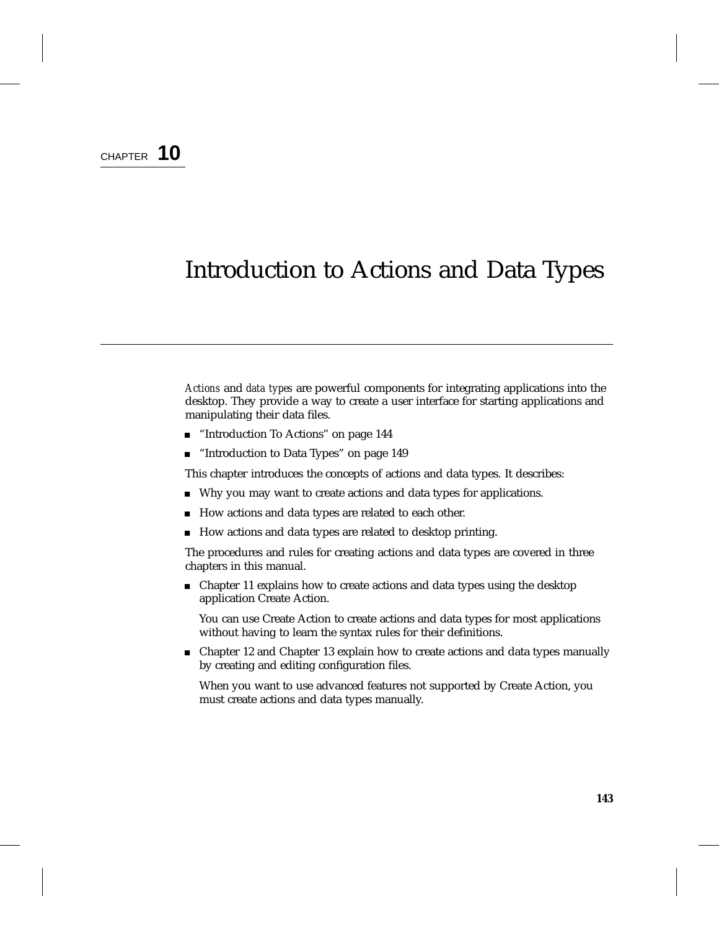#### CHAPTER **10**

### Introduction to Actions and Data Types

*Actions* and *data types* are powerful components for integrating applications into the desktop. They provide a way to create a user interface for starting applications and manipulating their data files.

- "Introduction To Actions" on page 144
- "Introduction to Data Types" on page 149

This chapter introduces the concepts of actions and data types. It describes:

- Why you may want to create actions and data types for applications.
- How actions and data types are related to each other.
- How actions and data types are related to desktop printing.

The procedures and rules for creating actions and data types are covered in three chapters in this manual.

 Chapter 11 explains how to create actions and data types using the desktop application Create Action.

You can use Create Action to create actions and data types for most applications without having to learn the syntax rules for their definitions.

 Chapter 12 and Chapter 13 explain how to create actions and data types manually by creating and editing configuration files.

When you want to use advanced features not supported by Create Action, you must create actions and data types manually.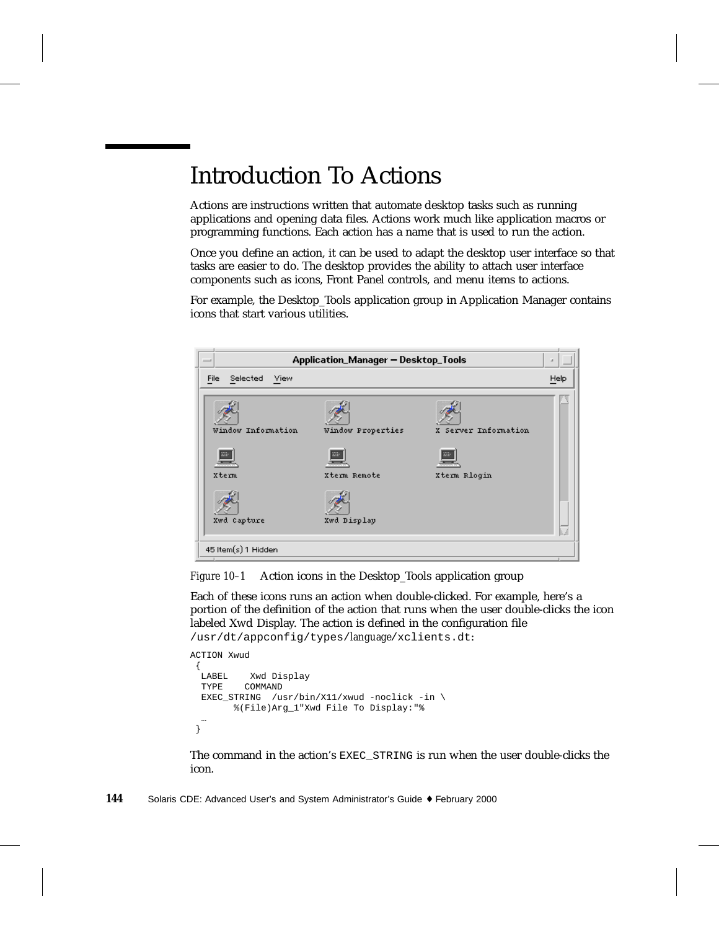## Introduction To Actions

Actions are instructions written that automate desktop tasks such as running applications and opening data files. Actions work much like application macros or programming functions. Each action has a name that is used to run the action.

Once you define an action, it can be used to adapt the desktop user interface so that tasks are easier to do. The desktop provides the ability to attach user interface components such as icons, Front Panel controls, and menu items to actions.

For example, the Desktop\_Tools application group in Application Manager contains icons that start various utilities.

|                                            | Application_Manager - Desktop_Tools              |                                      | u.   |
|--------------------------------------------|--------------------------------------------------|--------------------------------------|------|
| Selected<br>File<br>View                   |                                                  |                                      | Help |
| Window Information<br>Xterm<br>Xwd Capture | Window Properties<br>Xterm Remote<br>Xwd Display | X Server Information<br>Xterm Rlogin |      |
| 45 Item(s) 1 Hidden                        |                                                  |                                      |      |

*Figure 10–1* Action icons in the Desktop\_Tools application group

Each of these icons runs an action when double-clicked. For example, here's a portion of the definition of the action that runs when the user double-clicks the icon labeled Xwd Display. The action is defined in the configuration file /usr/dt/appconfig/types/*language*/xclients.dt:

```
ACTION Xwud
 {<br>LABEL
          Xwd Display
 TYPE COMMAND
  EXEC_STRING /usr/bin/X11/xwud -noclick -in \
       %(File)Arg_1"Xwd File To Display:"%
  …
 }
```
The command in the action's EXEC\_STRING is run when the user double-clicks the icon.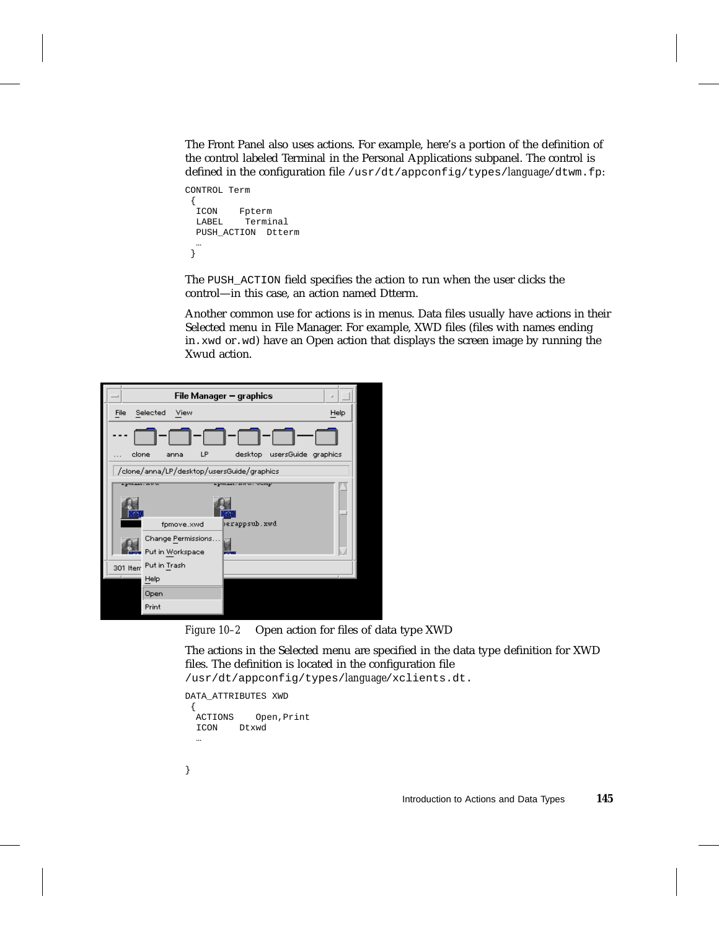The Front Panel also uses actions. For example, here's a portion of the definition of the control labeled Terminal in the Personal Applications subpanel. The control is defined in the configuration file /usr/dt/appconfig/types/*language*/dtwm.fp:

```
CONTROL Term
 {<br>ICON
          Fpterm
  LABEL Terminal
  PUSH_ACTION Dtterm
  …
 }
```
The PUSH\_ACTION field specifies the action to run when the user clicks the control—in this case, an action named Dtterm.

Another common use for actions is in menus. Data files usually have actions in their Selected menu in File Manager. For example, XWD files (files with names ending in.xwd or.wd) have an Open action that displays the screen image by running the Xwud action.





The actions in the Selected menu are specified in the data type definition for XWD files. The definition is located in the configuration file

/usr/dt/appconfig/types/*language*/xclients.dt.

```
DATA_ATTRIBUTES XWD
 {
  ACTIONS Open, Print<br>ICON Dtxwd
            Dtxwd
```
}

Introduction to Actions and Data Types **145**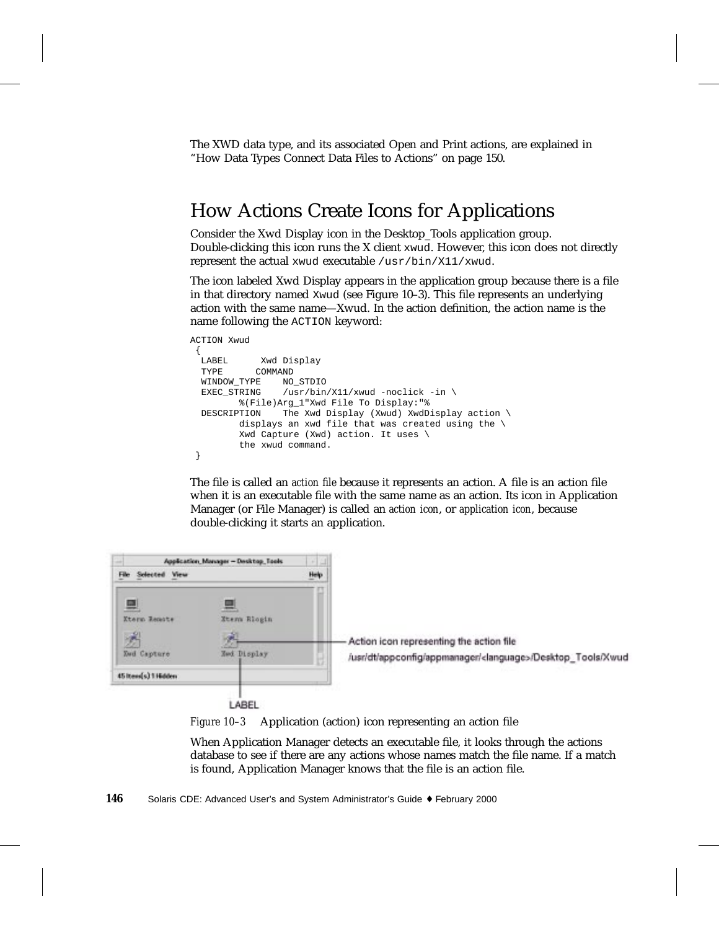The XWD data type, and its associated Open and Print actions, are explained in "How Data Types Connect Data Files to Actions" on page 150.

#### How Actions Create Icons for Applications

Consider the Xwd Display icon in the Desktop\_Tools application group. Double-clicking this icon runs the X client xwud. However, this icon does not directly represent the actual xwud executable /usr/bin/X11/xwud.

The icon labeled Xwd Display appears in the application group because there is a file in that directory named Xwud (see Figure 10–3). This file represents an underlying action with the same name—Xwud. In the action definition, the action name is the name following the ACTION keyword:

```
ACTION Xwud
 {
  LABEL Xwd Display
  TYPE COMMAND<br>WINDOW_TYPE NO_STDIO
  WINDOW_TYPE
  EXEC_STRING /usr/bin/X11/xwud -noclick -in \
         %(File)Arg_1"Xwd File To Display:"%
  DESCRIPTION The Xwd Display (Xwud) XwdDisplay action \
         displays an xwd file that was created using the \
         Xwd Capture (Xwd) action. It uses \
         the xwud command.
 }
```
The file is called an *action file* because it represents an action. A file is an action file when it is an executable file with the same name as an action. Its icon in Application Manager (or File Manager) is called an *action icon*, or *application icon*, because double-clicking it starts an application.



LABEL

*Figure 10–3* Application (action) icon representing an action file

When Application Manager detects an executable file, it looks through the actions database to see if there are any actions whose names match the file name. If a match is found, Application Manager knows that the file is an action file.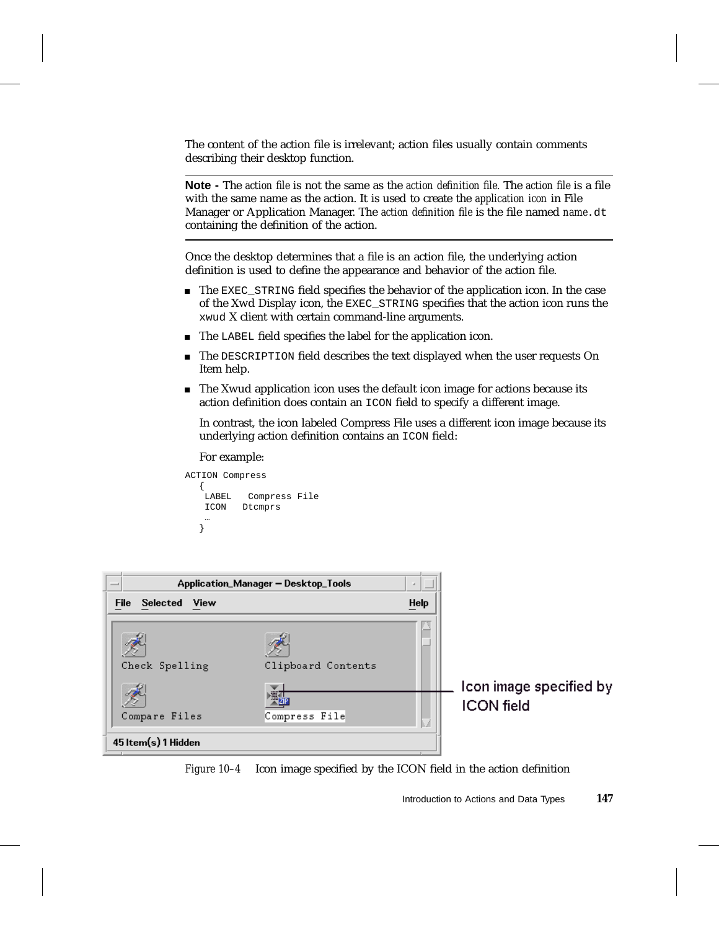The content of the action file is irrelevant; action files usually contain comments describing their desktop function.

**Note -** The *action file* is not the same as the *action definition file*. The *action file* is a file with the same name as the action. It is used to create the *application icon* in File Manager or Application Manager. The *action definition file* is the file named *name*.dt containing the definition of the action.

Once the desktop determines that a file is an action file, the underlying action definition is used to define the appearance and behavior of the action file.

- The EXEC\_STRING field specifies the behavior of the application icon. In the case of the Xwd Display icon, the EXEC\_STRING specifies that the action icon runs the xwud X client with certain command-line arguments.
- The LABEL field specifies the label for the application icon.
- The DESCRIPTION field describes the text displayed when the user requests On Item help.
- The Xwud application icon uses the default icon image for actions because its action definition does contain an ICON field to specify a different image.

In contrast, the icon labeled Compress File uses a different icon image because its underlying action definition contains an ICON field:

For example:

```
ACTION Compress
  {
   LABEL Compress File
   ICON Dtcmprs
   …
  }
```


*Figure 10–4* Icon image specified by the ICON field in the action definition

Introduction to Actions and Data Types **147**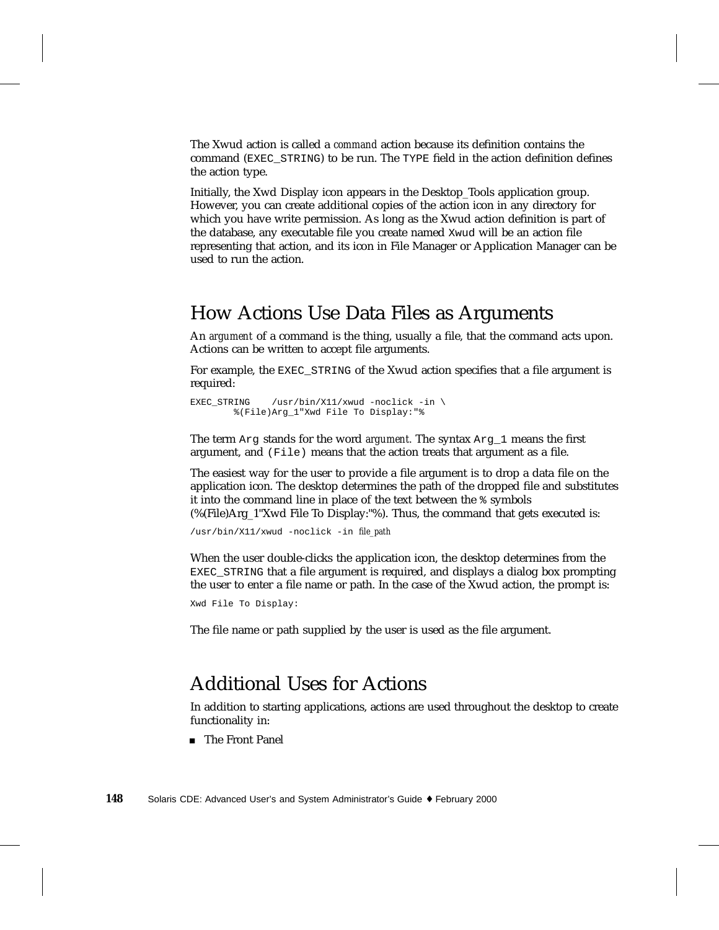The Xwud action is called a *command* action because its definition contains the command (EXEC\_STRING) to be run. The TYPE field in the action definition defines the action type.

Initially, the Xwd Display icon appears in the Desktop\_Tools application group. However, you can create additional copies of the action icon in any directory for which you have write permission. As long as the Xwud action definition is part of the database, any executable file you create named Xwud will be an action file representing that action, and its icon in File Manager or Application Manager can be used to run the action.

#### How Actions Use Data Files as Arguments

An *argument* of a command is the thing, usually a file, that the command acts upon. Actions can be written to accept file arguments.

For example, the EXEC\_STRING of the Xwud action specifies that a file argument is required:

```
EXEC_STRING /usr/bin/X11/xwud -noclick -in \
       %(File)Arg_1"Xwd File To Display:"%
```
The term Arg stands for the word *argument.* The syntax Arg\_1 means the first argument, and (File) means that the action treats that argument as a file.

The easiest way for the user to provide a file argument is to drop a data file on the application icon. The desktop determines the path of the dropped file and substitutes it into the command line in place of the text between the % symbols (%(File)Arg\_1"Xwd File To Display:"%). Thus, the command that gets executed is:

/usr/bin/X11/xwud -noclick -in *file\_path*

When the user double-clicks the application icon, the desktop determines from the EXEC\_STRING that a file argument is required, and displays a dialog box prompting the user to enter a file name or path. In the case of the Xwud action, the prompt is:

Xwd File To Display:

The file name or path supplied by the user is used as the file argument.

#### Additional Uses for Actions

In addition to starting applications, actions are used throughout the desktop to create functionality in:

■ The Front Panel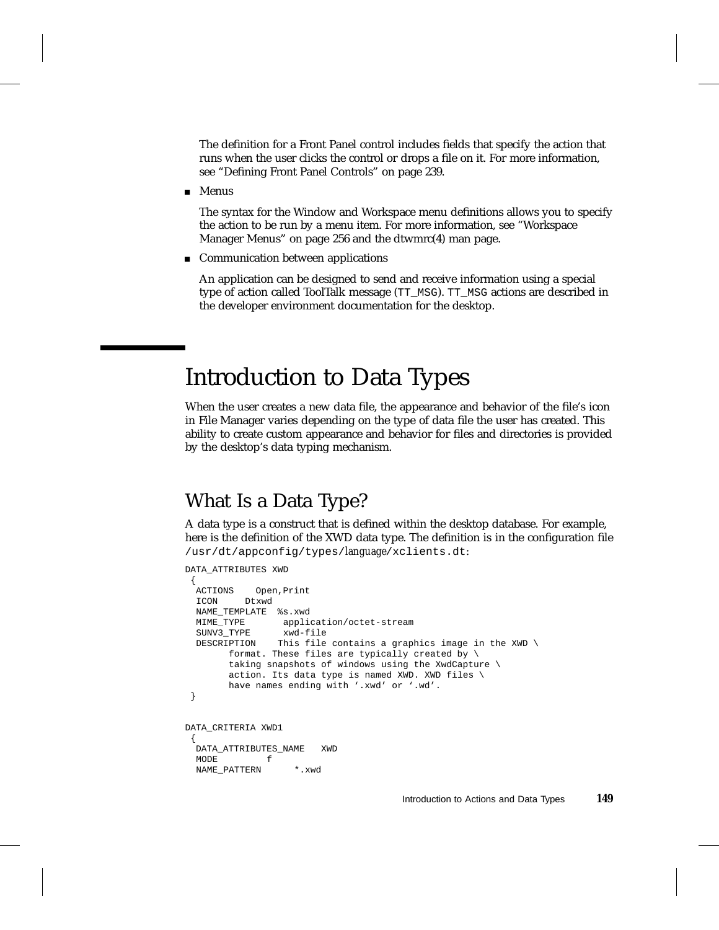The definition for a Front Panel control includes fields that specify the action that runs when the user clicks the control or drops a file on it. For more information, see "Defining Front Panel Controls" on page 239.

**Menus** 

The syntax for the Window and Workspace menu definitions allows you to specify the action to be run by a menu item. For more information, see "Workspace Manager Menus" on page 256 and the dtwmrc(4) man page.

■ Communication between applications

An application can be designed to send and receive information using a special type of action called ToolTalk message (TT\_MSG). TT\_MSG actions are described in the developer environment documentation for the desktop.

### Introduction to Data Types

When the user creates a new data file, the appearance and behavior of the file's icon in File Manager varies depending on the type of data file the user has created. This ability to create custom appearance and behavior for files and directories is provided by the desktop's data typing mechanism.

#### What Is a Data Type?

A data type is a construct that is defined within the desktop database. For example, here is the definition of the XWD data type. The definition is in the configuration file /usr/dt/appconfig/types/*language*/xclients.dt:

```
DATA_ATTRIBUTES XWD
```
{

```
ACTIONS Open, Print
  ICON Dtxwd
 NAME_TEMPLATE %s.xwd
 MIME_TYPE application/octet-stream
  SUNV3_TYPE xwd-file
 DESCRIPTION This file contains a graphics image in the XWD \setminusformat. These files are typically created by \setminustaking snapshots of windows using the XwdCapture \
       action. Its data type is named XWD. XWD files \
       have names ending with '.xwd' or '.wd'.
}
DATA_CRITERIA XWD1
 {
 DATA_ATTRIBUTES_NAME XWD
 MODE f
 NAME_PATTERN *. xwd
```
Introduction to Actions and Data Types **149**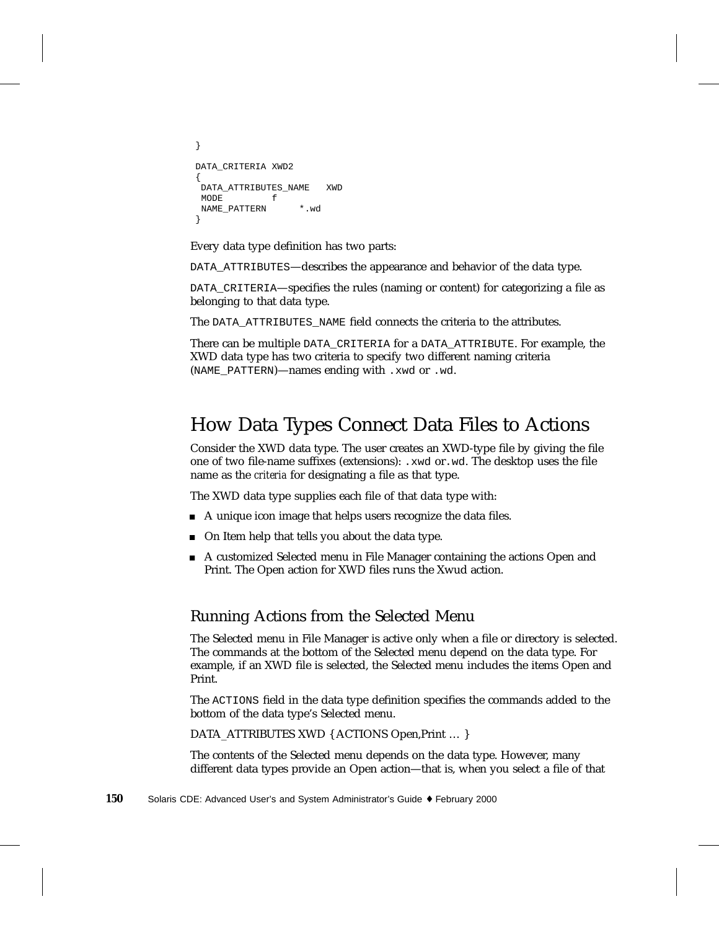```
}
DATA_CRITERIA XWD2
{
DATA_ATTRIBUTES_NAME XWD<br>MODE f
MODE
NAME_PATTERN *.wd
}
```
Every data type definition has two parts:

DATA\_ATTRIBUTES—describes the appearance and behavior of the data type.

DATA\_CRITERIA—specifies the rules (naming or content) for categorizing a file as belonging to that data type.

The DATA ATTRIBUTES NAME field connects the criteria to the attributes.

There can be multiple DATA\_CRITERIA for a DATA\_ATTRIBUTE. For example, the XWD data type has two criteria to specify two different naming criteria (NAME\_PATTERN)—names ending with .xwd or .wd.

#### How Data Types Connect Data Files to Actions

Consider the XWD data type. The user creates an XWD-type file by giving the file one of two file-name suffixes (extensions): .xwd or.wd. The desktop uses the file name as the *criteria* for designating a file as that type.

The XWD data type supplies each file of that data type with:

- A unique icon image that helps users recognize the data files.
- On Item help that tells you about the data type.
- A customized Selected menu in File Manager containing the actions Open and Print. The Open action for XWD files runs the Xwud action.

#### Running Actions from the Selected Menu

The Selected menu in File Manager is active only when a file or directory is selected. The commands at the bottom of the Selected menu depend on the data type. For example, if an XWD file is selected, the Selected menu includes the items Open and Print.

The ACTIONS field in the data type definition specifies the commands added to the bottom of the data type's Selected menu.

DATA\_ATTRIBUTES XWD { ACTIONS Open,Print … }

The contents of the Selected menu depends on the data type. However, many different data types provide an Open action—that is, when you select a file of that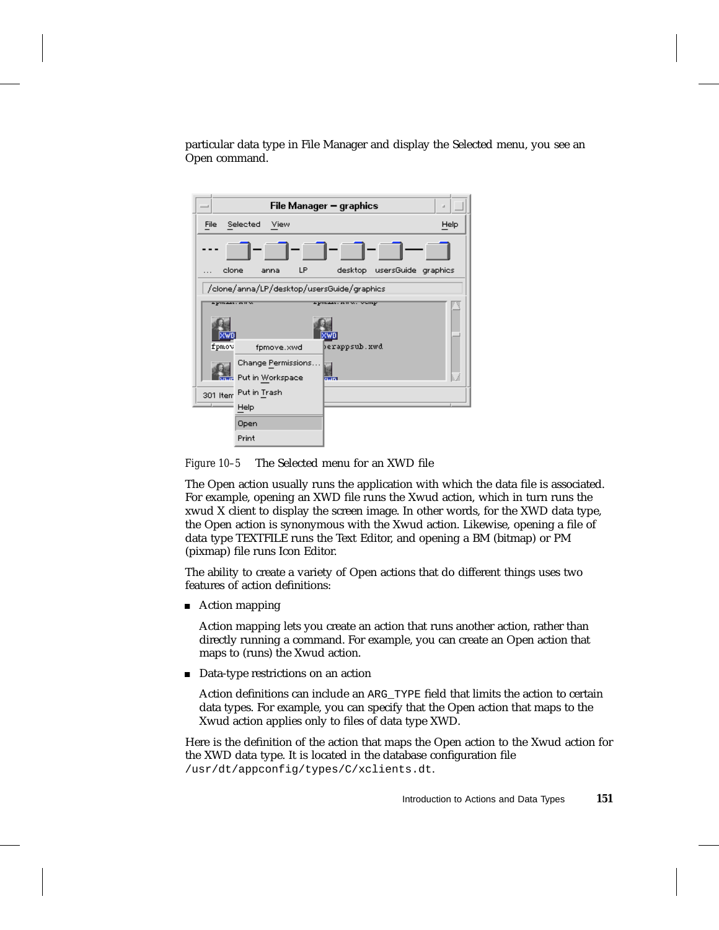particular data type in File Manager and display the Selected menu, you see an Open command.

| File Manager - graphics<br>$\mathcal{A}$                                              |
|---------------------------------------------------------------------------------------|
| Selected<br>File<br>View<br>Help                                                      |
| LP<br>desktop<br>usersGuide<br>clone<br>graphics<br>anna                              |
| /clone/anna/LP/desktop/usersGuide/graphics                                            |
| Apmaar am w<br>a product actives women<br>xwn<br>berappsub.xwd<br>fpmov<br>fpmove.xwd |
| Change Permissions<br>Put in Workspace<br><b>TWIN</b>                                 |
| Put in Trash<br>301 Item                                                              |
| Help                                                                                  |
| Open                                                                                  |
| Print                                                                                 |

*Figure 10–5* The Selected menu for an XWD file

The Open action usually runs the application with which the data file is associated. For example, opening an XWD file runs the Xwud action, which in turn runs the xwud X client to display the screen image. In other words, for the XWD data type, the Open action is synonymous with the Xwud action. Likewise, opening a file of data type TEXTFILE runs the Text Editor, and opening a BM (bitmap) or PM (pixmap) file runs Icon Editor.

The ability to create a variety of Open actions that do different things uses two features of action definitions:

■ Action mapping

Action mapping lets you create an action that runs another action, rather than directly running a command. For example, you can create an Open action that maps to (runs) the Xwud action.

■ Data-type restrictions on an action

Action definitions can include an ARG\_TYPE field that limits the action to certain data types. For example, you can specify that the Open action that maps to the Xwud action applies only to files of data type XWD.

Here is the definition of the action that maps the Open action to the Xwud action for the XWD data type. It is located in the database configuration file /usr/dt/appconfig/types/C/xclients.dt.

Introduction to Actions and Data Types **151**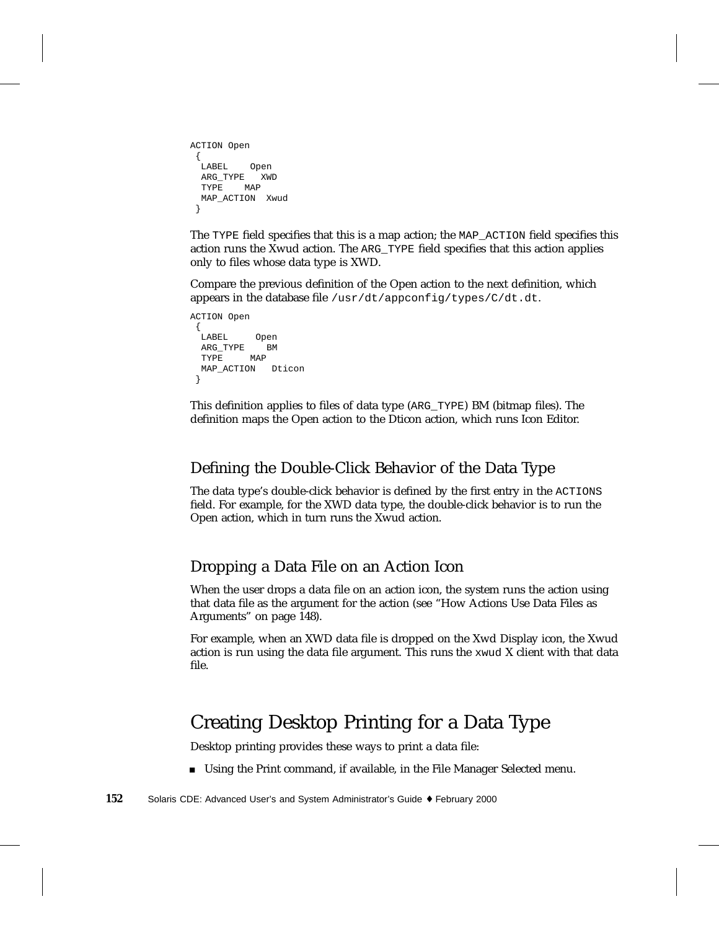```
ACTION Open
 {<br>LABEL
          Open
 ARG_TYPE XWD
 TYPE MAP
 MAP_ACTION Xwud
 }
```
The TYPE field specifies that this is a map action; the MAP\_ACTION field specifies this action runs the Xwud action. The ARG\_TYPE field specifies that this action applies only to files whose data type is XWD.

Compare the previous definition of the Open action to the next definition, which appears in the database file /usr/dt/appconfig/types/C/dt.dt.

```
ACTION Open
 {
  LABEL Open<br>ARG TYPE BM
  ARG TYPE
 TYPE MAP
 MAP_ACTION Dticon
 }
```
This definition applies to files of data type (ARG\_TYPE) BM (bitmap files). The definition maps the Open action to the Dticon action, which runs Icon Editor.

#### Defining the Double-Click Behavior of the Data Type

The data type's double-click behavior is defined by the first entry in the ACTIONS field. For example, for the XWD data type, the double-click behavior is to run the Open action, which in turn runs the Xwud action.

#### Dropping a Data File on an Action Icon

When the user drops a data file on an action icon, the system runs the action using that data file as the argument for the action (see "How Actions Use Data Files as Arguments" on page 148).

For example, when an XWD data file is dropped on the Xwd Display icon, the Xwud action is run using the data file argument. This runs the xwud X client with that data file.

#### Creating Desktop Printing for a Data Type

Desktop printing provides these ways to print a data file:

Using the Print command, if available, in the File Manager Selected menu.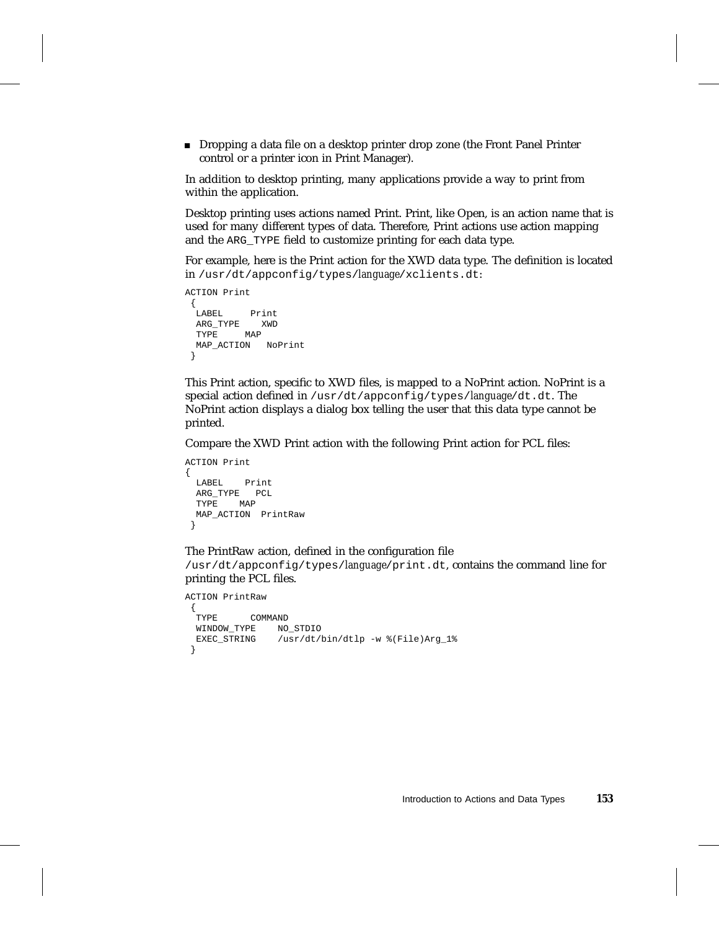Dropping a data file on a desktop printer drop zone (the Front Panel Printer control or a printer icon in Print Manager).

In addition to desktop printing, many applications provide a way to print from within the application.

Desktop printing uses actions named Print. Print, like Open, is an action name that is used for many different types of data. Therefore, Print actions use action mapping and the ARG\_TYPE field to customize printing for each data type.

For example, here is the Print action for the XWD data type. The definition is located in /usr/dt/appconfig/types/*language*/xclients.dt:

```
ACTION Print
 {
 LABEL Print
 ARG_TYPE XWD
 TYPE MAP
 MAP_ACTION NoPrint
}
```
This Print action, specific to XWD files, is mapped to a NoPrint action. NoPrint is a special action defined in /usr/dt/appconfig/types/*language*/dt.dt. The NoPrint action displays a dialog box telling the user that this data type cannot be printed.

Compare the XWD Print action with the following Print action for PCL files:

```
ACTION Print
{
 LABEL Print
 ARG_TYPE PCL
 TYPE MAP
 MAP_ACTION PrintRaw
}
```
#### The PrintRaw action, defined in the configuration file

/usr/dt/appconfig/types/*language*/print.dt, contains the command line for printing the PCL files.

```
ACTION PrintRaw
 {<br>Tydr
               COMMAND
  WINDOW_TYPE NO_STDIO<br>EXEC STRING /usr/dt/l
                   /usr/dt/bin/dtlp -w %(File)Arg 1%
 }
```
Introduction to Actions and Data Types **153**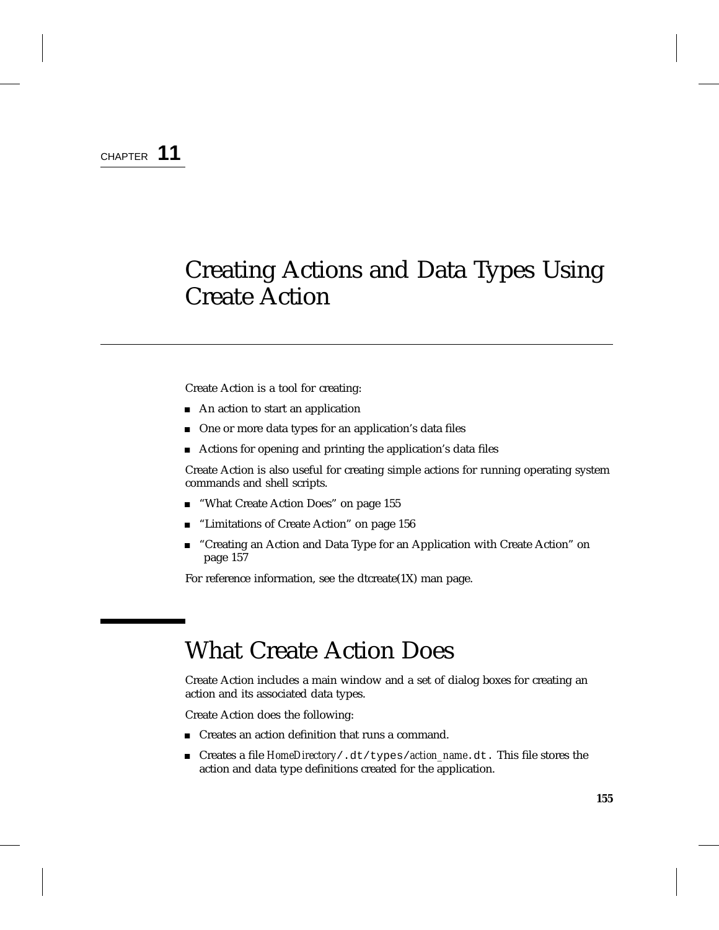#### CHAPTER **11**

# Creating Actions and Data Types Using Create Action

Create Action is a tool for creating:

- An action to start an application
- One or more data types for an application's data files
- Actions for opening and printing the application's data files

Create Action is also useful for creating simple actions for running operating system commands and shell scripts.

- "What Create Action Does" on page 155
- "Limitations of Create Action" on page 156
- "Creating an Action and Data Type for an Application with Create Action" on page 157

For reference information, see the dtcreate(1X) man page.

### What Create Action Does

Create Action includes a main window and a set of dialog boxes for creating an action and its associated data types.

Create Action does the following:

- Creates an action definition that runs a command.
- Creates a file *HomeDirectory*/.dt/types/*action\_name*.dt. This file stores the action and data type definitions created for the application.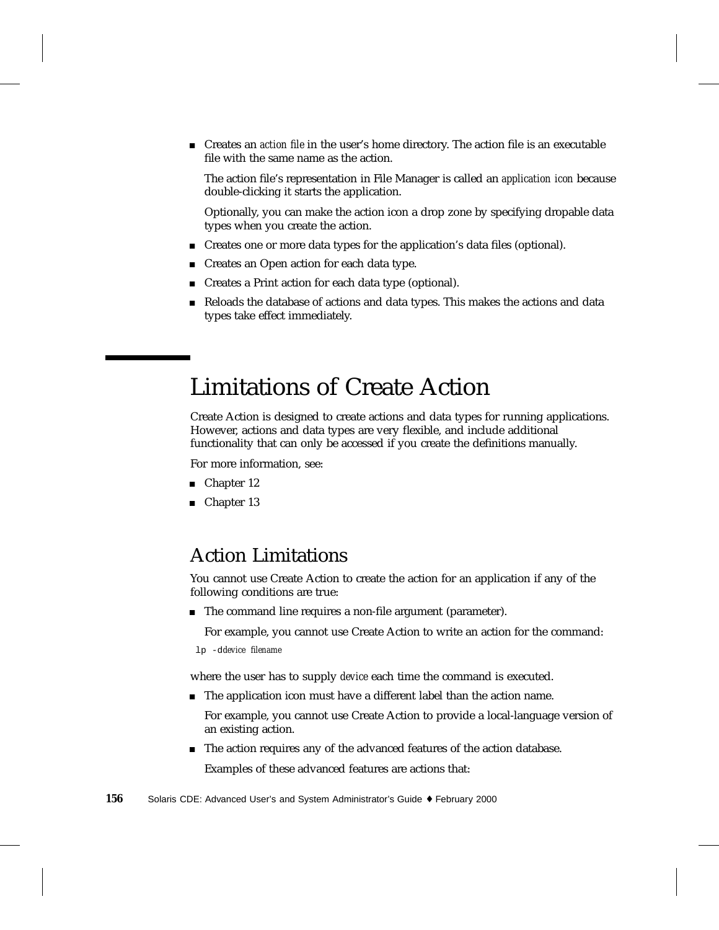Creates an *action file* in the user's home directory. The action file is an executable file with the same name as the action.

The action file's representation in File Manager is called an *application icon* because double-clicking it starts the application.

Optionally, you can make the action icon a drop zone by specifying dropable data types when you create the action.

- Creates one or more data types for the application's data files (optional).
- **Creates an Open action for each data type.**
- Creates a Print action for each data type (optional).
- Reloads the database of actions and data types. This makes the actions and data types take effect immediately.

### Limitations of Create Action

Create Action is designed to create actions and data types for running applications. However, actions and data types are very flexible, and include additional functionality that can only be accessed if you create the definitions manually.

For more information, see:

- Chapter 12
- Chapter 13

#### Action Limitations

You cannot use Create Action to create the action for an application if any of the following conditions are true:

The command line requires a non-file argument (parameter).

For example, you cannot use Create Action to write an action for the command:

```
lp -ddevice filename
```
where the user has to supply *device* each time the command is executed.

The application icon must have a different label than the action name.

For example, you cannot use Create Action to provide a local-language version of an existing action.

The action requires any of the advanced features of the action database.

Examples of these advanced features are actions that: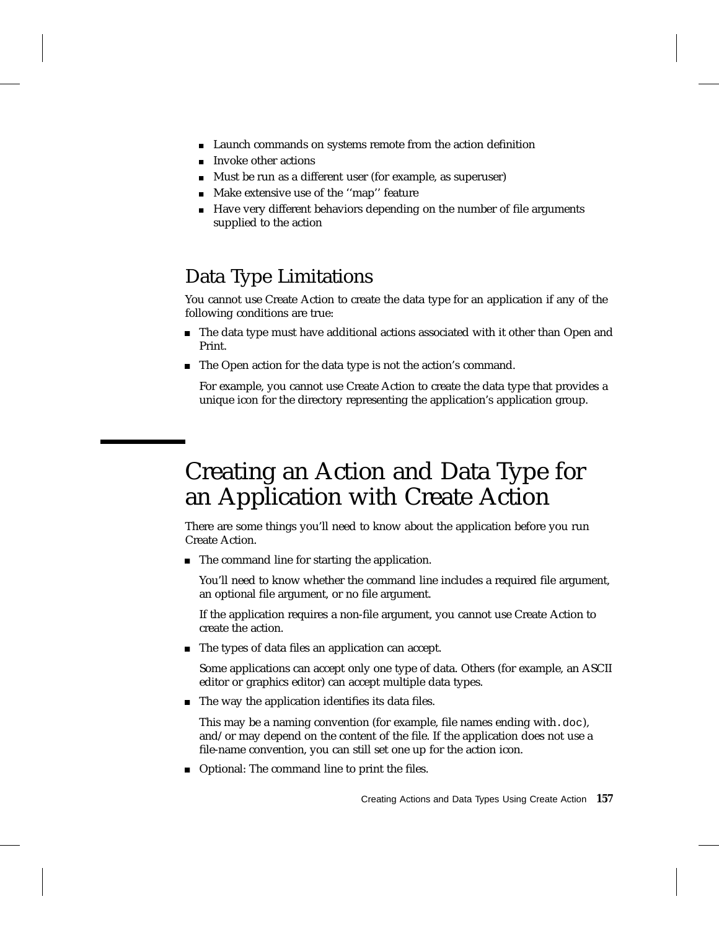- **Launch commands on systems remote from the action definition**
- Invoke other actions
- Must be run as a different user (for example, as superuser)
- Make extensive use of the ''map'' feature
- Have very different behaviors depending on the number of file arguments supplied to the action

### Data Type Limitations

You cannot use Create Action to create the data type for an application if any of the following conditions are true:

- The data type must have additional actions associated with it other than Open and Print.
- The Open action for the data type is not the action's command.

For example, you cannot use Create Action to create the data type that provides a unique icon for the directory representing the application's application group.

## Creating an Action and Data Type for an Application with Create Action

There are some things you'll need to know about the application before you run Create Action.

■ The command line for starting the application.

You'll need to know whether the command line includes a required file argument, an optional file argument, or no file argument.

If the application requires a non-file argument, you cannot use Create Action to create the action.

The types of data files an application can accept.

Some applications can accept only one type of data. Others (for example, an ASCII editor or graphics editor) can accept multiple data types.

■ The way the application identifies its data files.

This may be a naming convention (for example, file names ending with.doc), and/or may depend on the content of the file. If the application does not use a file-name convention, you can still set one up for the action icon.

Optional: The command line to print the files.

Creating Actions and Data Types Using Create Action **157**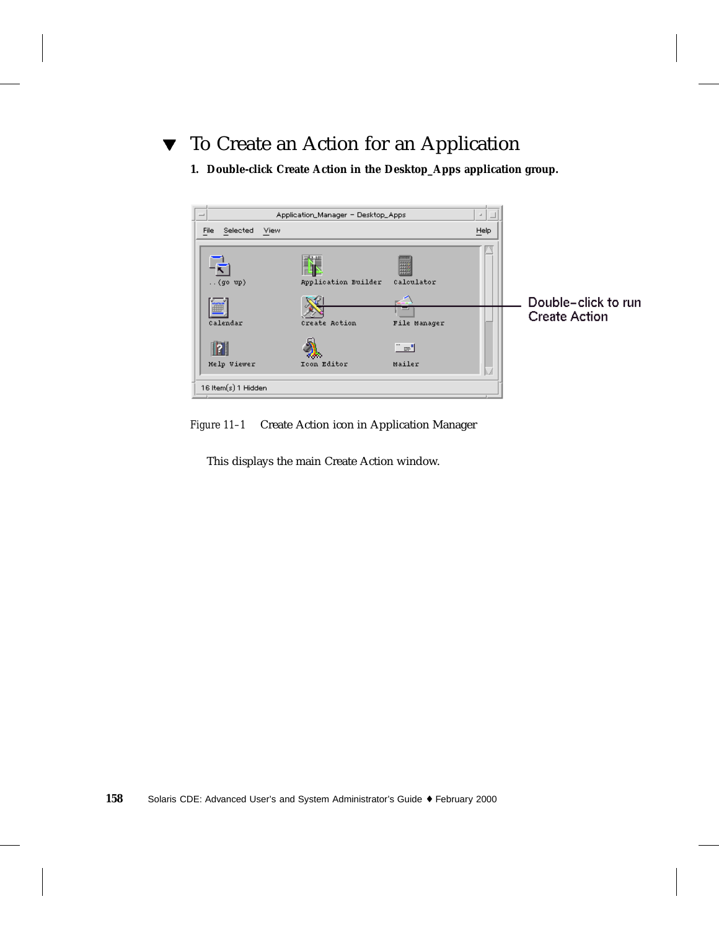#### To Create an Action for an Application  $\blacktriangledown$

**1. Double-click Create Action in the Desktop\_Apps application group.**



*Figure 11–1* Create Action icon in Application Manager

This displays the main Create Action window.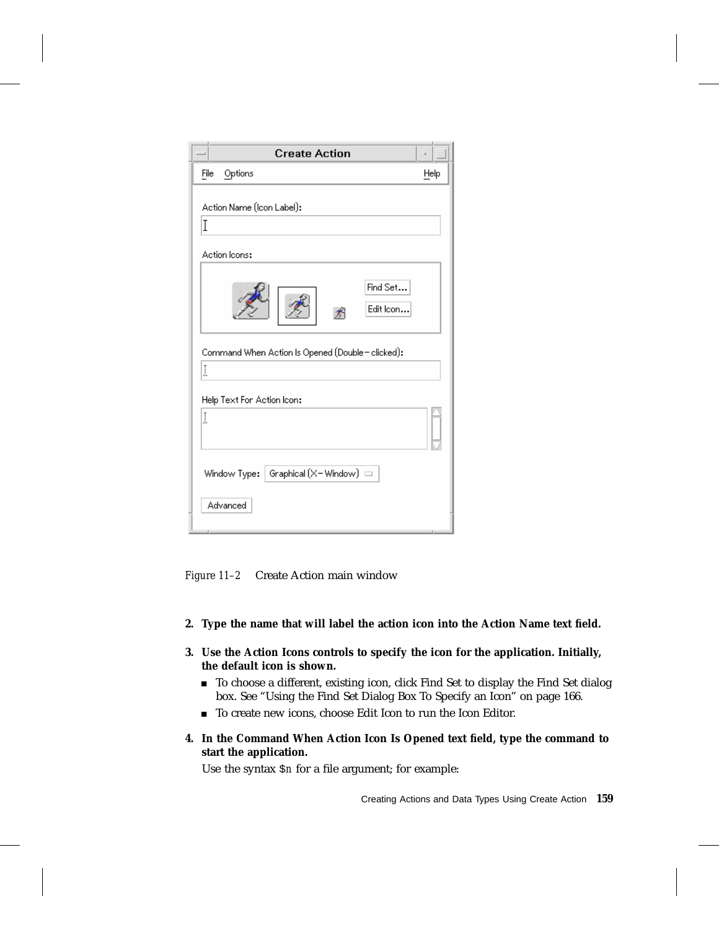| <b>Create Action</b>                                  | u    |
|-------------------------------------------------------|------|
| File<br>Options                                       | Help |
| Action Name (Icon Label):<br>Ι                        |      |
| Action Icons:                                         |      |
| Find Set<br>Edit lcon<br>y                            |      |
| Command When Action Is Opened (Double-clicked):<br>ľ. |      |
| Help Text For Action Icon:                            |      |
| ľ                                                     |      |
| Graphical $(X-Window)$ $\Box$<br>Window Type:         |      |
| Advanced                                              |      |

*Figure 11–2* Create Action main window

- **2. Type the name that will label the action icon into the Action Name text field.**
- **3. Use the Action Icons controls to specify the icon for the application. Initially, the default icon is shown.**
	- To choose a different, existing icon, click Find Set to display the Find Set dialog box. See "Using the Find Set Dialog Box To Specify an Icon" on page 166.
	- To create new icons, choose Edit Icon to run the Icon Editor.
- **4. In the Command When Action Icon Is Opened text field, type the command to start the application.**

Use the syntax \$*n* for a file argument; for example:

Creating Actions and Data Types Using Create Action **159**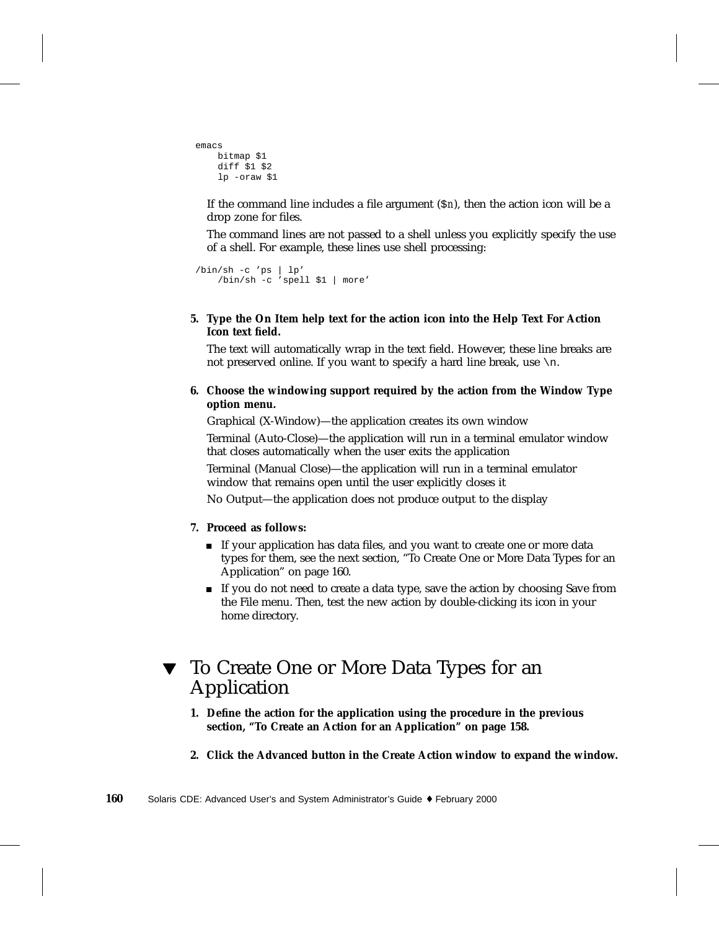```
emacs
   bitmap $1
   diff $1 $2
   lp -oraw $1
```
If the command line includes a file argument  $(\xi \eta)$ , then the action icon will be a drop zone for files.

The command lines are not passed to a shell unless you explicitly specify the use of a shell. For example, these lines use shell processing:

 $/bin/\sh$  -c 'ps | lp' /bin/sh -c 'spell \$1 | more'

#### **5. Type the On Item help text for the action icon into the Help Text For Action Icon text field.**

The text will automatically wrap in the text field. However, these line breaks are not preserved online. If you want to specify a hard line break, use  $\n\lambda$ n.

#### **6. Choose the windowing support required by the action from the Window Type option menu.**

Graphical (X-Window)—the application creates its own window

Terminal (Auto-Close)—the application will run in a terminal emulator window that closes automatically when the user exits the application

Terminal (Manual Close)—the application will run in a terminal emulator window that remains open until the user explicitly closes it

No Output—the application does not produce output to the display

#### **7. Proceed as follows:**

- If your application has data files, and you want to create one or more data types for them, see the next section, "To Create One or More Data Types for an Application" on page 160.
- If you do not need to create a data type, save the action by choosing Save from the File menu. Then, test the new action by double-clicking its icon in your home directory.

### ▼ To Create One or More Data Types for an Application

- **1. Define the action for the application using the procedure in the previous section, "To Create an Action for an Application" on page 158.**
- **2. Click the Advanced button in the Create Action window to expand the window.**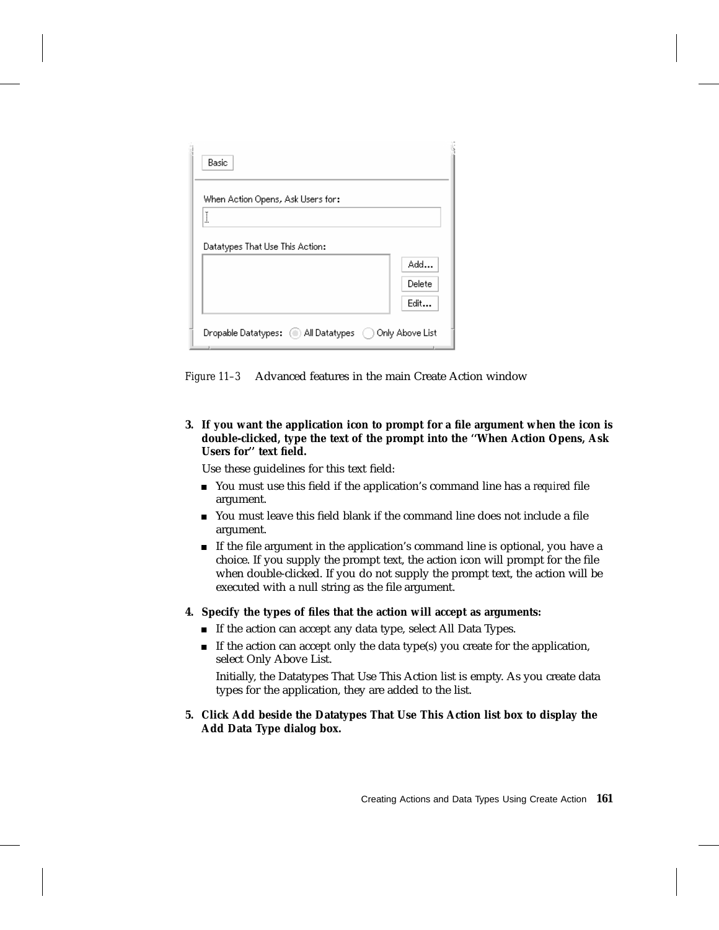| Basic                                        |                 |
|----------------------------------------------|-----------------|
| When Action Opens, Ask Users for:            |                 |
| ľ                                            |                 |
| Datatypes That Use This Action:              |                 |
|                                              | Add             |
|                                              | Delete          |
|                                              | Edit            |
| Dropable Datatypes: (iii) All Datatypes<br>O | Only Above List |

*Figure 11–3* Advanced features in the main Create Action window

**3. If you want the application icon to prompt for a file argument when the icon is double-clicked, type the text of the prompt into the ''When Action Opens, Ask Users for'' text field.**

Use these guidelines for this text field:

- You must use this field if the application's command line has a *required* file argument.
- You must leave this field blank if the command line does not include a file argument.
- If the file argument in the application's command line is optional, you have a choice. If you supply the prompt text, the action icon will prompt for the file when double-clicked. If you do not supply the prompt text, the action will be executed with a null string as the file argument.
- **4. Specify the types of files that the action will accept as arguments:**
	- If the action can accept any data type, select All Data Types.
	- If the action can accept only the data type(s) you create for the application, select Only Above List.

Initially, the Datatypes That Use This Action list is empty. As you create data types for the application, they are added to the list.

**5. Click Add beside the Datatypes That Use This Action list box to display the Add Data Type dialog box.**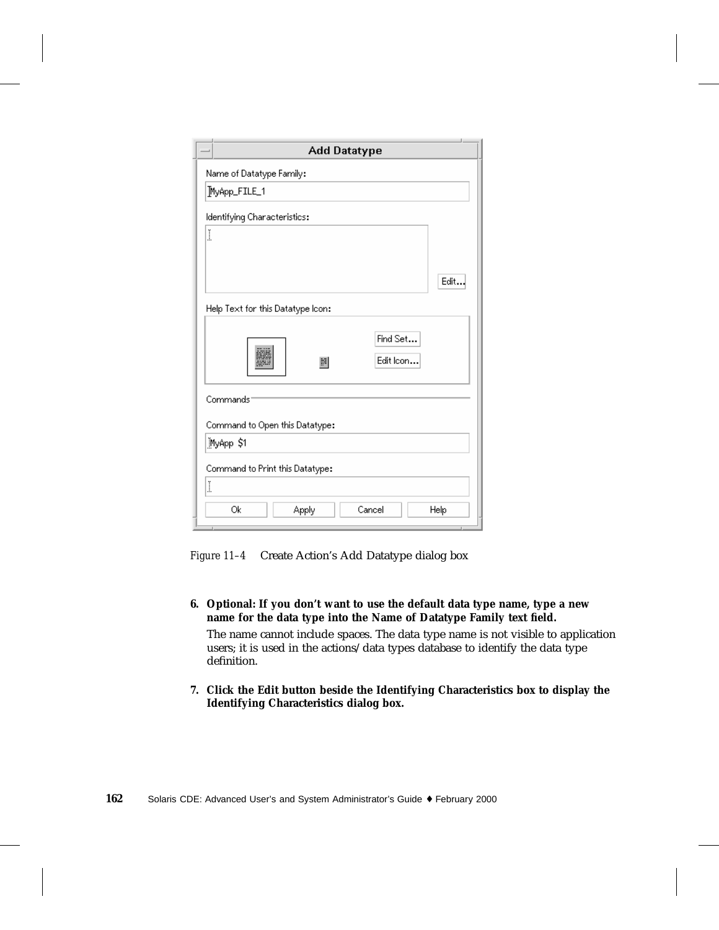| <b>Add Datatype</b>               |
|-----------------------------------|
| Name of Datatype Family:          |
| MyApp_FILE_1                      |
| Identifying Characteristics:      |
| ľ                                 |
|                                   |
| Edit                              |
|                                   |
| Help Text for this Datatype Icon: |
| Find Set<br>Edit Icon<br>誤        |
| Commands                          |
| Command to Open this Datatype:    |
| MyApp \$1                         |
| Command to Print this Datatype:   |
| ľ                                 |
| Cancel<br>Ok<br>Apply<br>Help     |

*Figure 11–4* Create Action's Add Datatype dialog box

- **6. Optional: If you don't want to use the default data type name, type a new name for the data type into the Name of Datatype Family text field.** The name cannot include spaces. The data type name is not visible to application users; it is used in the actions/data types database to identify the data type definition.
- **7. Click the Edit button beside the Identifying Characteristics box to display the Identifying Characteristics dialog box.**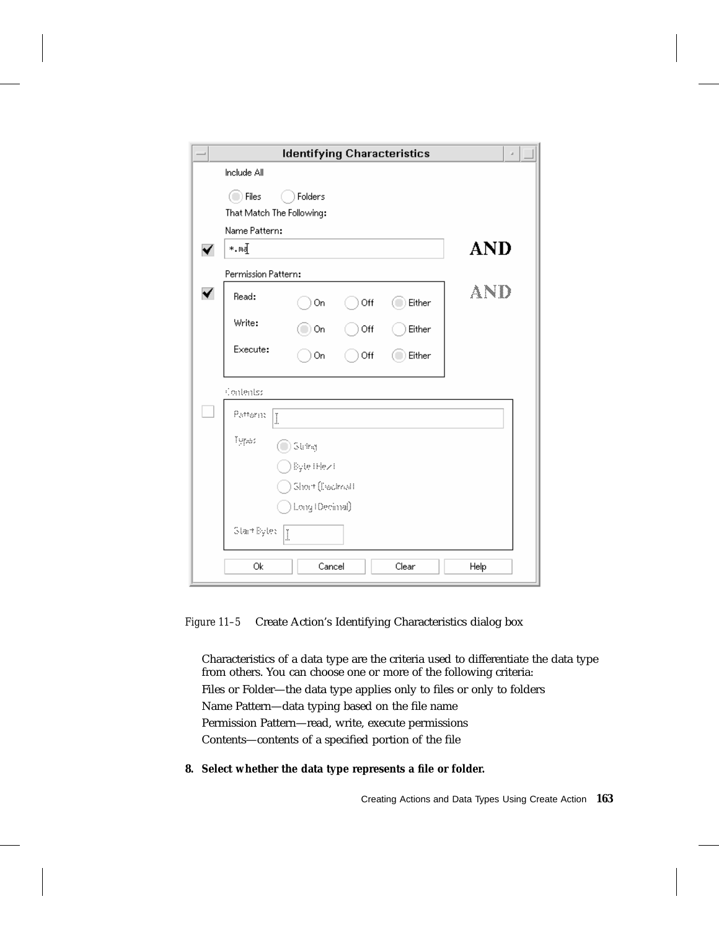|   |                     | <b>Identifying Characteristics</b> |     |        | ц    |
|---|---------------------|------------------------------------|-----|--------|------|
|   | Include All         |                                    |     |        |      |
|   | Files               | Folders                            |     |        |      |
|   |                     | That Match The Following:          |     |        |      |
|   | Name Pattern:       |                                    |     |        |      |
| ✔ | *.m√                |                                    |     |        | AND  |
|   | Permission Pattern: |                                    |     |        |      |
| ✔ | Read:               | On                                 | Off | Either | and  |
|   | Write:              | On                                 | Off | Either |      |
|   | Execute:            | On                                 | Off | Either |      |
|   | Contents:           |                                    |     |        |      |
|   | Patterin            | Ľ                                  |     |        |      |
|   | Iyper               | String                             |     |        |      |
|   |                     | Byte Hezt                          |     |        |      |
|   |                     | Short (Declined)                   |     |        |      |
|   |                     | Long (Decimal)                     |     |        |      |
|   | Start Byter         | Ĭ                                  |     |        |      |
|   | 0k                  | Cancel                             |     | Clear  | Help |

*Figure 11–5* Create Action's Identifying Characteristics dialog box

Characteristics of a data type are the criteria used to differentiate the data type from others. You can choose one or more of the following criteria: Files or Folder—the data type applies only to files or only to folders Name Pattern—data typing based on the file name Permission Pattern—read, write, execute permissions Contents—contents of a specified portion of the file

**8. Select whether the data type represents a file or folder.**

Creating Actions and Data Types Using Create Action **163**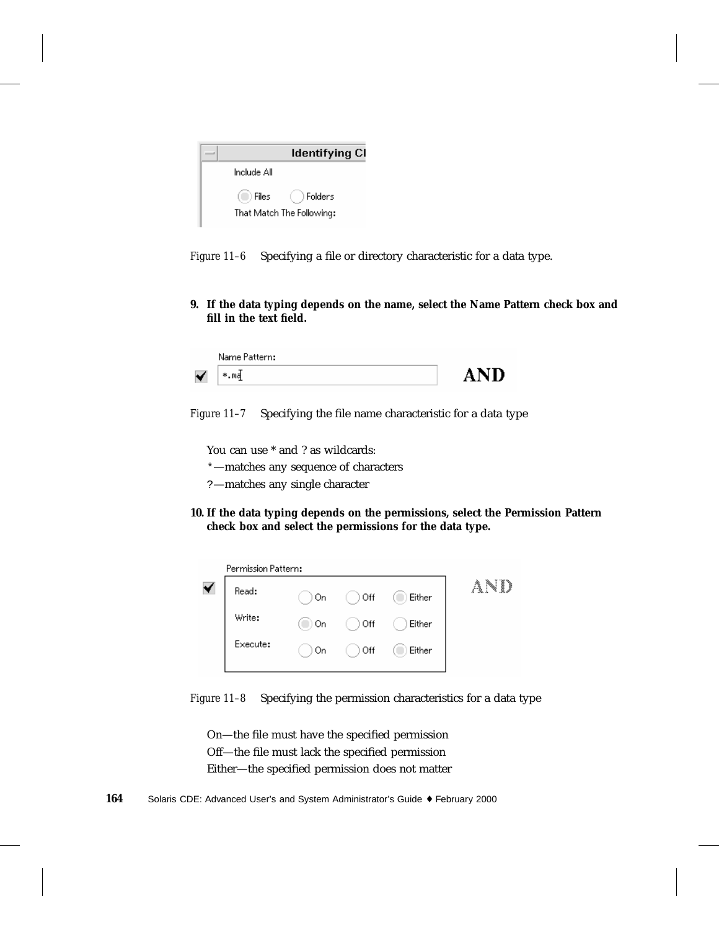|             | Identifying Cl            |
|-------------|---------------------------|
| Include All |                           |
| (□) Files → | ○ Folders                 |
|             | That Match The Following: |

*Figure 11–6* Specifying a file or directory characteristic for a data type.

**9. If the data typing depends on the name, select the Name Pattern check box and fill in the text field.**

| Name Pattern: |  |
|---------------|--|
| mđ            |  |



You can use  $*$  and ? as wildcards:

- \*—matches any sequence of characters
- ?—matches any single character
- **10. If the data typing depends on the permissions, select the Permission Pattern check box and select the permissions for the data type.**

| Permission Pattern: |    |     |        |                    |
|---------------------|----|-----|--------|--------------------|
| Read:               | On | Off | Either | ▓<br>⅋<br>Ñ.<br>A. |
| Write:              | On | Off | Either |                    |
| Execute:            | On | Off | Either |                    |
|                     |    |     |        |                    |

*Figure 11–8* Specifying the permission characteristics for a data type

On—the file must have the specified permission Off—the file must lack the specified permission Either—the specified permission does not matter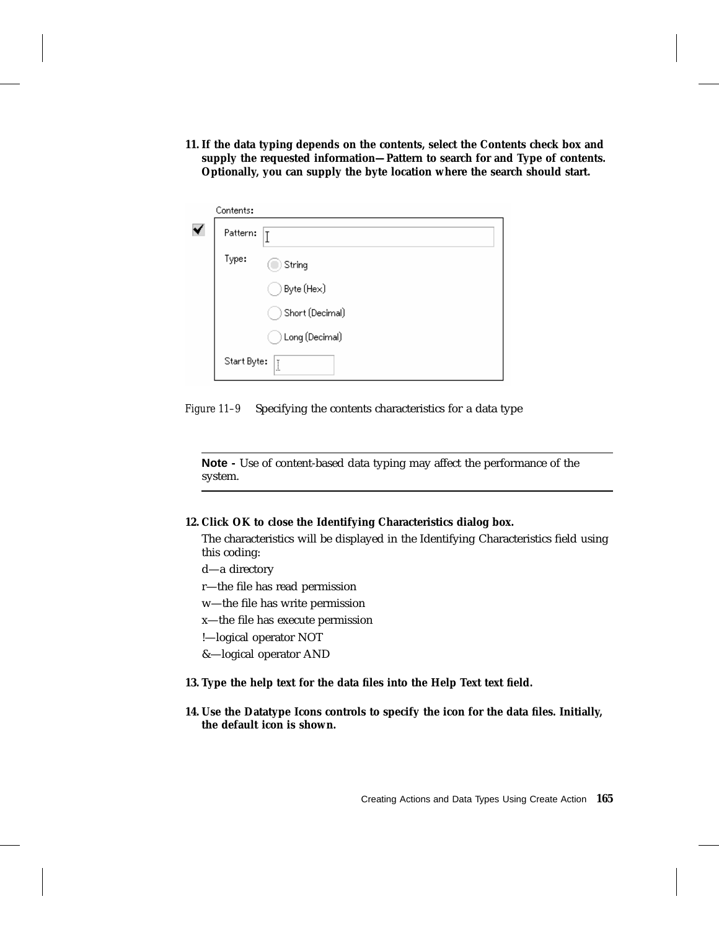**11. If the data typing depends on the contents, select the Contents check box and supply the requested information—Pattern to search for and Type of contents. Optionally, you can supply the byte location where the search should start.**

|   | Contents:   |                 |
|---|-------------|-----------------|
| V | Pattern:    | Ι               |
|   | Type:       | String          |
|   |             | Byte (Hex)      |
|   |             | Short (Decimal) |
|   |             | Long (Decimal)  |
|   | Start Byte: | ľ               |

*Figure 11–9* Specifying the contents characteristics for a data type

**Note -** Use of content-based data typing may affect the performance of the system.

#### **12. Click OK to close the Identifying Characteristics dialog box.**

The characteristics will be displayed in the Identifying Characteristics field using this coding:

- d—a directory
- r—the file has read permission
- w—the file has write permission
- x—the file has execute permission
- !—logical operator NOT
- &—logical operator AND
- **13. Type the help text for the data files into the Help Text text field.**
- **14. Use the Datatype Icons controls to specify the icon for the data files. Initially, the default icon is shown.**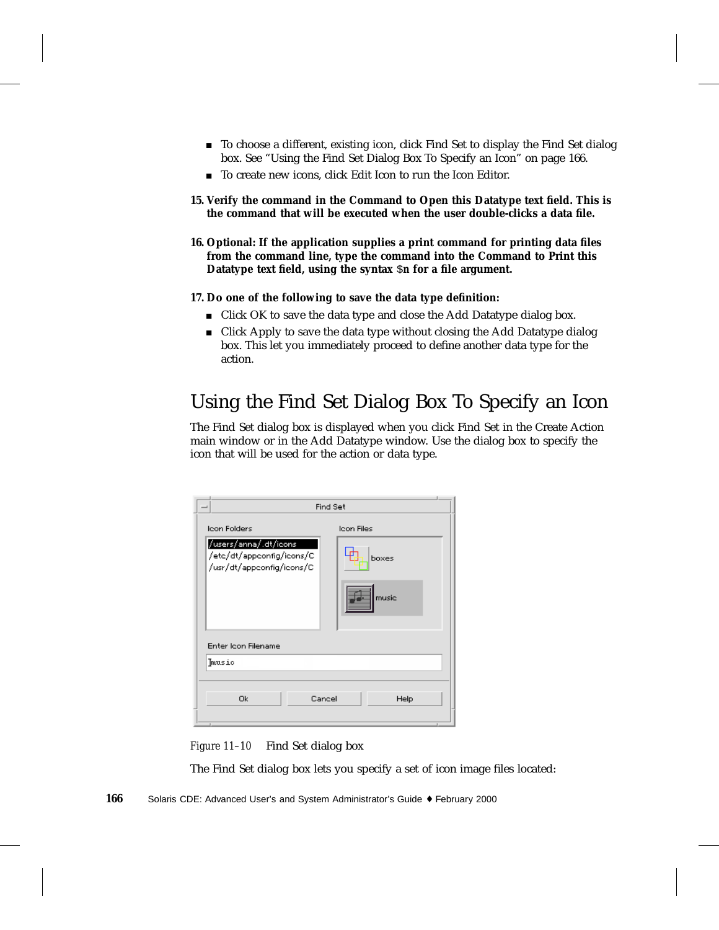- To choose a different, existing icon, click Find Set to display the Find Set dialog box. See "Using the Find Set Dialog Box To Specify an Icon" on page 166.
- To create new icons, click Edit Icon to run the Icon Editor.
- **15. Verify the command in the Command to Open this Datatype text field. This is the command that will be executed when the user double-clicks a data file.**
- **16. Optional: If the application supplies a print command for printing data files from the command line, type the command into the Command to Print this Datatype text field, using the syntax** \$*n* **for a file argument.**
- **17. Do one of the following to save the data type definition:**
	- Click OK to save the data type and close the Add Datatype dialog box.
	- Click Apply to save the data type without closing the Add Datatype dialog box. This let you immediately proceed to define another data type for the action.

### Using the Find Set Dialog Box To Specify an Icon

The Find Set dialog box is displayed when you click Find Set in the Create Action main window or in the Add Datatype window. Use the dialog box to specify the icon that will be used for the action or data type.

|                                                                                                 |        | <b>Find Set</b> |                |
|-------------------------------------------------------------------------------------------------|--------|-----------------|----------------|
| Icon Folders<br>/users/anna/.dt/icons<br>/etc/dt/appconfig/icons/C<br>/usr/dt/appconfig/icons/C |        | Icon Files      | boxes<br>music |
| Enter Icon Filename<br>Imusic                                                                   |        |                 |                |
| Ok<br>$\cdots$                                                                                  | Cancel |                 | Help           |



The Find Set dialog box lets you specify a set of icon image files located:

**166** Solaris CDE: Advanced User's and System Administrator's Guide ♦ February 2000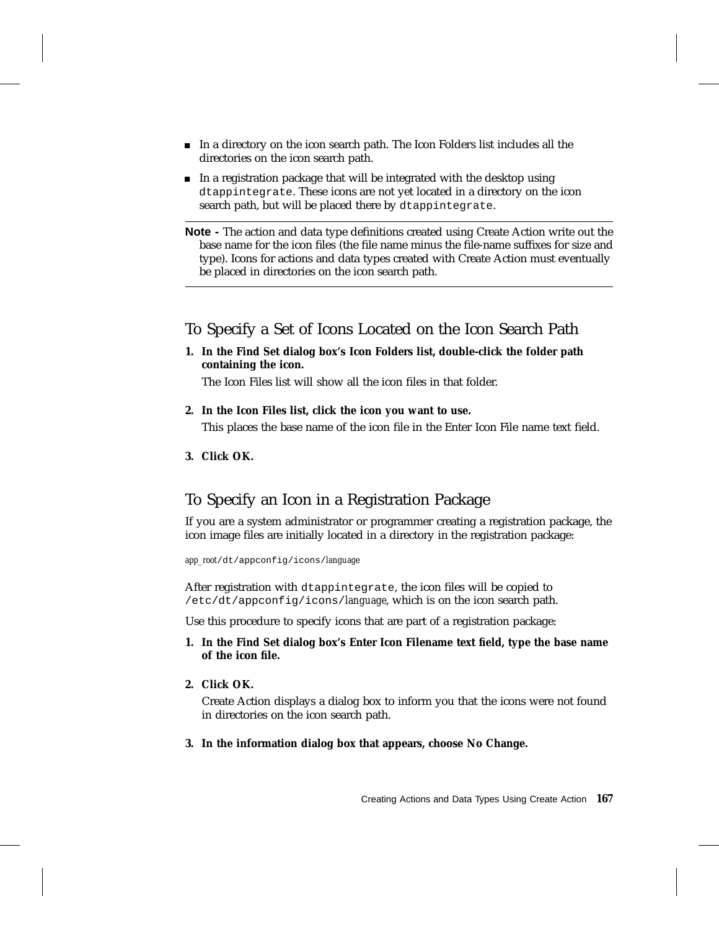- In a directory on the icon search path. The Icon Folders list includes all the directories on the icon search path.
- In a registration package that will be integrated with the desktop using dtappintegrate. These icons are not yet located in a directory on the icon search path, but will be placed there by dtappintegrate.
- **Note -** The action and data type definitions created using Create Action write out the base name for the icon files (the file name minus the file-name suffixes for size and type). Icons for actions and data types created with Create Action must eventually be placed in directories on the icon search path.

#### To Specify a Set of Icons Located on the Icon Search Path

**1. In the Find Set dialog box's Icon Folders list, double-click the folder path containing the icon.**

The Icon Files list will show all the icon files in that folder.

- **2. In the Icon Files list, click the icon you want to use.** This places the base name of the icon file in the Enter Icon File name text field.
- **3. Click OK.**

#### To Specify an Icon in a Registration Package

If you are a system administrator or programmer creating a registration package, the icon image files are initially located in a directory in the registration package:

*app\_root*/dt/appconfig/icons/*language*

After registration with dtappintegrate, the icon files will be copied to /etc/dt/appconfig/icons/*language*, which is on the icon search path.

Use this procedure to specify icons that are part of a registration package:

- **1. In the Find Set dialog box's Enter Icon Filename text field, type the base name of the icon file.**
- **2. Click OK.**

Create Action displays a dialog box to inform you that the icons were not found in directories on the icon search path.

**3. In the information dialog box that appears, choose No Change.**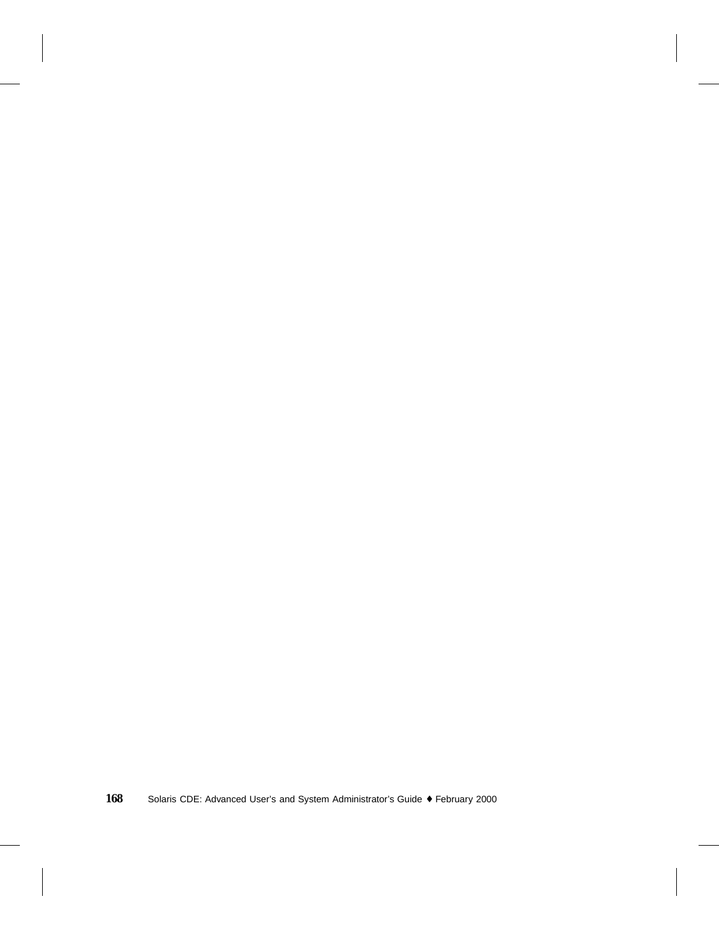Solaris CDE: Advanced User's and System Administrator's Guide ♦ February 2000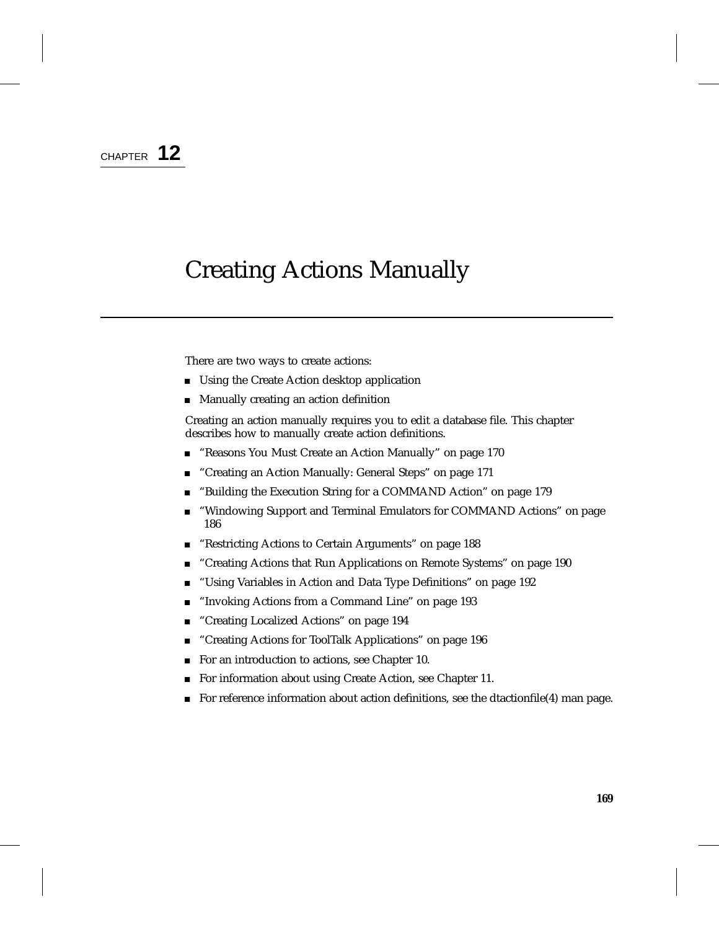### CHAPTER **12**

# Creating Actions Manually

There are two ways to create actions:

- **Using the Create Action desktop application**
- **Manually creating an action definition**

Creating an action manually requires you to edit a database file. This chapter describes how to manually create action definitions.

- "Reasons You Must Create an Action Manually" on page 170
- "Creating an Action Manually: General Steps" on page 171
- "Building the Execution String for a COMMAND Action" on page 179
- "Windowing Support and Terminal Emulators for COMMAND Actions" on page 186
- "Restricting Actions to Certain Arguments" on page 188
- "Creating Actions that Run Applications on Remote Systems" on page 190
- "Using Variables in Action and Data Type Definitions" on page 192
- "Invoking Actions from a Command Line" on page 193
- "Creating Localized Actions" on page 194
- "Creating Actions for ToolTalk Applications" on page 196
- For an introduction to actions, see Chapter 10.
- For information about using Create Action, see Chapter 11.
- For reference information about action definitions, see the dtactionfile(4) man page.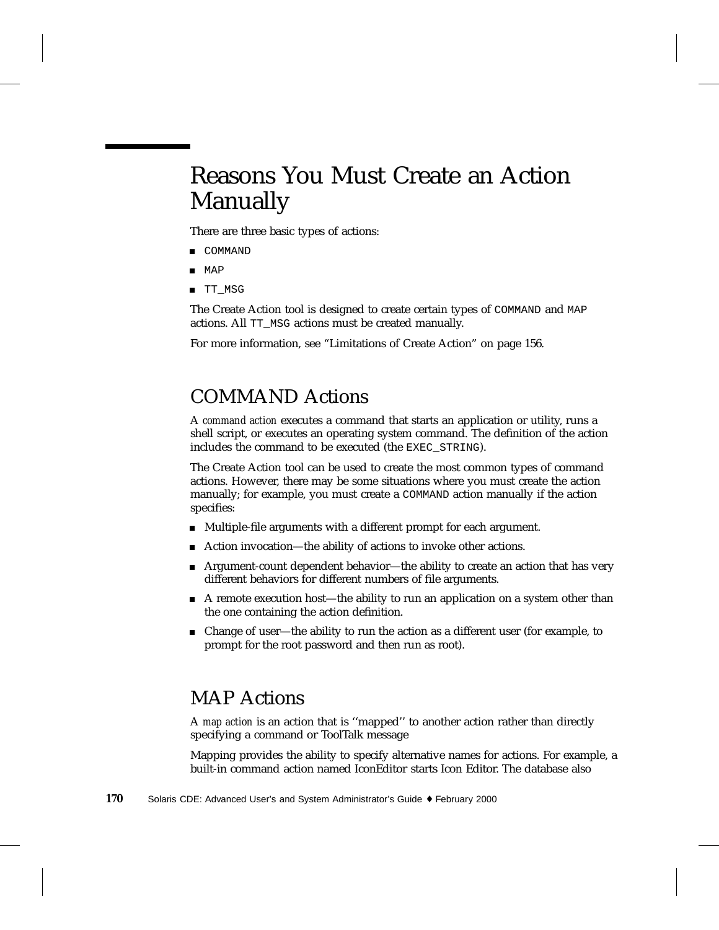# Reasons You Must Create an Action Manually

There are three basic types of actions:

- **COMMAND**
- **MAP**
- **TT\_MSG**

The Create Action tool is designed to create certain types of COMMAND and MAP actions. All TT\_MSG actions must be created manually.

For more information, see "Limitations of Create Action" on page 156.

#### COMMAND Actions

A *command action* executes a command that starts an application or utility, runs a shell script, or executes an operating system command. The definition of the action includes the command to be executed (the EXEC\_STRING).

The Create Action tool can be used to create the most common types of command actions. However, there may be some situations where you must create the action manually; for example, you must create a COMMAND action manually if the action specifies:

- Multiple-file arguments with a different prompt for each argument.
- Action invocation—the ability of actions to invoke other actions.
- Argument-count dependent behavior—the ability to create an action that has very different behaviors for different numbers of file arguments.
- A remote execution host—the ability to run an application on a system other than the one containing the action definition.
- Change of user—the ability to run the action as a different user (for example, to prompt for the root password and then run as root).

### MAP Actions

A *map action* is an action that is ''mapped'' to another action rather than directly specifying a command or ToolTalk message

Mapping provides the ability to specify alternative names for actions. For example, a built-in command action named IconEditor starts Icon Editor. The database also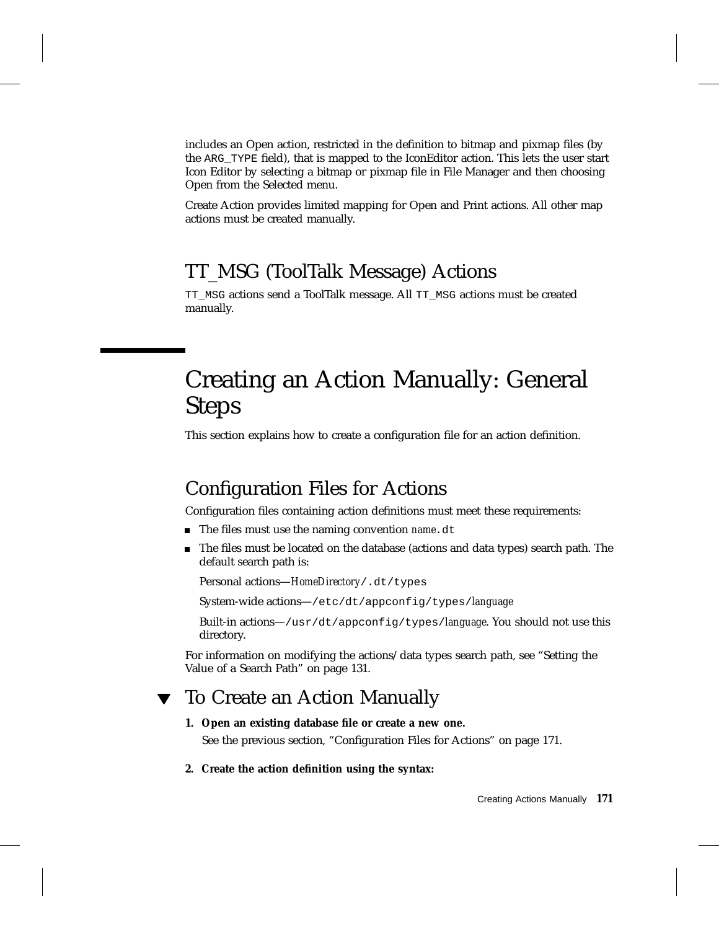includes an Open action, restricted in the definition to bitmap and pixmap files (by the ARG\_TYPE field), that is mapped to the IconEditor action. This lets the user start Icon Editor by selecting a bitmap or pixmap file in File Manager and then choosing Open from the Selected menu.

Create Action provides limited mapping for Open and Print actions. All other map actions must be created manually.

### TT\_MSG (ToolTalk Message) Actions

TT\_MSG actions send a ToolTalk message. All TT\_MSG actions must be created manually.

# Creating an Action Manually: General Steps

This section explains how to create a configuration file for an action definition.

### Configuration Files for Actions

Configuration files containing action definitions must meet these requirements:

- The files must use the naming convention *name*.dt
- The files must be located on the database (actions and data types) search path. The default search path is:

Personal actions—*HomeDirectory*/.dt/types

System-wide actions—/etc/dt/appconfig/types/*language*

Built-in actions—/usr/dt/appconfig/types/*language*. You should not use this directory.

For information on modifying the actions/data types search path, see "Setting the Value of a Search Path" on page 131.

#### To Create an Action Manually

- **1. Open an existing database file or create a new one.** See the previous section, "Configuration Files for Actions" on page 171.
- **2. Create the action definition using the syntax:**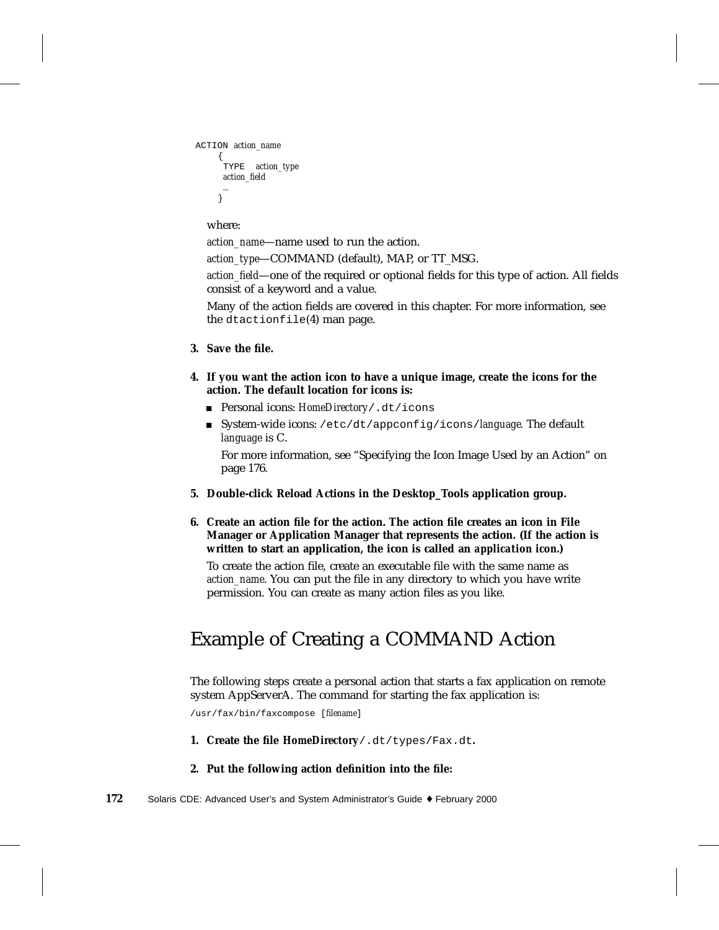```
ACTION action_name
     {
      TYPE action_type
      action_field
       …
     }
```
where:

*action\_name*—name used to run the action.

*action\_type*—COMMAND (default), MAP, or TT\_MSG.

*action\_field*—one of the required or optional fields for this type of action. All fields consist of a keyword and a value.

Many of the action fields are covered in this chapter. For more information, see the dtactionfile(4) man page.

- **3. Save the file.**
- **4. If you want the action icon to have a unique image, create the icons for the action. The default location for icons is:**
	- Personal icons: *HomeDirectory*/.dt/icons
	- System-wide icons: /etc/dt/appconfig/icons/*language.* The default *language* is C.

For more information, see "Specifying the Icon Image Used by an Action" on page 176.

- **5. Double-click Reload Actions in the Desktop\_Tools application group.**
- **6. Create an action file for the action. The action file creates an icon in File Manager or Application Manager that represents the action. (If the action is written to start an application, the icon is called an** *application icon***.)** To create the action file, create an executable file with the same name as *action\_name*. You can put the file in any directory to which you have write permission. You can create as many action files as you like.

## Example of Creating a COMMAND Action

The following steps create a personal action that starts a fax application on remote system AppServerA. The command for starting the fax application is:

/usr/fax/bin/faxcompose [*filename*]

- **1. Create the file** *HomeDirectory*/.dt/types/Fax.dt**.**
- **2. Put the following action definition into the file:**
- **172** Solaris CDE: Advanced User's and System Administrator's Guide ♦ February 2000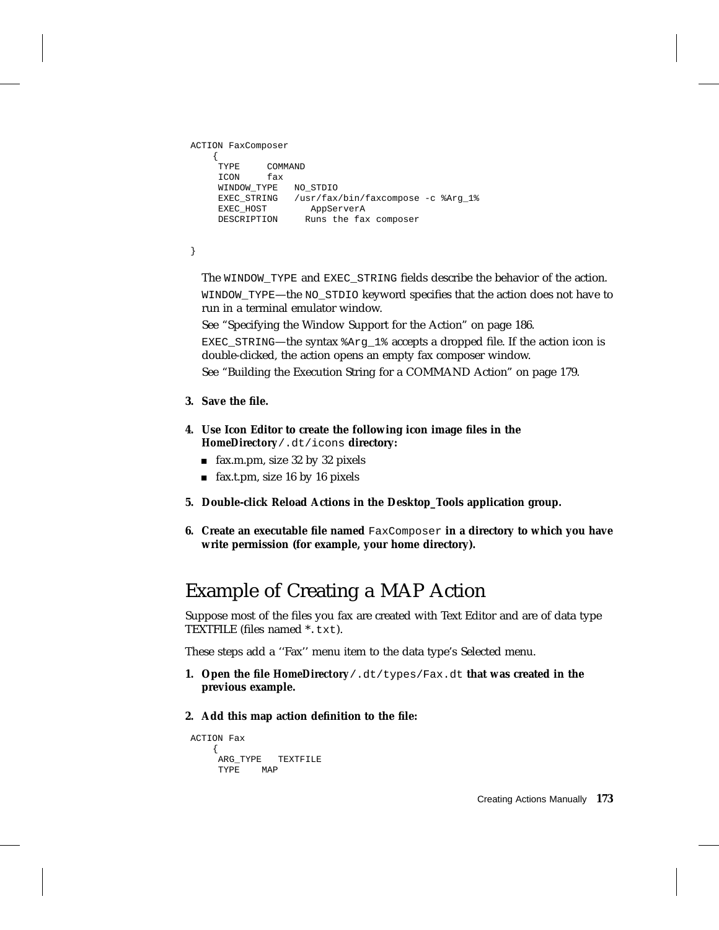```
ACTION FaxComposer
    {\{{}_{\rm{TYPE}}}COMMAND
    ICON fax
     WINDOW_TYPE NO_STDIO
     EXEC_STRING /usr/fax/bin/faxcompose -c %Arg_1%
     EXEC_HOST AppServerA
    DESCRIPTION Runs the fax composer
```

```
}
```
The WINDOW\_TYPE and EXEC\_STRING fields describe the behavior of the action. WINDOW\_TYPE—the NO\_STDIO keyword specifies that the action does not have to run in a terminal emulator window.

See "Specifying the Window Support for the Action" on page 186.

EXEC\_STRING—the syntax %Arg\_1% accepts a dropped file. If the action icon is double-clicked, the action opens an empty fax composer window. See "Building the Execution String for a COMMAND Action" on page 179.

- **3. Save the file.**
- **4. Use Icon Editor to create the following icon image files in the** *HomeDirectory*/.dt/icons **directory:**
	- fax.m.pm, size 32 by 32 pixels
	- fax.t.pm, size 16 by 16 pixels
- **5. Double-click Reload Actions in the Desktop\_Tools application group.**
- **6. Create an executable file named** FaxComposer **in a directory to which you have write permission (for example, your home directory).**

## Example of Creating a MAP Action

Suppose most of the files you fax are created with Text Editor and are of data type TEXTFILE (files named \*.txt).

These steps add a ''Fax'' menu item to the data type's Selected menu.

- **1. Open the file** *HomeDirectory*/.dt/types/Fax.dt **that was created in the previous example.**
- **2. Add this map action definition to the file:**

```
ACTION Fax
     {
      ARG_TYPE TEXTFILE<br>TYPE MAP
             MAP
```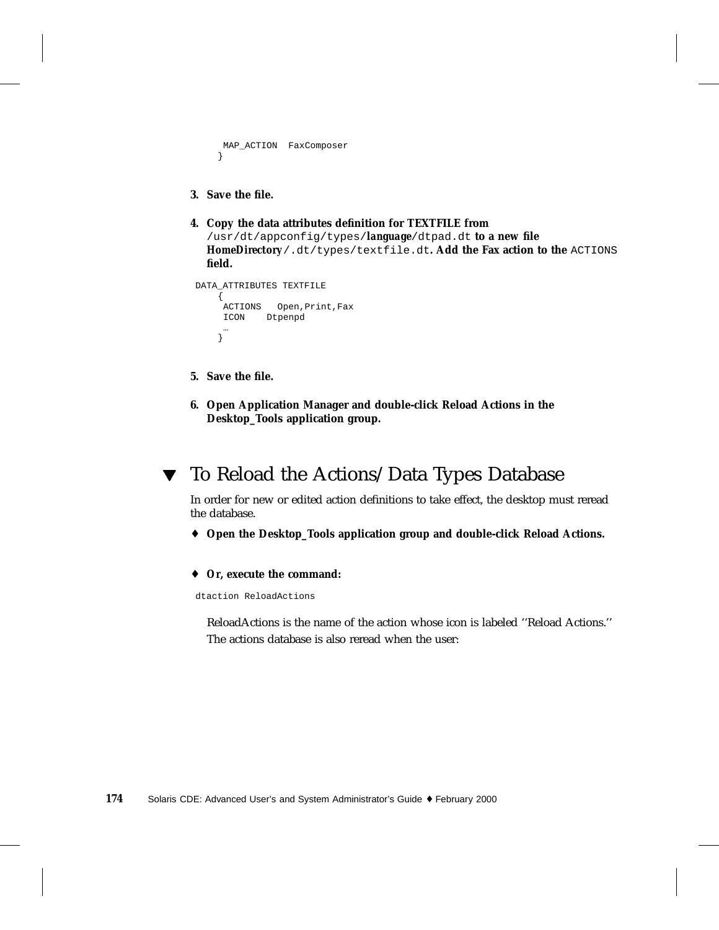```
MAP_ACTION FaxComposer
}
```
#### **3. Save the file.**

**4. Copy the data attributes definition for TEXTFILE from** /usr/dt/appconfig/types/*language*/dtpad.dt **to a new file** *HomeDirectory*/.dt/types/textfile.dt**. Add the Fax action to the** ACTIONS **field.**

```
DATA_ATTRIBUTES TEXTFILE
    {
    ACTIONS Open, Print, Fax
    ICON Dtpenpd
     …
    }
```
- **5. Save the file.**
- **6. Open Application Manager and double-click Reload Actions in the Desktop\_Tools application group.**

 $\blacktriangledown$ 

## To Reload the Actions/Data Types Database

In order for new or edited action definitions to take effect, the desktop must reread the database.

- ♦ **Open the Desktop\_Tools application group and double-click Reload Actions.**
- ♦ *Or***, execute the command:**

dtaction ReloadActions

ReloadActions is the name of the action whose icon is labeled ''Reload Actions.'' The actions database is also reread when the user: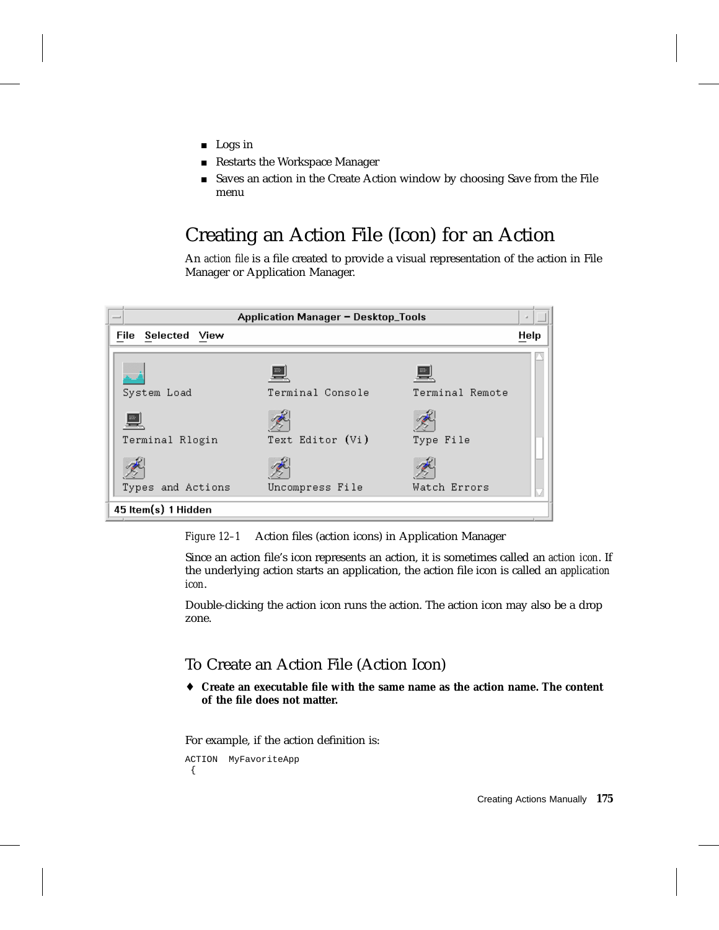- $\blacksquare$  Logs in
- Restarts the Workspace Manager
- Saves an action in the Create Action window by choosing Save from the File menu

### Creating an Action File (Icon) for an Action

An *action file* is a file created to provide a visual representation of the action in File Manager or Application Manager.



*Figure 12–1* Action files (action icons) in Application Manager

Since an action file's icon represents an action, it is sometimes called an *action icon*. If the underlying action starts an application, the action file icon is called an *application icon*.

Double-clicking the action icon runs the action. The action icon may also be a drop zone.

#### To Create an Action File (Action Icon)

♦ **Create an executable file with the same name as the action name. The content of the file does not matter.**

For example, if the action definition is:

ACTION MyFavoriteApp {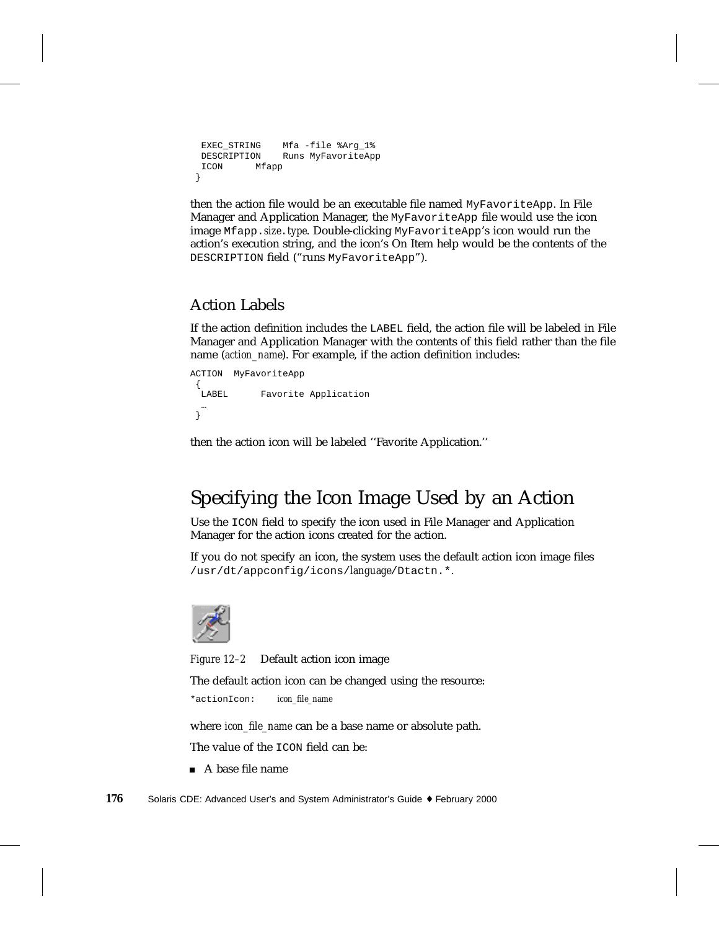```
EXEC_STRING Mfa -file %Arg_1%
DESCRIPTION Runs MyFavoriteApp
ICON Mfapp
}
```
then the action file would be an executable file named MyFavoriteApp. In File Manager and Application Manager, the MyFavoriteApp file would use the icon image Mfapp.*size*.*type*. Double-clicking MyFavoriteApp's icon would run the action's execution string, and the icon's On Item help would be the contents of the DESCRIPTION field ("runs MyFavoriteApp").

#### Action Labels

If the action definition includes the LABEL field, the action file will be labeled in File Manager and Application Manager with the contents of this field rather than the file name (*action\_name*). For example, if the action definition includes:

```
ACTION MyFavoriteApp
 {
 LABEL Favorite Application
  …
 }
```
then the action icon will be labeled ''Favorite Application.''

### Specifying the Icon Image Used by an Action

Use the ICON field to specify the icon used in File Manager and Application Manager for the action icons created for the action.

If you do not specify an icon, the system uses the default action icon image files /usr/dt/appconfig/icons/*language*/Dtactn.\*.



*Figure 12–2* Default action icon image

The default action icon can be changed using the resource:

\*actionIcon: *icon\_file\_name*

where *icon\_file\_name* can be a base name or absolute path.

The value of the ICON field can be:

A base file name

**176** Solaris CDE: Advanced User's and System Administrator's Guide ♦ February 2000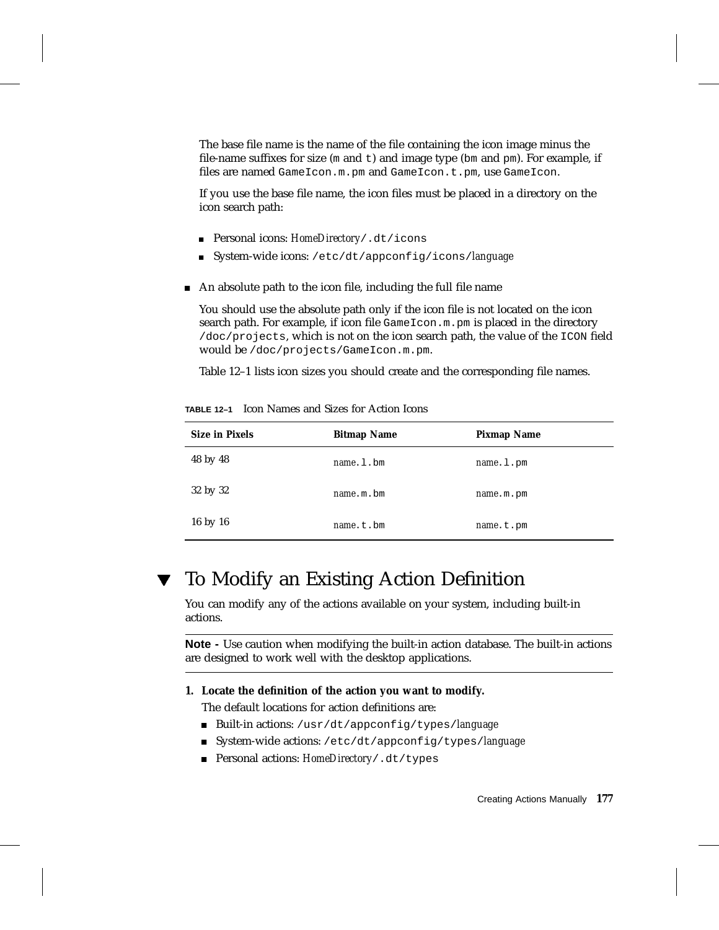The base file name is the name of the file containing the icon image minus the file-name suffixes for size ( $m$  and  $t$ ) and image type ( $bm$  and  $pm$ ). For example, if files are named GameIcon.m.pm and GameIcon.t.pm, use GameIcon.

If you use the base file name, the icon files must be placed in a directory on the icon search path:

- Personal icons: *HomeDirectory*/.dt/icons
- System-wide icons: /etc/dt/appconfig/icons/*language*
- An absolute path to the icon file, including the full file name

You should use the absolute path only if the icon file is not located on the icon search path. For example, if icon file GameIcon.m.pm is placed in the directory /doc/projects, which is not on the icon search path, the value of the ICON field would be /doc/projects/GameIcon.m.pm.

Table 12–1 lists icon sizes you should create and the corresponding file names.

| Size in Pixels      | <b>Bitmap Name</b> | <b>Pixmap Name</b> |
|---------------------|--------------------|--------------------|
| 48 by 48            | name.1.bm          | name.1.pm          |
| 32 by 32            | name.m.bm          | name.m.pm          |
| $16 \text{ by } 16$ | name.t.bm          | name.t.pm          |

**TABLE 12–1** Icon Names and Sizes for Action Icons

### To Modify an Existing Action Definition

You can modify any of the actions available on your system, including built-in actions.

**Note -** Use caution when modifying the built-in action database. The built-in actions are designed to work well with the desktop applications.

#### **1. Locate the definition of the action you want to modify.**

The default locations for action definitions are:

- Built-in actions: /usr/dt/appconfig/types/*language*
- System-wide actions: /etc/dt/appconfig/types/*language*
- Personal actions: *HomeDirectory* / .dt/types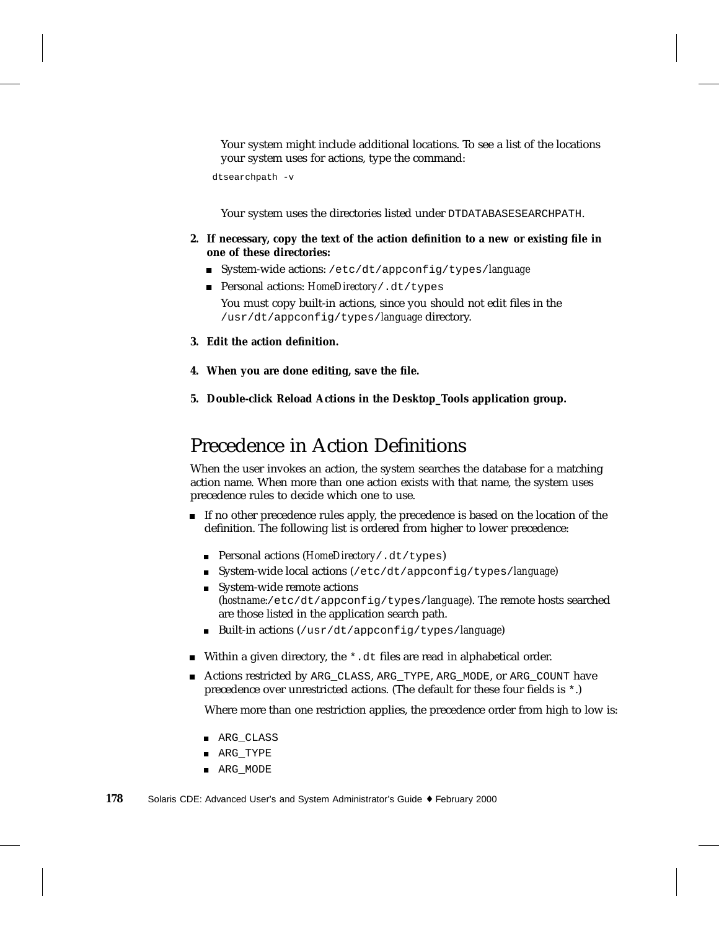Your system might include additional locations. To see a list of the locations your system uses for actions, type the command:

dtsearchpath -v

Your system uses the directories listed under DTDATABASESEARCHPATH.

- **2. If necessary, copy the text of the action definition to a new or existing file in one of these directories:**
	- System-wide actions: /etc/dt/appconfig/types/*language*
	- Personal actions: *HomeDirectory*/.dt/types You must copy built-in actions, since you should not edit files in the /usr/dt/appconfig/types/*language* directory.
- **3. Edit the action definition.**
- **4. When you are done editing, save the file.**
- **5. Double-click Reload Actions in the Desktop\_Tools application group.**

### Precedence in Action Definitions

When the user invokes an action, the system searches the database for a matching action name. When more than one action exists with that name, the system uses precedence rules to decide which one to use.

- If no other precedence rules apply, the precedence is based on the location of the definition. The following list is ordered from higher to lower precedence:
	- Personal actions (*HomeDirectory*/.dt/types)
	- System-wide local actions (/etc/dt/appconfig/types/*language*)
	- System-wide remote actions (*hostname*:/etc/dt/appconfig/types/*language*). The remote hosts searched are those listed in the application search path.
	- Built-in actions (/usr/dt/appconfig/types/*language*)
- Within a given directory, the  $*$  . dt files are read in alphabetical order.
- Actions restricted by ARG\_CLASS, ARG\_TYPE, ARG\_MODE, or ARG\_COUNT have precedence over unrestricted actions. (The default for these four fields is \*.)

Where more than one restriction applies, the precedence order from high to low is:

- ARG\_CLASS
- **ARG\_TYPE**
- **ARG\_MODE**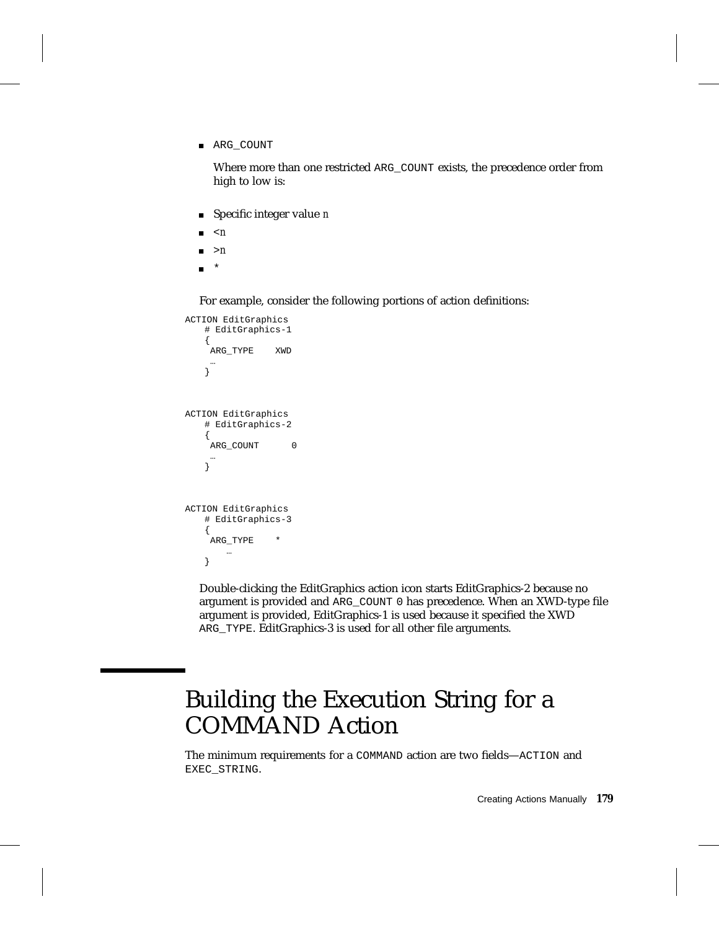**ARG\_COUNT** 

Where more than one restricted ARG\_COUNT exists, the precedence order from high to low is:

- Specific integer value *n*
- <*n*
- >*n*
- \*

For example, consider the following portions of action definitions:

```
ACTION EditGraphics
   # EditGraphics-1
   {
    ARG_TYPE XWD
     …
   }
ACTION EditGraphics
   # EditGraphics-2
   {
    ARG_COUNT 0
     …
   }
ACTION EditGraphics
   # EditGraphics-3
   {
     ARG_TYPE *
       …
   }
```
Double-clicking the EditGraphics action icon starts EditGraphics-2 because no argument is provided and ARG\_COUNT 0 has precedence. When an XWD-type file argument is provided, EditGraphics-1 is used because it specified the XWD ARG\_TYPE. EditGraphics-3 is used for all other file arguments.

# Building the Execution String for a COMMAND Action

The minimum requirements for a COMMAND action are two fields—ACTION and EXEC\_STRING.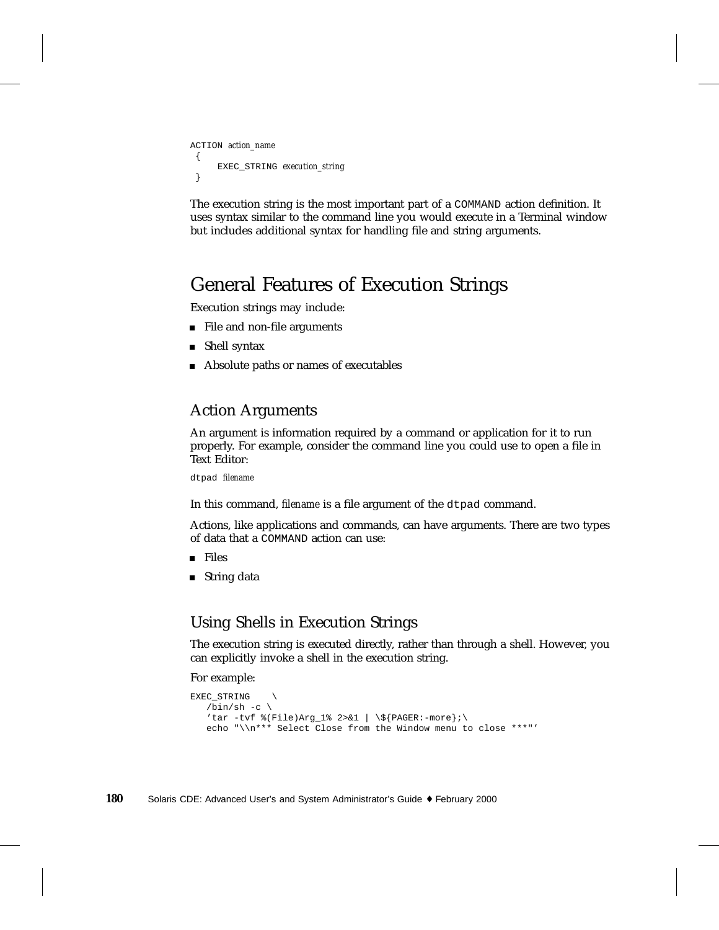```
ACTION action_name
 {
      EXEC_STRING execution_string
 }
```
The execution string is the most important part of a COMMAND action definition. It uses syntax similar to the command line you would execute in a Terminal window but includes additional syntax for handling file and string arguments.

#### General Features of Execution Strings

Execution strings may include:

- File and non-file arguments
- **Shell syntax**
- Absolute paths or names of executables

#### Action Arguments

An argument is information required by a command or application for it to run properly. For example, consider the command line you could use to open a file in Text Editor:

dtpad *filename*

In this command, *filename* is a file argument of the dtpad command.

Actions, like applications and commands, can have arguments. There are two types of data that a COMMAND action can use:

- **Files**
- String data

#### Using Shells in Execution Strings

The execution string is executed directly, rather than through a shell. However, you can explicitly invoke a shell in the execution string.

For example:

```
EXEC\_STRING \
   /bin/sh -c \langle'tar -tvf %(File)Arg_1% 2>&1 | \${PAGER:-more};
   echo "\\n*** Select Close from the Window menu to close ***"'
```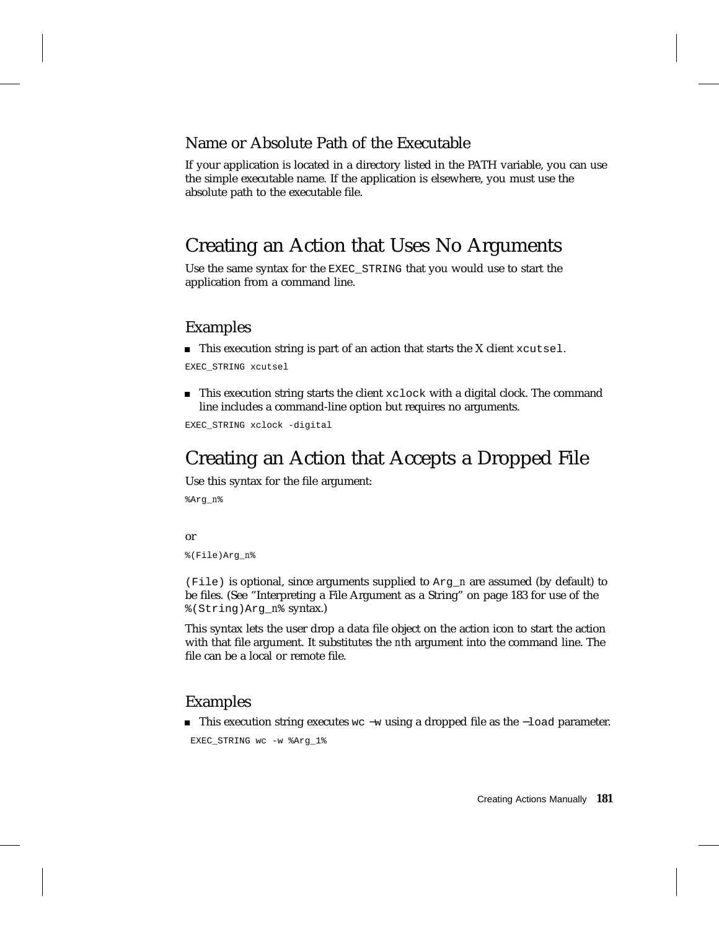#### Name or Absolute Path of the Executable

If your application is located in a directory listed in the PATH variable, you can use the simple executable name. If the application is elsewhere, you must use the absolute path to the executable file.

### Creating an Action that Uses No Arguments

Use the same syntax for the EXEC\_STRING that you would use to start the application from a command line.

#### Examples

This execution string is part of an action that starts the X client xcutsel.

EXEC\_STRING xcutsel

 $\blacksquare$  This execution string starts the client  $x$ clock with a digital clock. The command line includes a command-line option but requires no arguments.

EXEC\_STRING xclock -digital

### Creating an Action that Accepts a Dropped File

Use this syntax for the file argument:

%Arg\_*n*%

or

%(File)Arg\_*n*%

(File) is optional, since arguments supplied to Arg\_*n* are assumed (by default) to be files. (See "Interpreting a File Argument as a String" on page 183 for use of the %(String)Arg\_*n*% syntax.)

This syntax lets the user drop a data file object on the action icon to start the action with that file argument. It substitutes the *n*th argument into the command line. The file can be a local or remote file.

#### Examples

■ This execution string executes wc  $-w$  using a dropped file as the  $-$ load parameter.

EXEC\_STRING wc -w %Arg\_1%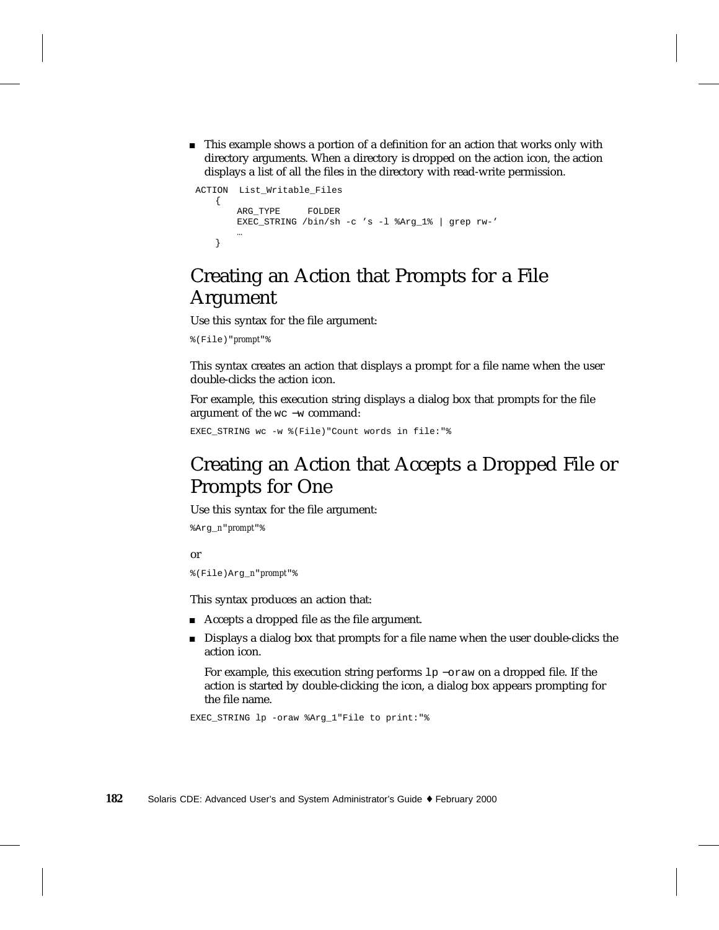This example shows a portion of a definition for an action that works only with directory arguments. When a directory is dropped on the action icon, the action displays a list of all the files in the directory with read-write permission.

```
ACTION List_Writable_Files
   {
       ARG_TYPE FOLDER
       EXEC_STRING /bin/sh -c 's -l %Arg_1% | grep rw-'
       …
   }
```
## Creating an Action that Prompts for a File Argument

Use this syntax for the file argument:

```
%(File)"prompt"%
```
This syntax creates an action that displays a prompt for a file name when the user double-clicks the action icon.

For example, this execution string displays a dialog box that prompts for the file argument of the wc −w command:

```
EXEC_STRING wc -w %(File)"Count words in file:"%
```
### Creating an Action that Accepts a Dropped File or Prompts for One

Use this syntax for the file argument:

```
%Arg_n"prompt"%
```
or

```
%(File)Arg_n"prompt"%
```
This syntax produces an action that:

- Accepts a dropped file as the file argument.
- Displays a dialog box that prompts for a file name when the user double-clicks the action icon.

For example, this execution string performs lp −oraw on a dropped file. If the action is started by double-clicking the icon, a dialog box appears prompting for the file name.

EXEC\_STRING lp -oraw %Arg\_1"File to print:"%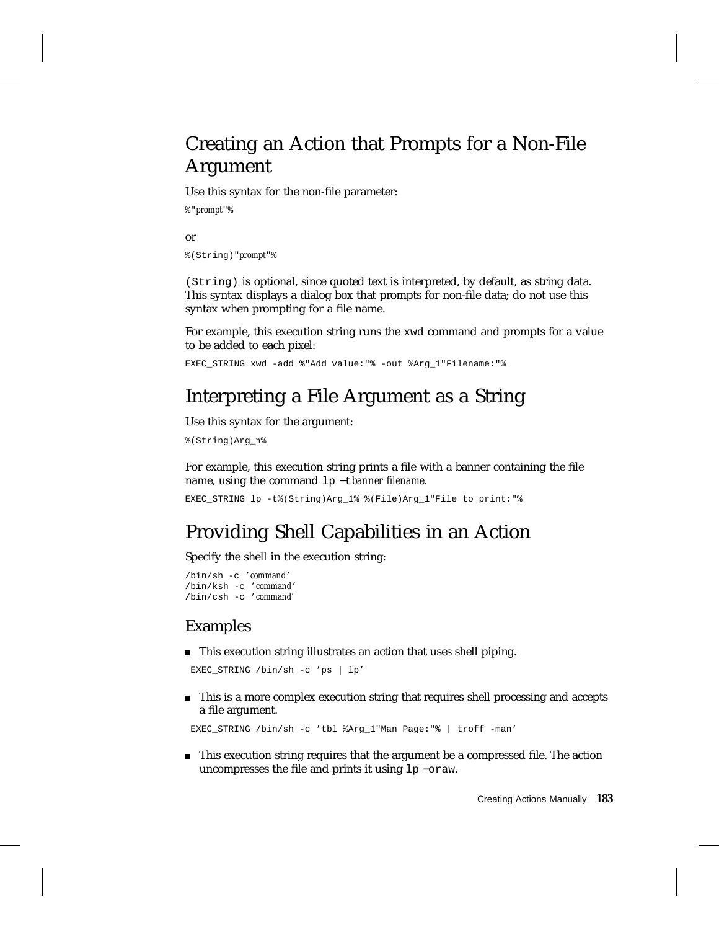## Creating an Action that Prompts for a Non-File Argument

Use this syntax for the non-file parameter:

%"*prompt*"%

or

%(String)"*prompt*"%

(String) is optional, since quoted text is interpreted, by default, as string data. This syntax displays a dialog box that prompts for non-file data; do not use this syntax when prompting for a file name.

For example, this execution string runs the xwd command and prompts for a value to be added to each pixel:

EXEC\_STRING xwd -add %"Add value:"% -out %Arg\_1"Filename:"%

### Interpreting a File Argument as a String

Use this syntax for the argument:

```
%(String)Arg_n%
```
For example, this execution string prints a file with a banner containing the file name, using the command lp −t*banner filename.*

```
EXEC_STRING lp -t%(String)Arg_1% %(File)Arg_1"File to print:"%
```
### Providing Shell Capabilities in an Action

Specify the shell in the execution string:

/bin/sh -c '*command*' /bin/ksh -c '*command*' /bin/csh -c '*command'*

#### Examples

This execution string illustrates an action that uses shell piping.

```
EXEC_STRING /bin/sh -c 'ps | lp'
```
 This is a more complex execution string that requires shell processing and accepts a file argument.

EXEC\_STRING /bin/sh -c 'tbl %Arg\_1"Man Page:"% | troff -man'

 This execution string requires that the argument be a compressed file. The action uncompresses the file and prints it using lp −oraw.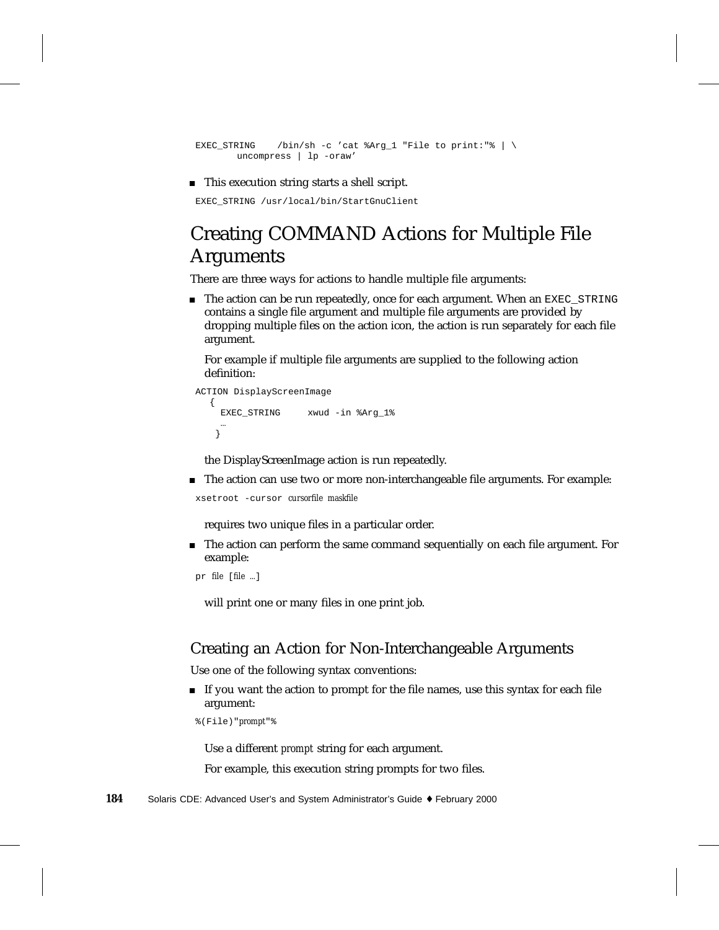EXEC\_STRING /bin/sh -c 'cat  $\arg_1$  "File to print:"  $\{\ \ \ \ \$ uncompress | lp -oraw'

■ This execution string starts a shell script.

```
EXEC_STRING /usr/local/bin/StartGnuClient
```
## Creating COMMAND Actions for Multiple File Arguments

There are three ways for actions to handle multiple file arguments:

■ The action can be run repeatedly, once for each argument. When an EXEC\_STRING contains a single file argument and multiple file arguments are provided by dropping multiple files on the action icon, the action is run separately for each file argument.

For example if multiple file arguments are supplied to the following action definition:

```
ACTION DisplayScreenImage
```
{ EXEC\_STRING xwud -in %Arg\_1% … }

the DisplayScreenImage action is run repeatedly.

 The action can use two or more non-interchangeable file arguments. For example: xsetroot -cursor *cursorfile maskfile*

requires two unique files in a particular order.

The action can perform the same command sequentially on each file argument. For example:

```
pr file [file …]
```
will print one or many files in one print job.

#### Creating an Action for Non-Interchangeable Arguments

Use one of the following syntax conventions:

If you want the action to prompt for the file names, use this syntax for each file argument:

```
%(File)"prompt"%
```
Use a different *prompt* string for each argument.

For example, this execution string prompts for two files.

**184** Solaris CDE: Advanced User's and System Administrator's Guide ♦ February 2000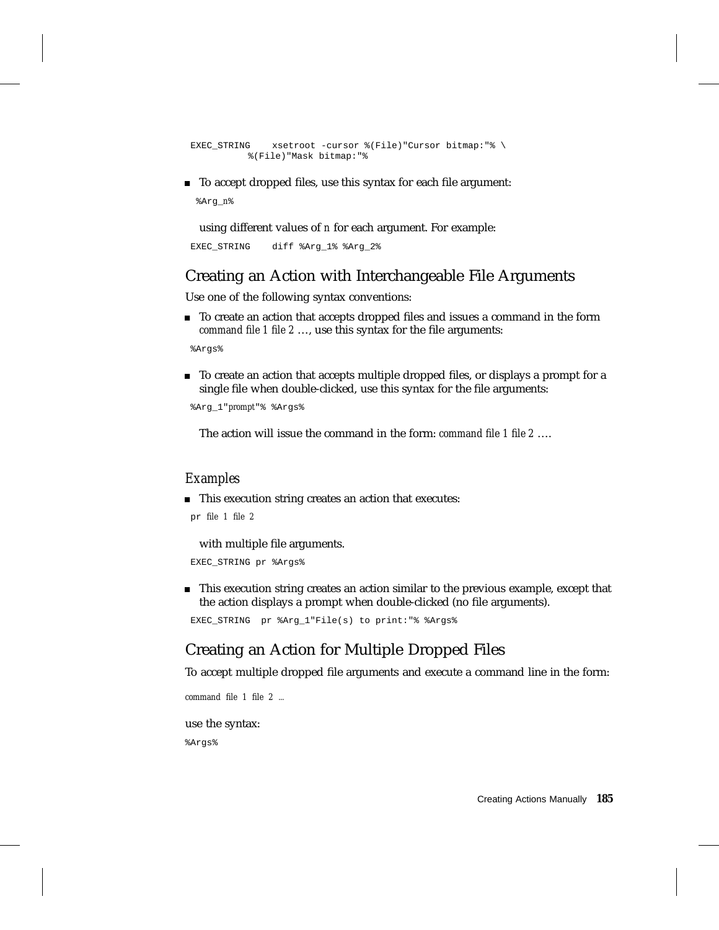```
EXEC_STRING xsetroot -cursor %(File)"Cursor bitmap:"% \
          %(File)"Mask bitmap:"%
```
■ To accept dropped files, use this syntax for each file argument: %Arg\_*n*%

using different values of *n* for each argument. For example:

EXEC\_STRING diff %Arg\_1% %Arg\_2%

#### Creating an Action with Interchangeable File Arguments

Use one of the following syntax conventions:

 To create an action that accepts dropped files and issues a command in the form *command file 1 file 2* …, use this syntax for the file arguments:

%Args%

 To create an action that accepts multiple dropped files, or displays a prompt for a single file when double-clicked, use this syntax for the file arguments:

```
%Arg_1"prompt"% %Args%
```
The action will issue the command in the form: *command file 1 file 2* ….

#### *Examples*

■ This execution string creates an action that executes: pr *file 1 file 2*

with multiple file arguments.

EXEC\_STRING pr %Args%

 This execution string creates an action similar to the previous example, except that the action displays a prompt when double-clicked (no file arguments).

```
EXEC_STRING pr %Arg_1"File(s) to print:"% %Args%
```
#### Creating an Action for Multiple Dropped Files

To accept multiple dropped file arguments and execute a command line in the form:

```
command file 1 file 2 …
use the syntax:
%Args%
```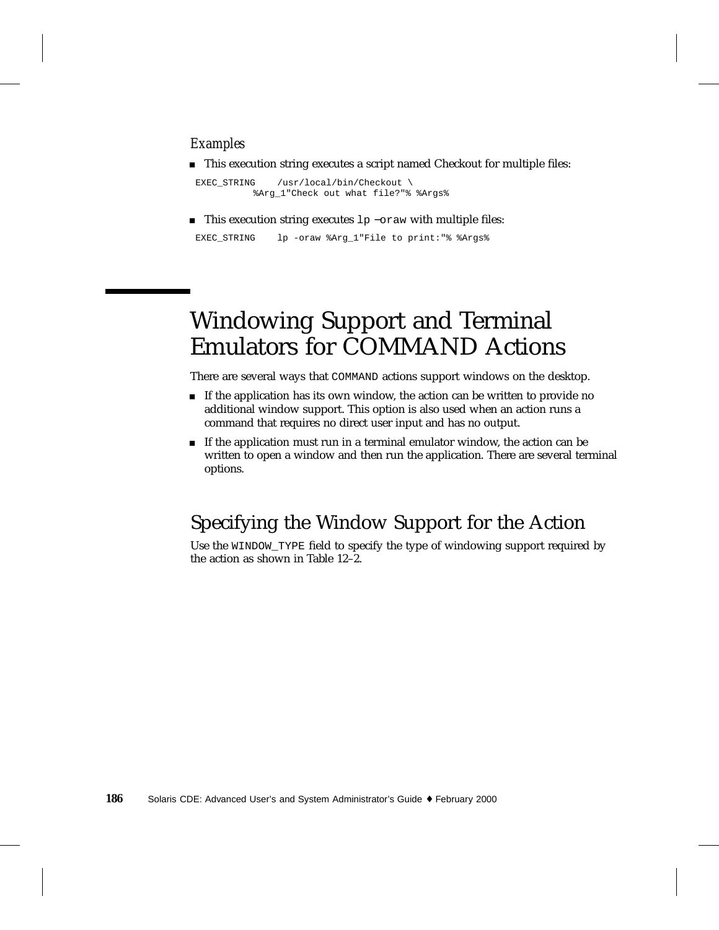#### *Examples*

This execution string executes a script named Checkout for multiple files:

EXEC\_STRING /usr/local/bin/Checkout \ %Arg\_1"Check out what file?"% %Args%

■ This execution string executes 1p –oraw with multiple files:

EXEC\_STRING lp -oraw %Arg\_1"File to print:"% %Args%

# Windowing Support and Terminal Emulators for COMMAND Actions

There are several ways that COMMAND actions support windows on the desktop.

- If the application has its own window, the action can be written to provide no additional window support. This option is also used when an action runs a command that requires no direct user input and has no output.
- If the application must run in a terminal emulator window, the action can be written to open a window and then run the application. There are several terminal options.

### Specifying the Window Support for the Action

Use the WINDOW\_TYPE field to specify the type of windowing support required by the action as shown in Table 12–2.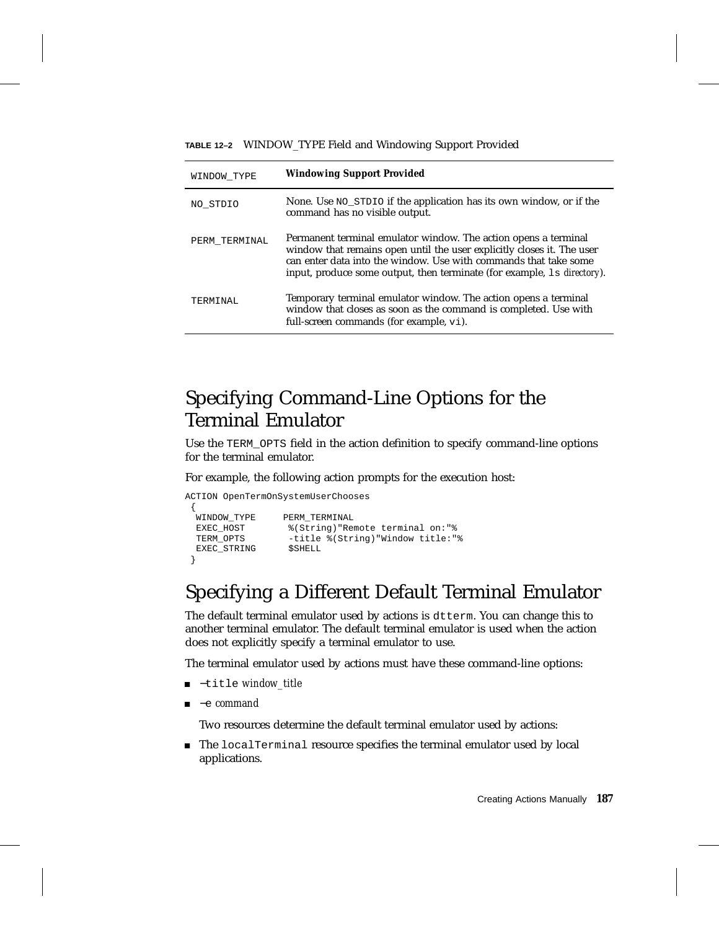#### **TABLE 12–2** WINDOW\_TYPE Field and Windowing Support Provided

| WINDOW TYPE   | <b>Windowing Support Provided</b>                                                                                                                                                                                                                                                                |
|---------------|--------------------------------------------------------------------------------------------------------------------------------------------------------------------------------------------------------------------------------------------------------------------------------------------------|
| NO STDIO      | None. Use NO_STDIO if the application has its own window, or if the<br>command has no visible output.                                                                                                                                                                                            |
| PERM TERMINAL | Permanent terminal emulator window. The action opens a terminal<br>window that remains open until the user explicitly closes it. The user<br>can enter data into the window. Use with commands that take some<br>input, produce some output, then terminate (for example, 1s <i>directory</i> ). |
| TERMINAL      | Temporary terminal emulator window. The action opens a terminal<br>window that closes as soon as the command is completed. Use with<br>full-screen commands (for example, $vi$ ).                                                                                                                |

## Specifying Command-Line Options for the Terminal Emulator

Use the TERM\_OPTS field in the action definition to specify command-line options for the terminal emulator.

For example, the following action prompts for the execution host:

ACTION OpenTermOnSystemUserChooses

```
{<br>WINDOW_TYPE
WINDOW_TYPE PERM_TERMINAL<br>EXEC_HOST %(String)"Rem
                   %(String)"Remote terminal on:"%
TERM_OPTS -title %(String)"Window title:"%<br>EXEC_STRING $SHELL
 EXEC_STRING
}
```
## Specifying a Different Default Terminal Emulator

The default terminal emulator used by actions is dtterm. You can change this to another terminal emulator. The default terminal emulator is used when the action does not explicitly specify a terminal emulator to use.

The terminal emulator used by actions must have these command-line options:

- −title *window\_title*
- −e *command*

Two resources determine the default terminal emulator used by actions:

 The localTerminal resource specifies the terminal emulator used by local applications.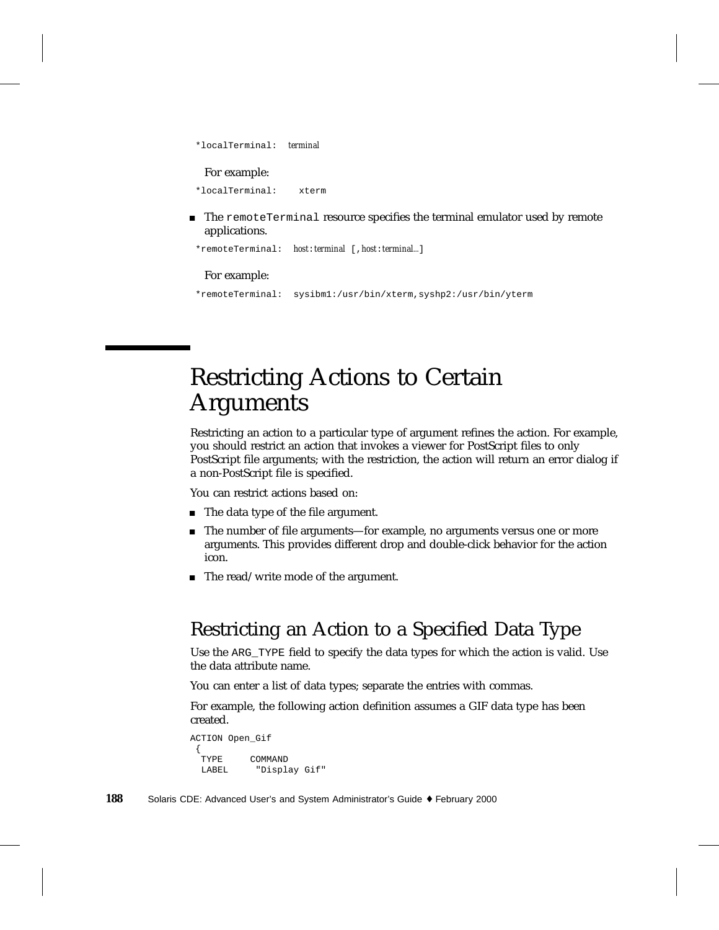```
*localTerminal: terminal
```
#### For example:

\*localTerminal: xterm

The remoteTerminal resource specifies the terminal emulator used by remote applications.

```
*remoteTerminal: host:terminal [,host:terminal…]
```
#### For example:

\*remoteTerminal: sysibm1:/usr/bin/xterm,syshp2:/usr/bin/yterm

# Restricting Actions to Certain Arguments

Restricting an action to a particular type of argument refines the action. For example, you should restrict an action that invokes a viewer for PostScript files to only PostScript file arguments; with the restriction, the action will return an error dialog if a non-PostScript file is specified.

You can restrict actions based on:

- The data type of the file argument.
- The number of file arguments—for example, no arguments versus one or more arguments. This provides different drop and double-click behavior for the action icon.
- The read/write mode of the argument.

### Restricting an Action to a Specified Data Type

Use the ARG\_TYPE field to specify the data types for which the action is valid. Use the data attribute name.

You can enter a list of data types; separate the entries with commas.

For example, the following action definition assumes a GIF data type has been created.

```
ACTION Open_Gif
 {
  TYPE COMMAND<br>LABEL "Displa
               "Display Gif"
```
**188** Solaris CDE: Advanced User's and System Administrator's Guide ♦ February 2000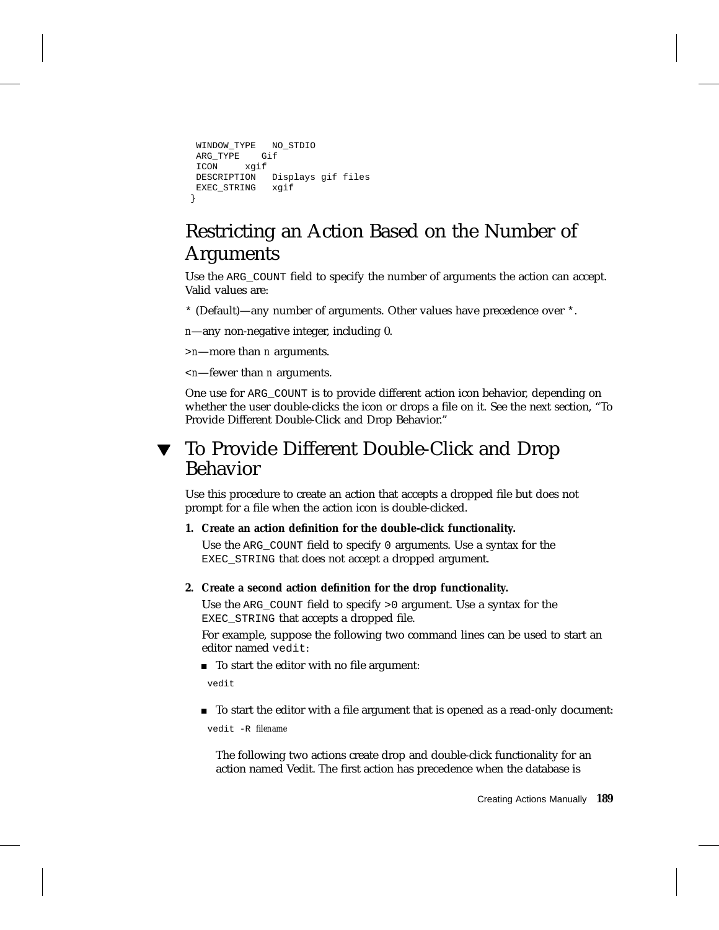```
WINDOW_TYPE NO_STDIO
ARG_TYPE Gif
ICON xgif
DESCRIPTION Displays gif files
EXEC_STRING xgif
}
```
## Restricting an Action Based on the Number of Arguments

Use the ARG\_COUNT field to specify the number of arguments the action can accept. Valid values are:

\* (Default)—any number of arguments. Other values have precedence over \*.

*n*—any non-negative integer, including 0.

>*n*—more than *n* arguments.

<*n*—fewer than *n* arguments.

One use for ARG\_COUNT is to provide different action icon behavior, depending on whether the user double-clicks the icon or drops a file on it. See the next section, "To Provide Different Double-Click and Drop Behavior."

### To Provide Different Double-Click and Drop Behavior

Use this procedure to create an action that accepts a dropped file but does not prompt for a file when the action icon is double-clicked.

#### **1. Create an action definition for the double-click functionality.**

Use the ARG\_COUNT field to specify 0 arguments. Use a syntax for the EXEC\_STRING that does not accept a dropped argument.

#### **2. Create a second action definition for the drop functionality.**

Use the ARG\_COUNT field to specify >0 argument. Use a syntax for the EXEC\_STRING that accepts a dropped file.

For example, suppose the following two command lines can be used to start an editor named vedit:

■ To start the editor with no file argument:

vedit

To start the editor with a file argument that is opened as a read-only document:

vedit -R *filename*

The following two actions create drop and double-click functionality for an action named Vedit. The first action has precedence when the database is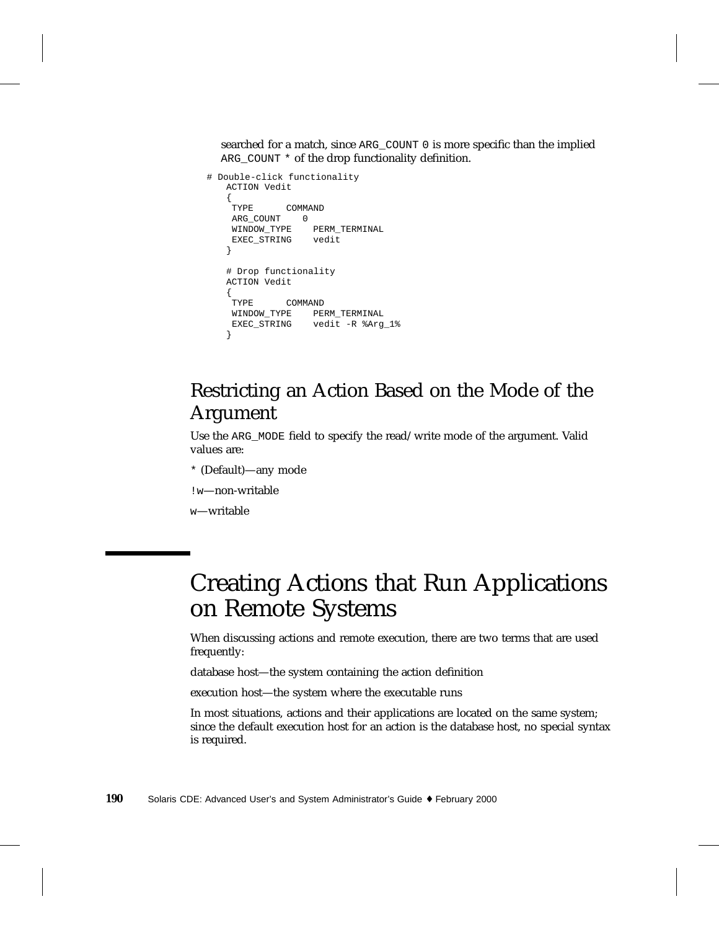searched for a match, since ARG\_COUNT 0 is more specific than the implied ARG\_COUNT \* of the drop functionality definition.

```
# Double-click functionality
   ACTION Vedit
   {<br>TYPE
             COMMAND
    ARG_COUNT 0<br>WINDOW_TYPE
                  PERM_TERMINAL<br>vedit
    EXEC_STRING
   }
   # Drop functionality
   ACTION Vedit
   {
    TYPE COMMAND
    WINDOW_TYPE PERM_TERMINAL
    EXEC_STRING vedit -R %Arg_1%
    }
```
## Restricting an Action Based on the Mode of the Argument

Use the ARG\_MODE field to specify the read/write mode of the argument. Valid values are:

\* (Default)—any mode

!w—non-writable

w—writable

# Creating Actions that Run Applications on Remote Systems

When discussing actions and remote execution, there are two terms that are used frequently:

database host—the system containing the action definition

execution host—the system where the executable runs

In most situations, actions and their applications are located on the same system; since the default execution host for an action is the database host, no special syntax is required.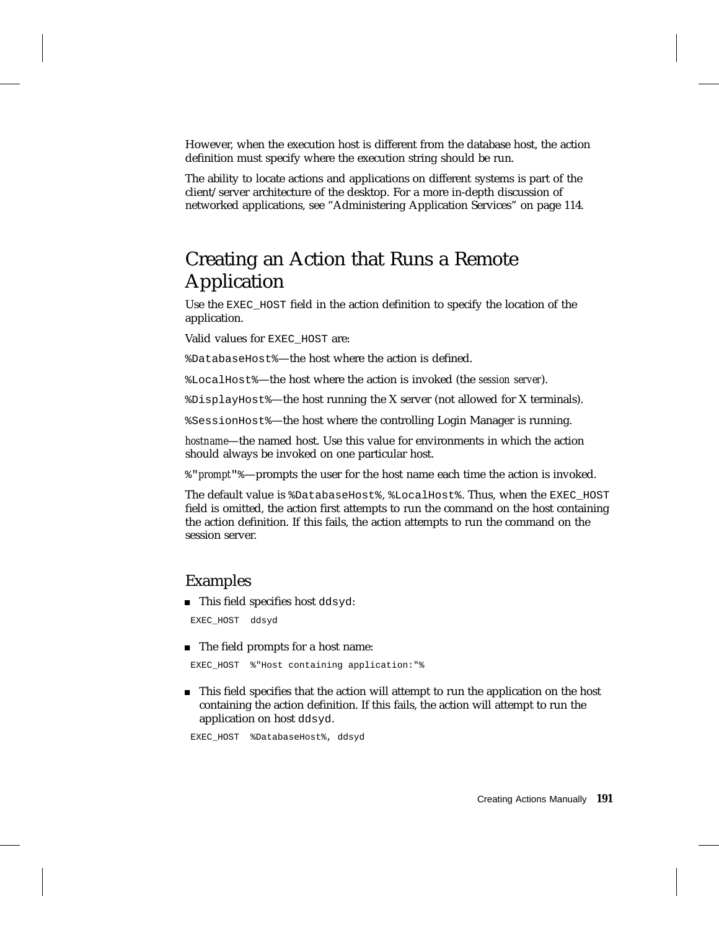However, when the execution host is different from the database host, the action definition must specify where the execution string should be run.

The ability to locate actions and applications on different systems is part of the client/server architecture of the desktop. For a more in-depth discussion of networked applications, see "Administering Application Services" on page 114.

## Creating an Action that Runs a Remote Application

Use the EXEC\_HOST field in the action definition to specify the location of the application.

Valid values for EXEC\_HOST are:

%DatabaseHost%—the host where the action is defined.

%LocalHost%—the host where the action is invoked (the *session server*).

%DisplayHost%—the host running the X server (not allowed for X terminals).

%SessionHost%—the host where the controlling Login Manager is running.

*hostname*—the named host. Use this value for environments in which the action should always be invoked on one particular host.

%"*prompt*"%—prompts the user for the host name each time the action is invoked.

The default value is %DatabaseHost%, %LocalHost%. Thus, when the EXEC\_HOST field is omitted, the action first attempts to run the command on the host containing the action definition. If this fails, the action attempts to run the command on the session server.

#### Examples

■ This field specifies host ddsyd:

EXEC\_HOST ddsyd

■ The field prompts for a host name:

```
EXEC_HOST %"Host containing application:"%
```
 This field specifies that the action will attempt to run the application on the host containing the action definition. If this fails, the action will attempt to run the application on host ddsyd.

EXEC\_HOST %DatabaseHost%, ddsyd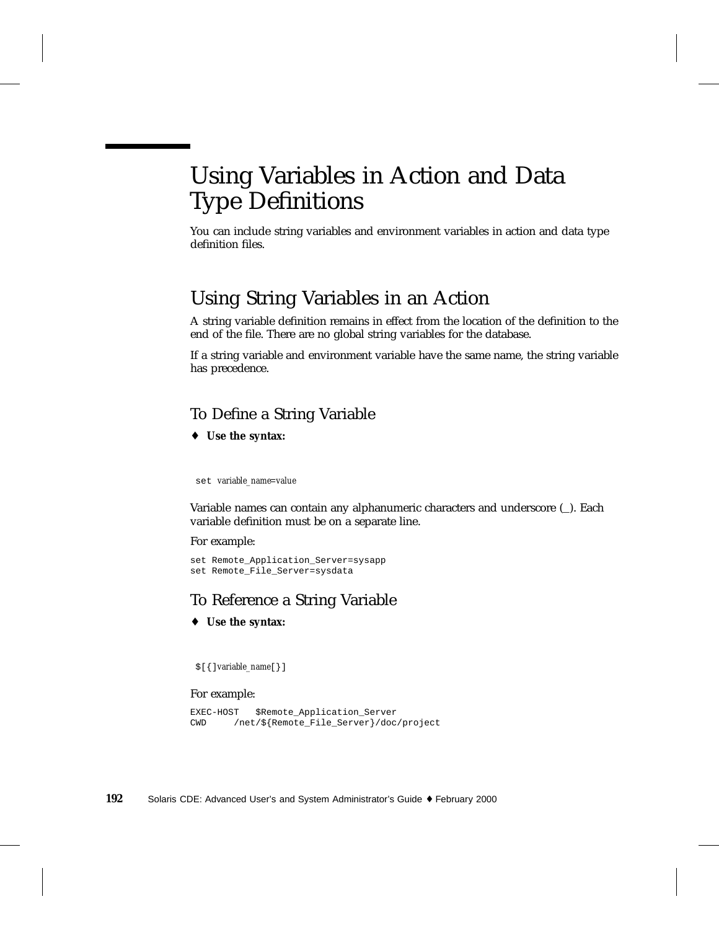# Using Variables in Action and Data Type Definitions

You can include string variables and environment variables in action and data type definition files.

### Using String Variables in an Action

A string variable definition remains in effect from the location of the definition to the end of the file. There are no global string variables for the database.

If a string variable and environment variable have the same name, the string variable has precedence.

#### To Define a String Variable

♦ **Use the syntax:**

set *variable\_name*=*value*

Variable names can contain any alphanumeric characters and underscore (\_). Each variable definition must be on a separate line.

For example:

```
set Remote_Application_Server=sysapp
set Remote_File_Server=sysdata
```
#### To Reference a String Variable

♦ **Use the syntax:**

\$[{]*variable\_name*[}]

For example:

```
EXEC-HOST $Remote_Application_Server<br>CWD /net/${Remote_File_Server}/doc
          /net/${Remote_File_Server}/doc/project
```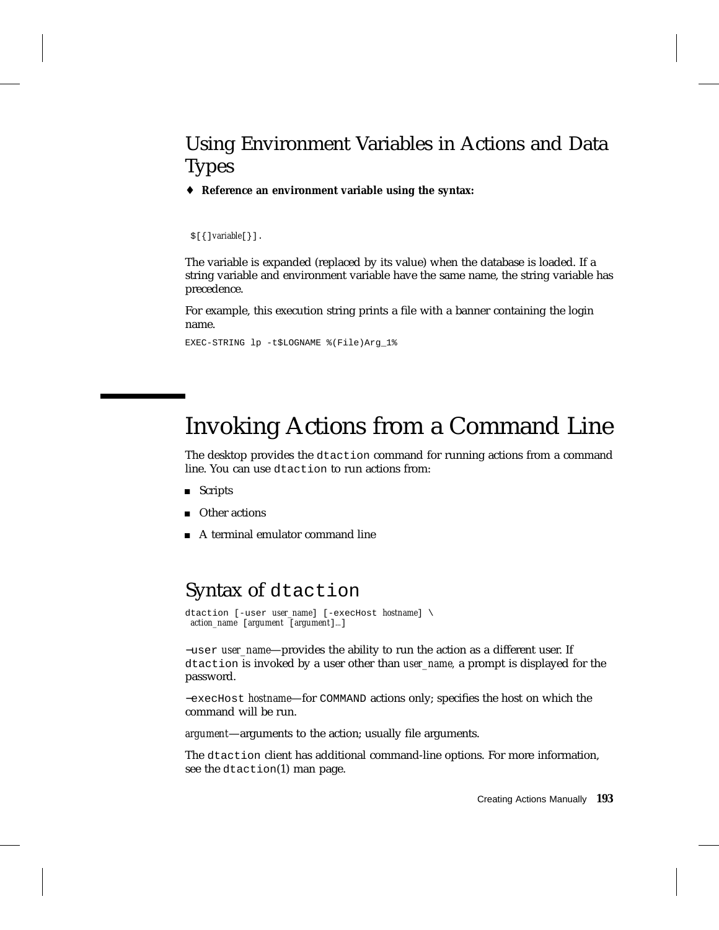## Using Environment Variables in Actions and Data Types

♦ **Reference an environment variable using the syntax:**

```
$[{]variable[}].
```
The variable is expanded (replaced by its value) when the database is loaded. If a string variable and environment variable have the same name, the string variable has precedence.

For example, this execution string prints a file with a banner containing the login name.

```
EXEC-STRING lp -t$LOGNAME %(File)Arg_1%
```
# Invoking Actions from a Command Line

The desktop provides the dtaction command for running actions from a command line. You can use dtaction to run actions from:

- **Scripts**
- **Other actions**
- A terminal emulator command line

### Syntax of dtaction

dtaction [-user *user\_name*] [-execHost *hostname*] \ *action\_name* [*argument* [*argument*]…]

−user *user\_name*—provides the ability to run the action as a different user. If dtaction is invoked by a user other than *user\_name,* a prompt is displayed for the password.

−execHost *hostname*—for COMMAND actions only; specifies the host on which the command will be run.

*argument*—arguments to the action; usually file arguments.

The dtaction client has additional command-line options. For more information, see the dtaction(1) man page.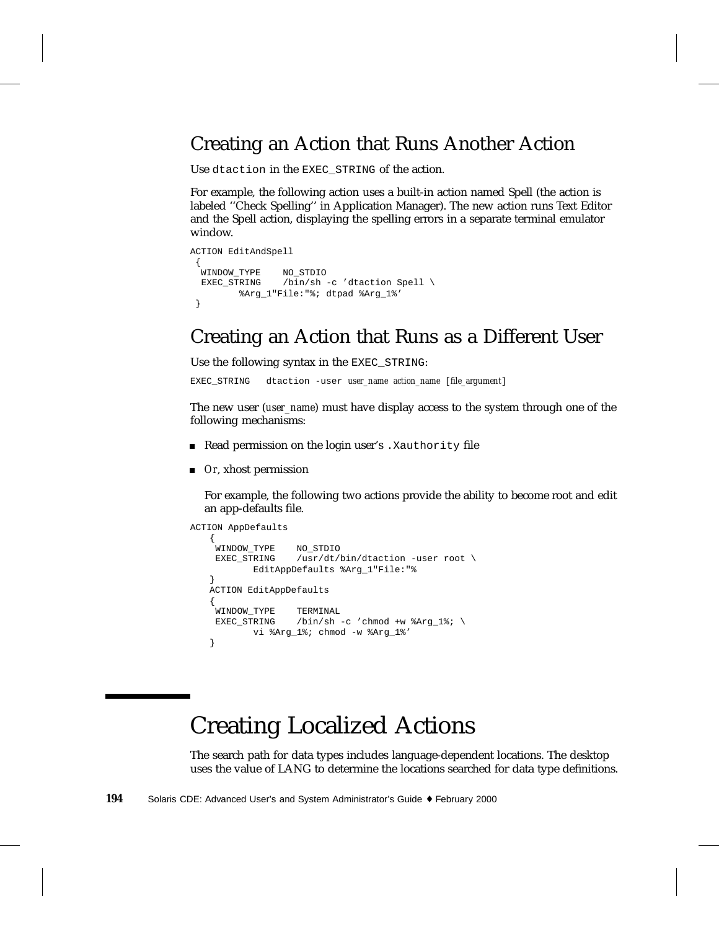#### Creating an Action that Runs Another Action

Use dtaction in the EXEC\_STRING of the action.

For example, the following action uses a built-in action named Spell (the action is labeled ''Check Spelling'' in Application Manager). The new action runs Text Editor and the Spell action, displaying the spelling errors in a separate terminal emulator window.

```
ACTION EditAndSpell
 {
  WINDOW_TYPE NO_STDIO
  EXEC_STRING /bin/sh -c 'dtaction Spell \
        %Arg_1"File:"%; dtpad %Arg_1%'
 }
```
### Creating an Action that Runs as a Different User

Use the following syntax in the EXEC\_STRING:

EXEC\_STRING dtaction -user *user\_name action\_name* [*file\_argument*]

The new user (*user\_name*) must have display access to the system through one of the following mechanisms:

- Read permission on the login user's . Xauthority file
- *Or*, xhost permission

For example, the following two actions provide the ability to become root and edit an app-defaults file.

```
ACTION AppDefaults
    {<br>WINDOW_TYPE
    WINDOW_TYPE NO_STDIO<br>EXEC_STRING /usr/dt/l
                   /usr/dt/bin/dtaction -user root \
            EditAppDefaults %Arg_1"File:"%
   }
   ACTION EditAppDefaults
    {
    WINDOW TYPE TERMINAL
    EXEC_STRING /bin/sh -c 'chmod +w 8Arg_1%; \
           vi %Arg_1%; chmod -w %Arg_1%'
    }
```
## Creating Localized Actions

The search path for data types includes language-dependent locations. The desktop uses the value of LANG to determine the locations searched for data type definitions.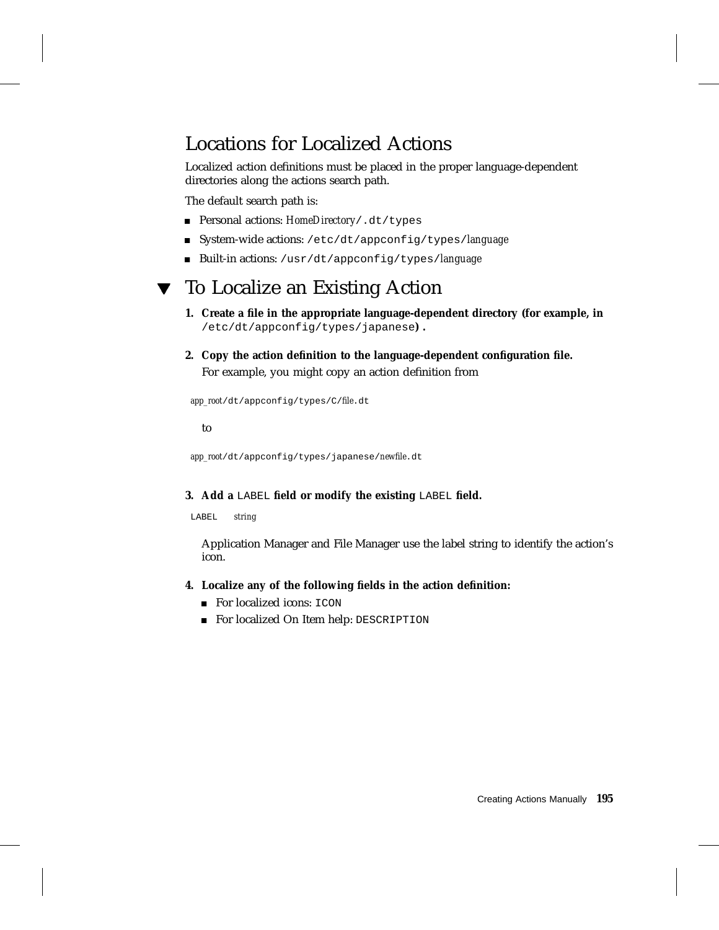## Locations for Localized Actions

Localized action definitions must be placed in the proper language-dependent directories along the actions search path.

The default search path is:

- Personal actions: *HomeDirectory*/.dt/types
- System-wide actions: /etc/dt/appconfig/types/*language*
- Built-in actions: /usr/dt/appconfig/types/*language*

## To Localize an Existing Action

- **1. Create a file in the appropriate language-dependent directory (for example, in** /etc/dt/appconfig/types/japanese**) .**
- **2. Copy the action definition to the language-dependent configuration file.** For example, you might copy an action definition from

*app\_root*/dt/appconfig/types/C/*file*.dt

to

*app\_root*/dt/appconfig/types/japanese/*newfile*.dt

#### **3. Add a** LABEL **field or modify the existing** LABEL **field.**

LABEL *string*

Application Manager and File Manager use the label string to identify the action's icon.

#### **4. Localize any of the following fields in the action definition:**

- For localized icons: ICON
- For localized On Item help: DESCRIPTION

Creating Actions Manually **195**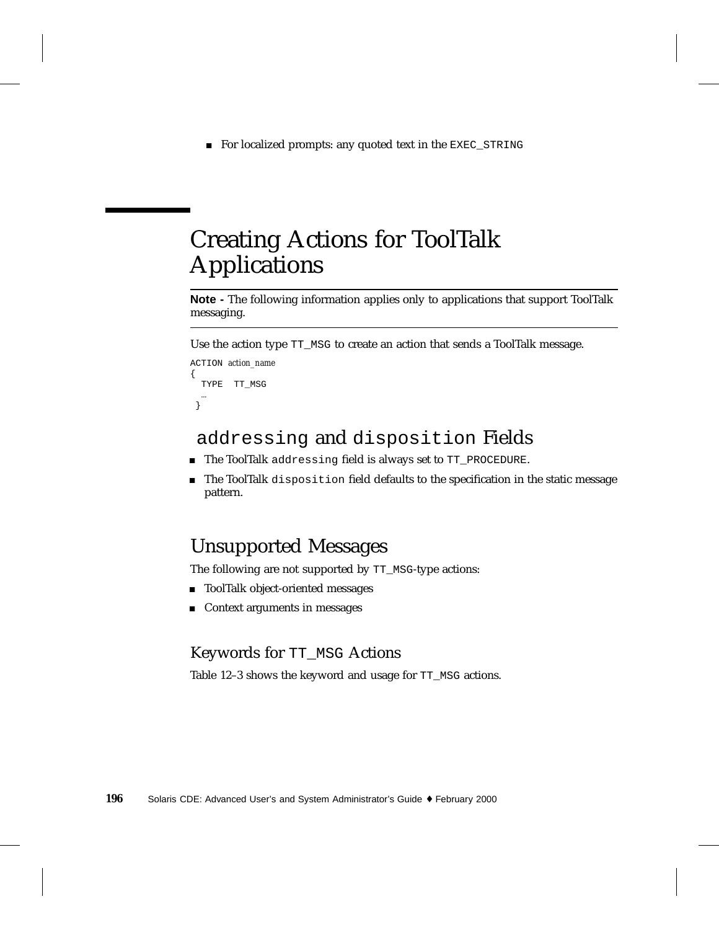For localized prompts: any quoted text in the EXEC\_STRING

# Creating Actions for ToolTalk Applications

**Note -** The following information applies only to applications that support ToolTalk messaging.

Use the action type TT\_MSG to create an action that sends a ToolTalk message.

```
ACTION action_name
{
  TYPE TT_MSG
  …
 }
```
#### addressing and disposition Fields

- The ToolTalk addressing field is always set to TT\_PROCEDURE.
- The ToolTalk disposition field defaults to the specification in the static message pattern.

## Unsupported Messages

The following are not supported by TT\_MSG-type actions:

- ToolTalk object-oriented messages
- Context arguments in messages

#### Keywords for TT\_MSG Actions

Table 12–3 shows the keyword and usage for TT\_MSG actions.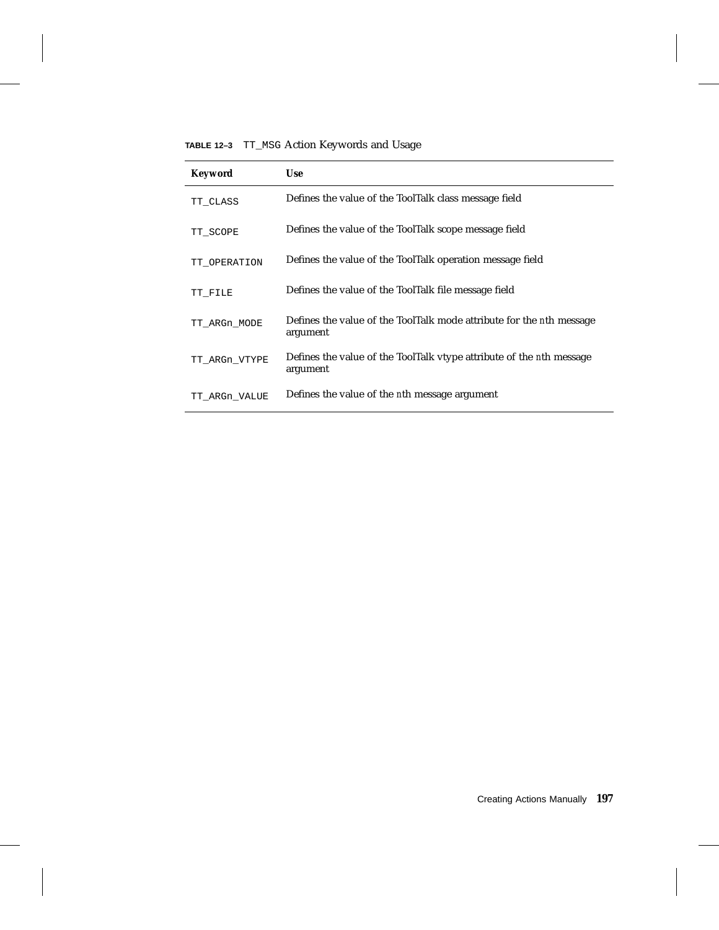**TABLE 12–3** TT\_MSG Action Keywords and Usage

| <b>Keyword</b> | <b>Use</b>                                                                               |
|----------------|------------------------------------------------------------------------------------------|
| TT_CLASS       | Defines the value of the ToolTalk class message field                                    |
| TT SCOPE       | Defines the value of the ToolTalk scope message field                                    |
| TT OPERATION   | Defines the value of the ToolTalk operation message field                                |
| TT FILE        | Defines the value of the ToolTalk file message field                                     |
| TT_ARGn_MODE   | Defines the value of the ToolTalk mode attribute for the nth message<br>argument         |
| TT_ARGn_VTYPE  | Defines the value of the ToolTalk vtype attribute of the <i>n</i> th message<br>argument |
| TT ARGn VALUE  | Defines the value of the <i>n</i> th message argument                                    |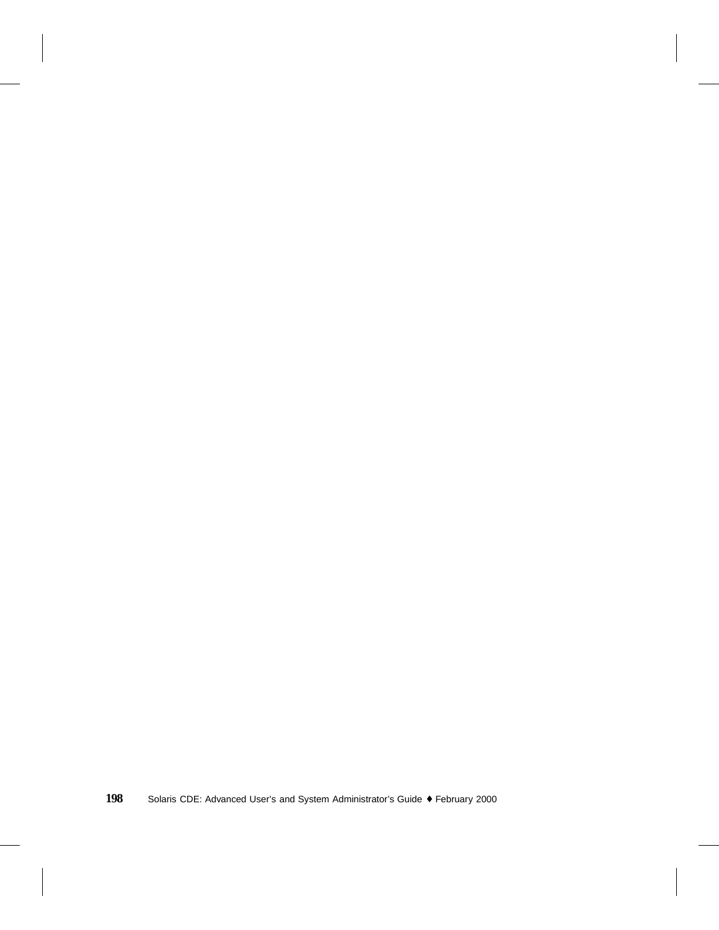Solaris CDE: Advanced User's and System Administrator's Guide ♦ February 2000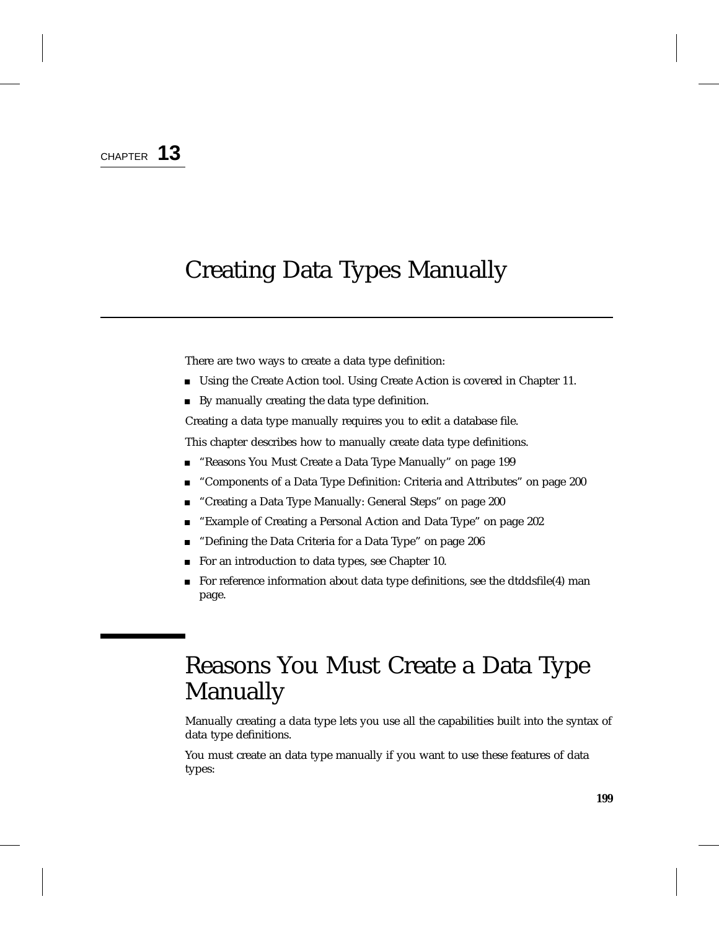### CHAPTER **13**

## Creating Data Types Manually

There are two ways to create a data type definition:

- Using the Create Action tool. Using Create Action is covered in Chapter 11.
- By manually creating the data type definition.

Creating a data type manually requires you to edit a database file.

This chapter describes how to manually create data type definitions.

- "Reasons You Must Create a Data Type Manually" on page 199
- "Components of a Data Type Definition: Criteria and Attributes" on page 200
- "Creating a Data Type Manually: General Steps" on page 200
- "Example of Creating a Personal Action and Data Type" on page 202
- "Defining the Data Criteria for a Data Type" on page 206
- For an introduction to data types, see Chapter 10.
- For reference information about data type definitions, see the dtddsfile(4) man page.

# Reasons You Must Create a Data Type Manually

Manually creating a data type lets you use all the capabilities built into the syntax of data type definitions.

You must create an data type manually if you want to use these features of data types: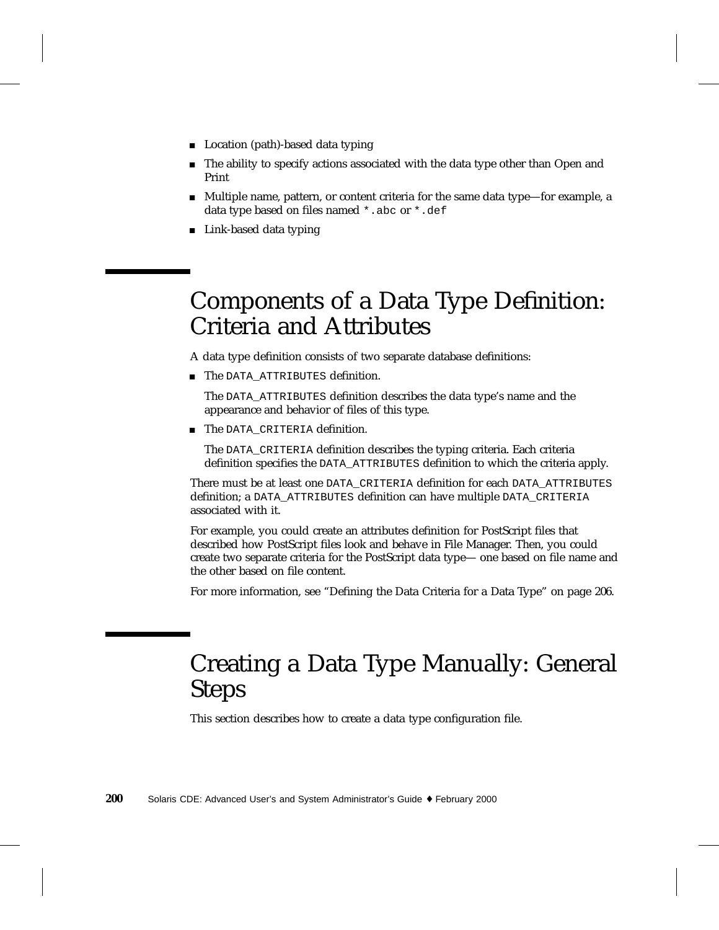- Location (path)-based data typing
- The ability to specify actions associated with the data type other than Open and Print
- Multiple name, pattern, or content criteria for the same data type—for example, a data type based on files named \*.abc or \*.def
- Link-based data typing

# Components of a Data Type Definition: Criteria and Attributes

A data type definition consists of two separate database definitions:

**The DATA\_ATTRIBUTES definition.** 

The DATA\_ATTRIBUTES definition describes the data type's name and the appearance and behavior of files of this type.

**The DATA\_CRITERIA definition.** 

The DATA\_CRITERIA definition describes the typing criteria. Each criteria definition specifies the DATA\_ATTRIBUTES definition to which the criteria apply.

There must be at least one DATA\_CRITERIA definition for each DATA\_ATTRIBUTES definition; a DATA\_ATTRIBUTES definition can have multiple DATA\_CRITERIA associated with it.

For example, you could create an attributes definition for PostScript files that described how PostScript files look and behave in File Manager. Then, you could create two separate criteria for the PostScript data type— one based on file name and the other based on file content.

For more information, see "Defining the Data Criteria for a Data Type" on page 206.

# Creating a Data Type Manually: General Steps

This section describes how to create a data type configuration file.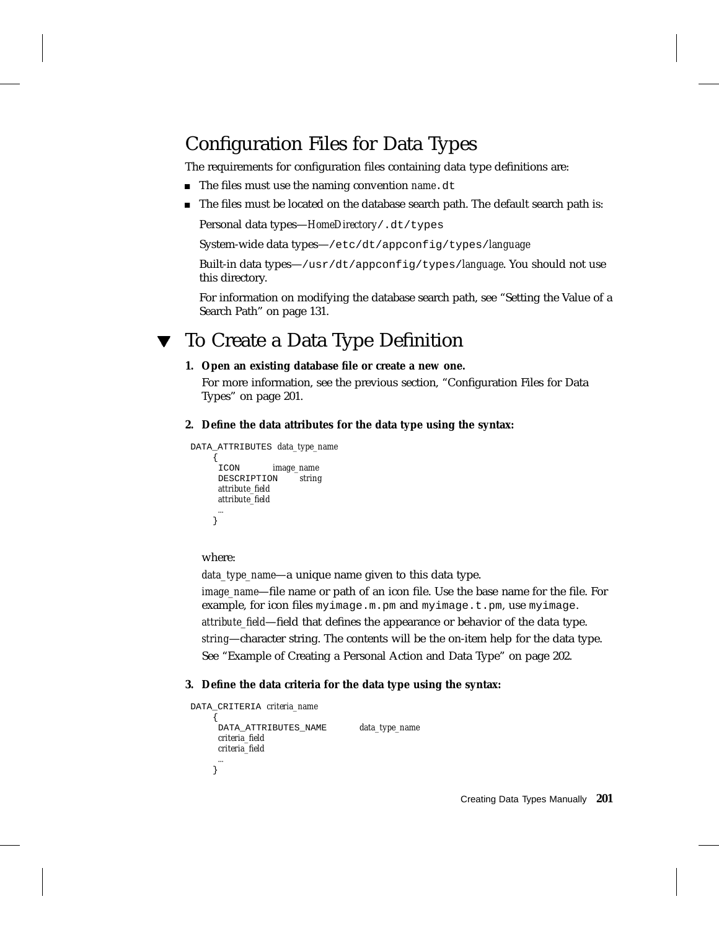## Configuration Files for Data Types

The requirements for configuration files containing data type definitions are:

- The files must use the naming convention *name*.dt
- The files must be located on the database search path. The default search path is: Personal data types—*HomeDirectory*/.dt/types

System-wide data types—/etc/dt/appconfig/types/*language*

Built-in data types—/usr/dt/appconfig/types/*language*. You should not use this directory.

For information on modifying the database search path, see "Setting the Value of a Search Path" on page 131.

### To Create a Data Type Definition

#### **1. Open an existing database file or create a new one.**

For more information, see the previous section, "Configuration Files for Data Types" on page 201.

#### **2. Define the data attributes for the data type using the syntax:**

```
DATA_ATTRIBUTES data_type_name
    {
     ICON image_name
     DESCRIPTION string
     attribute_field
     attribute_field
      …
     }
```
where:

*data\_type\_name*—a unique name given to this data type. *image\_name*—file name or path of an icon file. Use the base name for the file. For example, for icon files myimage.m.pm and myimage.t.pm, use myimage. *attribute\_field*—field that defines the appearance or behavior of the data type. *string*—character string. The contents will be the on-item help for the data type. See "Example of Creating a Personal Action and Data Type" on page 202.

#### **3. Define the data criteria for the data type using the syntax:**

```
DATA_CRITERIA criteria_name
     {
      DATA_ATTRIBUTES_NAME data_type_name
      criteria_field
      criteria_field
      …
     }
```
Creating Data Types Manually **201**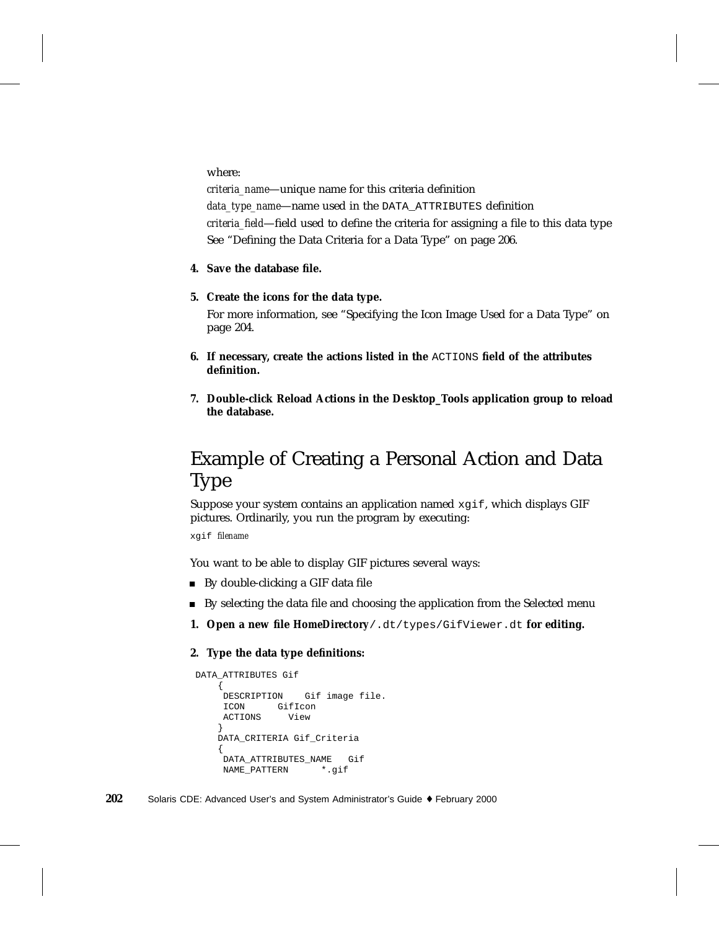#### where:

*criteria\_name*—unique name for this criteria definition *data\_type\_name*—name used in the DATA\_ATTRIBUTES definition *criteria\_field*—field used to define the criteria for assigning a file to this data type See "Defining the Data Criteria for a Data Type" on page 206.

#### **4. Save the database file.**

#### **5. Create the icons for the data type.**

For more information, see "Specifying the Icon Image Used for a Data Type" on page 204.

- **6. If necessary, create the actions listed in the** ACTIONS **field of the attributes definition.**
- **7. Double-click Reload Actions in the Desktop\_Tools application group to reload the database.**

## Example of Creating a Personal Action and Data Type

Suppose your system contains an application named xgif, which displays GIF pictures. Ordinarily, you run the program by executing:

xgif *filename*

You want to be able to display GIF pictures several ways:

- By double-clicking a GIF data file
- By selecting the data file and choosing the application from the Selected menu
- **1. Open a new file** *HomeDirectory*/.dt/types/GifViewer.dt **for editing.**

#### **2. Type the data type definitions:**

```
DATA_ATTRIBUTES Gif
    {
     DESCRIPTION Gif image file.
     ICON GifIcon
     ACTIONS View
    }
    DATA_CRITERIA Gif_Criteria
    {
     DATA_ATTRIBUTES_NAME Gif<br>NAME_PATTERN *.gif
     NAME_PATTERN
```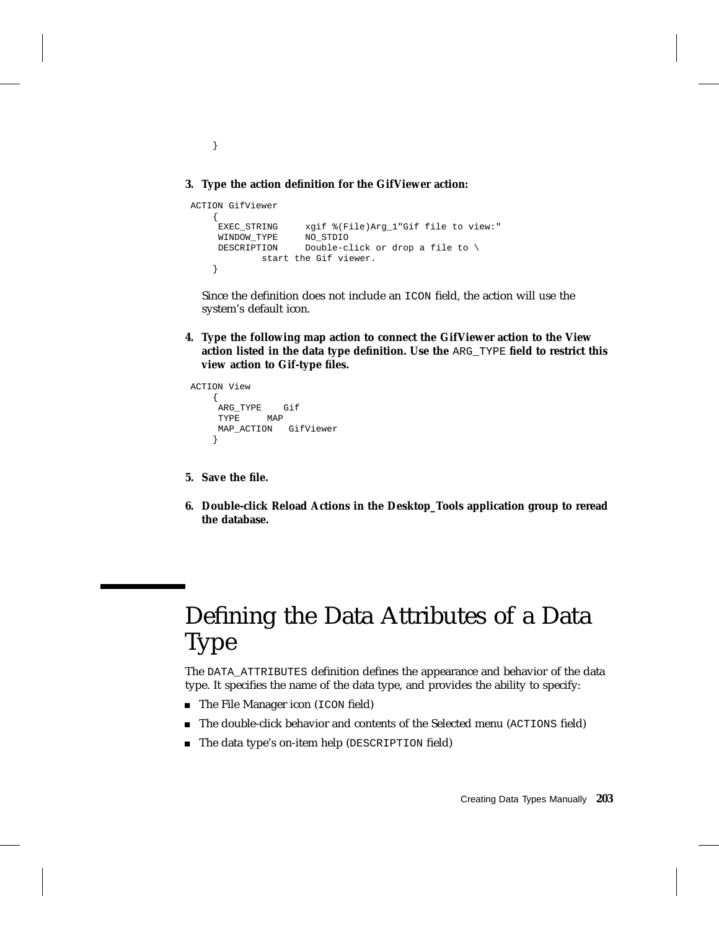**3. Type the action definition for the GifViewer action:**

```
ACTION GifViewer
    {
     EXEC_STRING xgif %(File)Arg_1"Gif file to view:"
     WINDOW_TYPE NO_STDIO
     DESCRIPTION Double-click or drop a file to \
           start the Gif viewer.
    }
```
Since the definition does not include an ICON field, the action will use the system's default icon.

**4. Type the following map action to connect the GifViewer action to the View action listed in the data type definition. Use the** ARG\_TYPE **field to restrict this view action to Gif-type files.**

```
ACTION View
    {
     ARG_TYPE Gif<br>TYPE MAP
           MAPMAP_ACTION GifViewer
    }
```
- **5. Save the file.**
- **6. Double-click Reload Actions in the Desktop\_Tools application group to reread the database.**

# Defining the Data Attributes of a Data Type

The DATA\_ATTRIBUTES definition defines the appearance and behavior of the data type. It specifies the name of the data type, and provides the ability to specify:

- The File Manager icon (ICON field)
- The double-click behavior and contents of the Selected menu (ACTIONS field)
- The data type's on-item help (DESCRIPTION field)

}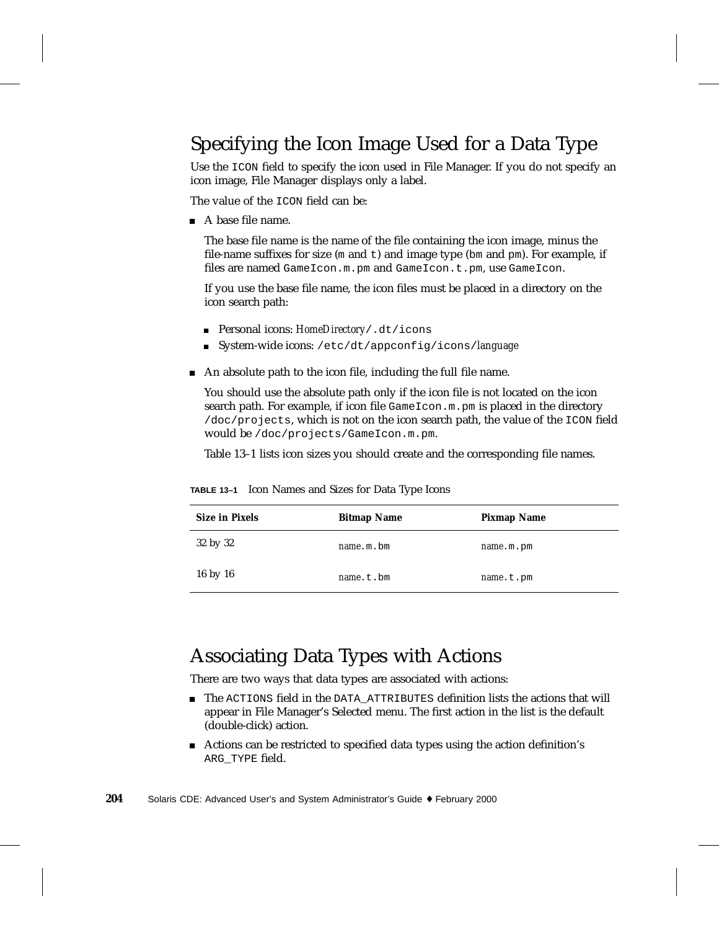## Specifying the Icon Image Used for a Data Type

Use the ICON field to specify the icon used in File Manager. If you do not specify an icon image, File Manager displays only a label.

The value of the ICON field can be:

A base file name.

The base file name is the name of the file containing the icon image, minus the file-name suffixes for size ( $m$  and  $t$ ) and image type ( $bm$  and  $pm$ ). For example, if files are named GameIcon.m.pm and GameIcon.t.pm, use GameIcon.

If you use the base file name, the icon files must be placed in a directory on the icon search path:

- Personal icons: *HomeDirectory*/.dt/icons
- System-wide icons: /etc/dt/appconfig/icons/*language*
- An absolute path to the icon file, including the full file name.

You should use the absolute path only if the icon file is not located on the icon search path. For example, if icon file GameIcon.m.pm is placed in the directory /doc/projects, which is not on the icon search path, the value of the ICON field would be /doc/projects/GameIcon.m.pm.

Table 13–1 lists icon sizes you should create and the corresponding file names.

| Size in Pixels      | <b>Bitmap Name</b> | Pixmap Name |
|---------------------|--------------------|-------------|
| 32 by 32            | name.m.bm          | name.m.pm   |
| $16 \text{ by } 16$ | name.t.bm          | name.t.pm   |

**TABLE 13–1** Icon Names and Sizes for Data Type Icons

## Associating Data Types with Actions

There are two ways that data types are associated with actions:

- The ACTIONS field in the DATA\_ATTRIBUTES definition lists the actions that will appear in File Manager's Selected menu. The first action in the list is the default (double-click) action.
- Actions can be restricted to specified data types using the action definition's ARG\_TYPE field.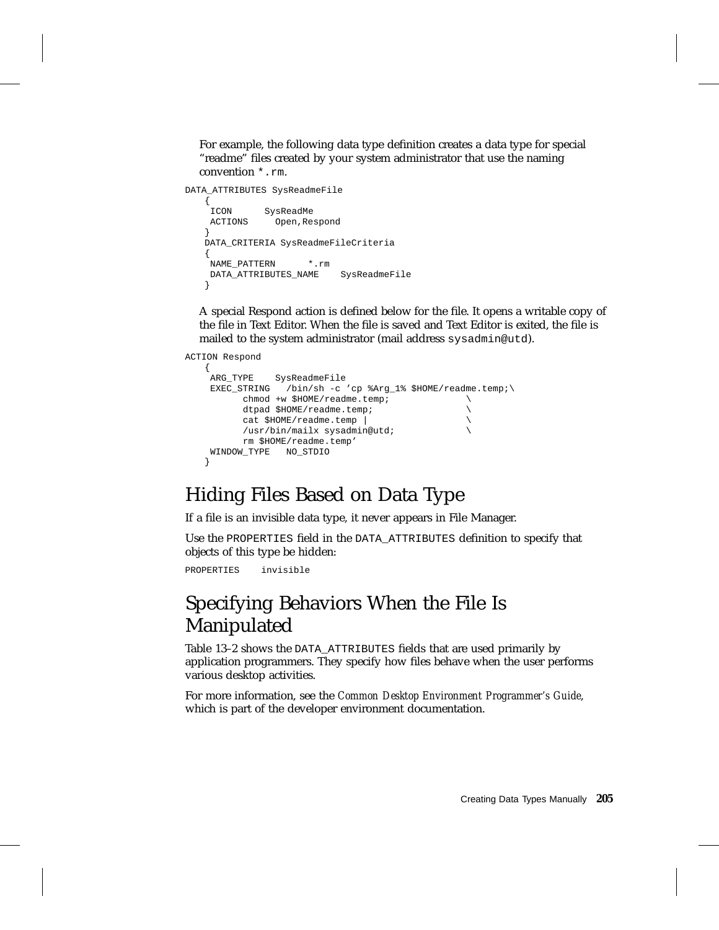For example, the following data type definition creates a data type for special "readme" files created by your system administrator that use the naming convention \*.rm.

```
DATA_ATTRIBUTES SysReadmeFile
   {
    ICON SysReadMe
    ACTIONS Open,Respond
   }
   DATA_CRITERIA SysReadmeFileCriteria
   {
    NAME_PATTERN *.rm
    DATA_ATTRIBUTES_NAME SysReadmeFile
   }
```
A special Respond action is defined below for the file. It opens a writable copy of the file in Text Editor. When the file is saved and Text Editor is exited, the file is mailed to the system administrator (mail address sysadmin@utd).

ACTION Respond

```
{
ARG_TYPE SysReadmeFile
EXEC_STRING /bin/sh -c 'cp %Arg_1% $HOME/readme.temp;\
     chmod +w $HOME/readme.temp;
     dtpad $HOME/readme.temp;
     cat $HOME/readme.temp | \
     /usr/bin/mailx sysadmin@utd; \
     rm $HOME/readme.temp'
WINDOW_TYPE NO_STDIO
}
```
### Hiding Files Based on Data Type

If a file is an invisible data type, it never appears in File Manager.

Use the PROPERTIES field in the DATA\_ATTRIBUTES definition to specify that objects of this type be hidden:

PROPERTIES invisible

## Specifying Behaviors When the File Is Manipulated

Table 13–2 shows the DATA\_ATTRIBUTES fields that are used primarily by application programmers. They specify how files behave when the user performs various desktop activities.

For more information, see the *Common Desktop Environment Programmer's Guide*, which is part of the developer environment documentation.

Creating Data Types Manually **205**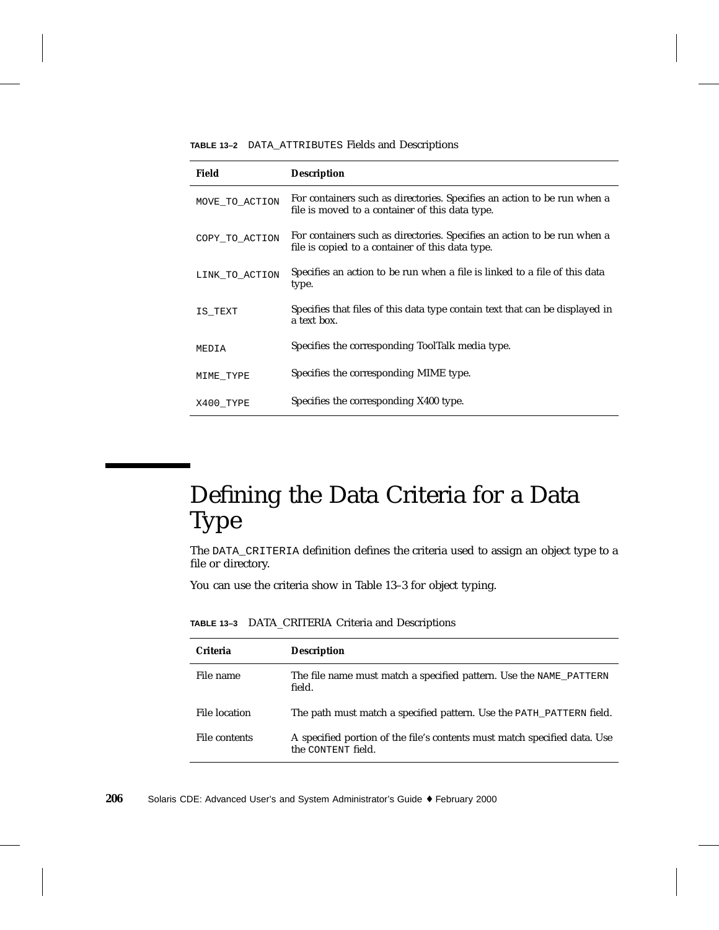**TABLE 13–2** DATA\_ATTRIBUTES Fields and Descriptions

| Field          | <b>Description</b>                                                                                                           |
|----------------|------------------------------------------------------------------------------------------------------------------------------|
| MOVE_TO_ACTION | For containers such as directories. Specifies an action to be run when a<br>file is moved to a container of this data type.  |
| COPY TO ACTION | For containers such as directories. Specifies an action to be run when a<br>file is copied to a container of this data type. |
| LINK TO ACTION | Specifies an action to be run when a file is linked to a file of this data<br>type.                                          |
| IS TEXT        | Specifies that files of this data type contain text that can be displayed in<br>a text box.                                  |
| MEDIA          | Specifies the corresponding ToolTalk media type.                                                                             |
| MIME TYPE      | Specifies the corresponding MIME type.                                                                                       |
| X400_TYPE      | Specifies the corresponding X400 type.                                                                                       |

# Defining the Data Criteria for a Data Type

The DATA\_CRITERIA definition defines the criteria used to assign an object type to a file or directory.

You can use the criteria show in Table 13–3 for object typing.

| <b>Criteria</b> | <b>Description</b>                                                                              |
|-----------------|-------------------------------------------------------------------------------------------------|
| File name       | The file name must match a specified pattern. Use the NAME PATTERN<br>field.                    |
| File location   | The path must match a specified pattern. Use the PATH_PATTERN field.                            |
| File contents   | A specified portion of the file's contents must match specified data. Use<br>the CONTENT field. |

**TABLE 13–3** DATA\_CRITERIA Criteria and Descriptions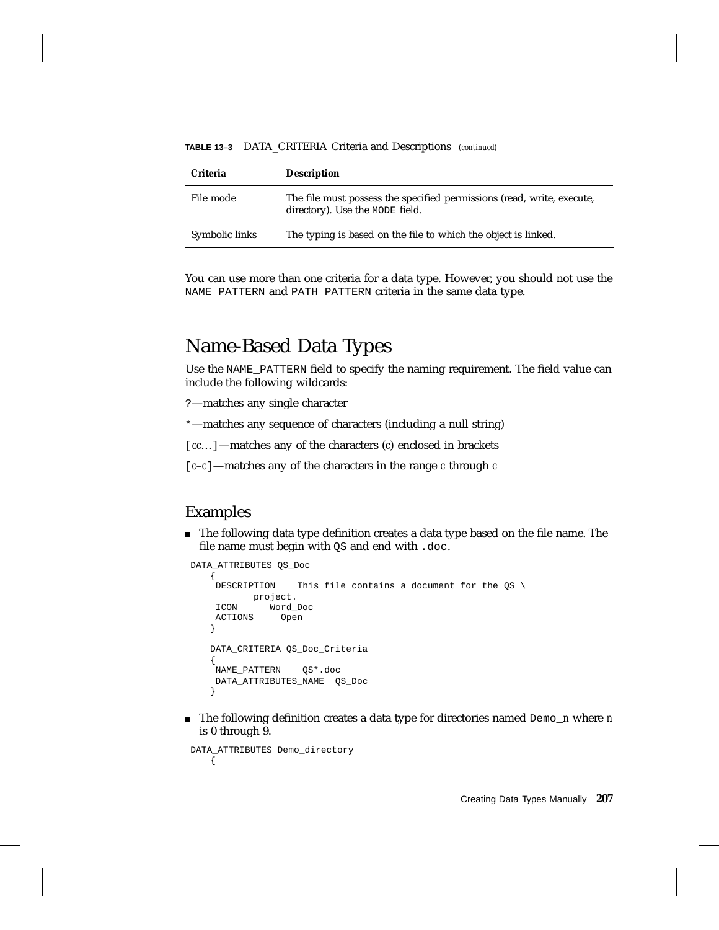**TABLE 13–3** DATA\_CRITERIA Criteria and Descriptions *(continued)*

| <b>Criteria</b> | <b>Description</b>                                                                                        |
|-----------------|-----------------------------------------------------------------------------------------------------------|
| File mode       | The file must possess the specified permissions (read, write, execute,<br>directory). Use the MODE field. |
| Symbolic links  | The typing is based on the file to which the object is linked.                                            |

You can use more than one criteria for a data type. However, you should not use the NAME\_PATTERN and PATH\_PATTERN criteria in the same data type.

## Name-Based Data Types

Use the NAME\_PATTERN field to specify the naming requirement. The field value can include the following wildcards:

?—matches any single character

\*—matches any sequence of characters (including a null string)

[*cc*…]—matches any of the characters (*c*) enclosed in brackets

[*c*–*c*]—matches any of the characters in the range *c* through *c*

#### Examples

The following data type definition creates a data type based on the file name. The file name must begin with QS and end with .doc.

```
DATA_ATTRIBUTES QS_Doc
   {<br>DESCRIPTION
                 This file contains a document for the QS \setminusproject.
    ICON Word_Doc
    ACTIONS Open
   }
   DATA_CRITERIA QS_Doc_Criteria
   {
    NAME_PATTERN QS*.doc
    DATA_ATTRIBUTES_NAME QS_Doc
   }
```
■ The following definition creates a data type for directories named Demo\_*n* where *n* is 0 through 9.

```
DATA_ATTRIBUTES Demo_directory
   {
```
Creating Data Types Manually **207**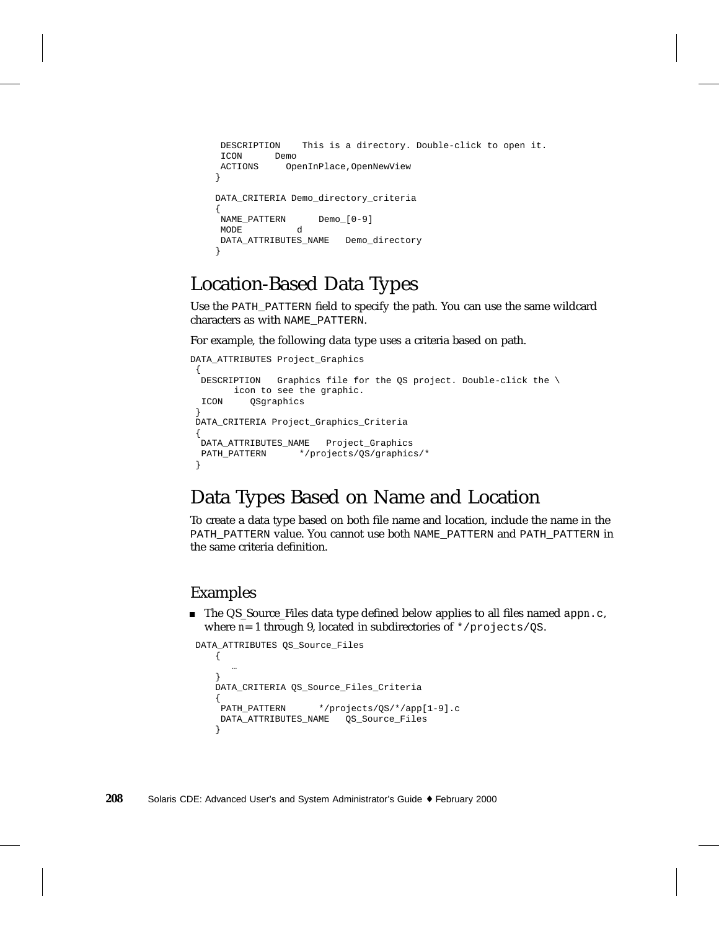```
DESCRIPTION This is a directory. Double-click to open it.
ICON Demo<br>ACTIONS Ope
          OpenInPlace, OpenNewView
}
DATA_CRITERIA Demo_directory_criteria
{
NAME_PATTERN Demo_[0-9]
MODE d
DATA_ATTRIBUTES_NAME Demo_directory
}
```
## Location-Based Data Types

Use the PATH\_PATTERN field to specify the path. You can use the same wildcard characters as with NAME\_PATTERN.

For example, the following data type uses a criteria based on path.

```
DATA_ATTRIBUTES Project_Graphics
 {
 DESCRIPTION Graphics file for the QS project. Double-click the \
       icon to see the graphic.
 ICON QSgraphics
 }
DATA_CRITERIA Project_Graphics_Criteria
 {
 DATA_ATTRIBUTES_NAME Project_Graphics
 PATH_PATTERN */projects/QS/graphics/*
 }
```
### Data Types Based on Name and Location

To create a data type based on both file name and location, include the name in the PATH\_PATTERN value. You cannot use both NAME\_PATTERN and PATH\_PATTERN in the same criteria definition.

#### Examples

■ The QS\_Source\_Files data type defined below applies to all files named app*n*.c, where  $n=1$  through 9, located in subdirectories of \*/projects/QS.

```
DATA_ATTRIBUTES QS_Source_Files
   {
      …
   }
   DATA_CRITERIA QS_Source_Files_Criteria
   {
    PATH_PATTERN */projects/QS/*/app[1-9].c
    DATA_ATTRIBUTES_NAME QS_Source_Files
   }
```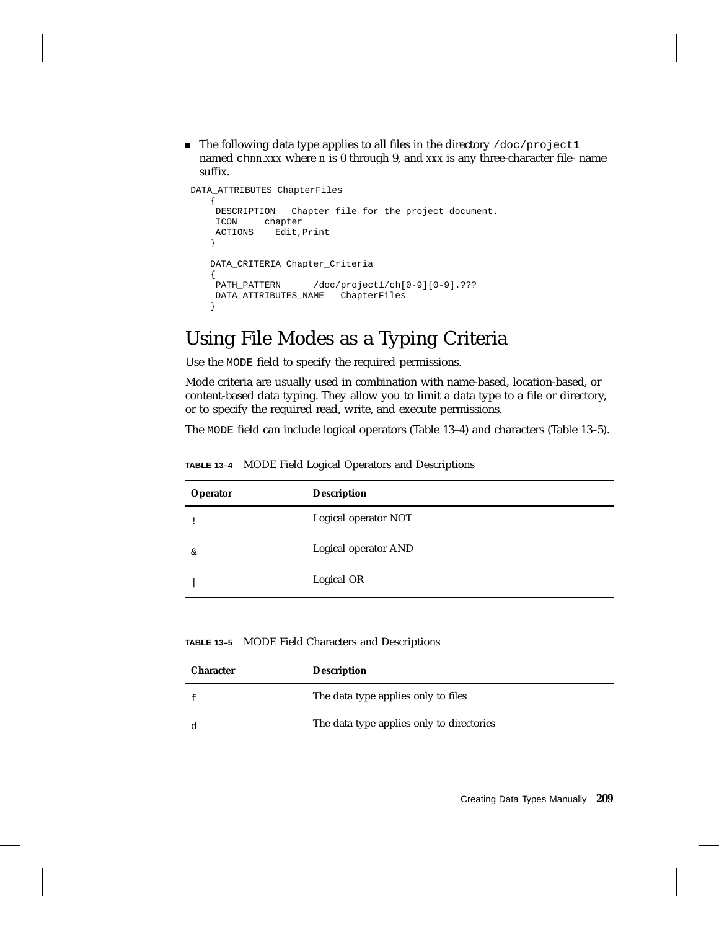The following data type applies to all files in the directory /doc/project1 named ch*nn*.*xxx* where *n* is 0 through 9, and *xxx* is any three-character file- name suffix.

```
DATA_ATTRIBUTES ChapterFiles
   {
    DESCRIPTION Chapter file for the project document.
    ICON chapter
    ACTIONS Edit,Print
   }
   DATA_CRITERIA Chapter_Criteria
   {<br>PATH_PATTERN
                      /doc/project1/ch[0-9][0-9].???
    DATA_ATTRIBUTES_NAME ChapterFiles
   }
```
# Using File Modes as a Typing Criteria

Use the MODE field to specify the required permissions.

Mode criteria are usually used in combination with name-based, location-based, or content-based data typing. They allow you to limit a data type to a file or directory, or to specify the required read, write, and execute permissions.

The MODE field can include logical operators (Table 13–4) and characters (Table 13–5).

| <b>Operator</b> | <b>Description</b>   |
|-----------------|----------------------|
|                 | Logical operator NOT |
| &               | Logical operator AND |
|                 | Logical OR           |

**TABLE 13–4** MODE Field Logical Operators and Descriptions

|  | TABLE 13-5 MODE Field Characters and Descriptions |  |  |  |
|--|---------------------------------------------------|--|--|--|
|--|---------------------------------------------------|--|--|--|

| <b>Character</b> | <b>Description</b>                        |
|------------------|-------------------------------------------|
|                  | The data type applies only to files       |
| d                | The data type applies only to directories |

Creating Data Types Manually **209**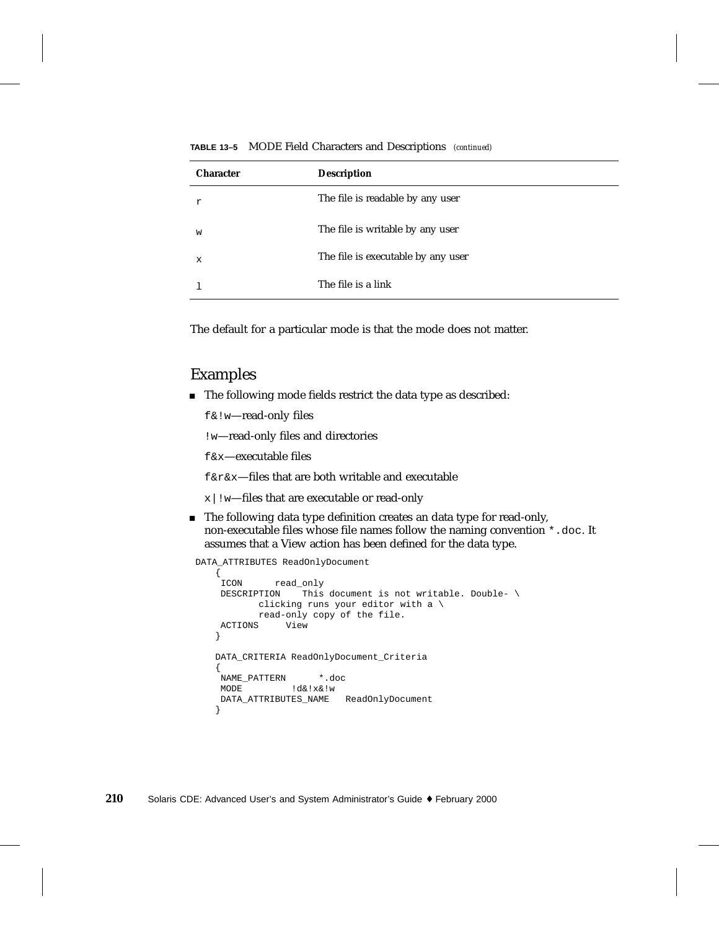| <b>TABLE 13–5</b> MODE Field Characters and Descriptions <i>(continued)</i> |  |
|-----------------------------------------------------------------------------|--|
|-----------------------------------------------------------------------------|--|

| <b>Character</b> | <b>Description</b>                 |
|------------------|------------------------------------|
| r                | The file is readable by any user   |
| W                | The file is writable by any user   |
| X                | The file is executable by any user |
|                  | The file is a link                 |

The default for a particular mode is that the mode does not matter.

#### Examples

- The following mode fields restrict the data type as described:
	- f&!w—read-only files

!w—read-only files and directories

f&x—executable files

f&r&x—files that are both writable and executable

- x|!w—files that are executable or read-only
- The following data type definition creates an data type for read-only, non-executable files whose file names follow the naming convention \*.doc. It assumes that a View action has been defined for the data type.

DATA\_ATTRIBUTES ReadOnlyDocument  ${\cal C}$ <br> $_{\tt ICON}$ read\_only DESCRIPTION This document is not writable. Double- \ clicking runs your editor with a \ read-only copy of the file. ACTIONS } DATA\_CRITERIA ReadOnlyDocument\_Criteria { NAME\_PATTERN \*.doc<br>MODE !d&!x&!w

MODE !d&!x&!w DATA\_ATTRIBUTES\_NAME ReadOnlyDocument }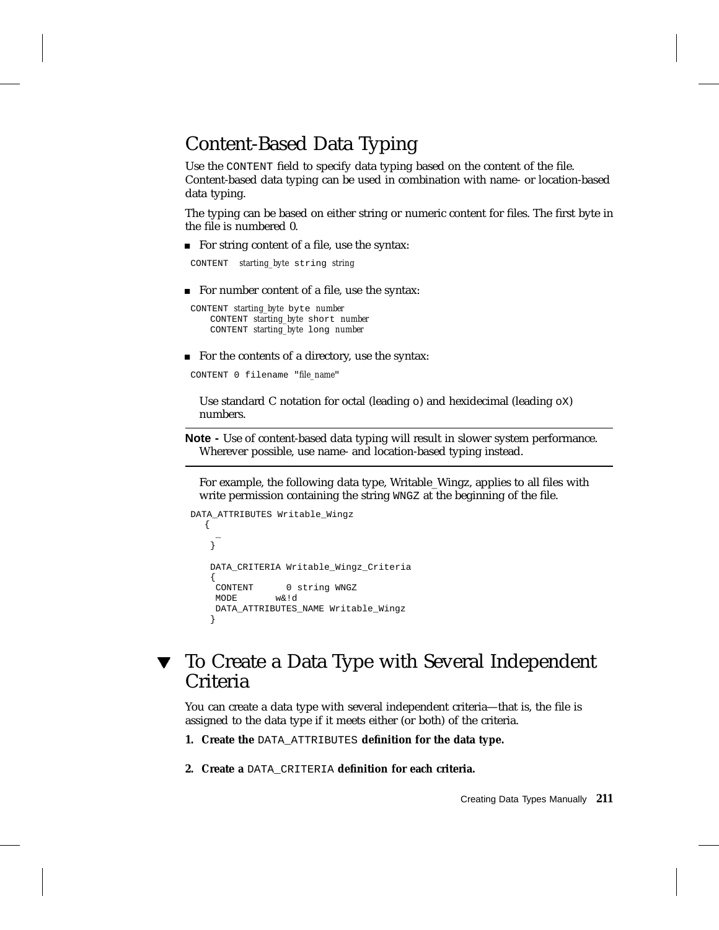### Content-Based Data Typing

Use the CONTENT field to specify data typing based on the content of the file. Content-based data typing can be used in combination with name- or location-based data typing.

The typing can be based on either string or numeric content for files. The first byte in the file is numbered 0.

For string content of a file, use the syntax:

CONTENT *starting\_byte* string *string*

For number content of a file, use the syntax:

```
CONTENT starting_byte byte number
    CONTENT starting_byte short number
    CONTENT starting_byte long number
```
 $\blacksquare$  For the contents of a directory, use the syntax:

CONTENT 0 filename "*file\_name*"

Use standard C notation for octal (leading  $\circ$ ) and hexidecimal (leading  $\circ$ x) numbers.

**Note -** Use of content-based data typing will result in slower system performance. Wherever possible, use name- and location-based typing instead.

For example, the following data type, Writable\_Wingz, applies to all files with write permission containing the string WNGZ at the beginning of the file.

```
DATA_ATTRIBUTES Writable_Wingz
  {
     …
    }
    DATA_CRITERIA Writable_Wingz_Criteria
    {
    CONTENT 0 string WNGZ<br>MODE W&Id
               MODE w&!d
    DATA_ATTRIBUTES_NAME Writable_Wingz
    }
```
## ▼ To Create a Data Type with Several Independent **Criteria**

You can create a data type with several independent criteria—that is, the file is assigned to the data type if it meets either (or both) of the criteria.

- **1. Create the** DATA\_ATTRIBUTES **definition for the data type.**
- **2. Create a** DATA\_CRITERIA **definition for each criteria.**

Creating Data Types Manually **211**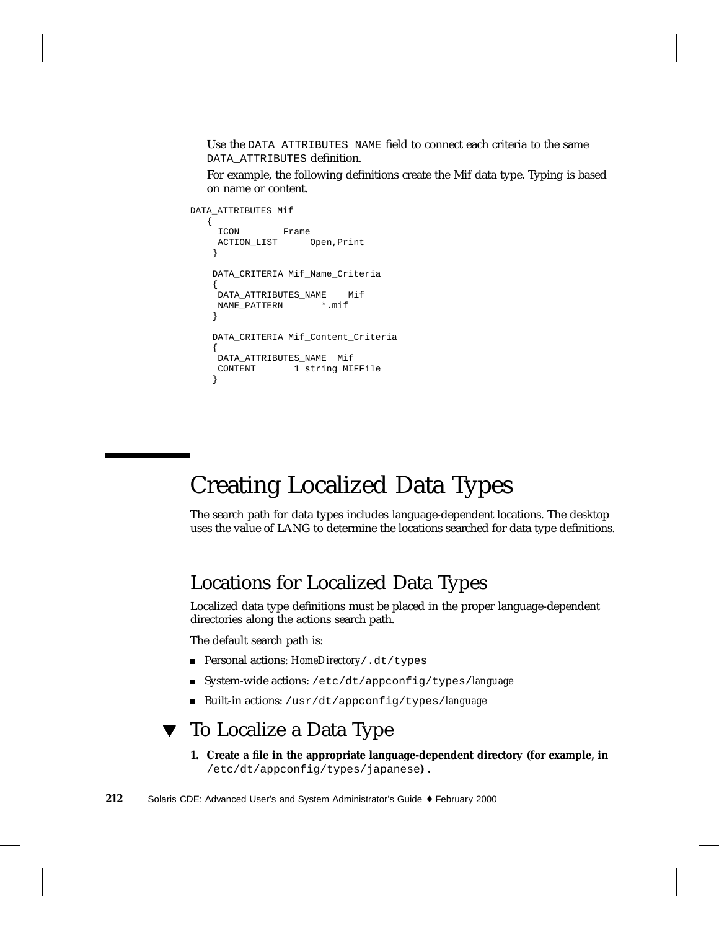Use the DATA\_ATTRIBUTES\_NAME field to connect each criteria to the same DATA\_ATTRIBUTES definition.

For example, the following definitions create the Mif data type. Typing is based on name or content.

DATA\_ATTRIBUTES Mif { ICON Frame ACTION\_LIST Open,Print } DATA\_CRITERIA Mif\_Name\_Criteria { DATA\_ATTRIBUTES\_NAME Mif NAME\_PATTERN \*.mif } DATA\_CRITERIA Mif\_Content\_Criteria { DATA\_ATTRIBUTES\_NAME Mif CONTENT 1 string MIFFile }

# Creating Localized Data Types

The search path for data types includes language-dependent locations. The desktop uses the value of LANG to determine the locations searched for data type definitions.

#### Locations for Localized Data Types

Localized data type definitions must be placed in the proper language-dependent directories along the actions search path.

The default search path is:

- Personal actions: *HomeDirectory*/.dt/types
- System-wide actions: /etc/dt/appconfig/types/*language*
- Built-in actions: /usr/dt/appconfig/types/*language*

## ▼ To Localize a Data Type

**1. Create a file in the appropriate language-dependent directory (for example, in** /etc/dt/appconfig/types/japanese**) .**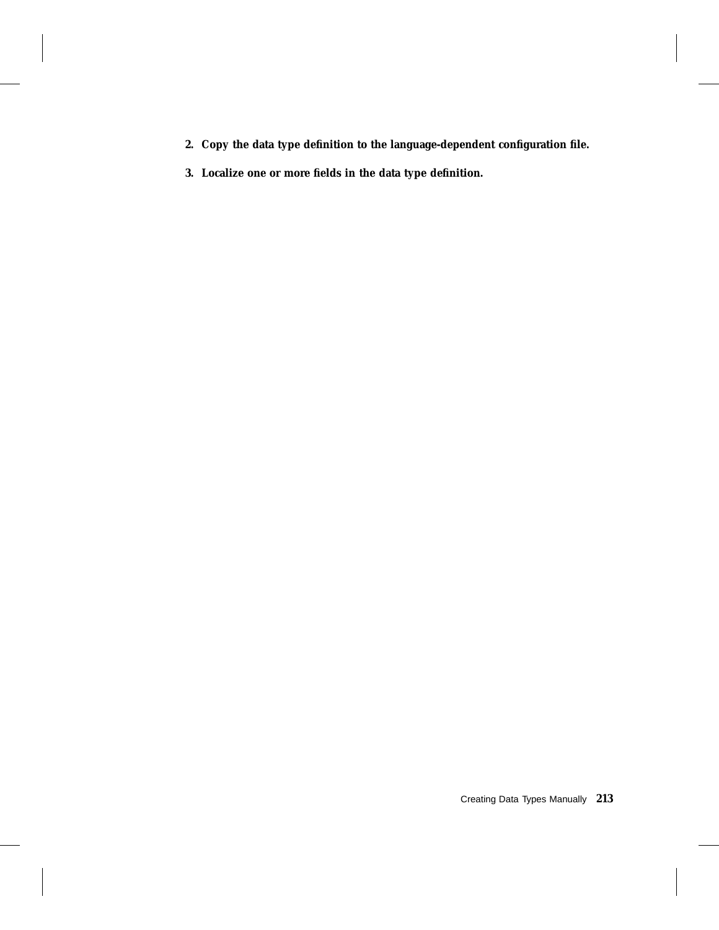- **2. Copy the data type definition to the language-dependent configuration file.**
- **3. Localize one or more fields in the data type definition.**

Creating Data Types Manually **213**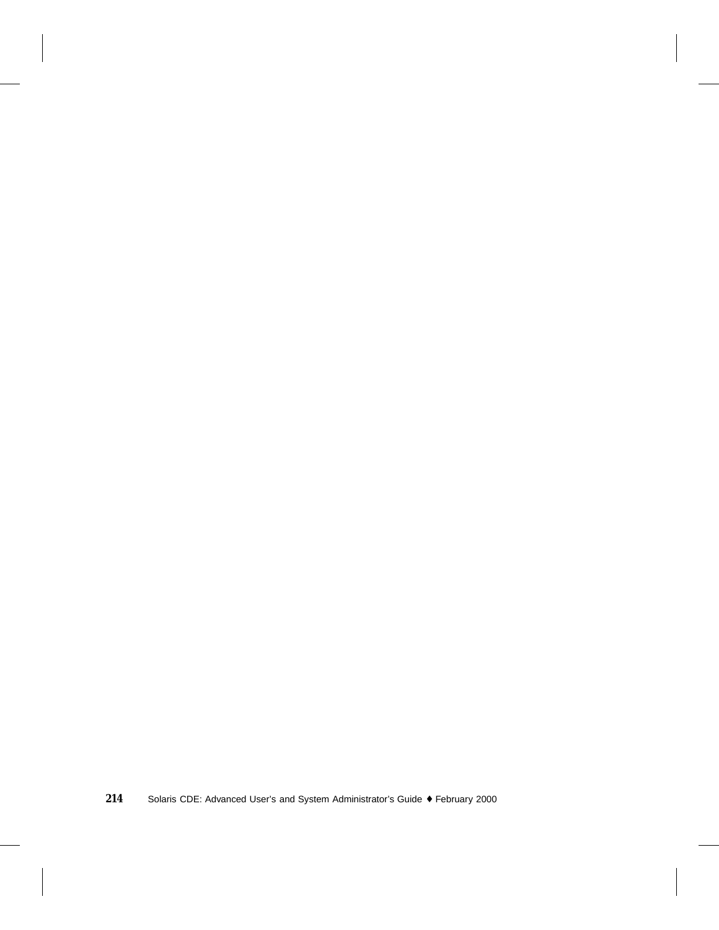Solaris CDE: Advanced User's and System Administrator's Guide ♦ February 2000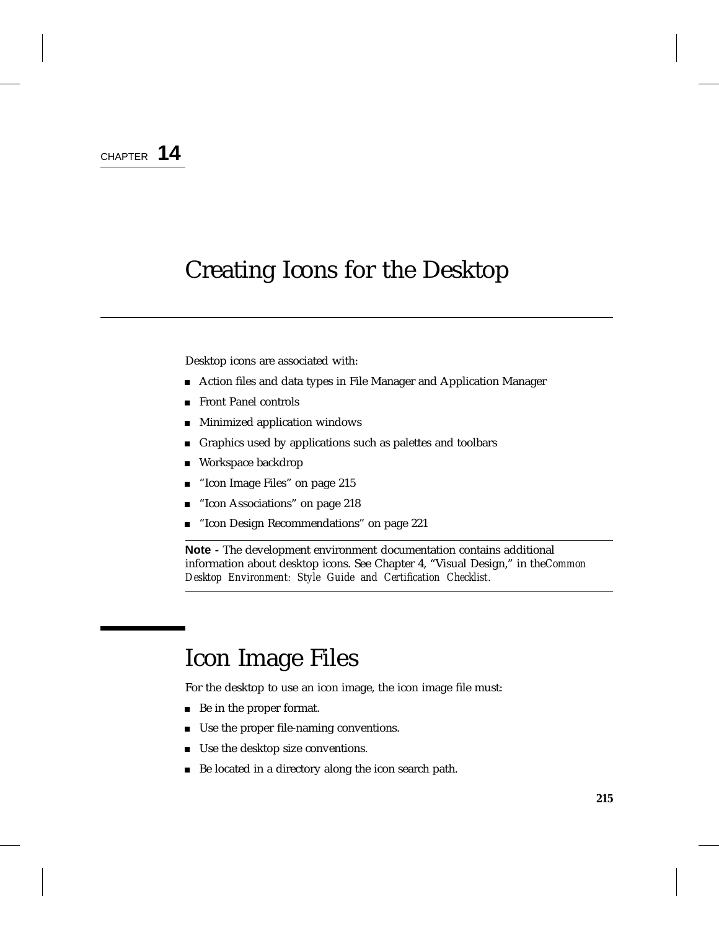#### CHAPTER **14**

# Creating Icons for the Desktop

Desktop icons are associated with:

- Action files and data types in File Manager and Application Manager
- Front Panel controls
- Minimized application windows
- Graphics used by applications such as palettes and toolbars
- Workspace backdrop
- "Icon Image Files" on page 215
- "Icon Associations" on page 218
- "Icon Design Recommendations" on page 221

**Note -** The development environment documentation contains additional information about desktop icons. See Chapter 4, "Visual Design," in the*Common Desktop Environment: Style Guide and Certification Checklist*.

# Icon Image Files

For the desktop to use an icon image, the icon image file must:

- Be in the proper format.
- Use the proper file-naming conventions.
- **Use the desktop size conventions.**
- Be located in a directory along the icon search path.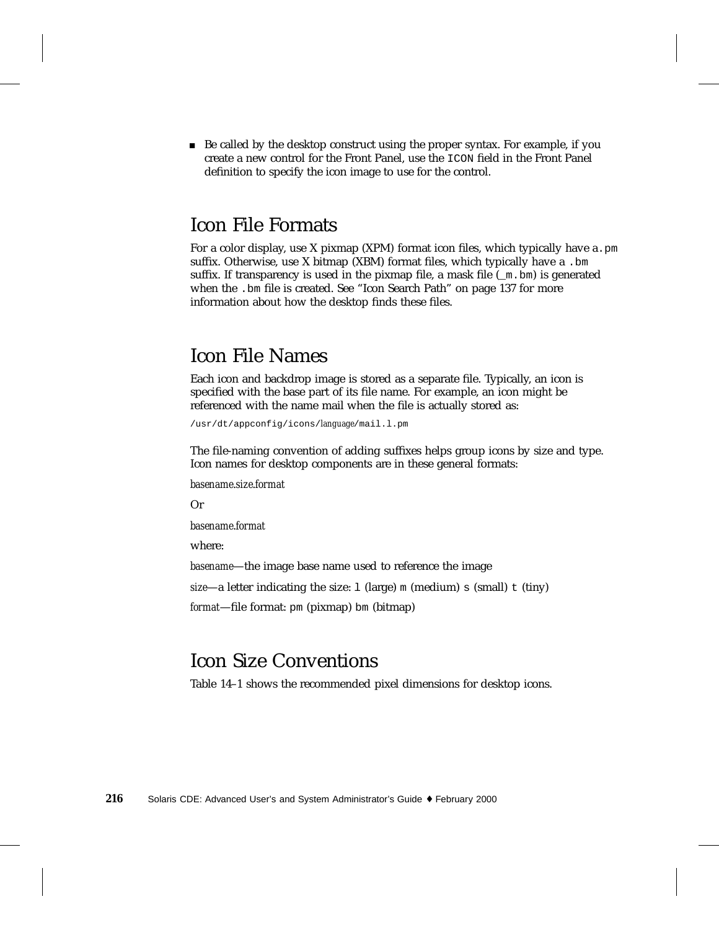$\blacksquare$  Be called by the desktop construct using the proper syntax. For example, if you create a new control for the Front Panel, use the ICON field in the Front Panel definition to specify the icon image to use for the control.

### Icon File Formats

For a color display, use X pixmap (XPM) format icon files, which typically have a.pm suffix. Otherwise, use X bitmap (XBM) format files, which typically have a .bm suffix. If transparency is used in the pixmap file, a mask file  $(m,bm)$  is generated when the .bm file is created. See "Icon Search Path" on page 137 for more information about how the desktop finds these files.

## Icon File Names

Each icon and backdrop image is stored as a separate file. Typically, an icon is specified with the base part of its file name. For example, an icon might be referenced with the name mail when the file is actually stored as:

/usr/dt/appconfig/icons/*language*/mail.l.pm

The file-naming convention of adding suffixes helps group icons by size and type. Icon names for desktop components are in these general formats:

*basename*.*size*.*format*

Or

*basename*.*format*

where:

*basename*—the image base name used to reference the image

 $size$ —a letter indicating the size: 1 (large) m (medium) s (small)  $t$  (tiny)

*format*—file format: pm (pixmap) bm (bitmap)

#### Icon Size Conventions

Table 14–1 shows the recommended pixel dimensions for desktop icons.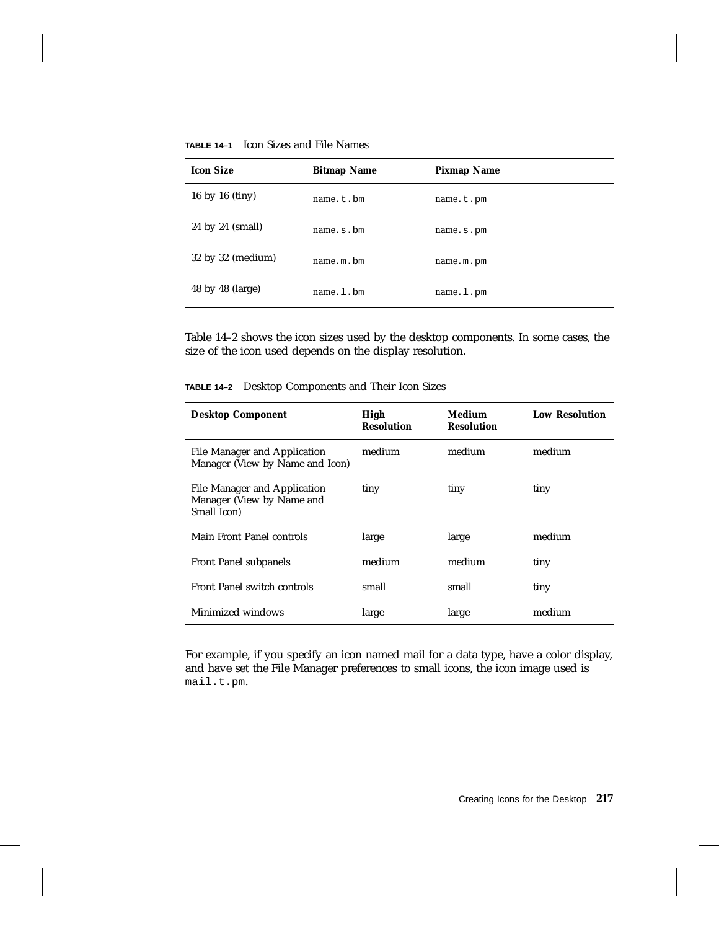| <b>TABLE 14–1</b> Icon Sizes and File Names |  |  |  |
|---------------------------------------------|--|--|--|
|---------------------------------------------|--|--|--|

| <b>Icon Size</b>                   | <b>Bitmap Name</b> | Pixmap Name    |
|------------------------------------|--------------------|----------------|
| $16 \text{ by } 16 \text{ (tiny)}$ | name.t.bm          | name.t.pm      |
| 24 by 24 (small)                   | $name.s.$ bm       | $name.s.$ $pm$ |
| 32 by 32 (medium)                  | name.m.bm          | name.m.pm      |
| $48$ by $48$ (large)               | name.1.bm          | name.1.pm      |

Table 14–2 shows the icon sizes used by the desktop components. In some cases, the size of the icon used depends on the display resolution.

| <b>Desktop Component</b>                                                | High<br><b>Resolution</b> | Medium<br><b>Resolution</b> | <b>Low Resolution</b> |
|-------------------------------------------------------------------------|---------------------------|-----------------------------|-----------------------|
| File Manager and Application<br>Manager (View by Name and Icon)         | medium                    | medium                      | medium                |
| File Manager and Application<br>Manager (View by Name and<br>Small Icon | tiny                      | tiny                        | tiny                  |
| Main Front Panel controls                                               | large                     | large                       | medium                |
| Front Panel subpanels                                                   | medium                    | medium                      | tiny                  |
| Front Panel switch controls                                             | small                     | small                       | tiny                  |
| Minimized windows                                                       | large                     | large                       | medium                |

**TABLE 14–2** Desktop Components and Their Icon Sizes

For example, if you specify an icon named mail for a data type, have a color display, and have set the File Manager preferences to small icons, the icon image used is mail.t.pm.

Creating Icons for the Desktop **217**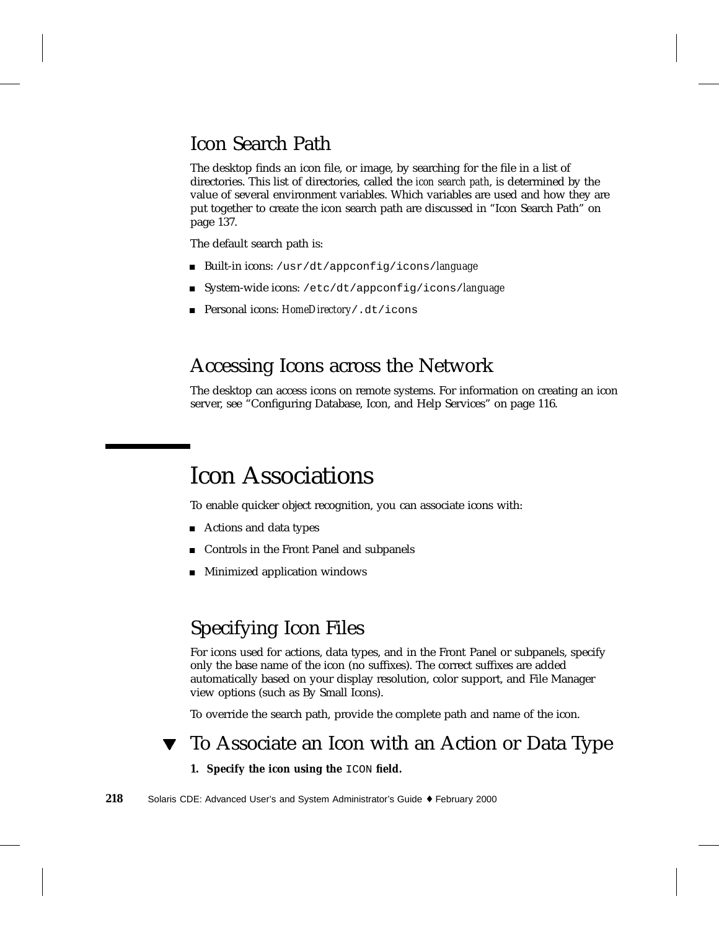### Icon Search Path

The desktop finds an icon file, or image, by searching for the file in a list of directories. This list of directories, called the *icon search path*, is determined by the value of several environment variables. Which variables are used and how they are put together to create the icon search path are discussed in "Icon Search Path" on page 137.

The default search path is:

- Built-in icons: /usr/dt/appconfig/icons/*language*
- System-wide icons: /etc/dt/appconfig/icons/*language*
- Personal icons: *HomeDirectory*/.dt/icons

### Accessing Icons across the Network

The desktop can access icons on remote systems. For information on creating an icon server, see "Configuring Database, Icon, and Help Services" on page 116.

## Icon Associations

To enable quicker object recognition, you can associate icons with:

- Actions and data types
- **Controls in the Front Panel and subpanels**
- Minimized application windows

### Specifying Icon Files

For icons used for actions, data types, and in the Front Panel or subpanels, specify only the base name of the icon (no suffixes). The correct suffixes are added automatically based on your display resolution, color support, and File Manager view options (such as By Small Icons).

To override the search path, provide the complete path and name of the icon.

### $\blacktriangledown$  To Associate an Icon with an Action or Data Type

**1. Specify the icon using the** ICON **field.**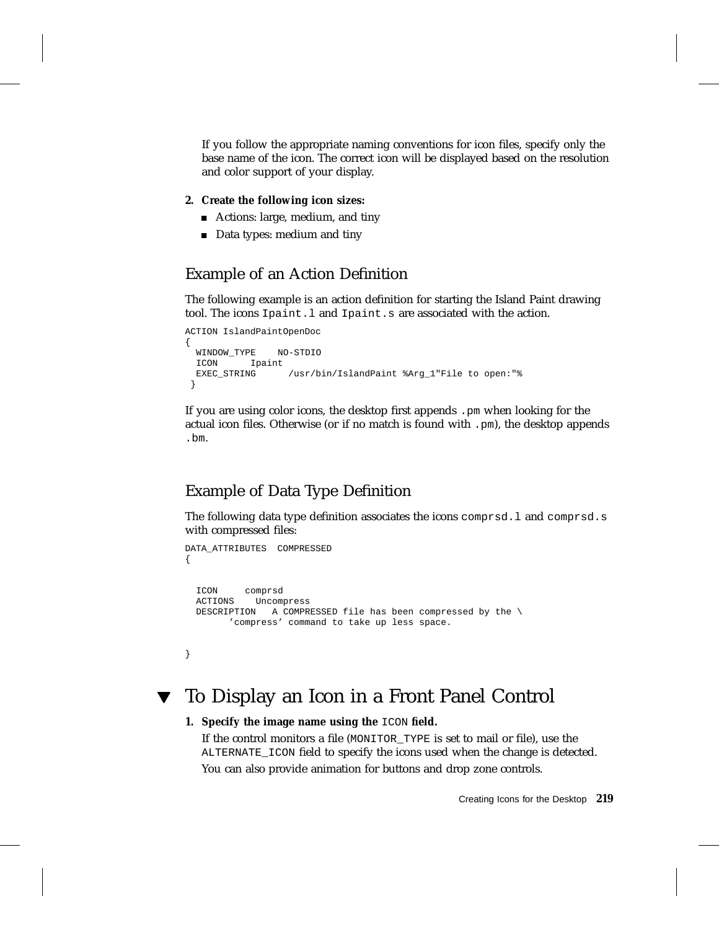If you follow the appropriate naming conventions for icon files, specify only the base name of the icon. The correct icon will be displayed based on the resolution and color support of your display.

#### **2. Create the following icon sizes:**

- Actions: large, medium, and tiny
- Data types: medium and tiny

#### Example of an Action Definition

The following example is an action definition for starting the Island Paint drawing tool. The icons Ipaint.l and Ipaint.s are associated with the action.

```
ACTION IslandPaintOpenDoc
{
 WINDOW_TYPE NO-STDIO
 ICON Ipaint
 EXEC_STRING /usr/bin/IslandPaint %Arg_1"File to open:"%
 }
```
If you are using color icons, the desktop first appends .pm when looking for the actual icon files. Otherwise (or if no match is found with .pm), the desktop appends .bm.

#### Example of Data Type Definition

The following data type definition associates the icons  $\texttt{comprsd.l}$  and  $\texttt{comprsd.s}$ with compressed files:

```
DATA_ATTRIBUTES COMPRESSED
{
 ICON comprsd
 ACTIONS Uncompress
 DESCRIPTION A COMPRESSED file has been compressed by the \
       'compress' command to take up less space.
}
```
## ▼ To Display an Icon in a Front Panel Control

**1. Specify the image name using the** ICON **field.**

If the control monitors a file (MONITOR\_TYPE is set to mail or file), use the ALTERNATE\_ICON field to specify the icons used when the change is detected.

You can also provide animation for buttons and drop zone controls.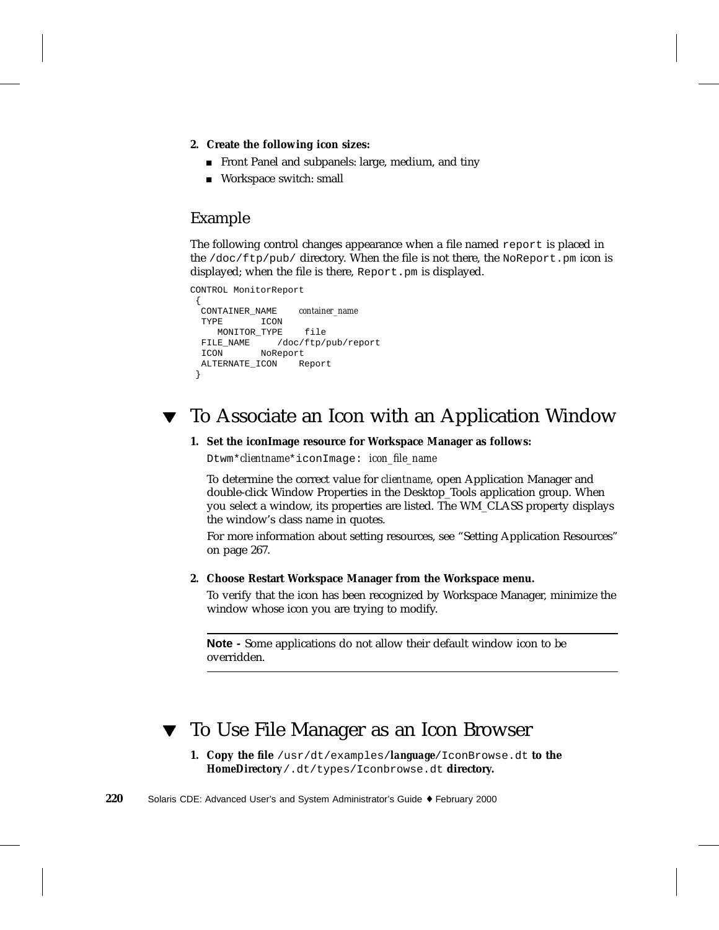- **2. Create the following icon sizes:**
	- Front Panel and subpanels: large, medium, and tiny
	- **Workspace switch: small**

#### Example

The following control changes appearance when a file named report is placed in the /doc/ftp/pub/ directory. When the file is not there, the NoReport.pm icon is displayed; when the file is there, Report.pm is displayed.

```
CONTROL MonitorReport
 {
 CONTAINER_NAME container_name
 TYPE
   MONITOR_TYPE file
 FILE_NAME /doc/ftp/pub/report
 ICON NoReport
 ALTERNATE_ICON Report
 }
```
#### To Associate an Icon with an Application Window  $\blacktriangledown$

#### **1. Set the iconImage resource for Workspace Manager as follows:**

Dtwm\**clientname*\*iconImage: *icon\_file\_name*

To determine the correct value for *clientname*, open Application Manager and double-click Window Properties in the Desktop\_Tools application group. When you select a window, its properties are listed. The WM\_CLASS property displays the window's class name in quotes.

For more information about setting resources, see "Setting Application Resources" on page 267.

#### **2. Choose Restart Workspace Manager from the Workspace menu.**

To verify that the icon has been recognized by Workspace Manager, minimize the window whose icon you are trying to modify.

**Note -** Some applications do not allow their default window icon to be overridden.

#### To Use File Manager as an Icon Browser  $\blacktriangledown$

**1. Copy the file** /usr/dt/examples/*language*/IconBrowse.dt **to the** *HomeDirectory*/.dt/types/Iconbrowse.dt **directory.**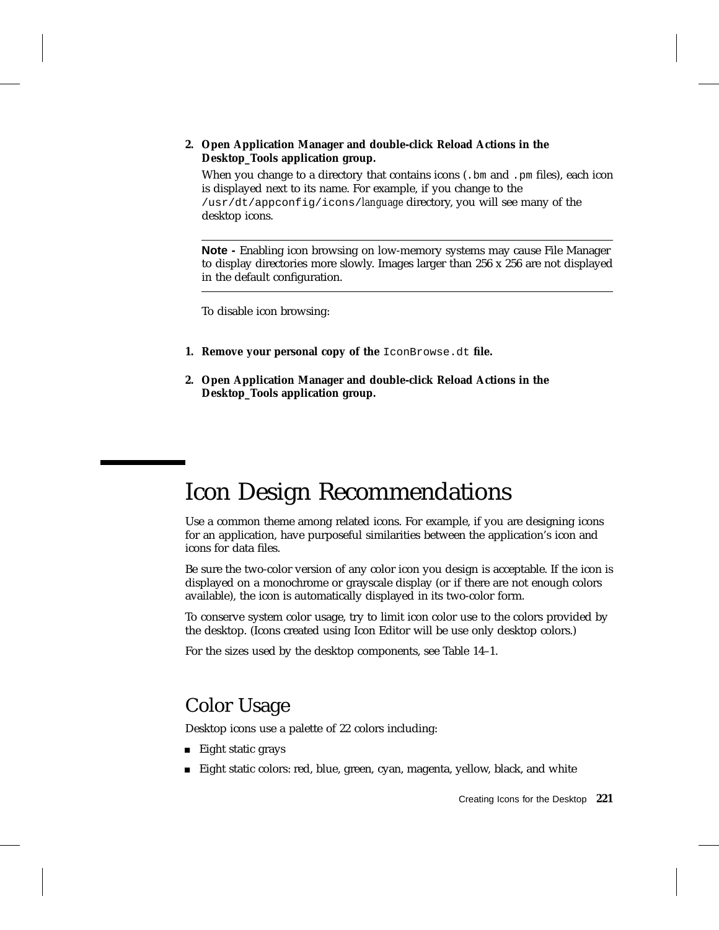**2. Open Application Manager and double-click Reload Actions in the Desktop\_Tools application group.**

When you change to a directory that contains icons  $( . \text{bm and } . \text{pm files})$ , each icon is displayed next to its name. For example, if you change to the /usr/dt/appconfig/icons/*language* directory, you will see many of the desktop icons.

**Note -** Enabling icon browsing on low-memory systems may cause File Manager to display directories more slowly. Images larger than 256 x 256 are not displayed in the default configuration.

To disable icon browsing:

- **1. Remove your personal copy of the** IconBrowse.dt **file.**
- **2. Open Application Manager and double-click Reload Actions in the Desktop\_Tools application group.**

# Icon Design Recommendations

Use a common theme among related icons. For example, if you are designing icons for an application, have purposeful similarities between the application's icon and icons for data files.

Be sure the two-color version of any color icon you design is acceptable. If the icon is displayed on a monochrome or grayscale display (or if there are not enough colors available), the icon is automatically displayed in its two-color form.

To conserve system color usage, try to limit icon color use to the colors provided by the desktop. (Icons created using Icon Editor will be use only desktop colors.)

For the sizes used by the desktop components, see Table 14–1.

### Color Usage

Desktop icons use a palette of 22 colors including:

- Eight static grays
- Eight static colors: red, blue, green, cyan, magenta, yellow, black, and white

Creating Icons for the Desktop **221**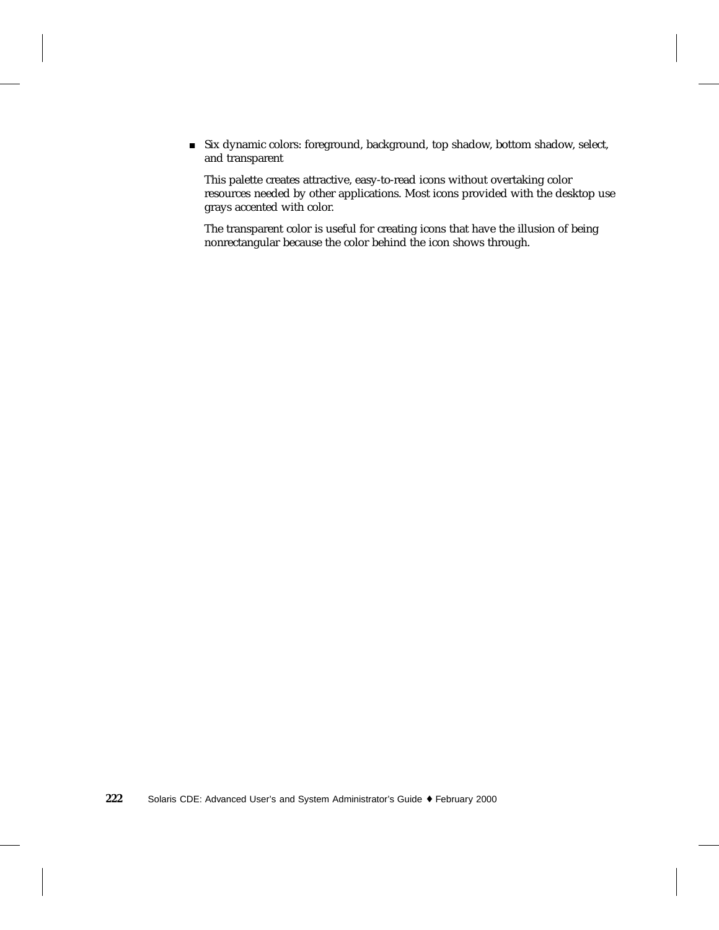Six dynamic colors: foreground, background, top shadow, bottom shadow, select, and transparent

This palette creates attractive, easy-to-read icons without overtaking color resources needed by other applications. Most icons provided with the desktop use grays accented with color.

The transparent color is useful for creating icons that have the illusion of being nonrectangular because the color behind the icon shows through.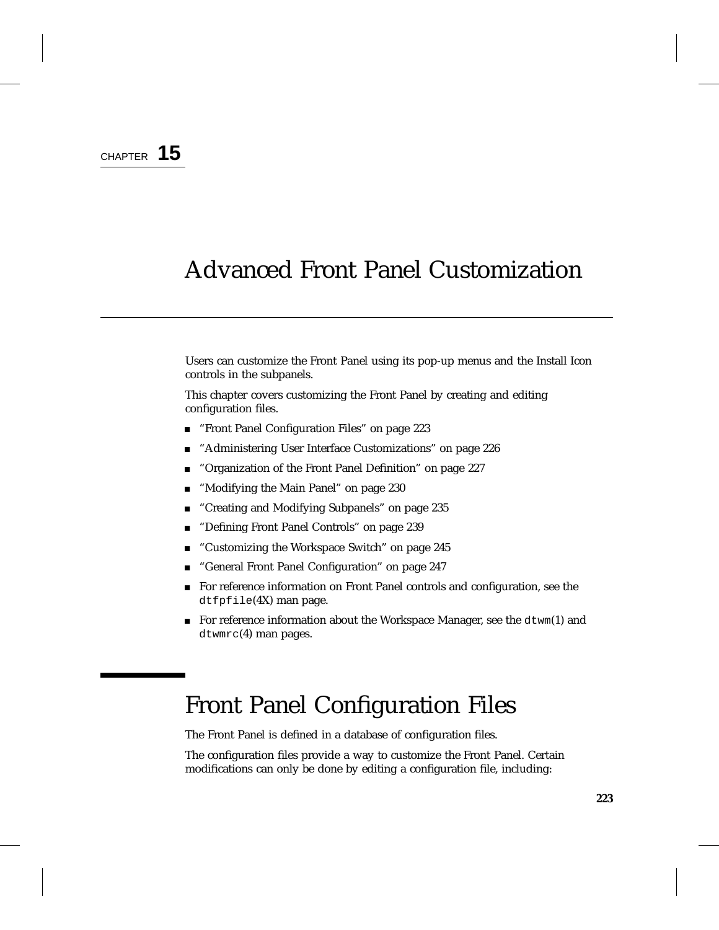### CHAPTER **15**

# Advanced Front Panel Customization

Users can customize the Front Panel using its pop-up menus and the Install Icon controls in the subpanels.

This chapter covers customizing the Front Panel by creating and editing configuration files.

- "Front Panel Configuration Files" on page 223
- "Administering User Interface Customizations" on page 226
- "Organization of the Front Panel Definition" on page 227
- "Modifying the Main Panel" on page 230
- "Creating and Modifying Subpanels" on page 235
- "Defining Front Panel Controls" on page 239
- "Customizing the Workspace Switch" on page 245
- "General Front Panel Configuration" on page 247
- For reference information on Front Panel controls and configuration, see the dtfpfile(4X) man page.
- For reference information about the Workspace Manager, see the  $d$ twm $(1)$  and dtwmrc(4) man pages.

## Front Panel Configuration Files

The Front Panel is defined in a database of configuration files.

The configuration files provide a way to customize the Front Panel. Certain modifications can only be done by editing a configuration file, including: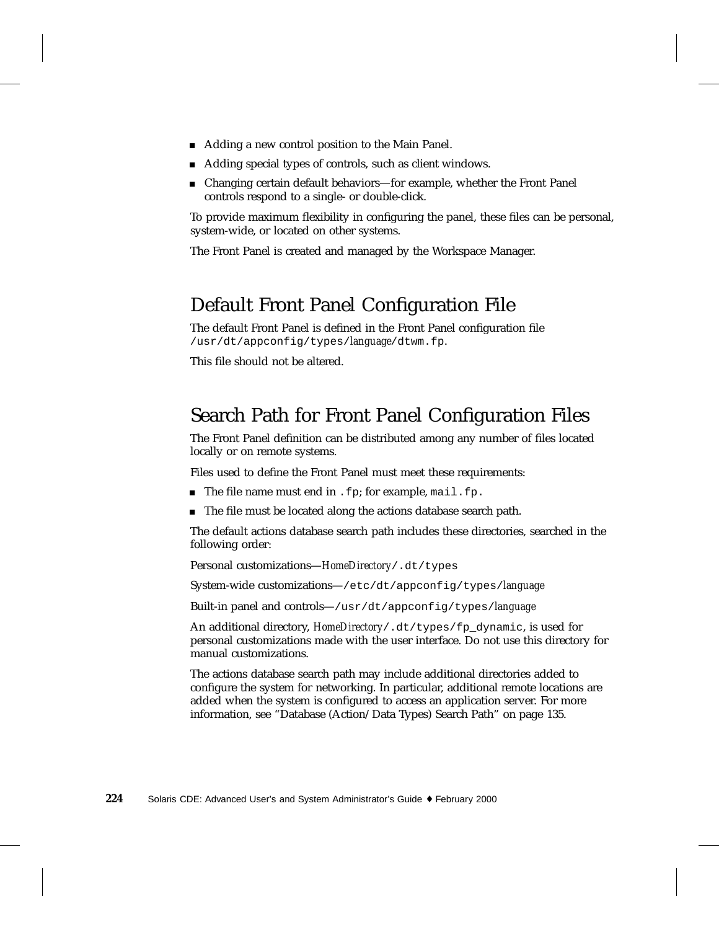- Adding a new control position to the Main Panel.
- Adding special types of controls, such as client windows.
- Changing certain default behaviors—for example, whether the Front Panel controls respond to a single- or double-click.

To provide maximum flexibility in configuring the panel, these files can be personal, system-wide, or located on other systems.

The Front Panel is created and managed by the Workspace Manager.

### Default Front Panel Configuration File

The default Front Panel is defined in the Front Panel configuration file /usr/dt/appconfig/types/*language*/dtwm.fp.

This file should not be altered.

### Search Path for Front Panel Configuration Files

The Front Panel definition can be distributed among any number of files located locally or on remote systems.

Files used to define the Front Panel must meet these requirements:

- The file name must end in . fp; for example,  $mail.fp$ .
- The file must be located along the actions database search path.

The default actions database search path includes these directories, searched in the following order:

Personal customizations—*HomeDirectory*/.dt/types

System-wide customizations—/etc/dt/appconfig/types/*language*

Built-in panel and controls—/usr/dt/appconfig/types/*language*

An additional directory, *HomeDirectory*/.dt/types/fp\_dynamic, is used for personal customizations made with the user interface. Do not use this directory for manual customizations.

The actions database search path may include additional directories added to configure the system for networking. In particular, additional remote locations are added when the system is configured to access an application server. For more information, see "Database (Action/Data Types) Search Path" on page 135.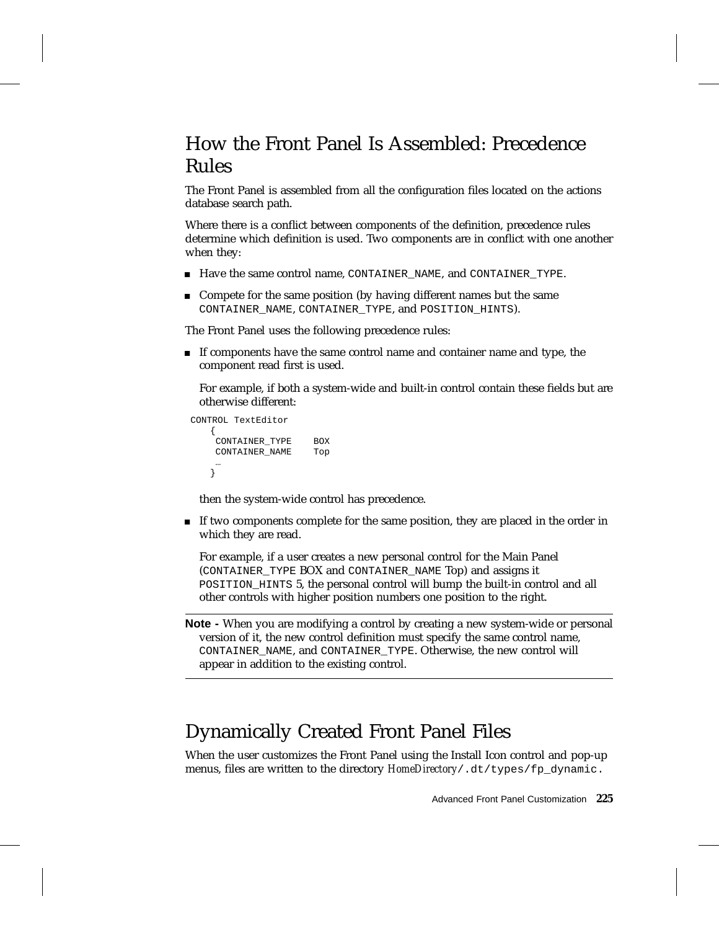## How the Front Panel Is Assembled: Precedence Rules

The Front Panel is assembled from all the configuration files located on the actions database search path.

Where there is a conflict between components of the definition, precedence rules determine which definition is used. Two components are in conflict with one another when they:

- **Have the same control name, CONTAINER\_NAME, and CONTAINER\_TYPE.**
- Compete for the same position (by having different names but the same CONTAINER\_NAME, CONTAINER\_TYPE, and POSITION\_HINTS).

The Front Panel uses the following precedence rules:

If components have the same control name and container name and type, the component read first is used.

For example, if both a system-wide and built-in control contain these fields but are otherwise different:

```
CONTROL TextEditor
```

```
{
CONTAINER TYPE BOX
CONTAINER_NAME Top
 …
}
```
then the system-wide control has precedence.

If two components complete for the same position, they are placed in the order in which they are read.

For example, if a user creates a new personal control for the Main Panel (CONTAINER\_TYPE BOX and CONTAINER\_NAME Top) and assigns it POSITION\_HINTS 5, the personal control will bump the built-in control and all other controls with higher position numbers one position to the right.

**Note -** When you are modifying a control by creating a new system-wide or personal version of it, the new control definition must specify the same control name, CONTAINER\_NAME, and CONTAINER\_TYPE. Otherwise, the new control will appear in addition to the existing control.

## Dynamically Created Front Panel Files

When the user customizes the Front Panel using the Install Icon control and pop-up menus, files are written to the directory *HomeDirectory* /  $dt/types/fp_dymamic$ .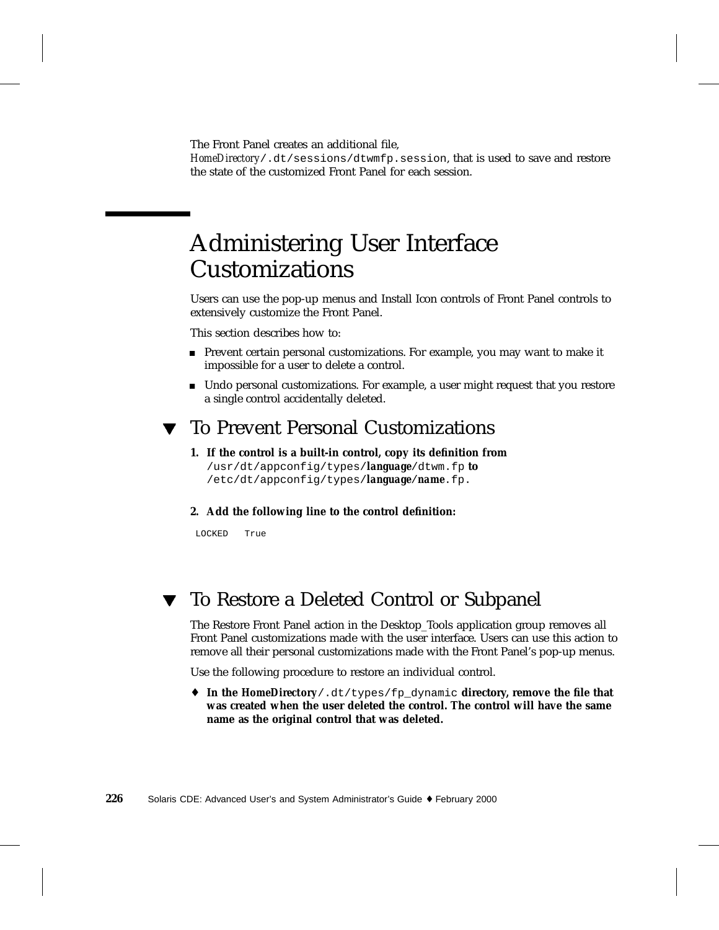The Front Panel creates an additional file,

*HomeDirectory*/.dt/sessions/dtwmfp.session, that is used to save and restore the state of the customized Front Panel for each session.

# Administering User Interface **Customizations**

Users can use the pop-up menus and Install Icon controls of Front Panel controls to extensively customize the Front Panel.

This section describes how to:

- **Prevent certain personal customizations. For example, you may want to make it** impossible for a user to delete a control.
- Undo personal customizations. For example, a user might request that you restore a single control accidentally deleted.

#### To Prevent Personal Customizations

- **1. If the control is a built-in control, copy its definition from** /usr/dt/appconfig/types/*language*/dtwm.fp **to** /etc/dt/appconfig/types/*language*/*name*.fp.
- **2. Add the following line to the control definition:**

LOCKED True

## To Restore a Deleted Control or Subpanel

The Restore Front Panel action in the Desktop\_Tools application group removes all Front Panel customizations made with the user interface. Users can use this action to remove all their personal customizations made with the Front Panel's pop-up menus.

Use the following procedure to restore an individual control.

♦ **In the** *HomeDirectory*/.dt/types/fp\_dynamic **directory, remove the file that was created when the user deleted the control. The control will have the same name as the original control that was deleted.**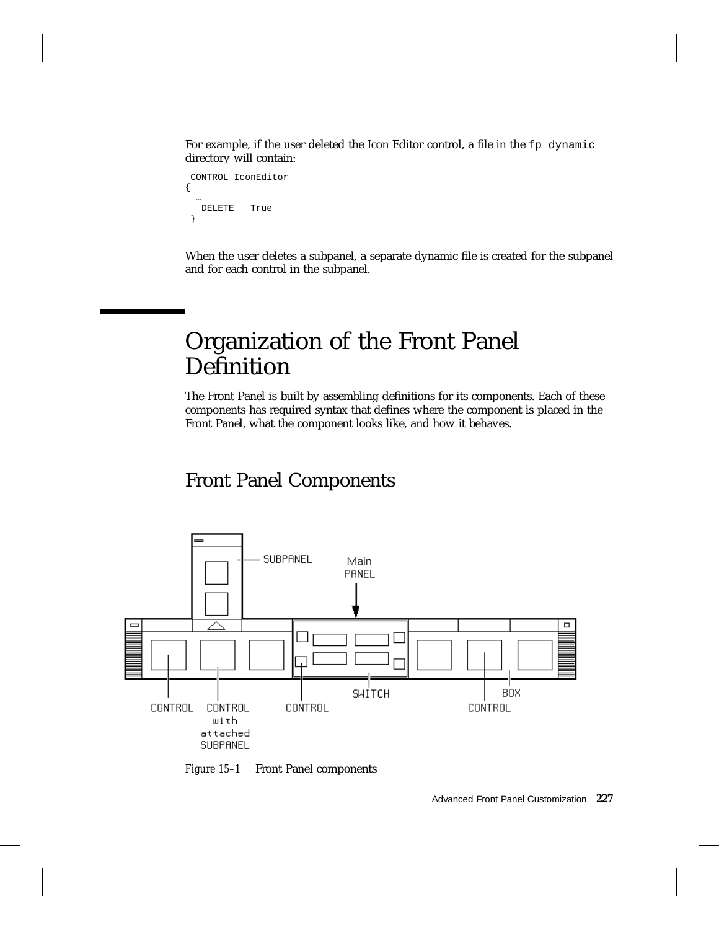For example, if the user deleted the Icon Editor control, a file in the fp\_dynamic directory will contain:

```
CONTROL IconEditor
{
  …
  DELETE True
}
```
When the user deletes a subpanel, a separate dynamic file is created for the subpanel and for each control in the subpanel.

# Organization of the Front Panel Definition

The Front Panel is built by assembling definitions for its components. Each of these components has required syntax that defines where the component is placed in the Front Panel, what the component looks like, and how it behaves.

## Front Panel Components



*Figure 15–1* Front Panel components

Advanced Front Panel Customization **227**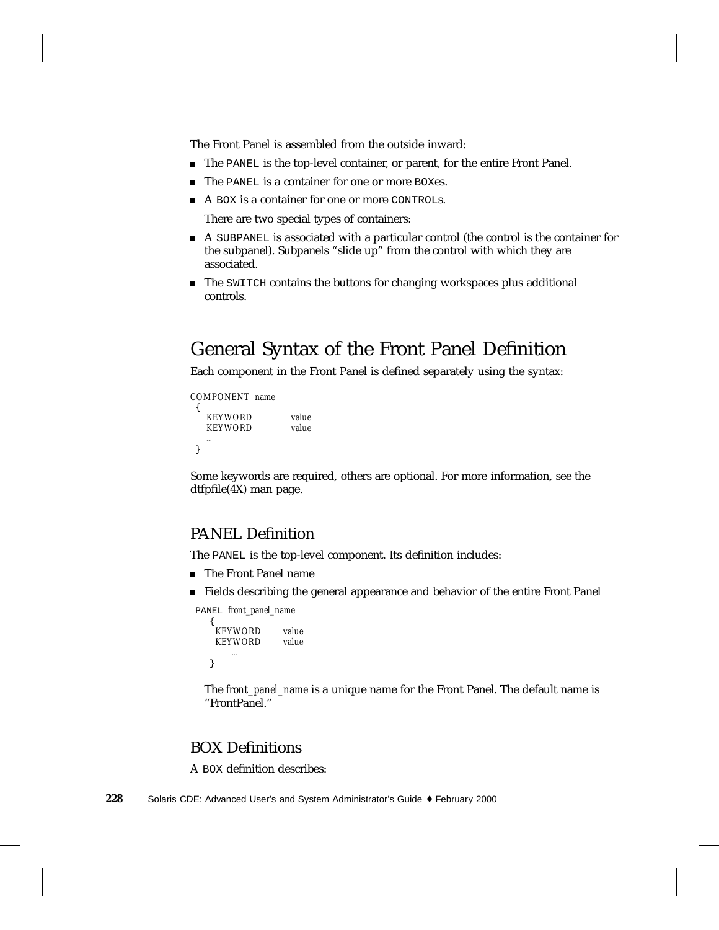The Front Panel is assembled from the outside inward:

- The PANEL is the top-level container, or parent, for the entire Front Panel.
- **The PANEL is a container for one or more BOXes.**
- A BOX is a container for one or more CONTROLS.

There are two special types of containers:

- A SUBPANEL is associated with a particular control (the control is the container for the subpanel). Subpanels "slide up" from the control with which they are associated.
- The SWITCH contains the buttons for changing workspaces plus additional controls.

### General Syntax of the Front Panel Definition

Each component in the Front Panel is defined separately using the syntax:

```
COMPONENT name
 {
  KEYWORD value
  KEYWORD…
}
```
Some keywords are required, others are optional. For more information, see the dtfpfile(4X) man page.

#### PANEL Definition

The PANEL is the top-level component. Its definition includes:

- The Front Panel name
- Fields describing the general appearance and behavior of the entire Front Panel

```
PANEL front_panel_name
   {
```

```
KEYWORD value
KEYWORD
   …
}
```
The *front\_panel\_name* is a unique name for the Front Panel. The default name is "FrontPanel."

#### BOX Definitions

A BOX definition describes: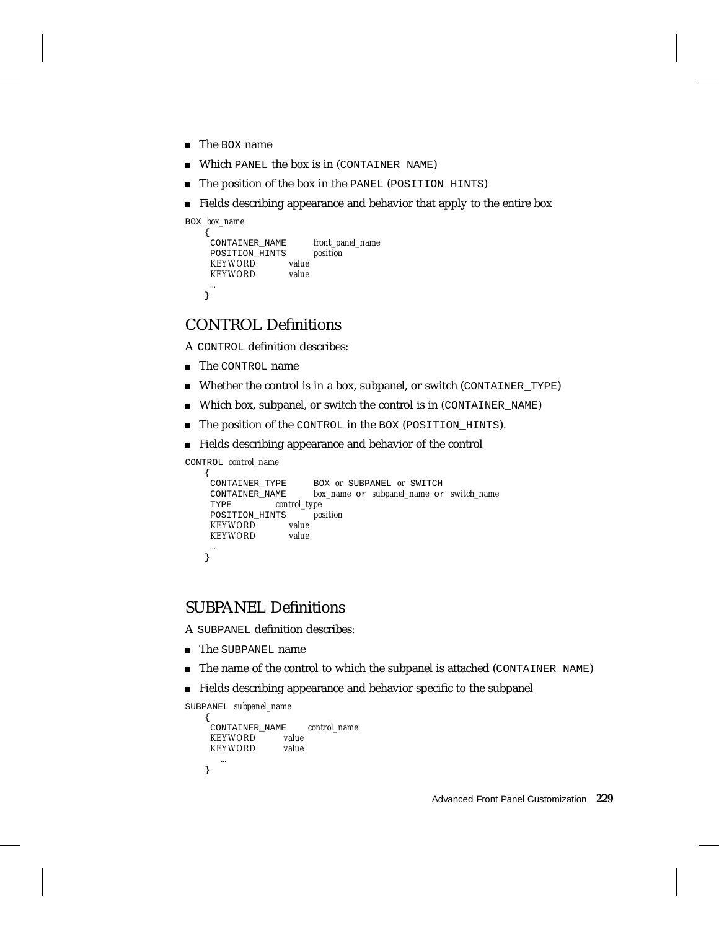- The BOX name
- Which PANEL the box is in (CONTAINER\_NAME)
- The position of the box in the PANEL (POSITION\_HINTS)
- Fields describing appearance and behavior that apply to the entire box

BOX *box\_name*

```
{
CONTAINER_NAME front_panel_name
POSITION_HINTS position
KEYWORDKEYWORD value
 …
}
```
#### CONTROL Definitions

A CONTROL definition describes:

- **The CONTROL name**
- Whether the control is in a box, subpanel, or switch (CONTAINER\_TYPE)
- Which box, subpanel, or switch the control is in (CONTAINER\_NAME)
- The position of the CONTROL in the BOX (POSITION\_HINTS).

Fields describing appearance and behavior of the control

```
CONTROL control_name
    {
     CONTAINER_TYPE BOX or SUBPANEL or SWITCH
     CONTAINER_NAME box_name or subpanel_name or switch_name
                   \frac{\text{control\_type}}{\text{cross}}POSITION_HINTS position
     KEYWORD value
     KEYWORD
      …
    }
```
#### SUBPANEL Definitions

A SUBPANEL definition describes:

- **The SUBPANEL name**
- The name of the control to which the subpanel is attached (CONTAINER\_NAME)
- Fields describing appearance and behavior specific to the subpanel

SUBPANEL *subpanel\_name*

```
{
CONTAINER_NAME control_name
KEYWORD value
KEYWORD
  …
}
```
Advanced Front Panel Customization **229**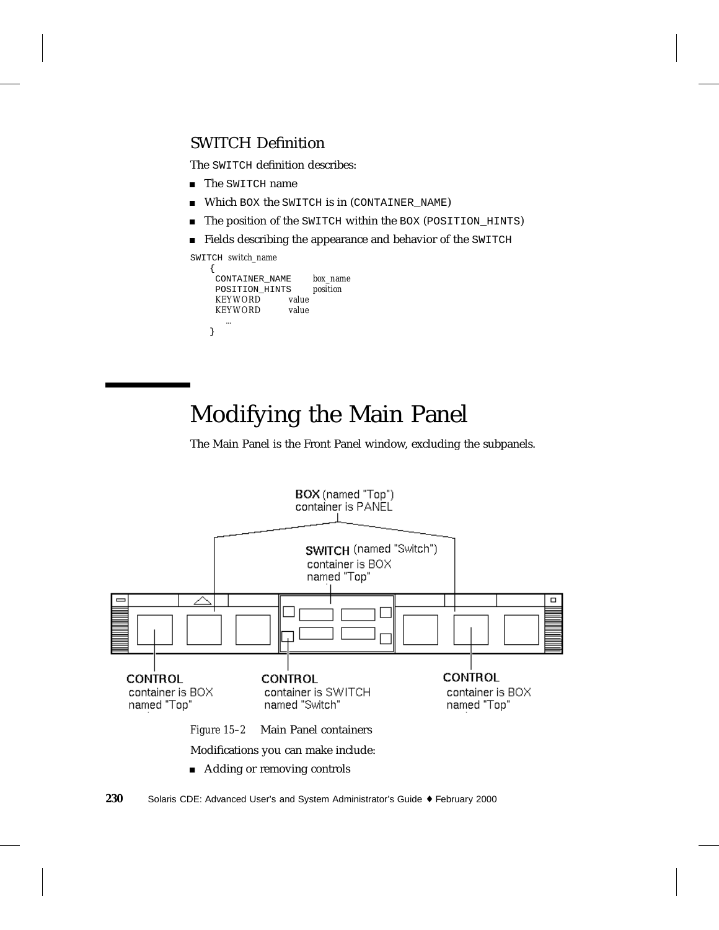#### SWITCH Definition

The SWITCH definition describes:

- **The SWITCH name**
- Which BOX the SWITCH is in (CONTAINER\_NAME)
- The position of the SWITCH within the BOX (POSITION\_HINTS)
- Fields describing the appearance and behavior of the SWITCH

```
SWITCH switch_name
    {
    CONTAINER_NAME box_name
    POSITION_HINTS position
    KEYWORD value
    KEYWORD
       …
    }
```
# Modifying the Main Panel

The Main Panel is the Front Panel window, excluding the subpanels.



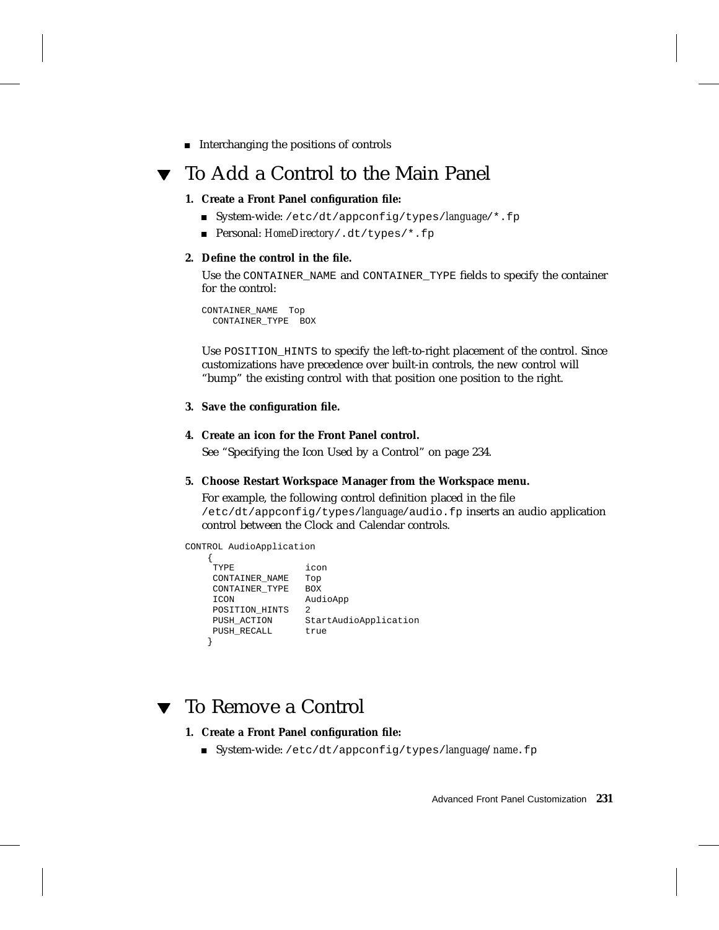$\blacksquare$  Interchanging the positions of controls

# To Add a Control to the Main Panel

## **1. Create a Front Panel configuration file:**

- System-wide: /etc/dt/appconfig/types/*language*/\*.fp
- Personal: *HomeDirectory*/.dt/types/\*.fp

## **2. Define the control in the file.**

Use the CONTAINER\_NAME and CONTAINER\_TYPE fields to specify the container for the control:

CONTAINER\_NAME Top CONTAINER\_TYPE BOX

Use POSITION\_HINTS to specify the left-to-right placement of the control. Since customizations have precedence over built-in controls, the new control will "bump" the existing control with that position one position to the right.

## **3. Save the configuration file.**

### **4. Create an icon for the Front Panel control.**

See "Specifying the Icon Used by a Control" on page 234.

### **5. Choose Restart Workspace Manager from the Workspace menu.**

For example, the following control definition placed in the file /etc/dt/appconfig/types/*language*/audio.fp inserts an audio application control between the Clock and Calendar controls.

CONTROL AudioApplication

```
\{TYPE
               icon
CONTAINER_NAME Top
CONTAINER_TYPE BOX
ICON AudioApp
POSITION_HINTS 2
PUSH_ACTION StartAudioApplication
PUSH_RECALL true
}
```
# ▼ To Remove a Control

## **1. Create a Front Panel configuration file:**

System-wide: /etc/dt/appconfig/types/*language*/*name*.fp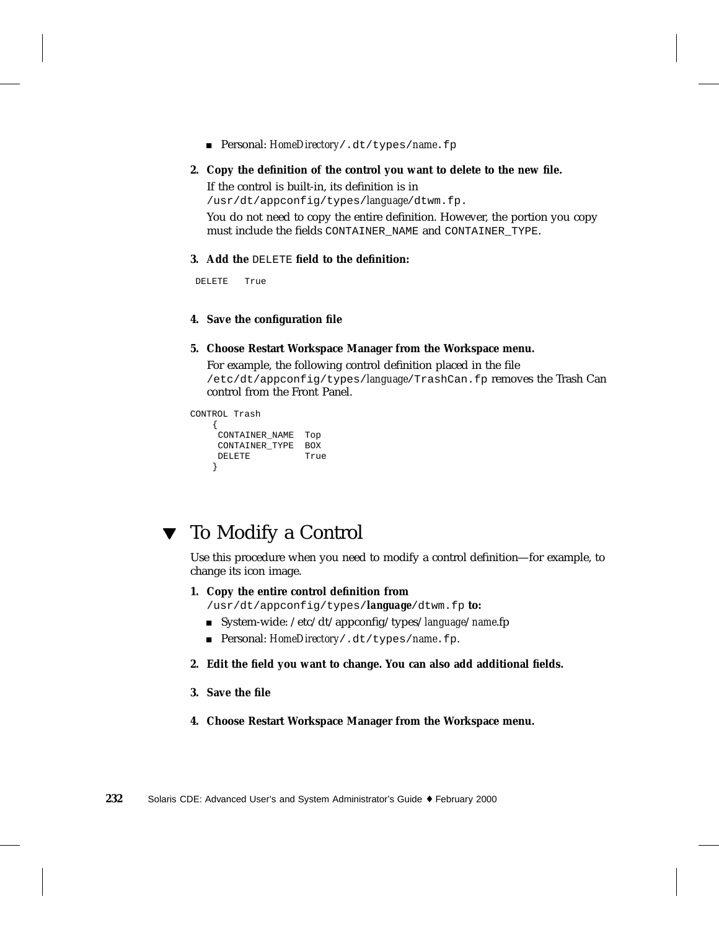- Personal: *HomeDirectory*/.dt/types/*name*.fp
- **2. Copy the definition of the control you want to delete to the new file.**

If the control is built-in, its definition is in /usr/dt/appconfig/types/*language*/dtwm.fp.

You do not need to copy the entire definition. However, the portion you copy must include the fields CONTAINER\_NAME and CONTAINER\_TYPE.

### **3. Add the** DELETE **field to the definition:**

DELETE True

### **4. Save the configuration file**

### **5. Choose Restart Workspace Manager from the Workspace menu.**

For example, the following control definition placed in the file /etc/dt/appconfig/types/*language*/TrashCan.fp removes the Trash Can control from the Front Panel.

```
CONTROL Trash
   {
    CONTAINER_NAME Top
    CONTAINER_TYPE BOX
    DELETE True
   }
```
# $\blacktriangledown$  To Modify a Control

Use this procedure when you need to modify a control definition—for example, to change its icon image.

**1. Copy the entire control definition from**

/usr/dt/appconfig/types/*language*/dtwm.fp **to:**

- System-wide: /etc/dt/appconfig/types/*language*/*name*.fp
- Personal: *HomeDirectory*/.dt/types/*name*.fp.
- **2. Edit the field you want to change. You can also add additional fields.**
- **3. Save the file**
- **4. Choose Restart Workspace Manager from the Workspace menu.**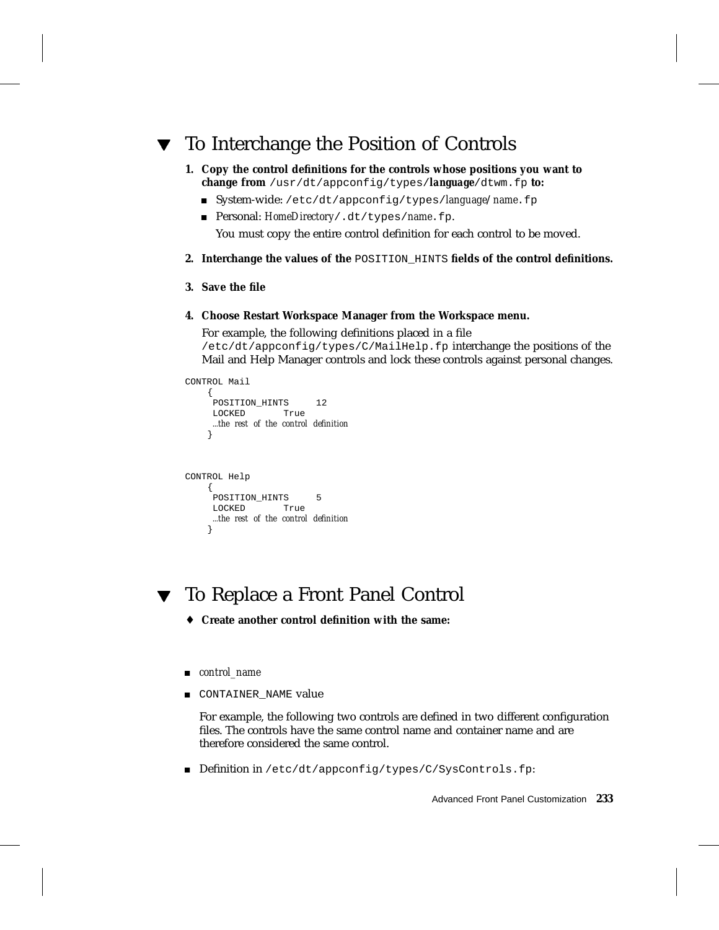# To Interchange the Position of Controls

- **1. Copy the control definitions for the controls whose positions you want to change from** /usr/dt/appconfig/types/*language*/dtwm.fp **to:**
	- System-wide: /etc/dt/appconfig/types/*language*/*name*.fp
	- Personal: *HomeDirectory*/.dt/types/*name*.fp. You must copy the entire control definition for each control to be moved.
- **2. Interchange the values of the** POSITION\_HINTS **fields of the control definitions.**
- **3. Save the file**
- **4. Choose Restart Workspace Manager from the Workspace menu.**

For example, the following definitions placed in a file /etc/dt/appconfig/types/C/MailHelp.fp interchange the positions of the Mail and Help Manager controls and lock these controls against personal changes.

```
CONTROL Mail
     {
     POSITION_HINTS 12
     LOCKED True
     …the rest of the control definition
     }
CONTROL Help
    {
     POSITION_HINTS 5<br>LOCKED True
     LOCKED
     …the rest of the control definition
     }
```
# To Replace a Front Panel Control

- ♦ **Create another control definition with the same:**
- *control\_name*
- CONTAINER NAME value

For example, the following two controls are defined in two different configuration files. The controls have the same control name and container name and are therefore considered the same control.

Definition in /etc/dt/appconfig/types/C/SysControls.fp: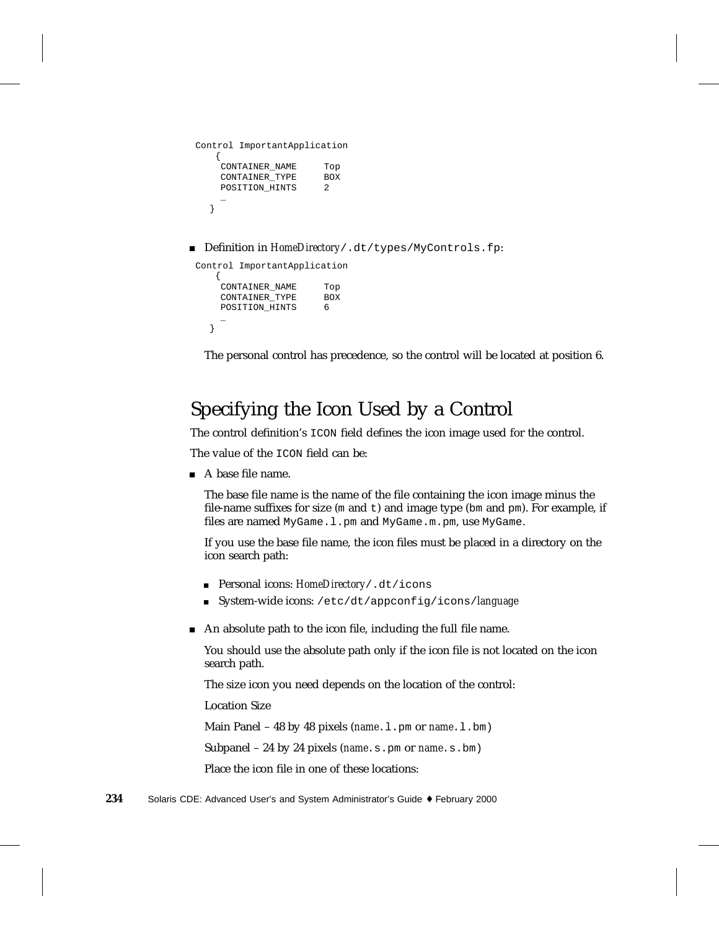```
Control ImportantApplication
   {
    CONTAINER_NAME Top
   CONTAINER_TYPE BOX
   POSITION_HINTS 2
    …
  }
```
■ Definition in *HomeDirectory*/.dt/types/MyControls.fp:

```
Control ImportantApplication
    {
     CONTAINER_NAME Top<br>CONTAINER_TYPE BOX
     CONTAINER_TYPE
     POSITION_HINTS 6
     …
   }
```
The personal control has precedence, so the control will be located at position 6.

# Specifying the Icon Used by a Control

The control definition's ICON field defines the icon image used for the control.

The value of the ICON field can be:

A base file name.

The base file name is the name of the file containing the icon image minus the file-name suffixes for size (m and  $t$ ) and image type (bm and pm). For example, if files are named MyGame.l.pm and MyGame.m.pm, use MyGame.

If you use the base file name, the icon files must be placed in a directory on the icon search path:

- Personal icons: *HomeDirectory*/.dt/icons
- System-wide icons: /etc/dt/appconfig/icons/*language*
- An absolute path to the icon file, including the full file name.

You should use the absolute path only if the icon file is not located on the icon search path.

The size icon you need depends on the location of the control:

Location Size

Main Panel – 48 by 48 pixels (*name*.l.pm or *name*.l.bm)

Subpanel – 24 by 24 pixels (*name*.s.pm or *name*.s.bm)

Place the icon file in one of these locations: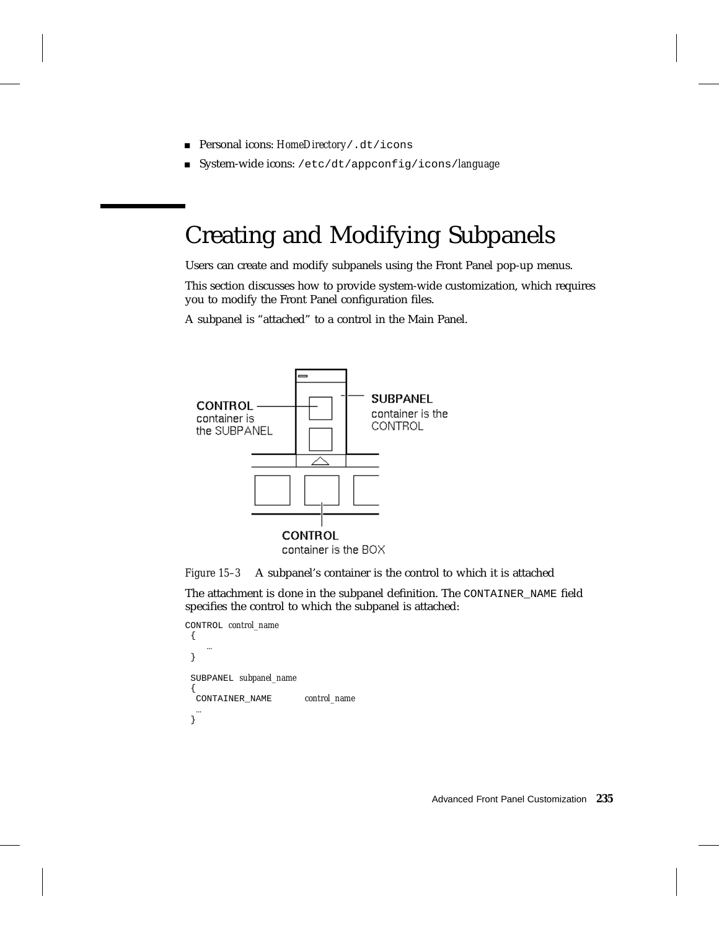- Personal icons: *HomeDirectory*/.dt/icons
- System-wide icons: /etc/dt/appconfig/icons/*language*

# Creating and Modifying Subpanels

Users can create and modify subpanels using the Front Panel pop-up menus.

This section discusses how to provide system-wide customization, which requires you to modify the Front Panel configuration files.

A subpanel is "attached" to a control in the Main Panel.



*Figure 15–3* A subpanel's container is the control to which it is attached

The attachment is done in the subpanel definition. The CONTAINER\_NAME field specifies the control to which the subpanel is attached:

```
CONTROL control_name
 {
    …
 }
 SUBPANEL subpanel_name
 {
  CONTAINER_NAME control_name
  …
 }
```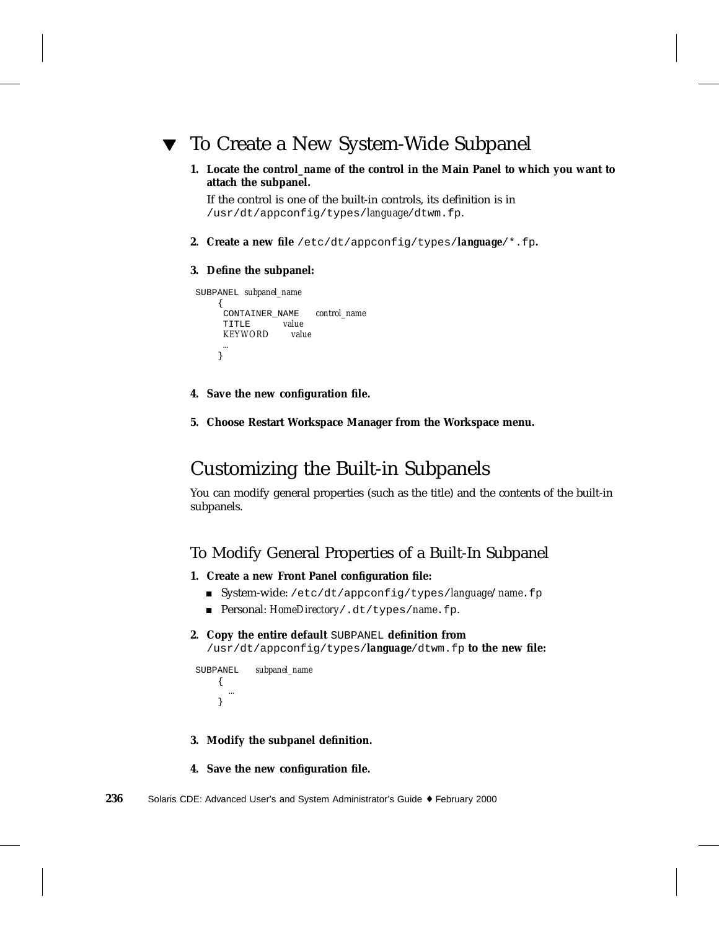### To Create a New System-Wide Subpanel  $\blacktriangledown$

**1. Locate the** *control\_name* **of the control in the Main Panel to which you want to attach the subpanel.**

If the control is one of the built-in controls, its definition is in /usr/dt/appconfig/types/*language*/dtwm.fp.

**2. Create a new file** /etc/dt/appconfig/types/*language*/\*.fp**.**

### **3. Define the subpanel:**

```
SUBPANEL subpanel_name
    {
     CONTAINER_NAME control_name
    TITLE value
     KEYWORD
     …
    }
```
- **4. Save the new configuration file.**
- **5. Choose Restart Workspace Manager from the Workspace menu.**

# Customizing the Built-in Subpanels

You can modify general properties (such as the title) and the contents of the built-in subpanels.

## To Modify General Properties of a Built-In Subpanel

- **1. Create a new Front Panel configuration file:**
	- System-wide: /etc/dt/appconfig/types/*language*/*name*.fp
	- Personal: *HomeDirectory*/.dt/types/*name*.fp.

### **2. Copy the entire default** SUBPANEL **definition from**

/usr/dt/appconfig/types/*language*/dtwm.fp **to the new file:**

```
SUBPANEL subpanel_name
    {
       …
    }
```
- **3. Modify the subpanel definition.**
- **4. Save the new configuration file.**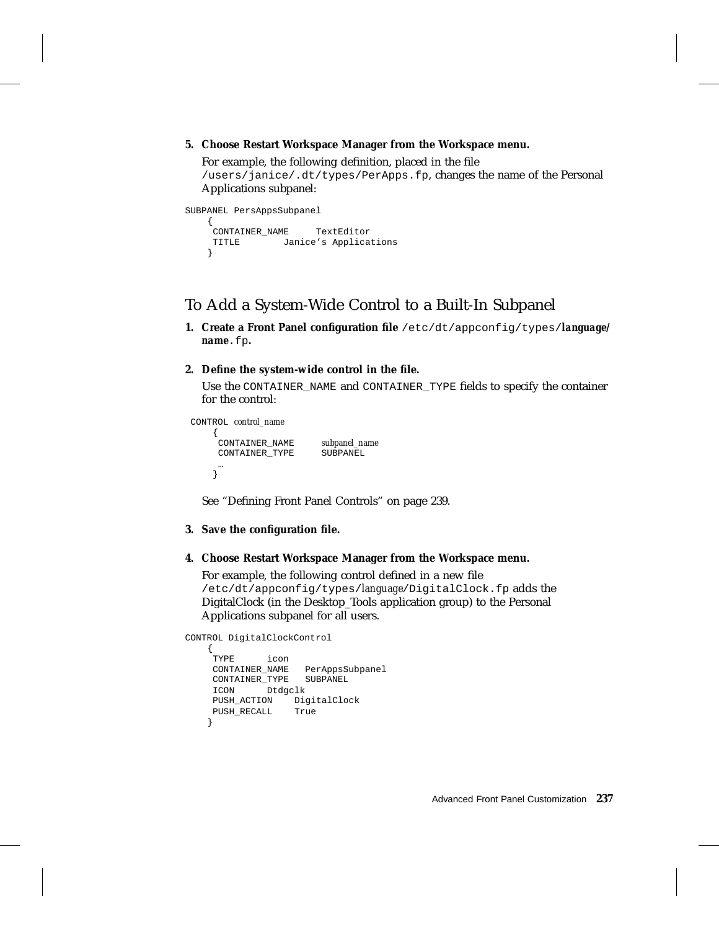**5. Choose Restart Workspace Manager from the Workspace menu.**

For example, the following definition, placed in the file

/users/janice/.dt/types/PerApps.fp, changes the name of the Personal Applications subpanel:

SUBPANEL PersAppsSubpanel

```
{
CONTAINER_NAME TextEditor
TITLE Janice's Applications
}
```
# To Add a System-Wide Control to a Built-In Subpanel

- **1. Create a Front Panel configuration file** /etc/dt/appconfig/types/*language***/** *name*.fp**.**
- **2. Define the system-wide control in the file.**

Use the CONTAINER\_NAME and CONTAINER\_TYPE fields to specify the container for the control:

CONTROL *control\_name*

```
{
 CONTAINER_NAME subpanel_name
CONTAINER_TYPE…
}
```
See "Defining Front Panel Controls" on page 239.

## **3. Save the configuration file.**

**4. Choose Restart Workspace Manager from the Workspace menu.**

For example, the following control defined in a new file /etc/dt/appconfig/types/*language*/DigitalClock.fp adds the DigitalClock (in the Desktop\_Tools application group) to the Personal Applications subpanel for all users.

CONTROL DigitalClockControl

```
{
TYPE icon
CONTAINER_NAME PerAppsSubpanel
CONTAINER_TYPE SUBPANEL
ICON Dtdgclk
 PUSH_ACTION DigitalClock
 PUSH_RECALL True
}
```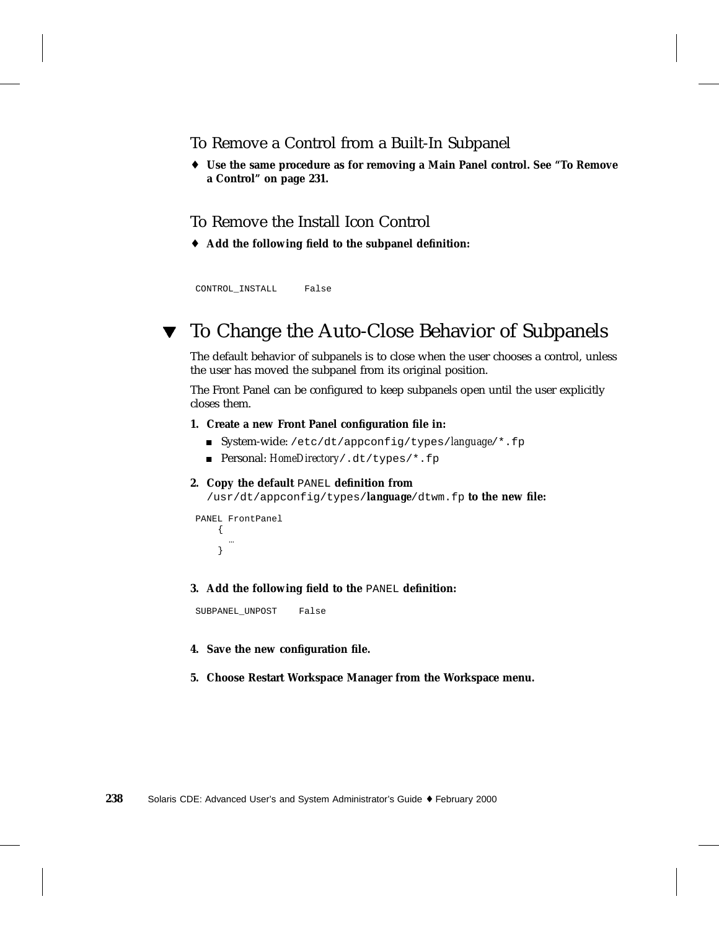# To Remove a Control from a Built-In Subpanel

♦ **Use the same procedure as for removing a Main Panel control. See "To Remove a Control" on page 231.**

# To Remove the Install Icon Control

♦ **Add the following field to the subpanel definition:**

CONTROL\_INSTALL False

### To Change the Auto-Close Behavior of Subpanels  $\blacktriangledown$

The default behavior of subpanels is to close when the user chooses a control, unless the user has moved the subpanel from its original position.

The Front Panel can be configured to keep subpanels open until the user explicitly closes them.

### **1. Create a new Front Panel configuration file in:**

- System-wide: /etc/dt/appconfig/types/*language*/\*.fp
- Personal: *HomeDirectory*/.dt/types/\*.fp

### **2. Copy the default** PANEL **definition from**

/usr/dt/appconfig/types/*language*/dtwm.fp **to the new file:**

```
PANEL FrontPanel
    {
       …
    }
```
### **3. Add the following field to the** PANEL **definition:**

SUBPANEL\_UNPOST False

- **4. Save the new configuration file.**
- **5. Choose Restart Workspace Manager from the Workspace menu.**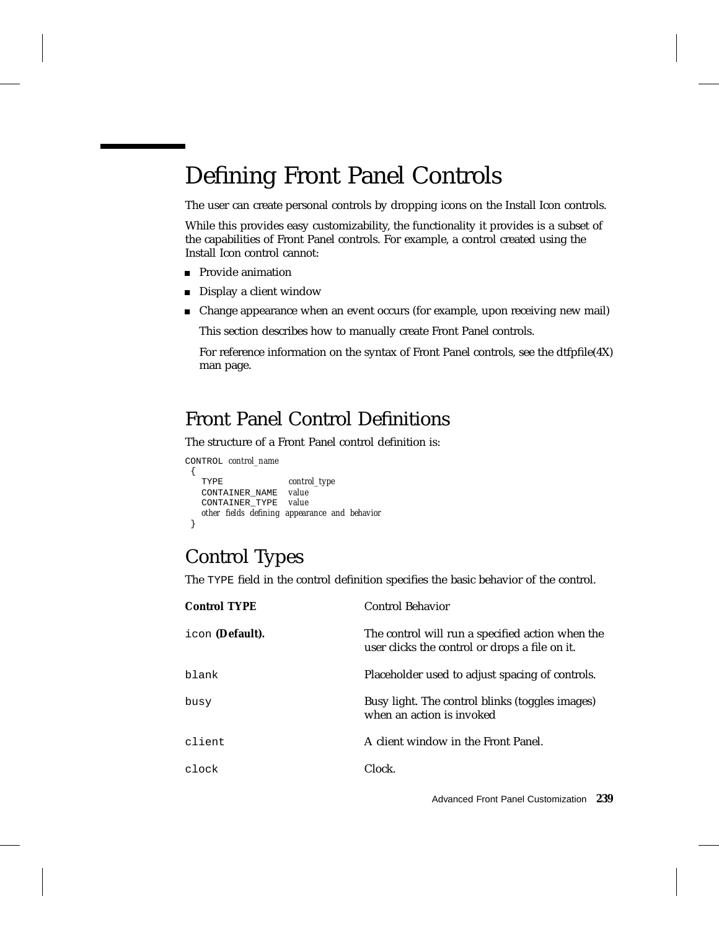# Defining Front Panel Controls

The user can create personal controls by dropping icons on the Install Icon controls.

While this provides easy customizability, the functionality it provides is a subset of the capabilities of Front Panel controls. For example, a control created using the Install Icon control cannot:

- **Provide animation**
- Display a client window
- Change appearance when an event occurs (for example, upon receiving new mail)

This section describes how to manually create Front Panel controls.

For reference information on the syntax of Front Panel controls, see the dtfpfile(4X) man page.

# Front Panel Control Definitions

The structure of a Front Panel control definition is:

|       | CONTROL control_name |                                               |  |
|-------|----------------------|-----------------------------------------------|--|
|       |                      |                                               |  |
| TYPE. |                      | control_type                                  |  |
|       | CONTAINER NAME       | value                                         |  |
|       | CONTAINER TYPE value |                                               |  |
|       |                      | other fields defining appearance and behavior |  |
|       |                      |                                               |  |

# Control Types

The TYPE field in the control definition specifies the basic behavior of the control.

| <b>Control TYPE</b>      | <b>Control Behavior</b>                                                                            |
|--------------------------|----------------------------------------------------------------------------------------------------|
| icon ( <b>Default</b> ). | The control will run a specified action when the<br>user clicks the control or drops a file on it. |
| blank                    | Placeholder used to adjust spacing of controls.                                                    |
| busy                     | Busy light. The control blinks (toggles images)<br>when an action is invoked                       |
| client                   | A client window in the Front Panel.                                                                |
| clock                    | Clock.                                                                                             |
|                          |                                                                                                    |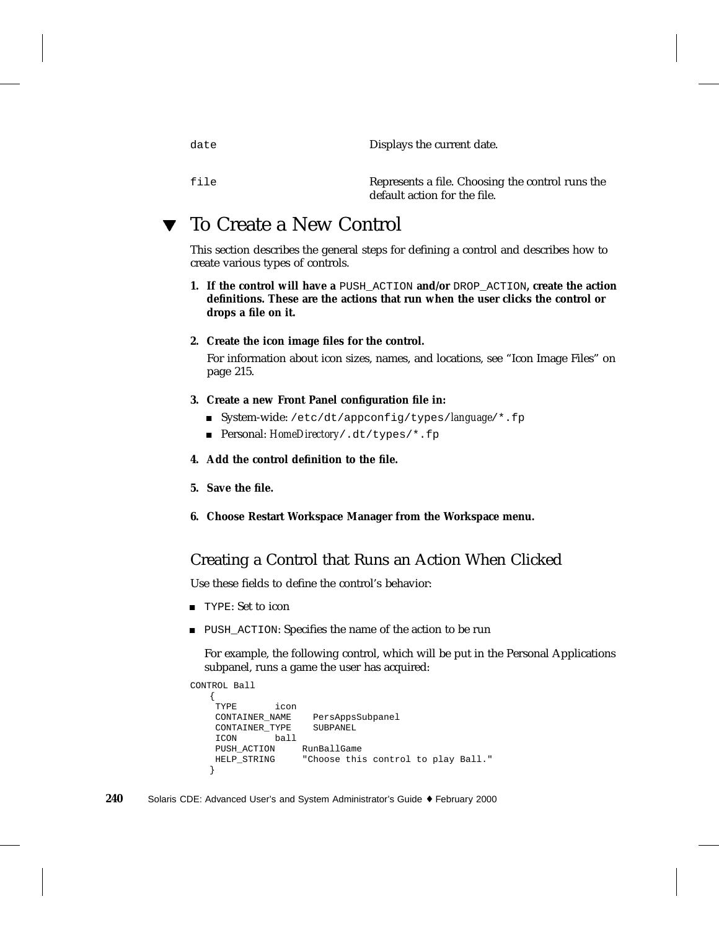| date | Displays the current date.                       |
|------|--------------------------------------------------|
|      |                                                  |
| file | Represents a file. Choosing the control runs the |

default action for the file.

# To Create a New Control

This section describes the general steps for defining a control and describes how to create various types of controls.

**1. If the control will have a** PUSH\_ACTION **and/or** DROP\_ACTION**, create the action definitions. These are the actions that run when the user clicks the control or drops a file on it.**

### **2. Create the icon image files for the control.**

For information about icon sizes, names, and locations, see "Icon Image Files" on page 215.

### **3. Create a new Front Panel configuration file in:**

- System-wide: /etc/dt/appconfig/types/*language*/\*.fp
- Personal: *HomeDirectory*/.dt/types/\*.fp
- **4. Add the control definition to the file.**
- **5. Save the file.**
- **6. Choose Restart Workspace Manager from the Workspace menu.**

# Creating a Control that Runs an Action When Clicked

Use these fields to define the control's behavior:

- **TYPE:** Set to icon
- **PUSH\_ACTION: Specifies the name of the action to be run**

For example, the following control, which will be put in the Personal Applications subpanel, runs a game the user has acquired:

```
CONTROL Ball
    {<br>TYPE
    TYPE icon<br>CONTAINER_NAME
                       PersAppsSubpanel<br>SUBPANEL
    CONTAINER_TYPE
    ICON ball
    PUSH ACTION RunBallGame
    HELP_STRING "Choose this control to play Ball."
    }
```
**240** Solaris CDE: Advanced User's and System Administrator's Guide ♦ February 2000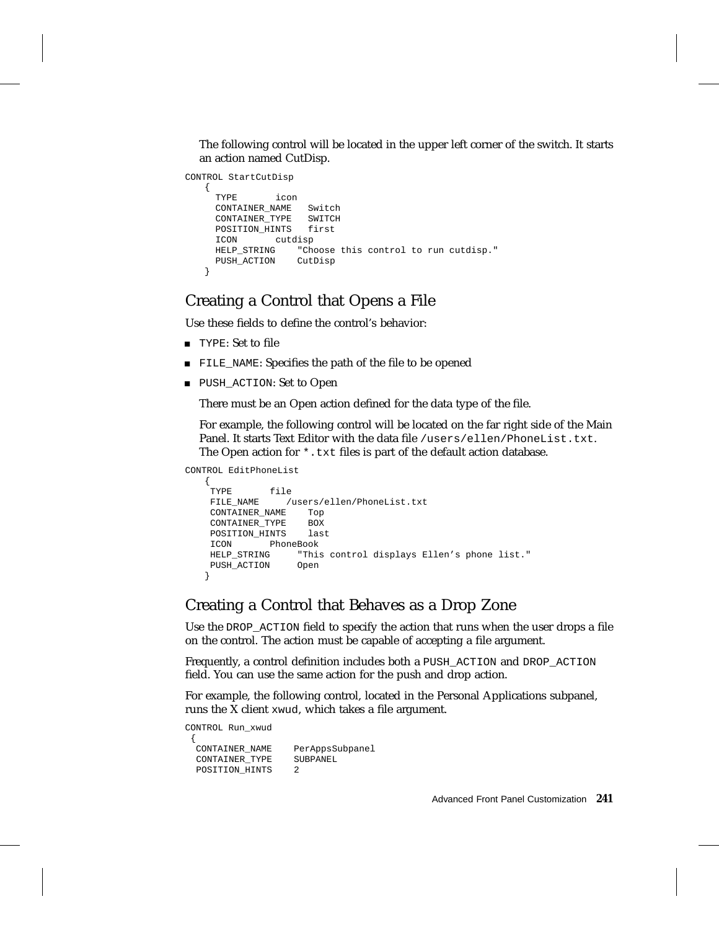The following control will be located in the upper left corner of the switch. It starts an action named CutDisp.

```
CONTROL StartCutDisp
   \{TYPE icon
    CONTAINER_NAME Switch
    CONTAINER_TYPE SWITCH
    POSITION_HINTS first
    ICON cutdisp
    HELP_STRING "Choose this control to run cutdisp."
    PUSH_ACTION CutDisp
   }
```
## Creating a Control that Opens a File

Use these fields to define the control's behavior:

- **TYPE:** Set to file
- FILE\_NAME: Specifies the path of the file to be opened
- **PUSH\_ACTION: Set to Open**

There must be an Open action defined for the data type of the file.

For example, the following control will be located on the far right side of the Main Panel. It starts Text Editor with the data file /users/ellen/PhoneList.txt. The Open action for  $*$ .  $txt$  files is part of the default action database.

```
CONTROL EditPhoneList
```

```
{
 TYPE file
 FILE_NAME /users/ellen/PhoneList.txt
CONTAINER NAME Top
CONTAINER_TYPE BOX
POSITION HINTS last
ICON PhoneBook
HELP_STRING "This control displays Ellen's phone list."
PUSH_ACTION Open
}
```
# Creating a Control that Behaves as a Drop Zone

Use the DROP\_ACTION field to specify the action that runs when the user drops a file on the control. The action must be capable of accepting a file argument.

Frequently, a control definition includes both a PUSH\_ACTION and DROP\_ACTION field. You can use the same action for the push and drop action.

For example, the following control, located in the Personal Applications subpanel, runs the X client xwud, which takes a file argument.

CONTROL Run\_xwud {

| CONTAINER NAME | PerAppsSubpanel |
|----------------|-----------------|
| CONTAINER TYPE | SUBPANEL        |
| POSITION_HINTS | 2               |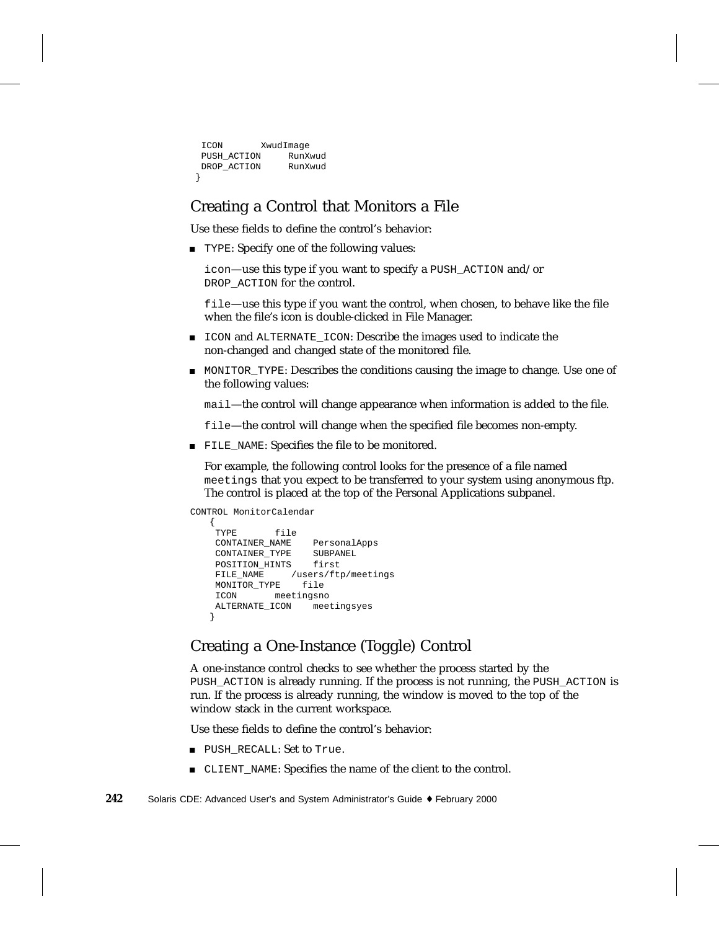| <b>ICON</b> | XwudImage   |         |  |
|-------------|-------------|---------|--|
|             | PUSH ACTION | RunXwud |  |
|             | DROP ACTION | RunXwud |  |
|             |             |         |  |

# Creating a Control that Monitors a File

Use these fields to define the control's behavior:

**TYPE:** Specify one of the following values:

icon—use this type if you want to specify a PUSH\_ACTION and/or DROP ACTION for the control.

file—use this type if you want the control, when chosen, to behave like the file when the file's icon is double-clicked in File Manager.

- ICON and ALTERNATE\_ICON: Describe the images used to indicate the non-changed and changed state of the monitored file.
- MONITOR\_TYPE: Describes the conditions causing the image to change. Use one of the following values:

mail—the control will change appearance when information is added to the file.

file—the control will change when the specified file becomes non-empty.

FILE\_NAME: Specifies the file to be monitored.

For example, the following control looks for the presence of a file named meetings that you expect to be transferred to your system using anonymous ftp. The control is placed at the top of the Personal Applications subpanel.

CONTROL MonitorCalendar

```
{
TYPE file
CONTAINER_NAME PersonalApps
CONTAINER_TYPE SUBPANEL
POSITION_HINTS first
 FILE_NAME /users/ftp/meetings
 MONITOR_TYPE file
ICON meetingsno
ALTERNATE_ICON meetingsyes
}
```
# Creating a One-Instance (Toggle) Control

A one-instance control checks to see whether the process started by the PUSH\_ACTION is already running. If the process is not running, the PUSH\_ACTION is run. If the process is already running, the window is moved to the top of the window stack in the current workspace.

Use these fields to define the control's behavior:

- **PUSH\_RECALL: Set to True.**
- CLIENT\_NAME: Specifies the name of the client to the control.

**242** Solaris CDE: Advanced User's and System Administrator's Guide ♦ February 2000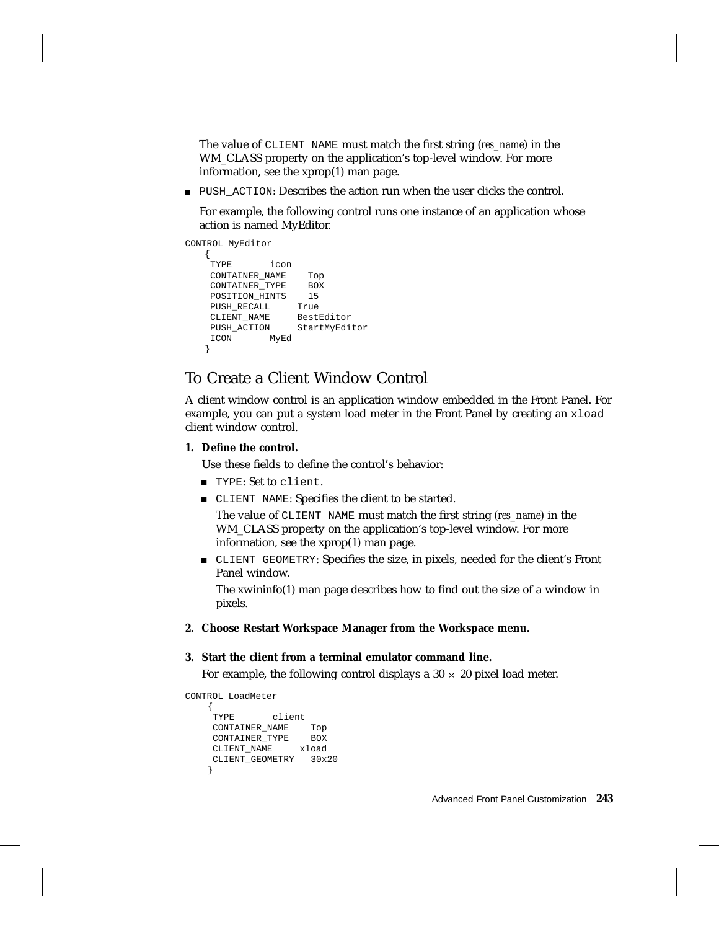The value of CLIENT\_NAME must match the first string (*res\_name*) in the WM\_CLASS property on the application's top-level window. For more information, see the xprop(1) man page.

PUSH\_ACTION: Describes the action run when the user clicks the control.

For example, the following control runs one instance of an application whose action is named MyEditor.

CONTROL MyEditor

```
{<br>TYPE
            icon
 CONTAINER_NAME Top
 CONTAINER_TYPE BOX
 POSITION_HINTS 15
 PUSH_RECALL True
 CLIENT_NAME BestEditor<br>PUSH_ACTION StartMyEdi
                 StartMyEditor
 ICON MyEd
}
```
# To Create a Client Window Control

A client window control is an application window embedded in the Front Panel. For example, you can put a system load meter in the Front Panel by creating an xload client window control.

**1. Define the control.**

Use these fields to define the control's behavior:

- TYPE: Set to client.
- CLIENT\_NAME: Specifies the client to be started.

The value of CLIENT\_NAME must match the first string (*res\_name*) in the WM\_CLASS property on the application's top-level window. For more information, see the xprop(1) man page.

 CLIENT\_GEOMETRY: Specifies the size, in pixels, needed for the client's Front Panel window.

The xwininfo(1) man page describes how to find out the size of a window in pixels.

**2. Choose Restart Workspace Manager from the Workspace menu.**

### **3. Start the client from a terminal emulator command line.**

For example, the following control displays a  $30 \times 20$  pixel load meter.

```
CONTROL LoadMeter
   {
    TYPE client
    CONTAINER_NAME Top
    CONTAINER_TYPE BOX
    CLIENT_NAME xload
    CLIENT_GEOMETRY 30x20
   }
```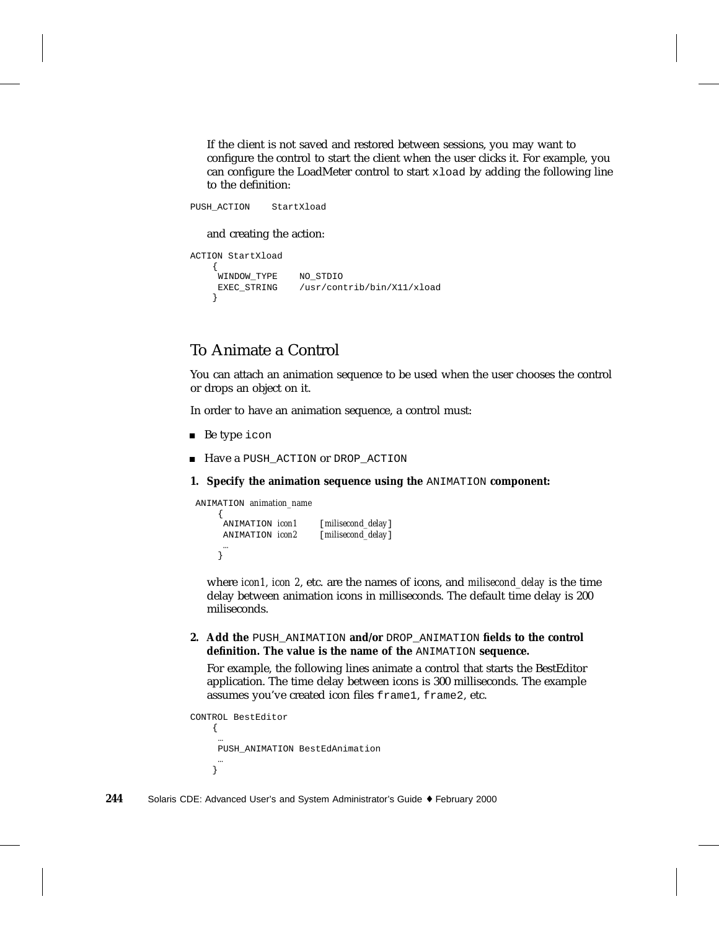If the client is not saved and restored between sessions, you may want to configure the control to start the client when the user clicks it. For example, you can configure the LoadMeter control to start xload by adding the following line to the definition:

PUSH\_ACTION StartXload

and creating the action:

```
ACTION StartXload
    \left\{ \right.WINDOW_TYPE NO_STDIO
     EXEC_STRING /usr/contrib/bin/X11/xload
    }
```
# To Animate a Control

You can attach an animation sequence to be used when the user chooses the control or drops an object on it.

In order to have an animation sequence, a control must:

- Be type icon
- $\blacksquare$  Have a PUSH\_ACTION or DROP\_ACTION
- **1. Specify the animation sequence using the** ANIMATION **component:**

```
ANIMATION animation_name
      {
      ANIMATION icon1 [milisecond_delay]
       ANIMATION icon2 [milisecond_delay]
       …
     }
```
where *icon1, icon 2*, etc. are the names of icons, and *milisecond\_delay* is the time delay between animation icons in milliseconds. The default time delay is 200 miliseconds.

**2. Add the** PUSH\_ANIMATION **and/or** DROP\_ANIMATION **fields to the control definition. The value is the name of the** ANIMATION **sequence.**

For example, the following lines animate a control that starts the BestEditor application. The time delay between icons is 300 milliseconds. The example assumes you've created icon files frame1, frame2, etc.

```
CONTROL BestEditor
    {
     …
     PUSH_ANIMATION BestEdAnimation
     …
    }
```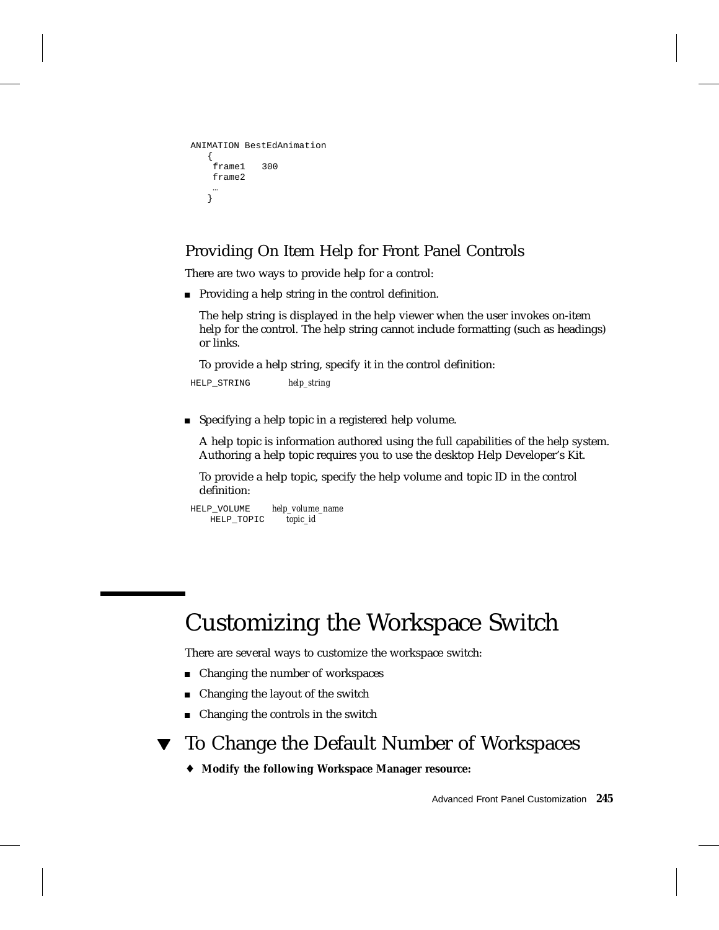```
ANIMATION BestEdAnimation
   {
    frame1 300
   frame2
    …
   }
```
# Providing On Item Help for Front Panel Controls

There are two ways to provide help for a control:

■ Providing a help string in the control definition.

The help string is displayed in the help viewer when the user invokes on-item help for the control. The help string cannot include formatting (such as headings) or links.

To provide a help string, specify it in the control definition:

HELP\_STRING *help\_string*

Specifying a help topic in a registered help volume.

A help topic is information authored using the full capabilities of the help system. Authoring a help topic requires you to use the desktop Help Developer's Kit.

To provide a help topic, specify the help volume and topic ID in the control definition:

HELP\_VOLUME *help\_volume\_name* HELP\_TOPIC *topic\_id*

# Customizing the Workspace Switch

There are several ways to customize the workspace switch:

- Changing the number of workspaces
- Changing the layout of the switch
- Changing the controls in the switch

# To Change the Default Number of Workspaces

♦ **Modify the following Workspace Manager resource:**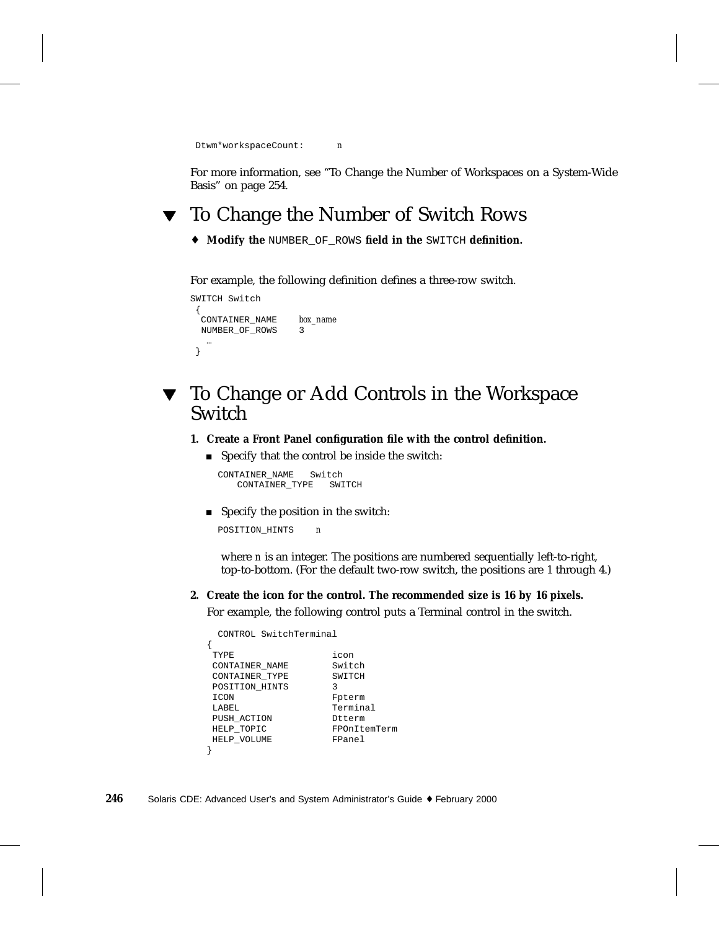Dtwm\*workspaceCount: *n*

For more information, see "To Change the Number of Workspaces on a System-Wide Basis" on page 254.

# To Change the Number of Switch Rows

♦ **Modify the** NUMBER\_OF\_ROWS **field in the** SWITCH **definition.**

For example, the following definition defines a three-row switch.

```
SWITCH Switch
 {
 CONTAINER_NAME box_name
 NUMBER_OF_ROWS 3
   …
 }
```
## To Change or Add Controls in the Workspace  $\blacktriangledown$ Switch

- **1. Create a Front Panel configuration file with the control definition.**
	- Specify that the control be inside the switch:

```
CONTAINER_NAME Switch
   CONTAINER_TYPE SWITCH
```
■ Specify the position in the switch:

POSITION\_HINTS *n*

where *n* is an integer. The positions are numbered sequentially left-to-right, top-to-bottom. (For the default two-row switch, the positions are 1 through 4.)

### **2. Create the icon for the control. The recommended size is 16 by 16 pixels.**

For example, the following control puts a Terminal control in the switch.

```
CONTROL SwitchTerminal
{
TYPE icon<br>CONTAINER_NAME Switch
CONTAINER_NAME Switch<br>CONTAINER_TYPE SWITCH
CONTAINER_TYPE SWITCH<br>POSTTION HINTS 3
POSITION_HINTS<br>ICON
                        Fpterm
LABEL Terminal
PUSH_ACTION Dtterm<br>HELP_TOPIC FPOnIt
                        FPOnItemTerm
HELP_VOLUME FPanel
}
```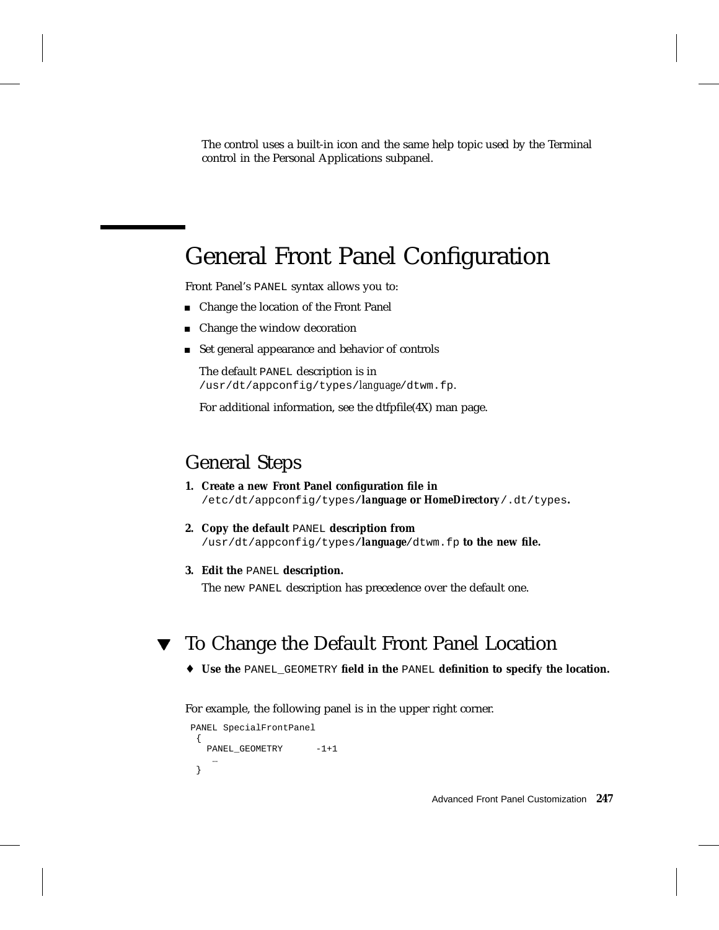The control uses a built-in icon and the same help topic used by the Terminal control in the Personal Applications subpanel.

# General Front Panel Configuration

Front Panel's PANEL syntax allows you to:

- Change the location of the Front Panel
- Change the window decoration
- Set general appearance and behavior of controls

The default PANEL description is in /usr/dt/appconfig/types/*language*/dtwm.fp.

For additional information, see the dtfpfile(4X) man page.

# General Steps

- **1. Create a new Front Panel configuration file in** /etc/dt/appconfig/types/*language* **or** *HomeDirectory*/.dt/types**.**
- **2. Copy the default** PANEL **description from** /usr/dt/appconfig/types/*language*/dtwm.fp **to the new file.**
- **3. Edit the** PANEL **description.**

The new PANEL description has precedence over the default one.

# $\blacktriangledown$  To Change the Default Front Panel Location

♦ **Use the** PANEL\_GEOMETRY **field in the** PANEL **definition to specify the location.**

For example, the following panel is in the upper right corner.

PANEL SpecialFrontPanel { PANEL GEOMETRY -1+1 … }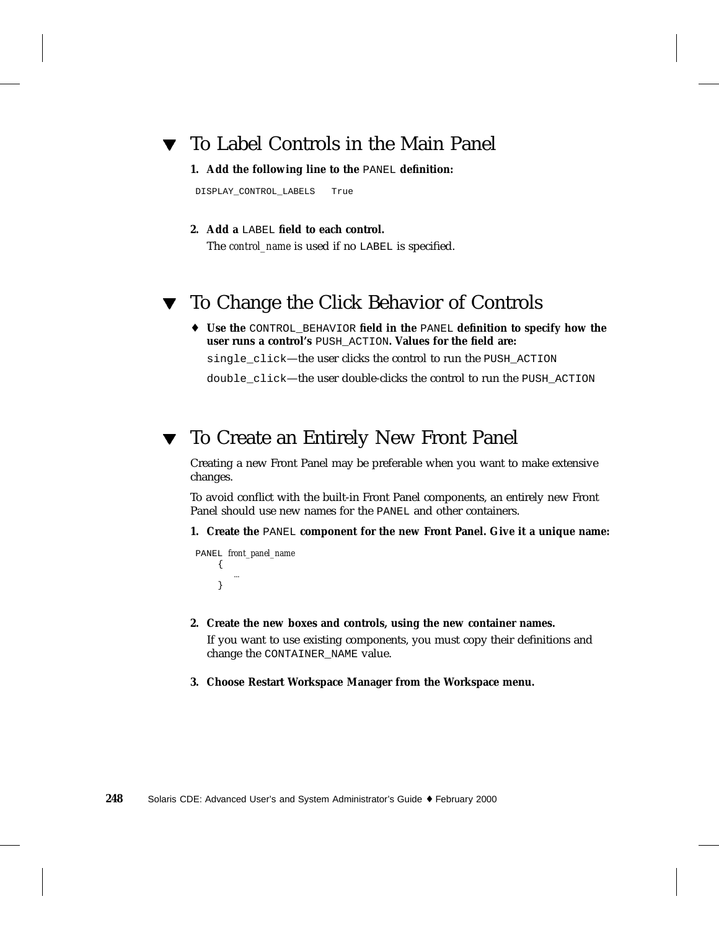### To Label Controls in the Main Panel  $\blacktriangledown$

**1. Add the following line to the** PANEL **definition:**

DISPLAY\_CONTROL\_LABELS True

### **2. Add a** LABEL **field to each control.**

The *control\_name* is used if no LABEL is specified.

# To Change the Click Behavior of Controls

♦ **Use the** CONTROL\_BEHAVIOR **field in the** PANEL **definition to specify how the user runs a control's** PUSH\_ACTION**. Values for the field are:** single\_click—the user clicks the control to run the PUSH\_ACTION

double\_click—the user double-clicks the control to run the PUSH\_ACTION

### To Create an Entirely New Front Panel  $\blacktriangledown$

Creating a new Front Panel may be preferable when you want to make extensive changes.

To avoid conflict with the built-in Front Panel components, an entirely new Front Panel should use new names for the PANEL and other containers.

**1. Create the** PANEL **component for the new Front Panel. Give it a unique name:**

PANEL *front\_panel\_name* { … }

- **2. Create the new boxes and controls, using the new container names.** If you want to use existing components, you must copy their definitions and change the CONTAINER\_NAME value.
- **3. Choose Restart Workspace Manager from the Workspace menu.**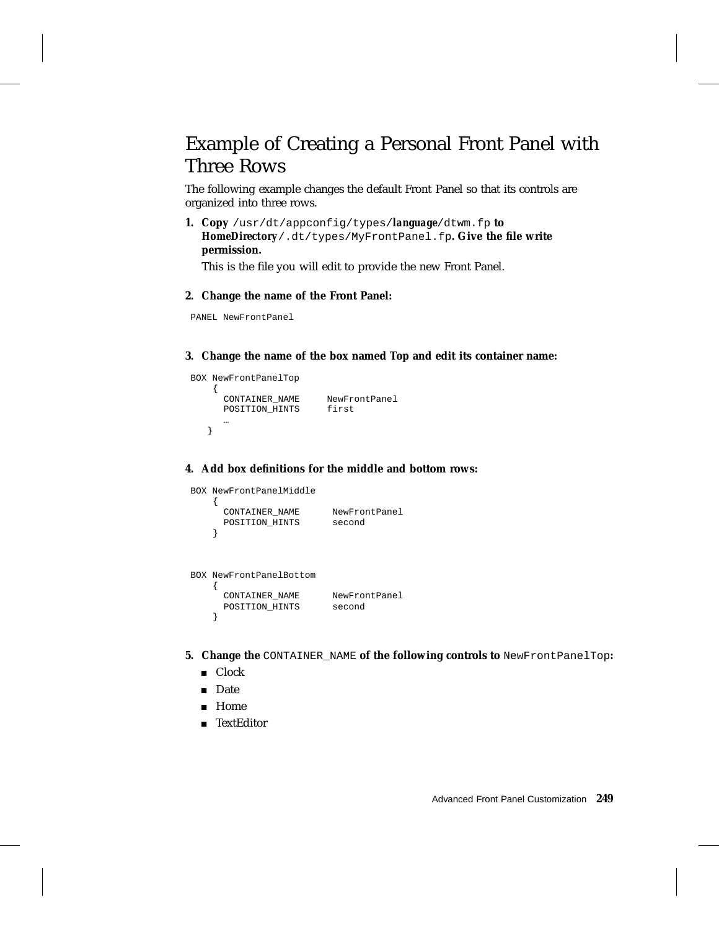# Example of Creating a Personal Front Panel with Three Rows

The following example changes the default Front Panel so that its controls are organized into three rows.

**1. Copy** /usr/dt/appconfig/types/*language*/dtwm.fp **to** *HomeDirectory*/.dt/types/MyFrontPanel.fp**. Give the file write permission.**

This is the file you will edit to provide the new Front Panel.

### **2. Change the name of the Front Panel:**

PANEL NewFrontPanel

### **3. Change the name of the box named Top and edit its container name:**

```
BOX NewFrontPanelTop
     {
       CONTAINER_NAME NewFrontPanel<br>POSITION_HINTS first
       POSITION_HINTS
        …
    }
```
### **4. Add box definitions for the middle and bottom rows:**

```
BOX NewFrontPanelMiddle
   {
     CONTAINER_NAME NewFrontPanel
     POSITION_HINTS second
   }
```

```
BOX NewFrontPanelBottom
    {
```
CONTAINER\_NAME NewFrontPanel POSITION\_HINTS second }

- **5. Change the** CONTAINER\_NAME **of the following controls to** NewFrontPanelTop**:**
	- **Clock**
	- **Date**
	- **Home**
	- **TextEditor**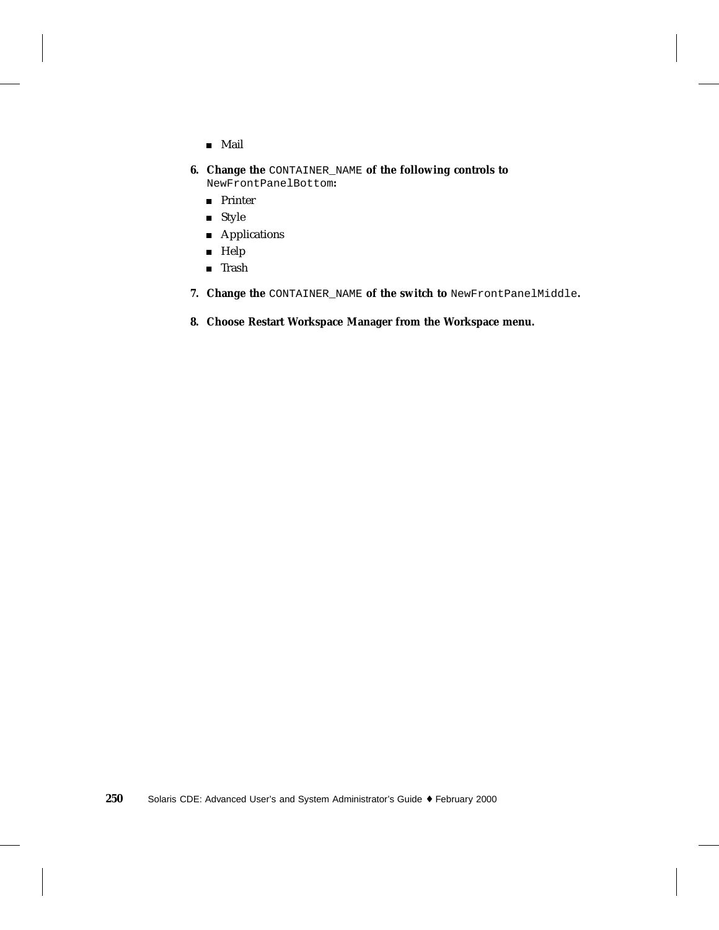- **Mail**
- **6. Change the** CONTAINER\_NAME **of the following controls to** NewFrontPanelBottom**:**
	- **Printer**
	- **Style**
	- **Applications**
	- $\blacksquare$  Help
	- **Trash**
- **7. Change the** CONTAINER\_NAME **of the switch to** NewFrontPanelMiddle**.**
- **8. Choose Restart Workspace Manager from the Workspace menu.**

**250** Solaris CDE: Advanced User's and System Administrator's Guide ♦ February 2000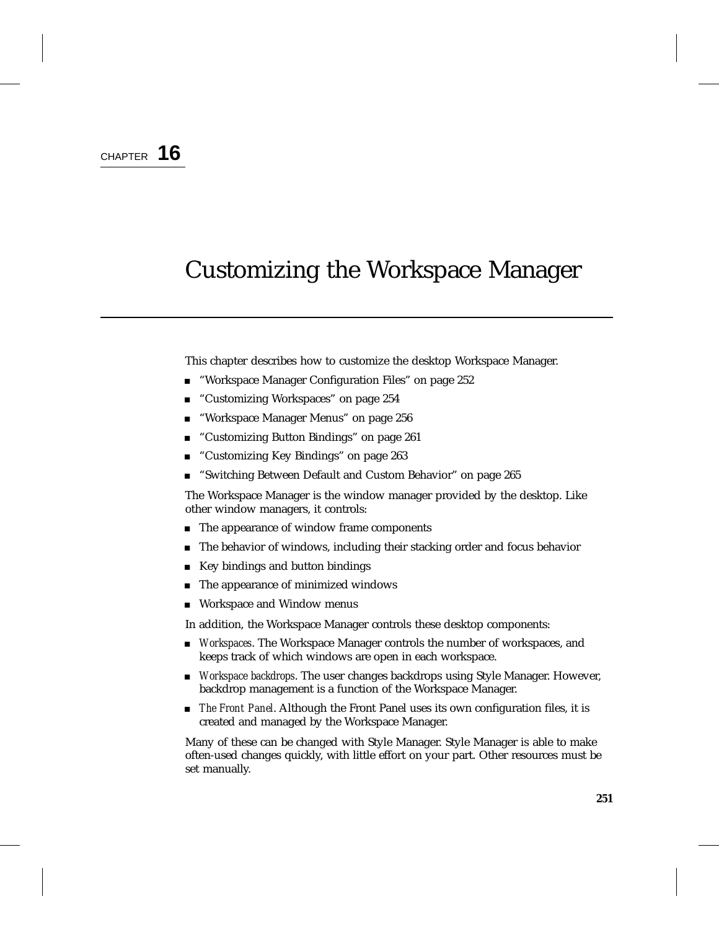# CHAPTER **16**

# Customizing the Workspace Manager

This chapter describes how to customize the desktop Workspace Manager.

- "Workspace Manager Configuration Files" on page 252
- "Customizing Workspaces" on page 254
- "Workspace Manager Menus" on page 256
- "Customizing Button Bindings" on page 261
- "Customizing Key Bindings" on page 263
- "Switching Between Default and Custom Behavior" on page 265

The Workspace Manager is the window manager provided by the desktop. Like other window managers, it controls:

- The appearance of window frame components
- The behavior of windows, including their stacking order and focus behavior
- Key bindings and button bindings
- The appearance of minimized windows
- Workspace and Window menus

In addition, the Workspace Manager controls these desktop components:

- *Workspaces*. The Workspace Manager controls the number of workspaces, and keeps track of which windows are open in each workspace.
- *Workspace backdrops*. The user changes backdrops using Style Manager. However, backdrop management is a function of the Workspace Manager.
- *The Front Panel*. Although the Front Panel uses its own configuration files, it is created and managed by the Workspace Manager.

Many of these can be changed with Style Manager. Style Manager is able to make often-used changes quickly, with little effort on your part. Other resources must be set manually.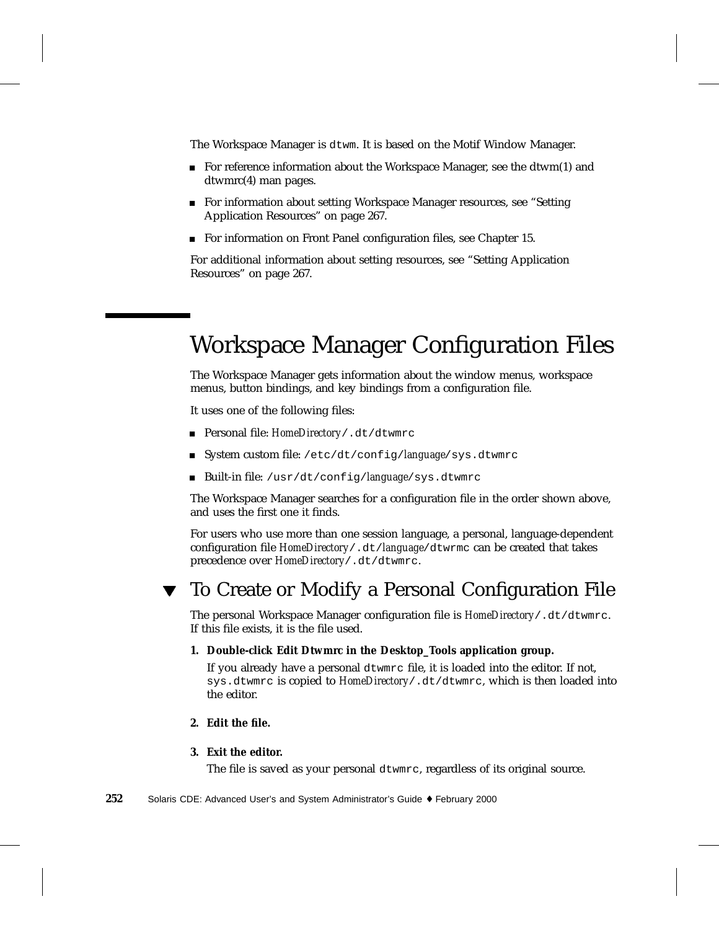The Workspace Manager is dtwm. It is based on the Motif Window Manager.

- For reference information about the Workspace Manager, see the dtwm(1) and dtwmrc(4) man pages.
- For information about setting Workspace Manager resources, see "Setting Application Resources" on page 267.
- For information on Front Panel configuration files, see Chapter 15.

For additional information about setting resources, see "Setting Application Resources" on page 267.

# Workspace Manager Configuration Files

The Workspace Manager gets information about the window menus, workspace menus, button bindings, and key bindings from a configuration file.

It uses one of the following files:

- Personal file: *HomeDirectory*/.dt/dtwmrc
- System custom file: /etc/dt/config/*language*/sys.dtwmrc
- Built-in file: /usr/dt/config/*language*/sys.dtwmrc

The Workspace Manager searches for a configuration file in the order shown above, and uses the first one it finds.

For users who use more than one session language, a personal, language-dependent configuration file *HomeDirectory*/.dt/*language*/dtwrmc can be created that takes precedence over *HomeDirectory*/.dt/dtwmrc.

### $\blacktriangledown$

# To Create or Modify a Personal Configuration File

The personal Workspace Manager configuration file is *HomeDirectory*/.dt/dtwmrc. If this file exists, it is the file used.

### **1. Double-click Edit Dtwmrc in the Desktop\_Tools application group.**

If you already have a personal dtwmrc file, it is loaded into the editor. If not, sys.dtwmrc is copied to *HomeDirectory*/.dt/dtwmrc, which is then loaded into the editor.

## **2. Edit the file.**

### **3. Exit the editor.**

The file is saved as your personal dtwmrc, regardless of its original source.

**252** Solaris CDE: Advanced User's and System Administrator's Guide ♦ February 2000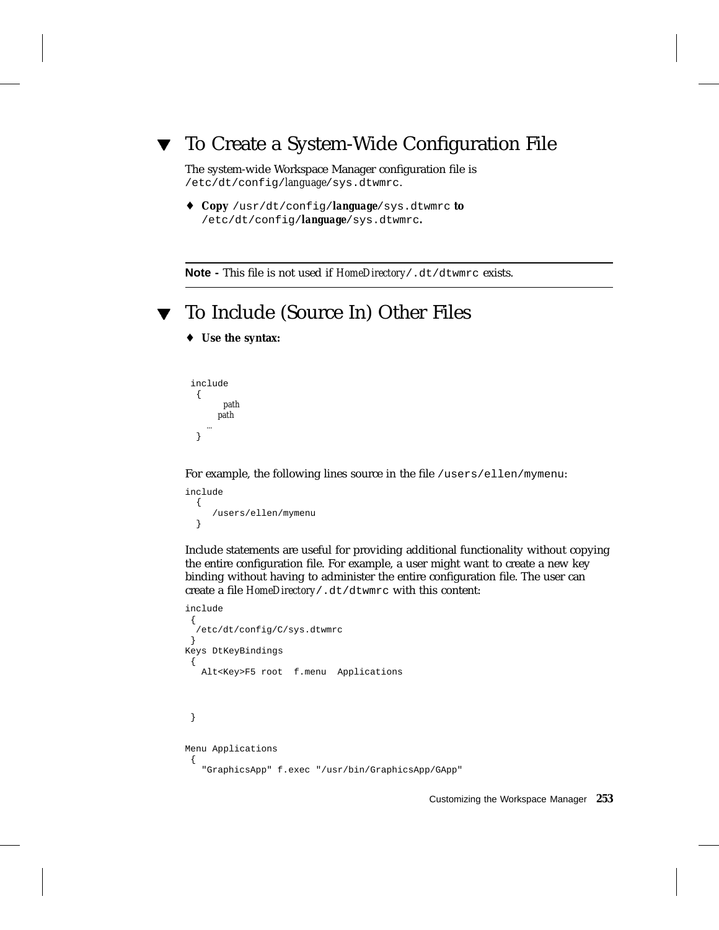# To Create a System-Wide Configuration File

The system-wide Workspace Manager configuration file is /etc/dt/config/*language*/sys.dtwmrc.

♦ **Copy** /usr/dt/config/*language*/sys.dtwmrc **to** /etc/dt/config/*language*/sys.dtwmrc**.**

**Note -** This file is not used if *HomeDirectory*/.dt/dtwmrc exists.

# To Include (Source In) Other Files

♦ **Use the syntax:**

```
include
 {
       path
      path
    …
 }
```
For example, the following lines source in the file /users/ellen/mymenu:

include { /users/ellen/mymenu }

Include statements are useful for providing additional functionality without copying the entire configuration file. For example, a user might want to create a new key binding without having to administer the entire configuration file. The user can create a file *HomeDirectory*/.dt/dtwmrc with this content:

```
include
 {
  /etc/dt/config/C/sys.dtwmrc
}
Keys DtKeyBindings
 {
  Alt<Key>F5 root f.menu Applications
```
}

{

Menu Applications

"GraphicsApp" f.exec "/usr/bin/GraphicsApp/GApp"

Customizing the Workspace Manager **253**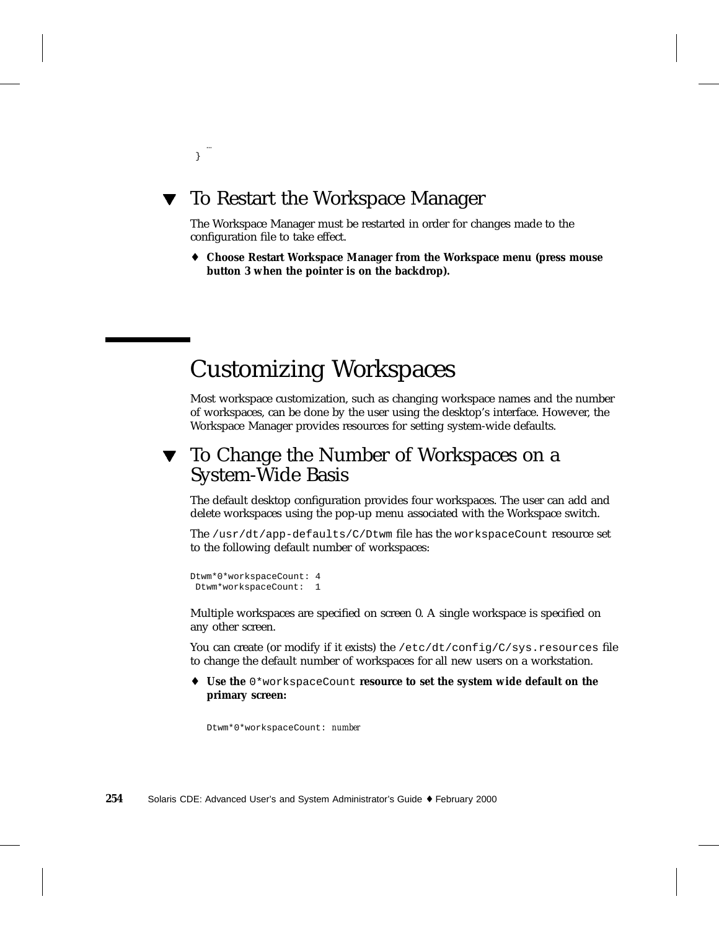}

…

# ▼ To Restart the Workspace Manager

The Workspace Manager must be restarted in order for changes made to the configuration file to take effect.

♦ **Choose Restart Workspace Manager from the Workspace menu (press mouse button 3 when the pointer is on the backdrop).**

# Customizing Workspaces

Most workspace customization, such as changing workspace names and the number of workspaces, can be done by the user using the desktop's interface. However, the Workspace Manager provides resources for setting system-wide defaults.

# $\blacktriangledown$  To Change the Number of Workspaces on a System-Wide Basis

The default desktop configuration provides four workspaces. The user can add and delete workspaces using the pop-up menu associated with the Workspace switch.

The /usr/dt/app-defaults/C/Dtwm file has the workspaceCount resource set to the following default number of workspaces:

```
Dtwm*0*workspaceCount: 4
Dtwm*workspaceCount: 1
```
Multiple workspaces are specified on screen 0. A single workspace is specified on any other screen.

You can create (or modify if it exists) the  $/etc/dt/confiq/C/sys$ .resources file to change the default number of workspaces for all new users on a workstation.

♦ **Use the** 0\*workspaceCount **resource to set the system wide default on the primary screen:**

Dtwm\*0\*workspaceCount: *number*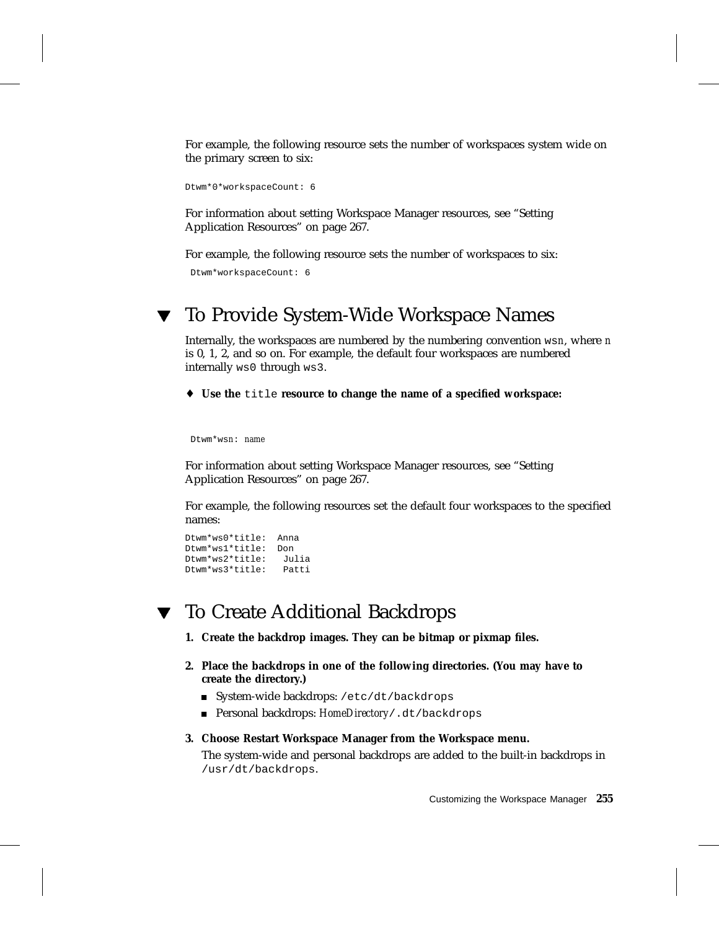For example, the following resource sets the number of workspaces system wide on the primary screen to six:

Dtwm\*0\*workspaceCount: 6

For information about setting Workspace Manager resources, see "Setting Application Resources" on page 267.

For example, the following resource sets the number of workspaces to six:

Dtwm\*workspaceCount: 6

# To Provide System-Wide Workspace Names

Internally, the workspaces are numbered by the numbering convention ws*n*, where *n* is 0, 1, 2, and so on. For example, the default four workspaces are numbered internally ws0 through ws3.

♦ **Use the** title **resource to change the name of a specified workspace:**

Dtwm\*ws*n*: *name*

For information about setting Workspace Manager resources, see "Setting Application Resources" on page 267.

For example, the following resources set the default four workspaces to the specified names:

Dtwm\*ws0\*title: Anna Dtwm\*ws1\*title: Don Dtwm\*ws2\*title: Julia Dtwm\*ws3\*title: Patti

# To Create Additional Backdrops

- **1. Create the backdrop images. They can be bitmap or pixmap files.**
- **2. Place the backdrops in one of the following directories. (You may have to create the directory.)**
	- System-wide backdrops: /etc/dt/backdrops
	- Personal backdrops: *HomeDirectory*/.dt/backdrops
- **3. Choose Restart Workspace Manager from the Workspace menu.**

The system-wide and personal backdrops are added to the built-in backdrops in /usr/dt/backdrops.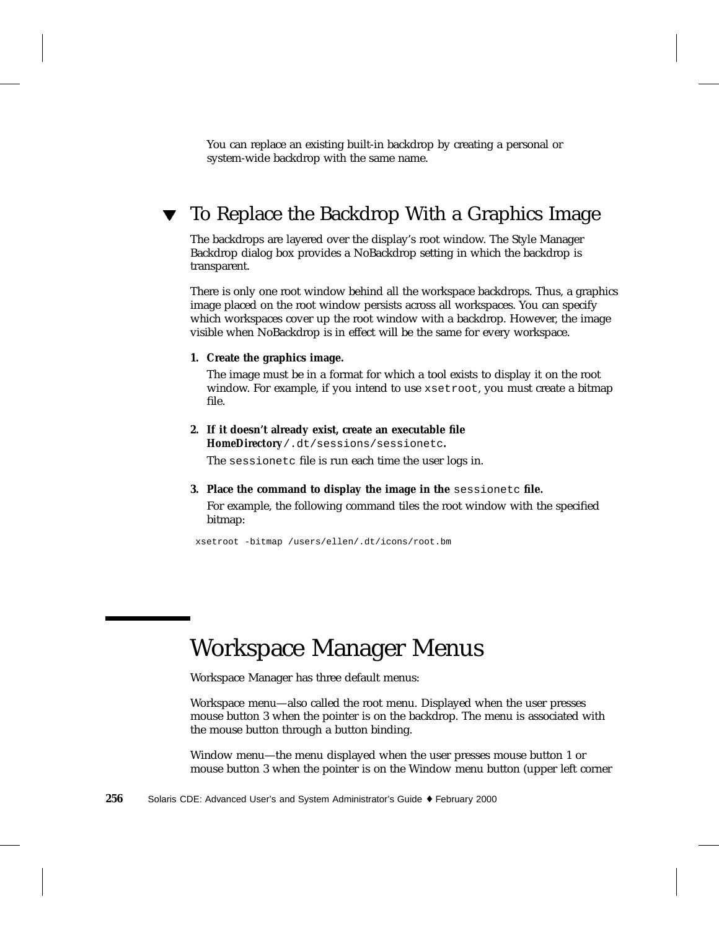You can replace an existing built-in backdrop by creating a personal or system-wide backdrop with the same name.

# To Replace the Backdrop With a Graphics Image

The backdrops are layered over the display's root window. The Style Manager Backdrop dialog box provides a NoBackdrop setting in which the backdrop is transparent.

There is only one root window behind all the workspace backdrops. Thus, a graphics image placed on the root window persists across all workspaces. You can specify which workspaces cover up the root window with a backdrop. However, the image visible when NoBackdrop is in effect will be the same for every workspace.

### **1. Create the graphics image.**

The image must be in a format for which a tool exists to display it on the root window. For example, if you intend to use xsetroot, you must create a bitmap file.

### **2. If it doesn't already exist, create an executable file**

*HomeDirectory*/.dt/sessions/sessionetc**.**

The sessionetc file is run each time the user logs in.

**3. Place the command to display the image in the** sessionetc **file.** For example, the following command tiles the root window with the specified bitmap:

xsetroot -bitmap /users/ellen/.dt/icons/root.bm

# Workspace Manager Menus

Workspace Manager has three default menus:

Workspace menu—also called the root menu. Displayed when the user presses mouse button 3 when the pointer is on the backdrop. The menu is associated with the mouse button through a button binding.

Window menu—the menu displayed when the user presses mouse button 1 or mouse button 3 when the pointer is on the Window menu button (upper left corner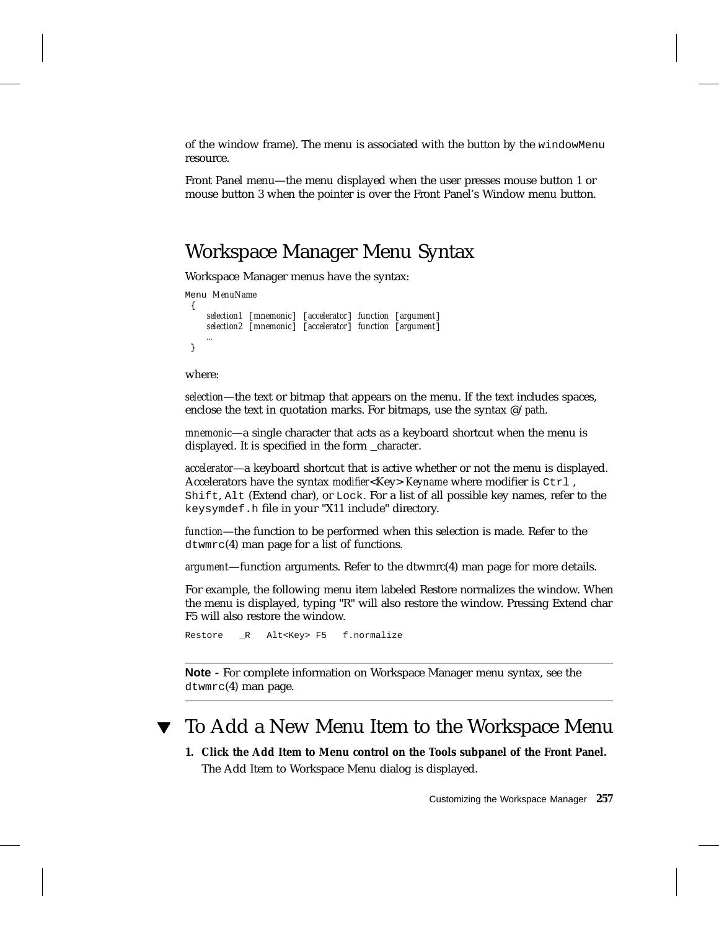of the window frame). The menu is associated with the button by the windowMenu resource.

Front Panel menu—the menu displayed when the user presses mouse button 1 or mouse button 3 when the pointer is over the Front Panel's Window menu button.

# Workspace Manager Menu Syntax

Workspace Manager menus have the syntax:

```
Menu MenuName
 {
     selection1 [mnemonic] [accelerator] function [argument]
     selection2 [mnemonic] [accelerator] function [argument]
     …
 }
```
where:

*selection*—the text or bitmap that appears on the menu. If the text includes spaces, enclose the text in quotation marks. For bitmaps, use the syntax @/*path*.

*mnemonic*—a single character that acts as a keyboard shortcut when the menu is displayed. It is specified in the form \_*character*.

*accelerator*—a keyboard shortcut that is active whether or not the menu is displayed. Accelerators have the syntax *modifier*<Key> *Keyname* where modifier is Ctrl , Shift, Alt (Extend char), or Lock. For a list of all possible key names, refer to the keysymdef.h file in your "X11 include" directory.

*function*—the function to be performed when this selection is made. Refer to the dtwmrc(4) man page for a list of functions.

*argument*—function arguments. Refer to the dtwmrc(4) man page for more details.

For example, the following menu item labeled Restore normalizes the window. When the menu is displayed, typing "R" will also restore the window. Pressing Extend char F5 will also restore the window.

Restore \_R Alt<Key> F5 f.normalize

**Note -** For complete information on Workspace Manager menu syntax, see the dtwmrc(4) man page.

# To Add a New Menu Item to the Workspace Menu

**1. Click the Add Item to Menu control on the Tools subpanel of the Front Panel.** The Add Item to Workspace Menu dialog is displayed.

Customizing the Workspace Manager **257**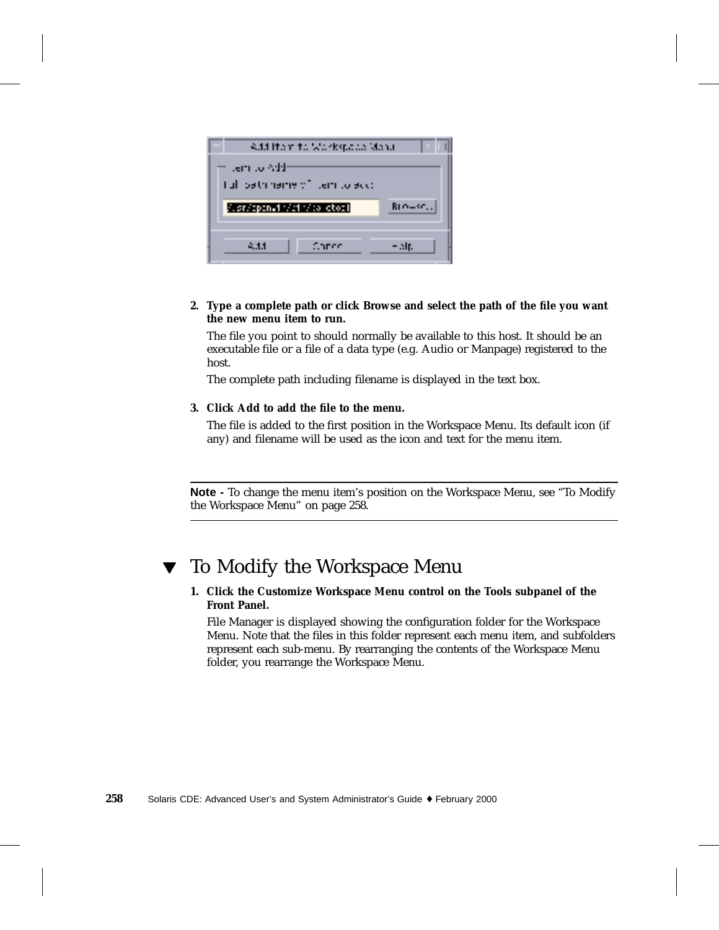| Add them to Warkspace Menu<br><b>F</b>      |                    |  |
|---------------------------------------------|--------------------|--|
| tem to Addr<br>tul pathname til tem to acci |                    |  |
| AlbrAppened Wet Web obacti                  | Ringson,           |  |
|                                             |                    |  |
| $-11$<br><b>COLOR</b>                       | $=$ $\mathbf{H}$ . |  |

**2. Type a complete path or click Browse and select the path of the file you want the new menu item to run.**

The file you point to should normally be available to this host. It should be an executable file or a file of a data type (e.g. Audio or Manpage) registered to the host.

The complete path including filename is displayed in the text box.

## **3. Click Add to add the file to the menu.**

The file is added to the first position in the Workspace Menu. Its default icon (if any) and filename will be used as the icon and text for the menu item.

**Note -** To change the menu item's position on the Workspace Menu, see "To Modify the Workspace Menu" on page 258.



# To Modify the Workspace Menu

**1. Click the Customize Workspace Menu control on the Tools subpanel of the Front Panel.**

File Manager is displayed showing the configuration folder for the Workspace Menu. Note that the files in this folder represent each menu item, and subfolders represent each sub-menu. By rearranging the contents of the Workspace Menu folder, you rearrange the Workspace Menu.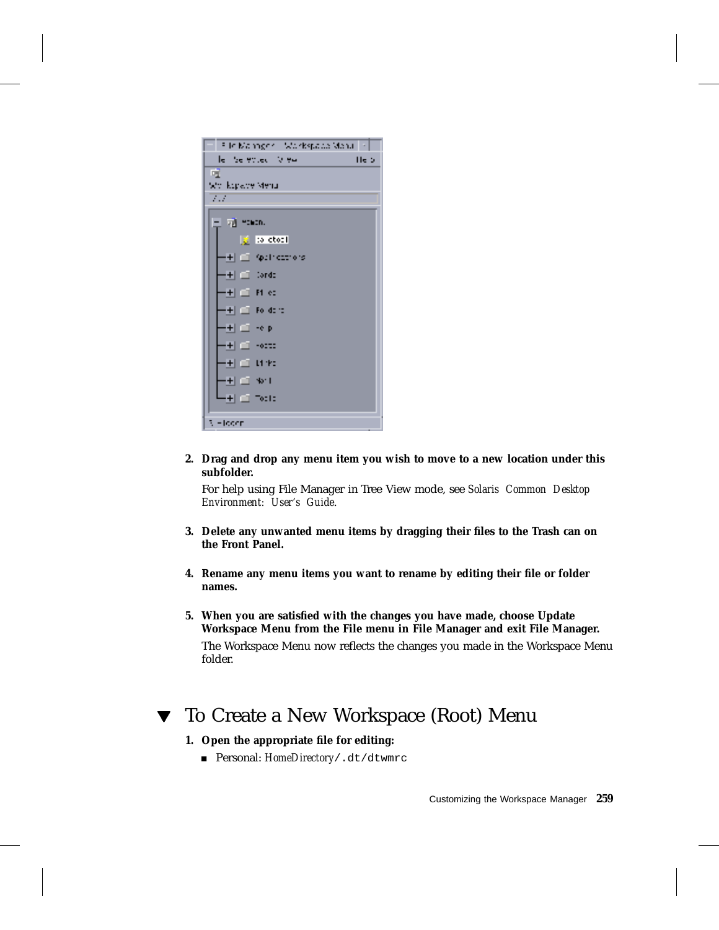

**2. Drag and drop any menu item you wish to move to a new location under this subfolder.**

For help using File Manager in Tree View mode, see *Solaris Common Desktop Environment: User's Guide*.

- **3. Delete any unwanted menu items by dragging their files to the Trash can on the Front Panel.**
- **4. Rename any menu items you want to rename by editing their file or folder names.**
- **5. When you are satisfied with the changes you have made, choose Update Workspace Menu from the File menu in File Manager and exit File Manager.** The Workspace Menu now reflects the changes you made in the Workspace Menu folder.

### To Create a New Workspace (Root) Menu  $\blacktriangledown$

## **1. Open the appropriate file for editing:**

Personal: *HomeDirectory*/.dt/dtwmrc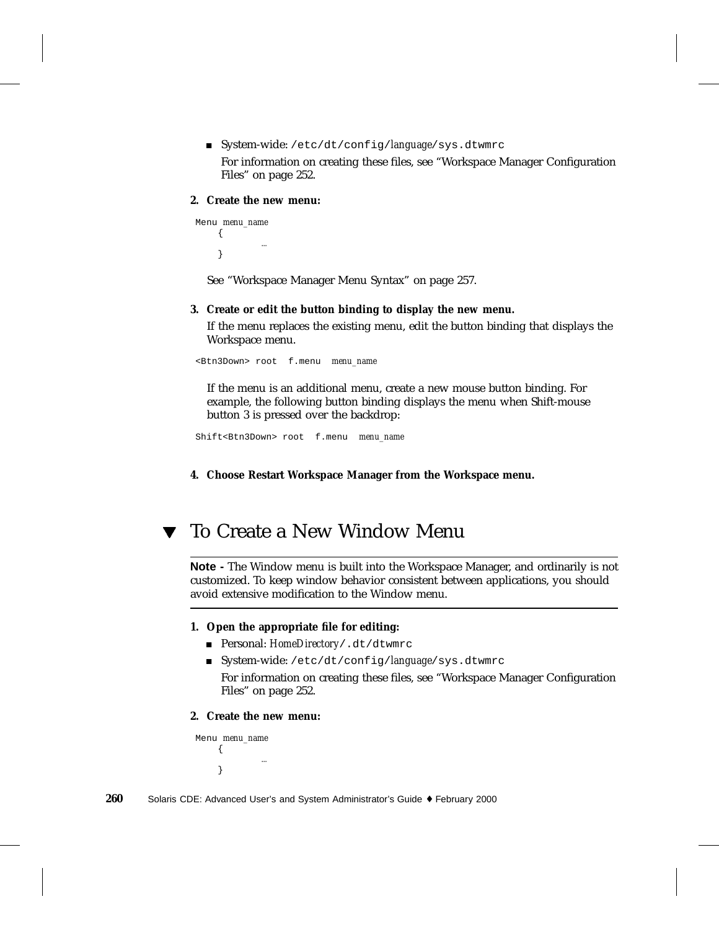System-wide: /etc/dt/config/*language*/sys.dtwmrc

For information on creating these files, see "Workspace Manager Configuration Files" on page 252.

### **2. Create the new menu:**

Menu *menu\_name* { … }

See "Workspace Manager Menu Syntax" on page 257.

**3. Create or edit the button binding to display the new menu.**

If the menu replaces the existing menu, edit the button binding that displays the Workspace menu.

<Btn3Down> root f.menu *menu\_name*

If the menu is an additional menu, create a new mouse button binding. For example, the following button binding displays the menu when Shift-mouse button 3 is pressed over the backdrop:

Shift<Btn3Down> root f.menu *menu\_name*

**4. Choose Restart Workspace Manager from the Workspace menu.**



**Note -** The Window menu is built into the Workspace Manager, and ordinarily is not customized. To keep window behavior consistent between applications, you should avoid extensive modification to the Window menu.

## **1. Open the appropriate file for editing:**

- Personal: *HomeDirectory*/.dt/dtwmrc
- System-wide: /etc/dt/config/*language*/sys.dtwmrc

For information on creating these files, see "Workspace Manager Configuration Files" on page 252.

### **2. Create the new menu:**

```
Menu menu_name
     {
               …
     }
```
**260** Solaris CDE: Advanced User's and System Administrator's Guide ♦ February 2000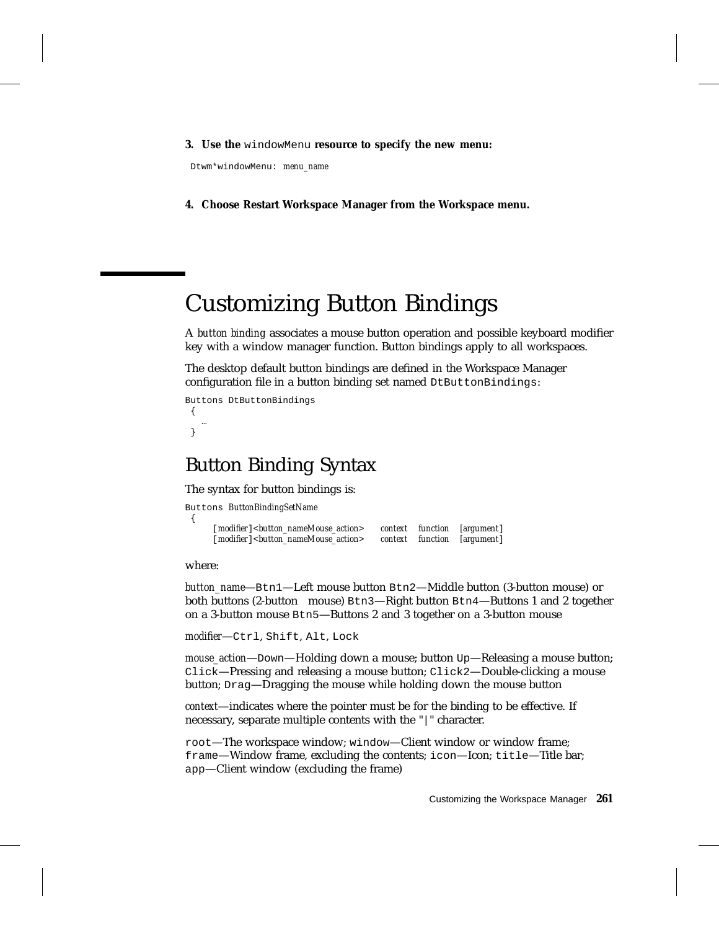**3. Use the** windowMenu **resource to specify the new menu:**

Dtwm\*windowMenu: *menu\_name*

**4. Choose Restart Workspace Manager from the Workspace menu.**

# Customizing Button Bindings

A *button binding* associates a mouse button operation and possible keyboard modifier key with a window manager function. Button bindings apply to all workspaces.

The desktop default button bindings are defined in the Workspace Manager configuration file in a button binding set named DtButtonBindings:

```
Buttons DtButtonBindings
 {
   …
 }
```
# Button Binding Syntax

The syntax for button bindings is:

Buttons *ButtonBindingSetName*

| [modifier]<br>>button_nameMouse_action> |  | context function [argument] |
|-----------------------------------------|--|-----------------------------|
| [modifier]<br>button_nameMouse_action>  |  | context function [argument] |

where:

{

*button\_name*—Btn1—Left mouse button Btn2—Middle button (3-button mouse) or both buttons (2-button mouse) Btn3—Right button Btn4—Buttons 1 and 2 together on a 3-button mouse Btn5—Buttons 2 and 3 together on a 3-button mouse

*modifier*—Ctrl, Shift, Alt, Lock

*mouse\_action*—Down—Holding down a mouse; button Up—Releasing a mouse button; Click—Pressing and releasing a mouse button; Click2—Double-clicking a mouse button; Drag—Dragging the mouse while holding down the mouse button

*context*—indicates where the pointer must be for the binding to be effective. If necessary, separate multiple contents with the "|" character.

root—The workspace window; window—Client window or window frame; frame—Window frame, excluding the contents; icon—Icon; title—Title bar; app—Client window (excluding the frame)

Customizing the Workspace Manager **261**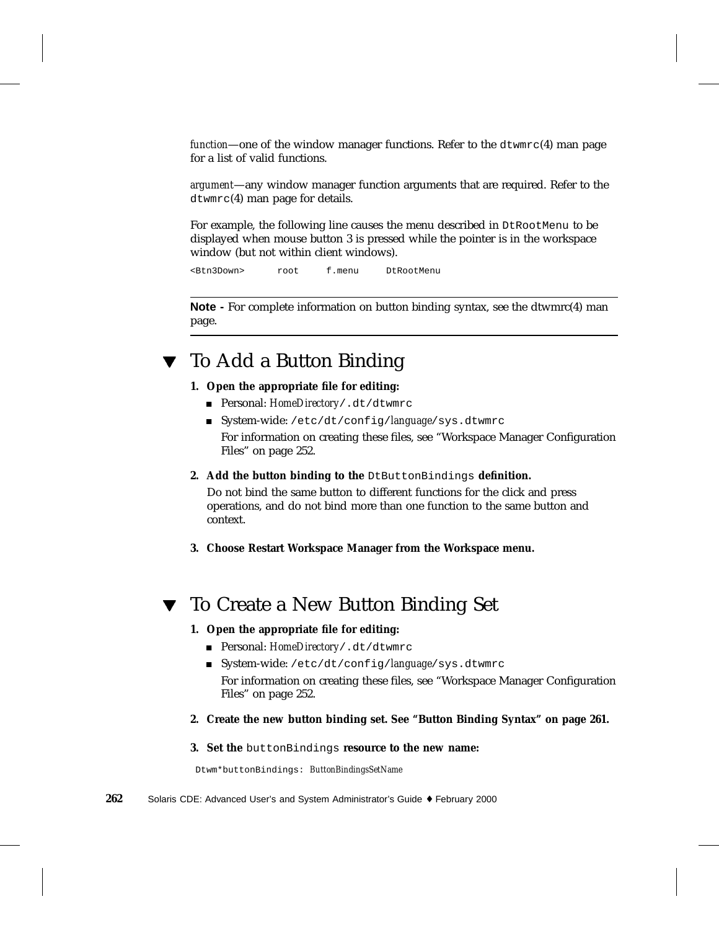*function*—one of the window manager functions. Refer to the  $dt$  when  $c(4)$  man page for a list of valid functions.

*argument*—any window manager function arguments that are required. Refer to the dtwmrc(4) man page for details.

For example, the following line causes the menu described in DtRootMenu to be displayed when mouse button 3 is pressed while the pointer is in the workspace window (but not within client windows).

<Btn3Down> root f.menu DtRootMenu

**Note -** For complete information on button binding syntax, see the dtwmrc(4) man page.

# ▼ To Add a Button Binding

**1. Open the appropriate file for editing:**

- Personal: *HomeDirectory*/.dt/dtwmrc
- System-wide: /etc/dt/config/*language*/sys.dtwmrc

For information on creating these files, see "Workspace Manager Configuration Files" on page 252.

**2. Add the button binding to the** DtButtonBindings **definition.**

Do not bind the same button to different functions for the click and press operations, and do not bind more than one function to the same button and context.

**3. Choose Restart Workspace Manager from the Workspace menu.**

### To Create a New Button Binding Set  $\blacktriangledown$

### **1. Open the appropriate file for editing:**

- Personal: *HomeDirectory*/.dt/dtwmrc
- System-wide: /etc/dt/config/*language*/sys.dtwmrc

For information on creating these files, see "Workspace Manager Configuration Files" on page 252.

- **2. Create the new button binding set. See "Button Binding Syntax" on page 261.**
- **3. Set the** buttonBindings **resource to the new name:**

Dtwm\*buttonBindings: *ButtonBindingsSetName*

**262** Solaris CDE: Advanced User's and System Administrator's Guide ♦ February 2000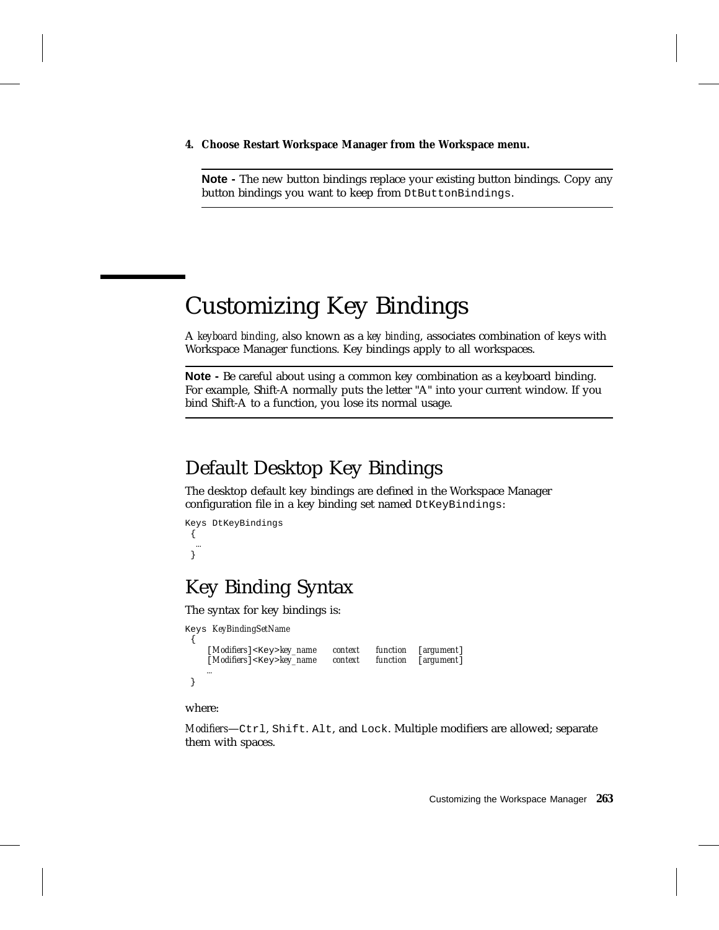**4. Choose Restart Workspace Manager from the Workspace menu.**

**Note -** The new button bindings replace your existing button bindings. Copy any button bindings you want to keep from DtButtonBindings.

# Customizing Key Bindings

A *keyboard binding*, also known as a *key binding*, associates combination of keys with Workspace Manager functions. Key bindings apply to all workspaces.

**Note -** Be careful about using a common key combination as a keyboard binding. For example, Shift-A normally puts the letter "A" into your current window. If you bind Shift-A to a function, you lose its normal usage.

# Default Desktop Key Bindings

The desktop default key bindings are defined in the Workspace Manager configuration file in a key binding set named DtKeyBindings:

```
Keys DtKeyBindings
 {
  …
 }
```
# Key Binding Syntax

The syntax for key bindings is:

Keys *KeyBindingSetName*

```
{
   [Modifiers]<Key>key_name context function [argument]
   [Modifiers] <Key>key_name
   …
}
```
where:

*Modifiers*—Ctrl, Shift. Alt, and Lock. Multiple modifiers are allowed; separate them with spaces.

Customizing the Workspace Manager **263**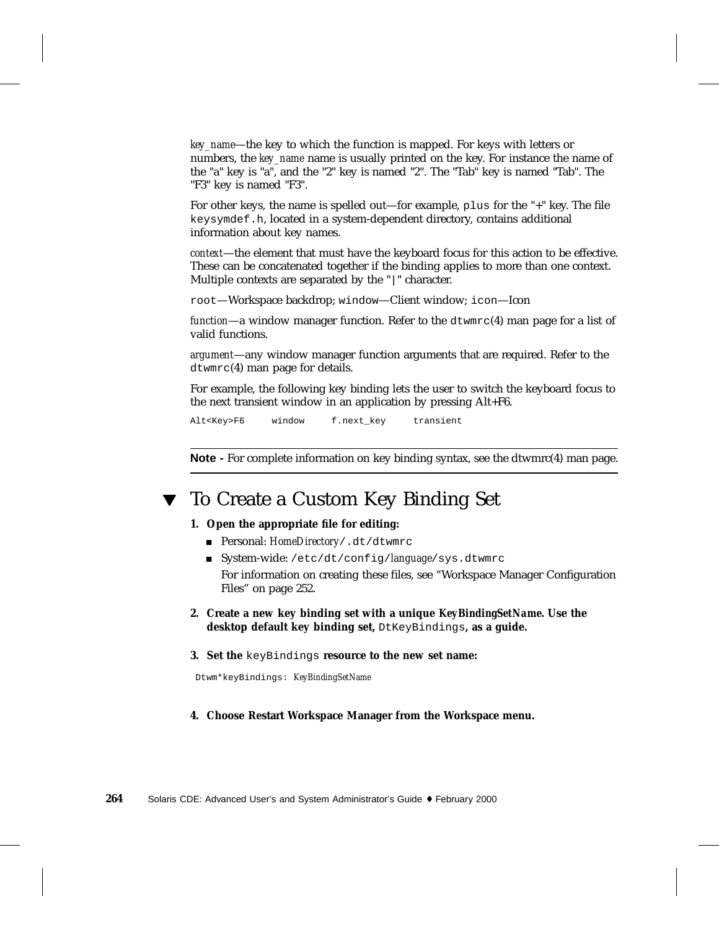*key\_name*—the key to which the function is mapped. For keys with letters or numbers, the *key\_name* name is usually printed on the key. For instance the name of the "a" key is "a", and the "2" key is named "2". The "Tab" key is named "Tab". The "F3" key is named "F3".

For other keys, the name is spelled out—for example, plus for the "+" key. The file keysymdef.h, located in a system-dependent directory, contains additional information about key names.

*context*—the element that must have the keyboard focus for this action to be effective. These can be concatenated together if the binding applies to more than one context. Multiple contexts are separated by the "|" character.

root—Workspace backdrop; window—Client window; icon—Icon

*function*—a window manager function. Refer to the dtwmrc(4) man page for a list of valid functions.

*argument*—any window manager function arguments that are required. Refer to the dtwmrc(4) man page for details.

For example, the following key binding lets the user to switch the keyboard focus to the next transient window in an application by pressing Alt+F6.

Alt<Key>F6 window f.next\_key transient

**Note -** For complete information on key binding syntax, see the dtwmrc(4) man page.

# To Create a Custom Key Binding Set

### **1. Open the appropriate file for editing:**

- Personal: *HomeDirectory*/.dt/dtwmrc
- System-wide: /etc/dt/config/*language*/sys.dtwmrc For information on creating these files, see "Workspace Manager Configuration Files" on page 252.
- **2. Create a new key binding set with a unique** *KeyBindingSetName***. Use the desktop default key binding set,** DtKeyBindings**, as a guide.**
- **3. Set the** keyBindings **resource to the new set name:**

Dtwm\*keyBindings: *KeyBindingSetName*

**4. Choose Restart Workspace Manager from the Workspace menu.**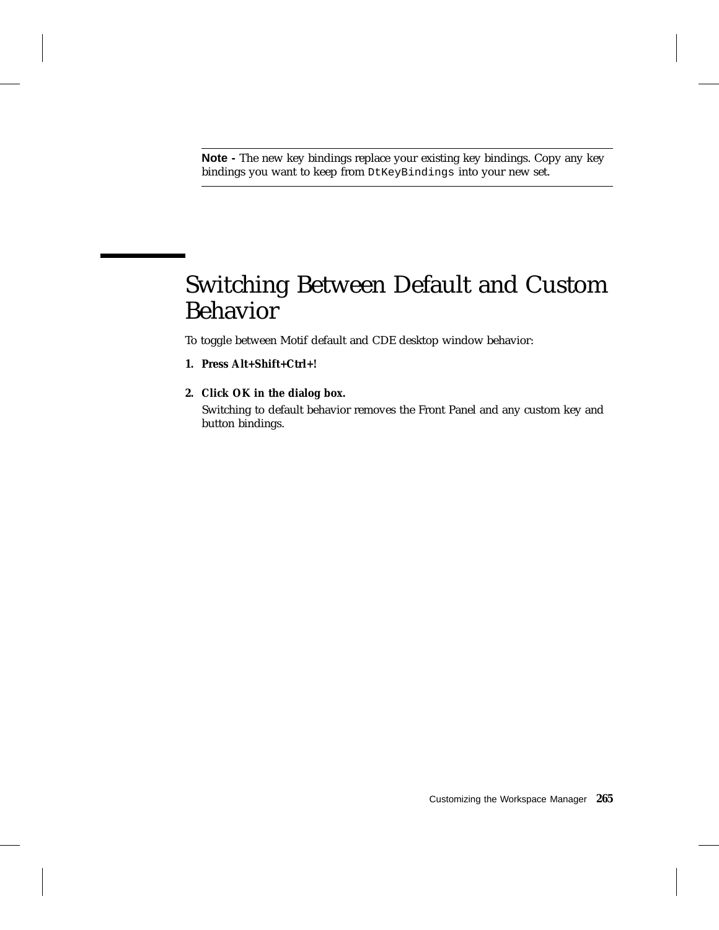**Note -** The new key bindings replace your existing key bindings. Copy any key bindings you want to keep from DtKeyBindings into your new set.

# Switching Between Default and Custom Behavior

To toggle between Motif default and CDE desktop window behavior:

- **1. Press Alt+Shift+Ctrl+!**
- **2. Click OK in the dialog box.**

Switching to default behavior removes the Front Panel and any custom key and button bindings.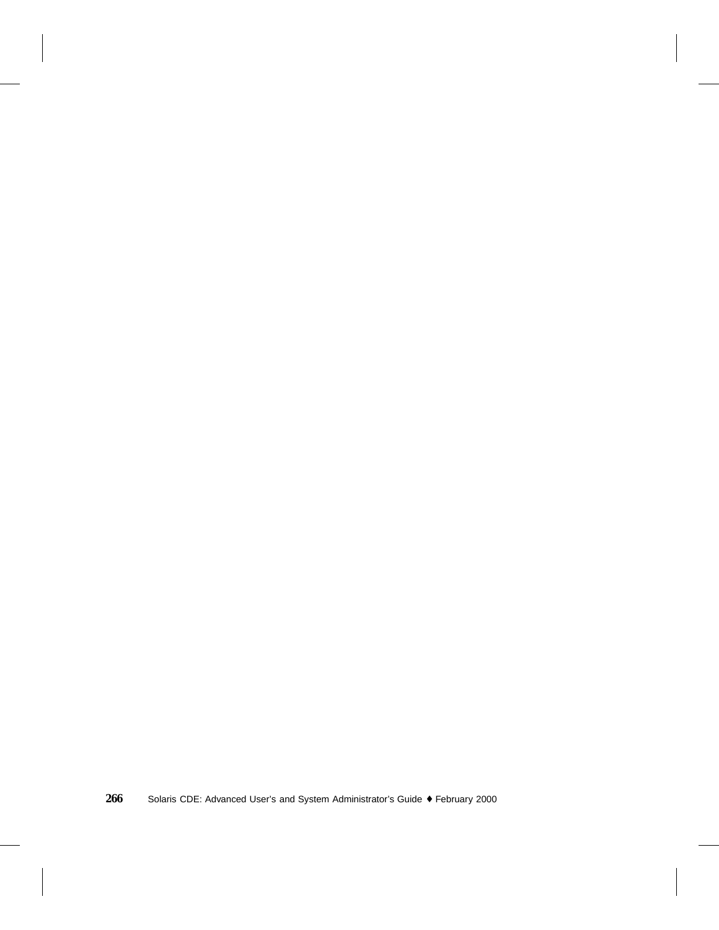Solaris CDE: Advanced User's and System Administrator's Guide ♦ February 2000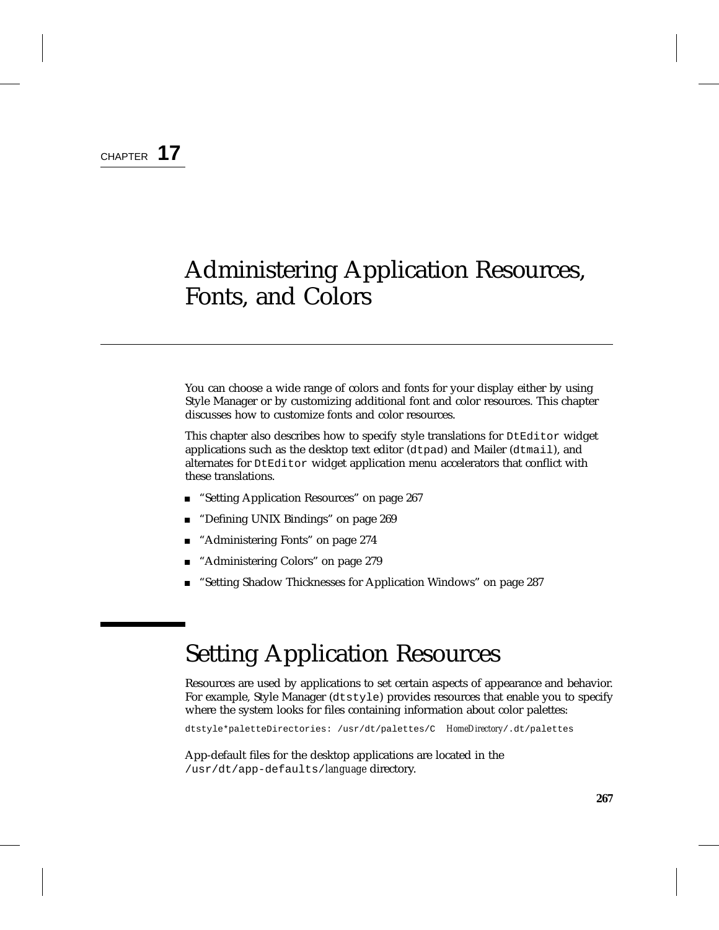### CHAPTER **17**

# Administering Application Resources, Fonts, and Colors

You can choose a wide range of colors and fonts for your display either by using Style Manager or by customizing additional font and color resources. This chapter discusses how to customize fonts and color resources.

This chapter also describes how to specify style translations for DtEditor widget applications such as the desktop text editor (dtpad) and Mailer (dtmail), and alternates for DtEditor widget application menu accelerators that conflict with these translations.

- "Setting Application Resources" on page 267
- "Defining UNIX Bindings" on page 269
- "Administering Fonts" on page 274
- "Administering Colors" on page 279
- "Setting Shadow Thicknesses for Application Windows" on page 287

# Setting Application Resources

Resources are used by applications to set certain aspects of appearance and behavior. For example, Style Manager (dtstyle) provides resources that enable you to specify where the system looks for files containing information about color palettes:

dtstyle\*paletteDirectories: /usr/dt/palettes/C *HomeDirectory*/.dt/palettes

App-default files for the desktop applications are located in the /usr/dt/app-defaults/*language* directory.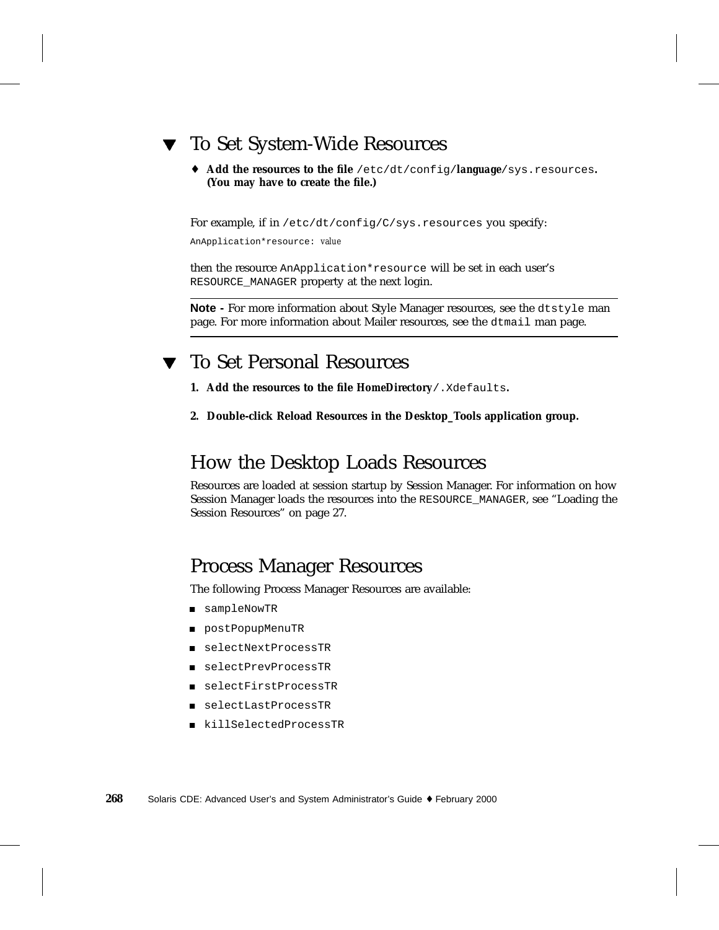#### To Set System-Wide Resources  $\blacktriangledown$

♦ **Add the resources to the file** /etc/dt/config/*language*/sys.resources**. (You may have to create the file.)**

For example, if in /etc/dt/config/C/sys.resources you specify:

AnApplication\*resource: *value*

then the resource AnApplication\*resource will be set in each user's RESOURCE\_MANAGER property at the next login.

**Note -** For more information about Style Manager resources, see the dtstyle man page. For more information about Mailer resources, see the dtmail man page.

**To Set Personal Resources** 

- **1. Add the resources to the file** *HomeDirectory*/.Xdefaults**.**
- **2. Double-click Reload Resources in the Desktop\_Tools application group.**

### How the Desktop Loads Resources

Resources are loaded at session startup by Session Manager. For information on how Session Manager loads the resources into the RESOURCE\_MANAGER, see "Loading the Session Resources" on page 27.

### Process Manager Resources

The following Process Manager Resources are available:

- sampleNowTR
- postPopupMenuTR
- selectNextProcessTR
- selectPrevProcessTR
- selectFirstProcessTR
- selectLastProcessTR
- killSelectedProcessTR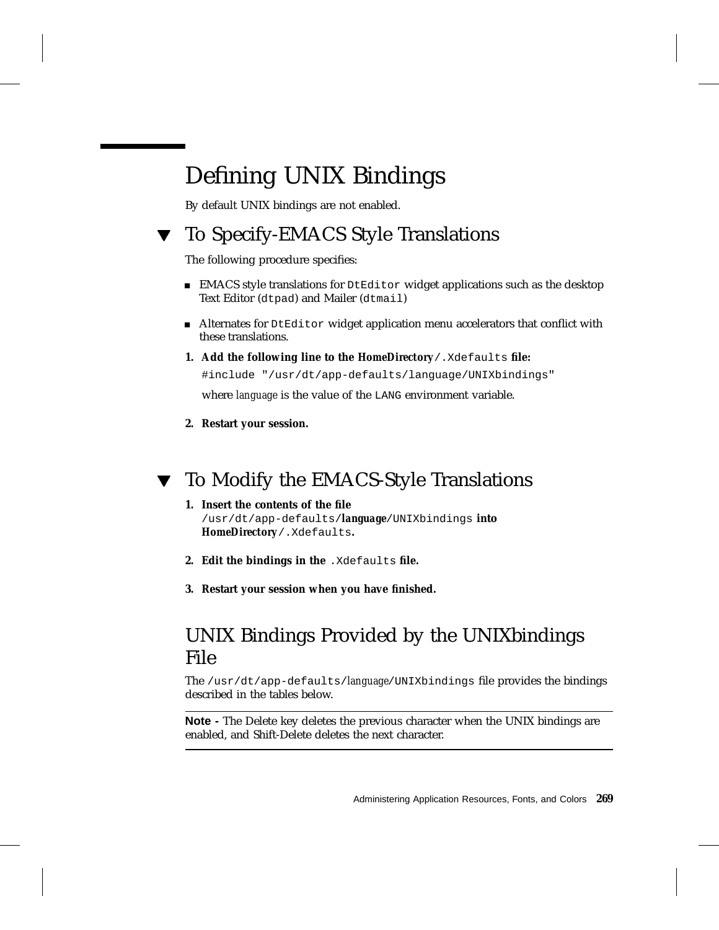# Defining UNIX Bindings

By default UNIX bindings are not enabled.

### ▼ To Specify-EMACS Style Translations

The following procedure specifies:

- **EMACS** style translations for  $D$ teditor widget applications such as the desktop Text Editor (dtpad) and Mailer (dtmail)
- Alternates for DtEditor widget application menu accelerators that conflict with these translations.
- **1. Add the following line to the** *HomeDirectory*/.Xdefaults **file:**

#include "/usr/dt/app-defaults/language/UNIXbindings"

where *language* is the value of the LANG environment variable.

**2. Restart your session.**

## To Modify the EMACS-Style Translations

- **1. Insert the contents of the file** /usr/dt/app-defaults/*language*/UNIXbindings **into** *HomeDirectory*/.Xdefaults**.**
- **2. Edit the bindings in the** .Xdefaults **file.**
- **3. Restart your session when you have finished.**

## UNIX Bindings Provided by the UNIXbindings File

The /usr/dt/app-defaults/*language*/UNIXbindings file provides the bindings described in the tables below.

**Note -** The Delete key deletes the previous character when the UNIX bindings are enabled, and Shift-Delete deletes the next character.

Administering Application Resources, Fonts, and Colors **269**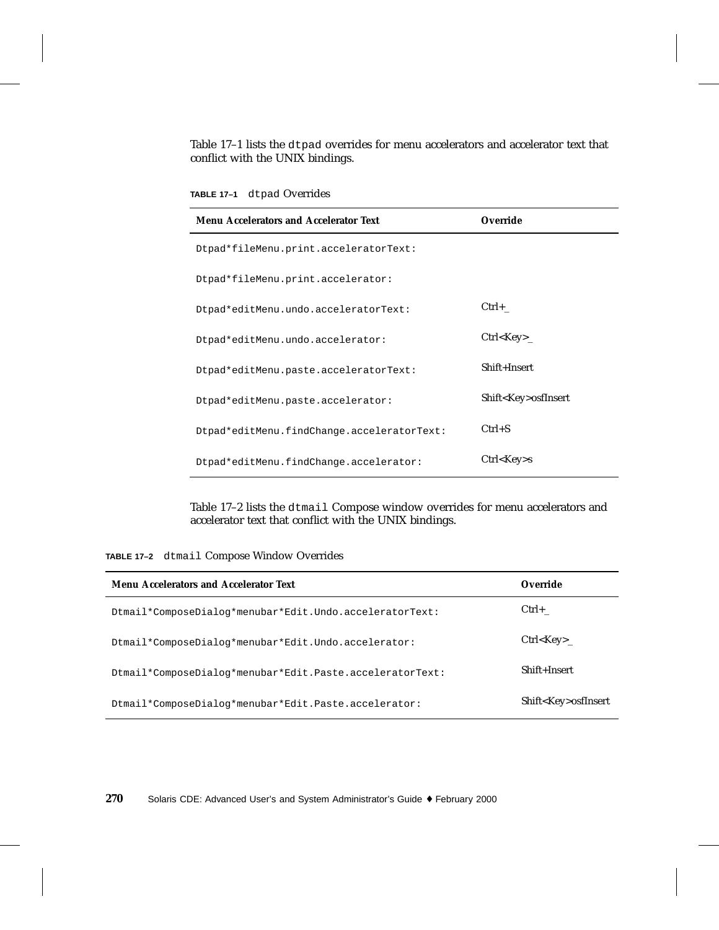Table 17–1 lists the dtpad overrides for menu accelerators and accelerator text that conflict with the UNIX bindings.

**TABLE 17–1** dtpad Overrides

| <b>Menu Accelerators and Accelerator Text</b> | Override                   |
|-----------------------------------------------|----------------------------|
| Dtpad*fileMenu.print.acceleratorText:         |                            |
| Dtpad*fileMenu.print.accelerator:             |                            |
| Dtpad*editMenu.undo.acceleratorText:          | Ctrl+                      |
| Dtpad*editMenu.undo.accelerator:              | Ctrl < Key                 |
| Dtpad*editMenu.paste.acceleratorText:         | Shift+Insert               |
| Dtpad*editMenu.paste.accelerator:             | Shift <key>osfInsert</key> |
| Dtpad*editMenu.findChange.acceleratorText:    | $Ctrl + S$                 |
| Dtpad*editMenu.findChange.accelerator:        | Crl < Key > s              |

Table 17–2 lists the dtmail Compose window overrides for menu accelerators and accelerator text that conflict with the UNIX bindings.

**TABLE 17–2** dtmail Compose Window Overrides

| <b>Menu Accelerators and Accelerator Text</b>            | Override                   |
|----------------------------------------------------------|----------------------------|
| Dtmail*ComposeDialoq*menubar*Edit.Undo.acceleratorText:  | $Ctrl +$                   |
| Dtmail*ComposeDialoq*menubar*Edit.Undo.accelerator:      | Ctrl < Key                 |
| Dtmail*ComposeDialog*menubar*Edit.Paste.acceleratorText: | Shift+Insert               |
| Dtmail*ComposeDialoq*menubar*Edit.Paste.accelerator:     | Shift <key>osfInsert</key> |

**270** Solaris CDE: Advanced User's and System Administrator's Guide ♦ February 2000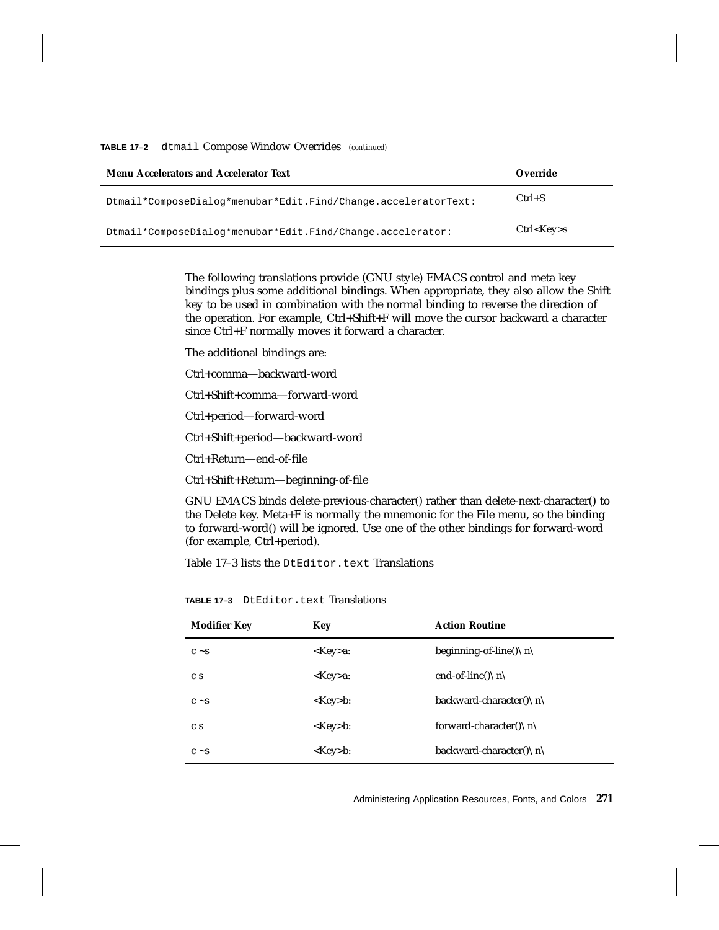| <b>Menu Accelerators and Accelerator Text</b>                  | Override    |
|----------------------------------------------------------------|-------------|
| Dtmail*ComposeDialoq*menubar*Edit.Find/Change.acceleratorText: | $Ctrl + S$  |
| Dtmail*ComposeDialoq*menubar*Edit.Find/Change.accelerator:     | Crl < Key>s |

The following translations provide (GNU style) EMACS control and meta key bindings plus some additional bindings. When appropriate, they also allow the Shift key to be used in combination with the normal binding to reverse the direction of the operation. For example, Ctrl+Shift+F will move the cursor backward a character since Ctrl+F normally moves it forward a character.

- The additional bindings are:
- Ctrl+comma—backward-word
- Ctrl+Shift+comma—forward-word
- Ctrl+period—forward-word
- Ctrl+Shift+period—backward-word
- Ctrl+Return—end-of-file
- Ctrl+Shift+Return—beginning-of-file

GNU EMACS binds delete-previous-character() rather than delete-next-character() to the Delete key. Meta+F is normally the mnemonic for the File menu, so the binding to forward-word() will be ignored. Use one of the other bindings for forward-word (for example, Ctrl+period).

Table 17–3 lists the DtEditor.text Translations

| TABLE 17-3 DtEditor.text Translations |  |
|---------------------------------------|--|
|                                       |  |

| <b>Modifier Key</b> | <b>Key</b> | <b>Action Routine</b>                     |
|---------------------|------------|-------------------------------------------|
| $c \sim s$          | $<$ Key>a: | beginning-of-line $() \n\wedge n \wedge$  |
| c <sub>s</sub>      | $<$ Key>a: | end-of-line() \n \                        |
| $c \sim s$          | $<$ Key>b: | backward-character $() \n\wedge n \wedge$ |
| c <sub>s</sub>      | $<$ Key>b: | forward-character $() \n\wedge n \wedge$  |
| $c \sim s$          | $<$ Key>b: | backward-character $() \n\wedge n \wedge$ |

Administering Application Resources, Fonts, and Colors **271**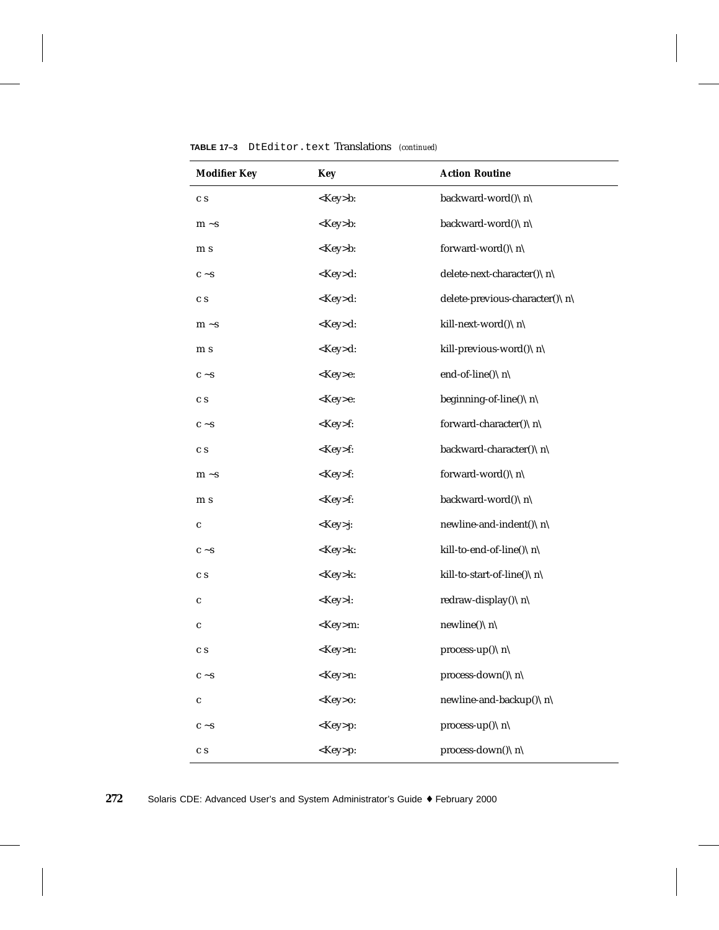| <b>Modifier Key</b> | <b>Key</b>    | <b>Action Routine</b>                    |
|---------------------|---------------|------------------------------------------|
| c s                 | $<$ Key>b:    | backward-word()\n\                       |
| $m \sim s$          | <key>b:</key> | backward-word()\n\                       |
| m s                 | $<$ Key>b:    | forward-word $() \n\in \mathbb{N}$       |
| $c \sim s$          | <key>d:</key> | delete-next-character()\n\               |
| c s                 | <key>d:</key> | delete-previous-character()\n\           |
| $m \sim s$          | <key>d:</key> | kill-next-word()\n\                      |
| m s                 | <key>d:</key> | kill-previous-word()\n\                  |
| $c \sim s$          | $<$ Key>e:    | end-of-line() \n\                        |
| c s                 | $<$ Key>e:    | beginning-of-line $() \n\wedge n \wedge$ |
| $c \sim s$          | $<$ Key>f:    | forward-character()\n\                   |
| c <sub>s</sub>      | $<$ Key>f:    | backward-character()\n\                  |
| $m \sim s$          | $<$ Key>f:    | forward-word $() \n\wedge n \wedge$      |
| m s                 | <key>f:</key> | backward-word()\n\                       |
| $\mathbf c$         | $<$ Key>j:    | newline-and-indent()\n\                  |
| $c \sim s$          | <key>k:</key> | kill-to-end-of-line()\n\                 |
| c s                 | <key>k:</key> | kill-to-start-of-line()\n\               |
| c                   | $<$ Key>l:    | redraw-display()\n\                      |
| $\mathbf c$         | <key>m:</key> | $newline() \n\cdot n$                    |
| c s                 | <key>n:</key> | process-up $0 \ln \sqrt{ }$              |
| $c \sim s$          | <key>n:</key> | process-down() $\n\ln$                   |
| $\mathbf c$         | $<$ Key>o:    | newline-and-backup()\n\                  |
| $c \sim s$          | <key>p:</key> | process-up $0 \ln \sqrt{ }$              |
| c s                 | $<$ Key>p:    | process-down $() \n\in \mathbb{N}$       |

**TABLE 17–3** DtEditor.text Translations *(continued)*

**272** Solaris CDE: Advanced User's and System Administrator's Guide ♦ February 2000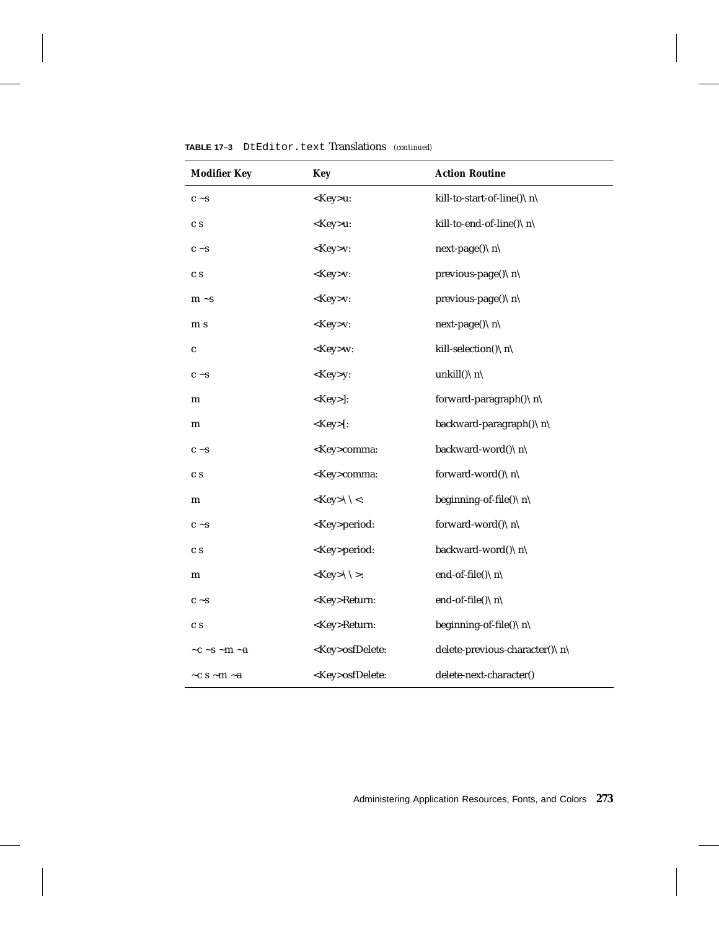| <b>Modifier Key</b>          | <b>Key</b>            | <b>Action Routine</b>                        |
|------------------------------|-----------------------|----------------------------------------------|
| $c \sim s$                   | <key>u:</key>         | kill-to-start-of-line()\n\                   |
| c s                          | $<$ Key>u:            | kill-to-end-of-line()\n\                     |
| $c \sim s$                   | <key>v:</key>         | $next-page() \n\cdot n \n\cdot$              |
| c s                          | $<$ Key>v:            | previous-page()\n\                           |
| $m \sim s$                   | <key>v:</key>         | previous-page()\n\                           |
| m s                          | $<$ Key>v:            | next-page()\n\                               |
| c                            | <key>w:</key>         | kill-selection()\n\                          |
| $c \sim s$                   | $<$ Key>y:            | unkill $0 \n\infty$                          |
| m                            | $<$ Key>]:            | forward-paragraph()\n\                       |
| m                            | $<$ Key>[:            | backward-paragraph()\n\                      |
| $c \sim s$                   | <key>comma:</key>     | backward-word<br>() $\backslash n\backslash$ |
| c s                          | <key>comma:</key>     | forward-word()\n\                            |
| m                            | $<$ Key>\\<:          | beginning-of-file $0 \n\infty$               |
| $c \sim s$                   | <key>period:</key>    | forward-word()\n\                            |
| c s                          | <key>period:</key>    | backward-word()\n\                           |
| m                            | $<$ Key>\\>:          | end-of-file $() \n\in \mathbb{N}$            |
| $c \sim s$                   | <key>Return:</key>    | end-of-file $() \n\in \mathbb{N}$            |
| c s                          | <key>Return:</key>    | beginning-of-file()\n\                       |
| $-c \sim s \sim m \sim a$    | <key>osfDelete:</key> | delete-previous-character()\n\               |
| $\sim$ c s $\sim$ m $\sim$ a | <key>osfDelete:</key> | delete-next-character()                      |

**TABLE 17–3** DtEditor.text Translations *(continued)*

Administering Application Resources, Fonts, and Colors **273**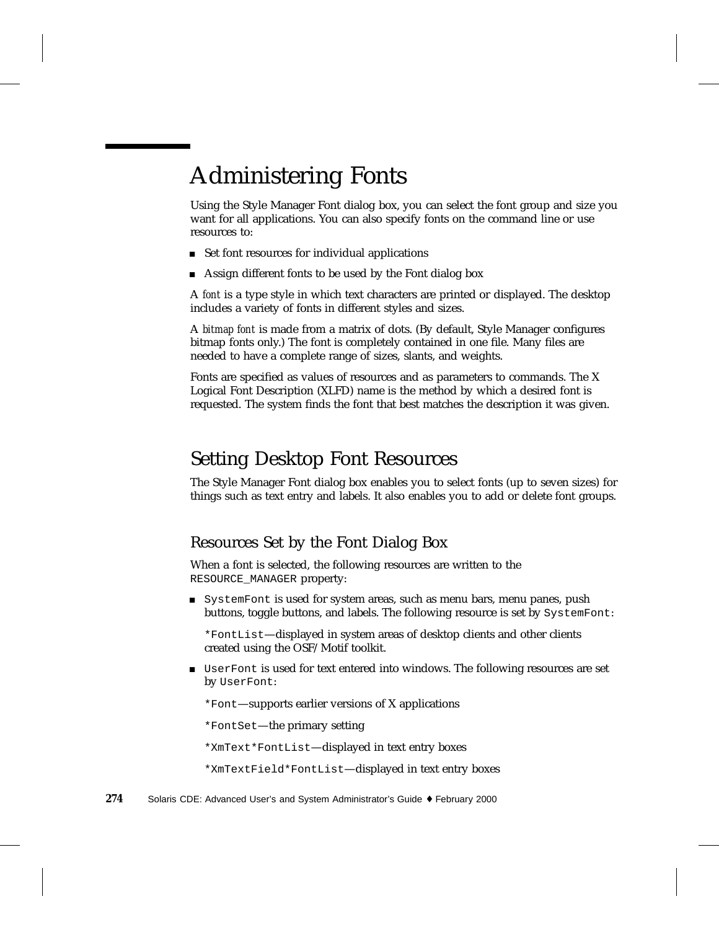# Administering Fonts

Using the Style Manager Font dialog box, you can select the font group and size you want for all applications. You can also specify fonts on the command line or use resources to:

- Set font resources for individual applications
- **EXECUTE:** Assign different fonts to be used by the Font dialog box

A *font* is a type style in which text characters are printed or displayed. The desktop includes a variety of fonts in different styles and sizes.

A *bitmap font* is made from a matrix of dots. (By default, Style Manager configures bitmap fonts only.) The font is completely contained in one file. Many files are needed to have a complete range of sizes, slants, and weights.

Fonts are specified as values of resources and as parameters to commands. The X Logical Font Description (XLFD) name is the method by which a desired font is requested. The system finds the font that best matches the description it was given.

### Setting Desktop Font Resources

The Style Manager Font dialog box enables you to select fonts (up to seven sizes) for things such as text entry and labels. It also enables you to add or delete font groups.

#### Resources Set by the Font Dialog Box

When a font is selected, the following resources are written to the RESOURCE\_MANAGER property:

SystemFont is used for system areas, such as menu bars, menu panes, push buttons, toggle buttons, and labels. The following resource is set by SystemFont:

\*FontList—displayed in system areas of desktop clients and other clients created using the OSF/Motif toolkit.

 UserFont is used for text entered into windows. The following resources are set by UserFont:

\*Font—supports earlier versions of X applications

\*FontSet—the primary setting

\*XmText\*FontList—displayed in text entry boxes

\*XmTextField\*FontList—displayed in text entry boxes

**274** Solaris CDE: Advanced User's and System Administrator's Guide ♦ February 2000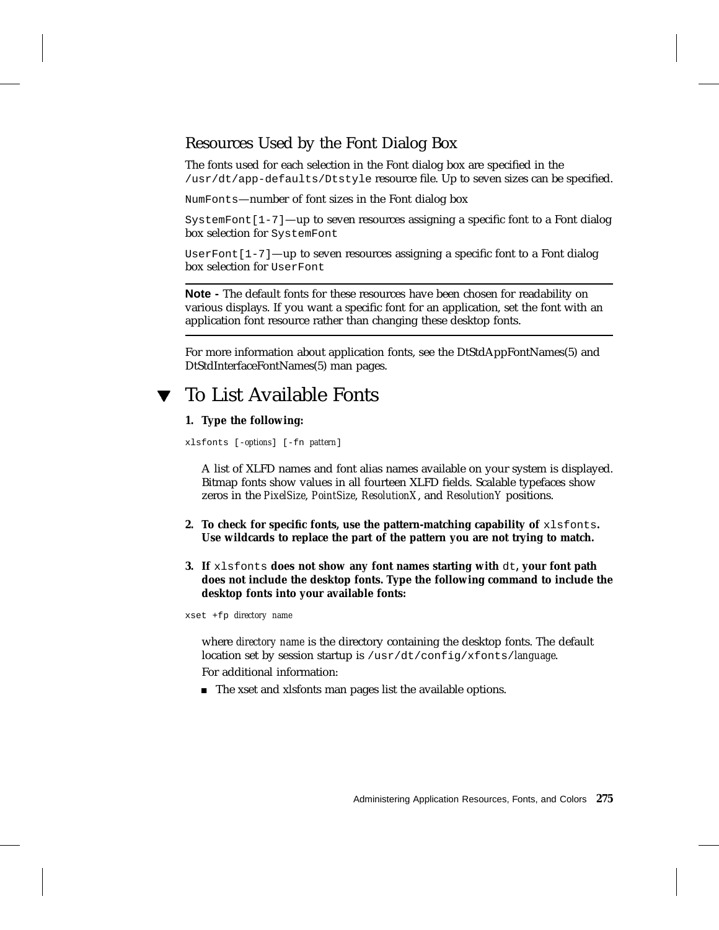#### Resources Used by the Font Dialog Box

The fonts used for each selection in the Font dialog box are specified in the /usr/dt/app-defaults/Dtstyle resource file. Up to seven sizes can be specified.

NumFonts—number of font sizes in the Font dialog box

SystemFont[1-7]—up to seven resources assigning a specific font to a Font dialog box selection for SystemFont

UserFont $[1-7]$ —up to seven resources assigning a specific font to a Font dialog box selection for UserFont

**Note -** The default fonts for these resources have been chosen for readability on various displays. If you want a specific font for an application, set the font with an application font resource rather than changing these desktop fonts.

For more information about application fonts, see the DtStdAppFontNames(5) and DtStdInterfaceFontNames(5) man pages.

### To List Available Fonts

#### **1. Type the following:**

xlsfonts [-*options*] [-fn *pattern*]

A list of XLFD names and font alias names available on your system is displayed. Bitmap fonts show values in all fourteen XLFD fields. Scalable typefaces show zeros in the *PixelSize*, *PointSize*, *ResolutionX*, and *ResolutionY* positions.

- **2. To check for specific fonts, use the pattern-matching capability of** xlsfonts**. Use wildcards to replace the part of the pattern you are not trying to match.**
- **3. If** xlsfonts **does not show any font names starting with** dt**, your font path does not include the desktop fonts. Type the following command to include the desktop fonts into your available fonts:**

xset +fp *directory name*

where *directory name* is the directory containing the desktop fonts. The default location set by session startup is /usr/dt/config/xfonts/*language*.

For additional information:

The xset and xlsfonts man pages list the available options.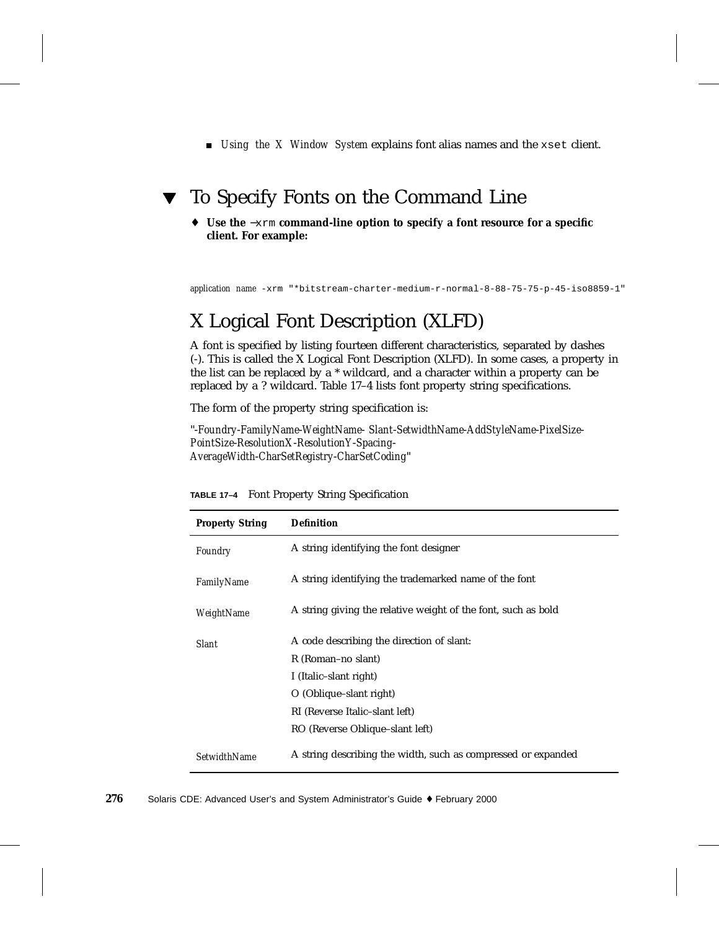- *Using the X Window System* explains font alias names and the xset client.
- 

### To Specify Fonts on the Command Line

♦ **Use the** −xrm **command-line option to specify a font resource for a specific client. For example:**

*application name* -xrm "\*bitstream-charter-medium-r-normal-8-88-75-75-p-45-iso8859-1"

### X Logical Font Description (XLFD)

A font is specified by listing fourteen different characteristics, separated by dashes (-). This is called the X Logical Font Description (XLFD). In some cases, a property in the list can be replaced by a \* wildcard, and a character within a property can be replaced by a ? wildcard. Table 17–4 lists font property string specifications.

The form of the property string specification is:

"-*Foundry*-*FamilyName*-*WeightName*- *Slant*-*SetwidthName*-*AddStyleName*-*PixelSize*-*PointSize*-*ResolutionX*-*ResolutionY*-*Spacing*-*AverageWidth*-*CharSetRegistry*-*CharSetCoding*"

| <b>Property String</b> | <b>Definition</b>                                             |
|------------------------|---------------------------------------------------------------|
| <b>Foundry</b>         | A string identifying the font designer                        |
| <b>FamilyName</b>      | A string identifying the trademarked name of the font         |
| WeightName             | A string giving the relative weight of the font, such as bold |
| <b>Slant</b>           | A code describing the direction of slant:                     |
|                        | R (Roman–no slant)                                            |
|                        | I (Italic-slant right)                                        |
|                        | O (Oblique-slant right)                                       |
|                        | RI (Reverse Italic-slant left)                                |
|                        | RO (Reverse Oblique-slant left)                               |
| <b>SetwidthName</b>    | A string describing the width, such as compressed or expanded |

**TABLE 17–4** Font Property String Specification

**276** Solaris CDE: Advanced User's and System Administrator's Guide ♦ February 2000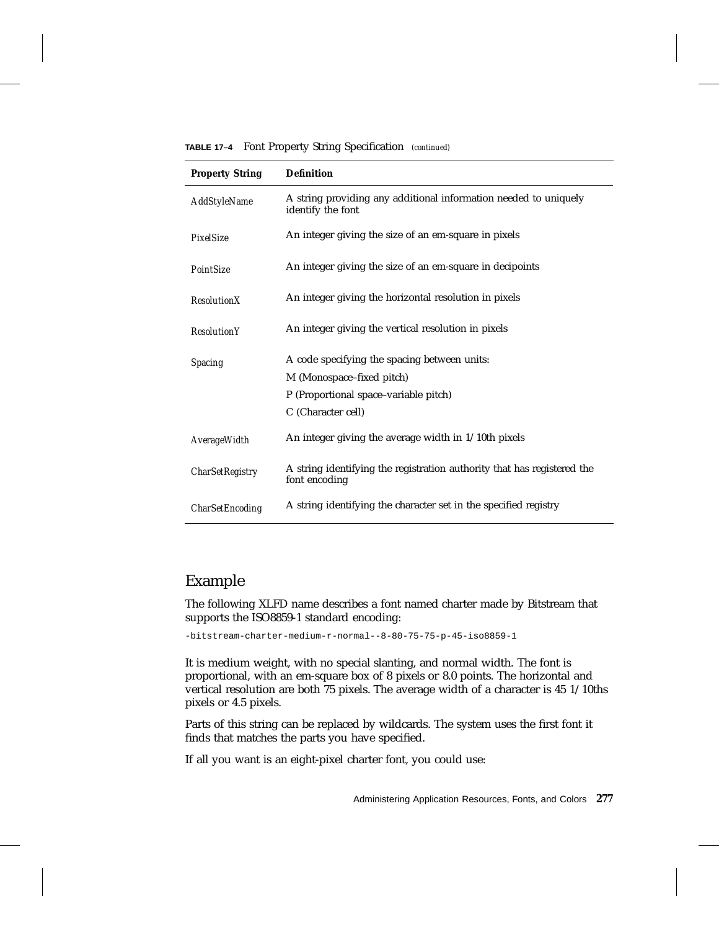**TABLE 17–4** Font Property String Specification *(continued)*

| <b>Property String</b> | <b>Definition</b>                                                                        |
|------------------------|------------------------------------------------------------------------------------------|
| <b>AddStyleName</b>    | A string providing any additional information needed to uniquely<br>identify the font    |
| PixelSize              | An integer giving the size of an em-square in pixels                                     |
| PointSize              | An integer giving the size of an em-square in decipoints                                 |
| ResolutionX            | An integer giving the horizontal resolution in pixels                                    |
| <b>ResolutionY</b>     | An integer giving the vertical resolution in pixels                                      |
| <b>Spacing</b>         | A code specifying the spacing between units:                                             |
|                        | M (Monospace-fixed pitch)                                                                |
|                        | P (Proportional space-variable pitch)                                                    |
|                        | C (Character cell)                                                                       |
| <b>AverageWidth</b>    | An integer giving the average width in $1/10$ th pixels                                  |
| <b>CharSetRegistry</b> | A string identifying the registration authority that has registered the<br>font encoding |
| <b>CharSetEncoding</b> | A string identifying the character set in the specified registry                         |

#### Example

The following XLFD name describes a font named charter made by Bitstream that supports the ISO8859-1 standard encoding:

-bitstream-charter-medium-r-normal--8-80-75-75-p-45-iso8859-1

It is medium weight, with no special slanting, and normal width. The font is proportional, with an em-square box of 8 pixels or 8.0 points. The horizontal and vertical resolution are both 75 pixels. The average width of a character is 45 1/10ths pixels or 4.5 pixels.

Parts of this string can be replaced by wildcards. The system uses the first font it finds that matches the parts you have specified.

If all you want is an eight-pixel charter font, you could use:

Administering Application Resources, Fonts, and Colors **277**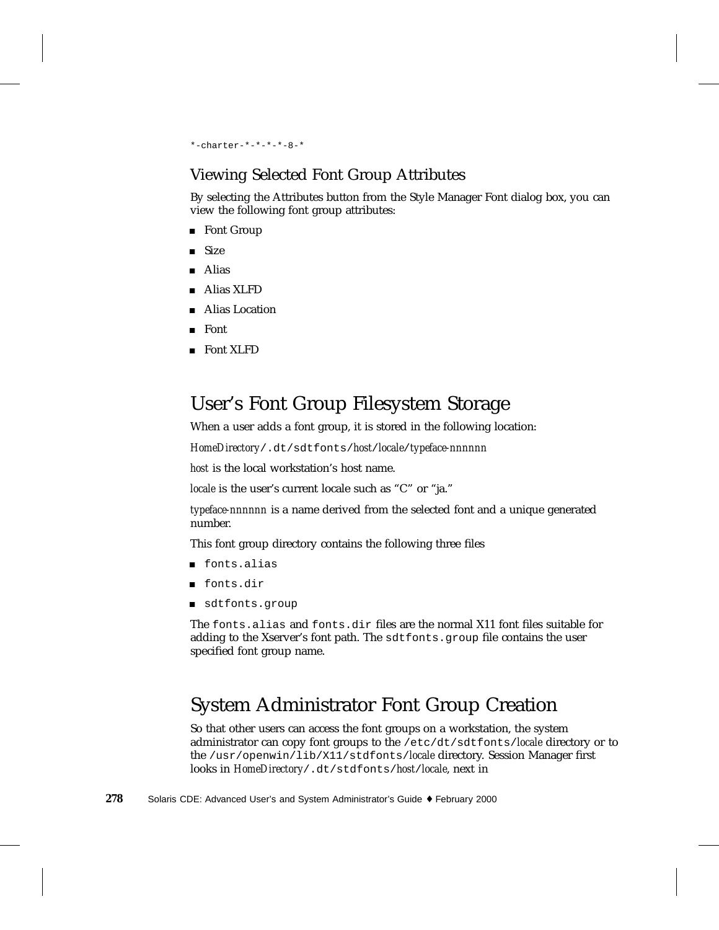\*-charter-\*-\*-\*-\*-8-\*

#### Viewing Selected Font Group Attributes

By selecting the Attributes button from the Style Manager Font dialog box, you can view the following font group attributes:

- **Font Group**
- **Size**
- Alias
- Alias XLFD
- Alias Location
- **Font**
- **Font XLFD**

### User's Font Group Filesystem Storage

When a user adds a font group, it is stored in the following location:

*HomeDirectory*/.dt/sdtfonts/*host*/*locale*/*typeface-nnnnnn*

*host* is the local workstation's host name.

*locale* is the user's current locale such as "C" or "ja."

*typeface-nnnnnn* is a name derived from the selected font and a unique generated number.

This font group directory contains the following three files

- fonts.alias
- fonts.dir
- sdtfonts.group

The fonts.alias and fonts.dir files are the normal X11 font files suitable for adding to the Xserver's font path. The sdtfonts.group file contains the user specified font group name.

### System Administrator Font Group Creation

So that other users can access the font groups on a workstation, the system administrator can copy font groups to the /etc/dt/sdtfonts/*locale* directory or to the /usr/openwin/lib/X11/stdfonts/*locale* directory. Session Manager first looks in *HomeDirectory*/.dt/stdfonts/*host*/*locale*, next in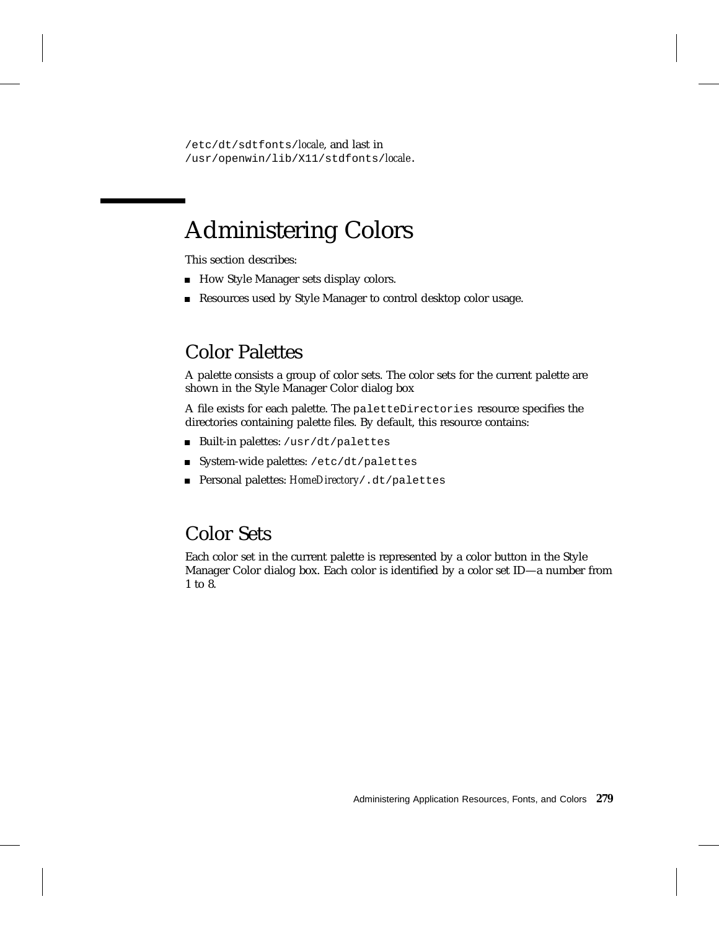/etc/dt/sdtfonts/*locale*, and last in /usr/openwin/lib/X11/stdfonts/*locale*.

# Administering Colors

This section describes:

- How Style Manager sets display colors.
- Resources used by Style Manager to control desktop color usage.

## Color Palettes

A palette consists a group of color sets. The color sets for the current palette are shown in the Style Manager Color dialog box

A file exists for each palette. The paletteDirectories resource specifies the directories containing palette files. By default, this resource contains:

- Built-in palettes: /usr/dt/palettes
- System-wide palettes: /etc/dt/palettes
- Personal palettes: *HomeDirectory*/.dt/palettes

## Color Sets

Each color set in the current palette is represented by a color button in the Style Manager Color dialog box. Each color is identified by a color set ID—a number from 1 to 8.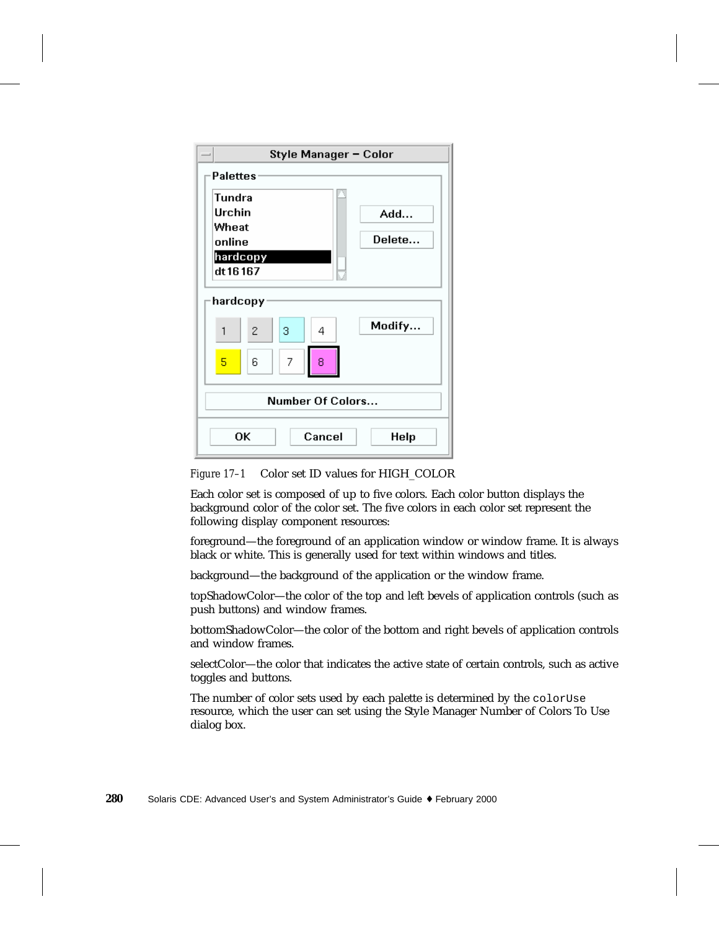| Style Manager - Color |        |
|-----------------------|--------|
| <b>Palettes</b>       |        |
| Tundra                |        |
| Urchin                | Add    |
| Wheat<br>online       | Delete |
| hardcopy              |        |
| dt 16 167             |        |
| hardcopy              |        |
| 2<br>3<br>4<br>1      | Modify |
| 7<br>8<br>6<br>5      |        |
| Number Of Colors      |        |
| OΚ<br>Cancel          | Help   |

*Figure 17–1* Color set ID values for HIGH\_COLOR

Each color set is composed of up to five colors. Each color button displays the background color of the color set. The five colors in each color set represent the following display component resources:

foreground—the foreground of an application window or window frame. It is always black or white. This is generally used for text within windows and titles.

background—the background of the application or the window frame.

topShadowColor—the color of the top and left bevels of application controls (such as push buttons) and window frames.

bottomShadowColor—the color of the bottom and right bevels of application controls and window frames.

selectColor—the color that indicates the active state of certain controls, such as active toggles and buttons.

The number of color sets used by each palette is determined by the colorUse resource, which the user can set using the Style Manager Number of Colors To Use dialog box.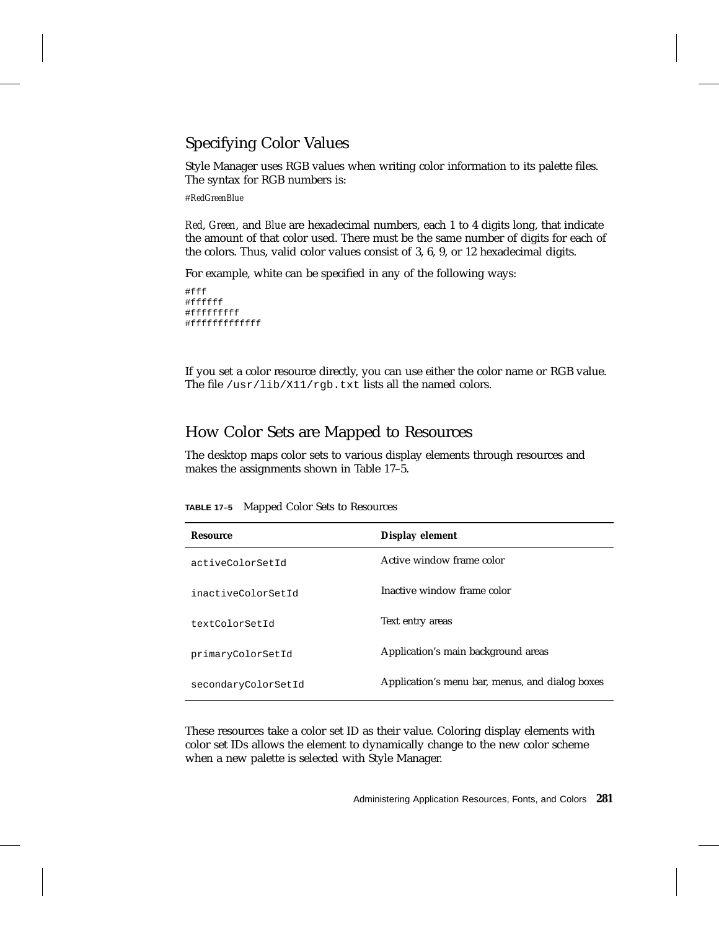### Specifying Color Values

Style Manager uses RGB values when writing color information to its palette files. The syntax for RGB numbers is:

#*RedGreenBlue*

*Red*, *Green*, and *Blue* are hexadecimal numbers, each 1 to 4 digits long, that indicate the amount of that color used. There must be the same number of digits for each of the colors. Thus, valid color values consist of 3, 6, 9, or 12 hexadecimal digits.

For example, white can be specified in any of the following ways:

#fff #ffffff #fffffffff #fffffffffffff

If you set a color resource directly, you can use either the color name or RGB value. The file /usr/lib/X11/rgb.txt lists all the named colors.

#### How Color Sets are Mapped to Resources

The desktop maps color sets to various display elements through resources and makes the assignments shown in Table 17–5.

| <b>Resource</b>     | Display element                                 |
|---------------------|-------------------------------------------------|
| activeColorSetId    | Active window frame color                       |
| inactiveColorSetId  | Inactive window frame color                     |
| textColorSetId      | Text entry areas                                |
| primaryColorSetId   | Application's main background areas             |
| secondaryColorSetId | Application's menu bar, menus, and dialog boxes |

**TABLE 17–5** Mapped Color Sets to Resources

These resources take a color set ID as their value. Coloring display elements with color set IDs allows the element to dynamically change to the new color scheme when a new palette is selected with Style Manager.

Administering Application Resources, Fonts, and Colors **281**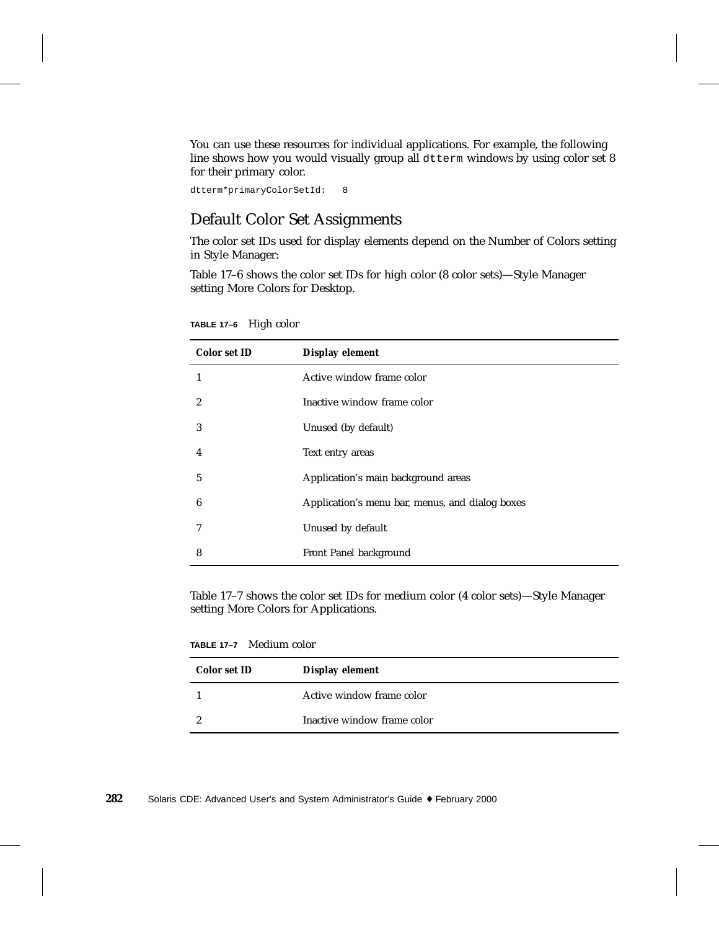You can use these resources for individual applications. For example, the following line shows how you would visually group all dtterm windows by using color set 8 for their primary color.

dtterm\*primaryColorSetId: 8

#### Default Color Set Assignments

The color set IDs used for display elements depend on the Number of Colors setting in Style Manager:

Table 17–6 shows the color set IDs for high color (8 color sets)—Style Manager setting More Colors for Desktop.

| <b>Color set ID</b> | Display element                                 |
|---------------------|-------------------------------------------------|
| 1                   | Active window frame color                       |
| 2                   | Inactive window frame color                     |
| 3                   | Unused (by default)                             |
| 4                   | Text entry areas                                |
| 5                   | Application's main background areas             |
| 6                   | Application's menu bar, menus, and dialog boxes |
| 7                   | Unused by default                               |
| 8                   | Front Panel background                          |

**TABLE 17–6** High color

Table 17–7 shows the color set IDs for medium color (4 color sets)—Style Manager setting More Colors for Applications.

**TABLE 17–7** Medium color

| Color set ID | <b>Display element</b>      |
|--------------|-----------------------------|
|              | Active window frame color   |
| 2            | Inactive window frame color |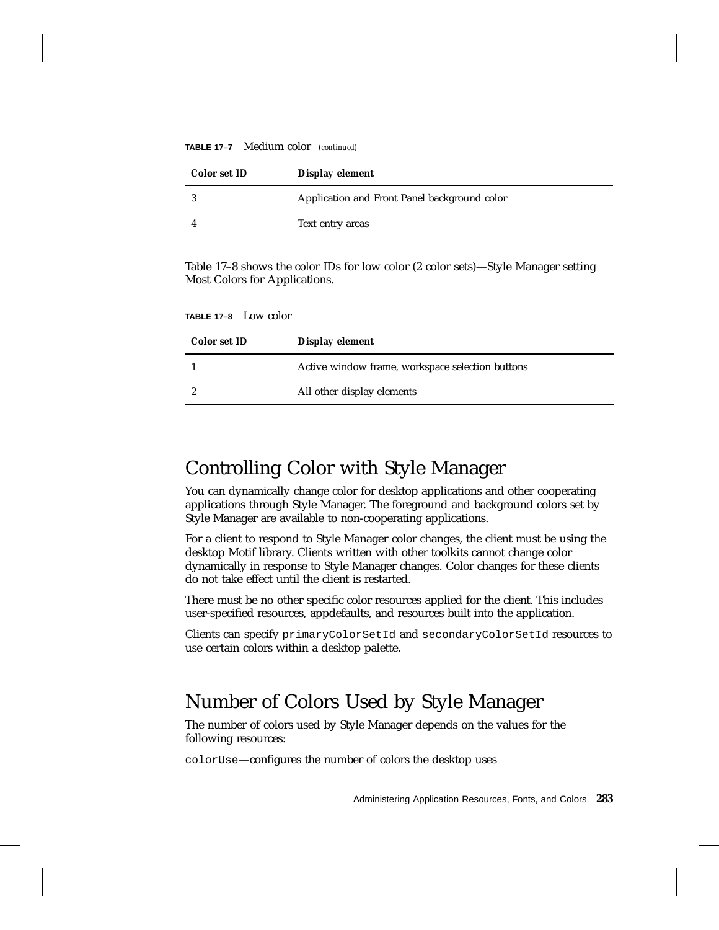**TABLE 17–7** Medium color *(continued)*

| Color set ID | Display element                              |
|--------------|----------------------------------------------|
|              | Application and Front Panel background color |
|              | Text entry areas                             |

Table 17–8 shows the color IDs for low color (2 color sets)—Style Manager setting Most Colors for Applications.

**TABLE 17–8** Low color

| Color set ID | Display element                                  |
|--------------|--------------------------------------------------|
|              | Active window frame, workspace selection buttons |
|              | All other display elements                       |

### Controlling Color with Style Manager

You can dynamically change color for desktop applications and other cooperating applications through Style Manager. The foreground and background colors set by Style Manager are available to non-cooperating applications.

For a client to respond to Style Manager color changes, the client must be using the desktop Motif library. Clients written with other toolkits cannot change color dynamically in response to Style Manager changes. Color changes for these clients do not take effect until the client is restarted.

There must be no other specific color resources applied for the client. This includes user-specified resources, appdefaults, and resources built into the application.

Clients can specify primaryColorSetId and secondaryColorSetId resources to use certain colors within a desktop palette.

### Number of Colors Used by Style Manager

The number of colors used by Style Manager depends on the values for the following resources:

colorUse—configures the number of colors the desktop uses

Administering Application Resources, Fonts, and Colors **283**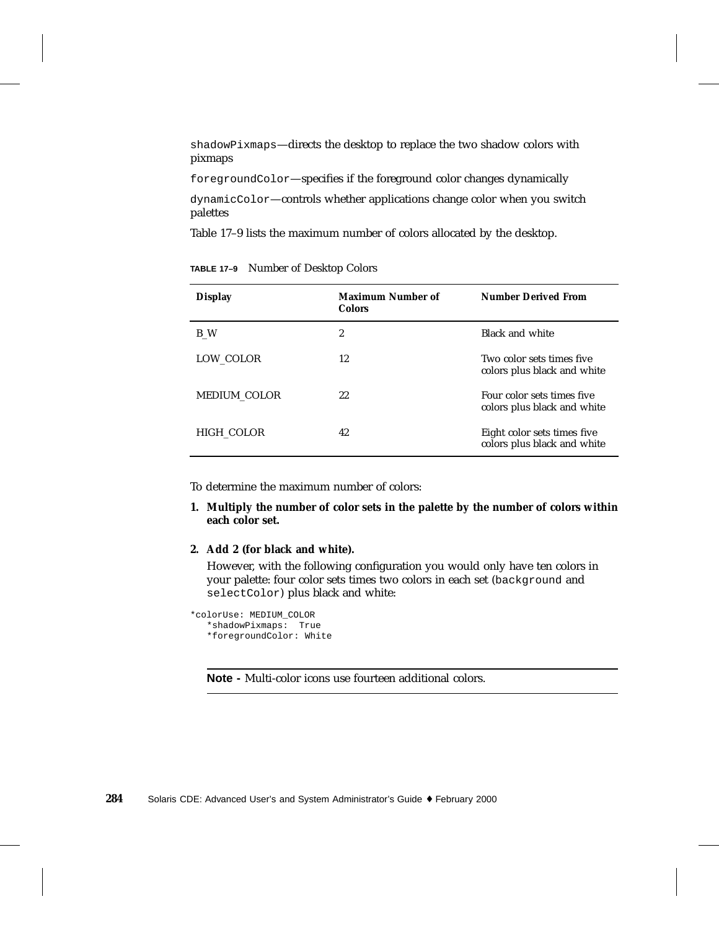shadowPixmaps—directs the desktop to replace the two shadow colors with pixmaps

foregroundColor—specifies if the foreground color changes dynamically

dynamicColor—controls whether applications change color when you switch palettes

Table 17–9 lists the maximum number of colors allocated by the desktop.

| <b>Display</b>      | Maximum Number of<br><b>Colors</b> | <b>Number Derived From</b>                                 |
|---------------------|------------------------------------|------------------------------------------------------------|
| B W                 | 2                                  | Black and white                                            |
| LOW COLOR           | 12                                 | Two color sets times five<br>colors plus black and white   |
| <b>MEDIUM COLOR</b> | 22                                 | Four color sets times five<br>colors plus black and white  |
| HIGH COLOR          | 42                                 | Eight color sets times five<br>colors plus black and white |

**TABLE 17–9** Number of Desktop Colors

To determine the maximum number of colors:

**1. Multiply the number of color sets in the palette by the number of colors within each color set.**

#### **2. Add 2 (for black and white).**

However, with the following configuration you would only have ten colors in your palette: four color sets times two colors in each set (background and selectColor) plus black and white:

#### \*colorUse: MEDIUM\_COLOR \*shadowPixmaps: True \*foregroundColor: White

**Note -** Multi-color icons use fourteen additional colors.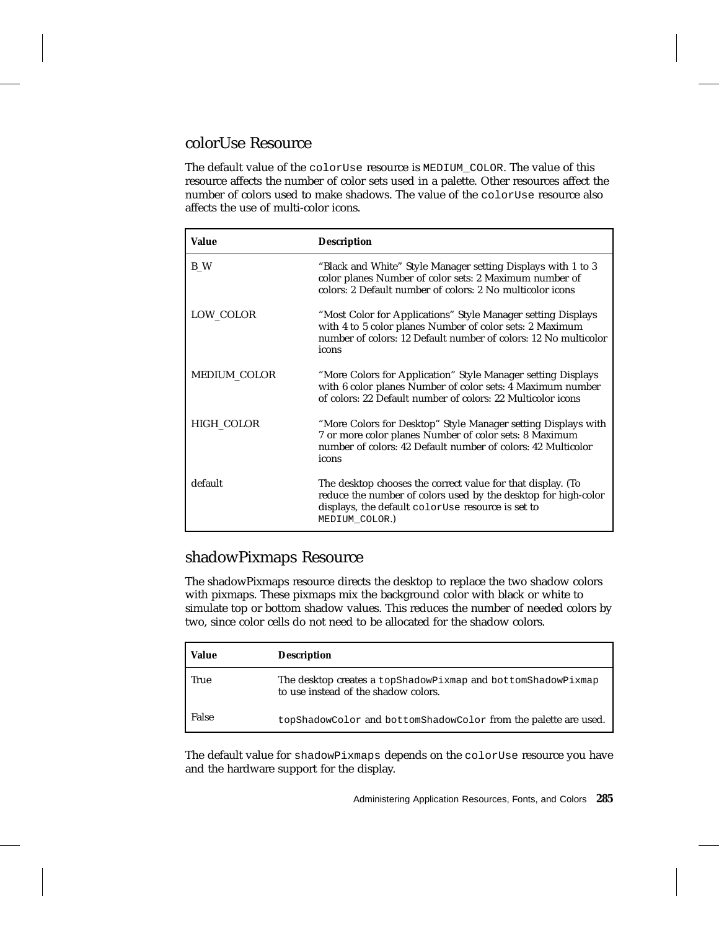### colorUse Resource

The default value of the colorUse resource is MEDIUM\_COLOR. The value of this resource affects the number of color sets used in a palette. Other resources affect the number of colors used to make shadows. The value of the colorUse resource also affects the use of multi-color icons.

| <b>Value</b> | <b>Description</b>                                                                                                                                                                                   |
|--------------|------------------------------------------------------------------------------------------------------------------------------------------------------------------------------------------------------|
| B W          | "Black and White" Style Manager setting Displays with 1 to 3<br>color planes Number of color sets: 2 Maximum number of<br>colors: 2 Default number of colors: 2 No multicolor icons                  |
| LOW_COLOR    | "Most Color for Applications" Style Manager setting Displays<br>with 4 to 5 color planes Number of color sets: 2 Maximum<br>number of colors: 12 Default number of colors: 12 No multicolor<br>icons |
| MEDIUM COLOR | "More Colors for Application" Style Manager setting Displays<br>with 6 color planes Number of color sets: 4 Maximum number<br>of colors: 22 Default number of colors: 22 Multicolor icons            |
| HIGH COLOR   | "More Colors for Desktop" Style Manager setting Displays with<br>7 or more color planes Number of color sets: 8 Maximum<br>number of colors: 42 Default number of colors: 42 Multicolor<br>icons     |
| default      | The desktop chooses the correct value for that display. (To<br>reduce the number of colors used by the desktop for high-color<br>displays, the default colorUse resource is set to<br>MEDIUM COLOR.) |

### shadowPixmaps Resource

The shadowPixmaps resource directs the desktop to replace the two shadow colors with pixmaps. These pixmaps mix the background color with black or white to simulate top or bottom shadow values. This reduces the number of needed colors by two, since color cells do not need to be allocated for the shadow colors.

| Value | <b>Description</b>                                                                                   |
|-------|------------------------------------------------------------------------------------------------------|
| True  | The desktop creates a topShadowPixmap and bottomShadowPixmap<br>to use instead of the shadow colors. |
| False | topShadowColor and bottomShadowColor from the palette are used.                                      |

The default value for shadowPixmaps depends on the colorUse resource you have and the hardware support for the display.

Administering Application Resources, Fonts, and Colors **285**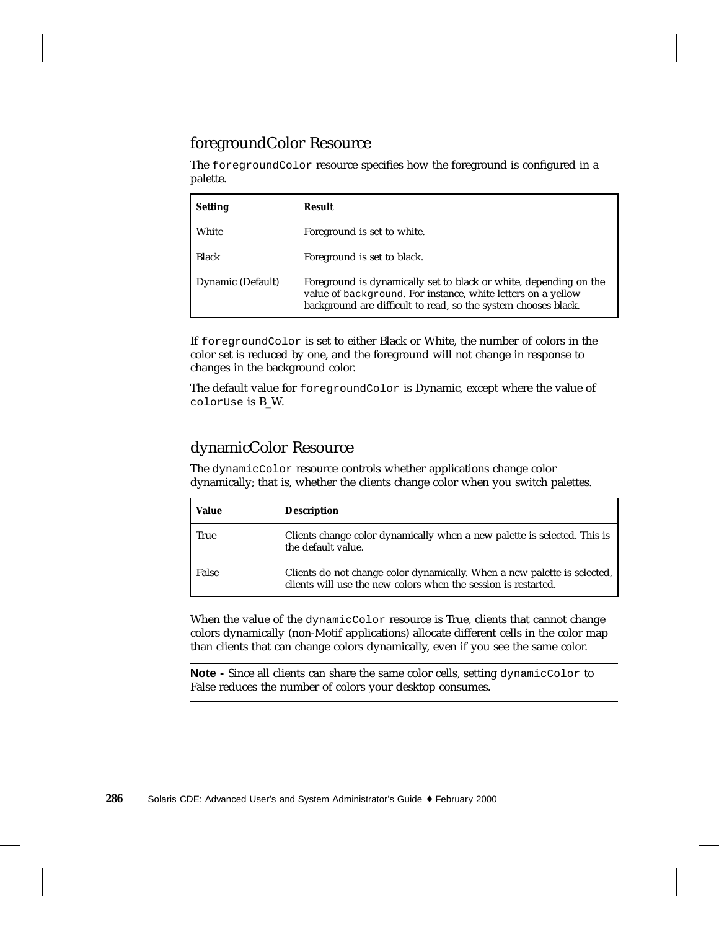#### foregroundColor Resource

The foregroundColor resource specifies how the foreground is configured in a palette.

| <b>Setting</b>    | Result                                                                                                                                                                                              |
|-------------------|-----------------------------------------------------------------------------------------------------------------------------------------------------------------------------------------------------|
| White             | Foreground is set to white.                                                                                                                                                                         |
| Black             | Foreground is set to black.                                                                                                                                                                         |
| Dynamic (Default) | Foreground is dynamically set to black or white, depending on the<br>value of background. For instance, white letters on a yellow<br>background are difficult to read, so the system chooses black. |

If foregroundColor is set to either Black or White, the number of colors in the color set is reduced by one, and the foreground will not change in response to changes in the background color.

The default value for foregroundColor is Dynamic, except where the value of colorUse is B\_W.

### dynamicColor Resource

The dynamicColor resource controls whether applications change color dynamically; that is, whether the clients change color when you switch palettes.

| Value | <b>Description</b>                                                                                                                         |
|-------|--------------------------------------------------------------------------------------------------------------------------------------------|
| True  | Clients change color dynamically when a new palette is selected. This is<br>the default value.                                             |
| False | Clients do not change color dynamically. When a new palette is selected,<br>clients will use the new colors when the session is restarted. |

When the value of the dynamicColor resource is True, clients that cannot change colors dynamically (non-Motif applications) allocate different cells in the color map than clients that can change colors dynamically, even if you see the same color.

**Note -** Since all clients can share the same color cells, setting dynamicColor to False reduces the number of colors your desktop consumes.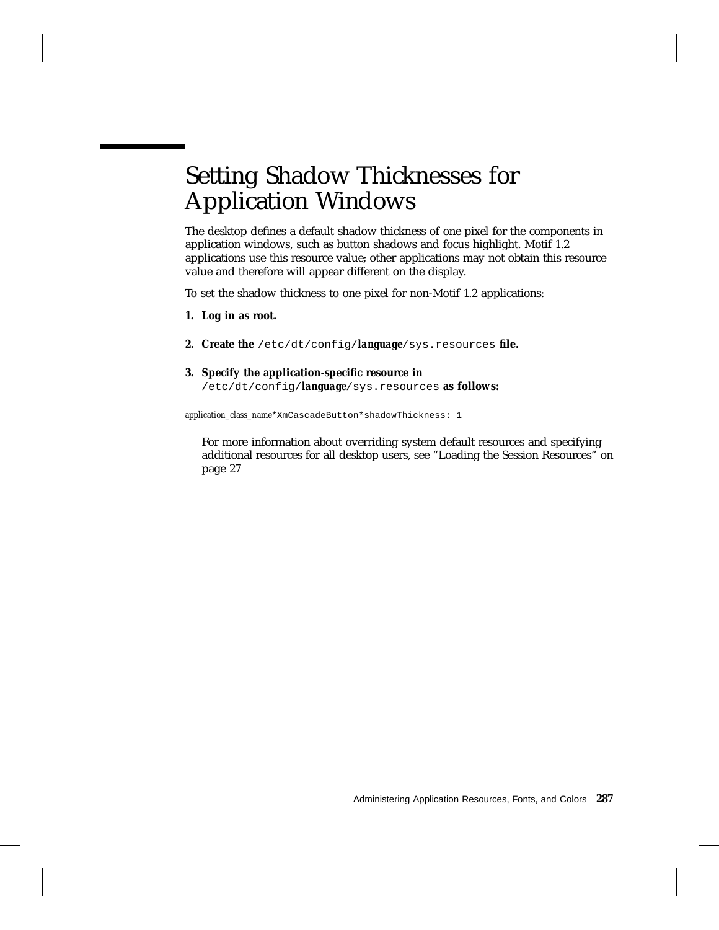# Setting Shadow Thicknesses for Application Windows

The desktop defines a default shadow thickness of one pixel for the components in application windows, such as button shadows and focus highlight. Motif 1.2 applications use this resource value; other applications may not obtain this resource value and therefore will appear different on the display.

To set the shadow thickness to one pixel for non-Motif 1.2 applications:

- **1. Log in as root.**
- **2. Create the** /etc/dt/config/*language*/sys.resources **file.**

#### **3. Specify the application-specific resource in** /etc/dt/config/*language*/sys.resources **as follows:**

*application\_class\_name*\*XmCascadeButton\*shadowThickness: 1

For more information about overriding system default resources and specifying additional resources for all desktop users, see "Loading the Session Resources" on page 27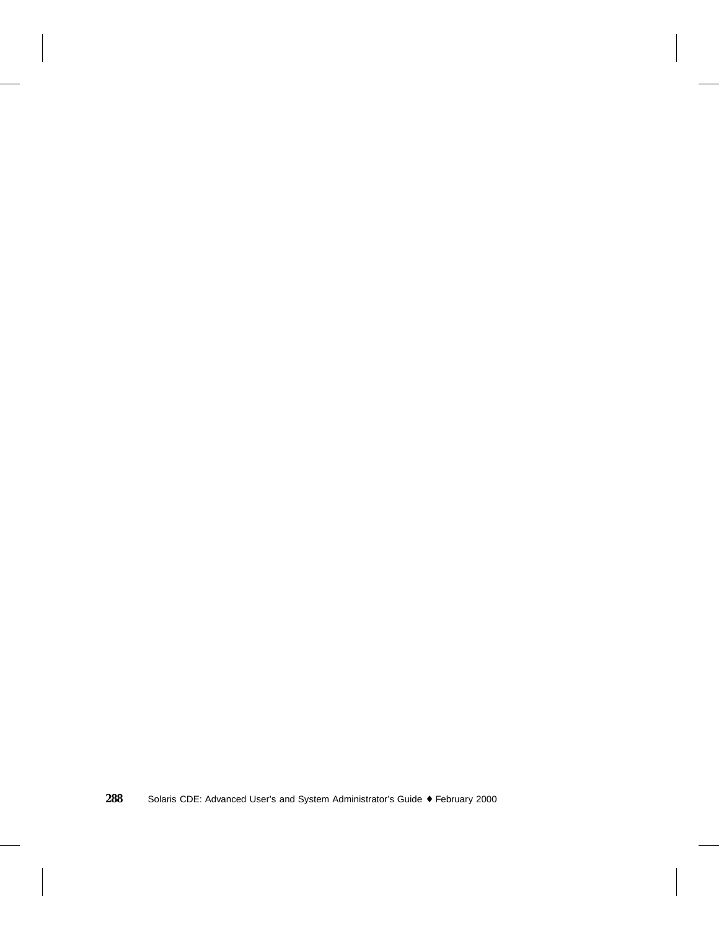Solaris CDE: Advanced User's and System Administrator's Guide ♦ February 2000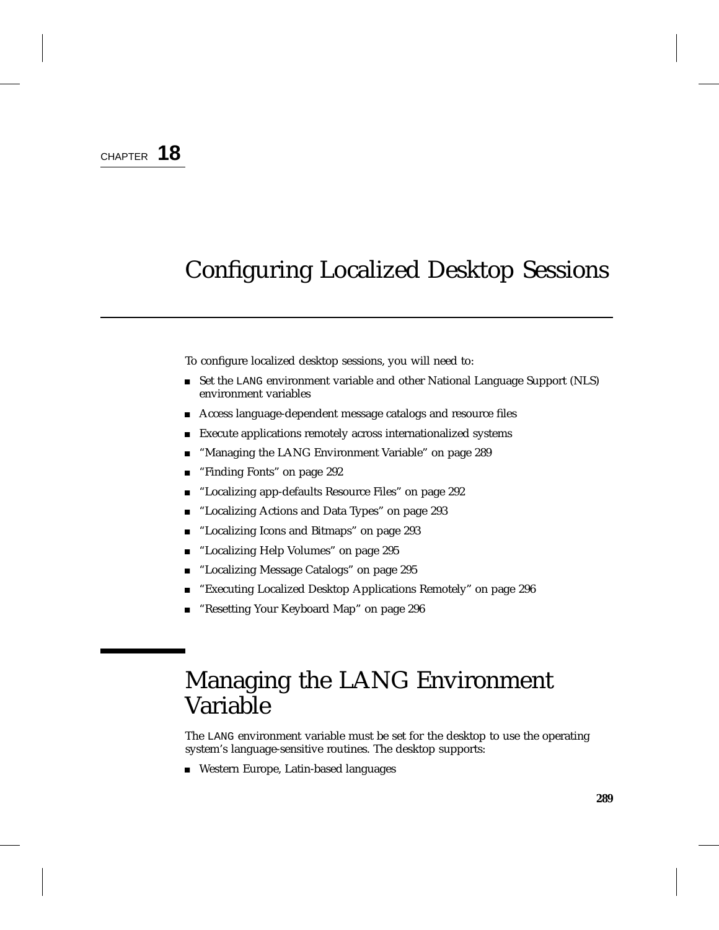### CHAPTER **18**

# Configuring Localized Desktop Sessions

To configure localized desktop sessions, you will need to:

- Set the LANG environment variable and other National Language Support (NLS) environment variables
- Access language-dependent message catalogs and resource files
- Execute applications remotely across internationalized systems
- "Managing the LANG Environment Variable" on page 289
- "Finding Fonts" on page 292
- "Localizing app-defaults Resource Files" on page 292
- "Localizing Actions and Data Types" on page 293
- "Localizing Icons and Bitmaps" on page 293
- "Localizing Help Volumes" on page 295
- "Localizing Message Catalogs" on page 295
- "Executing Localized Desktop Applications Remotely" on page 296
- "Resetting Your Keyboard Map" on page 296

# Managing the LANG Environment Variable

The LANG environment variable must be set for the desktop to use the operating system's language-sensitive routines. The desktop supports:

Western Europe, Latin-based languages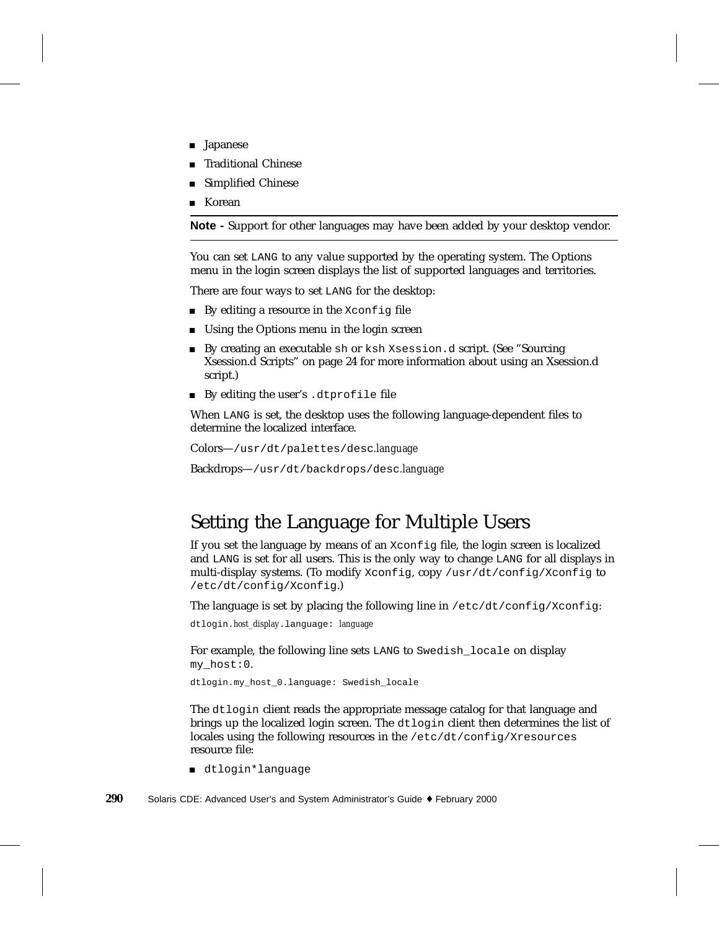- **Japanese**
- Traditional Chinese
- **Simplified Chinese**
- **Korean**

**Note -** Support for other languages may have been added by your desktop vendor.

You can set LANG to any value supported by the operating system. The Options menu in the login screen displays the list of supported languages and territories.

There are four ways to set LANG for the desktop:

- $\blacksquare$  By editing a resource in the Xconfig file
- Using the Options menu in the login screen
- By creating an executable sh or ksh Xsession.d script. (See "Sourcing Xsession.d Scripts" on page 24 for more information about using an Xsession.d script.)
- By editing the user's .dtprofile file

When LANG is set, the desktop uses the following language-dependent files to determine the localized interface.

Colors—/usr/dt/palettes/desc*.language*

Backdrops—/usr/dt/backdrops/desc*.language*

### Setting the Language for Multiple Users

If you set the language by means of an  $X$ config file, the login screen is localized and LANG is set for all users. This is the only way to change LANG for all displays in multi-display systems. (To modify Xconfig, copy /usr/dt/config/Xconfig to /etc/dt/config/Xconfig.)

The language is set by placing the following line in  $/$ etc $/$ dt $/$ config $/$ Xconfig:

dtlogin.*host\_display*.language: *language*

For example, the following line sets LANG to Swedish\_locale on display my\_host:0.

dtlogin.my\_host\_0.language: Swedish\_locale

The dtlogin client reads the appropriate message catalog for that language and brings up the localized login screen. The dtlogin client then determines the list of locales using the following resources in the /etc/dt/config/Xresources resource file:

- dtlogin\*language
- **290** Solaris CDE: Advanced User's and System Administrator's Guide ♦ February 2000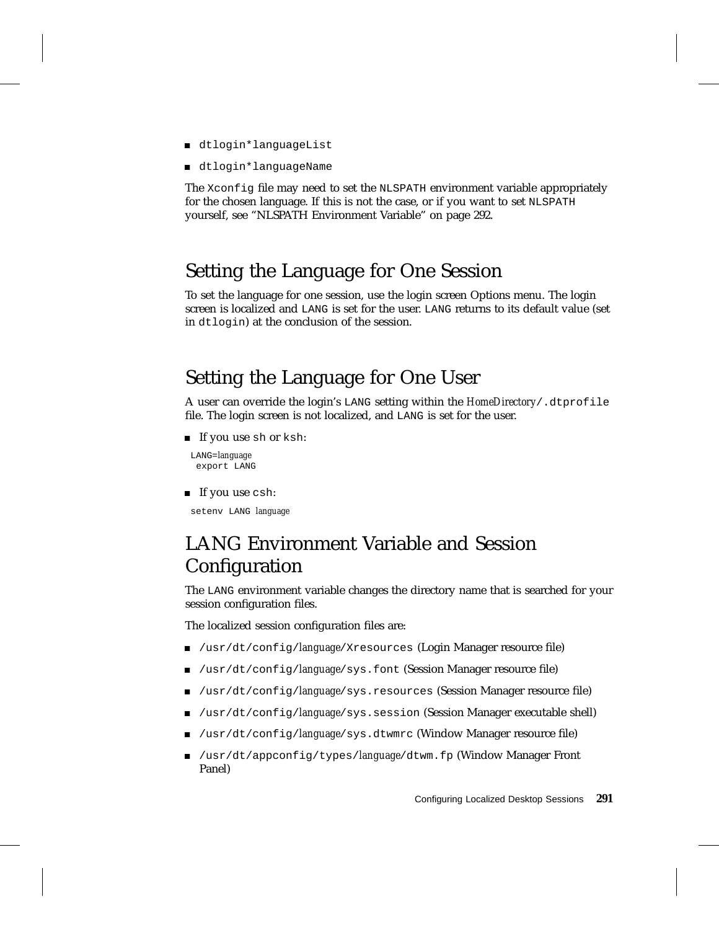- dtlogin\*languageList
- dtlogin\*languageName

The Xconfig file may need to set the NLSPATH environment variable appropriately for the chosen language. If this is not the case, or if you want to set NLSPATH yourself, see "NLSPATH Environment Variable" on page 292.

### Setting the Language for One Session

To set the language for one session, use the login screen Options menu. The login screen is localized and LANG is set for the user. LANG returns to its default value (set in dtlogin) at the conclusion of the session.

### Setting the Language for One User

A user can override the login's LANG setting within the *HomeDirectory*/.dtprofile file. The login screen is not localized, and LANG is set for the user.

If you use sh or ksh:

LANG=*language* export LANG

If you use  $\cosh$ :

setenv LANG *language*

## LANG Environment Variable and Session **Configuration**

The LANG environment variable changes the directory name that is searched for your session configuration files.

The localized session configuration files are:

- /usr/dt/config/*language*/Xresources (Login Manager resource file)
- /usr/dt/config/*language*/sys.font (Session Manager resource file)
- /usr/dt/config/*language*/sys.resources (Session Manager resource file)
- /usr/dt/config/*language*/sys.session (Session Manager executable shell)
- /usr/dt/config/*language*/sys.dtwmrc (Window Manager resource file)
- /usr/dt/appconfig/types/*language*/dtwm.fp (Window Manager Front Panel)

Configuring Localized Desktop Sessions **291**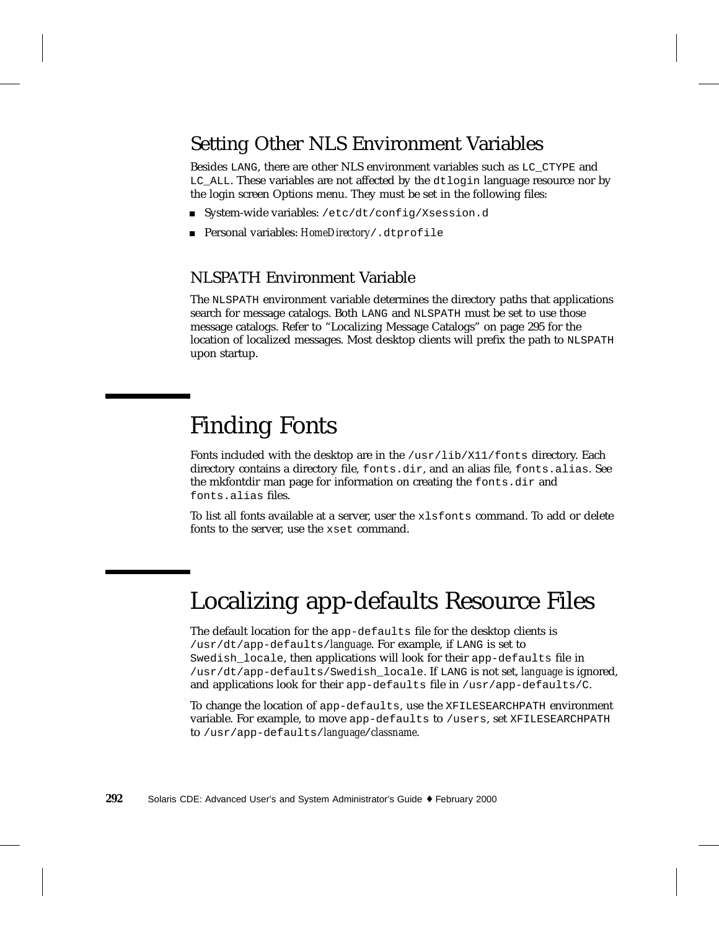### Setting Other NLS Environment Variables

Besides LANG, there are other NLS environment variables such as LC\_CTYPE and LC\_ALL. These variables are not affected by the dtlogin language resource nor by the login screen Options menu. They must be set in the following files:

- System-wide variables: /etc/dt/config/Xsession.d
- Personal variables: *HomeDirectory*/.dtprofile

#### NLSPATH Environment Variable

The NLSPATH environment variable determines the directory paths that applications search for message catalogs. Both LANG and NLSPATH must be set to use those message catalogs. Refer to "Localizing Message Catalogs" on page 295 for the location of localized messages. Most desktop clients will prefix the path to NLSPATH upon startup.

# Finding Fonts

Fonts included with the desktop are in the  $/usr/1ib/X11/fonts$  directory. Each directory contains a directory file, fonts.dir, and an alias file, fonts.alias. See the mkfontdir man page for information on creating the fonts.dir and fonts.alias files.

To list all fonts available at a server, user the xlsfonts command. To add or delete fonts to the server, use the xset command.

# Localizing app-defaults Resource Files

The default location for the app-defaults file for the desktop clients is /usr/dt/app-defaults/*language*. For example, if LANG is set to Swedish\_locale, then applications will look for their app-defaults file in /usr/dt/app-defaults/Swedish\_locale. If LANG is not set, *language* is ignored, and applications look for their app-defaults file in /usr/app-defaults/C.

To change the location of app-defaults, use the XFILESEARCHPATH environment variable. For example, to move app-defaults to /users, set XFILESEARCHPATH to /usr/app-defaults/*language*/*classname*.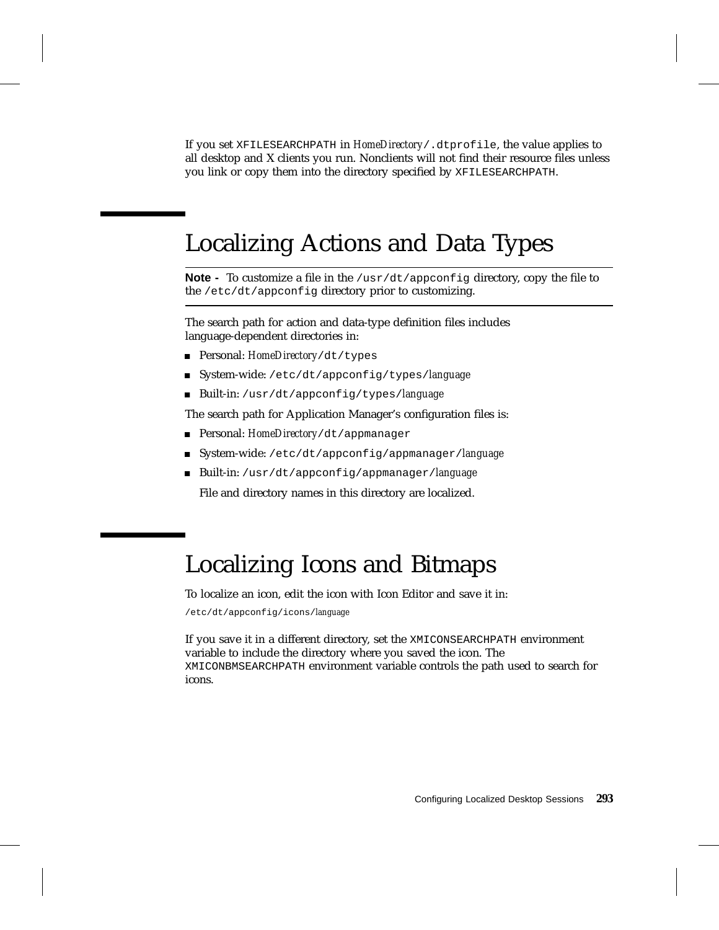If you set XFILESEARCHPATH in *HomeDirectory*/.dtprofile, the value applies to all desktop and X clients you run. Nonclients will not find their resource files unless you link or copy them into the directory specified by XFILESEARCHPATH.

## Localizing Actions and Data Types

**Note -** To customize a file in the /usr/dt/appconfig directory, copy the file to the /etc/dt/appconfig directory prior to customizing.

The search path for action and data-type definition files includes language-dependent directories in:

- Personal: *HomeDirectory*/dt/types
- System-wide: /etc/dt/appconfig/types/*language*
- Built-in: /usr/dt/appconfig/types/*language*

The search path for Application Manager's configuration files is:

- Personal: *HomeDirectory*/dt/appmanager
- System-wide: /etc/dt/appconfig/appmanager/*language*
- Built-in: /usr/dt/appconfig/appmanager/*language*

File and directory names in this directory are localized.

# Localizing Icons and Bitmaps

To localize an icon, edit the icon with Icon Editor and save it in:

/etc/dt/appconfig/icons/*language*

If you save it in a different directory, set the XMICONSEARCHPATH environment variable to include the directory where you saved the icon. The XMICONBMSEARCHPATH environment variable controls the path used to search for icons.

Configuring Localized Desktop Sessions **293**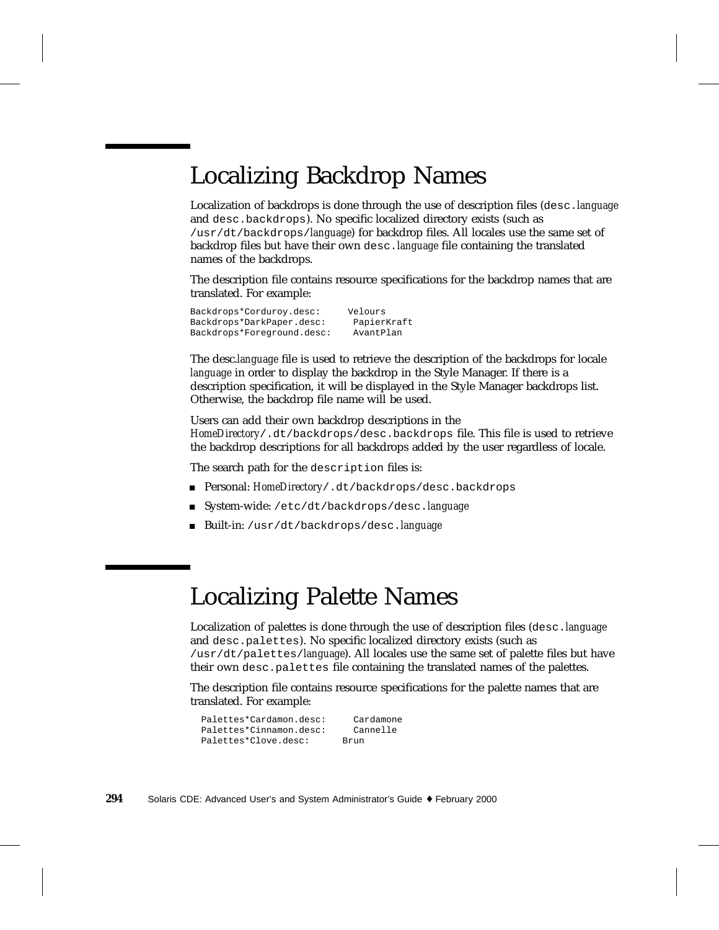# Localizing Backdrop Names

Localization of backdrops is done through the use of description files (desc.*language* and desc.backdrops). No specific localized directory exists (such as /usr/dt/backdrops/*language*) for backdrop files. All locales use the same set of backdrop files but have their own desc.*language* file containing the translated names of the backdrops.

The description file contains resource specifications for the backdrop names that are translated. For example:

Backdrops\*Corduroy.desc: Velours Backdrops\*DarkPaper.desc: PapierKraft Backdrops\*Foreground.desc: AvantPlan

The desc.*language* file is used to retrieve the description of the backdrops for locale *language* in order to display the backdrop in the Style Manager. If there is a description specification, it will be displayed in the Style Manager backdrops list. Otherwise, the backdrop file name will be used.

Users can add their own backdrop descriptions in the *HomeDirectory*/.dt/backdrops/desc.backdrops file. This file is used to retrieve the backdrop descriptions for all backdrops added by the user regardless of locale.

The search path for the description files is:

- Personal: *HomeDirectory*/.dt/backdrops/desc.backdrops
- System-wide: /etc/dt/backdrops/desc.*language*
- Built-in: /usr/dt/backdrops/desc.*language*

## Localizing Palette Names

Localization of palettes is done through the use of description files (desc.*language* and desc.palettes). No specific localized directory exists (such as /usr/dt/palettes/*language*). All locales use the same set of palette files but have their own desc.palettes file containing the translated names of the palettes.

The description file contains resource specifications for the palette names that are translated. For example:

Palettes\*Cardamon.desc: Cardamone Palettes\*Cinnamon.desc: Cannelle<br>Palettes\*Clove.desc: Brun Palettes\*Clove.desc: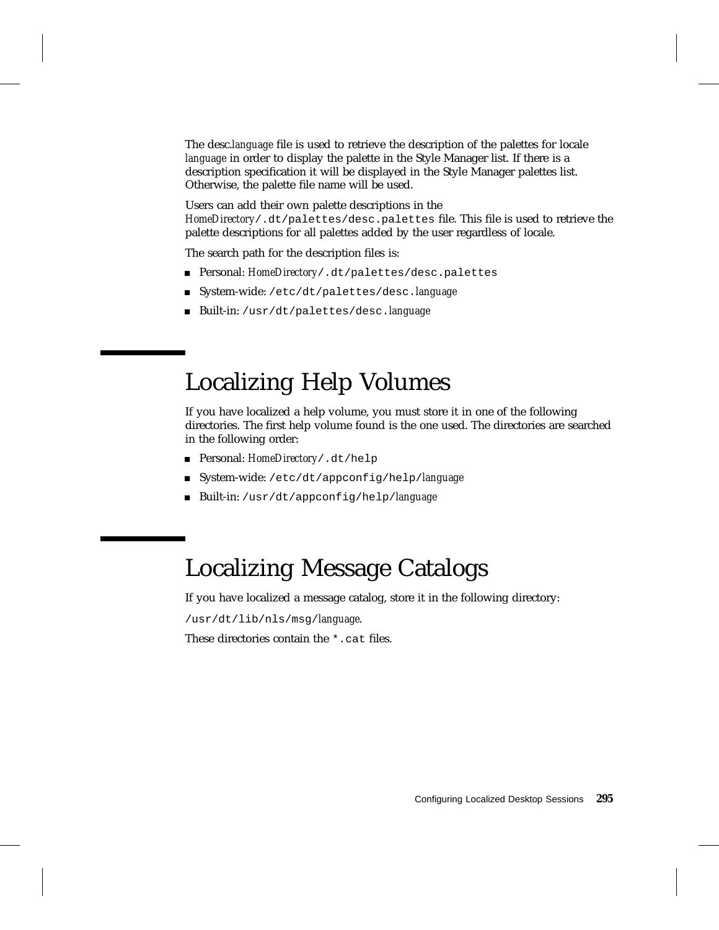The desc.*language* file is used to retrieve the description of the palettes for locale *language* in order to display the palette in the Style Manager list. If there is a description specification it will be displayed in the Style Manager palettes list. Otherwise, the palette file name will be used.

Users can add their own palette descriptions in the *HomeDirectory*/.dt/palettes/desc.palettes file. This file is used to retrieve the palette descriptions for all palettes added by the user regardless of locale.

The search path for the description files is:

- Personal: *HomeDirectory*/.dt/palettes/desc.palettes
- System-wide: /etc/dt/palettes/desc.*language*
- Built-in: /usr/dt/palettes/desc.*language*

# Localizing Help Volumes

If you have localized a help volume, you must store it in one of the following directories. The first help volume found is the one used. The directories are searched in the following order:

- Personal: *HomeDirectory*/.dt/help
- System-wide: /etc/dt/appconfig/help/*language*
- Built-in: /usr/dt/appconfig/help/*language*

# Localizing Message Catalogs

If you have localized a message catalog, store it in the following directory:

/usr/dt/lib/nls/msg/*language*.

These directories contain the \*.cat files.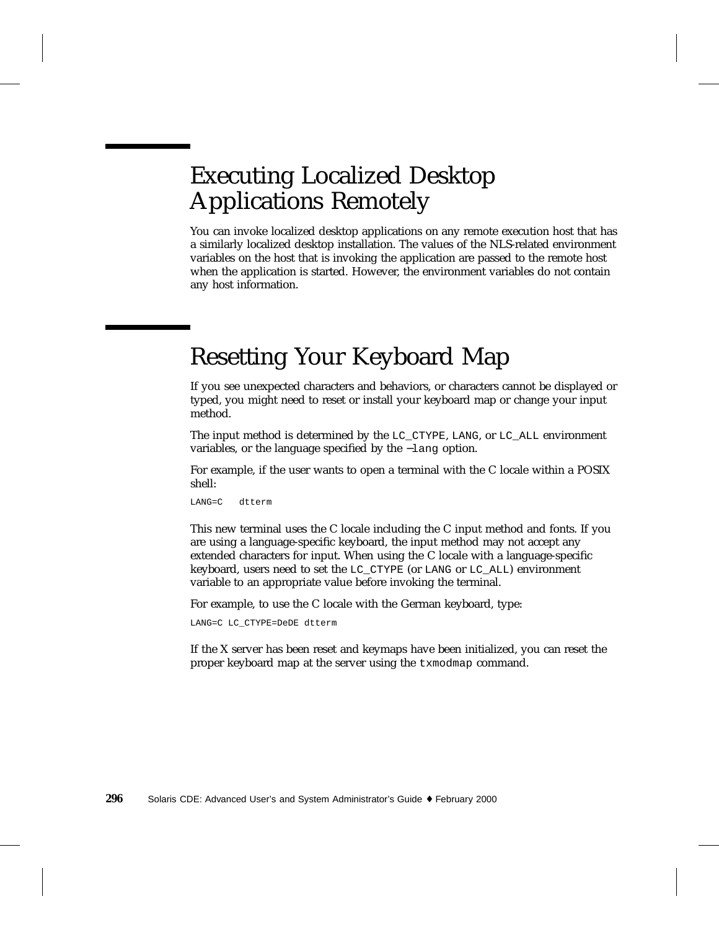# Executing Localized Desktop Applications Remotely

You can invoke localized desktop applications on any remote execution host that has a similarly localized desktop installation. The values of the NLS-related environment variables on the host that is invoking the application are passed to the remote host when the application is started. However, the environment variables do not contain any host information.

## Resetting Your Keyboard Map

If you see unexpected characters and behaviors, or characters cannot be displayed or typed, you might need to reset or install your keyboard map or change your input method.

The input method is determined by the LC\_CTYPE, LANG, or LC\_ALL environment variables, or the language specified by the −lang option.

For example, if the user wants to open a terminal with the C locale within a POSIX shell:

LANG=C dtterm

This new terminal uses the C locale including the C input method and fonts. If you are using a language-specific keyboard, the input method may not accept any extended characters for input. When using the C locale with a language-specific keyboard, users need to set the LC\_CTYPE (or LANG or LC\_ALL) environment variable to an appropriate value before invoking the terminal.

For example, to use the C locale with the German keyboard, type:

LANG=C LC\_CTYPE=DeDE dtterm

If the X server has been reset and keymaps have been initialized, you can reset the proper keyboard map at the server using the txmodmap command.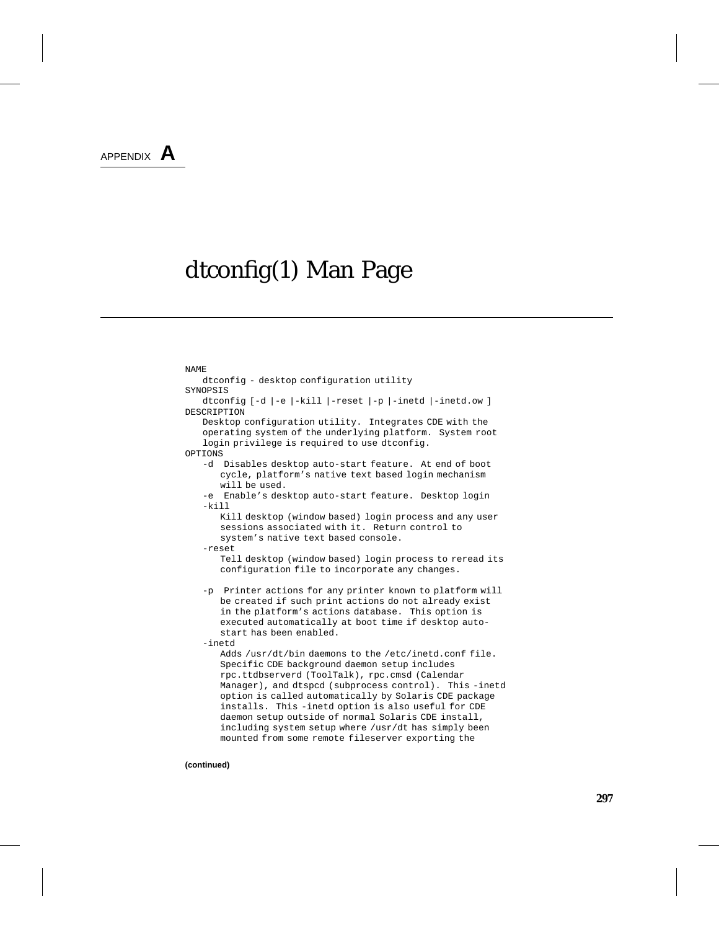### APPENDIX **A**

# dtconfig(1) Man Page

#### NAME

dtconfig - desktop configuration utility SYNOPSIS dtconfig [-d |-e |-kill |-reset |-p |-inetd |-inetd.ow ] DESCRIPTION Desktop configuration utility. Integrates CDE with the operating system of the underlying platform. System root login privilege is required to use dtconfig. OPTIONS -d Disables desktop auto-start feature. At end of boot cycle, platform's native text based login mechanism will be used. -e Enable's desktop auto-start feature. Desktop login -kill Kill desktop (window based) login process and any user sessions associated with it. Return control to system's native text based console. -reset Tell desktop (window based) login process to reread its configuration file to incorporate any changes. -p Printer actions for any printer known to platform will be created if such print actions do not already exist in the platform's actions database. This option is executed automatically at boot time if desktop autostart has been enabled. -inetd Adds /usr/dt/bin daemons to the /etc/inetd.conf file. Specific CDE background daemon setup includes rpc.ttdbserverd (ToolTalk), rpc.cmsd (Calendar Manager), and dtspcd (subprocess control). This -inetd option is called automatically by Solaris CDE package installs. This -inetd option is also useful for CDE daemon setup outside of normal Solaris CDE install, including system setup where /usr/dt has simply been mounted from some remote fileserver exporting the

#### **(continued)**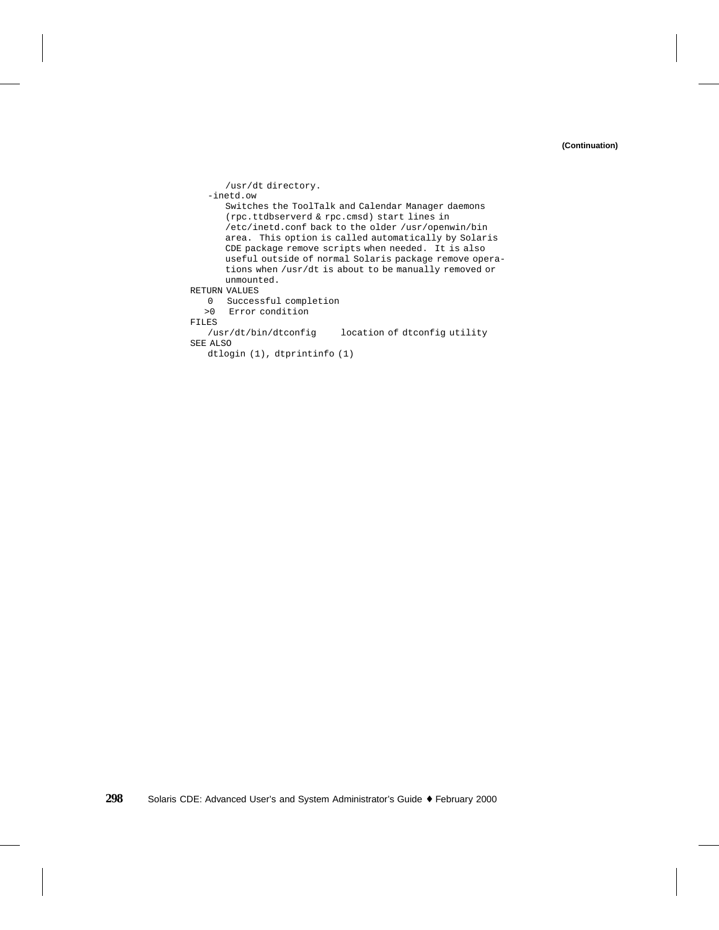#### **(Continuation)**

```
/usr/dt directory.
   -inetd.ow
      Switches the ToolTalk and Calendar Manager daemons
      (rpc.ttdbserverd & rpc.cmsd) start lines in
      /etc/inetd.conf back to the older /usr/openwin/bin
      area. This option is called automatically by Solaris
      CDE package remove scripts when needed. It is also
      useful outside of normal Solaris package remove opera-
      tions when /usr/dt is about to be manually removed or
      unmounted.
RETURN VALUES
   0 Successful completion
  >0 Error condition
FILES<br>/usr/dt/bin/dtconfig
                          location of dtconfig utility
SEE ALSO
   dtlogin (1), dtprintinfo (1)
```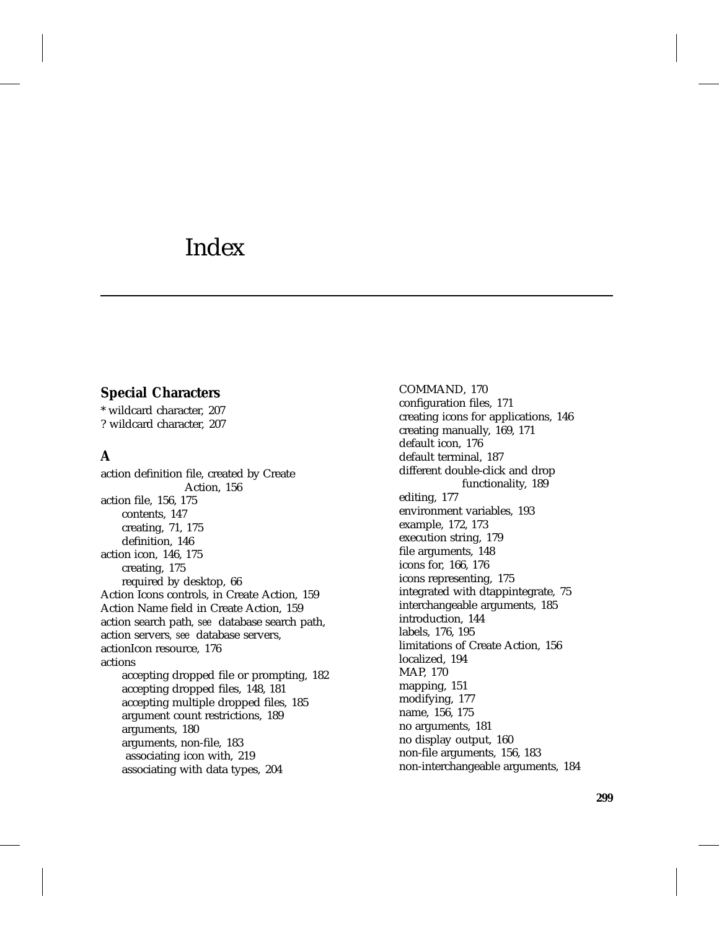# Index

#### **Special Characters**

\* wildcard character, 207 ? wildcard character, 207

#### **A**

action definition file, created by Create Action, 156 action file, 156, 175 contents, 147 creating, 71, 175 definition, 146 action icon, 146, 175 creating, 175 required by desktop, 66 Action Icons controls, in Create Action, 159 Action Name field in Create Action, 159 action search path*, see* database search path, action servers*, see* database servers, actionIcon resource, 176 actions accepting dropped file or prompting, 182 accepting dropped files, 148, 181 accepting multiple dropped files, 185 argument count restrictions, 189 arguments, 180 arguments, non-file, 183 associating icon with, 219 associating with data types, 204

COMMAND, 170 configuration files, 171 creating icons for applications, 146 creating manually, 169, 171 default icon, 176 default terminal, 187 different double-click and drop functionality, 189 editing, 177 environment variables, 193 example, 172, 173 execution string, 179 file arguments, 148 icons for, 166, 176 icons representing, 175 integrated with dtappintegrate, 75 interchangeable arguments, 185 introduction, 144 labels, 176, 195 limitations of Create Action, 156 localized, 194 MAP, 170 mapping, 151 modifying, 177 name, 156, 175 no arguments, 181 no display output, 160 non-file arguments, 156, 183 non-interchangeable arguments, 184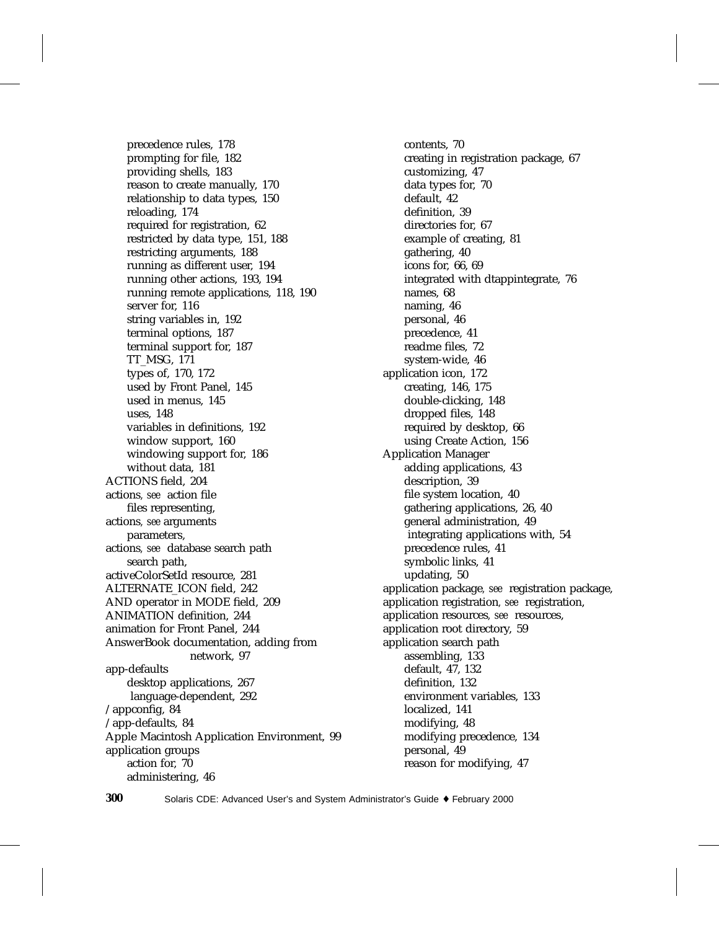precedence rules, 178 prompting for file, 182 providing shells, 183 reason to create manually, 170 relationship to data types, 150 reloading, 174 required for registration, 62 restricted by data type, 151, 188 restricting arguments, 188 running as different user, 194 running other actions, 193, 194 running remote applications, 118, 190 server for, 116 string variables in, 192 terminal options, 187 terminal support for, 187 TT\_MSG, 171 types of, 170, 172 used by Front Panel, 145 used in menus, 145 uses, 148 variables in definitions, 192 window support, 160 windowing support for, 186 without data, 181 ACTIONS field, 204 actions*, see* action file files representing, actions*, see* arguments parameters, actions*, see* database search path search path, activeColorSetId resource, 281 ALTERNATE\_ICON field, 242 AND operator in MODE field, 209 ANIMATION definition, 244 animation for Front Panel, 244 AnswerBook documentation, adding from network, 97 app-defaults desktop applications, 267 language-dependent, 292 /appconfig, 84 /app-defaults, 84 Apple Macintosh Application Environment, 99 application groups action for, 70 administering, 46

contents, 70 creating in registration package, 67 customizing, 47 data types for, 70 default, 42 definition, 39 directories for, 67 example of creating, 81 gathering, 40 icons for, 66, 69 integrated with dtappintegrate, 76 names, 68 naming, 46 personal, 46 precedence, 41 readme files, 72 system-wide, 46 application icon, 172 creating, 146, 175 double-clicking, 148 dropped files, 148 required by desktop, 66 using Create Action, 156 Application Manager adding applications, 43 description, 39 file system location, 40 gathering applications, 26, 40 general administration, 49 integrating applications with, 54 precedence rules, 41 symbolic links, 41 updating, 50 application package*, see* registration package, application registration*, see* registration, application resources*, see* resources, application root directory, 59 application search path assembling, 133 default, 47, 132 definition, 132 environment variables, 133 localized, 141 modifying, 48 modifying precedence, 134 personal, 49 reason for modifying, 47

**300** Solaris CDE: Advanced User's and System Administrator's Guide ♦ February 2000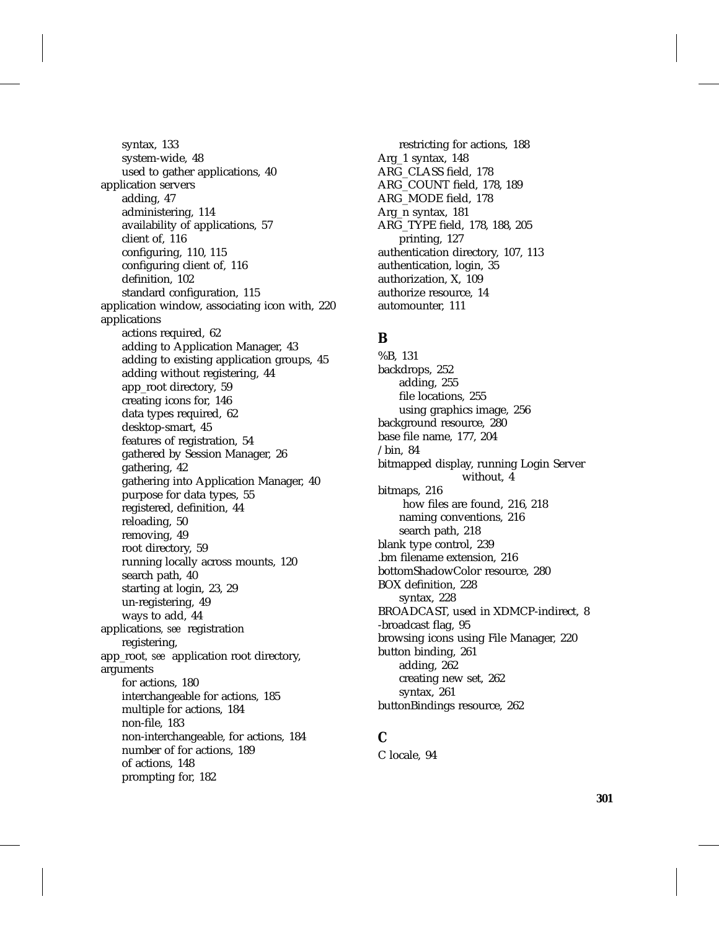syntax, 133 system-wide, 48 used to gather applications, 40 application servers adding, 47 administering, 114 availability of applications, 57 client of, 116 configuring, 110, 115 configuring client of, 116 definition, 102 standard configuration, 115 application window, associating icon with, 220 applications actions required, 62 adding to Application Manager, 43 adding to existing application groups, 45 adding without registering, 44 app\_root directory, 59 creating icons for, 146 data types required, 62 desktop-smart, 45 features of registration, 54 gathered by Session Manager, 26 gathering, 42 gathering into Application Manager, 40 purpose for data types, 55 registered, definition, 44 reloading, 50 removing, 49 root directory, 59 running locally across mounts, 120 search path, 40 starting at login, 23, 29 un-registering, 49 ways to add, 44 applications*, see* registration registering, app\_root*, see* application root directory, arguments for actions, 180 interchangeable for actions, 185 multiple for actions, 184 non-file, 183 non-interchangeable, for actions, 184 number of for actions, 189 of actions, 148 prompting for, 182

restricting for actions, 188 Arg\_1 syntax, 148 ARG\_CLASS field, 178 ARG\_COUNT field, 178, 189 ARG\_MODE field, 178 Arg\_n syntax, 181 ARG\_TYPE field, 178, 188, 205 printing, 127 authentication directory, 107, 113 authentication, login, 35 authorization, X, 109 authorize resource, 14 automounter, 111

#### **B**

%B, 131 backdrops, 252 adding, 255 file locations, 255 using graphics image, 256 background resource, 280 base file name, 177, 204 /bin, 84 bitmapped display, running Login Server without, 4 bitmaps, 216 how files are found, 216, 218 naming conventions, 216 search path, 218 blank type control, 239 .bm filename extension, 216 bottomShadowColor resource, 280 BOX definition, 228 syntax, 228 BROADCAST, used in XDMCP-indirect, 8 -broadcast flag, 95 browsing icons using File Manager, 220 button binding, 261 adding, 262 creating new set, 262 syntax, 261 buttonBindings resource, 262

### **C**

C locale, 94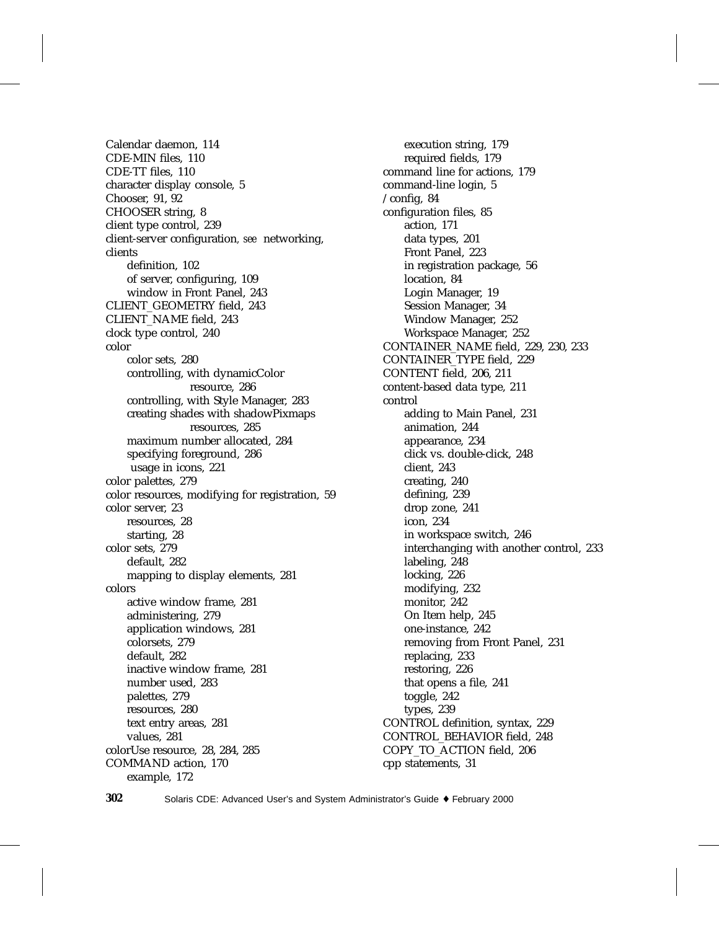Calendar daemon, 114 CDE-MIN files, 110 CDE-TT files, 110 character display console, 5 Chooser, 91, 92 CHOOSER string, 8 client type control, 239 client-server configuration*, see* networking, clients definition, 102 of server, configuring, 109 window in Front Panel, 243 CLIENT\_GEOMETRY field, 243 CLIENT\_NAME field, 243 clock type control, 240 color color sets, 280 controlling, with dynamicColor resource, 286 controlling, with Style Manager, 283 creating shades with shadowPixmaps resources, 285 maximum number allocated, 284 specifying foreground, 286 usage in icons, 221 color palettes, 279 color resources, modifying for registration, 59 color server, 23 resources, 28 starting, 28 color sets, 279 default, 282 mapping to display elements, 281 colors active window frame, 281 administering, 279 application windows, 281 colorsets, 279 default, 282 inactive window frame, 281 number used, 283 palettes, 279 resources, 280 text entry areas, 281 values, 281 colorUse resource, 28, 284, 285 COMMAND action, 170 example, 172

execution string, 179 required fields, 179 command line for actions, 179 command-line login, 5  $/$ config, 84 configuration files, 85 action, 171 data types, 201 Front Panel, 223 in registration package, 56 location, 84 Login Manager, 19 Session Manager, 34 Window Manager, 252 Workspace Manager, 252 CONTAINER\_NAME field, 229, 230, 233 CONTAINER\_TYPE field, 229 CONTENT field, 206, 211 content-based data type, 211 control adding to Main Panel, 231 animation, 244 appearance, 234 click vs. double-click, 248 client, 243 creating, 240 defining, 239 drop zone, 241 icon, 234 in workspace switch, 246 interchanging with another control, 233 labeling, 248 locking, 226 modifying, 232 monitor, 242 On Item help, 245 one-instance, 242 removing from Front Panel, 231 replacing, 233 restoring, 226 that opens a file, 241 toggle, 242 types, 239 CONTROL definition, syntax, 229 CONTROL\_BEHAVIOR field, 248 COPY\_TO\_ACTION field, 206 cpp statements, 31

**302** Solaris CDE: Advanced User's and System Administrator's Guide ♦ February 2000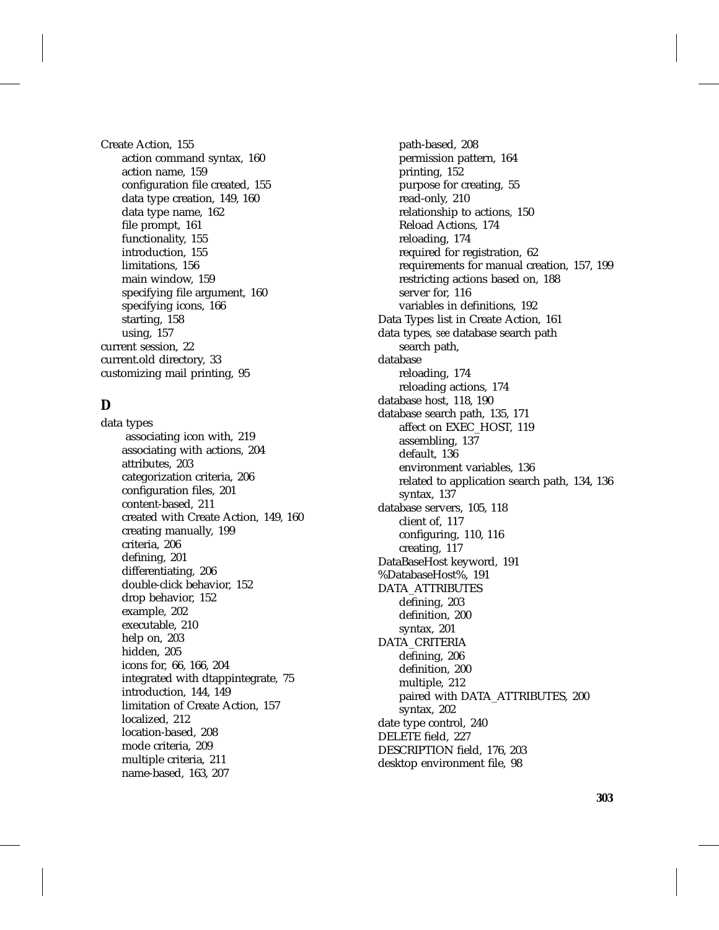Create Action, 155 action command syntax, 160 action name, 159 configuration file created, 155 data type creation, 149, 160 data type name, 162 file prompt, 161 functionality, 155 introduction, 155 limitations, 156 main window, 159 specifying file argument, 160 specifying icons, 166 starting, 158 using, 157 current session, 22 current.old directory, 33 customizing mail printing, 95

## **D**

data types associating icon with, 219 associating with actions, 204 attributes, 203 categorization criteria, 206 configuration files, 201 content-based, 211 created with Create Action, 149, 160 creating manually, 199 criteria, 206 defining, 201 differentiating, 206 double-click behavior, 152 drop behavior, 152 example, 202 executable, 210 help on, 203 hidden, 205 icons for, 66, 166, 204 integrated with dtappintegrate, 75 introduction, 144, 149 limitation of Create Action, 157 localized, 212 location-based, 208 mode criteria, 209 multiple criteria, 211 name-based, 163, 207

path-based, 208 permission pattern, 164 printing, 152 purpose for creating, 55 read-only, 210 relationship to actions, 150 Reload Actions, 174 reloading, 174 required for registration, 62 requirements for manual creation, 157, 199 restricting actions based on, 188 server for, 116 variables in definitions, 192 Data Types list in Create Action, 161 data types*, see* database search path search path, database reloading, 174 reloading actions, 174 database host, 118, 190 database search path, 135, 171 affect on EXEC\_HOST, 119 assembling, 137 default, 136 environment variables, 136 related to application search path, 134, 136 syntax, 137 database servers, 105, 118 client of, 117 configuring, 110, 116 creating, 117 DataBaseHost keyword, 191 %DatabaseHost%, 191 DATA\_ATTRIBUTES defining, 203 definition, 200 syntax, 201 DATA\_CRITERIA defining, 206 definition, 200 multiple, 212 paired with DATA\_ATTRIBUTES, 200 syntax, 202 date type control, 240 DELETE field, 227 DESCRIPTION field, 176, 203 desktop environment file, 98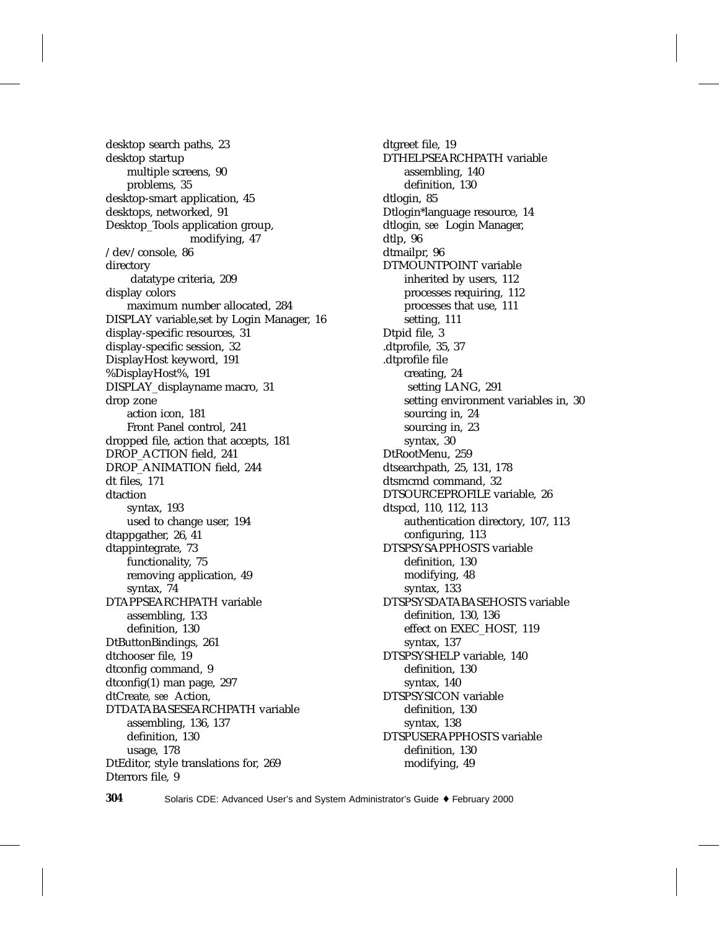desktop search paths, 23 desktop startup multiple screens, 90 problems, 35 desktop-smart application, 45 desktops, networked, 91 Desktop\_Tools application group, modifying, 47 /dev/console, 86 directory datatype criteria, 209 display colors maximum number allocated, 284 DISPLAY variable,set by Login Manager, 16 display-specific resources, 31 display-specific session, 32 DisplayHost keyword, 191 %DisplayHost%, 191 DISPLAY\_displayname macro, 31 drop zone action icon, 181 Front Panel control, 241 dropped file, action that accepts, 181 DROP\_ACTION field, 241 DROP\_ANIMATION field, 244 dt files, 171 dtaction syntax, 193 used to change user, 194 dtappgather, 26, 41 dtappintegrate, 73 functionality, 75 removing application, 49 syntax, 74 DTAPPSEARCHPATH variable assembling, 133 definition, 130 DtButtonBindings, 261 dtchooser file, 19 dtconfig command, 9 dtconfig(1) man page, 297 dtCreate*, see* Action, DTDATABASESEARCHPATH variable assembling, 136, 137 definition, 130 usage, 178 DtEditor, style translations for, 269 Dterrors file, 9

dtgreet file, 19 DTHELPSEARCHPATH variable assembling, 140 definition, 130 dtlogin, 85 Dtlogin\*language resource, 14 dtlogin*, see* Login Manager, dtlp, 96 dtmailpr, 96 DTMOUNTPOINT variable inherited by users, 112 processes requiring, 112 processes that use, 111 setting, 111 Dtpid file, 3 .dtprofile, 35, 37 .dtprofile file creating, 24 setting LANG, 291 setting environment variables in, 30 sourcing in, 24 sourcing in, 23 syntax, 30 DtRootMenu, 259 dtsearchpath, 25, 131, 178 dtsmcmd command, 32 DTSOURCEPROFILE variable, 26 dtspcd, 110, 112, 113 authentication directory, 107, 113 configuring, 113 DTSPSYSAPPHOSTS variable definition, 130 modifying, 48 syntax, 133 DTSPSYSDATABASEHOSTS variable definition, 130, 136 effect on EXEC\_HOST, 119 syntax, 137 DTSPSYSHELP variable, 140 definition, 130 syntax, 140 DTSPSYSICON variable definition, 130 syntax, 138 DTSPUSERAPPHOSTS variable definition, 130 modifying, 49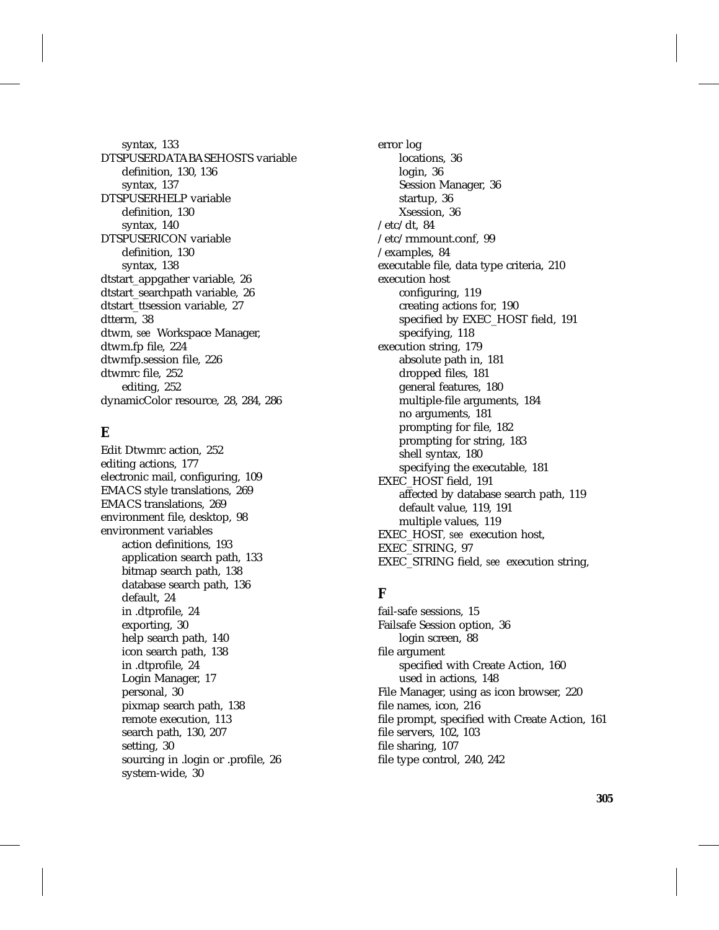syntax, 133 DTSPUSERDATABASEHOSTS variable definition, 130, 136 syntax, 137 DTSPUSERHELP variable definition, 130 syntax, 140 DTSPUSERICON variable definition, 130 syntax, 138 dtstart\_appgather variable, 26 dtstart\_searchpath variable, 26 dtstart\_ttsession variable, 27 dtterm, 38 dtwm*, see* Workspace Manager, dtwm.fp file, 224 dtwmfp.session file, 226 dtwmrc file, 252 editing, 252 dynamicColor resource, 28, 284, 286

### **E**

Edit Dtwmrc action, 252 editing actions, 177 electronic mail, configuring, 109 EMACS style translations, 269 EMACS translations, 269 environment file, desktop, 98 environment variables action definitions, 193 application search path, 133 bitmap search path, 138 database search path, 136 default, 24 in .dtprofile, 24 exporting, 30 help search path, 140 icon search path, 138 in .dtprofile, 24 Login Manager, 17 personal, 30 pixmap search path, 138 remote execution, 113 search path, 130, 207 setting, 30 sourcing in .login or .profile, 26 system-wide, 30

error log locations, 36 login, 36 Session Manager, 36 startup, 36 Xsession, 36 /etc/dt, 84 /etc/rmmount.conf, 99 /examples, 84 executable file, data type criteria, 210 execution host configuring, 119 creating actions for, 190 specified by EXEC\_HOST field, 191 specifying, 118 execution string, 179 absolute path in, 181 dropped files, 181 general features, 180 multiple-file arguments, 184 no arguments, 181 prompting for file, 182 prompting for string, 183 shell syntax, 180 specifying the executable, 181 EXEC\_HOST field, 191 affected by database search path, 119 default value, 119, 191 multiple values, 119 EXEC\_HOST*, see* execution host, EXEC\_STRING, 97 EXEC\_STRING field*, see* execution string,

## **F**

fail-safe sessions, 15 Failsafe Session option, 36 login screen, 88 file argument specified with Create Action, 160 used in actions, 148 File Manager, using as icon browser, 220 file names, icon, 216 file prompt, specified with Create Action, 161 file servers, 102, 103 file sharing, 107 file type control, 240, 242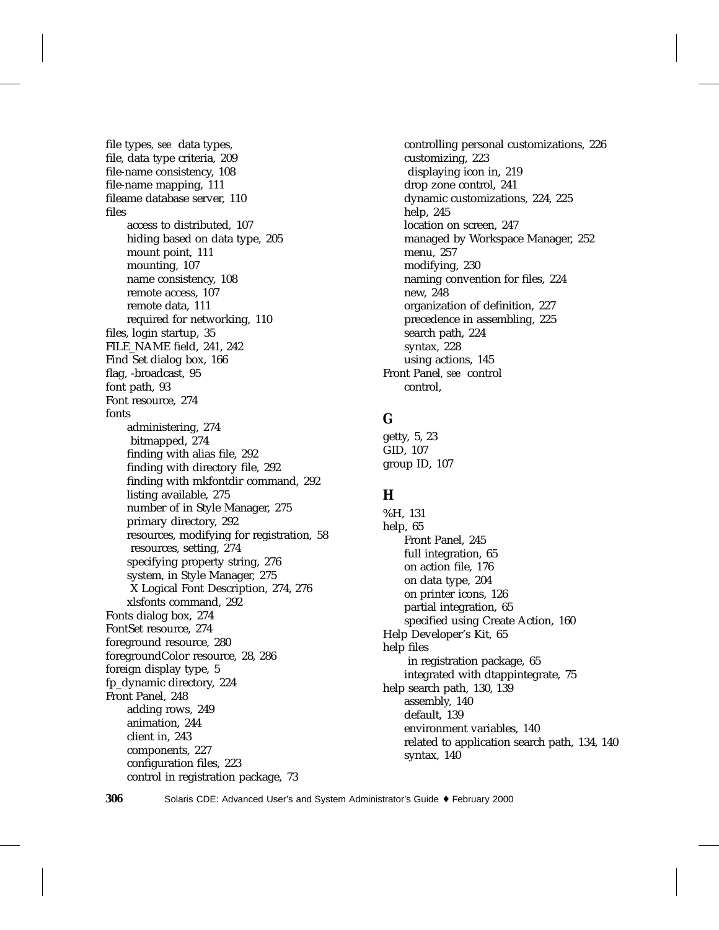file types*, see* data types, file, data type criteria, 209 file-name consistency, 108 file-name mapping, 111 fileame database server, 110 files access to distributed, 107 hiding based on data type, 205 mount point, 111 mounting, 107 name consistency, 108 remote access, 107 remote data, 111 required for networking, 110 files, login startup, 35 FILE\_NAME field, 241, 242 Find Set dialog box, 166 flag, -broadcast, 95 font path, 93 Font resource, 274 fonts administering, 274 bitmapped, 274 finding with alias file, 292 finding with directory file, 292 finding with mkfontdir command, 292 listing available, 275 number of in Style Manager, 275 primary directory, 292 resources, modifying for registration, 58 resources, setting, 274 specifying property string, 276 system, in Style Manager, 275 X Logical Font Description, 274, 276 xlsfonts command, 292 Fonts dialog box, 274 FontSet resource, 274 foreground resource, 280 foregroundColor resource, 28, 286 foreign display type, 5 fp\_dynamic directory, 224 Front Panel, 248 adding rows, 249 animation, 244 client in, 243 components, 227 configuration files, 223 control in registration package, 73

controlling personal customizations, 226 customizing, 223 displaying icon in, 219 drop zone control, 241 dynamic customizations, 224, 225 help, 245 location on screen, 247 managed by Workspace Manager, 252 menu, 257 modifying, 230 naming convention for files, 224 new, 248 organization of definition, 227 precedence in assembling, 225 search path, 224 syntax, 228 using actions, 145 Front Panel*, see* control control,

### **G**

getty, 5, 23 GID, 107 group ID, 107

### **H**

%H, 131 help, 65 Front Panel, 245 full integration, 65 on action file, 176 on data type, 204 on printer icons, 126 partial integration, 65 specified using Create Action, 160 Help Developer's Kit, 65 help files in registration package, 65 integrated with dtappintegrate, 75 help search path, 130, 139 assembly, 140 default, 139 environment variables, 140 related to application search path, 134, 140 syntax, 140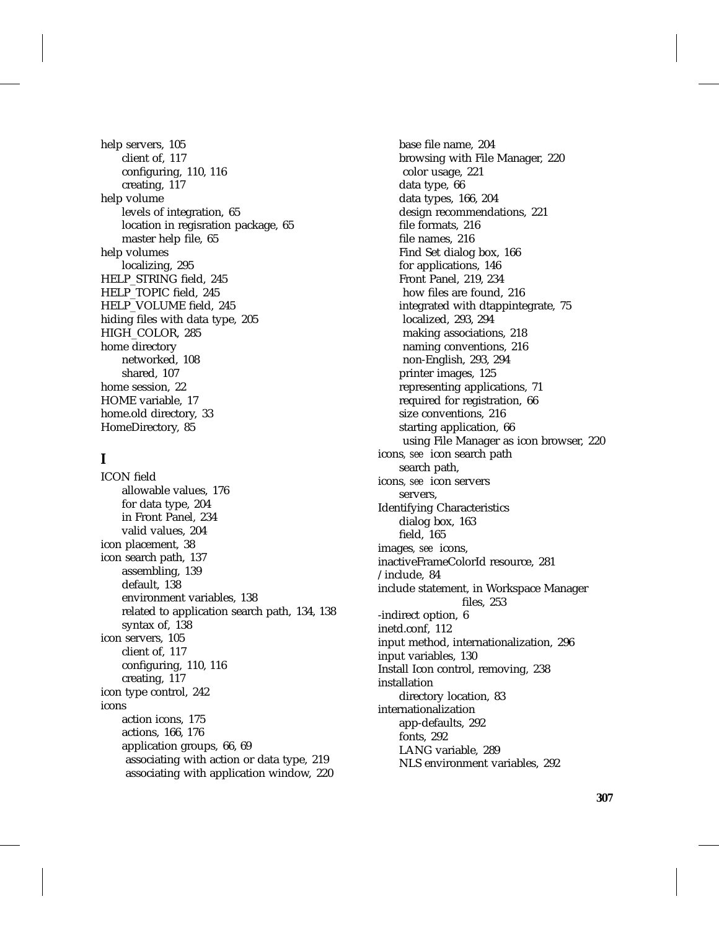help servers, 105 client of, 117 configuring, 110, 116 creating, 117 help volume levels of integration, 65 location in regisration package, 65 master help file, 65 help volumes localizing, 295 HELP\_STRING field, 245 HELP\_TOPIC field, 245 HELP\_VOLUME field, 245 hiding files with data type, 205 HIGH\_COLOR, 285 home directory networked, 108 shared, 107 home session, 22 HOME variable, 17 home.old directory, 33 HomeDirectory, 85

# **I**

ICON field allowable values, 176 for data type, 204 in Front Panel, 234 valid values, 204 icon placement, 38 icon search path, 137 assembling, 139 default, 138 environment variables, 138 related to application search path, 134, 138 syntax of, 138 icon servers, 105 client of, 117 configuring, 110, 116 creating, 117 icon type control, 242 icons action icons, 175 actions, 166, 176 application groups, 66, 69 associating with action or data type, 219 associating with application window, 220

base file name, 204 browsing with File Manager, 220 color usage, 221 data type, 66 data types, 166, 204 design recommendations, 221 file formats, 216 file names, 216 Find Set dialog box, 166 for applications, 146 Front Panel, 219, 234 how files are found, 216 integrated with dtappintegrate, 75 localized, 293, 294 making associations, 218 naming conventions, 216 non-English, 293, 294 printer images, 125 representing applications, 71 required for registration, 66 size conventions, 216 starting application, 66 using File Manager as icon browser, 220 icons*, see* icon search path search path, icons*, see* icon servers servers, Identifying Characteristics dialog box, 163 field, 165 images*, see* icons, inactiveFrameColorId resource, 281 /include, 84 include statement, in Workspace Manager files, 253 -indirect option, 6 inetd.conf, 112 input method, internationalization, 296 input variables, 130 Install Icon control, removing, 238 installation directory location, 83 internationalization app-defaults, 292 fonts, 292 LANG variable, 289 NLS environment variables, 292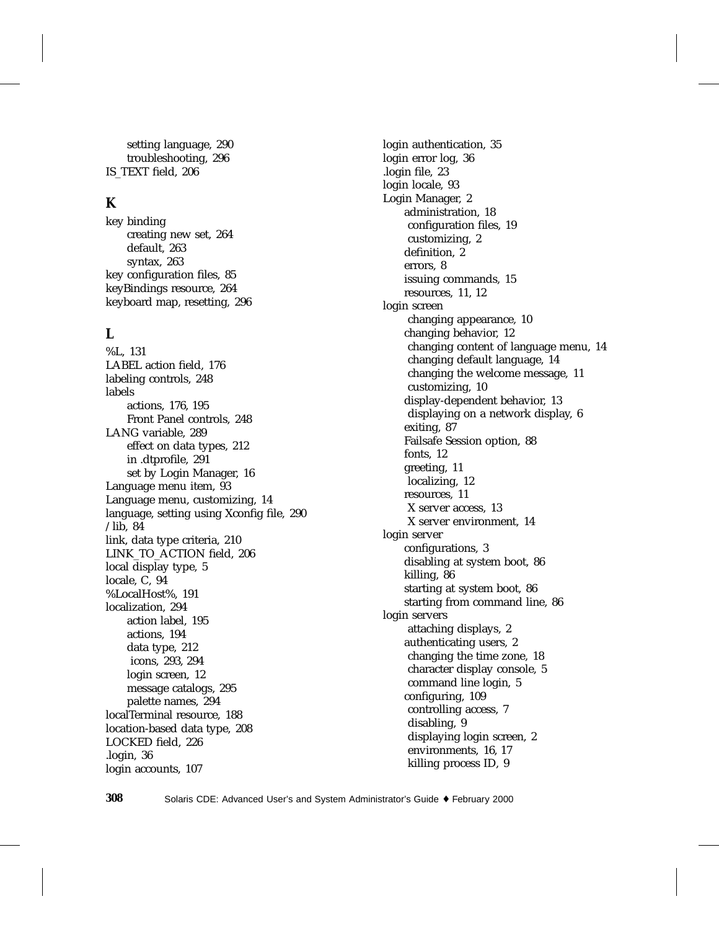setting language, 290 troubleshooting, 296 IS\_TEXT field, 206

## **K**

key binding creating new set, 264 default, 263 syntax, 263 key configuration files, 85 keyBindings resource, 264 keyboard map, resetting, 296

### **L**

%L, 131 LABEL action field, 176 labeling controls, 248 labels actions, 176, 195 Front Panel controls, 248 LANG variable, 289 effect on data types, 212 in .dtprofile, 291 set by Login Manager, 16 Language menu item, 93 Language menu, customizing, 14 language, setting using Xconfig file, 290 /lib, 84 link, data type criteria, 210 LINK\_TO\_ACTION field, 206 local display type, 5 locale, C, 94 %LocalHost%, 191 localization, 294 action label, 195 actions, 194 data type, 212 icons, 293, 294 login screen, 12 message catalogs, 295 palette names, 294 localTerminal resource, 188 location-based data type, 208 LOCKED field, 226 .login, 36 login accounts, 107

login authentication, 35 login error log, 36 .login file, 23 login locale, 93 Login Manager, 2 administration, 18 configuration files, 19 customizing, 2 definition, 2 errors, 8 issuing commands, 15 resources, 11, 12 login screen changing appearance, 10 changing behavior, 12 changing content of language menu, 14 changing default language, 14 changing the welcome message, 11 customizing, 10 display-dependent behavior, 13 displaying on a network display, 6 exiting, 87 Failsafe Session option, 88 fonts, 12 greeting, 11 localizing, 12 resources, 11 X server access, 13 X server environment, 14 login server configurations, 3 disabling at system boot, 86 killing, 86 starting at system boot, 86 starting from command line, 86 login servers attaching displays, 2 authenticating users, 2 changing the time zone, 18 character display console, 5 command line login, 5 configuring, 109 controlling access, 7 disabling, 9 displaying login screen, 2 environments, 16, 17 killing process ID, 9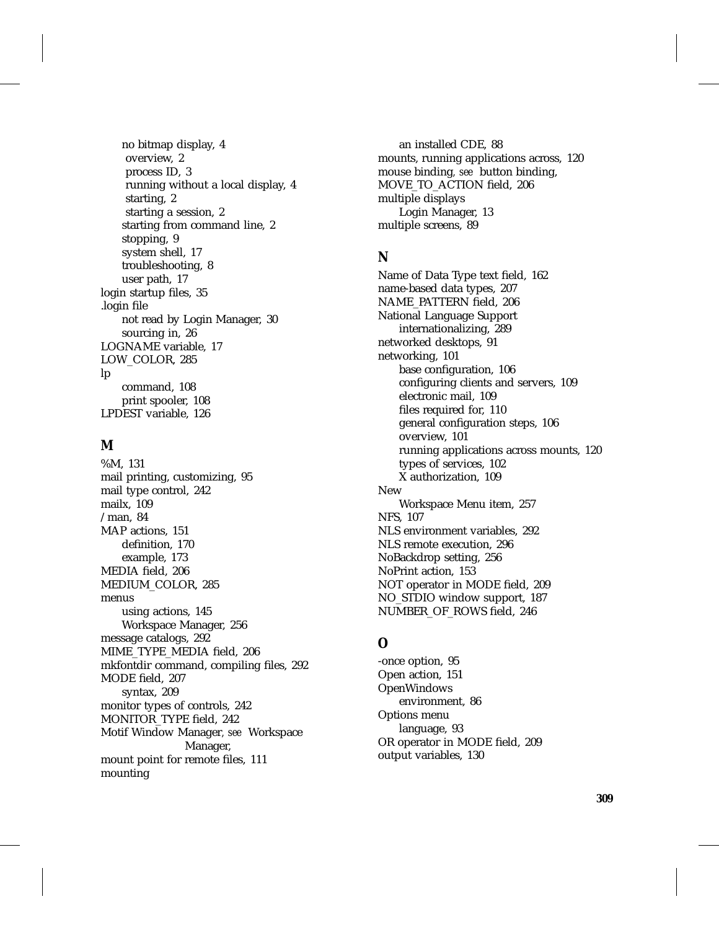no bitmap display, 4 overview, 2 process ID, 3 running without a local display, 4 starting, 2 starting a session, 2 starting from command line, 2 stopping, 9 system shell, 17 troubleshooting, 8 user path, 17 login startup files, 35 .login file not read by Login Manager, 30 sourcing in, 26 LOGNAME variable, 17 LOW\_COLOR, 285 lp command, 108 print spooler, 108 LPDEST variable, 126

### **M**

%M, 131 mail printing, customizing, 95 mail type control, 242 mailx, 109 /man, 84 MAP actions, 151 definition, 170 example, 173 MEDIA field, 206 MEDIUM\_COLOR, 285 menus using actions, 145 Workspace Manager, 256 message catalogs, 292 MIME\_TYPE\_MEDIA field, 206 mkfontdir command, compiling files, 292 MODE field, 207 syntax, 209 monitor types of controls, 242 MONITOR\_TYPE field, 242 Motif Window Manager*, see* Workspace Manager, mount point for remote files, 111 mounting

an installed CDE, 88 mounts, running applications across, 120 mouse binding*, see* button binding, MOVE\_TO\_ACTION field, 206 multiple displays Login Manager, 13 multiple screens, 89

## **N**

Name of Data Type text field, 162 name-based data types, 207 NAME\_PATTERN field, 206 National Language Support internationalizing, 289 networked desktops, 91 networking, 101 base configuration, 106 configuring clients and servers, 109 electronic mail, 109 files required for, 110 general configuration steps, 106 overview, 101 running applications across mounts, 120 types of services, 102 X authorization, 109 New Workspace Menu item, 257 NFS, 107 NLS environment variables, 292 NLS remote execution, 296 NoBackdrop setting, 256 NoPrint action, 153 NOT operator in MODE field, 209 NO\_STDIO window support, 187 NUMBER\_OF\_ROWS field, 246

## **O**

-once option, 95 Open action, 151 **OpenWindows** environment, 86 Options menu language, 93 OR operator in MODE field, 209 output variables, 130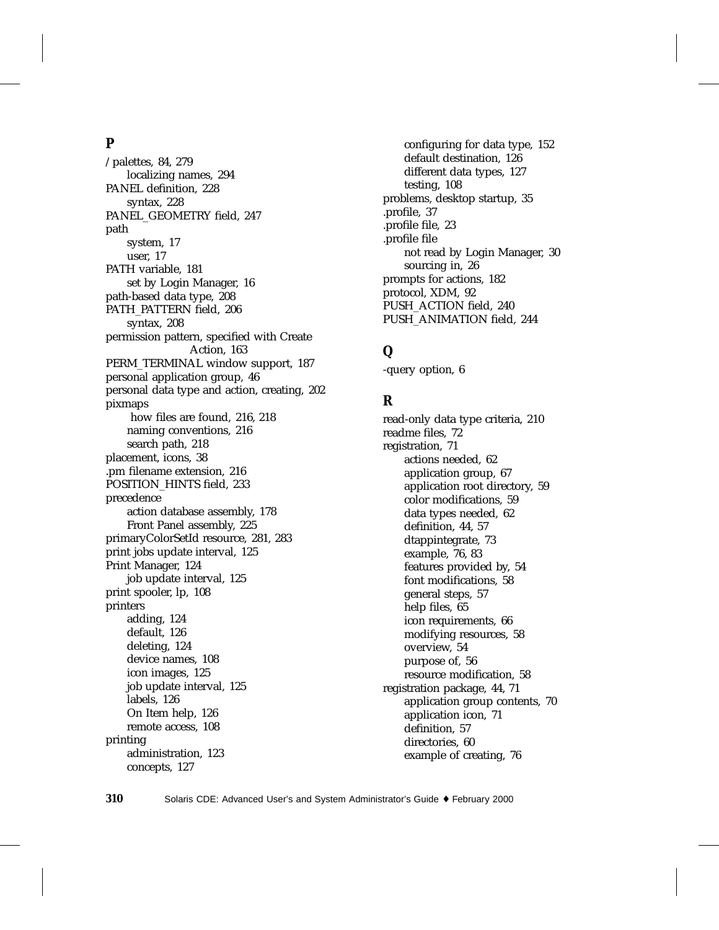### **P**

/palettes, 84, 279 localizing names, 294 PANEL definition, 228 syntax, 228 PANEL\_GEOMETRY field, 247 path system, 17 user, 17 PATH variable, 181 set by Login Manager, 16 path-based data type, 208 PATH\_PATTERN field, 206 syntax, 208 permission pattern, specified with Create Action, 163 PERM\_TERMINAL window support, 187 personal application group, 46 personal data type and action, creating, 202 pixmaps how files are found, 216, 218 naming conventions, 216 search path, 218 placement, icons, 38 .pm filename extension, 216 POSITION\_HINTS field, 233 precedence action database assembly, 178 Front Panel assembly, 225 primaryColorSetId resource, 281, 283 print jobs update interval, 125 Print Manager, 124 job update interval, 125 print spooler, lp, 108 printers adding, 124 default, 126 deleting, 124 device names, 108 icon images, 125 job update interval, 125 labels, 126 On Item help, 126 remote access, 108 printing administration, 123 concepts, 127

configuring for data type, 152 default destination, 126 different data types, 127 testing, 108 problems, desktop startup, 35 .profile, 37 .profile file, 23 .profile file not read by Login Manager, 30 sourcing in, 26 prompts for actions, 182 protocol, XDM, 92 PUSH\_ACTION field, 240 PUSH\_ANIMATION field, 244

### **Q**

-query option, 6

### **R**

read-only data type criteria, 210 readme files, 72 registration, 71 actions needed, 62 application group, 67 application root directory, 59 color modifications, 59 data types needed, 62 definition, 44, 57 dtappintegrate, 73 example, 76, 83 features provided by, 54 font modifications, 58 general steps, 57 help files, 65 icon requirements, 66 modifying resources, 58 overview, 54 purpose of, 56 resource modification, 58 registration package, 44, 71 application group contents, 70 application icon, 71 definition, 57 directories, 60 example of creating, 76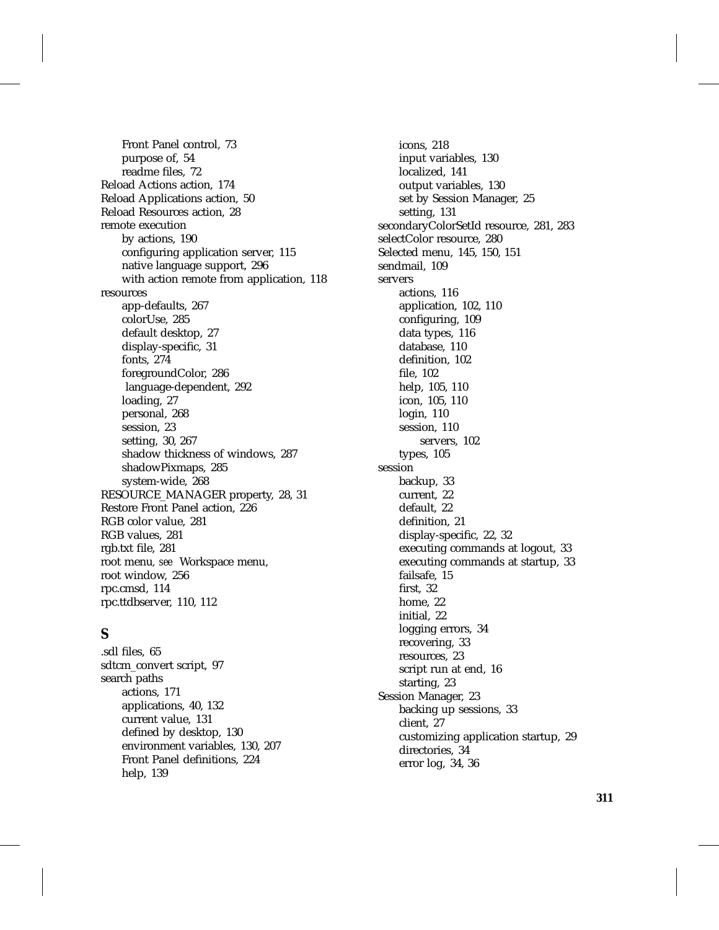Front Panel control, 73 purpose of, 54 readme files, 72 Reload Actions action, 174 Reload Applications action, 50 Reload Resources action, 28 remote execution by actions, 190 configuring application server, 115 native language support, 296 with action remote from application, 118 resources app-defaults, 267 colorUse, 285 default desktop, 27 display-specific, 31 fonts, 274 foregroundColor, 286 language-dependent, 292 loading, 27 personal, 268 session, 23 setting, 30, 267 shadow thickness of windows, 287 shadowPixmaps, 285 system-wide, 268 RESOURCE\_MANAGER property, 28, 31 Restore Front Panel action, 226 RGB color value, 281 RGB values, 281 rgb.txt file, 281 root menu*, see* Workspace menu, root window, 256 rpc.cmsd, 114 rpc.ttdbserver, 110, 112

## **S**

.sdl files, 65 sdtcm\_convert script, 97 search paths actions, 171 applications, 40, 132 current value, 131 defined by desktop, 130 environment variables, 130, 207 Front Panel definitions, 224 help, 139

icons, 218 input variables, 130 localized, 141 output variables, 130 set by Session Manager, 25 setting, 131 secondaryColorSetId resource, 281, 283 selectColor resource, 280 Selected menu, 145, 150, 151 sendmail, 109 servers actions, 116 application, 102, 110 configuring, 109 data types, 116 database, 110 definition, 102 file, 102 help, 105, 110 icon, 105, 110 login, 110 session, 110 servers, 102 types, 105 session backup, 33 current, 22 default, 22 definition, 21 display-specific, 22, 32 executing commands at logout, 33 executing commands at startup, 33 failsafe, 15 first, 32 home, 22 initial, 22 logging errors, 34 recovering, 33 resources, 23 script run at end, 16 starting, 23 Session Manager, 23 backing up sessions, 33 client, 27 customizing application startup, 29 directories, 34 error log, 34, 36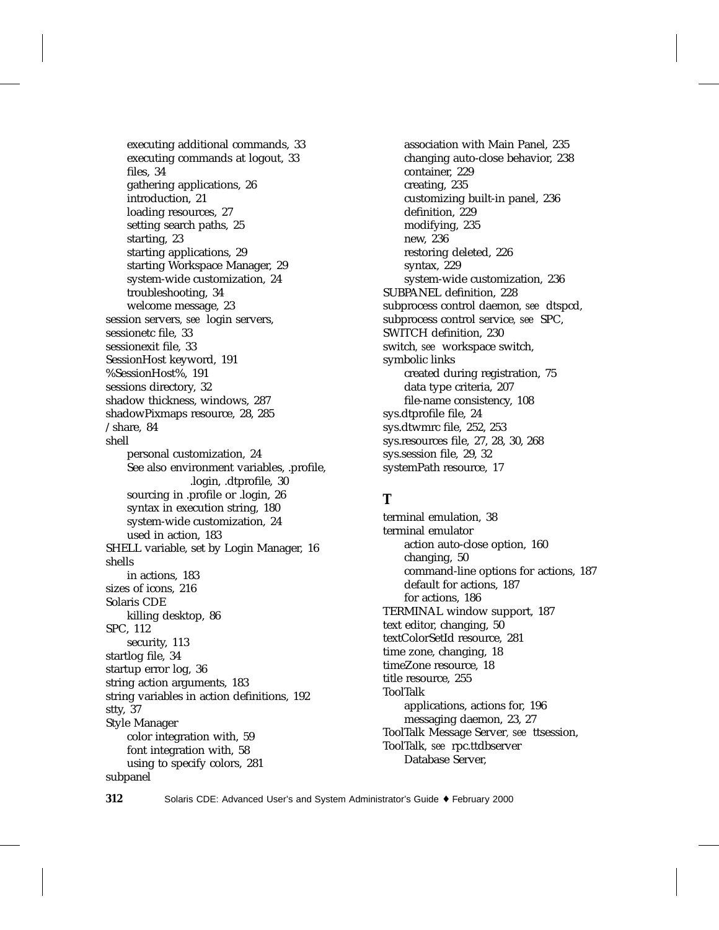executing additional commands, 33 executing commands at logout, 33 files, 34 gathering applications, 26 introduction, 21 loading resources, 27 setting search paths, 25 starting, 23 starting applications, 29 starting Workspace Manager, 29 system-wide customization, 24 troubleshooting, 34 welcome message, 23 session servers*, see* login servers, sessionetc file, 33 sessionexit file, 33 SessionHost keyword, 191 %SessionHost%, 191 sessions directory, 32 shadow thickness, windows, 287 shadowPixmaps resource, 28, 285 /share, 84 shell personal customization, 24 See also environment variables, .profile, .login, .dtprofile, 30 sourcing in .profile or .login, 26 syntax in execution string, 180 system-wide customization, 24 used in action, 183 SHELL variable, set by Login Manager, 16 shells in actions, 183 sizes of icons, 216 Solaris CDE killing desktop, 86 SPC, 112 security, 113 startlog file, 34 startup error log, 36 string action arguments, 183 string variables in action definitions, 192 stty, 37 Style Manager color integration with, 59 font integration with, 58 using to specify colors, 281 subpanel

association with Main Panel, 235 changing auto-close behavior, 238 container, 229 creating, 235 customizing built-in panel, 236 definition, 229 modifying, 235 new, 236 restoring deleted, 226 syntax, 229 system-wide customization, 236 SUBPANEL definition, 228 subprocess control daemon*, see* dtspcd, subprocess control service*, see* SPC, SWITCH definition, 230 switch*, see* workspace switch, symbolic links created during registration, 75 data type criteria, 207 file-name consistency, 108 sys.dtprofile file, 24 sys.dtwmrc file, 252, 253 sys.resources file, 27, 28, 30, 268 sys.session file, 29, 32 systemPath resource, 17

### **T**

terminal emulation, 38 terminal emulator action auto-close option, 160 changing, 50 command-line options for actions, 187 default for actions, 187 for actions, 186 TERMINAL window support, 187 text editor, changing, 50 textColorSetId resource, 281 time zone, changing, 18 timeZone resource, 18 title resource, 255 ToolTalk applications, actions for, 196 messaging daemon, 23, 27 ToolTalk Message Server*, see* ttsession, ToolTalk*, see* rpc.ttdbserver Database Server,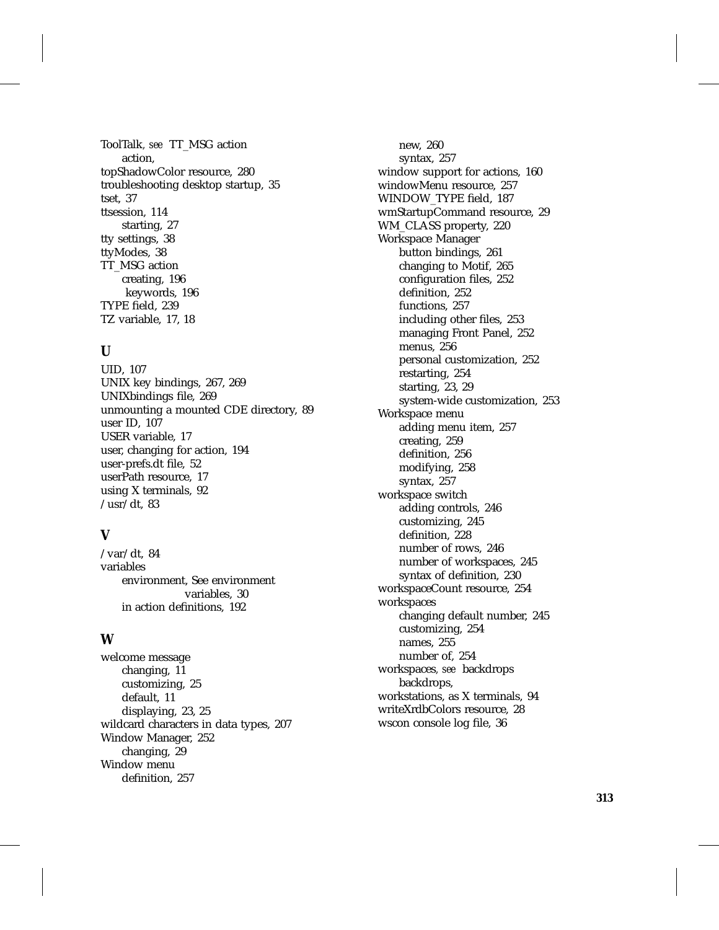ToolTalk*, see* TT\_MSG action action, topShadowColor resource, 280 troubleshooting desktop startup, 35 tset, 37 ttsession, 114 starting, 27 tty settings, 38 ttyModes, 38 TT\_MSG action creating, 196 keywords, 196 TYPE field, 239 TZ variable, 17, 18

### **U**

UID, 107 UNIX key bindings, 267, 269 UNIXbindings file, 269 unmounting a mounted CDE directory, 89 user ID, 107 USER variable, 17 user, changing for action, 194 user-prefs.dt file, 52 userPath resource, 17 using X terminals, 92 /usr/dt, 83

### **V**

/var/dt, 84 variables environment, See environment variables, 30 in action definitions, 192

### **W**

welcome message changing, 11 customizing, 25 default, 11 displaying, 23, 25 wildcard characters in data types, 207 Window Manager, 252 changing, 29 Window menu definition, 257

new, 260 syntax, 257 window support for actions, 160 windowMenu resource, 257 WINDOW\_TYPE field, 187 wmStartupCommand resource, 29 WM\_CLASS property, 220 Workspace Manager button bindings, 261 changing to Motif, 265 configuration files, 252 definition, 252 functions, 257 including other files, 253 managing Front Panel, 252 menus, 256 personal customization, 252 restarting, 254 starting, 23, 29 system-wide customization, 253 Workspace menu adding menu item, 257 creating, 259 definition, 256 modifying, 258 syntax, 257 workspace switch adding controls, 246 customizing, 245 definition, 228 number of rows, 246 number of workspaces, 245 syntax of definition, 230 workspaceCount resource, 254 workspaces changing default number, 245 customizing, 254 names, 255 number of, 254 workspaces*, see* backdrops backdrops, workstations, as X terminals, 94 writeXrdbColors resource, 28 wscon console log file, 36